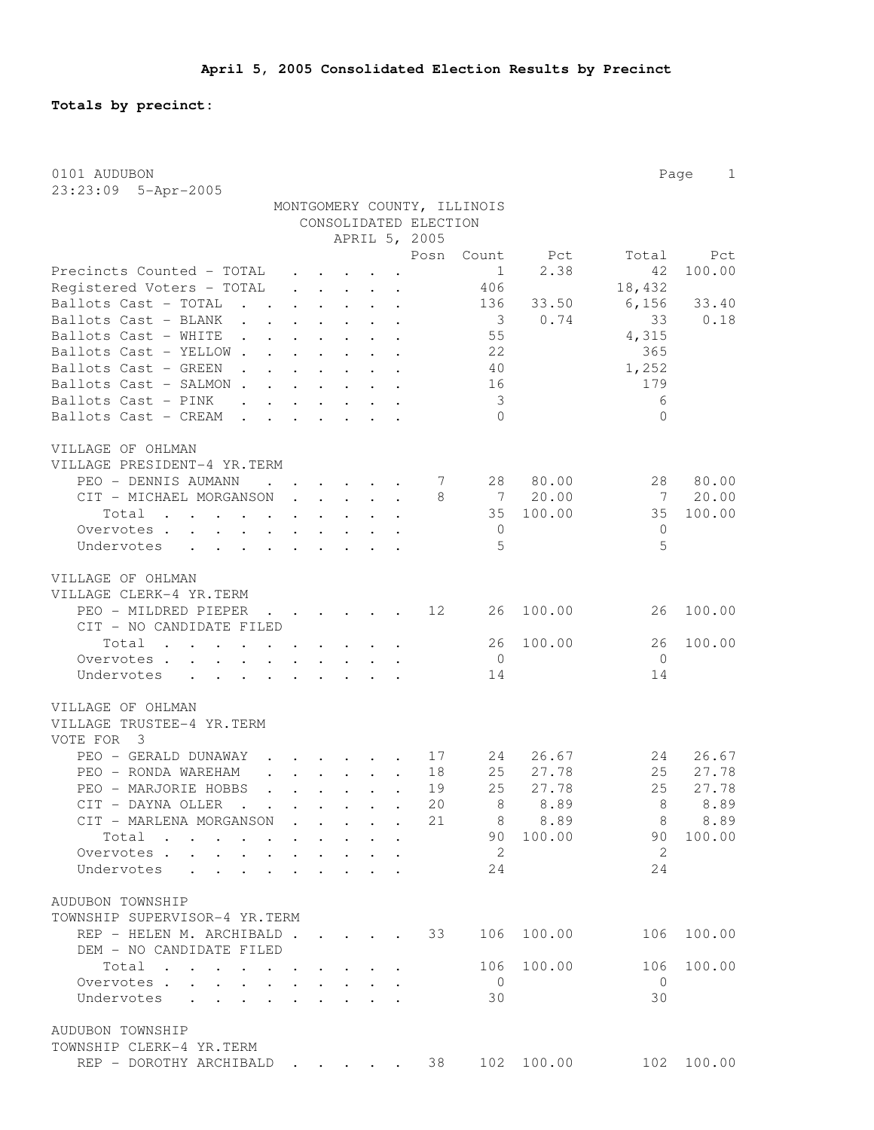**Totals by precinct:**

| 0101 AUDUBON                                                       |                              |                                                                          |                                 |                           |                      |                       |                             |           |                | Page<br>$\mathbf{1}$ |
|--------------------------------------------------------------------|------------------------------|--------------------------------------------------------------------------|---------------------------------|---------------------------|----------------------|-----------------------|-----------------------------|-----------|----------------|----------------------|
| 23:23:09 5-Apr-2005                                                |                              |                                                                          |                                 |                           |                      |                       |                             |           |                |                      |
|                                                                    |                              |                                                                          |                                 |                           |                      |                       | MONTGOMERY COUNTY, ILLINOIS |           |                |                      |
|                                                                    |                              |                                                                          |                                 |                           |                      | CONSOLIDATED ELECTION |                             |           |                |                      |
|                                                                    |                              |                                                                          |                                 |                           |                      | APRIL 5, 2005<br>Posn |                             |           | Total          |                      |
| Precincts Counted - TOTAL                                          |                              |                                                                          |                                 |                           |                      |                       | Count<br>$\mathbf{1}$       | Pct       | 42             | Pct<br>100.00        |
| Registered Voters - TOTAL                                          |                              | $\mathbf{r}$<br>$\mathbf{r}$ and $\mathbf{r}$ and $\mathbf{r}$           |                                 |                           |                      |                       | 406                         | 2.38      | 18,432         |                      |
| Ballots Cast - TOTAL<br><b>Carl Carl Contract Contract</b>         |                              | $\cdot$ $\cdot$ $\cdot$ $\cdot$ $\cdot$                                  |                                 |                           | $\ddot{\phantom{a}}$ |                       | 136                         | 33.50     | 6,156          | 33.40                |
| Ballots Cast - BLANK<br><b>Contract Contract Contract</b>          |                              | $\cdot$ $\cdot$ $\cdot$                                                  | $\ddot{\phantom{0}}$            |                           |                      |                       | - 3                         | 0.74      | 33             | 0.18                 |
| Ballots Cast - WHITE                                               |                              |                                                                          | $\bullet$ .                     |                           |                      |                       | 55                          |           | 4,315          |                      |
| Ballots Cast - YELLOW.                                             |                              |                                                                          |                                 |                           |                      |                       | 22                          |           | 365            |                      |
| Ballots Cast - GREEN                                               |                              |                                                                          |                                 |                           |                      |                       | 40                          |           | 1,252          |                      |
| Ballots Cast - SALMON.                                             | $\mathcal{L}^{\text{max}}$   |                                                                          |                                 |                           | $\cdot$              |                       | 16                          |           | 179            |                      |
| Ballots Cast - PINK<br>$\ddot{\phantom{a}}$                        |                              |                                                                          | $\mathbf{L}$<br>$\mathbf{L}$    |                           | $\cdot$ $\cdot$      |                       | $\mathcal{S}$               |           | 6              |                      |
| Ballots Cast - CREAM<br>$\mathbf{A}$                               | $\mathbf{r}$<br>$\mathbf{A}$ |                                                                          | $\mathbf{L}$                    | $\mathbf{L} = \mathbf{L}$ |                      |                       | $\Omega$                    |           | $\Omega$       |                      |
|                                                                    |                              |                                                                          |                                 |                           |                      |                       |                             |           |                |                      |
| VILLAGE OF OHLMAN<br>VILLAGE PRESIDENT-4 YR.TERM                   |                              |                                                                          |                                 |                           |                      |                       |                             |           |                |                      |
| PEO - DENNIS AUMANN                                                |                              |                                                                          |                                 |                           |                      | 7                     | 28                          | 80.00     | 28             | 80.00                |
| CIT - MICHAEL MORGANSON                                            |                              |                                                                          | $\ddot{\phantom{0}}$            |                           |                      | 8                     | $\overline{7}$              | 20.00     | 7              | 20.00                |
| Total<br>$\mathbf{r}$ , $\mathbf{r}$ , $\mathbf{r}$ , $\mathbf{r}$ |                              |                                                                          |                                 |                           |                      |                       | 35                          | 100.00    | 35             | 100.00               |
| Overvotes .<br>$\ddot{\phantom{0}}$<br>$\sim$                      | $\mathbf{L}$                 |                                                                          |                                 |                           |                      |                       | $\overline{0}$              |           | $\mathbf{0}$   |                      |
| Undervotes                                                         |                              | $\mathbf{L}^{\text{max}}$                                                |                                 |                           |                      |                       | 5                           |           | 5              |                      |
|                                                                    |                              |                                                                          |                                 |                           |                      |                       |                             |           |                |                      |
| VILLAGE OF OHLMAN                                                  |                              |                                                                          |                                 |                           |                      |                       |                             |           |                |                      |
| VILLAGE CLERK-4 YR.TERM                                            |                              |                                                                          |                                 |                           |                      |                       |                             |           |                |                      |
| PEO - MILDRED PIEPER                                               |                              | $\mathbf{r}$ , $\mathbf{r}$ , $\mathbf{r}$ , $\mathbf{r}$ , $\mathbf{r}$ |                                 |                           |                      | 12                    | 26                          | 100.00    | 26             | 100.00               |
| CIT - NO CANDIDATE FILED                                           |                              |                                                                          |                                 |                           |                      |                       |                             |           |                |                      |
| Total                                                              |                              | $\mathbf{r}$ , $\mathbf{r}$ , $\mathbf{r}$                               |                                 |                           |                      |                       | 26                          | 100.00    | 26             | 100.00               |
| Overvotes                                                          |                              |                                                                          |                                 |                           |                      |                       | 0                           |           | $\overline{0}$ |                      |
| Undervotes                                                         |                              |                                                                          |                                 |                           |                      |                       | 14                          |           | 14             |                      |
| VILLAGE OF OHLMAN                                                  |                              |                                                                          |                                 |                           |                      |                       |                             |           |                |                      |
| VILLAGE TRUSTEE-4 YR.TERM                                          |                              |                                                                          |                                 |                           |                      |                       |                             |           |                |                      |
| VOTE FOR<br>3                                                      |                              |                                                                          |                                 |                           |                      |                       |                             |           |                |                      |
| PEO - GERALD DUNAWAY                                               |                              |                                                                          |                                 |                           |                      | 17                    | 24                          | 26.67     | 24             | 26.67                |
| PEO - RONDA WAREHAM                                                |                              |                                                                          |                                 |                           |                      | 18                    | 25                          | 27.78     | 25             | 27.78                |
| PEO - MARJORIE HOBBS                                               |                              |                                                                          |                                 |                           |                      | 19                    | 25                          | 27.78     | 25             | 27.78                |
| CIT - DAYNA OLLER                                                  |                              |                                                                          |                                 |                           |                      | 20                    |                             | 8 8.89    |                | 8 8.89               |
| CIT - MARLENA MORGANSON                                            |                              |                                                                          |                                 |                           |                      | 21                    | 8                           | 8.89      | 8              | 8.89                 |
| Total                                                              |                              |                                                                          |                                 |                           |                      |                       |                             | 90 100.00 | 90             | 100.00               |
| Overvotes                                                          |                              |                                                                          | $\mathbf{L}$                    |                           |                      |                       | - 2                         |           | 2              |                      |
| Undervotes<br>$\sim$ $\sim$ $\sim$ $\sim$ $\sim$                   |                              |                                                                          |                                 |                           |                      |                       | 24                          |           | 24             |                      |
|                                                                    |                              |                                                                          |                                 |                           |                      |                       |                             |           |                |                      |
| AUDUBON TOWNSHIP                                                   |                              |                                                                          |                                 |                           |                      |                       |                             |           |                |                      |
| TOWNSHIP SUPERVISOR-4 YR.TERM                                      |                              |                                                                          |                                 |                           |                      |                       |                             | 100.00    | 106            |                      |
| REP - HELEN M. ARCHIBALD                                           |                              |                                                                          |                                 |                           |                      | 33                    | 106                         |           |                | 100.00               |
| DEM - NO CANDIDATE FILED<br>Total                                  |                              |                                                                          |                                 |                           |                      |                       | 106                         | 100.00    | 106            | 100.00               |
| Overvotes<br>$\sim$                                                |                              |                                                                          | $\cdot$ $\cdot$ $\cdot$ $\cdot$ |                           |                      |                       | $\overline{0}$              |           | $\bigcirc$     |                      |
| Undervotes .<br>$\mathbf{L}$<br>$\mathbf{L}$ $\mathbf{L}$          | $\ddot{\phantom{a}}$         |                                                                          |                                 | $\mathbf{L} = \mathbf{L}$ |                      |                       | 30                          |           | 30             |                      |
|                                                                    |                              |                                                                          |                                 |                           |                      |                       |                             |           |                |                      |
| AUDUBON TOWNSHIP                                                   |                              |                                                                          |                                 |                           |                      |                       |                             |           |                |                      |
| TOWNSHIP CLERK-4 YR.TERM                                           |                              |                                                                          |                                 |                           |                      |                       |                             |           |                |                      |
| REP - DOROTHY ARCHIBALD                                            |                              | the contract of the contract of                                          |                                 |                           |                      | 38                    | 102                         | 100.00    | 102            | 100.00               |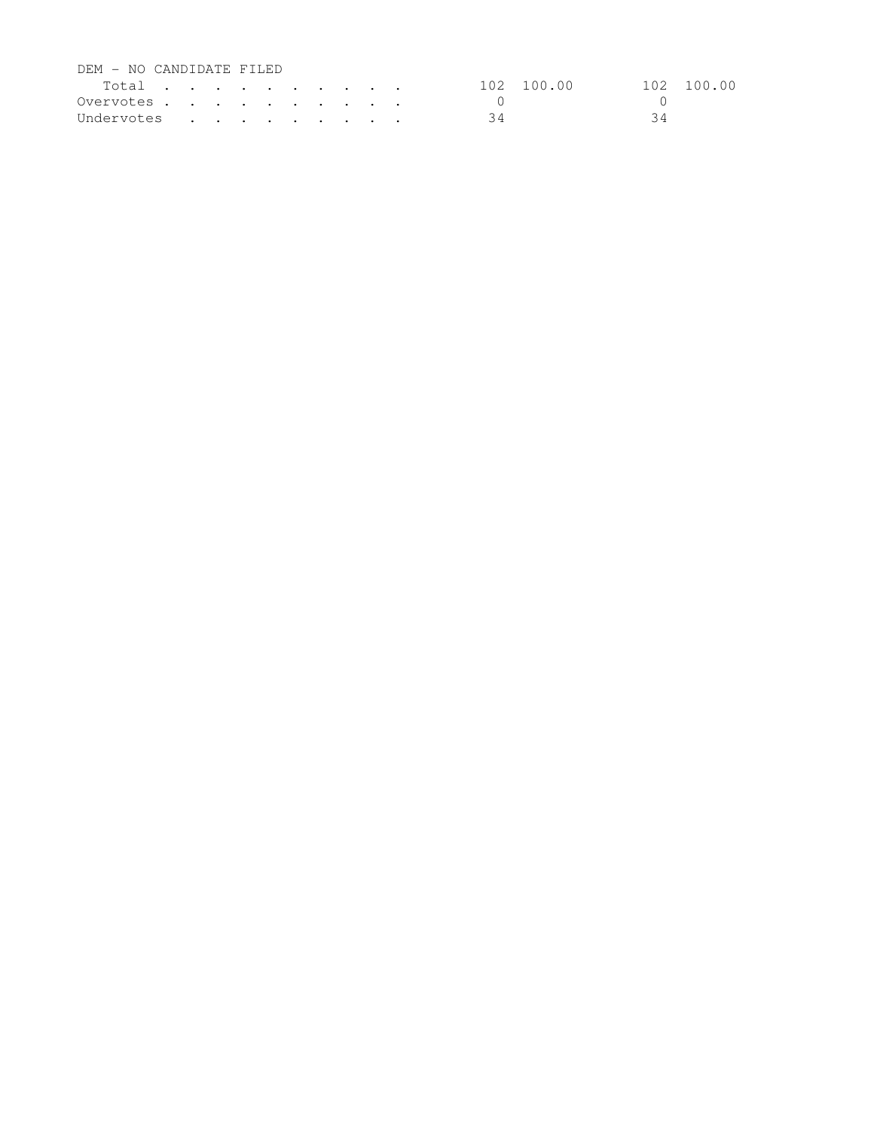| DEM - NO CANDIDATE FILED |  |  |  |  |            |            |
|--------------------------|--|--|--|--|------------|------------|
| Total                    |  |  |  |  | 102 100.00 | 102 100.00 |
| Overvotes. $\cdot$       |  |  |  |  |            |            |
| Undervotes               |  |  |  |  |            | 3 4        |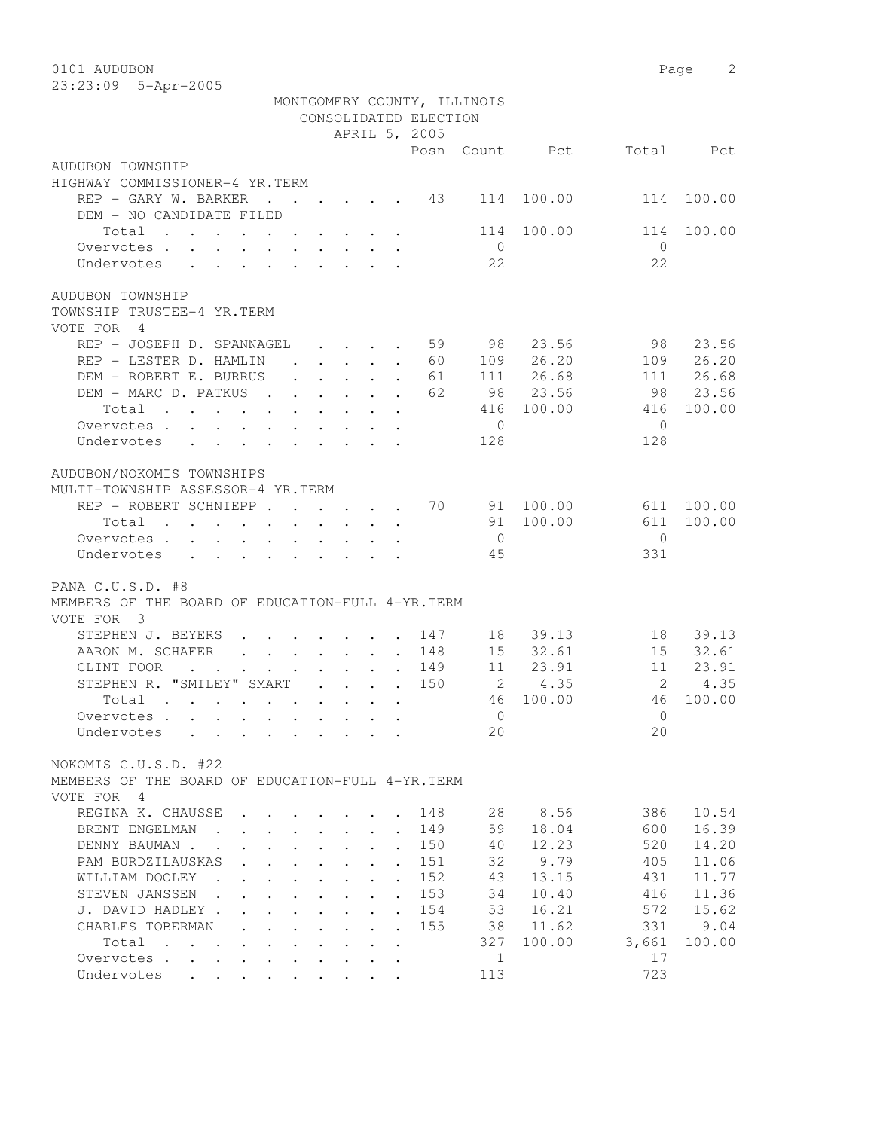0101 AUDUBON Page 2 23:23:09 5-Apr-2005

|                                                                                                                          |  |                                                                       |                      |                      | CONSOLIDATED ELECTION | MONTGOMERY COUNTY, ILLINOIS |                |                   |                |
|--------------------------------------------------------------------------------------------------------------------------|--|-----------------------------------------------------------------------|----------------------|----------------------|-----------------------|-----------------------------|----------------|-------------------|----------------|
|                                                                                                                          |  |                                                                       |                      |                      | APRIL 5, 2005         |                             | Posn Count Pct |                   | Total Pct      |
| AUDUBON TOWNSHIP                                                                                                         |  |                                                                       |                      |                      |                       |                             |                |                   |                |
| HIGHWAY COMMISSIONER-4 YR.TERM<br>REP - GARY W. BARKER 43                                                                |  |                                                                       |                      |                      |                       | 114                         | 100.00         | 114               | 100.00         |
| DEM - NO CANDIDATE FILED                                                                                                 |  |                                                                       |                      |                      |                       |                             |                |                   |                |
| Total<br>. The simple state is a strong state of the state $\mathcal{A}$ is a strong state of $\mathcal{A}$              |  |                                                                       |                      |                      |                       | 114                         | 100.00         | 114               | 100.00         |
| Overvotes                                                                                                                |  |                                                                       |                      |                      |                       | $\overline{0}$<br>22        |                | $\bigcirc$<br>22  |                |
| Undervotes                                                                                                               |  |                                                                       |                      |                      |                       |                             |                |                   |                |
| AUDUBON TOWNSHIP<br>TOWNSHIP TRUSTEE-4 YR.TERM<br>VOTE FOR 4                                                             |  |                                                                       |                      |                      |                       |                             |                |                   |                |
| REP - JOSEPH D. SPANNAGEL                                                                                                |  |                                                                       |                      |                      | 59                    | 98                          | 23.56          | 98                | 23.56          |
| REP - LESTER D. HAMLIN                                                                                                   |  |                                                                       |                      |                      | 60                    |                             | 109 26.20      | 109               | 26.20          |
| DEM - ROBERT E. BURRUS                                                                                                   |  | $\cdot$ $\cdot$ $\cdot$ $\cdot$ $\cdot$ $\cdot$ $\cdot$               |                      |                      | 61                    |                             | 111 26.68      | 111               | 26.68          |
| DEM - MARC D. PATKUS<br>$\mathbf{r}$ , $\mathbf{r}$ , $\mathbf{r}$ , $\mathbf{r}$ , $\mathbf{r}$                         |  |                                                                       |                      |                      | 62                    |                             | 98 23.56       | 98                | 23.56          |
| Total                                                                                                                    |  |                                                                       |                      |                      |                       | 416                         | 100.00         | 416               | 100.00         |
| Overvotes<br>Undervotes                                                                                                  |  |                                                                       |                      |                      |                       | $\overline{0}$              |                | $\bigcirc$        |                |
| $\mathbf{r}$ , and $\mathbf{r}$ , and $\mathbf{r}$ , and $\mathbf{r}$<br>$\ddot{\phantom{0}}$                            |  |                                                                       |                      |                      |                       | 128                         |                | 128               |                |
| AUDUBON/NOKOMIS TOWNSHIPS<br>MULTI-TOWNSHIP ASSESSOR-4 YR.TERM                                                           |  |                                                                       |                      |                      |                       |                             |                |                   |                |
| REP - ROBERT SCHNIEPP 70                                                                                                 |  |                                                                       |                      |                      |                       |                             | 91 100.00      | 611               | 100.00         |
| Total<br>the contract of the contract of the contract of the contract of the contract of the contract of the contract of |  |                                                                       |                      |                      |                       | $\overline{0}$              | 91 100.00      | 611<br>$\bigcirc$ | 100.00         |
| Overvotes<br>Undervotes                                                                                                  |  |                                                                       |                      |                      |                       | 45                          |                | 331               |                |
|                                                                                                                          |  |                                                                       |                      |                      |                       |                             |                |                   |                |
| PANA C.U.S.D. #8<br>MEMBERS OF THE BOARD OF EDUCATION-FULL 4-YR. TERM<br>VOTE FOR 3                                      |  |                                                                       |                      |                      |                       |                             |                |                   |                |
| STEPHEN J. BEYERS<br>.                                                                                                   |  |                                                                       |                      |                      | 147                   |                             | 18 39.13       |                   | 18 39.13       |
| AARON M. SCHAFER                                                                                                         |  |                                                                       |                      |                      | 148                   |                             | 15 32.61       |                   | 15 32.61       |
| CLINT FOOR<br>$\sim$<br>$\bullet$                                                                                        |  | $\mathbf{r}$ , and $\mathbf{r}$ , and $\mathbf{r}$ , and $\mathbf{r}$ |                      |                      | 149                   |                             | 11 23.91       | 11                | 23.91          |
| STEPHEN R. "SMILEY" SMART                                                                                                |  |                                                                       |                      |                      | 150                   | 2                           | 4.35           | $\overline{2}$    | 4.35           |
| Total                                                                                                                    |  |                                                                       |                      |                      |                       | 46                          | 100.00         | 46                | 100.00         |
| Overvotes.                                                                                                               |  |                                                                       |                      |                      |                       | $\mathbf{0}$                |                | $\Omega$          |                |
| Undervotes                                                                                                               |  |                                                                       |                      |                      |                       | 20 <sub>o</sub>             |                | 20                |                |
| NOKOMIS C.U.S.D. #22<br>MEMBERS OF THE BOARD OF EDUCATION-FULL 4-YR. TERM                                                |  |                                                                       |                      |                      |                       |                             |                |                   |                |
| VOTE FOR 4                                                                                                               |  |                                                                       |                      |                      |                       |                             |                |                   |                |
| REGINA K. CHAUSSE<br>BRENT ENGELMAN                                                                                      |  |                                                                       |                      |                      | 148<br>149            | 28<br>59                    | 8.56<br>18.04  | 386<br>600        | 10.54<br>16.39 |
| DENNY BAUMAN.                                                                                                            |  |                                                                       |                      |                      | 150                   | 40                          | 12.23          | 520               | 14.20          |
| PAM BURDZILAUSKAS                                                                                                        |  |                                                                       |                      |                      | 151                   | 32                          | 9.79           | 405               | 11.06          |
| WILLIAM DOOLEY                                                                                                           |  |                                                                       |                      |                      | 152                   | 43                          | 13.15          | 431               | 11.77          |
| STEVEN JANSSEN                                                                                                           |  |                                                                       |                      | $\ddot{\phantom{a}}$ | 153                   | 34                          | 10.40          | 416               | 11.36          |
| J. DAVID HADLEY.                                                                                                         |  |                                                                       | $\ddot{\phantom{a}}$ | $\cdot$              | 154                   | 53                          | 16.21          | 572               | 15.62          |
| CHARLES TOBERMAN                                                                                                         |  |                                                                       |                      | $\ddot{\phantom{a}}$ | 155                   | 38                          | 11.62          | 331               | 9.04           |
| Total<br>$\sim$                                                                                                          |  |                                                                       |                      | $\bullet$            |                       | 327                         | 100.00         | 3,661             | 100.00         |
| Overvotes .                                                                                                              |  |                                                                       |                      |                      |                       | 1                           |                | 17                |                |
| Undervotes                                                                                                               |  |                                                                       |                      |                      |                       | 113                         |                | 723               |                |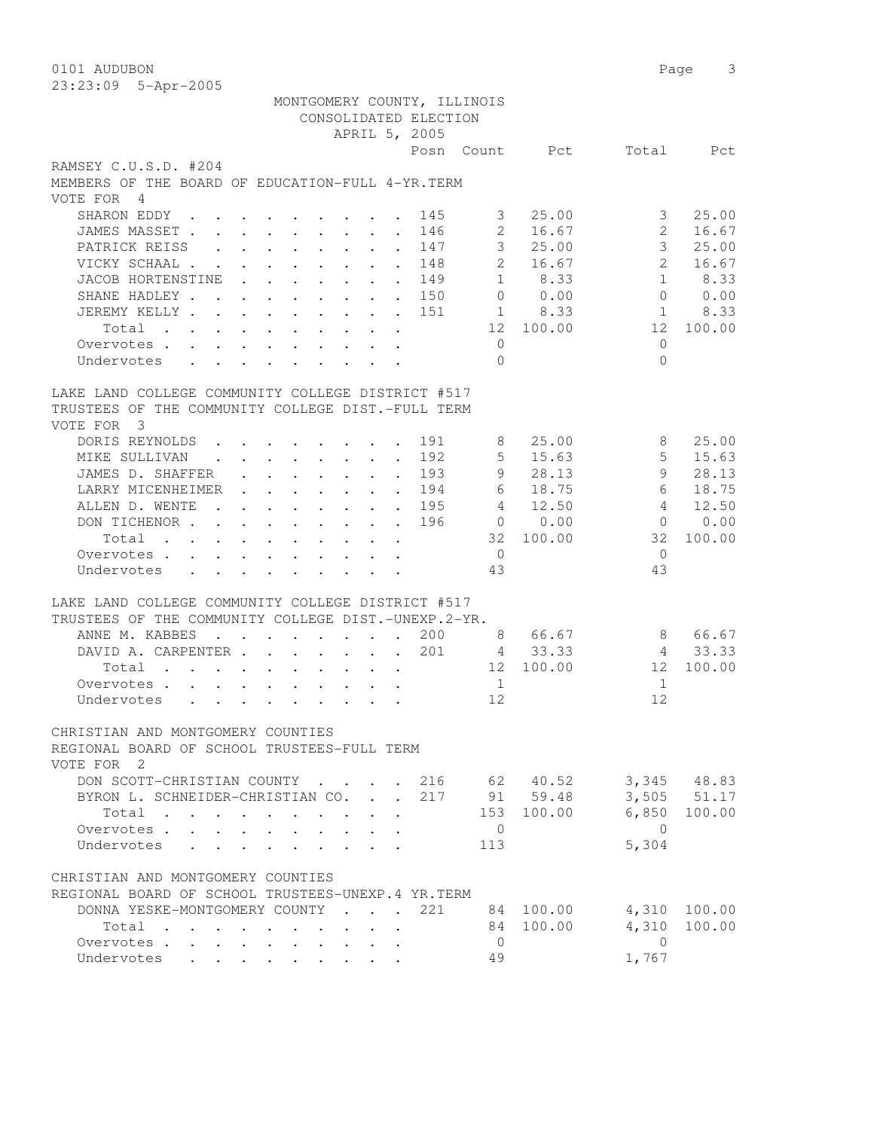0101 AUDUBON Page 3 23:23:09 5-Apr-2005 MONTGOMERY COUNTY, ILLINOIS CONSOLIDATED ELECTION APRIL 5, 2005 Posn Count Pct Total Pct RAMSEY C.U.S.D. #204 MEMBERS OF THE BOARD OF EDUCATION-FULL 4-YR.TERM VOTE FOR 4 SHARON EDDY . . . . . . . . . 145 3 25.00 3 25.00 JAMES MASSET . . . . . . . . . 146 2 16.67 2 16.67 PATRICK REISS . . . . . . . 147 3 25.00 3 25.00 VICKY SCHAAL . . . . . . . . . 148 2 16.67 2 16.67 JACOB HORTENSTINE . . . . . . 149 1 8.33 1 8.33 SHANE HADLEY . . . . . . . . 150 0 0.00 0 0.00 JEREMY KELLY . . . . . . . . . 151 1 8.33 1 8.33 Total . . . . . . . . . . 12 100.00 12 100.00 Overvotes . . . . . . . . . . 0 0 Undervotes . . . . . . . . . 0 0 LAKE LAND COLLEGE COMMUNITY COLLEGE DISTRICT #517 TRUSTEES OF THE COMMUNITY COLLEGE DIST.-FULL TERM VOTE FOR 3 DORIS REYNOLDS . . . . . . . . 191 8 25.00 8 25.00 MIKE SULLIVAN . . . . . . . . 192 5 15.63 5 15.63 JAMES D. SHAFFER . . . . . . . 193 9 28.13 9 28.13 LARRY MICENHEIMER . . . . . . . 194 6 18.75 6 18.75 ALLEN D. WENTE . . . . . . . 195 4 12.50 4 12.50 DON TICHENOR . . . . . . . . . 196 0 0.00 0 0.00 Total . . . . . . . . . . 32 100.00 32 100.00 Overvotes . . . . . . . . . . 0 0 Undervotes . . . . . . . . . 43 43 LAKE LAND COLLEGE COMMUNITY COLLEGE DISTRICT #517 TRUSTEES OF THE COMMUNITY COLLEGE DIST.-UNEXP.2-YR. ANNE M. KABBES . . . . . . 200 8 66.67 8 66.67 DAVID A. CARPENTER . . . . . 201 4 33.33 4 33.33 Total . . . . . . . . . . 12 100.00 12 100.00 Overvotes . . . . . . . . . . . . 1 1 1 1 1 Undervotes . . . . . . . . . 12 12 CHRISTIAN AND MONTGOMERY COUNTIES REGIONAL BOARD OF SCHOOL TRUSTEES-FULL TERM VOTE FOR 2 DON SCOTT-CHRISTIAN COUNTY . . . . 216 62 40.52 3,345 48.83 BYRON L. SCHNEIDER-CHRISTIAN CO. . . 217 91 59.48 3,505 51.17 Total . . . . . . . . . . 153 100.00 6,850 100.00 Overvotes . . . . . . . . . . 0 0 Undervotes . . . . . . . . . 113 5,304 CHRISTIAN AND MONTGOMERY COUNTIES REGIONAL BOARD OF SCHOOL TRUSTEES-UNEXP.4 YR.TERM DONNA YESKE-MONTGOMERY COUNTY . . . 221 84 100.00 4,310 100.00 Total . . . . . . . . . . 84 100.00 4,310 100.00 Overvotes . . . . . . . . . . 0 0 Undervotes . . . . . . . . . 49 1,767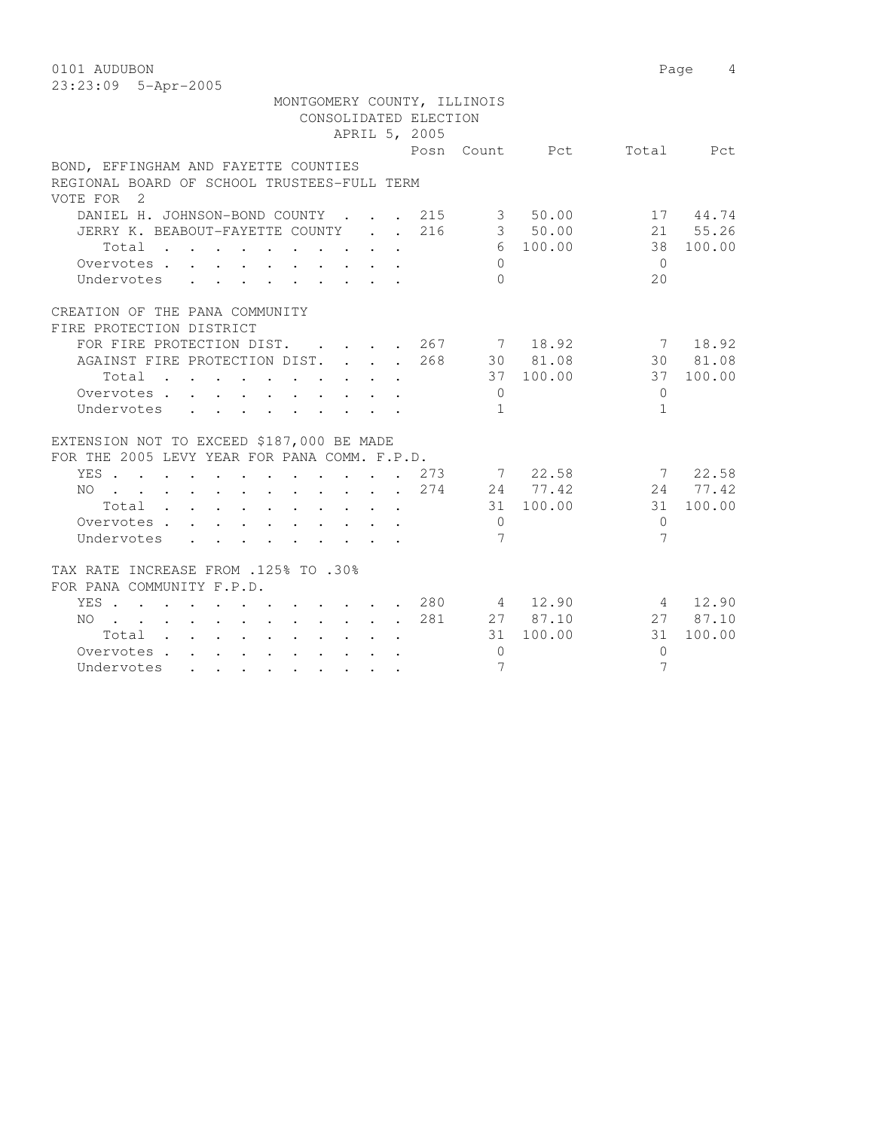0101 AUDUBON Page 4 23:23:09 5-Apr-2005

| MONTGOMERY COUNTY, ILLINOIS<br>CONSOLIDATED ELECTION                                                       | APRIL 5, 2005 |                 |          |                          |           |
|------------------------------------------------------------------------------------------------------------|---------------|-----------------|----------|--------------------------|-----------|
|                                                                                                            |               |                 |          | Posn Count Pct Total Pct |           |
| BOND, EFFINGHAM AND FAYETTE COUNTIES                                                                       |               |                 |          |                          |           |
| REGIONAL BOARD OF SCHOOL TRUSTEES-FULL TERM                                                                |               |                 |          |                          |           |
| VOTE FOR 2                                                                                                 |               |                 |          |                          |           |
| DANIEL H. JOHNSON-BOND COUNTY 215 3 50.00 17 44.74<br>JERRY K. BEABOUT-FAYETTE COUNTY 216 3 50.00 21 55.26 |               |                 |          |                          |           |
|                                                                                                            |               |                 |          |                          |           |
| Total                                                                                                      |               |                 | 6 100.00 |                          | 38 100.00 |
| Overvotes                                                                                                  |               | $\Omega$        |          | $\bigcirc$               |           |
| Undervotes                                                                                                 |               | $\Omega$        |          | 20                       |           |
| CREATION OF THE PANA COMMUNITY                                                                             |               |                 |          |                          |           |
| FIRE PROTECTION DISTRICT                                                                                   |               |                 |          |                          |           |
| FOR FIRE PROTECTION DIST. 267 7 18.92 7 18.92                                                              |               |                 |          |                          |           |
| AGAINST FIRE PROTECTION DIST. 268 30 81.08 30 81.08                                                        |               |                 |          |                          |           |
| Total 37 100.00 37 100.00                                                                                  |               |                 |          |                          |           |
| Overvotes 0                                                                                                |               |                 |          | $\bigcirc$               |           |
| Undervotes                                                                                                 |               | $\sqrt{1}$      |          | $\mathbf{1}$             |           |
|                                                                                                            |               |                 |          |                          |           |
| EXTENSION NOT TO EXCEED \$187,000 BE MADE                                                                  |               |                 |          |                          |           |
| FOR THE 2005 LEVY YEAR FOR PANA COMM. F.P.D.                                                               |               |                 |          |                          |           |
| YES 273 7 22.58 7 22.58                                                                                    |               |                 |          |                          |           |
| NO 274 24 77.42 24 77.42                                                                                   |               |                 |          |                          |           |
| Total $\cdot$                                                                                              |               |                 |          | 31 100.00 31 100.00      |           |
| Overvotes                                                                                                  |               | $\bigcirc$      |          | $\Omega$                 |           |
| Undervotes                                                                                                 |               | 7               |          | $\overline{7}$           |           |
|                                                                                                            |               |                 |          |                          |           |
| TAX RATE INCREASE FROM .125% TO .30%                                                                       |               |                 |          |                          |           |
| FOR PANA COMMUNITY F.P.D.                                                                                  |               |                 |          |                          |           |
| YES 280 4 12.90 4 12.90                                                                                    |               |                 |          |                          |           |
| NO 281 27 87.10 27 87.10                                                                                   |               |                 |          |                          |           |
| Total 31 100.00 31 100.00                                                                                  |               |                 |          |                          |           |
| Overvotes.                                                                                                 |               | $\bigcirc$      |          | $\Omega$                 |           |
| Undervotes                                                                                                 |               | $7\phantom{.0}$ |          | $\overline{7}$           |           |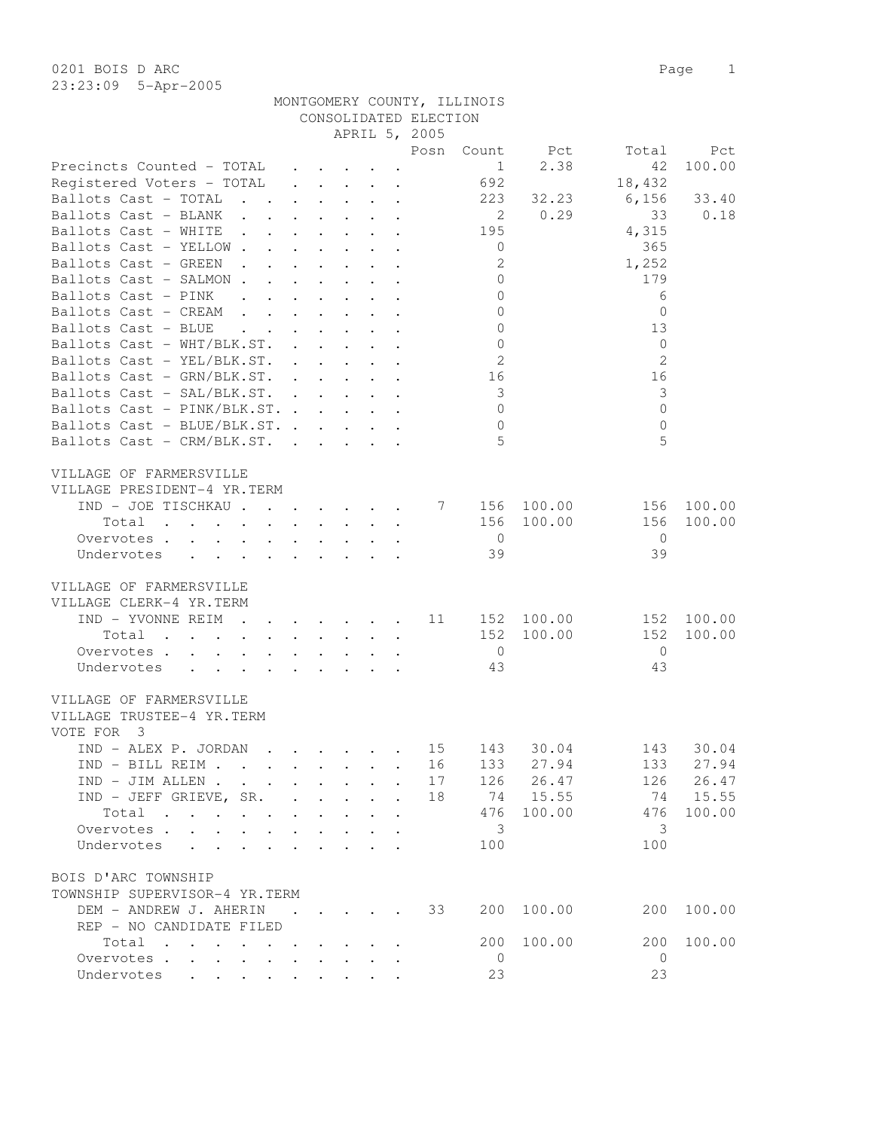|                                                                                                                                                                                                                                                                                                                                                                                                                |                                                           |                                                             |                                                              | APRIL 5, 2005 |                            |              |                |           |
|----------------------------------------------------------------------------------------------------------------------------------------------------------------------------------------------------------------------------------------------------------------------------------------------------------------------------------------------------------------------------------------------------------------|-----------------------------------------------------------|-------------------------------------------------------------|--------------------------------------------------------------|---------------|----------------------------|--------------|----------------|-----------|
|                                                                                                                                                                                                                                                                                                                                                                                                                |                                                           |                                                             |                                                              |               | Posn Count                 | Pct          | Total          | Pct       |
| Precincts Counted - TOTAL                                                                                                                                                                                                                                                                                                                                                                                      |                                                           |                                                             |                                                              |               | 1                          | 2.38         | 42             | 100.00    |
| Registered Voters - TOTAL                                                                                                                                                                                                                                                                                                                                                                                      | $\mathbf{r}$ , $\mathbf{r}$ , $\mathbf{r}$ , $\mathbf{r}$ |                                                             |                                                              |               | 692                        |              | 18,432         |           |
| Ballots Cast - TOTAL                                                                                                                                                                                                                                                                                                                                                                                           |                                                           |                                                             |                                                              |               | 223                        | 32.23        | 6,156          | 33.40     |
| Ballots Cast - BLANK                                                                                                                                                                                                                                                                                                                                                                                           |                                                           |                                                             |                                                              |               | $\overline{\phantom{0}}^2$ | 0.29         | 33             | 0.18      |
| Ballots Cast - WHITE                                                                                                                                                                                                                                                                                                                                                                                           |                                                           |                                                             |                                                              |               | 195                        |              | 4,315          |           |
| Ballots Cast - YELLOW.<br>$\mathbf{L}$<br>$\ddot{\phantom{a}}$                                                                                                                                                                                                                                                                                                                                                 |                                                           |                                                             | $\ddot{\phantom{a}}$ . $\ddot{\phantom{a}}$                  |               | $\overline{0}$             |              | 365            |           |
| Ballots Cast - GREEN<br>$\ddot{\phantom{0}}$<br>$\sim$ $\sim$                                                                                                                                                                                                                                                                                                                                                  | $\ddot{\phantom{0}}$                                      |                                                             |                                                              |               | 2                          |              | 1,252          |           |
| Ballots Cast - SALMON.<br>$\mathbf{A}$                                                                                                                                                                                                                                                                                                                                                                         |                                                           |                                                             |                                                              |               | $\mathbb O$                |              | 179            |           |
| Ballots Cast - PINK                                                                                                                                                                                                                                                                                                                                                                                            | $\mathbf{r}$ and $\mathbf{r}$                             |                                                             | $\mathbf{L} = \mathbf{L}$                                    |               | $\overline{0}$             |              | 6              |           |
| Ballots Cast - CREAM<br>$\mathbf{r}$ and $\mathbf{r}$ and $\mathbf{r}$ and $\mathbf{r}$ and $\mathbf{r}$                                                                                                                                                                                                                                                                                                       |                                                           |                                                             |                                                              |               | $\mathbf{0}$               |              | $\mathbf{0}$   |           |
| Ballots Cast - BLUE                                                                                                                                                                                                                                                                                                                                                                                            |                                                           |                                                             |                                                              |               | $\mathbf{0}$               |              | 13             |           |
| Ballots Cast - WHT/BLK.ST.                                                                                                                                                                                                                                                                                                                                                                                     |                                                           |                                                             |                                                              |               | $\overline{0}$             |              | $\mathbf{0}$   |           |
| Ballots Cast - YEL/BLK.ST.                                                                                                                                                                                                                                                                                                                                                                                     |                                                           |                                                             |                                                              |               | $\overline{2}$             |              | $\overline{2}$ |           |
|                                                                                                                                                                                                                                                                                                                                                                                                                |                                                           |                                                             |                                                              |               |                            |              | 16             |           |
| Ballots Cast - GRN/BLK.ST.                                                                                                                                                                                                                                                                                                                                                                                     |                                                           |                                                             |                                                              |               | 16                         |              |                |           |
| Ballots Cast - SAL/BLK.ST.                                                                                                                                                                                                                                                                                                                                                                                     |                                                           |                                                             |                                                              |               | $\overline{3}$             |              | 3              |           |
| Ballots Cast - PINK/BLK.ST.                                                                                                                                                                                                                                                                                                                                                                                    |                                                           |                                                             |                                                              |               | $\overline{0}$             |              | $\mathbf{0}$   |           |
| Ballots Cast - BLUE/BLK.ST.                                                                                                                                                                                                                                                                                                                                                                                    |                                                           |                                                             |                                                              |               | $\circledcirc$             |              | $\mathbf{0}$   |           |
| Ballots Cast - CRM/BLK.ST.                                                                                                                                                                                                                                                                                                                                                                                     |                                                           |                                                             |                                                              |               | $\overline{5}$             |              | 5              |           |
| VILLAGE OF FARMERSVILLE                                                                                                                                                                                                                                                                                                                                                                                        |                                                           |                                                             |                                                              |               |                            |              |                |           |
| VILLAGE PRESIDENT-4 YR.TERM                                                                                                                                                                                                                                                                                                                                                                                    |                                                           |                                                             |                                                              |               |                            |              |                |           |
| IND - JOE TISCHKAU 7 156 100.00                                                                                                                                                                                                                                                                                                                                                                                |                                                           |                                                             |                                                              |               |                            |              | 156            | 100.00    |
| Total<br>the contract of the contract of the contract of the contract of the contract of the contract of the contract of                                                                                                                                                                                                                                                                                       |                                                           |                                                             |                                                              |               |                            | 156 100.00   | 156            | 100.00    |
| Overvotes                                                                                                                                                                                                                                                                                                                                                                                                      |                                                           |                                                             | $\mathbf{L} = \mathbf{L} \mathbf{L} + \mathbf{L} \mathbf{L}$ |               | $\overline{0}$             |              | $\overline{0}$ |           |
| Undervotes<br>$\ddot{\phantom{a}}$<br>$\ddot{\phantom{a}}$                                                                                                                                                                                                                                                                                                                                                     |                                                           |                                                             |                                                              |               | 39                         |              | 39             |           |
|                                                                                                                                                                                                                                                                                                                                                                                                                |                                                           |                                                             |                                                              |               |                            |              |                |           |
| VILLAGE OF FARMERSVILLE                                                                                                                                                                                                                                                                                                                                                                                        |                                                           |                                                             |                                                              |               |                            |              |                |           |
| VILLAGE CLERK-4 YR.TERM                                                                                                                                                                                                                                                                                                                                                                                        |                                                           |                                                             |                                                              |               |                            |              |                |           |
| IND - YVONNE REIM 11 152 100.00                                                                                                                                                                                                                                                                                                                                                                                |                                                           |                                                             |                                                              |               |                            |              | 152            | 100.00    |
| Total<br>$\mathbf{r}$ , and $\mathbf{r}$ , and $\mathbf{r}$ , and $\mathbf{r}$ , and $\mathbf{r}$ , and $\mathbf{r}$                                                                                                                                                                                                                                                                                           |                                                           |                                                             |                                                              |               | 152                        | 100.00       | 152            | 100.00    |
| Overvotes                                                                                                                                                                                                                                                                                                                                                                                                      |                                                           |                                                             |                                                              |               | $\overline{0}$             |              | $\overline{0}$ |           |
| Undervotes                                                                                                                                                                                                                                                                                                                                                                                                     |                                                           |                                                             |                                                              |               | 43                         |              | 43             |           |
| $\mathbf{r} = \mathbf{r} + \mathbf{r} + \mathbf{r} + \mathbf{r} + \mathbf{r} + \mathbf{r} + \mathbf{r} + \mathbf{r} + \mathbf{r}$                                                                                                                                                                                                                                                                              |                                                           |                                                             |                                                              |               |                            |              |                |           |
| VILLAGE OF FARMERSVILLE                                                                                                                                                                                                                                                                                                                                                                                        |                                                           |                                                             |                                                              |               |                            |              |                |           |
| VILLAGE TRUSTEE-4 YR.TERM                                                                                                                                                                                                                                                                                                                                                                                      |                                                           |                                                             |                                                              |               |                            |              |                |           |
| VOTE FOR 3                                                                                                                                                                                                                                                                                                                                                                                                     |                                                           |                                                             |                                                              |               |                            |              |                |           |
| IND - ALEX P. JORDAN                                                                                                                                                                                                                                                                                                                                                                                           | $\cdot$ $\cdot$ $\cdot$ $\cdot$                           |                                                             |                                                              | 15            | 143                        | 30.04        | 143            | 30.04     |
| $TND - BTIJ, RETM$ , , , , , , , , ,                                                                                                                                                                                                                                                                                                                                                                           |                                                           |                                                             |                                                              |               |                            | 16 133 27.94 |                | 133 27.94 |
| $\begin{minipage}[c]{0.9\linewidth} \texttt{IND} \hspace{0.2cm} \texttt{-JIM} \hspace{0.2cm} \texttt{ALLEN} \hspace{0.2cm} \texttt{.} \hspace{0.2cm} \texttt{.} \hspace{0.2cm} \texttt{.} \hspace{0.2cm} \texttt{.} \hspace{0.2cm} \texttt{.} \hspace{0.2cm} \texttt{.} \hspace{0.2cm} \texttt{.} \hspace{0.2cm} \texttt{.} \hspace{0.2cm} \texttt{.} \hspace{0.2cm} \texttt{.} \hspace{0.2cm} \texttt{.} \hs$ |                                                           |                                                             |                                                              | 17            |                            | 126 26.47    | 126            | 26.47     |
| IND - JEFF GRIEVE, SR.                                                                                                                                                                                                                                                                                                                                                                                         |                                                           |                                                             |                                                              | 18            |                            | 74 15.55     | 74             | 15.55     |
| Total                                                                                                                                                                                                                                                                                                                                                                                                          |                                                           | $\bullet$ .<br><br><br><br><br><br><br><br><br><br><br><br> |                                                              |               | 476                        | 100.00       | 476            | 100.00    |
| Overvotes                                                                                                                                                                                                                                                                                                                                                                                                      |                                                           |                                                             |                                                              |               | - 3                        |              | 3              |           |
| Undervotes                                                                                                                                                                                                                                                                                                                                                                                                     |                                                           |                                                             |                                                              |               | 100                        |              | 100            |           |
|                                                                                                                                                                                                                                                                                                                                                                                                                |                                                           |                                                             |                                                              |               |                            |              |                |           |
| BOIS D'ARC TOWNSHIP                                                                                                                                                                                                                                                                                                                                                                                            |                                                           |                                                             |                                                              |               |                            |              |                |           |
| TOWNSHIP SUPERVISOR-4 YR.TERM                                                                                                                                                                                                                                                                                                                                                                                  |                                                           |                                                             |                                                              |               |                            |              |                |           |
| DEM - ANDREW J. AHERIN                                                                                                                                                                                                                                                                                                                                                                                         |                                                           |                                                             |                                                              | 33            | 200                        | 100.00       | 200            | 100.00    |
| REP - NO CANDIDATE FILED                                                                                                                                                                                                                                                                                                                                                                                       |                                                           |                                                             |                                                              |               |                            |              |                |           |
| Total                                                                                                                                                                                                                                                                                                                                                                                                          |                                                           |                                                             |                                                              |               | 200                        | 100.00       | 200            | 100.00    |
| Overvotes                                                                                                                                                                                                                                                                                                                                                                                                      |                                                           |                                                             |                                                              |               | $\overline{0}$             |              | $\overline{0}$ |           |
| Undervotes                                                                                                                                                                                                                                                                                                                                                                                                     |                                                           |                                                             |                                                              |               | 23                         |              | 23             |           |

 MONTGOMERY COUNTY, ILLINOIS CONSOLIDATED ELECTION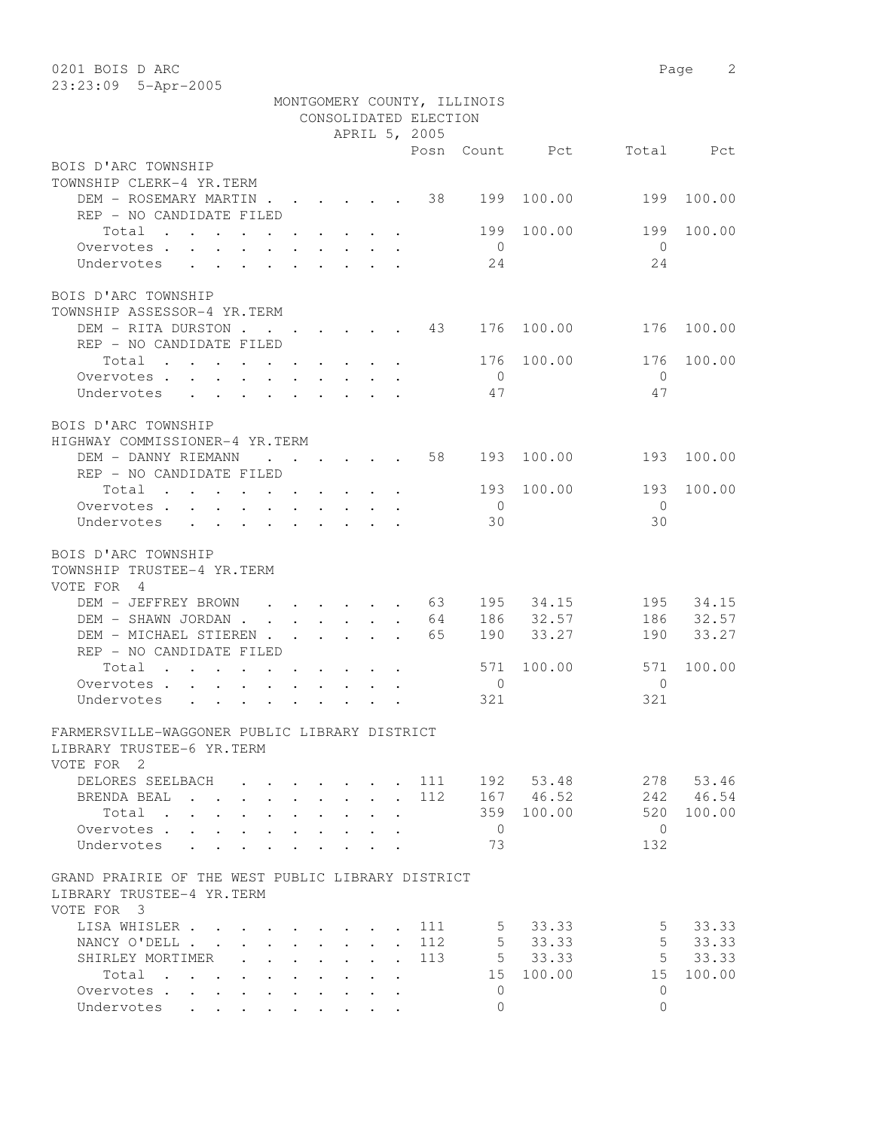| MONTGOMERY COUNTY, ILLINOIS<br>CONSOLIDATED ELECTION<br>APRIL 5, 2005<br>Posn<br>Count<br>Pct<br>Total<br>Pct<br>BOIS D'ARC TOWNSHIP<br>TOWNSHIP CLERK-4 YR.TERM<br>DEM - ROSEMARY MARTIN<br>38<br>199<br>100.00<br>199<br>100.00<br>REP - NO CANDIDATE FILED<br>Total<br>199<br>100.00<br>199<br>100.00<br>$\overline{0}$<br>$\bigcirc$<br>Overvotes.<br>24<br>24<br>Undervotes<br>BOIS D'ARC TOWNSHIP<br>TOWNSHIP ASSESSOR-4 YR.TERM<br>DEM - RITA DURSTON<br>100.00<br>100.00<br>43<br>176<br>176<br>REP - NO CANDIDATE FILED<br>100.00<br>176<br>100.00<br>Total<br>176<br>Overvotes.<br>$\overline{0}$<br>$\mathbf{0}$<br>47<br>47<br>Undervotes<br>BOIS D'ARC TOWNSHIP<br>HIGHWAY COMMISSIONER-4 YR.TERM<br>DEM - DANNY RIEMANN<br>58<br>193<br>100.00<br>193<br>100.00<br>REP - NO CANDIDATE FILED<br>193<br>100.00<br>193<br>100.00<br>Total<br>Overvotes<br>$\overline{0}$<br>$\overline{0}$<br>30<br>30<br>Undervotes<br>BOIS D'ARC TOWNSHIP<br>TOWNSHIP TRUSTEE-4 YR.TERM<br>VOTE FOR 4<br>DEM - JEFFREY BROWN<br>34.15<br>34.15<br>- 63<br>195<br>195<br>$\cdots$<br>32.57<br>32.57<br>186<br>186<br>DEM - SHAWN JORDAN<br>64<br>33.27<br>33.27<br>DEM - MICHAEL STIEREN<br>65<br>190<br>190<br>REP - NO CANDIDATE FILED<br>100.00<br>571<br>100.00<br>Total<br>571<br>$\mathbf{r}$ , and $\mathbf{r}$ , and $\mathbf{r}$ , and $\mathbf{r}$ , and $\mathbf{r}$<br>$\mathbf{0}$<br>$\Omega$<br>Overvotes.<br>321<br>321<br>Undervotes<br>FARMERSVILLE-WAGGONER PUBLIC LIBRARY DISTRICT<br>LIBRARY TRUSTEE-6 YR.TERM<br>VOTE FOR 2<br>DELORES SEELBACH<br>192<br>53.48<br>278<br>53.46<br>111<br>46.54<br>112<br>167 46.52<br>242<br>BRENDA BEAL<br>$\mathbf{L}$ and $\mathbf{L}$<br>$\ddot{\phantom{0}}$<br>$\sim$<br>$\sim$<br>$\sim$<br>$\mathbf{r}$<br>359<br>100.00<br>520<br>100.00<br>Total .<br>$\ddot{\phantom{a}}$<br>$\ddot{\phantom{a}}$<br>$\ddot{\phantom{a}}$<br>$\mathbf{0}$<br>$\Omega$<br>Overvotes.<br>$\ddot{\phantom{a}}$<br>73<br>132<br>Undervotes<br>$\cdot$<br>GRAND PRAIRIE OF THE WEST PUBLIC LIBRARY DISTRICT<br>LIBRARY TRUSTEE-4 YR.TERM<br>VOTE FOR 3<br>33.33<br>5<br>33.33<br>LISA WHISLER.<br>111<br>5<br>5<br>112<br>33.33<br>5<br>33.33<br>NANCY O'DELL.<br>$\mathbf{L}$<br>$\mathbf{L}$<br>$\mathbf{L}$<br>$\mathbf{L}$<br>$\ddot{\phantom{a}}$<br>5<br>5<br>33.33<br>33.33<br>SHIRLEY MORTIMER<br>113<br>$\ddot{\phantom{a}}$<br>$\ddot{\phantom{a}}$<br>$\ddot{\phantom{a}}$<br>15<br>100.00<br>15<br>100.00<br>Total<br>$\mathbf{r}$ , $\mathbf{r}$ , $\mathbf{r}$ , $\mathbf{r}$<br>$\ddot{\phantom{a}}$<br>$\ddot{\phantom{a}}$<br>$\ddot{\phantom{0}}$<br>$\ddot{\phantom{a}}$<br>Overvotes<br>0<br>$\Omega$<br>$\ddot{\phantom{a}}$<br>$\ddot{\phantom{a}}$<br>$\Omega$<br>Undervotes<br>$\Omega$<br>$\bullet$ $\bullet$ | 0201 BOIS D ARC     |  |  |  |  | Page | 2 |
|---------------------------------------------------------------------------------------------------------------------------------------------------------------------------------------------------------------------------------------------------------------------------------------------------------------------------------------------------------------------------------------------------------------------------------------------------------------------------------------------------------------------------------------------------------------------------------------------------------------------------------------------------------------------------------------------------------------------------------------------------------------------------------------------------------------------------------------------------------------------------------------------------------------------------------------------------------------------------------------------------------------------------------------------------------------------------------------------------------------------------------------------------------------------------------------------------------------------------------------------------------------------------------------------------------------------------------------------------------------------------------------------------------------------------------------------------------------------------------------------------------------------------------------------------------------------------------------------------------------------------------------------------------------------------------------------------------------------------------------------------------------------------------------------------------------------------------------------------------------------------------------------------------------------------------------------------------------------------------------------------------------------------------------------------------------------------------------------------------------------------------------------------------------------------------------------------------------------------------------------------------------------------------------------------------------------------------------------------------------------------------------------------------------------------------------------------------------------------------------------------------------------------------------------------------------------------------------------------------------------------------------------------------------------------------------------------------------------------------------------------------------------------------|---------------------|--|--|--|--|------|---|
|                                                                                                                                                                                                                                                                                                                                                                                                                                                                                                                                                                                                                                                                                                                                                                                                                                                                                                                                                                                                                                                                                                                                                                                                                                                                                                                                                                                                                                                                                                                                                                                                                                                                                                                                                                                                                                                                                                                                                                                                                                                                                                                                                                                                                                                                                                                                                                                                                                                                                                                                                                                                                                                                                                                                                                                 | 23:23:09 5-Apr-2005 |  |  |  |  |      |   |
|                                                                                                                                                                                                                                                                                                                                                                                                                                                                                                                                                                                                                                                                                                                                                                                                                                                                                                                                                                                                                                                                                                                                                                                                                                                                                                                                                                                                                                                                                                                                                                                                                                                                                                                                                                                                                                                                                                                                                                                                                                                                                                                                                                                                                                                                                                                                                                                                                                                                                                                                                                                                                                                                                                                                                                                 |                     |  |  |  |  |      |   |
|                                                                                                                                                                                                                                                                                                                                                                                                                                                                                                                                                                                                                                                                                                                                                                                                                                                                                                                                                                                                                                                                                                                                                                                                                                                                                                                                                                                                                                                                                                                                                                                                                                                                                                                                                                                                                                                                                                                                                                                                                                                                                                                                                                                                                                                                                                                                                                                                                                                                                                                                                                                                                                                                                                                                                                                 |                     |  |  |  |  |      |   |
|                                                                                                                                                                                                                                                                                                                                                                                                                                                                                                                                                                                                                                                                                                                                                                                                                                                                                                                                                                                                                                                                                                                                                                                                                                                                                                                                                                                                                                                                                                                                                                                                                                                                                                                                                                                                                                                                                                                                                                                                                                                                                                                                                                                                                                                                                                                                                                                                                                                                                                                                                                                                                                                                                                                                                                                 |                     |  |  |  |  |      |   |
|                                                                                                                                                                                                                                                                                                                                                                                                                                                                                                                                                                                                                                                                                                                                                                                                                                                                                                                                                                                                                                                                                                                                                                                                                                                                                                                                                                                                                                                                                                                                                                                                                                                                                                                                                                                                                                                                                                                                                                                                                                                                                                                                                                                                                                                                                                                                                                                                                                                                                                                                                                                                                                                                                                                                                                                 |                     |  |  |  |  |      |   |
|                                                                                                                                                                                                                                                                                                                                                                                                                                                                                                                                                                                                                                                                                                                                                                                                                                                                                                                                                                                                                                                                                                                                                                                                                                                                                                                                                                                                                                                                                                                                                                                                                                                                                                                                                                                                                                                                                                                                                                                                                                                                                                                                                                                                                                                                                                                                                                                                                                                                                                                                                                                                                                                                                                                                                                                 |                     |  |  |  |  |      |   |
|                                                                                                                                                                                                                                                                                                                                                                                                                                                                                                                                                                                                                                                                                                                                                                                                                                                                                                                                                                                                                                                                                                                                                                                                                                                                                                                                                                                                                                                                                                                                                                                                                                                                                                                                                                                                                                                                                                                                                                                                                                                                                                                                                                                                                                                                                                                                                                                                                                                                                                                                                                                                                                                                                                                                                                                 |                     |  |  |  |  |      |   |
|                                                                                                                                                                                                                                                                                                                                                                                                                                                                                                                                                                                                                                                                                                                                                                                                                                                                                                                                                                                                                                                                                                                                                                                                                                                                                                                                                                                                                                                                                                                                                                                                                                                                                                                                                                                                                                                                                                                                                                                                                                                                                                                                                                                                                                                                                                                                                                                                                                                                                                                                                                                                                                                                                                                                                                                 |                     |  |  |  |  |      |   |
|                                                                                                                                                                                                                                                                                                                                                                                                                                                                                                                                                                                                                                                                                                                                                                                                                                                                                                                                                                                                                                                                                                                                                                                                                                                                                                                                                                                                                                                                                                                                                                                                                                                                                                                                                                                                                                                                                                                                                                                                                                                                                                                                                                                                                                                                                                                                                                                                                                                                                                                                                                                                                                                                                                                                                                                 |                     |  |  |  |  |      |   |
|                                                                                                                                                                                                                                                                                                                                                                                                                                                                                                                                                                                                                                                                                                                                                                                                                                                                                                                                                                                                                                                                                                                                                                                                                                                                                                                                                                                                                                                                                                                                                                                                                                                                                                                                                                                                                                                                                                                                                                                                                                                                                                                                                                                                                                                                                                                                                                                                                                                                                                                                                                                                                                                                                                                                                                                 |                     |  |  |  |  |      |   |
|                                                                                                                                                                                                                                                                                                                                                                                                                                                                                                                                                                                                                                                                                                                                                                                                                                                                                                                                                                                                                                                                                                                                                                                                                                                                                                                                                                                                                                                                                                                                                                                                                                                                                                                                                                                                                                                                                                                                                                                                                                                                                                                                                                                                                                                                                                                                                                                                                                                                                                                                                                                                                                                                                                                                                                                 |                     |  |  |  |  |      |   |
|                                                                                                                                                                                                                                                                                                                                                                                                                                                                                                                                                                                                                                                                                                                                                                                                                                                                                                                                                                                                                                                                                                                                                                                                                                                                                                                                                                                                                                                                                                                                                                                                                                                                                                                                                                                                                                                                                                                                                                                                                                                                                                                                                                                                                                                                                                                                                                                                                                                                                                                                                                                                                                                                                                                                                                                 |                     |  |  |  |  |      |   |
|                                                                                                                                                                                                                                                                                                                                                                                                                                                                                                                                                                                                                                                                                                                                                                                                                                                                                                                                                                                                                                                                                                                                                                                                                                                                                                                                                                                                                                                                                                                                                                                                                                                                                                                                                                                                                                                                                                                                                                                                                                                                                                                                                                                                                                                                                                                                                                                                                                                                                                                                                                                                                                                                                                                                                                                 |                     |  |  |  |  |      |   |
|                                                                                                                                                                                                                                                                                                                                                                                                                                                                                                                                                                                                                                                                                                                                                                                                                                                                                                                                                                                                                                                                                                                                                                                                                                                                                                                                                                                                                                                                                                                                                                                                                                                                                                                                                                                                                                                                                                                                                                                                                                                                                                                                                                                                                                                                                                                                                                                                                                                                                                                                                                                                                                                                                                                                                                                 |                     |  |  |  |  |      |   |
|                                                                                                                                                                                                                                                                                                                                                                                                                                                                                                                                                                                                                                                                                                                                                                                                                                                                                                                                                                                                                                                                                                                                                                                                                                                                                                                                                                                                                                                                                                                                                                                                                                                                                                                                                                                                                                                                                                                                                                                                                                                                                                                                                                                                                                                                                                                                                                                                                                                                                                                                                                                                                                                                                                                                                                                 |                     |  |  |  |  |      |   |
|                                                                                                                                                                                                                                                                                                                                                                                                                                                                                                                                                                                                                                                                                                                                                                                                                                                                                                                                                                                                                                                                                                                                                                                                                                                                                                                                                                                                                                                                                                                                                                                                                                                                                                                                                                                                                                                                                                                                                                                                                                                                                                                                                                                                                                                                                                                                                                                                                                                                                                                                                                                                                                                                                                                                                                                 |                     |  |  |  |  |      |   |
|                                                                                                                                                                                                                                                                                                                                                                                                                                                                                                                                                                                                                                                                                                                                                                                                                                                                                                                                                                                                                                                                                                                                                                                                                                                                                                                                                                                                                                                                                                                                                                                                                                                                                                                                                                                                                                                                                                                                                                                                                                                                                                                                                                                                                                                                                                                                                                                                                                                                                                                                                                                                                                                                                                                                                                                 |                     |  |  |  |  |      |   |
|                                                                                                                                                                                                                                                                                                                                                                                                                                                                                                                                                                                                                                                                                                                                                                                                                                                                                                                                                                                                                                                                                                                                                                                                                                                                                                                                                                                                                                                                                                                                                                                                                                                                                                                                                                                                                                                                                                                                                                                                                                                                                                                                                                                                                                                                                                                                                                                                                                                                                                                                                                                                                                                                                                                                                                                 |                     |  |  |  |  |      |   |
|                                                                                                                                                                                                                                                                                                                                                                                                                                                                                                                                                                                                                                                                                                                                                                                                                                                                                                                                                                                                                                                                                                                                                                                                                                                                                                                                                                                                                                                                                                                                                                                                                                                                                                                                                                                                                                                                                                                                                                                                                                                                                                                                                                                                                                                                                                                                                                                                                                                                                                                                                                                                                                                                                                                                                                                 |                     |  |  |  |  |      |   |
|                                                                                                                                                                                                                                                                                                                                                                                                                                                                                                                                                                                                                                                                                                                                                                                                                                                                                                                                                                                                                                                                                                                                                                                                                                                                                                                                                                                                                                                                                                                                                                                                                                                                                                                                                                                                                                                                                                                                                                                                                                                                                                                                                                                                                                                                                                                                                                                                                                                                                                                                                                                                                                                                                                                                                                                 |                     |  |  |  |  |      |   |
|                                                                                                                                                                                                                                                                                                                                                                                                                                                                                                                                                                                                                                                                                                                                                                                                                                                                                                                                                                                                                                                                                                                                                                                                                                                                                                                                                                                                                                                                                                                                                                                                                                                                                                                                                                                                                                                                                                                                                                                                                                                                                                                                                                                                                                                                                                                                                                                                                                                                                                                                                                                                                                                                                                                                                                                 |                     |  |  |  |  |      |   |
|                                                                                                                                                                                                                                                                                                                                                                                                                                                                                                                                                                                                                                                                                                                                                                                                                                                                                                                                                                                                                                                                                                                                                                                                                                                                                                                                                                                                                                                                                                                                                                                                                                                                                                                                                                                                                                                                                                                                                                                                                                                                                                                                                                                                                                                                                                                                                                                                                                                                                                                                                                                                                                                                                                                                                                                 |                     |  |  |  |  |      |   |
|                                                                                                                                                                                                                                                                                                                                                                                                                                                                                                                                                                                                                                                                                                                                                                                                                                                                                                                                                                                                                                                                                                                                                                                                                                                                                                                                                                                                                                                                                                                                                                                                                                                                                                                                                                                                                                                                                                                                                                                                                                                                                                                                                                                                                                                                                                                                                                                                                                                                                                                                                                                                                                                                                                                                                                                 |                     |  |  |  |  |      |   |
|                                                                                                                                                                                                                                                                                                                                                                                                                                                                                                                                                                                                                                                                                                                                                                                                                                                                                                                                                                                                                                                                                                                                                                                                                                                                                                                                                                                                                                                                                                                                                                                                                                                                                                                                                                                                                                                                                                                                                                                                                                                                                                                                                                                                                                                                                                                                                                                                                                                                                                                                                                                                                                                                                                                                                                                 |                     |  |  |  |  |      |   |
|                                                                                                                                                                                                                                                                                                                                                                                                                                                                                                                                                                                                                                                                                                                                                                                                                                                                                                                                                                                                                                                                                                                                                                                                                                                                                                                                                                                                                                                                                                                                                                                                                                                                                                                                                                                                                                                                                                                                                                                                                                                                                                                                                                                                                                                                                                                                                                                                                                                                                                                                                                                                                                                                                                                                                                                 |                     |  |  |  |  |      |   |
|                                                                                                                                                                                                                                                                                                                                                                                                                                                                                                                                                                                                                                                                                                                                                                                                                                                                                                                                                                                                                                                                                                                                                                                                                                                                                                                                                                                                                                                                                                                                                                                                                                                                                                                                                                                                                                                                                                                                                                                                                                                                                                                                                                                                                                                                                                                                                                                                                                                                                                                                                                                                                                                                                                                                                                                 |                     |  |  |  |  |      |   |
|                                                                                                                                                                                                                                                                                                                                                                                                                                                                                                                                                                                                                                                                                                                                                                                                                                                                                                                                                                                                                                                                                                                                                                                                                                                                                                                                                                                                                                                                                                                                                                                                                                                                                                                                                                                                                                                                                                                                                                                                                                                                                                                                                                                                                                                                                                                                                                                                                                                                                                                                                                                                                                                                                                                                                                                 |                     |  |  |  |  |      |   |
|                                                                                                                                                                                                                                                                                                                                                                                                                                                                                                                                                                                                                                                                                                                                                                                                                                                                                                                                                                                                                                                                                                                                                                                                                                                                                                                                                                                                                                                                                                                                                                                                                                                                                                                                                                                                                                                                                                                                                                                                                                                                                                                                                                                                                                                                                                                                                                                                                                                                                                                                                                                                                                                                                                                                                                                 |                     |  |  |  |  |      |   |
|                                                                                                                                                                                                                                                                                                                                                                                                                                                                                                                                                                                                                                                                                                                                                                                                                                                                                                                                                                                                                                                                                                                                                                                                                                                                                                                                                                                                                                                                                                                                                                                                                                                                                                                                                                                                                                                                                                                                                                                                                                                                                                                                                                                                                                                                                                                                                                                                                                                                                                                                                                                                                                                                                                                                                                                 |                     |  |  |  |  |      |   |
|                                                                                                                                                                                                                                                                                                                                                                                                                                                                                                                                                                                                                                                                                                                                                                                                                                                                                                                                                                                                                                                                                                                                                                                                                                                                                                                                                                                                                                                                                                                                                                                                                                                                                                                                                                                                                                                                                                                                                                                                                                                                                                                                                                                                                                                                                                                                                                                                                                                                                                                                                                                                                                                                                                                                                                                 |                     |  |  |  |  |      |   |
|                                                                                                                                                                                                                                                                                                                                                                                                                                                                                                                                                                                                                                                                                                                                                                                                                                                                                                                                                                                                                                                                                                                                                                                                                                                                                                                                                                                                                                                                                                                                                                                                                                                                                                                                                                                                                                                                                                                                                                                                                                                                                                                                                                                                                                                                                                                                                                                                                                                                                                                                                                                                                                                                                                                                                                                 |                     |  |  |  |  |      |   |
|                                                                                                                                                                                                                                                                                                                                                                                                                                                                                                                                                                                                                                                                                                                                                                                                                                                                                                                                                                                                                                                                                                                                                                                                                                                                                                                                                                                                                                                                                                                                                                                                                                                                                                                                                                                                                                                                                                                                                                                                                                                                                                                                                                                                                                                                                                                                                                                                                                                                                                                                                                                                                                                                                                                                                                                 |                     |  |  |  |  |      |   |
|                                                                                                                                                                                                                                                                                                                                                                                                                                                                                                                                                                                                                                                                                                                                                                                                                                                                                                                                                                                                                                                                                                                                                                                                                                                                                                                                                                                                                                                                                                                                                                                                                                                                                                                                                                                                                                                                                                                                                                                                                                                                                                                                                                                                                                                                                                                                                                                                                                                                                                                                                                                                                                                                                                                                                                                 |                     |  |  |  |  |      |   |
|                                                                                                                                                                                                                                                                                                                                                                                                                                                                                                                                                                                                                                                                                                                                                                                                                                                                                                                                                                                                                                                                                                                                                                                                                                                                                                                                                                                                                                                                                                                                                                                                                                                                                                                                                                                                                                                                                                                                                                                                                                                                                                                                                                                                                                                                                                                                                                                                                                                                                                                                                                                                                                                                                                                                                                                 |                     |  |  |  |  |      |   |
|                                                                                                                                                                                                                                                                                                                                                                                                                                                                                                                                                                                                                                                                                                                                                                                                                                                                                                                                                                                                                                                                                                                                                                                                                                                                                                                                                                                                                                                                                                                                                                                                                                                                                                                                                                                                                                                                                                                                                                                                                                                                                                                                                                                                                                                                                                                                                                                                                                                                                                                                                                                                                                                                                                                                                                                 |                     |  |  |  |  |      |   |
|                                                                                                                                                                                                                                                                                                                                                                                                                                                                                                                                                                                                                                                                                                                                                                                                                                                                                                                                                                                                                                                                                                                                                                                                                                                                                                                                                                                                                                                                                                                                                                                                                                                                                                                                                                                                                                                                                                                                                                                                                                                                                                                                                                                                                                                                                                                                                                                                                                                                                                                                                                                                                                                                                                                                                                                 |                     |  |  |  |  |      |   |
|                                                                                                                                                                                                                                                                                                                                                                                                                                                                                                                                                                                                                                                                                                                                                                                                                                                                                                                                                                                                                                                                                                                                                                                                                                                                                                                                                                                                                                                                                                                                                                                                                                                                                                                                                                                                                                                                                                                                                                                                                                                                                                                                                                                                                                                                                                                                                                                                                                                                                                                                                                                                                                                                                                                                                                                 |                     |  |  |  |  |      |   |
|                                                                                                                                                                                                                                                                                                                                                                                                                                                                                                                                                                                                                                                                                                                                                                                                                                                                                                                                                                                                                                                                                                                                                                                                                                                                                                                                                                                                                                                                                                                                                                                                                                                                                                                                                                                                                                                                                                                                                                                                                                                                                                                                                                                                                                                                                                                                                                                                                                                                                                                                                                                                                                                                                                                                                                                 |                     |  |  |  |  |      |   |
|                                                                                                                                                                                                                                                                                                                                                                                                                                                                                                                                                                                                                                                                                                                                                                                                                                                                                                                                                                                                                                                                                                                                                                                                                                                                                                                                                                                                                                                                                                                                                                                                                                                                                                                                                                                                                                                                                                                                                                                                                                                                                                                                                                                                                                                                                                                                                                                                                                                                                                                                                                                                                                                                                                                                                                                 |                     |  |  |  |  |      |   |
|                                                                                                                                                                                                                                                                                                                                                                                                                                                                                                                                                                                                                                                                                                                                                                                                                                                                                                                                                                                                                                                                                                                                                                                                                                                                                                                                                                                                                                                                                                                                                                                                                                                                                                                                                                                                                                                                                                                                                                                                                                                                                                                                                                                                                                                                                                                                                                                                                                                                                                                                                                                                                                                                                                                                                                                 |                     |  |  |  |  |      |   |
|                                                                                                                                                                                                                                                                                                                                                                                                                                                                                                                                                                                                                                                                                                                                                                                                                                                                                                                                                                                                                                                                                                                                                                                                                                                                                                                                                                                                                                                                                                                                                                                                                                                                                                                                                                                                                                                                                                                                                                                                                                                                                                                                                                                                                                                                                                                                                                                                                                                                                                                                                                                                                                                                                                                                                                                 |                     |  |  |  |  |      |   |
|                                                                                                                                                                                                                                                                                                                                                                                                                                                                                                                                                                                                                                                                                                                                                                                                                                                                                                                                                                                                                                                                                                                                                                                                                                                                                                                                                                                                                                                                                                                                                                                                                                                                                                                                                                                                                                                                                                                                                                                                                                                                                                                                                                                                                                                                                                                                                                                                                                                                                                                                                                                                                                                                                                                                                                                 |                     |  |  |  |  |      |   |
|                                                                                                                                                                                                                                                                                                                                                                                                                                                                                                                                                                                                                                                                                                                                                                                                                                                                                                                                                                                                                                                                                                                                                                                                                                                                                                                                                                                                                                                                                                                                                                                                                                                                                                                                                                                                                                                                                                                                                                                                                                                                                                                                                                                                                                                                                                                                                                                                                                                                                                                                                                                                                                                                                                                                                                                 |                     |  |  |  |  |      |   |
|                                                                                                                                                                                                                                                                                                                                                                                                                                                                                                                                                                                                                                                                                                                                                                                                                                                                                                                                                                                                                                                                                                                                                                                                                                                                                                                                                                                                                                                                                                                                                                                                                                                                                                                                                                                                                                                                                                                                                                                                                                                                                                                                                                                                                                                                                                                                                                                                                                                                                                                                                                                                                                                                                                                                                                                 |                     |  |  |  |  |      |   |
|                                                                                                                                                                                                                                                                                                                                                                                                                                                                                                                                                                                                                                                                                                                                                                                                                                                                                                                                                                                                                                                                                                                                                                                                                                                                                                                                                                                                                                                                                                                                                                                                                                                                                                                                                                                                                                                                                                                                                                                                                                                                                                                                                                                                                                                                                                                                                                                                                                                                                                                                                                                                                                                                                                                                                                                 |                     |  |  |  |  |      |   |
|                                                                                                                                                                                                                                                                                                                                                                                                                                                                                                                                                                                                                                                                                                                                                                                                                                                                                                                                                                                                                                                                                                                                                                                                                                                                                                                                                                                                                                                                                                                                                                                                                                                                                                                                                                                                                                                                                                                                                                                                                                                                                                                                                                                                                                                                                                                                                                                                                                                                                                                                                                                                                                                                                                                                                                                 |                     |  |  |  |  |      |   |
|                                                                                                                                                                                                                                                                                                                                                                                                                                                                                                                                                                                                                                                                                                                                                                                                                                                                                                                                                                                                                                                                                                                                                                                                                                                                                                                                                                                                                                                                                                                                                                                                                                                                                                                                                                                                                                                                                                                                                                                                                                                                                                                                                                                                                                                                                                                                                                                                                                                                                                                                                                                                                                                                                                                                                                                 |                     |  |  |  |  |      |   |
|                                                                                                                                                                                                                                                                                                                                                                                                                                                                                                                                                                                                                                                                                                                                                                                                                                                                                                                                                                                                                                                                                                                                                                                                                                                                                                                                                                                                                                                                                                                                                                                                                                                                                                                                                                                                                                                                                                                                                                                                                                                                                                                                                                                                                                                                                                                                                                                                                                                                                                                                                                                                                                                                                                                                                                                 |                     |  |  |  |  |      |   |
|                                                                                                                                                                                                                                                                                                                                                                                                                                                                                                                                                                                                                                                                                                                                                                                                                                                                                                                                                                                                                                                                                                                                                                                                                                                                                                                                                                                                                                                                                                                                                                                                                                                                                                                                                                                                                                                                                                                                                                                                                                                                                                                                                                                                                                                                                                                                                                                                                                                                                                                                                                                                                                                                                                                                                                                 |                     |  |  |  |  |      |   |
|                                                                                                                                                                                                                                                                                                                                                                                                                                                                                                                                                                                                                                                                                                                                                                                                                                                                                                                                                                                                                                                                                                                                                                                                                                                                                                                                                                                                                                                                                                                                                                                                                                                                                                                                                                                                                                                                                                                                                                                                                                                                                                                                                                                                                                                                                                                                                                                                                                                                                                                                                                                                                                                                                                                                                                                 |                     |  |  |  |  |      |   |
|                                                                                                                                                                                                                                                                                                                                                                                                                                                                                                                                                                                                                                                                                                                                                                                                                                                                                                                                                                                                                                                                                                                                                                                                                                                                                                                                                                                                                                                                                                                                                                                                                                                                                                                                                                                                                                                                                                                                                                                                                                                                                                                                                                                                                                                                                                                                                                                                                                                                                                                                                                                                                                                                                                                                                                                 |                     |  |  |  |  |      |   |
|                                                                                                                                                                                                                                                                                                                                                                                                                                                                                                                                                                                                                                                                                                                                                                                                                                                                                                                                                                                                                                                                                                                                                                                                                                                                                                                                                                                                                                                                                                                                                                                                                                                                                                                                                                                                                                                                                                                                                                                                                                                                                                                                                                                                                                                                                                                                                                                                                                                                                                                                                                                                                                                                                                                                                                                 |                     |  |  |  |  |      |   |
|                                                                                                                                                                                                                                                                                                                                                                                                                                                                                                                                                                                                                                                                                                                                                                                                                                                                                                                                                                                                                                                                                                                                                                                                                                                                                                                                                                                                                                                                                                                                                                                                                                                                                                                                                                                                                                                                                                                                                                                                                                                                                                                                                                                                                                                                                                                                                                                                                                                                                                                                                                                                                                                                                                                                                                                 |                     |  |  |  |  |      |   |
|                                                                                                                                                                                                                                                                                                                                                                                                                                                                                                                                                                                                                                                                                                                                                                                                                                                                                                                                                                                                                                                                                                                                                                                                                                                                                                                                                                                                                                                                                                                                                                                                                                                                                                                                                                                                                                                                                                                                                                                                                                                                                                                                                                                                                                                                                                                                                                                                                                                                                                                                                                                                                                                                                                                                                                                 |                     |  |  |  |  |      |   |
|                                                                                                                                                                                                                                                                                                                                                                                                                                                                                                                                                                                                                                                                                                                                                                                                                                                                                                                                                                                                                                                                                                                                                                                                                                                                                                                                                                                                                                                                                                                                                                                                                                                                                                                                                                                                                                                                                                                                                                                                                                                                                                                                                                                                                                                                                                                                                                                                                                                                                                                                                                                                                                                                                                                                                                                 |                     |  |  |  |  |      |   |
|                                                                                                                                                                                                                                                                                                                                                                                                                                                                                                                                                                                                                                                                                                                                                                                                                                                                                                                                                                                                                                                                                                                                                                                                                                                                                                                                                                                                                                                                                                                                                                                                                                                                                                                                                                                                                                                                                                                                                                                                                                                                                                                                                                                                                                                                                                                                                                                                                                                                                                                                                                                                                                                                                                                                                                                 |                     |  |  |  |  |      |   |
|                                                                                                                                                                                                                                                                                                                                                                                                                                                                                                                                                                                                                                                                                                                                                                                                                                                                                                                                                                                                                                                                                                                                                                                                                                                                                                                                                                                                                                                                                                                                                                                                                                                                                                                                                                                                                                                                                                                                                                                                                                                                                                                                                                                                                                                                                                                                                                                                                                                                                                                                                                                                                                                                                                                                                                                 |                     |  |  |  |  |      |   |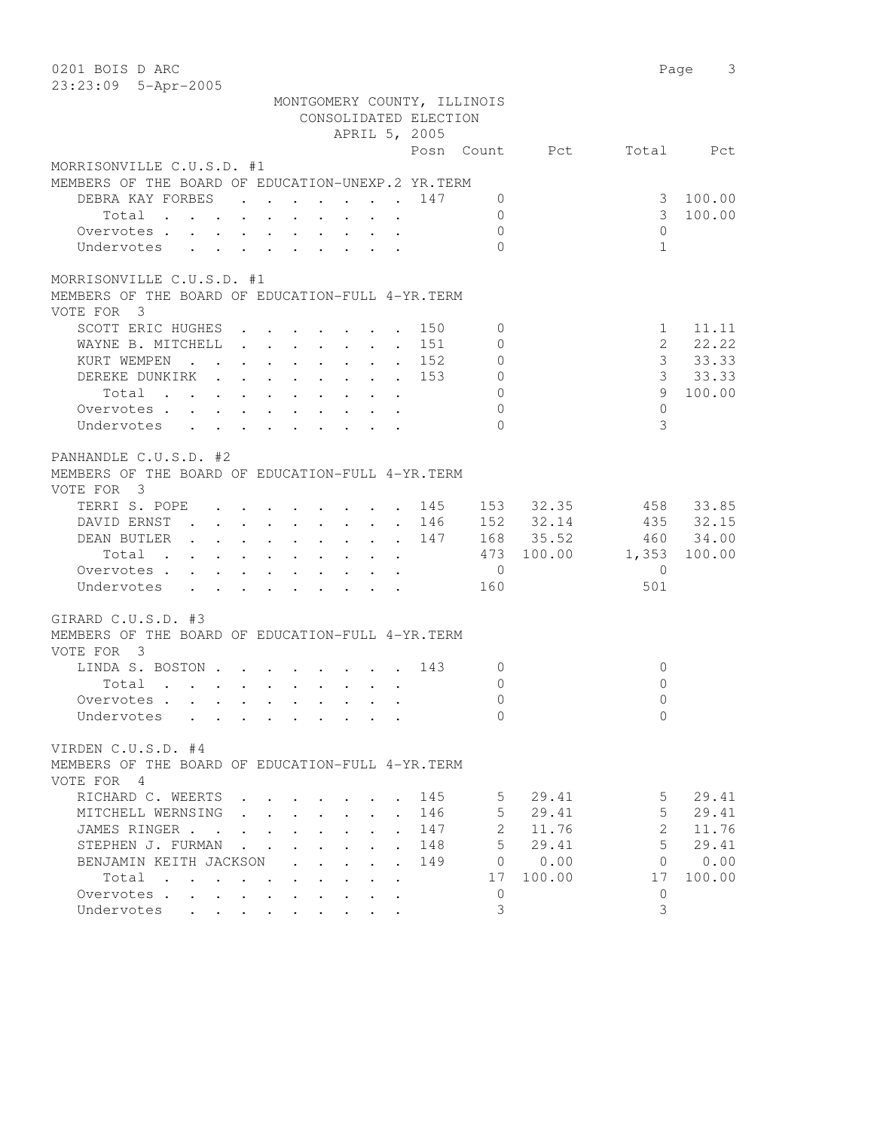| 0201 BOIS D ARC                                                                                                                                                                                                                        |                       |                                | 3<br>Page |
|----------------------------------------------------------------------------------------------------------------------------------------------------------------------------------------------------------------------------------------|-----------------------|--------------------------------|-----------|
| 23:23:09 5-Apr-2005                                                                                                                                                                                                                    |                       |                                |           |
| MONTGOMERY COUNTY, ILLINOIS                                                                                                                                                                                                            |                       |                                |           |
| CONSOLIDATED ELECTION                                                                                                                                                                                                                  |                       |                                |           |
| APRIL 5, 2005                                                                                                                                                                                                                          |                       |                                |           |
|                                                                                                                                                                                                                                        | Posn<br>Count         | Pct<br>Total                   | Pct       |
| MORRISONVILLE C.U.S.D. #1                                                                                                                                                                                                              |                       |                                |           |
| MEMBERS OF THE BOARD OF EDUCATION-UNEXP.2 YR. TERM                                                                                                                                                                                     |                       |                                |           |
| DEBRA KAY FORBES                                                                                                                                                                                                                       | 147<br>0              | 3                              | 100.00    |
| Total                                                                                                                                                                                                                                  | 0                     | 3                              | 100.00    |
| Overvotes                                                                                                                                                                                                                              | $\Omega$              | $\Omega$                       |           |
| Undervotes                                                                                                                                                                                                                             | $\bigcap$             | $\mathbf{1}$                   |           |
| MORRISONVILLE C.U.S.D. #1                                                                                                                                                                                                              |                       |                                |           |
| MEMBERS OF THE BOARD OF EDUCATION-FULL 4-YR. TERM                                                                                                                                                                                      |                       |                                |           |
| VOTE FOR 3                                                                                                                                                                                                                             |                       |                                |           |
| SCOTT ERIC HUGHES                                                                                                                                                                                                                      | 150<br>$\mathbf 0$    | $\mathbf{1}$                   | 11.11     |
| WAYNE B. MITCHELL                                                                                                                                                                                                                      | 151<br>$\mathbf{0}$   | $\overline{2}$                 | 22.22     |
|                                                                                                                                                                                                                                        | $\ddot{\phantom{a}}$  | $\mathcal{E}$                  | 33.33     |
| KURT WEMPEN<br>$\mathbf{r}$ , and $\mathbf{r}$ , and $\mathbf{r}$ , and $\mathbf{r}$ , and $\mathbf{r}$                                                                                                                                | $\circ$<br>152        |                                |           |
| DEREKE DUNKIRK                                                                                                                                                                                                                         | $\circ$<br>153        | 3                              | 33.33     |
| Total                                                                                                                                                                                                                                  | $\Omega$              | 9                              | 100.00    |
| Overvotes                                                                                                                                                                                                                              | $\Omega$              | $\Omega$                       |           |
| Undervotes                                                                                                                                                                                                                             | $\Omega$              | 3                              |           |
| PANHANDLE C.U.S.D. #2                                                                                                                                                                                                                  |                       |                                |           |
| MEMBERS OF THE BOARD OF EDUCATION-FULL 4-YR. TERM                                                                                                                                                                                      |                       |                                |           |
| VOTE FOR 3                                                                                                                                                                                                                             |                       |                                |           |
| TERRI S. POPE<br>$\mathbf{r} = \mathbf{r} + \mathbf{r} + \mathbf{r} + \mathbf{r} + \mathbf{r} + \mathbf{r} + \mathbf{r}$                                                                                                               | 153<br>145            | 32.35<br>458                   | 33.85     |
| DAVID ERNST                                                                                                                                                                                                                            | 146                   | 152 32.14                      | 435 32.15 |
| DEAN BUTLER                                                                                                                                                                                                                            | 147                   | 168 35.52                      | 460 34.00 |
| Total<br>$\mathcal{A}$ . The contribution of the contribution of the contribution of $\mathcal{A}$                                                                                                                                     | 473                   | 100.00<br>1,353                | 100.00    |
|                                                                                                                                                                                                                                        | $\overline{0}$        | $\mathbf{0}$                   |           |
| Overvotes                                                                                                                                                                                                                              |                       |                                |           |
| Undervotes                                                                                                                                                                                                                             | 160                   | 501                            |           |
| GIRARD C.U.S.D. #3                                                                                                                                                                                                                     |                       |                                |           |
| MEMBERS OF THE BOARD OF EDUCATION-FULL 4-YR. TERM                                                                                                                                                                                      |                       |                                |           |
| VOTE FOR 3                                                                                                                                                                                                                             |                       |                                |           |
| LINDA S. BOSTON                                                                                                                                                                                                                        | 143<br>$\mathbf{0}$   | $\circ$                        |           |
| . The contract of the contract of the contract of the contract of the contract of the contract of the contract of the contract of the contract of the contract of the contract of the contract of the contract of the contrac<br>Total | $\mathbf{0}$          | $\Omega$                       |           |
| Overvotes                                                                                                                                                                                                                              | $\Omega$              | $\Omega$                       |           |
| Undervotes<br>$\sim$ $\sim$ $\sim$ $\sim$                                                                                                                                                                                              | $\mathbf{0}$          | $\mathbf{0}$                   |           |
| VIRDEN C.U.S.D. #4                                                                                                                                                                                                                     |                       |                                |           |
| MEMBERS OF THE BOARD OF EDUCATION-FULL 4-YR. TERM                                                                                                                                                                                      |                       |                                |           |
| VOTE FOR 4                                                                                                                                                                                                                             |                       |                                |           |
| RICHARD C. WEERTS                                                                                                                                                                                                                      | 145<br>5              | 29.41<br>5.                    | 29.41     |
|                                                                                                                                                                                                                                        | 5                     | 29.41<br>5                     | 29.41     |
| MITCHELL WERNSING<br>$\ddot{\phantom{a}}$                                                                                                                                                                                              | 146<br>$\overline{2}$ | $\mathbf{2}^{\prime}$<br>11.76 |           |
| JAMES RINGER.<br>$\sim$ $\sim$                                                                                                                                                                                                         | 147                   |                                | 11.76     |
| STEPHEN J. FURMAN<br>$\ddot{\phantom{a}}$<br>$\ddot{\phantom{a}}$<br>$\ddot{\phantom{a}}$<br>$\ddot{\phantom{0}}$<br>$\ddot{\phantom{a}}$                                                                                              | 5<br>148              | 29.41<br>5                     | 29.41     |
| BENJAMIN KEITH JACKSON<br>$\ddot{\phantom{0}}$                                                                                                                                                                                         | 149<br>0              | 0.00<br>0                      | 0.00      |
| Total<br>$\sim$                                                                                                                                                                                                                        | 17                    | 100.00<br>17                   | 100.00    |
| Overvotes .                                                                                                                                                                                                                            | 0                     | 0                              |           |
| Undervotes<br>$\mathbf{A}$<br>$\mathbf{L}$                                                                                                                                                                                             | 3                     | 3                              |           |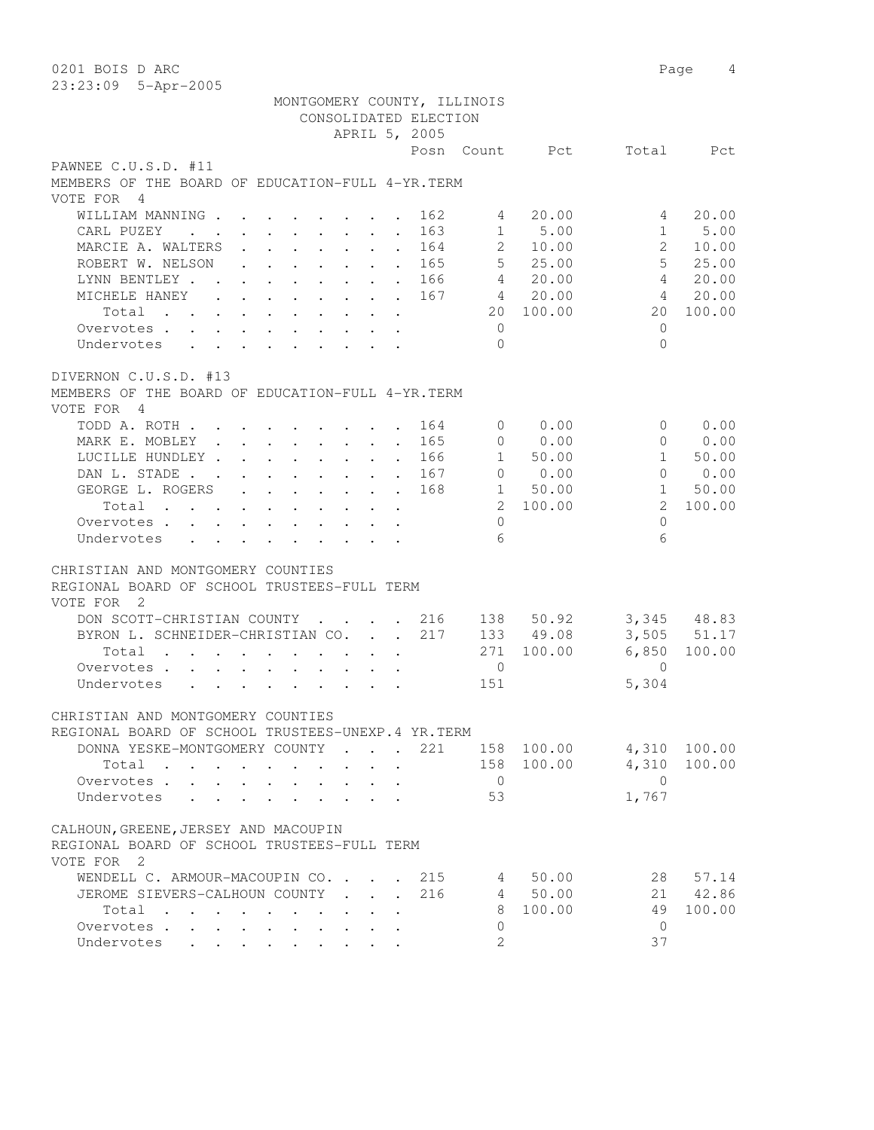| 0201 BOIS D ARC                                                                                                                                                |                                                      | Page<br>4                |
|----------------------------------------------------------------------------------------------------------------------------------------------------------------|------------------------------------------------------|--------------------------|
| 23:23:09 5-Apr-2005                                                                                                                                            |                                                      |                          |
| MONTGOMERY COUNTY, ILLINOIS                                                                                                                                    |                                                      |                          |
| CONSOLIDATED ELECTION                                                                                                                                          |                                                      |                          |
| APRIL 5, 2005                                                                                                                                                  |                                                      |                          |
|                                                                                                                                                                | Posn Count<br>Pct                                    | Total<br>Pct             |
| PAWNEE C.U.S.D. #11                                                                                                                                            |                                                      |                          |
| MEMBERS OF THE BOARD OF EDUCATION-FULL 4-YR. TERM                                                                                                              |                                                      |                          |
| VOTE FOR 4                                                                                                                                                     |                                                      |                          |
| WILLIAM MANNING.                                                                                                                                               | 162<br>20.00<br>4                                    | 20.00<br>4               |
| CARL PUZEY<br>$\cdot$ $\cdot$ $\cdot$ $\cdot$ $\cdot$ $\cdot$<br>$\ddot{\phantom{a}}$<br>$\ddot{\phantom{0}}$<br>$\mathbf{r}$                                  | 1<br>5.00<br>163                                     | $\mathbf{1}$<br>5.00     |
| MARCIE A. WALTERS<br>$\mathbf{r}$ , $\mathbf{r}$ , $\mathbf{r}$ , $\mathbf{r}$                                                                                 | $\mathbf{2}$<br>164<br>10.00<br>$\ddot{\phantom{a}}$ | 2<br>10.00               |
| ROBERT W. NELSON<br>.<br>$\ddot{\phantom{a}}$                                                                                                                  | $5 -$<br>25.00<br>165                                | 5 <sup>5</sup><br>25.00  |
| LYNN BENTLEY.<br>$\mathbf{r}$ , $\mathbf{r}$ , $\mathbf{r}$ , $\mathbf{r}$ , $\mathbf{r}$<br>$\sim$ $\sim$<br>$\ddot{\phantom{a}}$                             | $4\degree$<br>20.00<br>166                           | $\overline{4}$<br>20.00  |
| MICHELE HANEY<br>$\mathbf{r}$ , and $\mathbf{r}$ , and $\mathbf{r}$ , and $\mathbf{r}$<br>$\sim$                                                               | 4 20.00<br>167                                       | 20.00<br>$\overline{4}$  |
| Total                                                                                                                                                          | 100.00<br>20                                         | 100.00<br>20             |
| Overvotes .<br>$\cdot$<br>$\ddot{\phantom{0}}$                                                                                                                 | $\overline{0}$                                       | $\mathbf{0}$             |
| Undervotes<br>$\ddot{\phantom{0}}$                                                                                                                             | $\Omega$                                             | $\Omega$                 |
|                                                                                                                                                                |                                                      |                          |
| DIVERNON C.U.S.D. #13<br>MEMBERS OF THE BOARD OF EDUCATION-FULL 4-YR. TERM                                                                                     |                                                      |                          |
| VOTE FOR 4                                                                                                                                                     |                                                      |                          |
| TODD A. ROTH                                                                                                                                                   | 0.00<br>164<br>$\overline{0}$                        | 0.00<br>$\Omega$         |
| MARK E. MOBLEY .<br>$\mathbf{r}$ , $\mathbf{r}$ , $\mathbf{r}$ , $\mathbf{r}$ , $\mathbf{r}$                                                                   | 0.00<br>165<br>$\circ$<br>$\sim$                     | 0.00<br>$\Omega$         |
| LUCILLE HUNDLEY.<br>$\cdot$ $\cdot$ $\cdot$ $\cdot$ $\cdot$ $\cdot$ $\cdot$                                                                                    | 50.00<br>166<br>$1 \quad$<br>$\sim$                  | $\mathbf{1}$<br>50.00    |
| DAN L. STADE .<br>$\ddot{\phantom{a}}$<br>$\mathbf{L}$ and $\mathbf{L}$<br>$\sim 100$ km s $^{-1}$<br>$\ddot{\phantom{a}}$<br>$\bullet$ . The set of $\bullet$ | $\circ$<br>0.00<br>167<br>$\sim$ 100 $\mu$           | $\Omega$<br>0.00         |
| GEORGE L. ROGERS<br>$\mathbf{L}$<br>$\ddot{\phantom{0}}$<br>$\ddot{\phantom{0}}$                                                                               | 168<br>1<br>50.00<br>$\ddot{\phantom{a}}$            | $\mathbf{1}$<br>50.00    |
| Total<br>$\mathbf{L}^{\text{max}}$ , and $\mathbf{L}^{\text{max}}$<br>$\ddot{\phantom{0}}$                                                                     | 2 100.00                                             | $\mathfrak{L}$<br>100.00 |
| Overvotes .<br>$\mathbf{L}$<br>$\mathbf{L}$<br>$\mathbf{L}$<br>$\sim$                                                                                          | $\circ$                                              | $\circ$                  |
| Undervotes<br>$\mathbf{r} = \mathbf{r} + \mathbf{r}$<br>$\mathbf{L} = \mathbf{L} \mathbf{L}$<br>$\mathbf{r}$<br>$\mathbf{r}$                                   | 6                                                    | 6                        |
|                                                                                                                                                                |                                                      |                          |
| CHRISTIAN AND MONTGOMERY COUNTIES                                                                                                                              |                                                      |                          |
| REGIONAL BOARD OF SCHOOL TRUSTEES-FULL TERM                                                                                                                    |                                                      |                          |
| VOTE FOR<br>$\overline{\phantom{0}}^2$                                                                                                                         |                                                      |                          |
| DON SCOTT-CHRISTIAN COUNTY<br>$\mathbf{r}$ , $\mathbf{r}$                                                                                                      | 216<br>138 50.92                                     | 3,345 48.83              |
| BYRON L. SCHNEIDER-CHRISTIAN CO.<br>$\mathbf{L}$                                                                                                               | 217<br>133 49.08<br>$\ddot{\phantom{a}}$             | 3,505<br>51.17           |
| Total                                                                                                                                                          | 271<br>100.00                                        | 6,850<br>100.00          |
| Overvotes.<br>$\mathbf{L}$<br>$\cdot$ $\cdot$<br>$\sim$ $\sim$<br>$\ddot{\phantom{0}}$<br>$\ddot{\phantom{0}}$                                                 | $\mathbf{0}$                                         | $\Omega$                 |
| Undervotes<br>$\mathbf{r}$ , $\mathbf{r}$ , $\mathbf{r}$ , $\mathbf{r}$ , $\mathbf{r}$ , $\mathbf{r}$                                                          | 151                                                  | 5,304                    |
| CHRISTIAN AND MONTGOMERY COUNTIES                                                                                                                              |                                                      |                          |
| REGIONAL BOARD OF SCHOOL TRUSTEES-UNEXP.4 YR.TERM                                                                                                              |                                                      |                          |
| DONNA YESKE-MONTGOMERY COUNTY<br>$\mathbf{L} = \mathbf{L}$<br>$\sim$ $\sim$                                                                                    | 221<br>158 100.00                                    | 4,310<br>100.00          |
| Total                                                                                                                                                          | 158 100.00                                           | 4,310<br>100.00          |
| Overvotes.                                                                                                                                                     | $\overline{0}$                                       | $\overline{0}$           |
| Undervotes                                                                                                                                                     | 53                                                   | 1,767                    |
|                                                                                                                                                                |                                                      |                          |
| CALHOUN, GREENE, JERSEY AND MACOUPIN                                                                                                                           |                                                      |                          |
| REGIONAL BOARD OF SCHOOL TRUSTEES-FULL TERM                                                                                                                    |                                                      |                          |
| VOTE FOR 2                                                                                                                                                     |                                                      |                          |
| WENDELL C. ARMOUR-MACOUPIN CO. .<br>$\sim$                                                                                                                     | 215<br>50.00<br>4                                    | 28<br>57.14              |
| JEROME SIEVERS-CALHOUN COUNTY.<br>$\Delta \sim 100$ km s $^{-1}$                                                                                               | 216<br>4 50.00                                       | 21<br>42.86              |
| Total                                                                                                                                                          | 100.00<br>8                                          | 49<br>100.00             |
| Overvotes<br>$\ddot{\phantom{a}}$                                                                                                                              | $\circ$<br>$\overline{2}$                            | $\mathbf{0}$<br>37       |
| Undervotes<br>$\sim$                                                                                                                                           |                                                      |                          |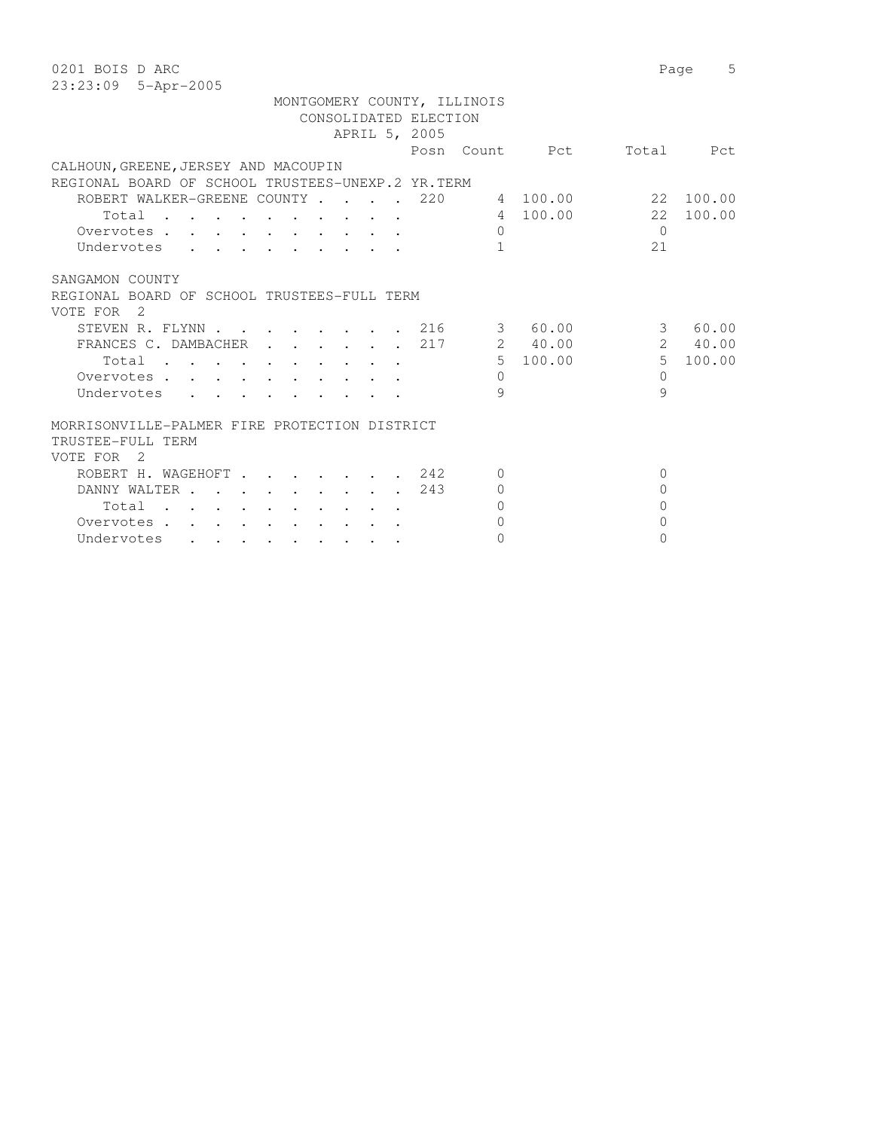| 0201 BOIS D ARC                                                                                                          |           |                | Page           | 5         |
|--------------------------------------------------------------------------------------------------------------------------|-----------|----------------|----------------|-----------|
| 23:23:09 5-Apr-2005                                                                                                      |           |                |                |           |
| MONTGOMERY COUNTY, ILLINOIS<br>CONSOLIDATED ELECTION                                                                     |           |                |                |           |
| APRIL 5, 2005                                                                                                            |           |                |                |           |
|                                                                                                                          |           | Posn Count Pct | Total          | Pct       |
| CALHOUN, GREENE, JERSEY AND MACOUPIN                                                                                     |           |                |                |           |
| REGIONAL BOARD OF SCHOOL TRUSTEES-UNEXP.2 YR.TERM                                                                        |           |                |                |           |
| ROBERT WALKER-GREENE COUNTY<br>220                                                                                       |           | 4 100.00       |                | 22 100.00 |
| Total<br>$\sim$ $\sim$ $\sim$                                                                                            |           | 4 100.00       | 2.2            | 100.00    |
| Overvotes                                                                                                                | $\Omega$  |                | $\Omega$       |           |
| Undervotes                                                                                                               | 1         |                | 2.1            |           |
| SANGAMON COUNTY                                                                                                          |           |                |                |           |
| REGIONAL BOARD OF SCHOOL TRUSTEES-FULL TERM                                                                              |           |                |                |           |
| VOTE FOR<br>$\overline{2}$                                                                                               |           |                |                |           |
| STEVEN R. FLYNN<br>. 216                                                                                                 | $3 \quad$ | 60.00          | 3              | 60.00     |
| FRANCES C. DAMBACHER<br>217                                                                                              |           | 2 40.00        |                | 2 40.00   |
| Total<br>the contract of the contract of the contract of the contract of the contract of the contract of the contract of |           | 5 100.00       | 5 <sup>1</sup> | 100.00    |
| Overvotes.                                                                                                               | $\Omega$  |                | $\Omega$       |           |
| Undervotes                                                                                                               | 9         |                | 9              |           |
|                                                                                                                          |           |                |                |           |
| MORRISONVILLE-PALMER FIRE PROTECTION DISTRICT                                                                            |           |                |                |           |
| TRUSTEE-FULL TERM                                                                                                        |           |                |                |           |
| VOTE FOR<br>$\overline{2}$                                                                                               |           |                |                |           |
| ROBERT H. WAGEHOFT.<br>242                                                                                               | $\Omega$  |                | $\mathbf{0}$   |           |
| DANNY WALTER.<br>243<br>$\sim$ $\sim$ $\sim$ $\sim$ $\sim$ $\sim$<br>$\sim$ $\sim$ $\sim$                                | $\Omega$  |                | $\Omega$       |           |
| Total<br>and the state of the state of the                                                                               | $\Omega$  |                | $\Omega$       |           |
| Overvotes                                                                                                                | $\Omega$  |                | $\Omega$       |           |
| Undervotes                                                                                                               | $\Omega$  |                | $\Omega$       |           |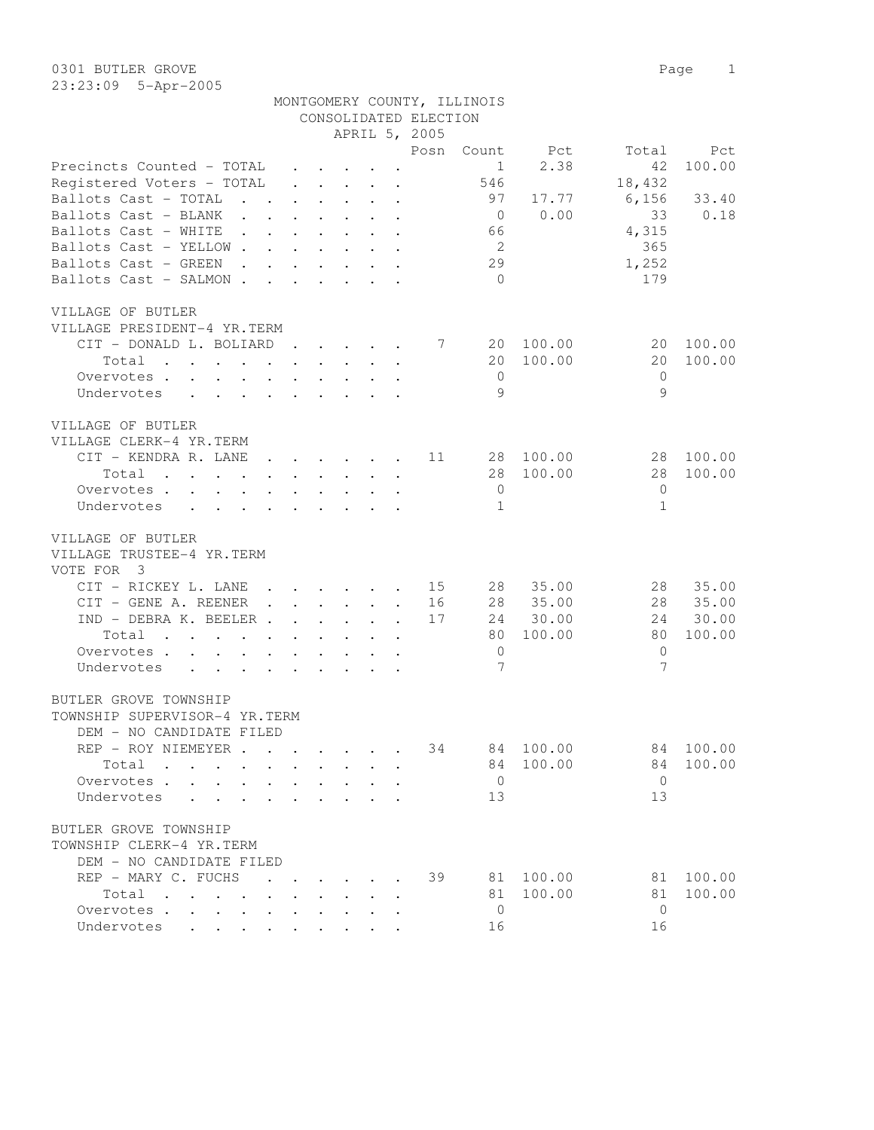| MONTGOMERY COUNTY, ILLINOIS |  |
|-----------------------------|--|
| CONSOLIDATED ELECTION       |  |

|                                                                                                                          |                      |                                                             | APRIL 5, 2005                                                                                                                                                                                                                     |                             |                |                |          |              |        |
|--------------------------------------------------------------------------------------------------------------------------|----------------------|-------------------------------------------------------------|-----------------------------------------------------------------------------------------------------------------------------------------------------------------------------------------------------------------------------------|-----------------------------|----------------|----------------|----------|--------------|--------|
|                                                                                                                          |                      |                                                             |                                                                                                                                                                                                                                   |                             | Posn           | Count          | Pct      | Total        | Pct    |
| Precincts Counted - TOTAL                                                                                                |                      |                                                             | $\cdot$ $\cdot$ $\cdot$                                                                                                                                                                                                           |                             |                | $\mathbf{1}$   | 2.38     | 42           | 100.00 |
| Registered Voters - TOTAL                                                                                                |                      |                                                             | $\cdot$ $\cdot$ $\cdot$ $\cdot$ $\cdot$ $\cdot$                                                                                                                                                                                   |                             |                | 546            |          | 18,432       |        |
| Ballots Cast - TOTAL<br>$\mathbf{L}$ and $\mathbf{L}$                                                                    |                      |                                                             | $\mathbf{L} = \mathbf{L} \times \mathbf{L} = \mathbf{L} \times \mathbf{L}$                                                                                                                                                        |                             |                | 97             | 17.77    | 6,156        | 33.40  |
| Ballots Cast - BLANK<br>$\sim 100$ km s $^{-1}$<br>$\sim$                                                                |                      |                                                             |                                                                                                                                                                                                                                   | $\ddot{\phantom{a}}$        |                | $\overline{0}$ | 0.00     | 33           | 0.18   |
| Ballots Cast - WHITE<br>$\cdot$ $\cdot$ $\cdot$                                                                          |                      |                                                             |                                                                                                                                                                                                                                   |                             |                | 66             |          | 4,315        |        |
| Ballots Cast - YELLOW.<br>$\mathcal{L}^{\text{max}}$                                                                     |                      |                                                             |                                                                                                                                                                                                                                   | $\mathbf{L}$                |                | 2              |          | 365          |        |
| Ballots Cast - GREEN<br>$\sim$                                                                                           |                      |                                                             |                                                                                                                                                                                                                                   |                             |                | 29             |          | 1,252        |        |
| $\sim$ $\sim$                                                                                                            |                      |                                                             | $\ddot{\phantom{0}}$                                                                                                                                                                                                              |                             |                |                |          |              |        |
| Ballots Cast - SALMON .<br>$\sim$                                                                                        |                      |                                                             | $\ddot{\phantom{0}}$                                                                                                                                                                                                              | $\sim$                      |                | $\bigcirc$     |          | 179          |        |
| VILLAGE OF BUTLER                                                                                                        |                      |                                                             |                                                                                                                                                                                                                                   |                             |                |                |          |              |        |
| VILLAGE PRESIDENT-4 YR.TERM                                                                                              |                      |                                                             |                                                                                                                                                                                                                                   |                             |                |                |          |              |        |
| CIT - DONALD L. BOLIARD                                                                                                  |                      |                                                             | $\cdot$ $\cdot$ $\cdot$ $\cdot$ $\cdot$ $\cdot$                                                                                                                                                                                   |                             | $\overline{7}$ | 20             | 100.00   | 20           | 100.00 |
| Total<br>the contract of the contract of the contract of the contract of the contract of the contract of the contract of |                      |                                                             |                                                                                                                                                                                                                                   |                             |                | 20             | 100.00   | 20           | 100.00 |
| Overvotes.                                                                                                               |                      |                                                             |                                                                                                                                                                                                                                   |                             |                | $\overline{0}$ |          | $\mathbf{0}$ |        |
| Undervotes<br>$\ddot{\phantom{0}}$                                                                                       |                      |                                                             | $\cdot$ $\cdot$ $\cdot$ $\cdot$ $\cdot$ $\cdot$                                                                                                                                                                                   |                             |                | 9              |          | 9            |        |
|                                                                                                                          |                      |                                                             |                                                                                                                                                                                                                                   |                             |                |                |          |              |        |
| VILLAGE OF BUTLER                                                                                                        |                      |                                                             |                                                                                                                                                                                                                                   |                             |                |                |          |              |        |
| VILLAGE CLERK-4 YR.TERM                                                                                                  |                      |                                                             |                                                                                                                                                                                                                                   |                             |                |                |          |              |        |
| CIT - KENDRA R. LANE                                                                                                     |                      |                                                             | $\cdot$ $\cdot$ $\cdot$ $\cdot$ $\cdot$ $\cdot$                                                                                                                                                                                   |                             | 11             | 28             | 100.00   | 28           | 100.00 |
| Total<br>the contract of the contract of the contract of                                                                 |                      |                                                             |                                                                                                                                                                                                                                   |                             |                | 28             | 100.00   | 28           | 100.00 |
| Overvotes<br>$\bullet$                                                                                                   | $\sim$               | $\bullet$ .<br><br><br><br><br><br><br><br><br><br><br><br> | $\sim$ $-$                                                                                                                                                                                                                        | $\cdot$ $\cdot$             |                | $\overline{0}$ |          | 0            |        |
| Undervotes                                                                                                               |                      |                                                             |                                                                                                                                                                                                                                   |                             |                | 1              |          | $\mathbf{1}$ |        |
|                                                                                                                          |                      |                                                             |                                                                                                                                                                                                                                   |                             |                |                |          |              |        |
| VILLAGE OF BUTLER                                                                                                        |                      |                                                             |                                                                                                                                                                                                                                   |                             |                |                |          |              |        |
| VILLAGE TRUSTEE-4 YR.TERM                                                                                                |                      |                                                             |                                                                                                                                                                                                                                   |                             |                |                |          |              |        |
| VOTE FOR 3                                                                                                               |                      |                                                             |                                                                                                                                                                                                                                   |                             |                |                |          |              |        |
| CIT - RICKEY L. LANE                                                                                                     |                      |                                                             | $\cdot$ $\cdot$ $\cdot$ $\cdot$ $\cdot$                                                                                                                                                                                           |                             | 15             | 28             | 35.00    | 28           | 35.00  |
| CIT - GENE A. REENER                                                                                                     |                      |                                                             | $\cdot$ $\cdot$ $\cdot$ $\cdot$                                                                                                                                                                                                   | $\ddot{\phantom{a}}$        | 16             |                | 28 35.00 | 28           | 35.00  |
| IND - DEBRA K. BEELER.                                                                                                   |                      |                                                             | $\cdot$ $\cdot$ $\cdot$ $\cdot$ $\cdot$ $\cdot$                                                                                                                                                                                   |                             | 17             |                | 24 30.00 | 24           | 30.00  |
| Total<br>$\mathbf{r}$ , $\mathbf{r}$ , $\mathbf{r}$ , $\mathbf{r}$                                                       | $\sim$               | $\sim$ $\sim$                                               | $\sim$ $\sim$                                                                                                                                                                                                                     | $\mathbf{L}^{\text{max}}$ . |                | 80             | 100.00   | 80           | 100.00 |
| Overvotes                                                                                                                | $\ddot{\phantom{0}}$ |                                                             | $\cdot$ $\cdot$ $\cdot$                                                                                                                                                                                                           |                             |                | $\mathbf{0}$   |          | 0            |        |
| $\mathbf{L}^{\text{max}}$ , and $\mathbf{L}^{\text{max}}$                                                                |                      |                                                             |                                                                                                                                                                                                                                   |                             |                | 7              |          | 7            |        |
| Undervotes<br>$\mathbf{r}$ , $\mathbf{r}$ , $\mathbf{r}$ , $\mathbf{r}$                                                  |                      |                                                             |                                                                                                                                                                                                                                   |                             |                |                |          |              |        |
| BUTLER GROVE TOWNSHIP                                                                                                    |                      |                                                             |                                                                                                                                                                                                                                   |                             |                |                |          |              |        |
| TOWNSHIP SUPERVISOR-4 YR.TERM                                                                                            |                      |                                                             |                                                                                                                                                                                                                                   |                             |                |                |          |              |        |
| DEM - NO CANDIDATE FILED                                                                                                 |                      |                                                             |                                                                                                                                                                                                                                   |                             |                |                |          |              |        |
| REP - ROY NIEMEYER.                                                                                                      |                      |                                                             | $\mathbf{r}$ . The set of the set of the set of the set of the set of the set of the set of the set of the set of the set of the set of the set of the set of the set of the set of the set of the set of the set of the set of t |                             | 34             | 84             | 100.00   | 84           | 100.00 |
| Total                                                                                                                    |                      |                                                             |                                                                                                                                                                                                                                   |                             |                | 84             | 100.00   | 84           | 100.00 |
| Overvotes                                                                                                                |                      |                                                             |                                                                                                                                                                                                                                   |                             |                | $\overline{0}$ |          | $\mathbf 0$  |        |
| Undervotes                                                                                                               |                      |                                                             |                                                                                                                                                                                                                                   |                             |                | 13             |          | 13           |        |
| $\bullet$ .<br><br><br><br><br><br><br><br><br><br><br><br>                                                              |                      |                                                             |                                                                                                                                                                                                                                   |                             |                |                |          |              |        |
| BUTLER GROVE TOWNSHIP                                                                                                    |                      |                                                             |                                                                                                                                                                                                                                   |                             |                |                |          |              |        |
| TOWNSHIP CLERK-4 YR.TERM                                                                                                 |                      |                                                             |                                                                                                                                                                                                                                   |                             |                |                |          |              |        |
| DEM - NO CANDIDATE FILED                                                                                                 |                      |                                                             |                                                                                                                                                                                                                                   |                             |                |                |          |              |        |
| REP - MARY C. FUCHS                                                                                                      |                      |                                                             |                                                                                                                                                                                                                                   |                             | 39             | 81             | 100.00   | 81           | 100.00 |
| Total<br>$\mathbf{r}$ , $\mathbf{r}$ , $\mathbf{r}$ , $\mathbf{r}$                                                       |                      |                                                             |                                                                                                                                                                                                                                   |                             |                | 81             | 100.00   | 81           | 100.00 |
| Overvotes<br>$\bullet$                                                                                                   | $\bullet$            |                                                             | $\bullet$                                                                                                                                                                                                                         |                             |                | $\mathbf{0}$   |          | $\mathbf{0}$ |        |
| Undervotes<br>the contract of the contract of the contract of                                                            |                      | $\bullet$                                                   | $\sim$                                                                                                                                                                                                                            |                             |                | 16             |          | 16           |        |
|                                                                                                                          |                      |                                                             |                                                                                                                                                                                                                                   |                             |                |                |          |              |        |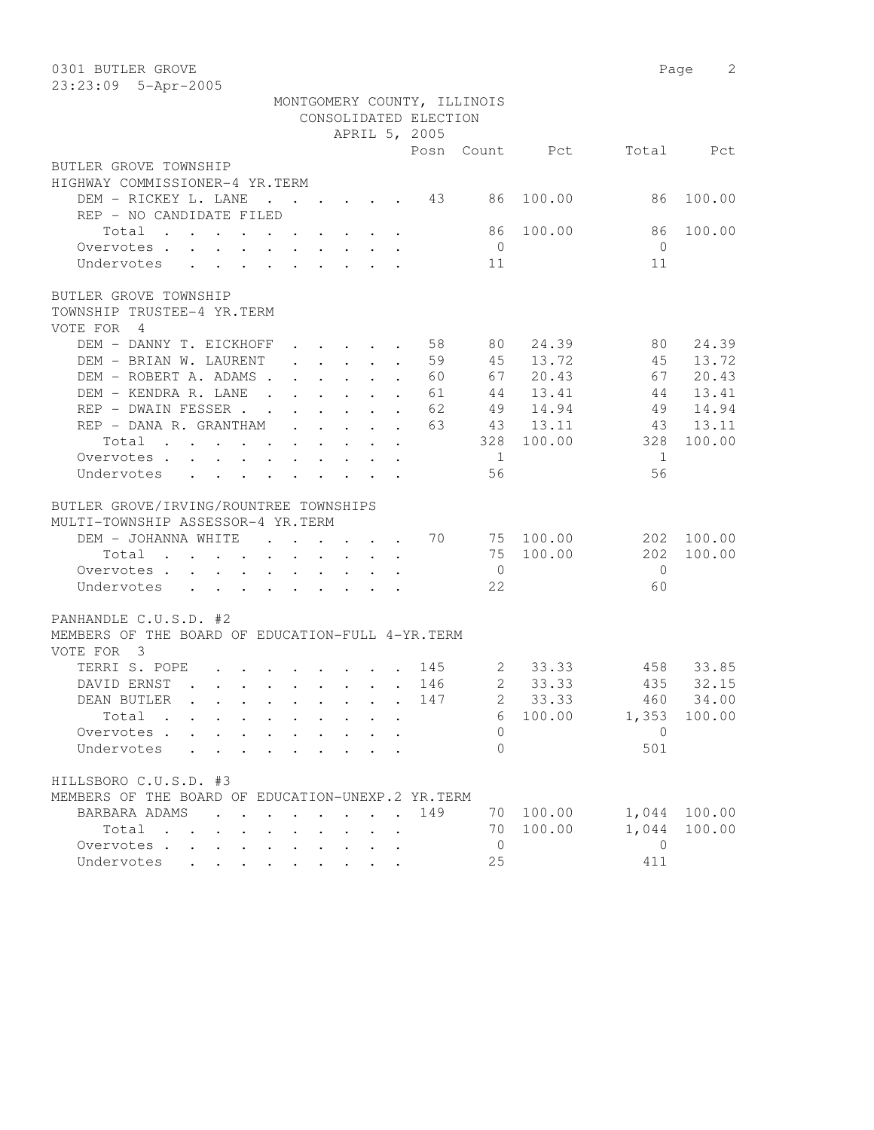| 0301 BUTLER GROVE                                                                                                                                  |                |           |              | Page<br>2 |
|----------------------------------------------------------------------------------------------------------------------------------------------------|----------------|-----------|--------------|-----------|
| 23:23:09 5-Apr-2005                                                                                                                                |                |           |              |           |
| MONTGOMERY COUNTY, ILLINOIS                                                                                                                        |                |           |              |           |
| CONSOLIDATED ELECTION                                                                                                                              |                |           |              |           |
| APRIL 5, 2005                                                                                                                                      |                |           |              |           |
| Posn                                                                                                                                               |                | Count Pct | Total        | Pct       |
| BUTLER GROVE TOWNSHIP                                                                                                                              |                |           |              |           |
| HIGHWAY COMMISSIONER-4 YR.TERM                                                                                                                     |                |           |              |           |
| DEM - RICKEY L. LANE<br>43<br>$\cdot$                                                                                                              | 86             | 100.00    | 86           | 100.00    |
| REP - NO CANDIDATE FILED                                                                                                                           |                |           |              |           |
| Total                                                                                                                                              | 86             | 100.00    | 86           | 100.00    |
| Overvotes                                                                                                                                          | $\overline{0}$ |           | $\bigcirc$   |           |
| Undervotes                                                                                                                                         | 11             |           | 11           |           |
|                                                                                                                                                    |                |           |              |           |
| BUTLER GROVE TOWNSHIP                                                                                                                              |                |           |              |           |
| TOWNSHIP TRUSTEE-4 YR.TERM                                                                                                                         |                |           |              |           |
| VOTE FOR<br>$\overline{4}$                                                                                                                         |                |           |              |           |
| DEM - DANNY T. EICKHOFF<br>58<br>$\cdot$ $\cdot$ $\cdot$ $\cdot$ $\cdot$<br>$\ddot{\phantom{a}}$                                                   | 80             | 24.39     | 80           | 24.39     |
| 59<br>DEM - BRIAN W. LAURENT<br>$\cdot$ $\cdot$ $\cdot$ $\cdot$ $\cdot$<br>$\ddot{\phantom{a}}$                                                    | 45             | 13.72     | 45           | 13.72     |
| $\mathbf{r}$ and $\mathbf{r}$ and $\mathbf{r}$ and $\mathbf{r}$<br>DEM - ROBERT A. ADAMS.<br>60                                                    | 67             | 20.43     | 67           | 20.43     |
| DEM - KENDRA R. LANE<br>$\mathbf{r}$ , $\mathbf{r}$ , $\mathbf{r}$ , $\mathbf{r}$<br>61<br>$\ddot{\phantom{a}}$                                    | 44             | 13.41     | 44           | 13.41     |
| REP - DWAIN FESSER<br>62                                                                                                                           | 49             | 14.94     | 49           | 14.94     |
| $\ddot{\phantom{a}}$<br>REP - DANA R. GRANTHAM<br>63                                                                                               |                | 13.11     |              | 13.11     |
| $\cdot$ $\cdot$ $\cdot$ $\cdot$ $\cdot$ $\cdot$                                                                                                    | 43             |           | 43           |           |
| Total<br>$\mathbf{r}$ , and $\mathbf{r}$ , and $\mathbf{r}$ , and $\mathbf{r}$<br>$\mathbf{L} = \mathbf{L} \mathbf{L}$<br>$\bullet$ .<br>$\bullet$ | 328            | 100.00    | 328          | 100.00    |
| Overvotes<br>$\mathbf{z} = \mathbf{z} + \mathbf{z}$ .                                                                                              | $\mathbf{1}$   |           | 1            |           |
| Undervotes<br>$\ddot{\phantom{a}}$                                                                                                                 | 56             |           | 56           |           |
|                                                                                                                                                    |                |           |              |           |
| BUTLER GROVE/IRVING/ROUNTREE TOWNSHIPS                                                                                                             |                |           |              |           |
| MULTI-TOWNSHIP ASSESSOR-4 YR.TERM                                                                                                                  |                |           |              |           |
| DEM - JOHANNA WHITE<br>70<br>$\cdots$                                                                                                              |                | 75 100.00 | 202          | 100.00    |
| Total<br>$\mathbf{r}$ , and $\mathbf{r}$ , and $\mathbf{r}$ , and $\mathbf{r}$ , and $\mathbf{r}$                                                  | 75             | 100.00    | 202          | 100.00    |
| Overvotes                                                                                                                                          | $\overline{0}$ |           | $\mathbf{0}$ |           |
| Undervotes                                                                                                                                         | 22             |           | 60           |           |
|                                                                                                                                                    |                |           |              |           |
| PANHANDLE C.U.S.D. #2                                                                                                                              |                |           |              |           |
| MEMBERS OF THE BOARD OF EDUCATION-FULL 4-YR. TERM                                                                                                  |                |           |              |           |
| VOTE FOR 3                                                                                                                                         |                |           |              |           |
| TERRI S. POPE<br>145<br>$\mathbf{r}$ , and $\mathbf{r}$ , and $\mathbf{r}$ , and $\mathbf{r}$                                                      | 2              | 33.33     | 458          | 33.85     |
| DAVID ERNST<br>and the contract of the contract of the contract of the contract of the contract of<br>146                                          | $\overline{2}$ | 33.33     | 435          | 32.15     |
| DEAN BUTLER<br>147<br>$\mathbf{r}$ , and $\mathbf{r}$ , and $\mathbf{r}$ , and $\mathbf{r}$ , and $\mathbf{r}$                                     | $\mathbf{2}$   | 33.33     |              | 460 34.00 |
| Total                                                                                                                                              | 6              | 100.00    | 1,353        | 100.00    |
| Overvotes<br>$\ddot{\phantom{0}}$                                                                                                                  | 0              |           | $\mathbf{0}$ |           |
| Undervotes<br>$\ddot{\phantom{0}}$<br>$\cdot$ $\cdot$ $\cdot$ $\cdot$ $\cdot$                                                                      | $\Omega$       |           | 501          |           |
|                                                                                                                                                    |                |           |              |           |
| HILLSBORO C.U.S.D. #3                                                                                                                              |                |           |              |           |
| MEMBERS OF THE BOARD OF EDUCATION-UNEXP.2 YR.TERM                                                                                                  |                |           |              |           |
| BARBARA ADAMS<br>149<br>$\cdot$<br>$\cdot$ $\cdot$ $\cdot$                                                                                         | 70             | 100.00    | 1,044        | 100.00    |
| Total<br>$\ddot{\phantom{0}}$<br>$\mathbf{L} = \mathbf{L} \mathbf{L}$<br>$\mathbf{L}$ and $\mathbf{L}$                                             | 70             | 100.00    | 1,044        | 100.00    |
| Overvotes<br>$\ddot{\phantom{a}}$                                                                                                                  | $\circ$        |           | $\mathbf{0}$ |           |
| Undervotes<br>$\cdot$ $\cdot$ $\cdot$ $\cdot$<br>$\bullet$<br>$\sim$ $\sim$ $\sim$<br>$\bullet$                                                    | 25             |           | 411          |           |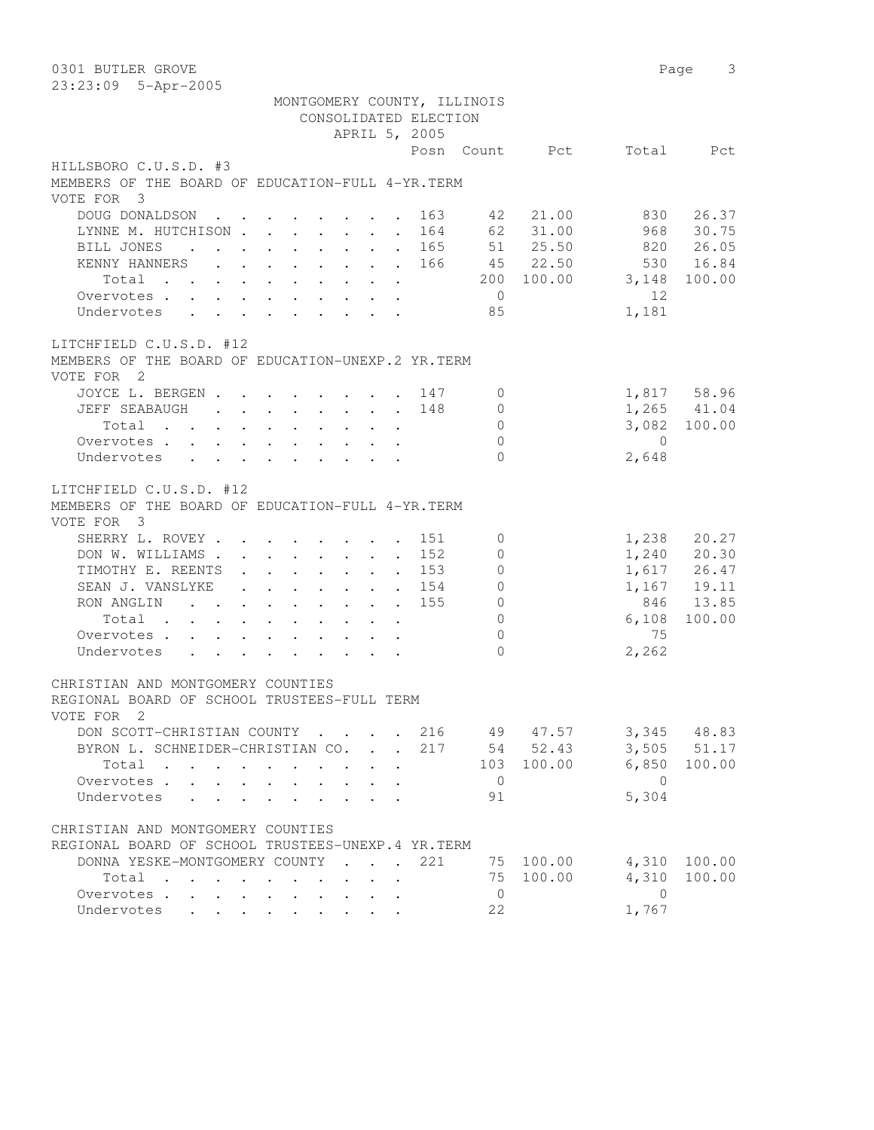| 0301 BUTLER GROVE                                                 |                                         | 3<br>Page       |
|-------------------------------------------------------------------|-----------------------------------------|-----------------|
| 23:23:09 5-Apr-2005                                               |                                         |                 |
| MONTGOMERY COUNTY, ILLINOIS                                       |                                         |                 |
| CONSOLIDATED ELECTION                                             |                                         |                 |
| APRIL 5, 2005                                                     |                                         |                 |
|                                                                   | Posn Count Pct                          | Total<br>Pct    |
| HILLSBORO C.U.S.D. #3                                             |                                         |                 |
| MEMBERS OF THE BOARD OF EDUCATION-FULL 4-YR. TERM                 |                                         |                 |
| VOTE FOR 3                                                        |                                         |                 |
| DOUG DONALDSON                                                    | 21.00<br>163<br>42                      | 830<br>26.37    |
| LYNNE M. HUTCHISON                                                | 62 31.00<br>164                         | 968<br>30.75    |
| BILL JONES                                                        | 51 25.50<br>165<br>$\ddot{\phantom{0}}$ | 820<br>26.05    |
| KENNY HANNERS                                                     | 45 22.50<br>166                         | 530<br>16.84    |
| Total $\cdot$                                                     | 100.00<br>200                           | 3,148<br>100.00 |
| Overvotes.                                                        | $\overline{0}$                          | 12.             |
| Undervotes                                                        | 85                                      | 1,181           |
| LITCHFIELD C.U.S.D. #12                                           |                                         |                 |
| MEMBERS OF THE BOARD OF EDUCATION-UNEXP.2 YR. TERM                |                                         |                 |
| VOTE FOR 2                                                        |                                         |                 |
| JOYCE L. BERGEN 147                                               | $\mathbf{0}$                            | 1,817 58.96     |
| JEFF SEABAUGH                                                     | 148<br>0                                | $1,265$ $41.04$ |
| Total                                                             | $\circ$                                 | 3,082 100.00    |
| Overvotes                                                         | $\circ$                                 | $\bigcirc$      |
| Undervotes                                                        | $\Omega$                                | 2,648           |
|                                                                   |                                         |                 |
| LITCHFIELD C.U.S.D. #12                                           |                                         |                 |
| MEMBERS OF THE BOARD OF EDUCATION-FULL 4-YR. TERM<br>VOTE FOR 3   |                                         |                 |
| SHERRY L. ROVEY                                                   | 151<br>$\mathbf{0}$                     | 1,238<br>20.27  |
| DON W. WILLIAMS                                                   | 152<br>$\mathbf{0}$                     | 1,240 20.30     |
| TIMOTHY E. REENTS                                                 | 153<br>$\mathbf{0}$<br>$\sim$           | 1,617 26.47     |
| SEAN J. VANSLYKE                                                  | 154<br>0                                | 1,167 19.11     |
| RON ANGLIN                                                        | 155<br>$\circ$                          | 846<br>13.85    |
| Total                                                             | $\mathbb O$                             | 6,108<br>100.00 |
| Overvotes                                                         | $\mathbf{0}$                            | 75              |
| Undervotes                                                        | $\bigcap$                               | 2,262           |
| CHRISTIAN AND MONTGOMERY COUNTIES                                 |                                         |                 |
| REGIONAL BOARD OF SCHOOL TRUSTEES-FULL TERM                       |                                         |                 |
| VOTE FOR 2                                                        |                                         |                 |
| DON SCOTT-CHRISTIAN COUNTY                                        | 49 47.57<br>216                         | 3,345<br>48.83  |
| BYRON L. SCHNEIDER-CHRISTIAN CO.<br>$\mathcal{L}^{\mathcal{L}}$ . | 54 52.43<br>217<br>$\overline{a}$       | 3,505<br>51.17  |
| Total                                                             | 103 100.00                              | 6,850<br>100.00 |
| Overvotes                                                         | $\overline{0}$                          | $\overline{0}$  |
| Undervotes<br>$\mathbf{L}$<br>$\mathbf{A}$                        | 91                                      | 5,304           |
| CHRISTIAN AND MONTGOMERY COUNTIES                                 |                                         |                 |
| REGIONAL BOARD OF SCHOOL TRUSTEES-UNEXP.4 YR.TERM                 |                                         |                 |
| DONNA YESKE-MONTGOMERY COUNTY<br>$\sim$                           | 221<br>75 100.00                        | 4,310<br>100.00 |
| Total<br>$\sim$<br>$\mathbf{r}$ , $\mathbf{r}$ , $\mathbf{r}$     | 100.00<br>75                            | 4,310<br>100.00 |
| Overvotes                                                         | $\overline{0}$                          | $\overline{0}$  |
| Undervotes<br>$\sim$                                              | 22                                      | 1,767           |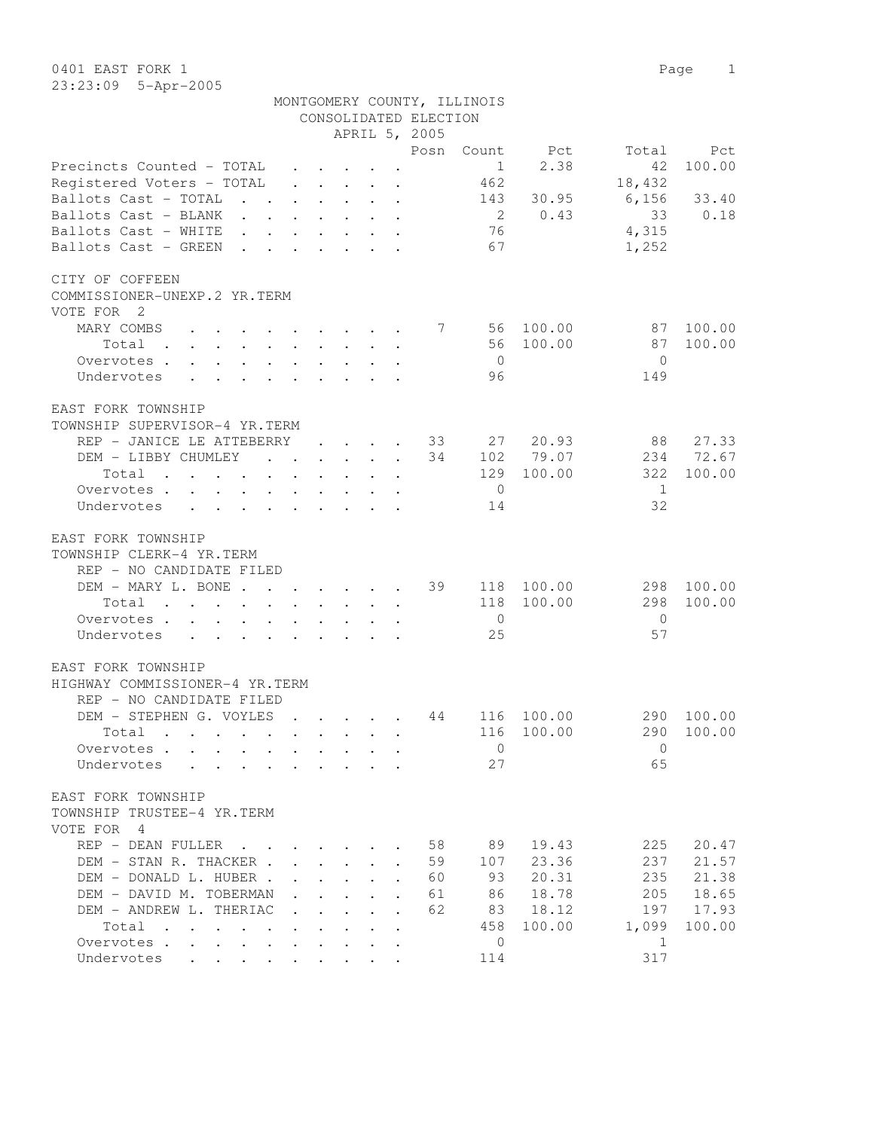0401 EAST FORK 1 Page 1 23:23:09 5-Apr-2005

|                                                                                                                                                                                                                                             |                                                                          |                                                             |                               |                                                 | CONSOLIDATED ELECTION      | MONTGOMERY COUNTY, ILLINOIS |             |                |               |
|---------------------------------------------------------------------------------------------------------------------------------------------------------------------------------------------------------------------------------------------|--------------------------------------------------------------------------|-------------------------------------------------------------|-------------------------------|-------------------------------------------------|----------------------------|-----------------------------|-------------|----------------|---------------|
|                                                                                                                                                                                                                                             |                                                                          |                                                             |                               |                                                 | APRIL 5, 2005              |                             |             |                |               |
| Precincts Counted - TOTAL                                                                                                                                                                                                                   |                                                                          |                                                             |                               |                                                 | Posn                       | Count<br>1                  | Pct<br>2.38 | Total<br>42    | Pct<br>100.00 |
| Registered Voters - TOTAL                                                                                                                                                                                                                   |                                                                          |                                                             |                               | $\cdot$ $\cdot$ $\cdot$ $\cdot$ $\cdot$ $\cdot$ |                            | 462                         |             | 18,432         |               |
| Ballots Cast - TOTAL<br>$\mathbf{r}$ , $\mathbf{r}$                                                                                                                                                                                         | $\ddot{\phantom{0}}$                                                     | $\mathbf{L}^{\text{max}}$                                   |                               | $\cdot$ $\cdot$ $\cdot$                         |                            | 143                         | 30.95       | 6,156          | 33.40         |
| Ballots Cast - BLANK                                                                                                                                                                                                                        |                                                                          | $\sim$ $-$                                                  |                               | $\cdot$ $\cdot$ $\cdot$                         |                            | $\overline{2}$              | 0.43        | 33             | 0.18          |
| Ballots Cast - WHITE                                                                                                                                                                                                                        |                                                                          |                                                             |                               | $\cdot$ $\cdot$ $\cdot$ $\cdot$                 |                            | 76                          |             | 4,315          |               |
| Ballots Cast - GREEN                                                                                                                                                                                                                        |                                                                          |                                                             |                               |                                                 |                            | 67                          |             | 1,252          |               |
| CITY OF COFFEEN<br>COMMISSIONER-UNEXP.2 YR.TERM<br>VOTE FOR 2                                                                                                                                                                               |                                                                          |                                                             |                               |                                                 |                            |                             |             |                |               |
| MARY COMBS                                                                                                                                                                                                                                  |                                                                          |                                                             |                               |                                                 |                            |                             |             | 87             | 100.00        |
| $\mathbf{r}$ , and $\mathbf{r}$ , and $\mathbf{r}$ , and $\mathbf{r}$ , and $\mathbf{r}$                                                                                                                                                    |                                                                          |                                                             |                               |                                                 | 7                          | 56                          | 100.00      |                |               |
| Total<br>. The second contract is a second contract of the second contract $\mathcal{L}_\text{c}$                                                                                                                                           |                                                                          |                                                             |                               |                                                 |                            | 56                          | 100.00      | 87             | 100.00        |
| Overvotes                                                                                                                                                                                                                                   |                                                                          |                                                             |                               |                                                 |                            | $\overline{0}$              |             | $\Omega$       |               |
| Undervotes<br>$\sim$ $\sim$ $\sim$                                                                                                                                                                                                          | $\mathbf{r} = \mathbf{r} \cdot \mathbf{r}$ . The set of the $\mathbf{r}$ |                                                             | $\cdot$ $\cdot$ $\cdot$       |                                                 |                            | 96                          |             | 149            |               |
| EAST FORK TOWNSHIP                                                                                                                                                                                                                          |                                                                          |                                                             |                               |                                                 |                            |                             |             |                |               |
| TOWNSHIP SUPERVISOR-4 YR.TERM                                                                                                                                                                                                               |                                                                          |                                                             |                               |                                                 |                            |                             |             |                |               |
| REP - JANICE LE ATTEBERRY                                                                                                                                                                                                                   |                                                                          |                                                             |                               | $\cdot$ $\cdot$ $\cdot$ $\cdot$ $\cdot$         | 33                         | 27                          | 20.93       | 88             | 27.33         |
| DEM - LIBBY CHUMLEY                                                                                                                                                                                                                         | $\mathbf{r}$ , $\mathbf{r}$ , $\mathbf{r}$ , $\mathbf{r}$                |                                                             |                               |                                                 | 34<br>$\ddot{\phantom{a}}$ |                             | 102 79.07   |                | 234 72.67     |
| Total<br>$\mathbf{r}$ . The contract of the contract of the contract of the contract of the contract of the contract of the contract of the contract of the contract of the contract of the contract of the contract of the contract of th  |                                                                          |                                                             |                               |                                                 |                            | 129                         | 100.00      | 322            | 100.00        |
| Overvotes                                                                                                                                                                                                                                   |                                                                          |                                                             |                               |                                                 |                            | $\overline{0}$              |             | -1             |               |
| Undervotes                                                                                                                                                                                                                                  |                                                                          |                                                             |                               |                                                 |                            | 14                          |             | 32             |               |
| EAST FORK TOWNSHIP<br>TOWNSHIP CLERK-4 YR.TERM<br>REP - NO CANDIDATE FILED                                                                                                                                                                  |                                                                          |                                                             |                               |                                                 |                            |                             |             |                |               |
| DEM - MARY L. BONE                                                                                                                                                                                                                          |                                                                          |                                                             |                               |                                                 | 39<br>$\ddot{\phantom{a}}$ |                             | 118 100.00  | 298            | 100.00        |
| Total<br>$\mathcal{A}$ . The set of the set of the set of the set of the set of the set of the set of the set of the set of the set of the set of the set of the set of the set of the set of the set of the set of the set of the set of t |                                                                          |                                                             |                               |                                                 |                            | 118                         | 100.00      | 298            | 100.00        |
| Overvotes                                                                                                                                                                                                                                   |                                                                          |                                                             |                               |                                                 |                            | $\overline{0}$              |             | $\overline{0}$ |               |
| Undervotes                                                                                                                                                                                                                                  |                                                                          |                                                             |                               |                                                 |                            | 25                          |             | 57             |               |
| EAST FORK TOWNSHIP<br>HIGHWAY COMMISSIONER-4 YR.TERM<br>REP - NO CANDIDATE FILED                                                                                                                                                            |                                                                          |                                                             |                               |                                                 |                            |                             |             |                |               |
| DEM - STEPHEN G. VOYLES                                                                                                                                                                                                                     | $\sim$                                                                   |                                                             |                               |                                                 | 44                         | 116                         | 100.00      | 290            | 100.00        |
| Total                                                                                                                                                                                                                                       |                                                                          |                                                             |                               |                                                 |                            |                             | 116 100.00  |                | 290 100.00    |
| Overvotes                                                                                                                                                                                                                                   |                                                                          |                                                             |                               |                                                 |                            | $\mathbf{0}$                |             | $\Omega$       |               |
| Undervotes                                                                                                                                                                                                                                  |                                                                          |                                                             |                               |                                                 |                            | 27                          |             | 65             |               |
|                                                                                                                                                                                                                                             |                                                                          |                                                             |                               |                                                 |                            |                             |             |                |               |
| EAST FORK TOWNSHIP<br>TOWNSHIP TRUSTEE-4 YR.TERM<br>VOTE FOR 4                                                                                                                                                                              |                                                                          |                                                             |                               |                                                 |                            |                             |             |                |               |
| REP - DEAN FULLER                                                                                                                                                                                                                           | $\mathbf{r}$ , $\mathbf{r}$ , $\mathbf{r}$ , $\mathbf{r}$                |                                                             |                               |                                                 | 58                         | 89                          | 19.43       | 225            | 20.47         |
| DEM - STAN R. THACKER                                                                                                                                                                                                                       |                                                                          |                                                             |                               |                                                 | 59<br>$\ddot{\phantom{a}}$ | 107                         | 23.36       | 237            | 21.57         |
| DEM - DONALD L. HUBER.                                                                                                                                                                                                                      |                                                                          |                                                             |                               | $\mathbf{r}$ , $\mathbf{r}$ , $\mathbf{r}$      | 60                         | 93                          | 20.31       | 235            | 21.38         |
| DEM - DAVID M. TOBERMAN                                                                                                                                                                                                                     |                                                                          |                                                             | $\mathbf{r}$ and $\mathbf{r}$ | $\mathbf{L}$                                    | 61<br>$\ddot{\phantom{a}}$ | 86                          | 18.78       | 205            | 18.65         |
| DEM - ANDREW L. THERIAC                                                                                                                                                                                                                     |                                                                          |                                                             | $\cdot$ $\cdot$ $\cdot$       | $\ddot{\phantom{a}}$                            | 62<br>$\ddot{\phantom{a}}$ | 83                          | 18.12       | 197            | 17.93         |
| Total                                                                                                                                                                                                                                       |                                                                          | $\ddot{\phantom{0}}$                                        |                               |                                                 |                            | 458                         | 100.00      | 1,099          | 100.00        |
| Overvotes.                                                                                                                                                                                                                                  |                                                                          | $\bullet$ .<br><br><br><br><br><br><br><br><br><br><br><br> |                               |                                                 |                            | 0                           |             | 1              |               |
| Undervotes                                                                                                                                                                                                                                  |                                                                          |                                                             |                               |                                                 |                            | 114                         |             | 317            |               |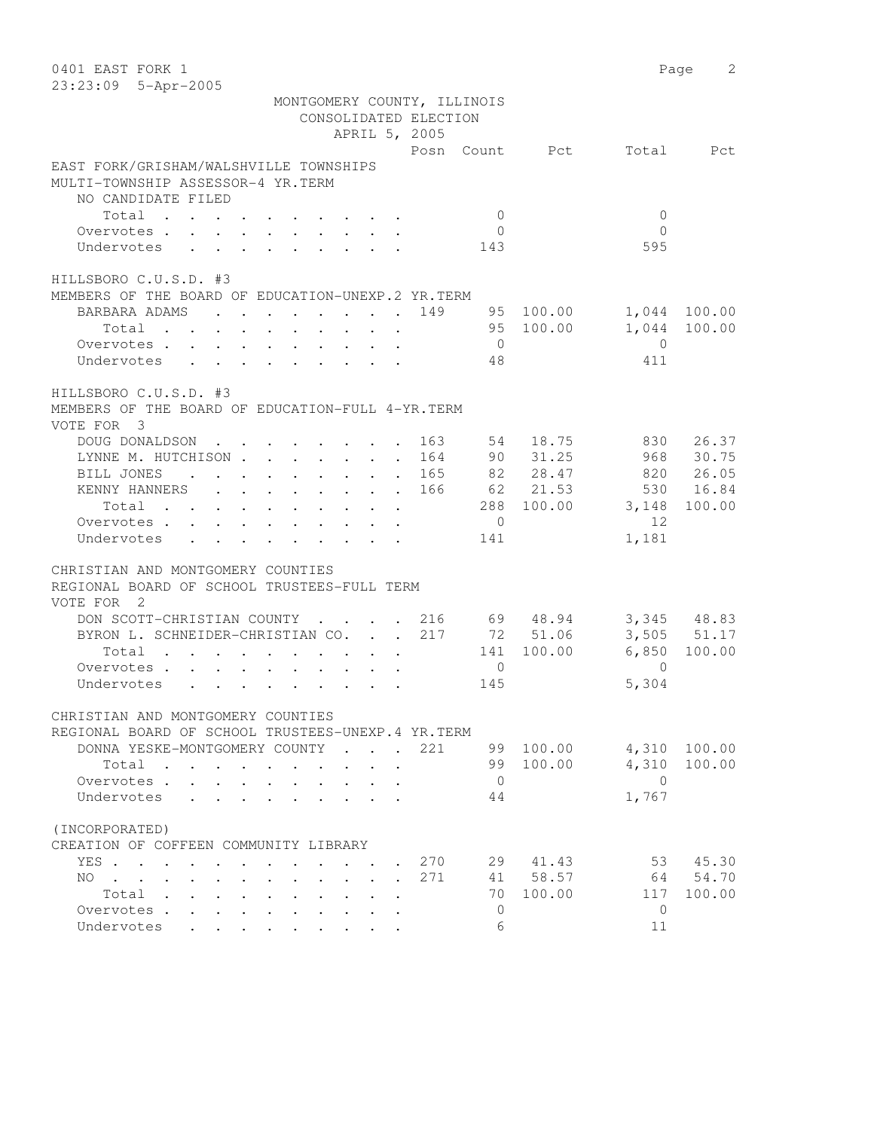| 0401 EAST FORK 1<br>23:23:09 5-Apr-2005                                                                                                                                                                                                                                                                                                                                                                                                                                                        |                                                                                                                                   |                         |                                                      |            |                          | Page<br>2   |
|------------------------------------------------------------------------------------------------------------------------------------------------------------------------------------------------------------------------------------------------------------------------------------------------------------------------------------------------------------------------------------------------------------------------------------------------------------------------------------------------|-----------------------------------------------------------------------------------------------------------------------------------|-------------------------|------------------------------------------------------|------------|--------------------------|-------------|
|                                                                                                                                                                                                                                                                                                                                                                                                                                                                                                |                                                                                                                                   |                         | MONTGOMERY COUNTY, ILLINOIS<br>CONSOLIDATED ELECTION |            |                          |             |
|                                                                                                                                                                                                                                                                                                                                                                                                                                                                                                |                                                                                                                                   | APRIL 5, 2005           |                                                      |            |                          |             |
| EAST FORK/GRISHAM/WALSHVILLE TOWNSHIPS<br>MULTI-TOWNSHIP ASSESSOR-4 YR.TERM                                                                                                                                                                                                                                                                                                                                                                                                                    |                                                                                                                                   |                         | Posn Count Pct                                       |            | Total                    | Pct         |
| NO CANDIDATE FILED                                                                                                                                                                                                                                                                                                                                                                                                                                                                             |                                                                                                                                   |                         |                                                      |            |                          |             |
| Total                                                                                                                                                                                                                                                                                                                                                                                                                                                                                          |                                                                                                                                   |                         | $\circ$<br>$\overline{0}$                            |            | $\mathbf{0}$<br>$\Omega$ |             |
| $\mathbf{1}=\mathbf{1}=\mathbf{1}=\mathbf{1}=\mathbf{1}=\mathbf{1}=\mathbf{1}=\mathbf{1}=\mathbf{1}=\mathbf{1}=\mathbf{1}=\mathbf{1}=\mathbf{1}=\mathbf{1}=\mathbf{1}=\mathbf{1}=\mathbf{1}=\mathbf{1}=\mathbf{1}=\mathbf{1}=\mathbf{1}=\mathbf{1}=\mathbf{1}=\mathbf{1}=\mathbf{1}=\mathbf{1}=\mathbf{1}=\mathbf{1}=\mathbf{1}=\mathbf{1}=\mathbf{1}=\mathbf{1}=\mathbf{1}=\mathbf{1}=\mathbf{1}=\mathbf{1}=\mathbf{$<br>Overvotes .<br>Undervotes<br>$\mathbf{r} = \mathbf{r}$<br>$\sim 100$ | $\cdot$ $\cdot$ $\cdot$ $\cdot$ $\cdot$                                                                                           |                         | 143                                                  |            | 595                      |             |
|                                                                                                                                                                                                                                                                                                                                                                                                                                                                                                |                                                                                                                                   |                         |                                                      |            |                          |             |
| HILLSBORO C.U.S.D. #3                                                                                                                                                                                                                                                                                                                                                                                                                                                                          |                                                                                                                                   |                         |                                                      |            |                          |             |
| MEMBERS OF THE BOARD OF EDUCATION-UNEXP.2 YR.TERM                                                                                                                                                                                                                                                                                                                                                                                                                                              |                                                                                                                                   |                         |                                                      |            |                          |             |
| BARBARA ADAMS                                                                                                                                                                                                                                                                                                                                                                                                                                                                                  | $\mathbf{r}$ , and $\mathbf{r}$ , and $\mathbf{r}$ , and $\mathbf{r}$ , and $\mathbf{r}$                                          |                         | 149                                                  | 95 100.00  | 1,044                    | 100.00      |
| Total                                                                                                                                                                                                                                                                                                                                                                                                                                                                                          |                                                                                                                                   |                         |                                                      | 95 100.00  | 1,044<br>$\Omega$        | 100.00      |
| Overvotes<br>Undervotes                                                                                                                                                                                                                                                                                                                                                                                                                                                                        |                                                                                                                                   |                         | $\overline{0}$<br>48                                 |            | 411                      |             |
|                                                                                                                                                                                                                                                                                                                                                                                                                                                                                                |                                                                                                                                   |                         |                                                      |            |                          |             |
| HILLSBORO C.U.S.D. #3<br>MEMBERS OF THE BOARD OF EDUCATION-FULL 4-YR. TERM<br>VOTE FOR 3                                                                                                                                                                                                                                                                                                                                                                                                       |                                                                                                                                   |                         |                                                      |            |                          |             |
| DOUG DONALDSON                                                                                                                                                                                                                                                                                                                                                                                                                                                                                 |                                                                                                                                   |                         | 163<br>54                                            | 18.75      | 830                      | 26.37       |
| LYNNE M. HUTCHISON 164                                                                                                                                                                                                                                                                                                                                                                                                                                                                         |                                                                                                                                   |                         |                                                      | 90 31.25   | 968                      | 30.75       |
| BILL JONES<br>$\sim$                                                                                                                                                                                                                                                                                                                                                                                                                                                                           |                                                                                                                                   |                         | . 165                                                | 82 28.47   | 820                      | 26.05       |
| KENNY HANNERS                                                                                                                                                                                                                                                                                                                                                                                                                                                                                  | $\mathbf{r} = \mathbf{r} + \mathbf{r} + \mathbf{r} + \mathbf{r} + \mathbf{r} + \mathbf{r} + \mathbf{r} + \mathbf{r} + \mathbf{r}$ |                         | 166                                                  | 62 21.53   |                          | 530 16.84   |
| Total                                                                                                                                                                                                                                                                                                                                                                                                                                                                                          |                                                                                                                                   |                         |                                                      | 288 100.00 | 3,148                    | 100.00      |
| Overvotes                                                                                                                                                                                                                                                                                                                                                                                                                                                                                      | $\mathbf{r}$ , and $\mathbf{r}$ , and $\mathbf{r}$ , and $\mathbf{r}$                                                             |                         | $\overline{0}$                                       |            | 12                       |             |
| Undervotes                                                                                                                                                                                                                                                                                                                                                                                                                                                                                     |                                                                                                                                   |                         | 141                                                  |            | 1,181                    |             |
|                                                                                                                                                                                                                                                                                                                                                                                                                                                                                                |                                                                                                                                   |                         |                                                      |            |                          |             |
| CHRISTIAN AND MONTGOMERY COUNTIES<br>REGIONAL BOARD OF SCHOOL TRUSTEES-FULL TERM                                                                                                                                                                                                                                                                                                                                                                                                               |                                                                                                                                   |                         |                                                      |            |                          |             |
| VOTE FOR 2                                                                                                                                                                                                                                                                                                                                                                                                                                                                                     |                                                                                                                                   |                         |                                                      |            |                          |             |
| DON SCOTT-CHRISTIAN COUNTY                                                                                                                                                                                                                                                                                                                                                                                                                                                                     |                                                                                                                                   |                         | . 216                                                | 69 48.94   |                          | 3,345 48.83 |
| BYRON L. SCHNEIDER-CHRISTIAN CO.                                                                                                                                                                                                                                                                                                                                                                                                                                                               |                                                                                                                                   |                         | 217                                                  | 72 51.06   |                          | 3,505 51.17 |
| Total                                                                                                                                                                                                                                                                                                                                                                                                                                                                                          |                                                                                                                                   |                         |                                                      | 141 100.00 | 6,850                    | 100.00      |
| Overvotes.<br>$\mathbf{r}$                                                                                                                                                                                                                                                                                                                                                                                                                                                                     |                                                                                                                                   |                         | $\mathbf 0$                                          |            | $\Omega$                 |             |
| Undervotes<br>$\cdot$ $\cdot$ $\cdot$ $\cdot$                                                                                                                                                                                                                                                                                                                                                                                                                                                  | $\sim$ $-$<br>$\sim$                                                                                                              | $\cdot$ $\cdot$ $\cdot$ | 145                                                  |            | 5,304                    |             |
| CHRISTIAN AND MONTGOMERY COUNTIES                                                                                                                                                                                                                                                                                                                                                                                                                                                              |                                                                                                                                   |                         |                                                      |            |                          |             |
| REGIONAL BOARD OF SCHOOL TRUSTEES-UNEXP.4 YR.TERM                                                                                                                                                                                                                                                                                                                                                                                                                                              |                                                                                                                                   |                         |                                                      |            |                          |             |
| DONNA YESKE-MONTGOMERY COUNTY                                                                                                                                                                                                                                                                                                                                                                                                                                                                  |                                                                                                                                   | $\mathbf{r}$            | 221<br>99                                            | 100.00     | 4,310                    | 100.00      |
| Total<br>$\sim$<br>$\mathbf{r}$ . The set of $\mathbf{r}$                                                                                                                                                                                                                                                                                                                                                                                                                                      |                                                                                                                                   |                         | 99                                                   | 100.00     | 4,310                    | 100.00      |
| Overvotes .                                                                                                                                                                                                                                                                                                                                                                                                                                                                                    |                                                                                                                                   |                         | $\overline{0}$                                       |            | $\mathbf{0}$<br>1,767    |             |
| Undervotes                                                                                                                                                                                                                                                                                                                                                                                                                                                                                     |                                                                                                                                   |                         | 44                                                   |            |                          |             |
| (INCORPORATED)<br>CREATION OF COFFEEN COMMUNITY LIBRARY                                                                                                                                                                                                                                                                                                                                                                                                                                        |                                                                                                                                   |                         |                                                      |            |                          |             |
| YES .<br>$\sim$ $\sim$ $\sim$ $\sim$                                                                                                                                                                                                                                                                                                                                                                                                                                                           |                                                                                                                                   |                         | 270<br>29                                            | 41.43      | 53                       | 45.30       |
| NO.<br>$\mathbf{r}$ , $\mathbf{r}$ , $\mathbf{r}$                                                                                                                                                                                                                                                                                                                                                                                                                                              |                                                                                                                                   |                         | 271<br>41                                            | 58.57      | 64                       | 54.70       |
| Total .<br>$\ddot{\phantom{0}}$<br>$\sim$                                                                                                                                                                                                                                                                                                                                                                                                                                                      | $\ddot{\phantom{a}}$                                                                                                              |                         | 70                                                   | 100.00     | 117                      | 100.00      |
| Overvotes<br>$\bullet$ .                                                                                                                                                                                                                                                                                                                                                                                                                                                                       |                                                                                                                                   |                         | 0                                                    |            | $\mathbf{0}$             |             |
| Undervotes                                                                                                                                                                                                                                                                                                                                                                                                                                                                                     |                                                                                                                                   |                         | 6                                                    |            | 11                       |             |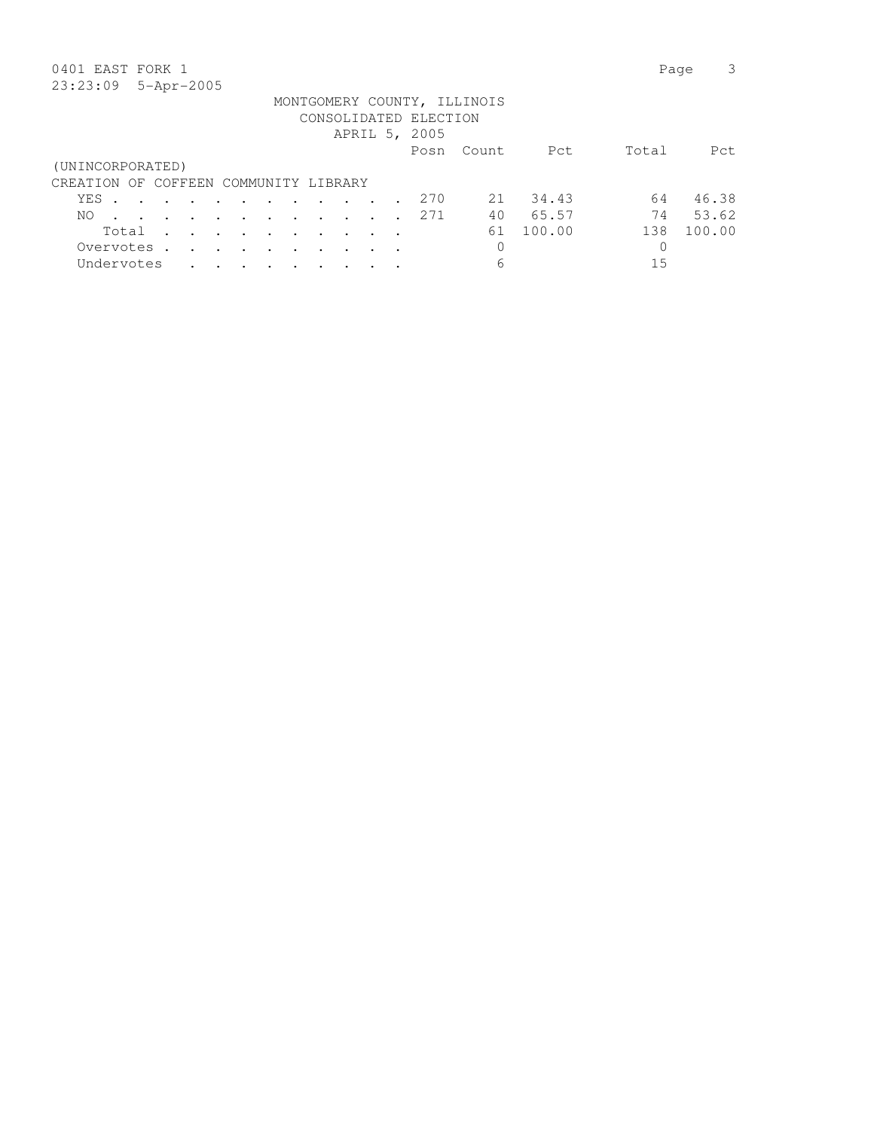## 0401 EAST FORK 1 Page 3

|                                       |       |        |  |                                                 |                             |                                                                          |               | CONSOLIDATED ELECTION |          |        |       |        |
|---------------------------------------|-------|--------|--|-------------------------------------------------|-----------------------------|--------------------------------------------------------------------------|---------------|-----------------------|----------|--------|-------|--------|
|                                       |       |        |  |                                                 |                             |                                                                          |               | APRIL 5, 2005         |          |        |       |        |
|                                       |       |        |  |                                                 |                             |                                                                          |               | Posn                  | - Count. | Pct    | Total | Pct.   |
| (UNINCORPORATED)                      |       |        |  |                                                 |                             |                                                                          |               |                       |          |        |       |        |
| CREATION OF COFFEEN COMMUNITY LIBRARY |       |        |  |                                                 |                             |                                                                          |               |                       |          |        |       |        |
| YES                                   |       |        |  |                                                 |                             |                                                                          |               | 2.70                  | 21       | 34.43  | 64    | 46.38  |
| NO.                                   |       |        |  |                                                 |                             | $\mathbf{r}$ , $\mathbf{r}$ , $\mathbf{r}$ , $\mathbf{r}$ , $\mathbf{r}$ |               | 2.71                  | 40       | 65.57  | 74    | 53.62  |
|                                       | Total |        |  |                                                 |                             | $\sim$ $\sim$                                                            | $\sim$ $\sim$ |                       | 61       | 100.00 | 138   | 100.00 |
| Overvotes                             |       | $\sim$ |  | and the state of the state of the               | $\sim$ $\sim$ $\sim$ $\sim$ |                                                                          |               |                       | 0        |        |       |        |
| Undervotes                            |       |        |  | $\cdot$ $\cdot$ $\cdot$ $\cdot$ $\cdot$ $\cdot$ | $\sim$                      |                                                                          |               |                       | 6        |        | 15    |        |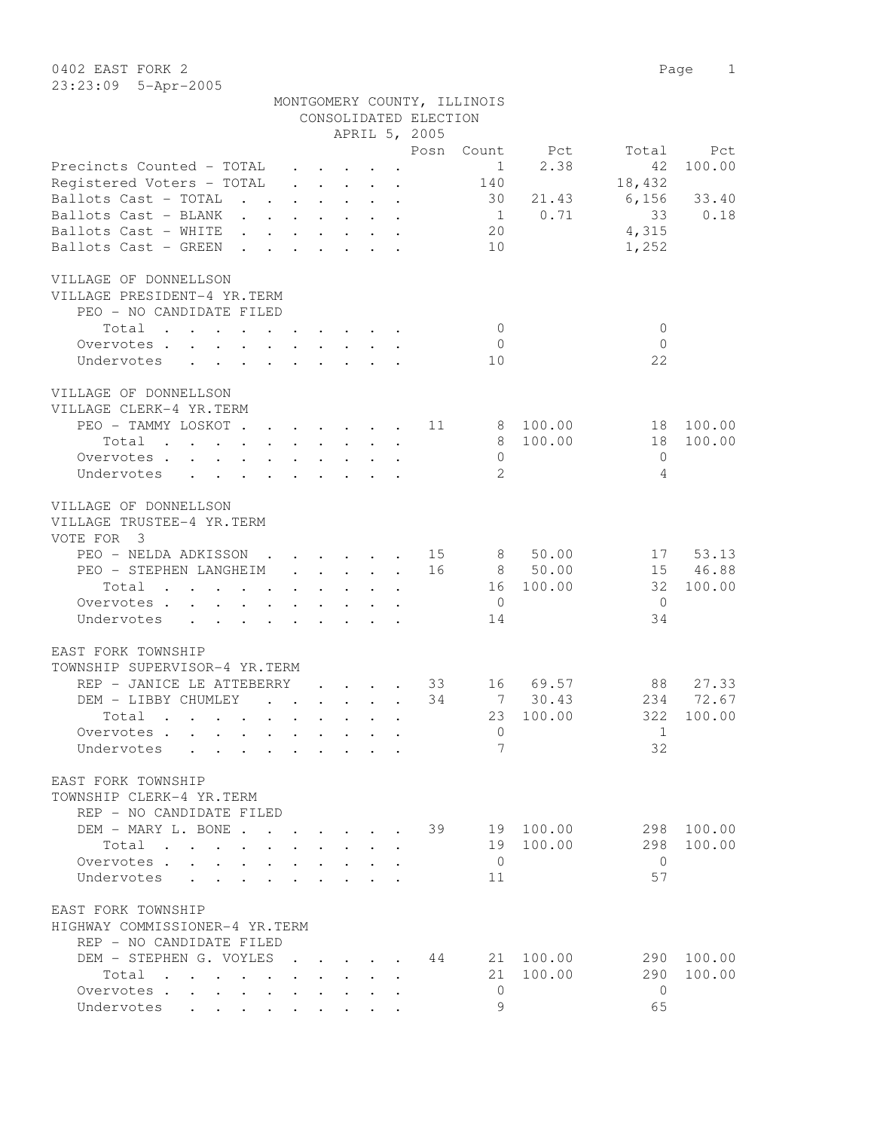0402 EAST FORK 2 Page 1 23:23:09 5-Apr-2005

|                                                                                                                                                                                                                                             |                                                                 |              |                                                           |                      | CONSOLIDATED ELECTION |                |           |                |            |
|---------------------------------------------------------------------------------------------------------------------------------------------------------------------------------------------------------------------------------------------|-----------------------------------------------------------------|--------------|-----------------------------------------------------------|----------------------|-----------------------|----------------|-----------|----------------|------------|
|                                                                                                                                                                                                                                             |                                                                 |              |                                                           |                      | APRIL 5, 2005         |                |           |                |            |
|                                                                                                                                                                                                                                             |                                                                 |              |                                                           |                      | Posn                  | Count          | Pct       | Total          | Pct        |
| Precincts Counted - TOTAL                                                                                                                                                                                                                   |                                                                 |              | $\cdot$ $\cdot$ $\cdot$ $\cdot$                           |                      |                       | $\mathbf{1}$   | 2.38      | 42             | 100.00     |
| Registered Voters - TOTAL                                                                                                                                                                                                                   | $\cdot$ $\cdot$ $\cdot$ $\cdot$ $\cdot$ $\cdot$                 |              |                                                           |                      |                       | 140            |           | 18,432         |            |
| Ballots Cast - TOTAL<br>$\mathbf{L}$ and $\mathbf{L}$ and $\mathbf{L}$                                                                                                                                                                      | $\cdot$ $\cdot$ $\cdot$ $\cdot$ $\cdot$ $\cdot$                 |              |                                                           |                      |                       | 30             | 21.43     | 6,156          | 33.40      |
| Ballots Cast - BLANK                                                                                                                                                                                                                        |                                                                 |              | $\cdot$ $\cdot$ $\cdot$                                   |                      |                       | 1              | 0.71      | 33             | 0.18       |
| Ballots Cast - WHITE                                                                                                                                                                                                                        |                                                                 |              |                                                           |                      |                       | 20             |           | 4,315          |            |
| Ballots Cast - GREEN<br>$\Delta \sim 10^4$<br><b>Contract Contract</b>                                                                                                                                                                      |                                                                 |              |                                                           |                      |                       | 10             |           | 1,252          |            |
| VILLAGE OF DONNELLSON<br>VILLAGE PRESIDENT-4 YR.TERM                                                                                                                                                                                        |                                                                 |              |                                                           |                      |                       |                |           |                |            |
| PEO - NO CANDIDATE FILED                                                                                                                                                                                                                    |                                                                 |              |                                                           |                      |                       |                |           |                |            |
| Total<br>. The contract of the contract of the contract of $\mathcal{A}$ is a set of the contract of the contract of the contract of the contract of the contract of the contract of the contract of the contract of the contract of the co |                                                                 |              |                                                           |                      |                       | $\overline{0}$ |           | $\mathbf{0}$   |            |
| Overvotes                                                                                                                                                                                                                                   |                                                                 |              |                                                           |                      |                       | $\Omega$       |           | $\Omega$       |            |
| Undervotes                                                                                                                                                                                                                                  |                                                                 |              |                                                           |                      |                       | 10             |           | 22             |            |
| VILLAGE OF DONNELLSON<br>VILLAGE CLERK-4 YR.TERM                                                                                                                                                                                            |                                                                 |              |                                                           |                      |                       |                |           |                |            |
| PEO - TAMMY LOSKOT                                                                                                                                                                                                                          |                                                                 |              |                                                           |                      | 11                    |                | 8 100.00  | 18             | 100.00     |
| Total<br>$\mathbf{r}$ , and $\mathbf{r}$ , and $\mathbf{r}$ , and $\mathbf{r}$                                                                                                                                                              |                                                                 |              |                                                           |                      |                       | 8              | 100.00    | 18             | 100.00     |
| Overvotes                                                                                                                                                                                                                                   |                                                                 |              |                                                           |                      |                       | $\mathbf{0}$   |           | $\mathbf{0}$   |            |
| Undervotes                                                                                                                                                                                                                                  |                                                                 |              |                                                           |                      |                       | $\mathfrak{L}$ |           | 4              |            |
| VILLAGE OF DONNELLSON<br>VILLAGE TRUSTEE-4 YR.TERM<br>VOTE FOR 3                                                                                                                                                                            |                                                                 |              |                                                           |                      |                       |                |           |                |            |
| PEO - NELDA ADKISSON<br>$\mathbf{r}$ , $\mathbf{r}$ , $\mathbf{r}$ , $\mathbf{r}$                                                                                                                                                           |                                                                 |              |                                                           |                      | 15                    | 8              | 50.00     | 17             | 53.13      |
| PEO - STEPHEN LANGHEIM                                                                                                                                                                                                                      | $\mathbf{r}$ and $\mathbf{r}$ and $\mathbf{r}$ and $\mathbf{r}$ |              |                                                           |                      | 16                    | 8              | 50.00     | 15             | 46.88      |
| Total<br>$\mathbf{r}$ , and $\mathbf{r}$ , and $\mathbf{r}$ , and $\mathbf{r}$ , and $\mathbf{r}$                                                                                                                                           |                                                                 |              |                                                           |                      |                       | 16             | 100.00    | 32             | 100.00     |
| Overvotes.                                                                                                                                                                                                                                  |                                                                 |              |                                                           |                      |                       | $\overline{0}$ |           | $\overline{0}$ |            |
| Undervotes                                                                                                                                                                                                                                  |                                                                 |              |                                                           |                      |                       | 14             |           | 34             |            |
|                                                                                                                                                                                                                                             |                                                                 |              |                                                           |                      |                       |                |           |                |            |
| EAST FORK TOWNSHIP                                                                                                                                                                                                                          |                                                                 |              |                                                           |                      |                       |                |           |                |            |
| TOWNSHIP SUPERVISOR-4 YR.TERM                                                                                                                                                                                                               |                                                                 |              |                                                           |                      |                       |                |           |                |            |
| REP - JANICE LE ATTEBERRY                                                                                                                                                                                                                   |                                                                 |              | and the state of the state of the                         |                      | 33                    | 16             | 69.57     | 88             | 27.33      |
| DEM - LIBBY CHUMLEY                                                                                                                                                                                                                         |                                                                 |              | $\mathbf{r}$ and $\mathbf{r}$ and $\mathbf{r}$            |                      | 34                    | 7              | 30.43     | 234            | 72.67      |
| Total<br>$\mathbf{r}$ , and $\mathbf{r}$ , and $\mathbf{r}$ , and $\mathbf{r}$ , and $\mathbf{r}$                                                                                                                                           |                                                                 |              |                                                           |                      |                       | 23             | 100.00    | 322            | 100.00     |
| Overvotes.                                                                                                                                                                                                                                  |                                                                 |              |                                                           |                      |                       | $\mathbf{0}$   |           | 1              |            |
| Undervotes                                                                                                                                                                                                                                  |                                                                 |              |                                                           |                      |                       | 7              |           | 32             |            |
| EAST FORK TOWNSHIP                                                                                                                                                                                                                          |                                                                 |              |                                                           |                      |                       |                |           |                |            |
| TOWNSHIP CLERK-4 YR.TERM<br>REP - NO CANDIDATE FILED                                                                                                                                                                                        |                                                                 |              |                                                           |                      |                       |                |           |                |            |
| DEM - MARY L. BONE                                                                                                                                                                                                                          |                                                                 |              |                                                           |                      | 39                    |                | 19 100.00 | 298            | 100.00     |
| Total<br>$\mathbf{L}$                                                                                                                                                                                                                       |                                                                 | $\mathbf{L}$ | $\sim$                                                    | $\ddot{\phantom{a}}$ |                       |                | 19 100.00 | 298            | 100.00     |
| Overvotes.                                                                                                                                                                                                                                  |                                                                 |              |                                                           |                      |                       | $\overline{0}$ |           | $\bigcirc$     |            |
| Undervotes                                                                                                                                                                                                                                  | $\mathbf{L}$                                                    |              | $\mathbf{r}$ , $\mathbf{r}$ , $\mathbf{r}$ , $\mathbf{r}$ |                      |                       | 11             |           | 57             |            |
|                                                                                                                                                                                                                                             |                                                                 |              |                                                           |                      |                       |                |           |                |            |
| EAST FORK TOWNSHIP                                                                                                                                                                                                                          |                                                                 |              |                                                           |                      |                       |                |           |                |            |
| HIGHWAY COMMISSIONER-4 YR.TERM                                                                                                                                                                                                              |                                                                 |              |                                                           |                      |                       |                |           |                |            |
| REP - NO CANDIDATE FILED                                                                                                                                                                                                                    |                                                                 |              |                                                           |                      |                       |                |           |                |            |
| DEM - STEPHEN G. VOYLES                                                                                                                                                                                                                     |                                                                 |              | $\mathbf{r}$                                              |                      | 44                    |                | 21 100.00 |                | 290 100.00 |
| Total                                                                                                                                                                                                                                       |                                                                 |              |                                                           |                      |                       |                | 21 100.00 | 290            | 100.00     |
| Overvotes<br>$\sim$ $-$                                                                                                                                                                                                                     |                                                                 |              |                                                           |                      |                       | $\Omega$       |           | $\bigcirc$     |            |
| Undervotes                                                                                                                                                                                                                                  |                                                                 |              |                                                           |                      |                       | 9              |           | 65             |            |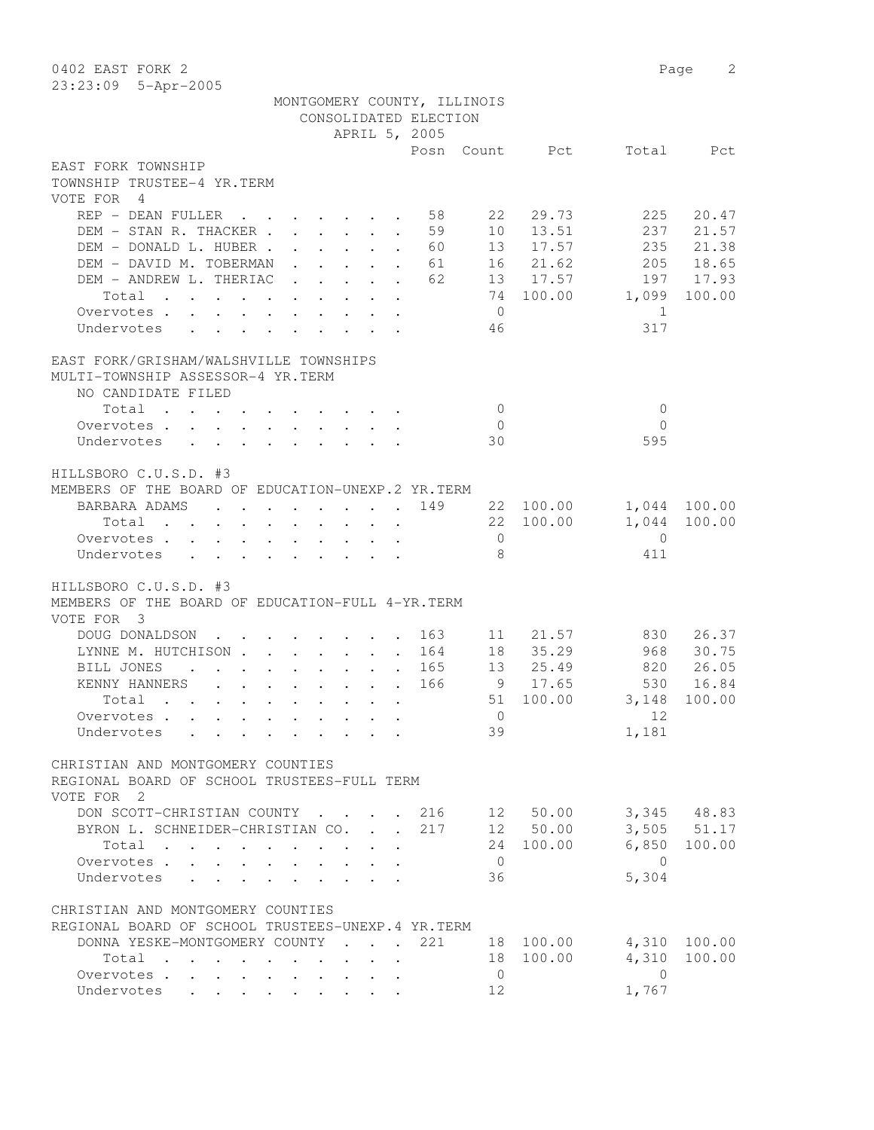| 0402 EAST FORK 2                                                                                                         |                                                                                          |                                                                 |                       |                |                |                | 2<br>Page       |
|--------------------------------------------------------------------------------------------------------------------------|------------------------------------------------------------------------------------------|-----------------------------------------------------------------|-----------------------|----------------|----------------|----------------|-----------------|
| 23:23:09 5-Apr-2005                                                                                                      |                                                                                          |                                                                 |                       |                |                |                |                 |
|                                                                                                                          | MONTGOMERY COUNTY, ILLINOIS                                                              |                                                                 |                       |                |                |                |                 |
|                                                                                                                          |                                                                                          |                                                                 | CONSOLIDATED ELECTION |                |                |                |                 |
|                                                                                                                          |                                                                                          | APRIL 5, 2005                                                   |                       |                |                |                |                 |
| EAST FORK TOWNSHIP                                                                                                       |                                                                                          |                                                                 |                       |                | Posn Count Pct | Total          | Pct             |
| TOWNSHIP TRUSTEE-4 YR.TERM                                                                                               |                                                                                          |                                                                 |                       |                |                |                |                 |
| VOTE FOR 4                                                                                                               |                                                                                          |                                                                 |                       |                |                |                |                 |
| REP - DEAN FULLER                                                                                                        |                                                                                          |                                                                 | 58                    | 22             | 29.73          | 225            | 20.47           |
| DEM - STAN R. THACKER                                                                                                    |                                                                                          | $\mathbf{r}$                                                    | 59                    | 10             | 13.51          | 237            | 21.57           |
| DEM - DONALD L. HUBER .                                                                                                  |                                                                                          | $\mathbf{r}$ and $\mathbf{r}$ and $\mathbf{r}$ and $\mathbf{r}$ | 60                    |                | 13 17.57       | 235            | 21.38           |
| DEM - DAVID M. TOBERMAN                                                                                                  |                                                                                          |                                                                 | 61                    |                | 16 21.62       |                | 205 18.65       |
| DEM - ANDREW L. THERIAC                                                                                                  |                                                                                          |                                                                 | 62                    |                | 13 17.57       |                | 197 17.93       |
| Total<br>$\mathcal{A}$ . The second contribution of the second contribution $\mathcal{A}$                                |                                                                                          |                                                                 |                       |                | 74 100.00      | 1,099          | 100.00          |
| Overvotes                                                                                                                |                                                                                          |                                                                 |                       | $\overline{0}$ |                | -1             |                 |
| Undervotes                                                                                                               |                                                                                          |                                                                 |                       | 46             |                | 317            |                 |
|                                                                                                                          |                                                                                          |                                                                 |                       |                |                |                |                 |
| EAST FORK/GRISHAM/WALSHVILLE TOWNSHIPS                                                                                   |                                                                                          |                                                                 |                       |                |                |                |                 |
| MULTI-TOWNSHIP ASSESSOR-4 YR.TERM                                                                                        |                                                                                          |                                                                 |                       |                |                |                |                 |
| NO CANDIDATE FILED                                                                                                       |                                                                                          |                                                                 |                       |                |                |                |                 |
| Total                                                                                                                    |                                                                                          |                                                                 |                       | $\overline{0}$ |                | $\mathbf{0}$   |                 |
| Overvotes.                                                                                                               |                                                                                          |                                                                 |                       | $\overline{0}$ |                | $\Omega$       |                 |
| Undervotes                                                                                                               |                                                                                          |                                                                 |                       | 30             |                | 595            |                 |
|                                                                                                                          |                                                                                          |                                                                 |                       |                |                |                |                 |
| HILLSBORO C.U.S.D. #3                                                                                                    |                                                                                          |                                                                 |                       |                |                |                |                 |
| MEMBERS OF THE BOARD OF EDUCATION-UNEXP.2 YR. TERM                                                                       |                                                                                          |                                                                 |                       |                |                |                |                 |
| BARBARA ADAMS<br><b>Contract Contract Contract</b>                                                                       | $\mathbf{r}$ , and $\mathbf{r}$ , and $\mathbf{r}$ , and $\mathbf{r}$                    |                                                                 | 149                   |                | 22 100.00      |                | 1,044 100.00    |
| Total                                                                                                                    | $\mathbf{r}$ , and $\mathbf{r}$ , and $\mathbf{r}$ , and $\mathbf{r}$ , and $\mathbf{r}$ |                                                                 |                       |                | 22 100.00      | 1,044          | 100.00          |
| Overvotes.                                                                                                               |                                                                                          |                                                                 |                       | $\overline{0}$ |                | $\Omega$       |                 |
| Undervotes                                                                                                               |                                                                                          |                                                                 |                       | -8             |                | 411            |                 |
|                                                                                                                          |                                                                                          |                                                                 |                       |                |                |                |                 |
| HILLSBORO C.U.S.D. #3                                                                                                    |                                                                                          |                                                                 |                       |                |                |                |                 |
| MEMBERS OF THE BOARD OF EDUCATION-FULL 4-YR. TERM                                                                        |                                                                                          |                                                                 |                       |                |                |                |                 |
| VOTE FOR 3<br>DOUG DONALDSON                                                                                             |                                                                                          |                                                                 |                       |                | 21.57          | 830            | 26.37           |
| $\mathbf{r}$ , $\mathbf{r}$ , $\mathbf{r}$ , $\mathbf{r}$ , $\mathbf{r}$ , $\mathbf{r}$<br>LYNNE M. HUTCHISON            |                                                                                          |                                                                 | 163<br>164            | 11<br>18       | 35.29          | 968            | 30.75           |
| <b>BILL JONES</b><br>$\mathcal{A}$ . The set of the set of the set of the set of the $\mathcal{A}$                       |                                                                                          |                                                                 | 165                   |                | 13 25.49       | 820            | 26.05           |
| KENNY HANNERS<br>$\mathbf{r}$ , $\mathbf{r}$ , $\mathbf{r}$ , $\mathbf{r}$ , $\mathbf{r}$ , $\mathbf{r}$                 |                                                                                          |                                                                 | 166                   | 9              | 17.65          | 530            | 16.84           |
| Total<br>the contract of the contract of the contract of the contract of the contract of the contract of the contract of |                                                                                          |                                                                 |                       |                | 51 100.00      |                | 3,148 100.00    |
| Overvotes.                                                                                                               |                                                                                          |                                                                 |                       | $\overline{0}$ |                | 12             |                 |
| Undervotes                                                                                                               |                                                                                          |                                                                 |                       | 39             |                | 1,181          |                 |
|                                                                                                                          |                                                                                          |                                                                 |                       |                |                |                |                 |
| CHRISTIAN AND MONTGOMERY COUNTIES                                                                                        |                                                                                          |                                                                 |                       |                |                |                |                 |
| REGIONAL BOARD OF SCHOOL TRUSTEES-FULL TERM                                                                              |                                                                                          |                                                                 |                       |                |                |                |                 |
| VOTE FOR 2                                                                                                               |                                                                                          |                                                                 |                       |                |                |                |                 |
| DON SCOTT-CHRISTIAN COUNTY 216 12 50.00 3,345 48.83                                                                      |                                                                                          |                                                                 |                       |                |                |                |                 |
| BYRON L. SCHNEIDER-CHRISTIAN CO. 217 12 50.00                                                                            |                                                                                          |                                                                 |                       |                |                |                | $3,505$ $51.17$ |
| Total                                                                                                                    |                                                                                          |                                                                 |                       |                | 24 100.00      |                | 6,850 100.00    |
| Overvotes.                                                                                                               |                                                                                          |                                                                 |                       | $\overline{0}$ |                | $\overline{0}$ |                 |
| Undervotes                                                                                                               |                                                                                          |                                                                 |                       | 36             |                | 5,304          |                 |
|                                                                                                                          |                                                                                          |                                                                 |                       |                |                |                |                 |
| CHRISTIAN AND MONTGOMERY COUNTIES                                                                                        |                                                                                          |                                                                 |                       |                |                |                |                 |
| REGIONAL BOARD OF SCHOOL TRUSTEES-UNEXP.4 YR.TERM                                                                        |                                                                                          |                                                                 |                       |                |                |                |                 |
| DONNA YESKE-MONTGOMERY COUNTY 221 18 100.00 4,310 100.00                                                                 |                                                                                          |                                                                 |                       |                |                |                |                 |
| Total                                                                                                                    |                                                                                          | $\cdot$ $\cdot$ $\cdot$<br>$\sim$                               |                       |                | 18 100.00      | 4,310          | 100.00          |
| Overvotes.                                                                                                               |                                                                                          |                                                                 |                       | $\overline{0}$ |                | $\overline{0}$ |                 |
| Undervotes                                                                                                               |                                                                                          |                                                                 |                       | 12             |                | 1,767          |                 |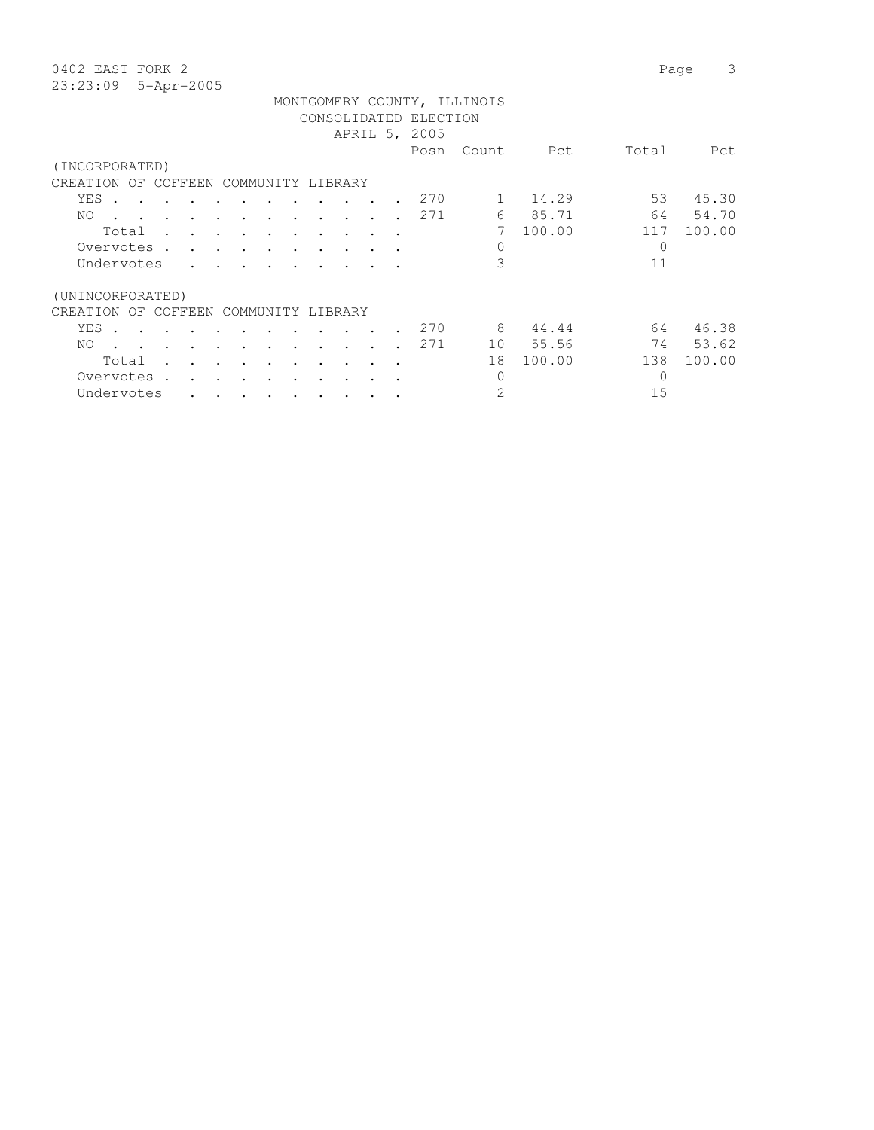0402 EAST FORK 2 Page 3  $23:23$ 

| $23:23:09$ 5-Apr-2005                 |                                                                                                                 |  |  |  |  |                       |                             |         |       |        |
|---------------------------------------|-----------------------------------------------------------------------------------------------------------------|--|--|--|--|-----------------------|-----------------------------|---------|-------|--------|
|                                       |                                                                                                                 |  |  |  |  |                       | MONTGOMERY COUNTY, ILLINOIS |         |       |        |
|                                       |                                                                                                                 |  |  |  |  | CONSOLIDATED ELECTION |                             |         |       |        |
|                                       |                                                                                                                 |  |  |  |  | APRIL 5, 2005         |                             |         |       |        |
|                                       |                                                                                                                 |  |  |  |  |                       | Posn Count                  | Pct     | Total | Pct    |
| (INCORPORATED)                        |                                                                                                                 |  |  |  |  |                       |                             |         |       |        |
| CREATION OF COFFEEN COMMUNITY LIBRARY |                                                                                                                 |  |  |  |  |                       |                             |         |       |        |
| YES.                                  |                                                                                                                 |  |  |  |  | 270                   |                             | 1 14.29 | 53    | 45.30  |
| NO.                                   | the contract of the contract of the contract of the contract of the contract of the contract of the contract of |  |  |  |  | 271                   |                             | 6 85.71 | 64    | 54.70  |
|                                       | Total                                                                                                           |  |  |  |  |                       |                             | 100.00  | 117   | 100.00 |
|                                       |                                                                                                                 |  |  |  |  |                       |                             |         |       |        |

| Total            |              |           | $\ddot{\phantom{a}}$ | $\bullet$ |                   |  |           |      |    | 100.00 |     | n n<br>$100 -$ |
|------------------|--------------|-----------|----------------------|-----------|-------------------|--|-----------|------|----|--------|-----|----------------|
| Overvotes        |              |           |                      |           |                   |  |           |      |    |        | 0   |                |
| Undervotes       |              | $\bullet$ | $\bullet$            | $\bullet$ |                   |  |           |      | 3  |        | 11  |                |
| (UNINCORPORATED) |              |           |                      |           |                   |  |           |      |    |        |     |                |
| CREATION<br>OF   | COFFEEN      |           |                      |           | COMMUNITY LIBRARY |  |           |      |    |        |     |                |
| YES              |              |           |                      |           |                   |  | $\bullet$ | 2.70 | 8  | 44.44  | 64  | 46.38          |
| NO.              |              |           |                      |           |                   |  |           | 271  | 10 | 55.56  | 74  | 53.62          |
| Total            |              |           |                      |           |                   |  |           |      | 18 | 100.00 | 138 | 100.00         |
| Overvotes        | $\mathbf{r}$ |           |                      |           |                   |  |           |      |    |        |     |                |
| Undervotes       |              | $\bullet$ |                      |           |                   |  |           |      | 2  |        | 15  |                |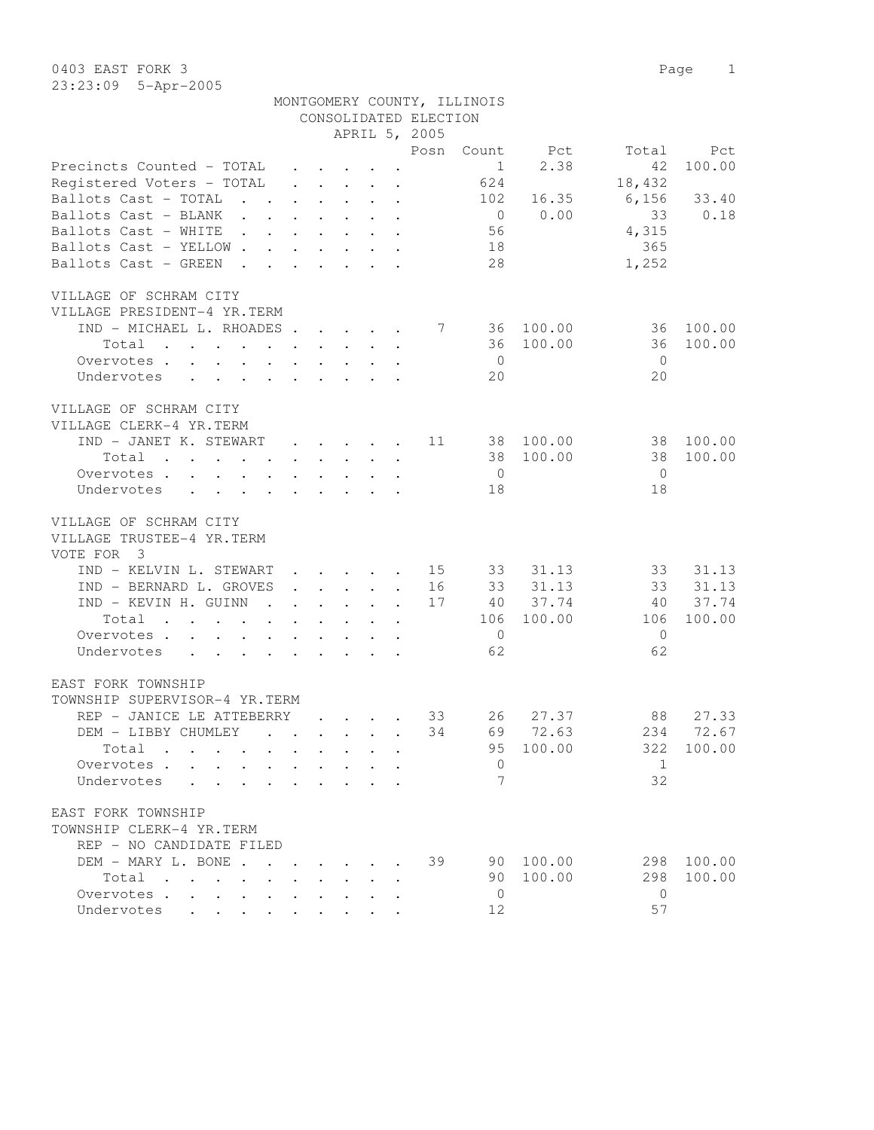0403 EAST FORK 3 Page 1 23:23:09 5-Apr-2005

|                                                                                                                          |  |                                                                          |  |                                                                                 | MONTGOMERY COUNTY, ILLINOIS |           |                |        |
|--------------------------------------------------------------------------------------------------------------------------|--|--------------------------------------------------------------------------|--|---------------------------------------------------------------------------------|-----------------------------|-----------|----------------|--------|
|                                                                                                                          |  |                                                                          |  | CONSOLIDATED ELECTION                                                           |                             |           |                |        |
|                                                                                                                          |  |                                                                          |  | APRIL 5, 2005                                                                   |                             |           |                |        |
|                                                                                                                          |  |                                                                          |  | Posn                                                                            | Count                       | Pct       | Total          | Pct    |
| Precincts Counted - TOTAL                                                                                                |  | $\cdot$ $\cdot$ $\cdot$ $\cdot$ $\cdot$ $\cdot$                          |  |                                                                                 | $\mathbf{1}$                | 2.38      | 42             | 100.00 |
| Registered Voters - TOTAL                                                                                                |  | $\cdot$ $\cdot$ $\cdot$ $\cdot$ $\cdot$ $\cdot$ $\cdot$                  |  |                                                                                 | 624                         |           | 18,432         |        |
| Ballots Cast - TOTAL                                                                                                     |  |                                                                          |  | the contract of the contract of the contract of the contract of the contract of | 102                         | 16.35     | 6,156          | 33.40  |
| Ballots Cast - BLANK                                                                                                     |  |                                                                          |  |                                                                                 | $\overline{0}$              | 0.00      | 33             | 0.18   |
| Ballots Cast - WHITE                                                                                                     |  |                                                                          |  |                                                                                 | 56                          |           | 4,315          |        |
| Ballots Cast - YELLOW                                                                                                    |  |                                                                          |  |                                                                                 | 18                          |           | 365            |        |
| Ballots Cast - GREEN.                                                                                                    |  | $\mathbf{r}$ and $\mathbf{r}$ and $\mathbf{r}$ and $\mathbf{r}$          |  |                                                                                 | 28                          |           | 1,252          |        |
| VILLAGE OF SCHRAM CITY<br>VILLAGE PRESIDENT-4 YR.TERM                                                                    |  |                                                                          |  |                                                                                 |                             |           |                |        |
| IND - MICHAEL L. RHOADES                                                                                                 |  |                                                                          |  |                                                                                 | 7 36                        | 100.00    | 36             | 100.00 |
| Total<br>the contract of the contract of the contract of the contract of the contract of the contract of the contract of |  |                                                                          |  |                                                                                 | 36                          | 100.00    | 36             | 100.00 |
| Overvotes                                                                                                                |  |                                                                          |  |                                                                                 | $\overline{0}$              |           | $\overline{0}$ |        |
| Undervotes                                                                                                               |  |                                                                          |  |                                                                                 | 20                          |           | 20             |        |
| VILLAGE OF SCHRAM CITY                                                                                                   |  |                                                                          |  |                                                                                 |                             |           |                |        |
| VILLAGE CLERK-4 YR.TERM                                                                                                  |  |                                                                          |  |                                                                                 |                             |           |                |        |
| IND - JANET K. STEWART                                                                                                   |  |                                                                          |  | 11                                                                              |                             | 38 100.00 | 38             | 100.00 |
| Total<br>$\mathbf{r}$ , and $\mathbf{r}$ , and $\mathbf{r}$ , and $\mathbf{r}$ , and $\mathbf{r}$                        |  |                                                                          |  |                                                                                 |                             | 38 100.00 | 38             | 100.00 |
| Overvotes.                                                                                                               |  |                                                                          |  |                                                                                 | $\overline{0}$              |           | $\overline{0}$ |        |
| Undervotes                                                                                                               |  |                                                                          |  |                                                                                 | 18                          |           | 18             |        |
| VILLAGE OF SCHRAM CITY<br>VILLAGE TRUSTEE-4 YR.TERM<br>VOTE FOR 3                                                        |  |                                                                          |  |                                                                                 |                             |           |                |        |
| IND - KELVIN L. STEWART                                                                                                  |  |                                                                          |  | . 15                                                                            |                             | 33 31.13  | 33             | 31.13  |
| IND - BERNARD L. GROVES                                                                                                  |  | $\mathbf{r}$ , $\mathbf{r}$ , $\mathbf{r}$ , $\mathbf{r}$                |  | 16                                                                              |                             | 33 31.13  | 33             | 31.13  |
| IND - KEVIN H. GUINN                                                                                                     |  | $\mathbf{r}$ , $\mathbf{r}$ , $\mathbf{r}$ , $\mathbf{r}$ , $\mathbf{r}$ |  | 17                                                                              |                             | 40 37.74  | 40             | 37.74  |
| Total<br>the contract of the contract of the contract of the contract of the contract of the contract of the contract of |  |                                                                          |  |                                                                                 | 106                         | 100.00    | 106            | 100.00 |
| Overvotes                                                                                                                |  |                                                                          |  |                                                                                 | $\overline{0}$              |           | $\overline{0}$ |        |
| Undervotes                                                                                                               |  |                                                                          |  |                                                                                 | 62                          |           | 62             |        |
| EAST FORK TOWNSHIP                                                                                                       |  |                                                                          |  |                                                                                 |                             |           |                |        |
| TOWNSHIP SUPERVISOR-4 YR.TERM                                                                                            |  |                                                                          |  |                                                                                 |                             |           |                |        |
| REP - JANICE LE ATTEBERRY                                                                                                |  | $\sim$ $\sim$ $\sim$ $\sim$ $\sim$                                       |  | 33                                                                              | 26                          | 27.37     | 88             | 27.33  |
| DEM - LIBBY CHUMLEY                                                                                                      |  |                                                                          |  | 34                                                                              |                             | 69 72.63  | 234            | 72.67  |
| Total                                                                                                                    |  |                                                                          |  |                                                                                 | 95                          | 100.00    | 322            | 100.00 |
| Overvotes                                                                                                                |  | $\bullet$ .<br><br><br><br><br><br><br><br><br><br><br><br><br>          |  |                                                                                 | $\Omega$                    |           | 1              |        |
| Undervotes                                                                                                               |  |                                                                          |  |                                                                                 | 7                           |           | 32             |        |
| EAST FORK TOWNSHIP                                                                                                       |  |                                                                          |  |                                                                                 |                             |           |                |        |
| TOWNSHIP CLERK-4 YR.TERM                                                                                                 |  |                                                                          |  |                                                                                 |                             |           |                |        |
| REP - NO CANDIDATE FILED                                                                                                 |  |                                                                          |  |                                                                                 |                             |           |                |        |
| DEM - MARY L. BONE                                                                                                       |  |                                                                          |  | 39                                                                              |                             | 90 100.00 | 298            | 100.00 |
| Total                                                                                                                    |  |                                                                          |  |                                                                                 |                             | 90 100.00 | 298            | 100.00 |
| Overvotes.                                                                                                               |  |                                                                          |  |                                                                                 | $\Omega$                    |           | $\Omega$       |        |

Undervotes . . . . . . . . . 12 57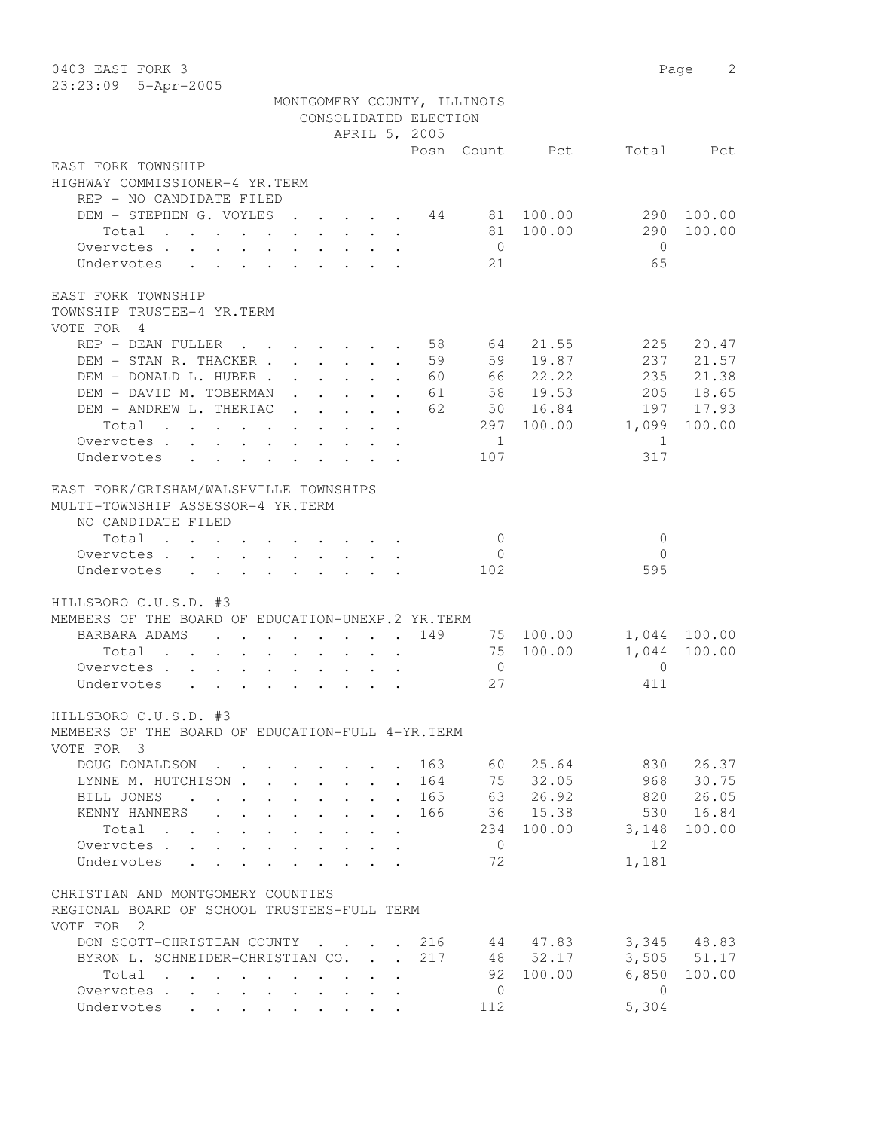| 0403 EAST FORK 3                                                                                                      |                                            |                                                           |                                                     |                           |                             |                |                |                | 2<br>Page    |
|-----------------------------------------------------------------------------------------------------------------------|--------------------------------------------|-----------------------------------------------------------|-----------------------------------------------------|---------------------------|-----------------------------|----------------|----------------|----------------|--------------|
| 23:23:09 5-Apr-2005                                                                                                   |                                            |                                                           |                                                     |                           |                             |                |                |                |              |
|                                                                                                                       |                                            |                                                           |                                                     |                           | MONTGOMERY COUNTY, ILLINOIS |                |                |                |              |
|                                                                                                                       |                                            |                                                           |                                                     |                           | CONSOLIDATED ELECTION       |                |                |                |              |
|                                                                                                                       |                                            |                                                           |                                                     |                           | APRIL 5, 2005               |                |                |                |              |
| EAST FORK TOWNSHIP                                                                                                    |                                            |                                                           |                                                     |                           |                             |                | Posn Count Pct |                | Total Pct    |
| HIGHWAY COMMISSIONER-4 YR.TERM                                                                                        |                                            |                                                           |                                                     |                           |                             |                |                |                |              |
| REP - NO CANDIDATE FILED                                                                                              |                                            |                                                           |                                                     |                           |                             |                |                |                |              |
| DEM - STEPHEN G. VOYLES                                                                                               |                                            |                                                           | $\mathbf{L} = \mathbf{L}$                           |                           |                             |                | 44 81 100.00   |                | 290 100.00   |
| Total                                                                                                                 |                                            |                                                           |                                                     | $\ddot{\phantom{a}}$      |                             |                | 81 100.00      | 290            | 100.00       |
| Overvotes.                                                                                                            |                                            |                                                           |                                                     |                           |                             | $\overline{0}$ |                | $\overline{0}$ |              |
| Undervotes                                                                                                            |                                            |                                                           |                                                     |                           |                             | 21             |                | 65             |              |
|                                                                                                                       |                                            |                                                           |                                                     |                           |                             |                |                |                |              |
| EAST FORK TOWNSHIP                                                                                                    |                                            |                                                           |                                                     |                           |                             |                |                |                |              |
| TOWNSHIP TRUSTEE-4 YR.TERM                                                                                            |                                            |                                                           |                                                     |                           |                             |                |                |                |              |
| VOTE FOR 4                                                                                                            |                                            |                                                           |                                                     |                           |                             |                |                |                |              |
| REP - DEAN FULLER                                                                                                     |                                            |                                                           |                                                     |                           | 58                          | 64             | 21.55          | 225            | 20.47        |
| DEM - STAN R. THACKER                                                                                                 |                                            |                                                           |                                                     |                           | 59                          | 59             | 19.87          | 237            | 21.57        |
| DEM - DONALD L. HUBER.                                                                                                |                                            | $\mathbf{r}$ , $\mathbf{r}$ , $\mathbf{r}$ , $\mathbf{r}$ |                                                     | $\mathbf{L}^{\text{max}}$ | 60                          | 66             | 22.22          | 235            | 21.38        |
| DEM - DAVID M. TOBERMAN                                                                                               |                                            | $\mathbf{r}$ and $\mathbf{r}$ and $\mathbf{r}$            |                                                     | $\mathbf{L}$              | 61                          |                | 58 19.53       |                | 205 18.65    |
| DEM - ANDREW L. THERIAC                                                                                               |                                            |                                                           |                                                     |                           | 62                          |                | 50 16.84       |                | 197 17.93    |
| Total                                                                                                                 |                                            |                                                           |                                                     |                           |                             | 297            | 100.00         | 1,099          | 100.00       |
| Overvotes.                                                                                                            |                                            |                                                           |                                                     |                           |                             | 1              |                | 1              |              |
| Undervotes                                                                                                            |                                            |                                                           |                                                     |                           |                             | 107            |                | 317            |              |
|                                                                                                                       |                                            |                                                           |                                                     |                           |                             |                |                |                |              |
| EAST FORK/GRISHAM/WALSHVILLE TOWNSHIPS                                                                                |                                            |                                                           |                                                     |                           |                             |                |                |                |              |
| MULTI-TOWNSHIP ASSESSOR-4 YR.TERM                                                                                     |                                            |                                                           |                                                     |                           |                             |                |                |                |              |
| NO CANDIDATE FILED                                                                                                    |                                            |                                                           |                                                     |                           |                             |                |                |                |              |
| Total                                                                                                                 |                                            |                                                           |                                                     |                           |                             | $\circ$        |                | 0              |              |
| Overvotes.                                                                                                            |                                            |                                                           |                                                     |                           |                             | $\overline{0}$ |                | $\Omega$       |              |
| Undervotes                                                                                                            |                                            |                                                           |                                                     |                           |                             | 102            |                | 595            |              |
|                                                                                                                       |                                            |                                                           |                                                     |                           |                             |                |                |                |              |
| HILLSBORO C.U.S.D. #3                                                                                                 |                                            |                                                           |                                                     |                           |                             |                |                |                |              |
| MEMBERS OF THE BOARD OF EDUCATION-UNEXP.2 YR.TERM                                                                     |                                            |                                                           |                                                     |                           |                             |                |                |                |              |
| BARBARA ADAMS<br>$\mathbf{L}$                                                                                         | $\mathbf{r}$ , $\mathbf{r}$ , $\mathbf{r}$ |                                                           | $\mathbf{r} = \mathbf{r} + \mathbf{r} + \mathbf{r}$ |                           | 149                         |                | 75 100.00      |                | 1,044 100.00 |
| Total<br>$\cdot$ $\cdot$ $\cdot$ $\cdot$ $\cdot$                                                                      |                                            |                                                           |                                                     |                           |                             |                | 75 100.00      | 1,044          | 100.00       |
| Overvotes.<br>$\mathbf{L}^{\mathrm{max}}$<br>$\mathbf{r}$ , $\mathbf{r}$ , $\mathbf{r}$ , $\mathbf{r}$ , $\mathbf{r}$ |                                            |                                                           | $\cdot$ $\cdot$ $\cdot$ $\cdot$ $\cdot$             |                           |                             | $\overline{0}$ |                | $\mathbf{0}$   |              |
| Undervotes                                                                                                            |                                            |                                                           |                                                     |                           |                             | 27             |                | 411            |              |
|                                                                                                                       |                                            |                                                           |                                                     |                           |                             |                |                |                |              |
| HILLSBORO C.U.S.D. #3<br>MEMBERS OF THE BOARD OF EDUCATION-FULL 4-YR. TERM                                            |                                            |                                                           |                                                     |                           |                             |                |                |                |              |
| VOTE FOR 3                                                                                                            |                                            |                                                           |                                                     |                           |                             |                |                |                |              |
| DOUG DONALDSON.                                                                                                       |                                            |                                                           |                                                     |                           | 163                         | 60             | 25.64          | 830            | 26.37        |
| LYNNE M. HUTCHISON.                                                                                                   |                                            |                                                           |                                                     |                           | 164                         | 75             | 32.05          | 968            | 30.75        |
| BILL JONES<br><b>Contract Contract</b>                                                                                |                                            |                                                           |                                                     |                           | 165                         | 63             | 26.92          | 820            | 26.05        |
| $\ddot{\phantom{0}}$<br>KENNY HANNERS<br>$\mathbf{L}$                                                                 | $\mathbf{L}$                               | $\mathbf{L}$                                              | $\mathbf{L}$                                        |                           | 166                         | 36             | 15.38          | 530            | 16.84        |
| Total                                                                                                                 | $\ddot{\phantom{0}}$                       | $\mathbf{L}$                                              | $\mathbf{L}$                                        |                           |                             | 234            | 100.00         | 3,148          | 100.00       |
| $\cdot$ $\cdot$ $\cdot$ $\cdot$<br>$\mathbf{r}$ $\mathbf{r}$<br>Overvotes.<br>$\mathbf{L}$                            | $\mathbf{A}$<br>$\mathbf{L}$               |                                                           |                                                     | $\ddot{\phantom{a}}$      |                             | $\mathbf{0}$   |                | 12             |              |
| Undervotes<br>$\mathbf{r} = \mathbf{r} + \mathbf{r}$                                                                  | $\mathbf{L}$<br>$\mathbf{L}$               |                                                           | $\cdot$ $\cdot$ $\cdot$ $\cdot$                     |                           |                             | 72             |                | 1,181          |              |
|                                                                                                                       |                                            |                                                           |                                                     |                           |                             |                |                |                |              |
| CHRISTIAN AND MONTGOMERY COUNTIES                                                                                     |                                            |                                                           |                                                     |                           |                             |                |                |                |              |
| REGIONAL BOARD OF SCHOOL TRUSTEES-FULL TERM                                                                           |                                            |                                                           |                                                     |                           |                             |                |                |                |              |
| VOTE FOR 2                                                                                                            |                                            |                                                           |                                                     |                           |                             |                |                |                |              |
| DON SCOTT-CHRISTIAN COUNTY                                                                                            |                                            |                                                           |                                                     |                           | 216                         |                | 44 47.83       |                | 3,345 48.83  |
| BYRON L. SCHNEIDER-CHRISTIAN CO.                                                                                      |                                            |                                                           | $\mathbf{L}$                                        | $\mathbf{r}$              | 217                         |                | 48 52.17       | 3,505          | 51.17        |
| Total                                                                                                                 |                                            | $\mathbf{r}$ , $\mathbf{r}$ , $\mathbf{r}$                |                                                     | $\ddot{\phantom{a}}$      |                             | 92             | 100.00         | 6,850          | 100.00       |
| Overvotes                                                                                                             |                                            |                                                           | $\sim$                                              |                           |                             | $\circ$        |                | $\Omega$       |              |
| Undervotes                                                                                                            |                                            |                                                           |                                                     |                           |                             | 112            |                | 5,304          |              |
|                                                                                                                       |                                            |                                                           |                                                     |                           |                             |                |                |                |              |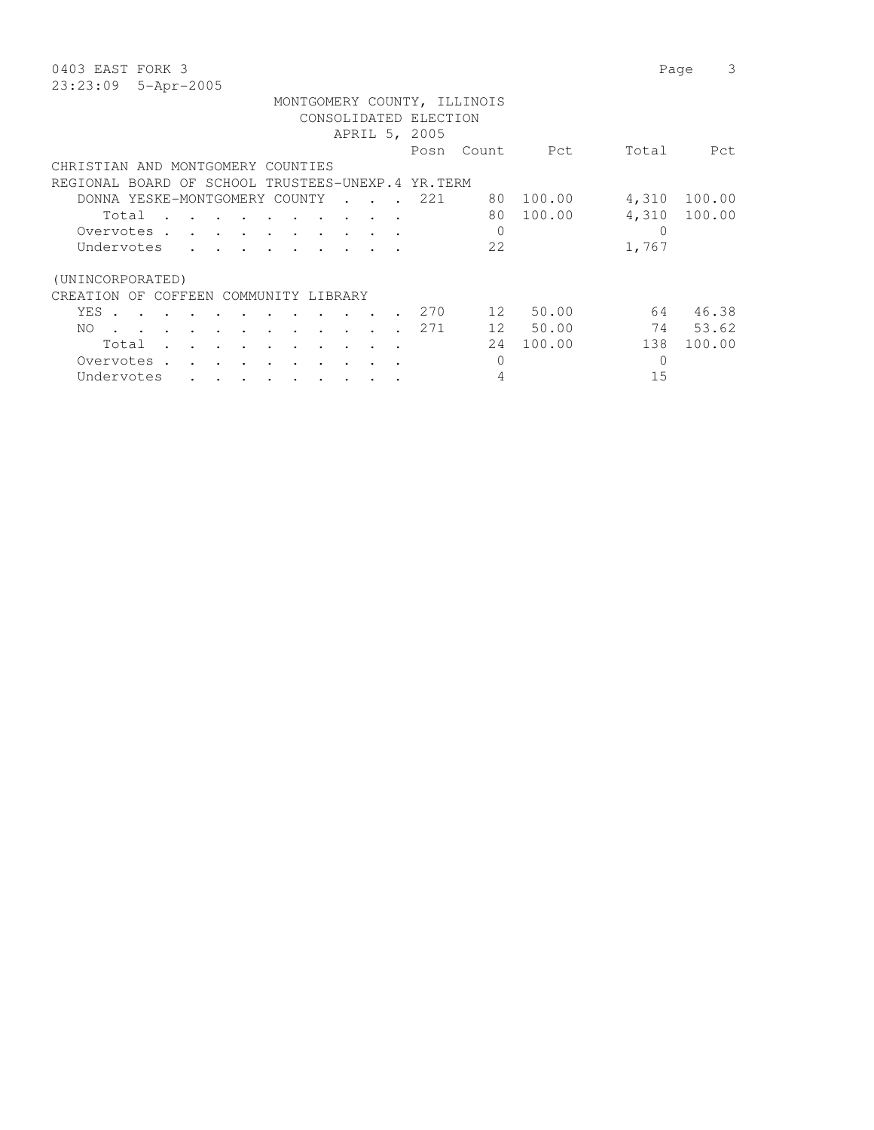| 0403 EAST FORK 3                                                          |                  | 3<br>Page |
|---------------------------------------------------------------------------|------------------|-----------|
| 23:23:09<br>5-Apr-2005                                                    |                  |           |
| MONTGOMERY COUNTY, ILLINOIS                                               |                  |           |
| CONSOLIDATED ELECTION                                                     |                  |           |
| APRIL 5, 2005                                                             |                  |           |
| Posn<br>Count<br>Pct                                                      | Total            | Pct       |
| CHRISTIAN AND MONTGOMERY COUNTIES                                         |                  |           |
| REGIONAL BOARD OF SCHOOL TRUSTEES-UNEXP.4 YR.TERM                         |                  |           |
| 100.00<br>DONNA YESKE-MONTGOMERY COUNTY<br>221<br>80                      | 4,310            | 100.00    |
| 100.00<br>80<br>Total                                                     | 4,310            | 100.00    |
| 0<br>Overvotes .<br>$\sim$ $\sim$ $\sim$                                  | $\left( \right)$ |           |
| 22<br>Undervotes<br>$\sim$                                                | 1,767            |           |
|                                                                           |                  |           |
| (UNINCORPORATED)                                                          |                  |           |
| COFFEEN<br>COMMUNITY<br>CREATION<br>OF<br>LIBRARY                         |                  |           |
| 50.00<br>2.70<br>12<br>YES .                                              | 64               | 46.38     |
| 50.00<br>271<br>12<br>NO.<br>$\ddot{\phantom{0}}$<br>$\ddot{\phantom{a}}$ | 74               | 53.62     |
| 100.00<br>24<br>Total                                                     | 138              | 100.00    |
| Overvotes.<br>0                                                           | 0                |           |
| Undervotes                                                                | 15               |           |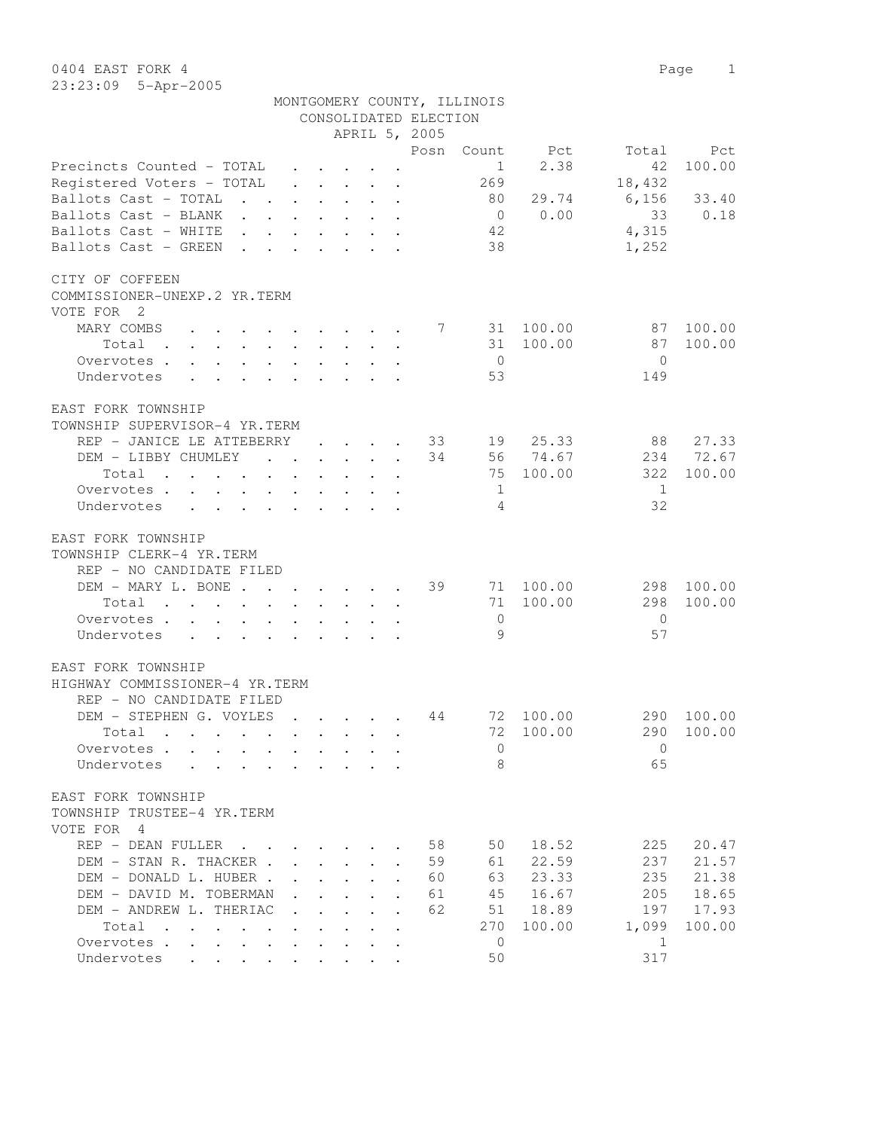0404 EAST FORK 4 Page 1 23:23:09 5-Apr-2005

|                                                                                                         |                         |                           |                                                                 |                                      |                      | CONSOLIDATED ELECTION |                |          |              |        |
|---------------------------------------------------------------------------------------------------------|-------------------------|---------------------------|-----------------------------------------------------------------|--------------------------------------|----------------------|-----------------------|----------------|----------|--------------|--------|
|                                                                                                         |                         |                           |                                                                 |                                      |                      | APRIL 5, 2005         |                |          |              |        |
|                                                                                                         |                         |                           |                                                                 |                                      |                      | Posn                  | Count          | Pct      | Total        | Pct    |
| Precincts Counted - TOTAL                                                                               |                         |                           | $\cdot$ $\cdot$ $\cdot$ $\cdot$                                 |                                      |                      |                       | 1              | 2.38     | 42           | 100.00 |
| Registered Voters - TOTAL                                                                               |                         |                           | $\mathbf{r}$ and $\mathbf{r}$ and $\mathbf{r}$ and $\mathbf{r}$ |                                      | $\ddot{\phantom{a}}$ |                       | 269            |          | 18,432       |        |
| Ballots Cast - TOTAL<br>$\mathbf{L} = \mathbf{L}$                                                       | $\sim$                  | $\mathbf{L}$              |                                                                 | $\mathbf{L} = \mathbf{L} \mathbf{L}$ | $\ddot{\phantom{a}}$ |                       | 80             | 29.74    | 6,156        | 33.40  |
| Ballots Cast - BLANK<br>$\sim$ $\sim$<br>$\sim$                                                         | $\sim$ $-$              | $\mathbf{L}^{\text{max}}$ | $\mathbf{L}^{\text{max}}$                                       | $\ddot{\phantom{0}}$                 | $\bullet$            |                       | $\overline{0}$ | 0.00     | 33           | 0.18   |
| Ballots Cast - WHITE                                                                                    |                         |                           |                                                                 |                                      |                      |                       | 42             |          | 4,315        |        |
| Ballots Cast - GREEN                                                                                    |                         |                           |                                                                 |                                      |                      |                       | 38             |          | 1,252        |        |
| CITY OF COFFEEN                                                                                         |                         |                           |                                                                 |                                      |                      |                       |                |          |              |        |
| COMMISSIONER-UNEXP.2 YR.TERM                                                                            |                         |                           |                                                                 |                                      |                      |                       |                |          |              |        |
| VOTE FOR 2                                                                                              |                         |                           |                                                                 |                                      |                      |                       |                |          |              |        |
| MARY COMBS                                                                                              |                         |                           |                                                                 |                                      |                      | 7                     | 31             | 100.00   | 87           | 100.00 |
| Total<br>$\mathbf{r}$ , and $\mathbf{r}$ , and $\mathbf{r}$ , and $\mathbf{r}$ , and $\mathbf{r}$       |                         |                           |                                                                 | $\sim$ $\sim$                        |                      |                       | 31             | 100.00   | 87           | 100.00 |
| Overvotes .<br>$\mathbf{r} = \mathbf{r} + \mathbf{r} + \mathbf{r} + \mathbf{r}$<br>$\ddot{\phantom{0}}$ |                         |                           | $\bullet$ . In the set of $\bullet$                             |                                      |                      |                       | $\overline{0}$ |          | $\mathbf{0}$ |        |
| Undervotes<br>$\ddot{\phantom{a}}$<br>$\sim$                                                            | $\sim$ $\sim$ $\sim$    |                           |                                                                 |                                      |                      |                       | 53             |          | 149          |        |
| EAST FORK TOWNSHIP                                                                                      |                         |                           |                                                                 |                                      |                      |                       |                |          |              |        |
| TOWNSHIP SUPERVISOR-4 YR.TERM                                                                           |                         |                           |                                                                 |                                      |                      |                       |                |          |              |        |
| REP - JANICE LE ATTEBERRY                                                                               |                         |                           | <b>Contract Contract Contract</b>                               | $\sim$                               |                      | 33                    | 19             | 25.33    | 88           | 27.33  |
| DEM - LIBBY CHUMLEY<br>$\mathbf{r}$ , $\mathbf{r}$ , $\mathbf{r}$ , $\mathbf{r}$                        |                         |                           |                                                                 |                                      | $\mathbf{r}$         | 34                    |                | 56 74.67 | 234          | 72.67  |
| Total<br>$\mathbf{r}$ , and $\mathbf{r}$ , and $\mathbf{r}$ , and $\mathbf{r}$ , and $\mathbf{r}$       |                         |                           |                                                                 |                                      | $\ddot{\phantom{a}}$ |                       | 75             | 100.00   | 322          | 100.00 |
| Overvotes                                                                                               |                         |                           |                                                                 | $\sim$ 100 $\pm$                     | $\ddot{\phantom{a}}$ |                       | 1              |          | 1            |        |
| Undervotes                                                                                              |                         |                           | $\ddot{\phantom{a}}$                                            |                                      |                      |                       | 4              |          | 32           |        |
| EAST FORK TOWNSHIP                                                                                      |                         |                           |                                                                 |                                      |                      |                       |                |          |              |        |
| TOWNSHIP CLERK-4 YR.TERM                                                                                |                         |                           |                                                                 |                                      |                      |                       |                |          |              |        |
| REP - NO CANDIDATE FILED                                                                                |                         |                           |                                                                 |                                      |                      |                       |                |          |              |        |
| DEM - MARY L. BONE                                                                                      |                         |                           |                                                                 |                                      |                      | 39                    | 71             | 100.00   | 298          | 100.00 |
| Total<br>$\mathbf{r}$ , and $\mathbf{r}$ , and $\mathbf{r}$ , and $\mathbf{r}$                          |                         |                           |                                                                 |                                      |                      |                       | 71             | 100.00   | 298          | 100.00 |
| Overvotes                                                                                               |                         |                           |                                                                 |                                      |                      |                       | $\mathbf{0}$   |          | $\Omega$     |        |
| Undervotes                                                                                              |                         |                           |                                                                 |                                      |                      |                       | 9              |          | 57           |        |
| EAST FORK TOWNSHIP                                                                                      |                         |                           |                                                                 |                                      |                      |                       |                |          |              |        |
| HIGHWAY COMMISSIONER-4 YR.TERM                                                                          |                         |                           |                                                                 |                                      |                      |                       |                |          |              |        |
| REP - NO CANDIDATE FILED                                                                                |                         |                           |                                                                 |                                      |                      |                       |                |          |              |        |
| DEM - STEPHEN G. VOYLES                                                                                 |                         |                           |                                                                 |                                      |                      | 44                    | 72             | 100.00   | 290          | 100.00 |
| Total<br>$\sim$<br>$\ddot{\phantom{a}}$                                                                 | $\ddot{\phantom{a}}$    | $\mathbf{L}$              |                                                                 |                                      |                      |                       | 72             | 100.00   | 290          | 100.00 |
| Overvotes                                                                                               |                         |                           |                                                                 |                                      |                      |                       | $\Omega$       |          | $\bigcirc$   |        |
| Undervotes<br>$\mathbf{r}$ , $\mathbf{r}$ , $\mathbf{r}$ , $\mathbf{r}$ , $\mathbf{r}$<br>$\bullet$     | $\cdot$ $\cdot$ $\cdot$ |                           |                                                                 |                                      |                      |                       | 8              |          | 65           |        |
| EAST FORK TOWNSHIP                                                                                      |                         |                           |                                                                 |                                      |                      |                       |                |          |              |        |
| TOWNSHIP TRUSTEE-4 YR.TERM                                                                              |                         |                           |                                                                 |                                      |                      |                       |                |          |              |        |
| VOTE FOR<br>$\overline{4}$                                                                              |                         |                           |                                                                 |                                      |                      |                       |                |          |              |        |
| REP - DEAN FULLER                                                                                       |                         |                           |                                                                 |                                      |                      | 58                    | 50             | 18.52    | 225          | 20.47  |
| DEM - STAN R. THACKER.                                                                                  |                         |                           |                                                                 |                                      |                      | 59                    | 61             | 22.59    | 237          | 21.57  |
| DEM - DONALD L. HUBER.                                                                                  |                         |                           | $\mathbf{r} = \mathbf{r}$                                       |                                      |                      | 60                    | 63             | 23.33    | 235          | 21.38  |
| DEM - DAVID M. TOBERMAN                                                                                 |                         |                           | $\mathbf{L}^{\text{max}}$                                       |                                      |                      | 61                    | 45             | 16.67    | 205          | 18.65  |
| DEM - ANDREW L. THERIAC                                                                                 |                         |                           | $\cdot$                                                         |                                      |                      | 62                    | 51             | 18.89    | 197          | 17.93  |
| Total<br>$\sim$<br>$\mathbf{r}$ . The set of $\mathbf{r}$                                               | $\ddot{\phantom{0}}$    |                           |                                                                 |                                      |                      |                       | 270            | 100.00   | 1,099        | 100.00 |
| Overvotes<br>$\sim$<br>$\ddot{\phantom{a}}$<br>$\bullet$                                                |                         |                           |                                                                 |                                      |                      |                       | 0              |          | 1            |        |
| Undervotes                                                                                              |                         |                           |                                                                 |                                      |                      |                       | 50             |          | 317          |        |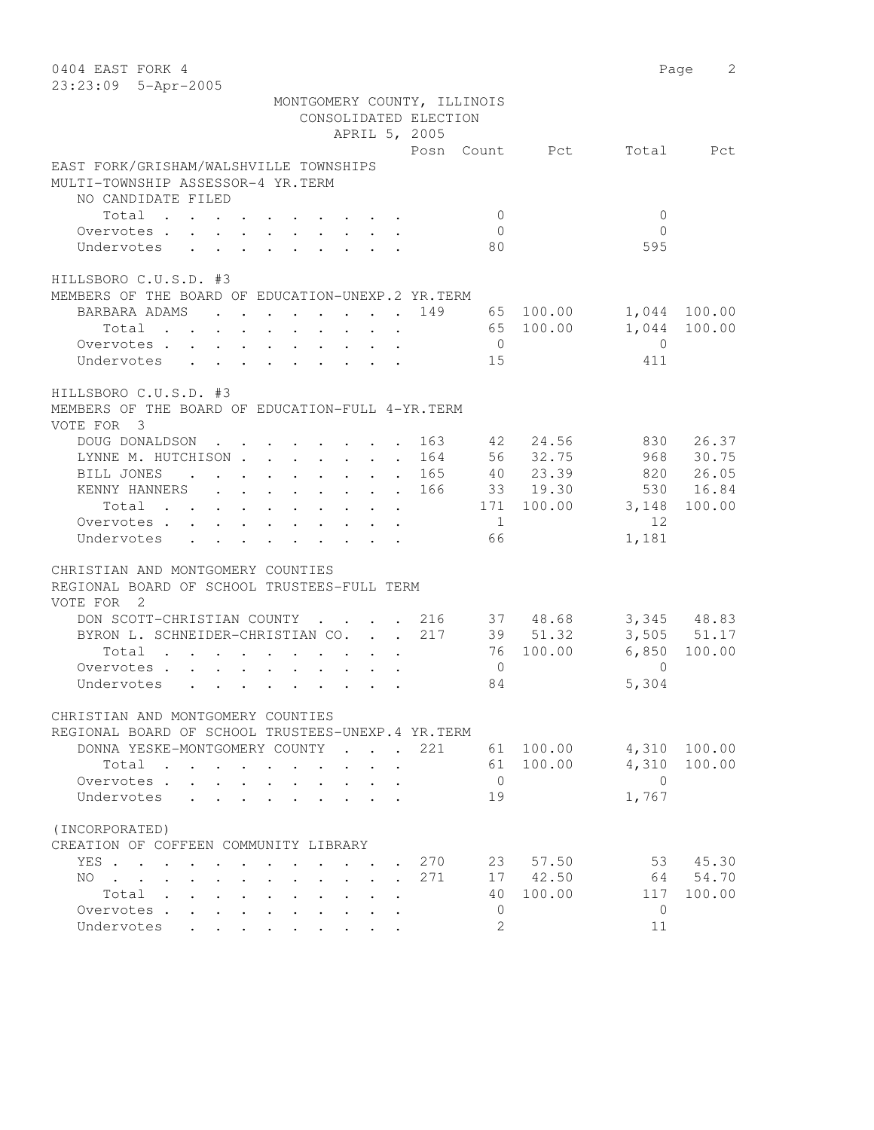| 0404 EAST FORK 4<br>23:23:09 5-Apr-2005                                                           |                                                                                          |                                        |                                                           |                                                                       |                |                |              | 2<br>Page   |
|---------------------------------------------------------------------------------------------------|------------------------------------------------------------------------------------------|----------------------------------------|-----------------------------------------------------------|-----------------------------------------------------------------------|----------------|----------------|--------------|-------------|
|                                                                                                   |                                                                                          |                                        |                                                           | MONTGOMERY COUNTY, ILLINOIS<br>CONSOLIDATED ELECTION<br>APRIL 5, 2005 |                |                |              |             |
|                                                                                                   |                                                                                          |                                        |                                                           |                                                                       |                | Posn Count Pct | Total        | Pct         |
| EAST FORK/GRISHAM/WALSHVILLE TOWNSHIPS<br>MULTI-TOWNSHIP ASSESSOR-4 YR.TERM<br>NO CANDIDATE FILED |                                                                                          |                                        |                                                           |                                                                       |                |                |              |             |
| Total                                                                                             |                                                                                          |                                        |                                                           |                                                                       | $\mathbf{0}$   |                | $\mathbf{0}$ |             |
| Overvotes .<br>$\mathbf{r}$ , $\mathbf{r}$ , $\mathbf{r}$ , $\mathbf{r}$ , $\mathbf{r}$           |                                                                                          |                                        |                                                           |                                                                       | $\circ$        |                | $\Omega$     |             |
| Undervotes<br>$\mathbf{L}$                                                                        |                                                                                          |                                        |                                                           |                                                                       | 80             |                | 595          |             |
| HILLSBORO C.U.S.D. #3                                                                             |                                                                                          |                                        |                                                           |                                                                       |                |                |              |             |
| MEMBERS OF THE BOARD OF EDUCATION-UNEXP.2 YR. TERM                                                |                                                                                          |                                        |                                                           |                                                                       |                |                |              |             |
| BARBARA ADAMS                                                                                     | $\mathbf{r}$ , and $\mathbf{r}$ , and $\mathbf{r}$ , and $\mathbf{r}$ , and $\mathbf{r}$ |                                        |                                                           | 149                                                                   |                | 65 100.00      | 1,044        | 100.00      |
| Total                                                                                             |                                                                                          |                                        |                                                           |                                                                       |                | 65 100.00      | 1,044        | 100.00      |
| Overvotes                                                                                         |                                                                                          |                                        |                                                           |                                                                       | $\overline{0}$ |                | $\Omega$     |             |
| Undervotes                                                                                        |                                                                                          |                                        |                                                           |                                                                       | 15             |                | 411          |             |
|                                                                                                   |                                                                                          |                                        |                                                           |                                                                       |                |                |              |             |
| HILLSBORO C.U.S.D. #3<br>MEMBERS OF THE BOARD OF EDUCATION-FULL 4-YR. TERM                        |                                                                                          |                                        |                                                           |                                                                       |                |                |              |             |
| VOTE FOR 3                                                                                        |                                                                                          |                                        |                                                           |                                                                       |                |                |              |             |
| DOUG DONALDSON                                                                                    |                                                                                          |                                        |                                                           | 163                                                                   | 42             | 24.56          | 830          | 26.37       |
| LYNNE M. HUTCHISON 164                                                                            |                                                                                          |                                        |                                                           |                                                                       |                | 56 32.75       | 968          | 30.75       |
| BILL JONES<br>$\ddot{\phantom{a}}$                                                                |                                                                                          |                                        |                                                           | . 165                                                                 |                | 40 23.39       | 820          | 26.05       |
| KENNY HANNERS<br>$\mathbf{r} = \mathbf{r} + \mathbf{r} + \mathbf{r} + \mathbf{r}$                 |                                                                                          |                                        | $\mathbf{r}$ , $\mathbf{r}$ , $\mathbf{r}$ , $\mathbf{r}$ | 166                                                                   |                | 33 19.30       | 530          | 16.84       |
| Total                                                                                             |                                                                                          |                                        |                                                           |                                                                       |                | 171 100.00     | 3,148        | 100.00      |
| Overvotes .<br>$\ddot{\phantom{0}}$                                                               |                                                                                          |                                        |                                                           |                                                                       | $\mathbf{1}$   |                | 12           |             |
| Undervotes                                                                                        |                                                                                          |                                        |                                                           |                                                                       | 66             |                | 1,181        |             |
|                                                                                                   |                                                                                          |                                        |                                                           |                                                                       |                |                |              |             |
| CHRISTIAN AND MONTGOMERY COUNTIES                                                                 |                                                                                          |                                        |                                                           |                                                                       |                |                |              |             |
| REGIONAL BOARD OF SCHOOL TRUSTEES-FULL TERM<br>VOTE FOR 2                                         |                                                                                          |                                        |                                                           |                                                                       |                |                |              |             |
| DON SCOTT-CHRISTIAN COUNTY                                                                        |                                                                                          | $\mathbf{r}$ . The set of $\mathbf{r}$ |                                                           | 216                                                                   |                | 37 48.68       |              | 3,345 48.83 |
| BYRON L. SCHNEIDER-CHRISTIAN CO.                                                                  |                                                                                          |                                        | $\mathbf{L} = \mathbf{L}$                                 | 217                                                                   |                | 39 51.32       |              | 3,505 51.17 |
| Total                                                                                             |                                                                                          |                                        |                                                           |                                                                       |                | 76 100.00      | 6,850        | 100.00      |
| Overvotes.<br>$\mathbf{r}$                                                                        |                                                                                          |                                        |                                                           |                                                                       | $\overline{0}$ |                | $\Omega$     |             |
| Undervotes<br>$\mathbf{r} = \mathbf{r} + \mathbf{r}$                                              | $\sim$<br>$\sim$ $\sim$                                                                  | $\cdot$ $\cdot$ $\cdot$                |                                                           |                                                                       | 84             |                | 5,304        |             |
|                                                                                                   |                                                                                          |                                        |                                                           |                                                                       |                |                |              |             |
| CHRISTIAN AND MONTGOMERY COUNTIES                                                                 |                                                                                          |                                        |                                                           |                                                                       |                |                |              |             |
| REGIONAL BOARD OF SCHOOL TRUSTEES-UNEXP.4 YR.TERM                                                 |                                                                                          |                                        |                                                           |                                                                       |                |                |              |             |
| DONNA YESKE-MONTGOMERY COUNTY                                                                     |                                                                                          |                                        | $\mathbf{r}$                                              | 221                                                                   | 61             | 100.00         | 4,310        | 100.00      |
| Total<br>$\sim$<br>$\sim$<br>$\sim$ 100 $\pm$                                                     |                                                                                          |                                        |                                                           |                                                                       | 61             | 100.00         | 4,310        | 100.00      |
| Overvotes .                                                                                       |                                                                                          |                                        |                                                           |                                                                       | $\mathbf 0$    |                | $\mathbf{0}$ |             |
| Undervotes                                                                                        |                                                                                          |                                        |                                                           |                                                                       | 19             |                | 1,767        |             |
| (INCORPORATED)                                                                                    |                                                                                          |                                        |                                                           |                                                                       |                |                |              |             |
| CREATION OF COFFEEN COMMUNITY LIBRARY                                                             |                                                                                          |                                        |                                                           |                                                                       |                |                |              |             |
| YES .<br>$\sim$ $\sim$ $\sim$                                                                     |                                                                                          |                                        |                                                           | 270                                                                   | 23             | 57.50          | 53           | 45.30       |
| NO.<br>$\mathbf{r}$ , $\mathbf{r}$ , $\mathbf{r}$                                                 |                                                                                          |                                        |                                                           | 271                                                                   | 17             | 42.50          | 64           | 54.70       |
| Total .<br>$\ddot{\phantom{0}}$<br>$\ddot{\phantom{0}}$                                           |                                                                                          |                                        |                                                           |                                                                       | 40             | 100.00         | 117          | 100.00      |
| Overvotes .<br>$\sim$<br>$\bullet$ .                                                              |                                                                                          |                                        |                                                           |                                                                       | 0              |                | $\mathbf{0}$ |             |
| Undervotes                                                                                        |                                                                                          |                                        |                                                           |                                                                       | $\overline{2}$ |                | 11           |             |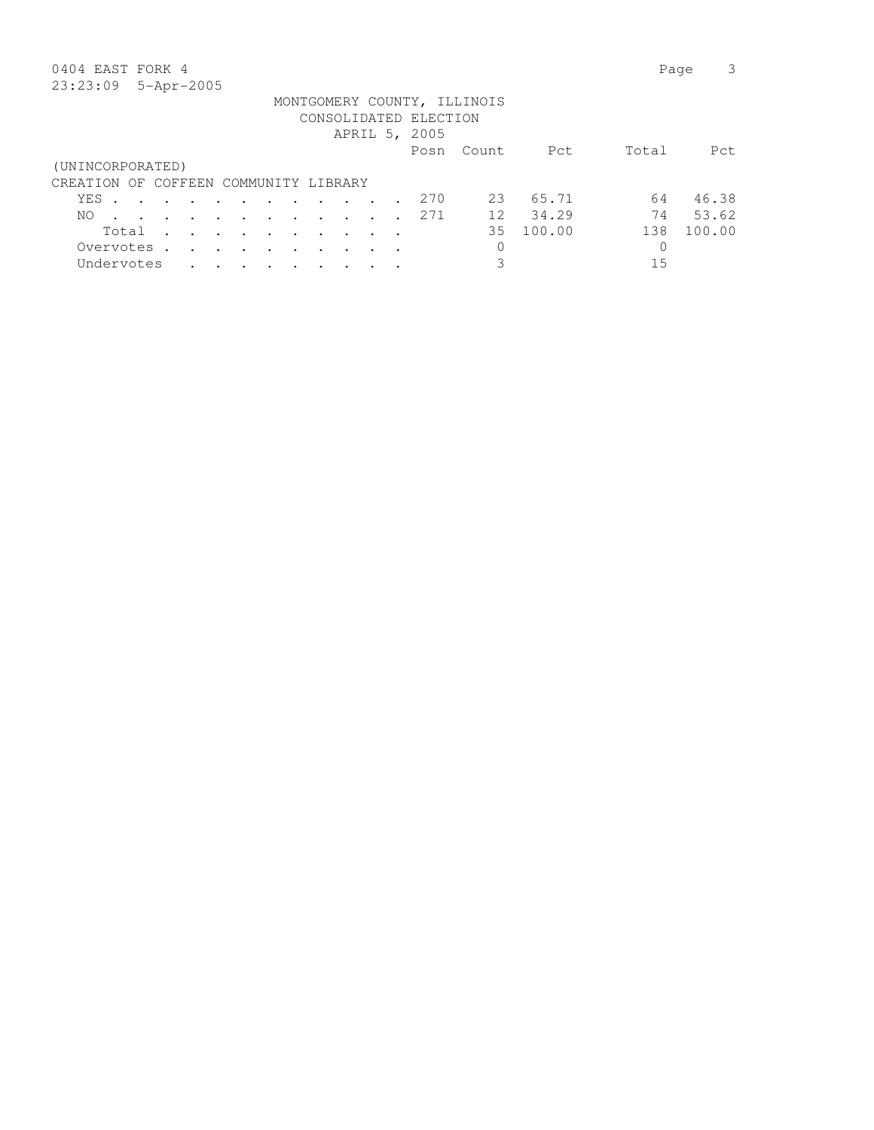## 0404 EAST FORK 4 Page 3

|                                       |       |                         |         |               |               |           |                      |                                                                                                                 |  | CONSOLIDATED ELECTION |        |        |       |        |
|---------------------------------------|-------|-------------------------|---------|---------------|---------------|-----------|----------------------|-----------------------------------------------------------------------------------------------------------------|--|-----------------------|--------|--------|-------|--------|
|                                       |       |                         |         |               |               |           |                      |                                                                                                                 |  | APRIL 5, 2005         |        |        |       |        |
|                                       |       |                         |         |               |               |           |                      |                                                                                                                 |  | Posn                  | Count. | Pct    | Total | Pct.   |
| (UNINCORPORATED)                      |       |                         |         |               |               |           |                      |                                                                                                                 |  |                       |        |        |       |        |
| CREATION OF COFFEEN COMMUNITY LIBRARY |       |                         |         |               |               |           |                      |                                                                                                                 |  |                       |        |        |       |        |
| YES .                                 |       |                         |         |               |               |           |                      | $\mathbf{r}$ , and $\mathbf{r}$ , and $\mathbf{r}$ , and $\mathbf{r}$ , and $\mathbf{r}$                        |  | 270                   | 23     | 65.71  | 64    | 46.38  |
| NO.                                   |       | $\sim 100$ km s $^{-1}$ |         |               |               |           |                      | $\mathbf{r}$ , and $\mathbf{r}$ , and $\mathbf{r}$ , and $\mathbf{r}$                                           |  | 2.71                  | 12     | 34.29  | 74    | 53.62  |
|                                       | Total |                         |         |               |               |           |                      | the contract of the contract of the contract of the contract of the contract of the contract of the contract of |  |                       | 35.    | 100.00 | 138   | 100.00 |
| Overvotes                             |       |                         |         | $\sim$ $\sim$ | $\sim$ $\sim$ | $\bullet$ | $\ddot{\phantom{a}}$ |                                                                                                                 |  |                       | 0      |        |       |        |
| Undervotes                            |       |                         | $\cdot$ |               | $\sim$        |           |                      |                                                                                                                 |  |                       | 3      |        | 15    |        |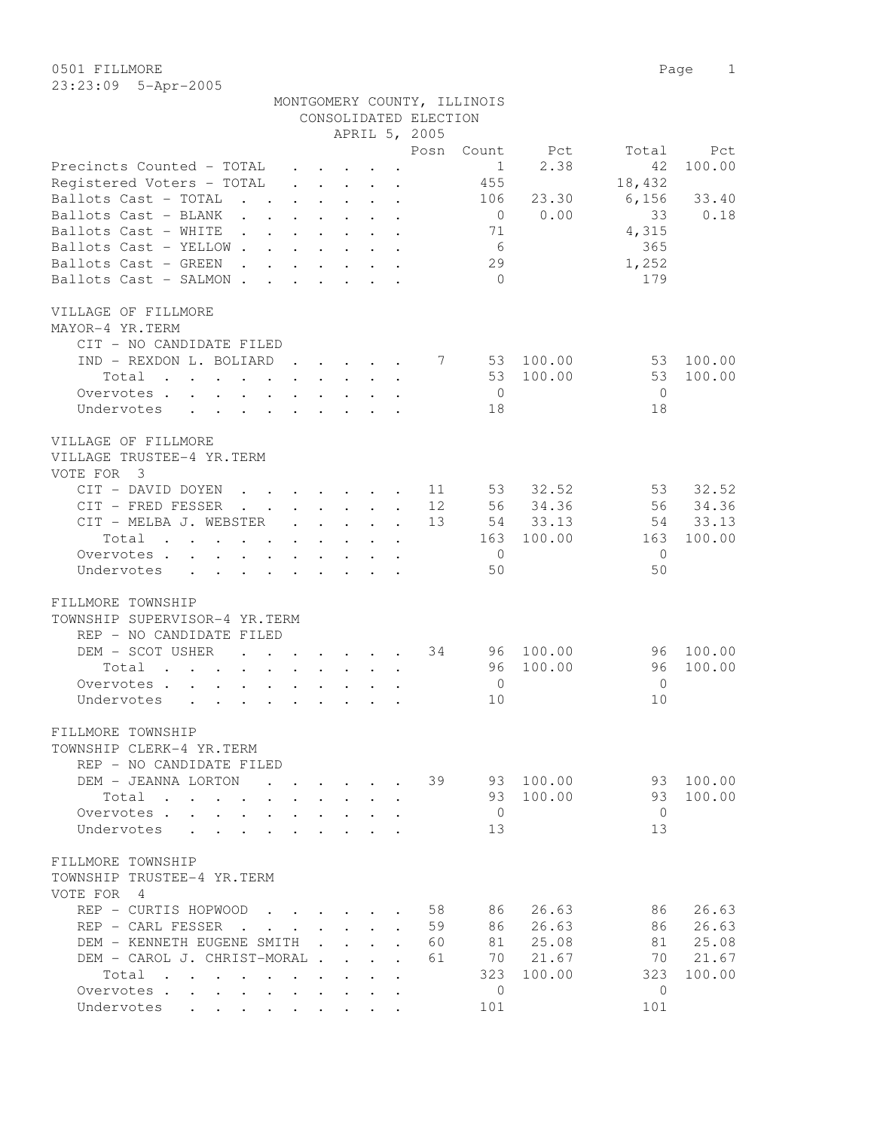|                                                                                                                      |                      |                                                                                                                 |              |                               | CONSOLIDATED ELECTION |                |           |                |        |
|----------------------------------------------------------------------------------------------------------------------|----------------------|-----------------------------------------------------------------------------------------------------------------|--------------|-------------------------------|-----------------------|----------------|-----------|----------------|--------|
|                                                                                                                      |                      |                                                                                                                 |              |                               | APRIL 5, 2005         |                |           |                |        |
|                                                                                                                      |                      |                                                                                                                 |              |                               | Posn                  | Count          | Pct       | Total          | Pct    |
| Precincts Counted - TOTAL                                                                                            |                      | $\cdot$ $\cdot$ $\cdot$ $\cdot$ $\cdot$                                                                         |              |                               |                       | 1              | 2.38      | 42             | 100.00 |
| Registered Voters - TOTAL                                                                                            |                      | $\begin{array}{cccccccccccccc} \bullet & \bullet & \bullet & \bullet & \bullet & \bullet & \bullet \end{array}$ |              |                               |                       | 455            |           | 18,432         |        |
| Ballots Cast - TOTAL<br><b>Contract Contract</b>                                                                     |                      |                                                                                                                 |              | $\sim$                        |                       | 106            | 23.30     | 6,156          | 33.40  |
| Ballots Cast - BLANK                                                                                                 |                      |                                                                                                                 |              |                               |                       | $\overline{0}$ | 0.00      | 33             | 0.18   |
| Ballots Cast - WHITE<br>$\mathbf{L} = \mathbf{L}$<br><b>Contract Contract</b>                                        |                      |                                                                                                                 |              | $\sim$                        |                       | 71             |           | 4,315          |        |
| Ballots Cast - YELLOW                                                                                                |                      | $\sim$ $\sim$                                                                                                   |              | $\ddot{\phantom{0}}$          |                       | 6              |           | 365            |        |
| Ballots Cast - GREEN<br>$\mathbf{r}$ , $\mathbf{r}$ , $\mathbf{r}$ , $\mathbf{r}$ , $\mathbf{r}$                     |                      |                                                                                                                 |              |                               |                       | 29             |           | 1,252          |        |
| Ballots Cast - SALMON.<br>$\mathbf{r}$ , $\mathbf{r}$ , $\mathbf{r}$ , $\mathbf{r}$                                  |                      |                                                                                                                 |              |                               |                       | $\bigcirc$     |           | 179            |        |
|                                                                                                                      |                      |                                                                                                                 |              |                               |                       |                |           |                |        |
| VILLAGE OF FILLMORE                                                                                                  |                      |                                                                                                                 |              |                               |                       |                |           |                |        |
| MAYOR-4 YR.TERM                                                                                                      |                      |                                                                                                                 |              |                               |                       |                |           |                |        |
| CIT - NO CANDIDATE FILED                                                                                             |                      |                                                                                                                 |              |                               |                       |                |           |                |        |
| IND - REXDON L. BOLIARD                                                                                              |                      | $\cdot$                                                                                                         |              |                               | 7                     |                | 53 100.00 | 53             | 100.00 |
| Total<br>$\mathbf{r}$ , $\mathbf{r}$ , $\mathbf{r}$ , $\mathbf{r}$ , $\mathbf{r}$                                    |                      | $\mathbf{r}$ . The set of $\mathbf{r}$                                                                          |              | $\mathbf{L} = \mathbf{L}$     |                       | 53             | 100.00    | 53             | 100.00 |
|                                                                                                                      |                      |                                                                                                                 |              |                               |                       |                |           |                |        |
| Overvotes.<br>$\mathbf{r}$ and $\mathbf{r}$<br>$\mathbf{L}$                                                          | $\sim$               | $\cdot$ $\cdot$ $\cdot$ $\cdot$                                                                                 |              |                               |                       | $\overline{0}$ |           | $\overline{0}$ |        |
| $\mathbf{r}$ , $\mathbf{r}$ , $\mathbf{r}$ , $\mathbf{r}$ , $\mathbf{r}$ , $\mathbf{r}$<br>Undervotes                |                      |                                                                                                                 |              |                               |                       | 18             |           | 18             |        |
|                                                                                                                      |                      |                                                                                                                 |              |                               |                       |                |           |                |        |
| VILLAGE OF FILLMORE                                                                                                  |                      |                                                                                                                 |              |                               |                       |                |           |                |        |
| VILLAGE TRUSTEE-4 YR.TERM                                                                                            |                      |                                                                                                                 |              |                               |                       |                |           |                |        |
| VOTE FOR 3                                                                                                           |                      |                                                                                                                 |              |                               |                       |                |           |                |        |
| CIT - DAVID DOYEN<br>$\mathbf{r}$ , $\mathbf{r}$ , $\mathbf{r}$ , $\mathbf{r}$ , $\mathbf{r}$ , $\mathbf{r}$         |                      |                                                                                                                 |              |                               | 11                    | 53             | 32.52     | 53             | 32.52  |
| CIT - FRED FESSER<br>$\mathcal{L}(\mathbf{z})$ , and $\mathcal{L}(\mathbf{z})$                                       |                      | $\cdot$ $\cdot$ $\cdot$ $\cdot$ $\cdot$                                                                         |              |                               | 12                    | 56             | 34.36     | 56             | 34.36  |
| CIT - MELBA J. WEBSTER                                                                                               | $\ddot{\phantom{0}}$ | $\mathbf{L}$ $\mathbf{L}$                                                                                       | $\mathbf{L}$ | $\ddot{\phantom{a}}$          | 13                    | 54             | 33.13     | 54             | 33.13  |
| Total                                                                                                                | $\sim$               | $\sim$ $\sim$<br>$\ddot{\phantom{0}}$                                                                           |              |                               |                       | 163            | 100.00    | 163            | 100.00 |
| Overvotes.                                                                                                           |                      |                                                                                                                 |              |                               |                       | $\overline{0}$ |           | $\Omega$       |        |
| Undervotes<br>$\mathbf{r}$ , and $\mathbf{r}$ , and $\mathbf{r}$ , and $\mathbf{r}$ , and $\mathbf{r}$               |                      |                                                                                                                 |              |                               |                       | 50             |           | 50             |        |
|                                                                                                                      |                      |                                                                                                                 |              |                               |                       |                |           |                |        |
| FILLMORE TOWNSHIP                                                                                                    |                      |                                                                                                                 |              |                               |                       |                |           |                |        |
| TOWNSHIP SUPERVISOR-4 YR.TERM                                                                                        |                      |                                                                                                                 |              |                               |                       |                |           |                |        |
| REP - NO CANDIDATE FILED                                                                                             |                      |                                                                                                                 |              |                               |                       |                |           |                |        |
| DEM - SCOT USHER<br>$\mathbf{L}$                                                                                     |                      | $\cdot$ $\cdot$ $\cdot$ $\cdot$                                                                                 |              |                               | 34                    |                | 96 100.00 | 96             | 100.00 |
| Total<br>$\mathbf{L}^{\text{max}}$<br>$\mathbf{L} = \mathbf{L}$                                                      |                      | $\mathbf{L} = \mathbf{L} \mathbf{L}$                                                                            |              | $\mathbf{L}$ and $\mathbf{L}$ |                       | 96 -           | 100.00    | 96             | 100.00 |
| Overvotes<br>$\cdot$ $\cdot$ $\cdot$ $\cdot$                                                                         |                      | $\mathbf{L} = \mathbf{L}$                                                                                       |              |                               |                       | $\overline{0}$ |           | $\overline{0}$ |        |
| $\mathbf{r}$ , $\mathbf{r}$ , $\mathbf{r}$ , $\mathbf{r}$ , $\mathbf{r}$ , $\mathbf{r}$ , $\mathbf{r}$<br>Undervotes |                      |                                                                                                                 |              |                               |                       | 10             |           | 10             |        |
|                                                                                                                      |                      |                                                                                                                 |              |                               |                       |                |           |                |        |
| FILLMORE TOWNSHIP                                                                                                    |                      |                                                                                                                 |              |                               |                       |                |           |                |        |
| TOWNSHIP CLERK-4 YR.TERM                                                                                             |                      |                                                                                                                 |              |                               |                       |                |           |                |        |
| REP - NO CANDIDATE FILED                                                                                             |                      |                                                                                                                 |              |                               |                       |                |           |                |        |
| DEM - JEANNA LORTON                                                                                                  |                      |                                                                                                                 |              |                               | 39                    | 93             | 100.00    | 93             | 100.00 |
| Total                                                                                                                |                      |                                                                                                                 |              |                               |                       | 93             | 100.00    | 93             | 100.00 |
|                                                                                                                      |                      |                                                                                                                 |              |                               |                       | $\overline{0}$ |           | $\overline{0}$ |        |
| Overvotes .<br>$\sim$                                                                                                |                      |                                                                                                                 |              |                               |                       |                |           |                |        |
| Undervotes                                                                                                           |                      |                                                                                                                 |              |                               |                       | 13             |           | 13             |        |
|                                                                                                                      |                      |                                                                                                                 |              |                               |                       |                |           |                |        |
| FILLMORE TOWNSHIP                                                                                                    |                      |                                                                                                                 |              |                               |                       |                |           |                |        |
| TOWNSHIP TRUSTEE-4 YR.TERM                                                                                           |                      |                                                                                                                 |              |                               |                       |                |           |                |        |
| VOTE FOR 4                                                                                                           |                      |                                                                                                                 |              |                               |                       |                |           |                |        |
| REP - CURTIS HOPWOOD                                                                                                 |                      |                                                                                                                 |              |                               | 58                    | 86             | 26.63     | 86             | 26.63  |
| REP - CARL FESSER                                                                                                    |                      |                                                                                                                 |              | $\ddot{\phantom{a}}$          | 59                    | 86             | 26.63     | 86             | 26.63  |
| DEM - KENNETH EUGENE SMITH .                                                                                         |                      |                                                                                                                 |              |                               | 60                    | 81             | 25.08     | 81             | 25.08  |
| DEM - CAROL J. CHRIST-MORAL .                                                                                        |                      | $\mathbf{L}$                                                                                                    |              |                               | 61                    | 70             | 21.67     | 70             | 21.67  |
| Total                                                                                                                |                      |                                                                                                                 |              |                               |                       | 323            | 100.00    | 323            | 100.00 |
| Overvotes.                                                                                                           |                      |                                                                                                                 |              |                               |                       | $\Omega$       |           | $\circ$        |        |

Undervotes . . . . . . . . . 101 101 101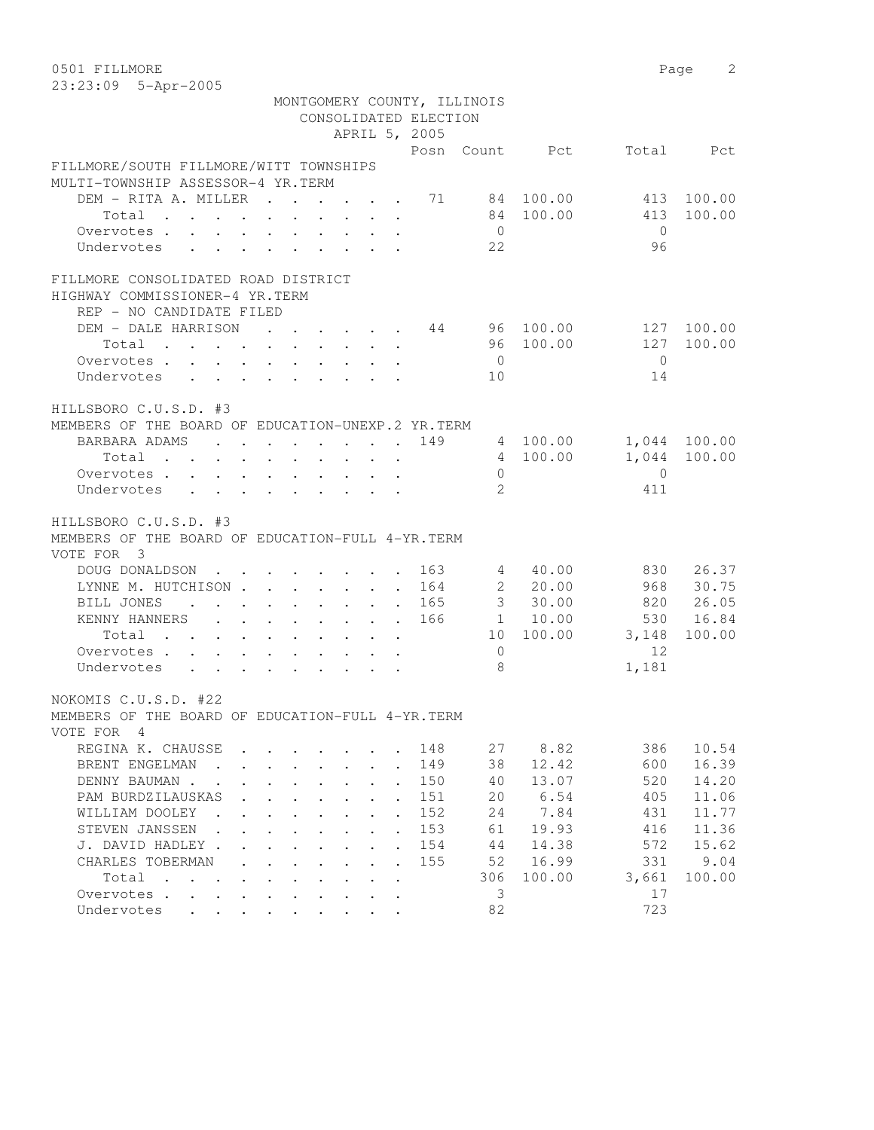0501 FILLMORE 2 23:23:09 5-Apr-2005

|                                                                                                                         | MONTGOMERY COUNTY, ILLINOIS                                  |                                          | CONSOLIDATED ELECTION       |                |                      |            |                              |
|-------------------------------------------------------------------------------------------------------------------------|--------------------------------------------------------------|------------------------------------------|-----------------------------|----------------|----------------------|------------|------------------------------|
|                                                                                                                         |                                                              |                                          | APRIL 5, 2005               |                |                      |            |                              |
|                                                                                                                         |                                                              |                                          |                             |                | Posn Count Pct       |            | Total Pct                    |
| FILLMORE/SOUTH FILLMORE/WITT TOWNSHIPS<br>MULTI-TOWNSHIP ASSESSOR-4 YR.TERM                                             |                                                              |                                          |                             |                |                      |            |                              |
| DEM - RITA A. MILLER 71 84 100.00                                                                                       |                                                              |                                          |                             |                |                      | 413        | 100.00                       |
| Total                                                                                                                   |                                                              |                                          |                             |                | 84 100.00            | 413        | 100.00                       |
| Overvotes.                                                                                                              |                                                              |                                          |                             | $\overline{0}$ |                      | $\bigcirc$ |                              |
| Undervotes                                                                                                              |                                                              |                                          |                             | 22             |                      | 96         |                              |
| FILLMORE CONSOLIDATED ROAD DISTRICT<br>HIGHWAY COMMISSIONER-4 YR.TERM<br>REP - NO CANDIDATE FILED                       |                                                              |                                          |                             |                |                      |            |                              |
| DEM - DALE HARRISON 44 96 100.00                                                                                        |                                                              |                                          |                             |                |                      |            | 127 100.00                   |
| Total                                                                                                                   |                                                              |                                          |                             |                | 96 100.00            | 127        | 100.00                       |
| Overvotes.                                                                                                              |                                                              |                                          |                             | $\overline{0}$ |                      | $\bigcirc$ |                              |
| Undervotes                                                                                                              |                                                              |                                          |                             | 10             |                      | 14         |                              |
| HILLSBORO C.U.S.D. #3<br>MEMBERS OF THE BOARD OF EDUCATION-UNEXP.2 YR. TERM<br>BARBARA ADAMS 149<br>Total<br>Overvotes. |                                                              |                                          |                             | $\circ$        | 4 100.00<br>4 100.00 | $\Omega$   | 1,044 100.00<br>1,044 100.00 |
| Undervotes                                                                                                              |                                                              |                                          |                             | 2              |                      | 411        |                              |
| HILLSBORO C.U.S.D. #3<br>MEMBERS OF THE BOARD OF EDUCATION-FULL 4-YR. TERM<br>VOTE FOR 3                                |                                                              |                                          |                             |                |                      |            |                              |
| DOUG DONALDSON 163                                                                                                      |                                                              |                                          |                             |                | 4 40.00              |            | 830 26.37                    |
| LYNNE M. HUTCHISON 164                                                                                                  |                                                              |                                          |                             |                | 2 20.00              |            | 968 30.75                    |
| BILL JONES                                                                                                              |                                                              |                                          | . 165                       |                | $3\quad 30.00$       |            | 820 26.05                    |
| KENNY HANNERS 166                                                                                                       |                                                              |                                          |                             |                | 1 10.00              |            | 530 16.84                    |
| Total                                                                                                                   |                                                              |                                          |                             |                | 10 100.00            | 3, 148     | 100.00                       |
| Overvotes                                                                                                               |                                                              |                                          |                             | $\overline{0}$ |                      | 12         |                              |
| Undervotes                                                                                                              |                                                              |                                          |                             | - 8            |                      | 1,181      |                              |
| NOKOMIS C.U.S.D. #22<br>MEMBERS OF THE BOARD OF EDUCATION-FULL 4-YR. TERM<br>VOTE FOR 4                                 |                                                              |                                          |                             |                |                      |            |                              |
| REGINA K. CHAUSSE                                                                                                       |                                                              |                                          | 148                         | 27             | 8.82                 | 386        | 10.54                        |
| BRENT ENGELMAN<br>$\mathbf{L}$ and $\mathbf{L}$ and $\mathbf{L}$                                                        | $\mathbf{L}^{\text{max}}$<br>$\mathbf{L}$<br>$\sim$          | $\sim$ 100 $\pm$<br>$\ddot{\phantom{a}}$ | 149<br>$\ddot{\phantom{a}}$ | 38             | 12.42                | 600        | 16.39                        |
| DENNY BAUMAN.<br>$\sim$ 100 $\sim$<br>$\mathbf{L}$                                                                      | $\ddot{\phantom{0}}$<br>$\ddot{\phantom{a}}$<br>$\mathbf{L}$ | $\ddot{\phantom{0}}$                     | 150<br>$\ddot{\phantom{a}}$ | 40             | 13.07                | 520        | 14.20                        |
| PAM BURDZILAUSKAS                                                                                                       | $\ddot{\phantom{0}}$<br>$\sim$                               | $\ddot{\phantom{0}}$                     | 151<br>$\ddot{\phantom{0}}$ | 20             | 6.54                 | 405        | 11.06                        |
| WILLIAM DOOLEY                                                                                                          | $\ddot{\phantom{a}}$                                         |                                          | 152<br>$\ddot{\phantom{a}}$ | 24             | 7.84                 | 431        | 11.77                        |
| STEVEN JANSSEN                                                                                                          | $\ddot{\phantom{a}}$                                         |                                          | 153<br>$\bullet$            | 61             | 19.93                | 416        | 11.36                        |
| J. DAVID HADLEY.                                                                                                        |                                                              |                                          | 154                         | 44             | 14.38                | 572        | 15.62                        |
| CHARLES TOBERMAN                                                                                                        |                                                              |                                          | 155                         | 52             | 16.99                | 331        | 9.04                         |
| Total<br>$\sim$                                                                                                         | $\ddot{\phantom{a}}$                                         |                                          |                             | 306            | 100.00               | 3,661      | 100.00                       |
| Overvotes                                                                                                               | $\ddot{\phantom{a}}$<br>$\ddot{\phantom{a}}$                 | $\ddot{\phantom{a}}$                     |                             | 3              |                      | 17         |                              |
| Undervotes                                                                                                              |                                                              | $\sim$                                   |                             | 82             |                      | 723        |                              |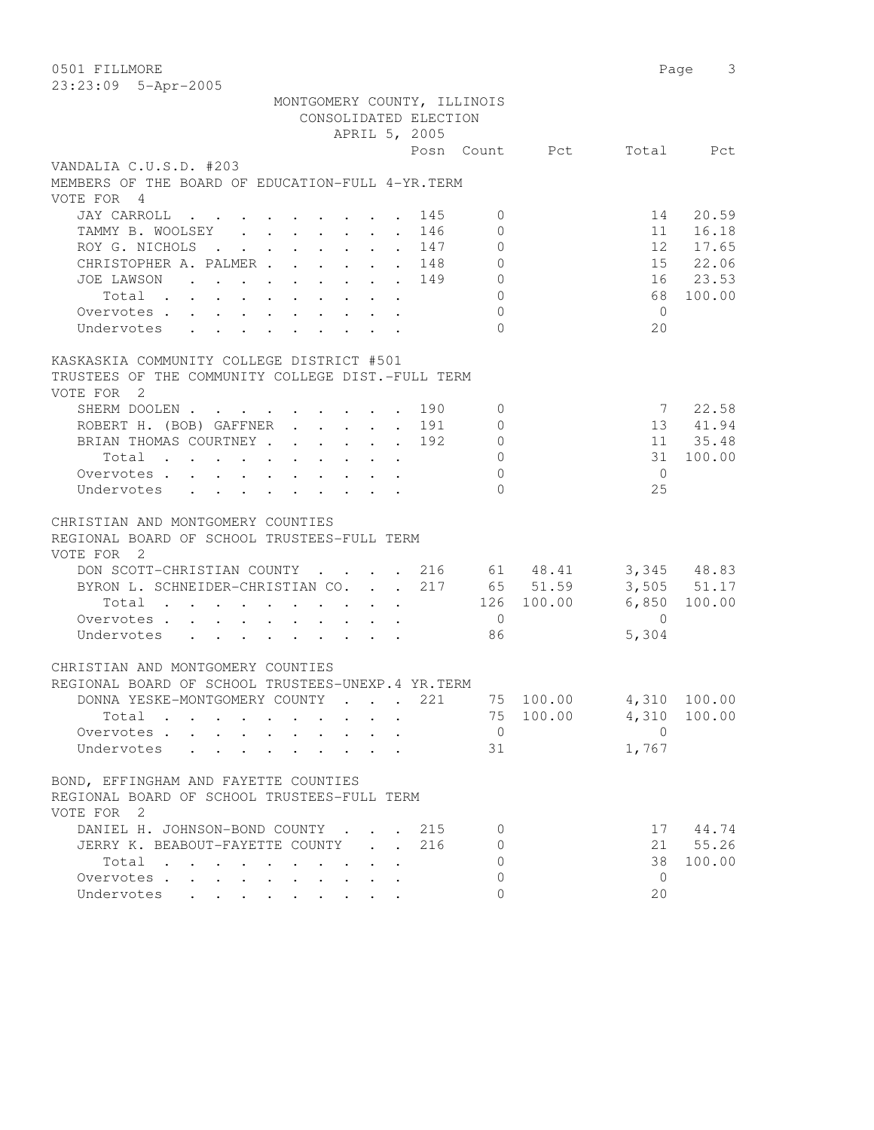0501 FILLMORE 2012 2022 12:00 Page 3 23:23:09 5-Apr-2005 MONTGOMERY COUNTY, ILLINOIS CONSOLIDATED ELECTION APRIL 5, 2005 Posn Count Pct Total Pct VANDALIA C.U.S.D. #203 MEMBERS OF THE BOARD OF EDUCATION-FULL 4-YR.TERM VOTE FOR 4 JAY CARROLL . . . . . . . . 145 0 14 20.59 TAMMY B. WOOLSEY . . . . . . . 146 0 11 16.18 ROY G. NICHOLS . . . . . . . 147 0 12 17.65 CHRISTOPHER A. PALMER . . . . . 148 0 15 22.06<br>JOE LAWSON . . . . . . . . 149 0 16 23.53 JOE LAWSON . . . . . . . . . 149 Total . . . . . . . . . . 0 68 100.00 Overvotes . . . . . . . . . . 0 0 Undervotes . . . . . . . . . 0 20 KASKASKIA COMMUNITY COLLEGE DISTRICT #501 TRUSTEES OF THE COMMUNITY COLLEGE DIST.-FULL TERM VOTE FOR 2 SHERM DOOLEN . . . . . . . . 190 0 7 22.58 ROBERT H. (BOB) GAFFNER . . . . 191 0 13 41.94 BRIAN THOMAS COURTNEY . . . . . 192 0 11 35.48 Total . . . . . . . . . . 0 31 100.00 Overvotes . . . . . . . . . . 0 0 Undervotes . . . . . . . . 0 25 CHRISTIAN AND MONTGOMERY COUNTIES REGIONAL BOARD OF SCHOOL TRUSTEES-FULL TERM VOTE FOR 2 DON SCOTT-CHRISTIAN COUNTY . . . . 216 61 48.41 3,345 48.83 BYRON L. SCHNEIDER-CHRISTIAN CO. . . 217 65 51.59 3,505 51.17 Total . . . . . . . . . . 126 100.00 6,850 100.00 Overvotes . . . . . . . . . . 0 0 Overvotes . . . . . . . . . . 0 0<br>Undervotes . . . . . . . . . 86 5,304 CHRISTIAN AND MONTGOMERY COUNTIES REGIONAL BOARD OF SCHOOL TRUSTEES-UNEXP.4 YR.TERM DONNA YESKE-MONTGOMERY COUNTY . . . 221 75 100.00 4,310 100.00 Total . . . . . . . . . . 75 100.00 4,310 100.00 Overvotes . . . . . . . . . . 0 0 Undervotes . . . . . . . . . 31 1,767 BOND, EFFINGHAM AND FAYETTE COUNTIES REGIONAL BOARD OF SCHOOL TRUSTEES-FULL TERM VOTE FOR 2 DANIEL H. JOHNSON-BOND COUNTY . . . 215 0 17 44.74 JERRY K. BEABOUT-FAYETTE COUNTY . . 216 0 21 55.26 Total . . . . . . . . . . 0 38 100.00 Overvotes . . . . . . . . . . 0 0

Undervotes . . . . . . . . . 0 20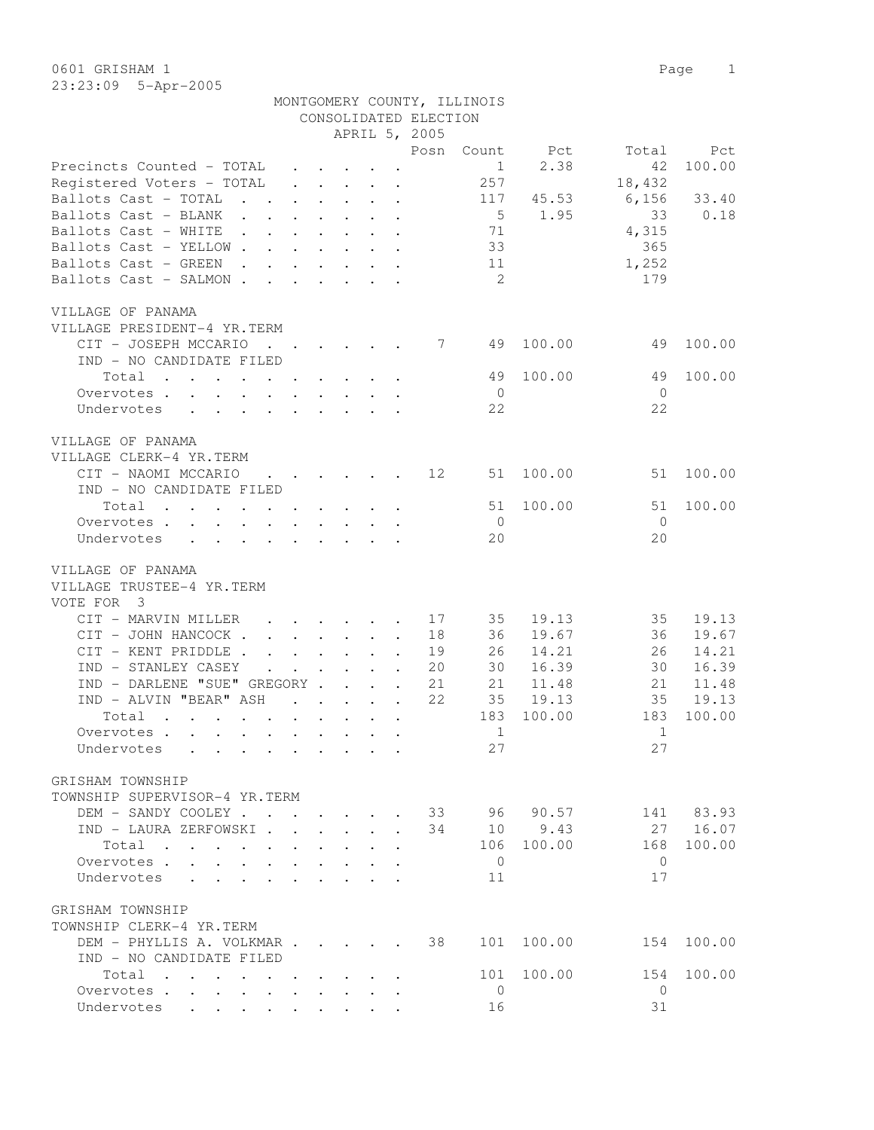23:23:09 5-Apr-2005

|                                                                                                         |                                            |              |                                                                                             |                                                                 |                      | CONSOLIDATED ELECTION |                |         |                |           |
|---------------------------------------------------------------------------------------------------------|--------------------------------------------|--------------|---------------------------------------------------------------------------------------------|-----------------------------------------------------------------|----------------------|-----------------------|----------------|---------|----------------|-----------|
|                                                                                                         |                                            |              |                                                                                             |                                                                 |                      | APRIL 5, 2005         |                |         |                |           |
|                                                                                                         |                                            |              |                                                                                             |                                                                 |                      | Posn                  | Count          | Pct     | Total          | Pct       |
| Precincts Counted - TOTAL                                                                               |                                            |              | $\cdot$ $\cdot$ $\cdot$ $\cdot$ $\cdot$                                                     |                                                                 |                      |                       | $\mathbf 1$    | 2.38    | 42             | 100.00    |
| Registered Voters - TOTAL                                                                               | $\ddot{\phantom{0}}$                       |              | $\cdot$ $\cdot$ $\cdot$ $\cdot$                                                             |                                                                 |                      |                       | 257            |         | 18,432         |           |
| Ballots Cast - TOTAL<br>$\mathbf{L}$ and $\mathbf{L}$                                                   |                                            |              | $\cdot$ $\cdot$ $\cdot$ $\cdot$ $\cdot$ $\cdot$                                             |                                                                 |                      |                       | 117            | 45.53   | 6,156          | 33.40     |
| Ballots Cast - BLANK                                                                                    | $\mathbf{r} = \mathbf{r} + \mathbf{r}$ .   |              | $\ddot{\phantom{0}}$                                                                        | $\sim$                                                          | $\ddot{\phantom{a}}$ |                       | 5              | 1.95    | 33             | 0.18      |
| Ballots Cast - WHITE<br>$\mathbf{r}$ , $\mathbf{r}$ , $\mathbf{r}$ , $\mathbf{r}$                       |                                            |              |                                                                                             |                                                                 |                      |                       | 71             |         | 4,315          |           |
| Ballots Cast - YELLOW.<br>$\mathcal{L}^{\text{max}}$                                                    |                                            | $\mathbf{r}$ |                                                                                             | $\cdot$ $\cdot$ $\cdot$                                         |                      |                       | 33             |         | 365            |           |
| Ballots Cast - GREEN<br>$\sim$ $\sim$<br>$\mathbf{A}$                                                   |                                            |              |                                                                                             | $\bullet$ .<br><br><br><br><br><br><br><br><br><br><br><br><br> |                      |                       | 11             |         | 1,252          |           |
| Ballots Cast - SALMON.<br>$\ddot{\phantom{a}}$                                                          | $\mathbf{L}$                               | $\sim 100$   |                                                                                             | $\mathbf{L} = \mathbf{L} \mathbf{L}$                            |                      |                       | -2             |         | 179            |           |
| VILLAGE OF PANAMA                                                                                       |                                            |              |                                                                                             |                                                                 |                      |                       |                |         |                |           |
| VILLAGE PRESIDENT-4 YR.TERM                                                                             |                                            |              |                                                                                             |                                                                 |                      |                       |                |         |                |           |
| CIT - JOSEPH MCCARIO<br>$\mathbf{r}$ , $\mathbf{r}$ , $\mathbf{r}$ , $\mathbf{r}$ , $\mathbf{r}$        |                                            |              |                                                                                             |                                                                 |                      | $7\phantom{0}$        | 49             | 100.00  | 49             | 100.00    |
| IND - NO CANDIDATE FILED                                                                                |                                            |              |                                                                                             |                                                                 |                      |                       |                |         |                |           |
| Total<br>the contract of the contract of the contract of                                                |                                            |              |                                                                                             |                                                                 |                      |                       | 49             | 100.00  | 49             | 100.00    |
| Overvotes                                                                                               |                                            |              |                                                                                             |                                                                 |                      |                       | $\overline{0}$ |         | $\overline{0}$ |           |
| Undervotes<br>$\mathbf{L}$<br>$\mathbf{L} = \mathbf{L} \mathbf{L}$<br>$\sim$                            |                                            |              | $\mathbf{r} = \mathbf{r} \times \mathbf{r}$ and $\mathbf{r} = \mathbf{r} \times \mathbf{r}$ |                                                                 |                      |                       | 22             |         | 22             |           |
|                                                                                                         |                                            |              |                                                                                             |                                                                 |                      |                       |                |         |                |           |
| VILLAGE OF PANAMA                                                                                       |                                            |              |                                                                                             |                                                                 |                      |                       |                |         |                |           |
| VILLAGE CLERK-4 YR.TERM                                                                                 |                                            |              |                                                                                             |                                                                 |                      |                       |                |         |                |           |
| CIT - NAOMI MCCARIO                                                                                     |                                            |              | $\mathbf{r}$ , and $\mathbf{r}$ , and $\mathbf{r}$ , and $\mathbf{r}$                       |                                                                 |                      | 12                    | 51             | 100.00  | 51             | 100.00    |
| IND - NO CANDIDATE FILED                                                                                |                                            |              |                                                                                             |                                                                 |                      |                       |                |         |                |           |
| Total<br>$\mathbf{r}$ , and $\mathbf{r}$ , and $\mathbf{r}$ , and $\mathbf{r}$ , and $\mathbf{r}$       |                                            |              |                                                                                             |                                                                 | $\sim$               |                       | 51             | 100.00  | 51             | 100.00    |
| Overvotes                                                                                               |                                            |              |                                                                                             |                                                                 |                      |                       | $\overline{0}$ |         | $\overline{0}$ |           |
| Undervotes<br>$\mathbf{L}$<br>$\ddot{\phantom{a}}$<br>$\ddot{\phantom{a}}$                              | $\ddot{\phantom{a}}$                       |              |                                                                                             |                                                                 |                      |                       | 20             |         | 20             |           |
| VILLAGE OF PANAMA                                                                                       |                                            |              |                                                                                             |                                                                 |                      |                       |                |         |                |           |
| VILLAGE TRUSTEE-4 YR.TERM                                                                               |                                            |              |                                                                                             |                                                                 |                      |                       |                |         |                |           |
| VOTE FOR 3                                                                                              |                                            |              |                                                                                             |                                                                 |                      |                       |                |         |                |           |
| CIT - MARVIN MILLER                                                                                     |                                            |              |                                                                                             |                                                                 | $\ddot{\phantom{a}}$ | 17                    | 35             | 19.13   | 35             | 19.13     |
| CIT - JOHN HANCOCK.                                                                                     |                                            |              | $\cdot$ $\cdot$ $\cdot$ $\cdot$ $\cdot$ $\cdot$ $\cdot$                                     |                                                                 | $\bullet$            | 18                    | 36             | 19.67   | 36             | 19.67     |
| CIT - KENT PRIDDLE.                                                                                     |                                            |              | $\cdot$ $\cdot$ $\cdot$ $\cdot$                                                             |                                                                 |                      | 19                    | 26             | 14.21   | 26             | 14.21     |
| IND - STANLEY CASEY                                                                                     |                                            |              |                                                                                             |                                                                 |                      | 20                    | 30             | 16.39   | 30             | 16.39     |
| IND - DARLENE "SUE" GREGORY                                                                             |                                            |              |                                                                                             |                                                                 |                      | 21                    | 21             | 11.48   | 21             | 11.48     |
| IND - ALVIN "BEAR" ASH                                                                                  |                                            |              |                                                                                             |                                                                 |                      |                       |                |         |                |           |
|                                                                                                         | $\mathbf{r}$ , $\mathbf{r}$ , $\mathbf{r}$ |              |                                                                                             | $\mathbf{L}$ . The set of $\mathbf{L}$                          | $\ddot{\phantom{a}}$ | 22                    | 35             | 19.13   | 35             | 19.13     |
| Total<br>$\mathbf{r}$ , and $\mathbf{r}$ , and $\mathbf{r}$ , and $\mathbf{r}$ , and $\mathbf{r}$       |                                            |              |                                                                                             |                                                                 |                      |                       | 183            | 100.00  | 183            | 100.00    |
| Overvotes .<br>$\mathbf{r}$ , and $\mathbf{r}$ , and $\mathbf{r}$ , and $\mathbf{r}$ , and $\mathbf{r}$ |                                            |              |                                                                                             |                                                                 |                      |                       | $\mathbf 1$    |         | $\mathbf 1$    |           |
| Undervotes                                                                                              |                                            |              |                                                                                             |                                                                 |                      |                       | 27             |         | 27             |           |
| GRISHAM TOWNSHIP                                                                                        |                                            |              |                                                                                             |                                                                 |                      |                       |                |         |                |           |
| TOWNSHIP SUPERVISOR-4 YR.TERM                                                                           |                                            |              |                                                                                             |                                                                 |                      |                       |                |         |                |           |
| DEM - SANDY COOLEY 33 96 90.57                                                                          |                                            |              |                                                                                             |                                                                 |                      |                       |                |         |                | 141 83.93 |
| IND - LAURA ZERFOWSKI.                                                                                  |                                            |              | $\Delta \sim 10^4$                                                                          | $\mathcal{L}^{\text{max}}$                                      | $\mathbf{A}$         | 34                    |                | 10 9.43 |                | 27 16.07  |
| Total                                                                                                   |                                            |              |                                                                                             |                                                                 |                      |                       | 106            | 100.00  | 168            | 100.00    |
| Overvotes                                                                                               | $\mathbf{L}$                               | $\mathbf{L}$ | $\mathbf{L}$                                                                                | $\sim$                                                          |                      |                       | $\circ$        |         | $\Omega$       |           |
| Undervotes<br>$\mathbf{r}$ , $\mathbf{r}$ , $\mathbf{r}$ , $\mathbf{r}$                                 |                                            |              |                                                                                             |                                                                 |                      |                       | 11             |         | 17             |           |
| GRISHAM TOWNSHIP                                                                                        |                                            |              |                                                                                             |                                                                 |                      |                       |                |         |                |           |
|                                                                                                         |                                            |              |                                                                                             |                                                                 |                      |                       |                |         |                |           |
| TOWNSHIP CLERK-4 YR.TERM                                                                                |                                            |              |                                                                                             |                                                                 |                      |                       |                |         |                |           |
| DEM - PHYLLIS A. VOLKMAR                                                                                |                                            |              |                                                                                             |                                                                 |                      | 38                    | 101            | 100.00  | 154            | 100.00    |
| IND - NO CANDIDATE FILED                                                                                |                                            |              |                                                                                             |                                                                 |                      |                       |                |         |                |           |
| Total                                                                                                   |                                            |              |                                                                                             |                                                                 |                      |                       | 101            | 100.00  | 154            | 100.00    |
| Overvotes<br>$\ddot{\phantom{0}}$                                                                       | $\ddot{\phantom{a}}$                       |              |                                                                                             |                                                                 |                      |                       | $\mathbf{0}$   |         | $\mathbf{0}$   |           |
| Undervotes                                                                                              |                                            |              | $\mathbf{r}$ , $\mathbf{r}$ , $\mathbf{r}$ , $\mathbf{r}$                                   |                                                                 |                      |                       | 16             |         | 31             |           |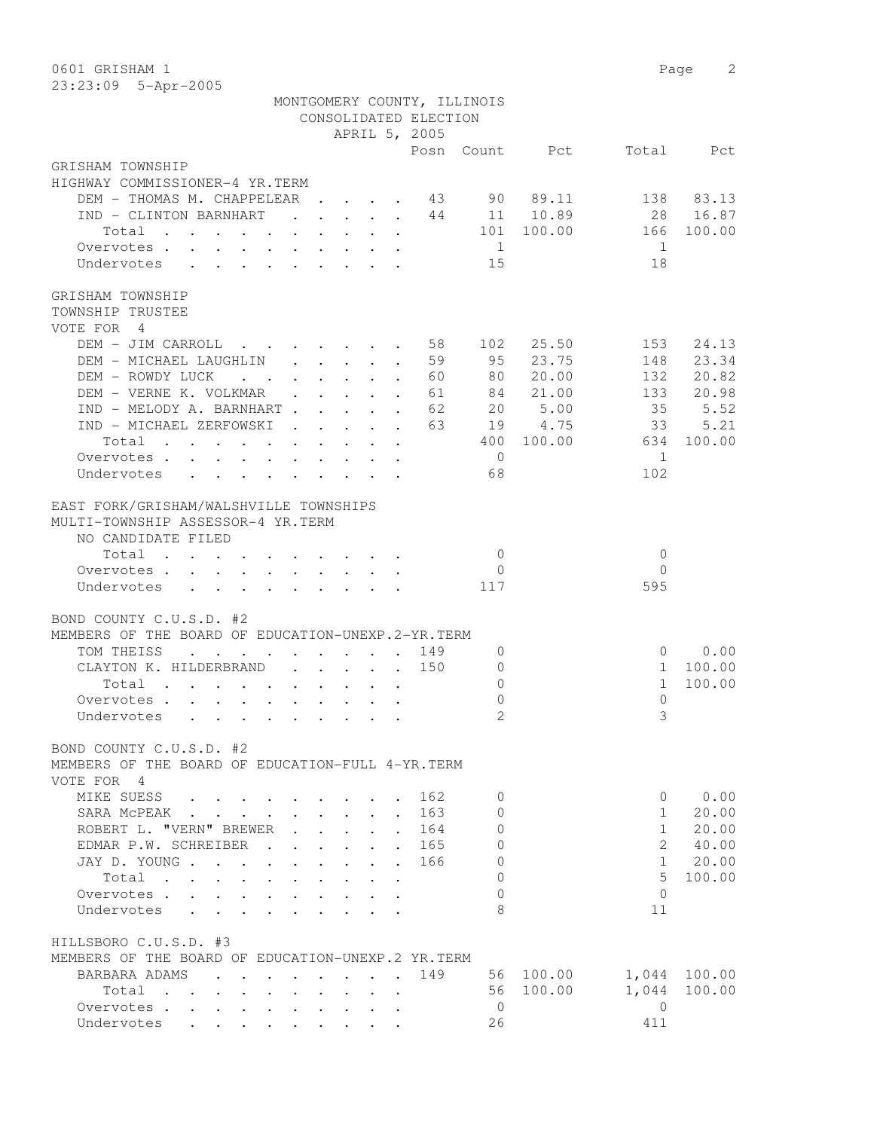0601 GRISHAM 1 Page 2 23:23:09 5-Apr-2005

|                                                                                                                                                                                                                 |                           |                                                           |                             |                               | MONTGOMERY COUNTY, ILLINOIS<br>CONSOLIDATED ELECTION |                              |                                                         |                       |                       |
|-----------------------------------------------------------------------------------------------------------------------------------------------------------------------------------------------------------------|---------------------------|-----------------------------------------------------------|-----------------------------|-------------------------------|------------------------------------------------------|------------------------------|---------------------------------------------------------|-----------------------|-----------------------|
|                                                                                                                                                                                                                 |                           |                                                           |                             |                               | APRIL 5, 2005                                        |                              |                                                         |                       |                       |
|                                                                                                                                                                                                                 |                           |                                                           |                             |                               |                                                      |                              | Posn Count Pct                                          |                       | Total Pct             |
| GRISHAM TOWNSHIP                                                                                                                                                                                                |                           |                                                           |                             |                               |                                                      |                              |                                                         |                       |                       |
| HIGHWAY COMMISSIONER-4 YR.TERM                                                                                                                                                                                  |                           |                                                           |                             |                               |                                                      |                              |                                                         |                       |                       |
| DEM - THOMAS M. CHAPPELEAR 43                                                                                                                                                                                   |                           |                                                           |                             |                               |                                                      |                              | 90 89.11                                                |                       | 138 83.13             |
| IND - CLINTON BARNHART                                                                                                                                                                                          |                           |                                                           |                             |                               |                                                      |                              | $\cdot \cdot \cdot \cdot \cdot \cdot \cdot 44$ 11 10.89 |                       | 28 16.87              |
| Total<br>the contract of the contract of the contract of the contract of the contract of the contract of the contract of                                                                                        |                           |                                                           |                             |                               |                                                      |                              | 101 100.00                                              | 166                   | 100.00                |
| Overvotes                                                                                                                                                                                                       |                           |                                                           |                             |                               |                                                      | 1                            |                                                         | 1                     |                       |
| Undervotes<br>$\mathbf{r}$ , $\mathbf{r}$ , $\mathbf{r}$ , $\mathbf{r}$<br>$\mathbf{L}$                                                                                                                         |                           |                                                           |                             |                               |                                                      | 15                           |                                                         | 18                    |                       |
| GRISHAM TOWNSHIP<br>TOWNSHIP TRUSTEE<br>VOTE FOR 4                                                                                                                                                              |                           |                                                           |                             |                               |                                                      |                              |                                                         |                       |                       |
| DEM - JIM CARROLL 58 102 25.50                                                                                                                                                                                  |                           |                                                           |                             |                               |                                                      |                              |                                                         | 153                   | 24.13                 |
| DEM - MICHAEL LAUGHLIN                                                                                                                                                                                          |                           | $\mathbf{r}$ , $\mathbf{r}$ , $\mathbf{r}$ , $\mathbf{r}$ |                             |                               | .59                                                  | 95                           | 23.75                                                   | 148                   | 23.34                 |
| DEM - ROWDY LUCK                                                                                                                                                                                                |                           | $\cdot$ $\cdot$ $\cdot$ $\cdot$ $\cdot$ $\cdot$           |                             |                               | . 60                                                 | 80                           | 20.00                                                   | 132                   | 20.82                 |
| DEM - VERNE K. VOLKMAR                                                                                                                                                                                          |                           | $\mathbf{L} = \mathbf{L} \mathbf{L}$                      |                             | $\mathbf{L}$ and $\mathbf{L}$ | 61                                                   |                              | 84 21.00                                                | 133                   | 20.98                 |
| IND - MELODY A. BARNHART.                                                                                                                                                                                       |                           | $\mathbf{L}$                                              | $\ddot{\phantom{0}}$        |                               | 62                                                   |                              | 20 5.00                                                 | 35                    | 5.52                  |
| IND - MICHAEL ZERFOWSKI.                                                                                                                                                                                        |                           | $\mathbf{L}$                                              | $\mathbf{r}$ , $\mathbf{r}$ |                               | 63                                                   |                              | 19 4.75                                                 | 33                    | 5.21                  |
| Total                                                                                                                                                                                                           |                           |                                                           |                             | $\cdot$ $\cdot$               |                                                      |                              | 400 100.00                                              | 634                   | 100.00                |
| Overvotes                                                                                                                                                                                                       |                           |                                                           |                             |                               |                                                      | $\bigcirc$                   |                                                         | $\overline{1}$<br>102 |                       |
| Undervotes                                                                                                                                                                                                      |                           |                                                           |                             |                               |                                                      | 68                           |                                                         |                       |                       |
| EAST FORK/GRISHAM/WALSHVILLE TOWNSHIPS<br>MULTI-TOWNSHIP ASSESSOR-4 YR.TERM<br>NO CANDIDATE FILED                                                                                                               |                           |                                                           |                             |                               |                                                      |                              |                                                         |                       |                       |
| Total                                                                                                                                                                                                           |                           |                                                           |                             |                               |                                                      | $\overline{0}$               |                                                         | $\mathbf{0}$          |                       |
| Overvotes .<br>$\mathbf{r}$ , $\mathbf{r}$ , $\mathbf{r}$ , $\mathbf{r}$ , $\mathbf{r}$ , $\mathbf{r}$<br>$\mathbf{L}$                                                                                          |                           |                                                           |                             |                               |                                                      | $\overline{0}$               |                                                         | $\Omega$              |                       |
| Undervotes<br>$\mathbf{L}$<br>$\mathbf{r}$ , $\mathbf{r}$ , $\mathbf{r}$ , $\mathbf{r}$<br>$\sim$                                                                                                               |                           |                                                           |                             |                               |                                                      | 117                          |                                                         | 595                   |                       |
| BOND COUNTY C.U.S.D. #2<br>MEMBERS OF THE BOARD OF EDUCATION-UNEXP.2-YR.TERM<br>TOM THEISS<br>$\mathbf{r}$ , $\mathbf{r}$ , $\mathbf{r}$ , $\mathbf{r}$ , $\mathbf{r}$ , $\mathbf{r}$<br>CLAYTON K. HILDERBRAND |                           |                                                           |                             |                               | 149<br>$\cdot$ 150                                   | $\mathbf{0}$<br>$\mathbf{0}$ |                                                         | $\mathbf{1}$          | $0 \t 0.00$<br>100.00 |
| Total                                                                                                                                                                                                           |                           |                                                           |                             |                               |                                                      | $\mathbf{0}$                 |                                                         | $\mathbf{1}$          | 100.00                |
| Overvotes<br>$\sim$ 100 $\pm$<br>$\mathbf{L} = \mathbf{L}$                                                                                                                                                      |                           |                                                           |                             |                               |                                                      | 0                            |                                                         | $\mathbf 0$           |                       |
| Undervotes<br>$\mathbf{L}$ and $\mathbf{L}$<br>$\cdot$ $\cdot$ $\cdot$                                                                                                                                          |                           | $\sim$                                                    |                             |                               |                                                      | $\overline{2}$               |                                                         | 3                     |                       |
| BOND COUNTY C.U.S.D. #2<br>MEMBERS OF THE BOARD OF EDUCATION-FULL 4-YR. TERM                                                                                                                                    |                           |                                                           |                             |                               |                                                      |                              |                                                         |                       |                       |
| VOTE FOR 4                                                                                                                                                                                                      |                           |                                                           |                             |                               |                                                      |                              |                                                         |                       |                       |
| MIKE SUESS                                                                                                                                                                                                      |                           |                                                           |                             |                               | 162                                                  | $\Omega$                     |                                                         | 0                     | 0.00                  |
| SARA MCPEAK .                                                                                                                                                                                                   |                           |                                                           |                             |                               | 163                                                  | $\circ$                      |                                                         | $\mathbf{1}$          | 20.00                 |
| ROBERT L. "VERN" BREWER                                                                                                                                                                                         |                           |                                                           |                             |                               | 164                                                  | $\circ$                      |                                                         | $\mathbf{1}$          | 20.00                 |
| EDMAR P.W. SCHREIBER                                                                                                                                                                                            |                           |                                                           |                             |                               | 165                                                  | $\mathbf{0}$                 |                                                         | $\mathbf{2}^{\prime}$ | 40.00                 |
| JAY D. YOUNG<br>$\ddot{\phantom{a}}$                                                                                                                                                                            |                           | $\mathbf{L}^{\text{max}}$                                 |                             | $\mathbf{r}$                  | 166                                                  | $\Omega$                     |                                                         | $\mathbf{1}$          | 20.00                 |
| Total<br>$\mathbf{L}$                                                                                                                                                                                           | $\ddot{\phantom{a}}$      |                                                           |                             | $\mathbf{r}$                  |                                                      | $\Omega$                     |                                                         | 5                     | 100.00                |
| Overvotes .<br>$\mathbf{L} = \mathbf{L} \mathbf{L} = \mathbf{L}$<br>$\mathbf{L}$                                                                                                                                |                           |                                                           |                             |                               |                                                      | $\Omega$                     |                                                         | $\Omega$              |                       |
| Undervotes<br>$\mathbf{r}$ $\mathbf{r}$ $\mathbf{r}$<br>$\cdot$                                                                                                                                                 |                           | $\sim$ $\sim$ $\sim$                                      |                             |                               |                                                      | 8                            |                                                         | 11                    |                       |
| HILLSBORO C.U.S.D. #3                                                                                                                                                                                           |                           |                                                           |                             |                               |                                                      |                              |                                                         |                       |                       |
| MEMBERS OF THE BOARD OF EDUCATION-UNEXP.2 YR.TERM                                                                                                                                                               |                           |                                                           |                             |                               |                                                      |                              |                                                         |                       |                       |
| BARBARA ADAMS                                                                                                                                                                                                   |                           |                                                           |                             |                               | 149                                                  |                              | 56 100.00                                               | 1,044                 | 100.00                |
| Total                                                                                                                                                                                                           |                           |                                                           |                             |                               |                                                      | 56                           | 100.00                                                  | 1,044                 | 100.00                |
| Overvotes .<br>$\sim$<br>$\mathbf{L}$                                                                                                                                                                           |                           |                                                           |                             |                               |                                                      | $\overline{0}$               |                                                         | $\mathbf{0}$          |                       |
| Undervotes<br>$\mathbb{R}^{n}$<br>$\mathcal{L}^{\text{max}}$<br>$\mathbb{Z}^{\mathbb{Z}}$                                                                                                                       | $\mathbb{R}^{\mathbb{Z}}$ | $\mathcal{L}^{\text{max}}$                                |                             |                               |                                                      | 26                           |                                                         | 411                   |                       |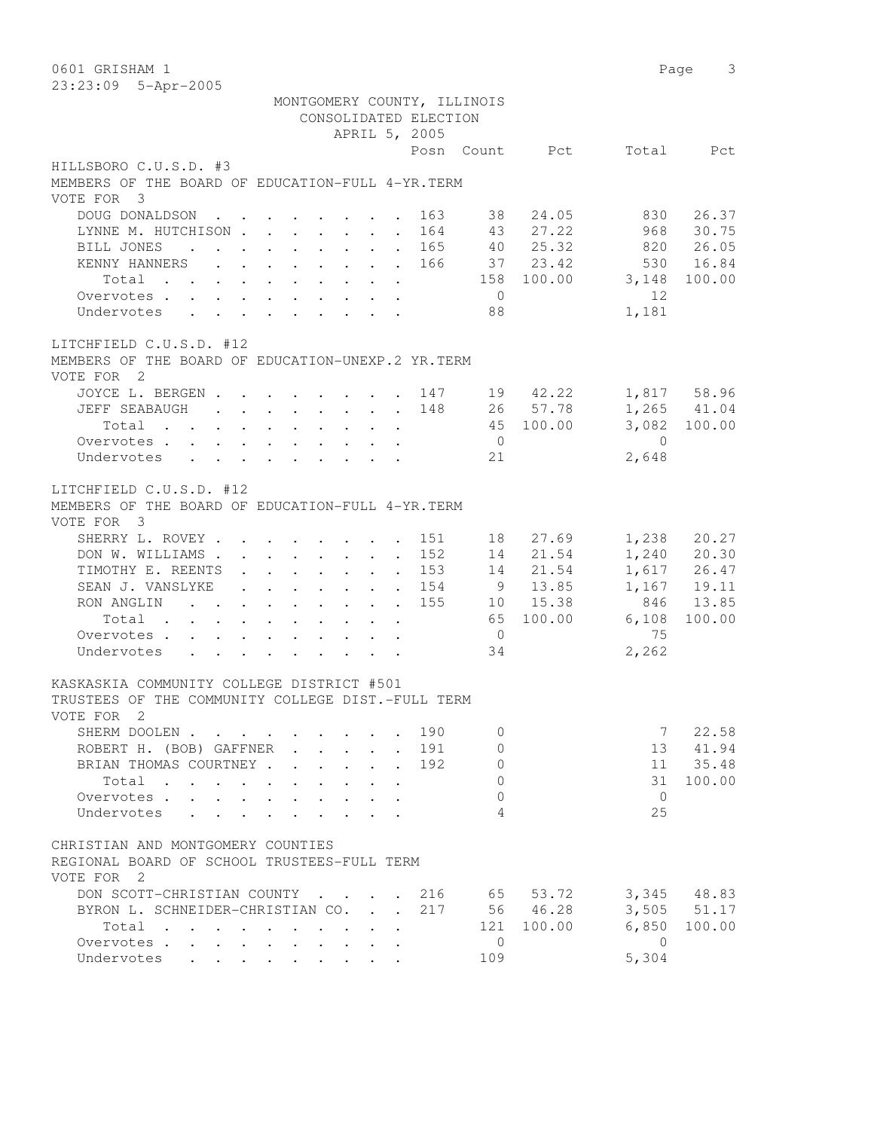| 0601 GRISHAM 1                                                                                                                      |     |                |                  |                 | $\mathcal{S}$<br>Page |
|-------------------------------------------------------------------------------------------------------------------------------------|-----|----------------|------------------|-----------------|-----------------------|
| 23:23:09 5-Apr-2005                                                                                                                 |     |                |                  |                 |                       |
| MONTGOMERY COUNTY, ILLINOIS                                                                                                         |     |                |                  |                 |                       |
| CONSOLIDATED ELECTION                                                                                                               |     |                |                  |                 |                       |
| APRIL 5, 2005                                                                                                                       |     |                |                  |                 |                       |
|                                                                                                                                     |     |                | Posn Count Pct   | Total           | Pct                   |
| HILLSBORO C.U.S.D. #3                                                                                                               |     |                |                  |                 |                       |
| MEMBERS OF THE BOARD OF EDUCATION-FULL 4-YR. TERM                                                                                   |     |                |                  |                 |                       |
| VOTE FOR 3                                                                                                                          |     |                |                  |                 |                       |
| DOUG DONALDSON                                                                                                                      | 163 | 38             | 24.05            | 830             | 26.37                 |
| LYNNE M. HUTCHISON                                                                                                                  | 164 | 43             | 27.22            | 968             | 30.75                 |
| BILL JONES                                                                                                                          | 165 |                | 40 25.32         |                 | 820 26.05             |
| KENNY HANNERS 166                                                                                                                   |     |                | 37 23.42         | 530             | 16.84                 |
| Total                                                                                                                               |     |                | 158 100.00 3,148 |                 | 100.00                |
| Overvotes.                                                                                                                          |     | $\overline{0}$ |                  | 12 <sup>°</sup> |                       |
| Undervotes                                                                                                                          |     | 88             |                  | 1,181           |                       |
|                                                                                                                                     |     |                |                  |                 |                       |
| LITCHFIELD C.U.S.D. #12                                                                                                             |     |                |                  |                 |                       |
| MEMBERS OF THE BOARD OF EDUCATION-UNEXP.2 YR.TERM                                                                                   |     |                |                  |                 |                       |
| VOTE FOR 2                                                                                                                          |     |                |                  |                 |                       |
| JOYCE L. BERGEN 147                                                                                                                 |     |                | 19 42.22         |                 | 1,817 58.96           |
| JEFF SEABAUGH 148                                                                                                                   |     |                | 26 57.78         |                 | 1,265 41.04           |
| Total 45 100.00                                                                                                                     |     |                |                  |                 | 3,082 100.00          |
| Overvotes                                                                                                                           |     | $\overline{0}$ |                  | $\overline{0}$  |                       |
| Undervotes                                                                                                                          |     | 21             |                  | 2,648           |                       |
|                                                                                                                                     |     |                |                  |                 |                       |
| LITCHFIELD C.U.S.D. #12<br>MEMBERS OF THE BOARD OF EDUCATION-FULL 4-YR. TERM<br>VOTE FOR 3                                          |     |                |                  |                 |                       |
| SHERRY L. ROVEY                                                                                                                     | 151 | 18             | 27.69            | 1,238           | 20.27                 |
| DON W. WILLIAMS                                                                                                                     | 152 |                | 14 21.54         |                 | 1,240 20.30           |
| TIMOTHY E. REENTS                                                                                                                   | 153 |                | 14 21.54         |                 | 1,617 26.47           |
| SEAN J. VANSLYKE                                                                                                                    | 154 | 9              | 13.85            |                 | 1,167 19.11           |
| RON ANGLING                                                                                                                         | 155 |                | 10 15.38         | 846             | 13.85                 |
| Total                                                                                                                               |     |                | 65 100.00        | 6,108           | 100.00                |
| Overvotes.                                                                                                                          |     | $\overline{0}$ |                  | 75              |                       |
| Undervotes<br>$\mathcal{A}^{\mathcal{A}}$ . The contribution of the contribution of the contribution of $\mathcal{A}^{\mathcal{A}}$ |     | 34             |                  | 2,262           |                       |
|                                                                                                                                     |     |                |                  |                 |                       |
| KASKASKIA COMMUNITY COLLEGE DISTRICT #501                                                                                           |     |                |                  |                 |                       |
| TRUSTEES OF THE COMMUNITY COLLEGE DIST.-FULL TERM                                                                                   |     |                |                  |                 |                       |
| VOTE FOR 2                                                                                                                          |     |                |                  |                 |                       |
| SHERM DOOLEN                                                                                                                        | 190 | $\Omega$       |                  | $7^{\circ}$     | 22.58                 |
| ROBERT H. (BOB) GAFFNER<br>$\cdot$ $\cdot$                                                                                          | 191 | 0              |                  | 13              | 41.94                 |
| BRIAN THOMAS COURTNEY.                                                                                                              | 192 | $\circ$        |                  |                 | 11 35.48              |
| Total                                                                                                                               |     | $\circ$        |                  | 31              | 100.00                |
| Overvotes.<br>$\mathbf{L}$                                                                                                          |     | $\Omega$       |                  | $\overline{0}$  |                       |
| Undervotes<br>$\mathbf{A}$                                                                                                          |     | 4              |                  | 25              |                       |
|                                                                                                                                     |     |                |                  |                 |                       |
| CHRISTIAN AND MONTGOMERY COUNTIES<br>REGIONAL BOARD OF SCHOOL TRUSTEES-FULL TERM<br>VOTE FOR 2                                      |     |                |                  |                 |                       |
| DON SCOTT-CHRISTIAN COUNTY                                                                                                          | 216 |                | 65 53.72         |                 | 3,345 48.83           |
| BYRON L. SCHNEIDER-CHRISTIAN CO. .                                                                                                  | 217 |                | 56 46.28         |                 | 3,505 51.17           |
| Total                                                                                                                               |     |                | 121 100.00       | 6,850           | 100.00                |
| Overvotes                                                                                                                           |     | $\overline{0}$ |                  | $\bigcirc$      |                       |
| Undervotes                                                                                                                          |     | 109            |                  | 5,304           |                       |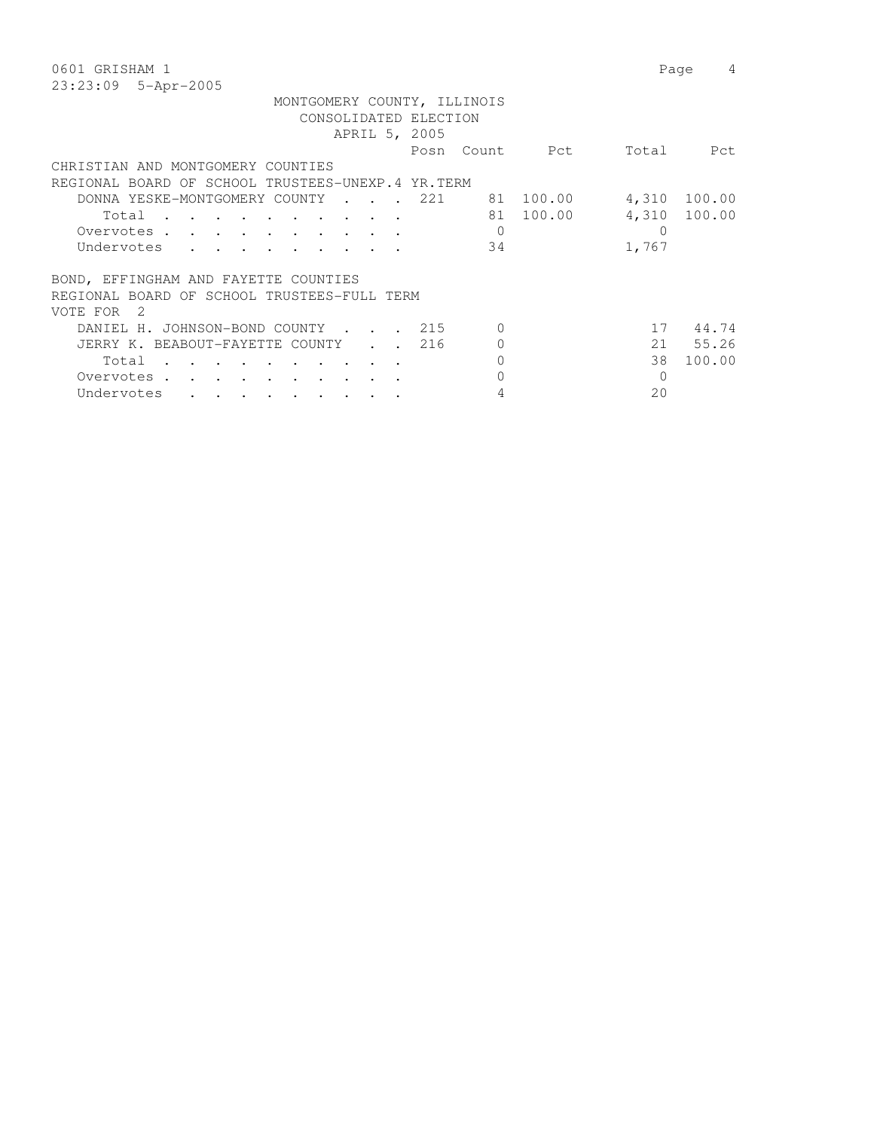| 0601 GRISHAM 1                                                                                                                                                               |                                        |                                  |                        |                         | Page<br>4                    |
|------------------------------------------------------------------------------------------------------------------------------------------------------------------------------|----------------------------------------|----------------------------------|------------------------|-------------------------|------------------------------|
| 23:23:09 5-Apr-2005                                                                                                                                                          |                                        |                                  |                        |                         |                              |
| MONTGOMERY COUNTY, ILLINOIS                                                                                                                                                  | CONSOLIDATED ELECTION<br>APRIL 5, 2005 |                                  |                        |                         |                              |
|                                                                                                                                                                              |                                        |                                  | Posn Count Pct         |                         | Total Pct                    |
| CHRISTIAN AND MONTGOMERY COUNTIES                                                                                                                                            |                                        |                                  |                        |                         |                              |
| REGIONAL BOARD OF SCHOOL TRUSTEES-UNEXP.4 YR.TERM                                                                                                                            |                                        |                                  |                        |                         |                              |
| DONNA YESKE-MONTGOMERY COUNTY<br>Total<br>Overvotes.<br>Undervotes<br>$\mathbf{r}$ , $\mathbf{r}$ , $\mathbf{r}$ , $\mathbf{r}$ , $\mathbf{r}$ , $\mathbf{r}$ , $\mathbf{r}$ | . 221                                  | $\Omega$<br>34                   | 81 100.00<br>81 100.00 | $\overline{0}$<br>1,767 | 4,310 100.00<br>4,310 100.00 |
| BOND, EFFINGHAM AND FAYETTE COUNTIES<br>REGIONAL BOARD OF SCHOOL TRUSTEES-FULL TERM<br>VOTE FOR<br>-2                                                                        |                                        |                                  |                        |                         |                              |
| DANIEL H. JOHNSON-BOND COUNTY 215                                                                                                                                            |                                        | $\Omega$                         |                        | 17                      | 44.74                        |
| JERRY K. BEABOUT-FAYETTE COUNTY 216<br>Total<br>Overvotes.<br>Undervotes<br>$\cdot$ $\cdot$ $\cdot$ $\cdot$ $\cdot$ $\cdot$ $\cdot$                                          |                                        | $\Omega$<br>$\Omega$<br>$\Omega$ |                        | 38<br>$\Omega$<br>20    | 21 55.26<br>100.00           |
|                                                                                                                                                                              |                                        |                                  |                        |                         |                              |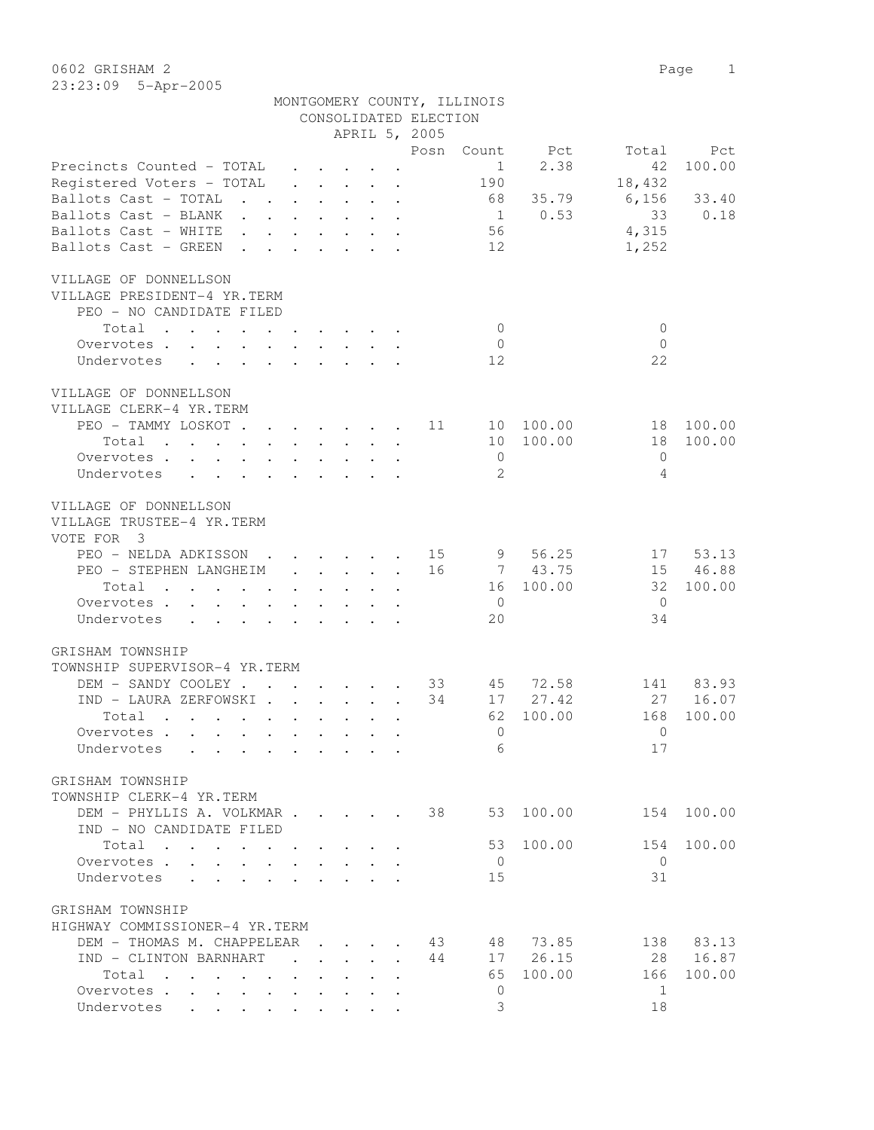0602 GRISHAM 2 Page 1 23:23:09 5-Apr-2005

|                                                                  |                                                           |                                                                                         |  | CONSOLIDATED ELECTION | MONTGOMERY COUNTY, ILLINOIS |                |                |            |
|------------------------------------------------------------------|-----------------------------------------------------------|-----------------------------------------------------------------------------------------|--|-----------------------|-----------------------------|----------------|----------------|------------|
|                                                                  |                                                           |                                                                                         |  | APRIL 5, 2005         |                             |                |                |            |
|                                                                  |                                                           |                                                                                         |  | Posn                  |                             | Count Pct      | Total          | Pct        |
| Precincts Counted - TOTAL                                        |                                                           |                                                                                         |  |                       | $\sim$ 1                    | 2.38           | 42             | 100.00     |
| Registered Voters - TOTAL                                        |                                                           |                                                                                         |  |                       | 190                         |                | 18,432         |            |
| Ballots Cast - TOTAL                                             |                                                           |                                                                                         |  |                       |                             | 68 35.79       | $6,156$ 33.40  |            |
| Ballots Cast - BLANK                                             |                                                           |                                                                                         |  |                       |                             | $1 \t 0.53$    | 33             | 0.18       |
| Ballots Cast - WHITE                                             |                                                           |                                                                                         |  |                       | 56                          |                | 4,315          |            |
| Ballots Cast - GREEN                                             |                                                           |                                                                                         |  |                       | 12                          |                | 1,252          |            |
| VILLAGE OF DONNELLSON                                            |                                                           |                                                                                         |  |                       |                             |                |                |            |
| VILLAGE PRESIDENT-4 YR.TERM                                      |                                                           |                                                                                         |  |                       |                             |                |                |            |
| PEO - NO CANDIDATE FILED                                         |                                                           |                                                                                         |  |                       |                             |                |                |            |
| Total                                                            |                                                           |                                                                                         |  |                       | $\overline{0}$              |                | $\mathbf{0}$   |            |
|                                                                  |                                                           |                                                                                         |  |                       |                             |                |                |            |
| Overvotes.                                                       |                                                           |                                                                                         |  |                       | $\overline{0}$              |                | $\overline{0}$ |            |
| Undervotes                                                       |                                                           |                                                                                         |  |                       | 12                          |                | 22             |            |
| VILLAGE OF DONNELLSON                                            |                                                           |                                                                                         |  |                       |                             |                |                |            |
| VILLAGE CLERK-4 YR.TERM                                          |                                                           |                                                                                         |  |                       |                             |                |                |            |
| PEO - TAMMY LOSKOT 11                                            |                                                           |                                                                                         |  |                       |                             | 10 100.00      | 18             | 100.00     |
| Total                                                            | $\mathbf{r}$ , $\mathbf{r}$ , $\mathbf{r}$ , $\mathbf{r}$ |                                                                                         |  |                       |                             | 10 100.00      | 18             | 100.00     |
| Overvotes                                                        |                                                           |                                                                                         |  |                       | $\overline{0}$              |                | $\mathbf{0}$   |            |
| Undervotes                                                       |                                                           |                                                                                         |  |                       | 2                           |                | 4              |            |
| VILLAGE OF DONNELLSON<br>VILLAGE TRUSTEE-4 YR.TERM<br>VOTE FOR 3 |                                                           |                                                                                         |  |                       |                             |                |                |            |
| PEO - NELDA ADKISSON 15                                          |                                                           |                                                                                         |  |                       |                             | 9 56.25        |                | 17 53.13   |
| PEO - STEPHEN LANGHEIM                                           |                                                           | $\mathbf{1}$ , $\mathbf{1}$ , $\mathbf{1}$ , $\mathbf{1}$ , $\mathbf{1}$ , $\mathbf{1}$ |  | 16                    |                             | 7 43.75        |                | 15 46.88   |
| Total                                                            |                                                           |                                                                                         |  |                       |                             | 16 100.00      | 32             | 100.00     |
| Overvotes                                                        |                                                           |                                                                                         |  |                       | $\overline{0}$              |                | $\overline{0}$ |            |
| Undervotes                                                       |                                                           |                                                                                         |  |                       | 20                          |                | 34             |            |
| GRISHAM TOWNSHIP                                                 |                                                           |                                                                                         |  |                       |                             |                |                |            |
| TOWNSHIP SUPERVISOR-4 YR.TERM                                    |                                                           |                                                                                         |  |                       |                             |                |                |            |
|                                                                  |                                                           |                                                                                         |  |                       |                             |                |                |            |
| DEM - SANDY COOLEY 33 45 72.58                                   |                                                           |                                                                                         |  |                       |                             |                |                | 141 83.93  |
| IND - LAURA ZERFOWSKI                                            |                                                           |                                                                                         |  | 34                    |                             | 17 27.42       |                | 27 16.07   |
| Total                                                            |                                                           |                                                                                         |  |                       |                             | 62 100.00      |                | 168 100.00 |
| Overvotes                                                        |                                                           |                                                                                         |  |                       |                             | $\overline{0}$ | $\overline{0}$ |            |
| Undervotes                                                       |                                                           |                                                                                         |  |                       | 6                           |                | 17             |            |
| GRISHAM TOWNSHIP                                                 |                                                           |                                                                                         |  |                       |                             |                |                |            |
| TOWNSHIP CLERK-4 YR.TERM                                         |                                                           |                                                                                         |  |                       |                             |                |                |            |
| DEM - PHYLLIS A. VOLKMAR                                         |                                                           |                                                                                         |  | 38                    | 53                          | 100.00         |                | 154 100.00 |
| IND - NO CANDIDATE FILED                                         |                                                           |                                                                                         |  |                       |                             |                |                |            |
| Total                                                            |                                                           |                                                                                         |  |                       | 53                          | 100.00         | 154            | 100.00     |
| Overvotes                                                        |                                                           |                                                                                         |  |                       | $\overline{0}$              |                | $\overline{0}$ |            |
| Undervotes                                                       |                                                           |                                                                                         |  |                       | 15                          |                | 31             |            |
|                                                                  |                                                           |                                                                                         |  |                       |                             |                |                |            |
| GRISHAM TOWNSHIP                                                 |                                                           |                                                                                         |  |                       |                             |                |                |            |
| HIGHWAY COMMISSIONER-4 YR.TERM                                   |                                                           |                                                                                         |  |                       |                             |                |                |            |
| DEM - THOMAS M. CHAPPELEAR                                       |                                                           | $\mathbf{r}$ , $\mathbf{r}$ , $\mathbf{r}$ , $\mathbf{r}$ , $\mathbf{r}$                |  | 43                    | 48                          | 73.85          | 138            | 83.13      |
| IND - CLINTON BARNHART                                           |                                                           |                                                                                         |  | 44                    | 17                          | 26.15          |                | 28 16.87   |
| Total                                                            |                                                           |                                                                                         |  |                       | 65                          | 100.00         | 166            | 100.00     |

Overvotes . . . . . . . . . . . 0 1 Undervotes . . . . . . . . . . 3 18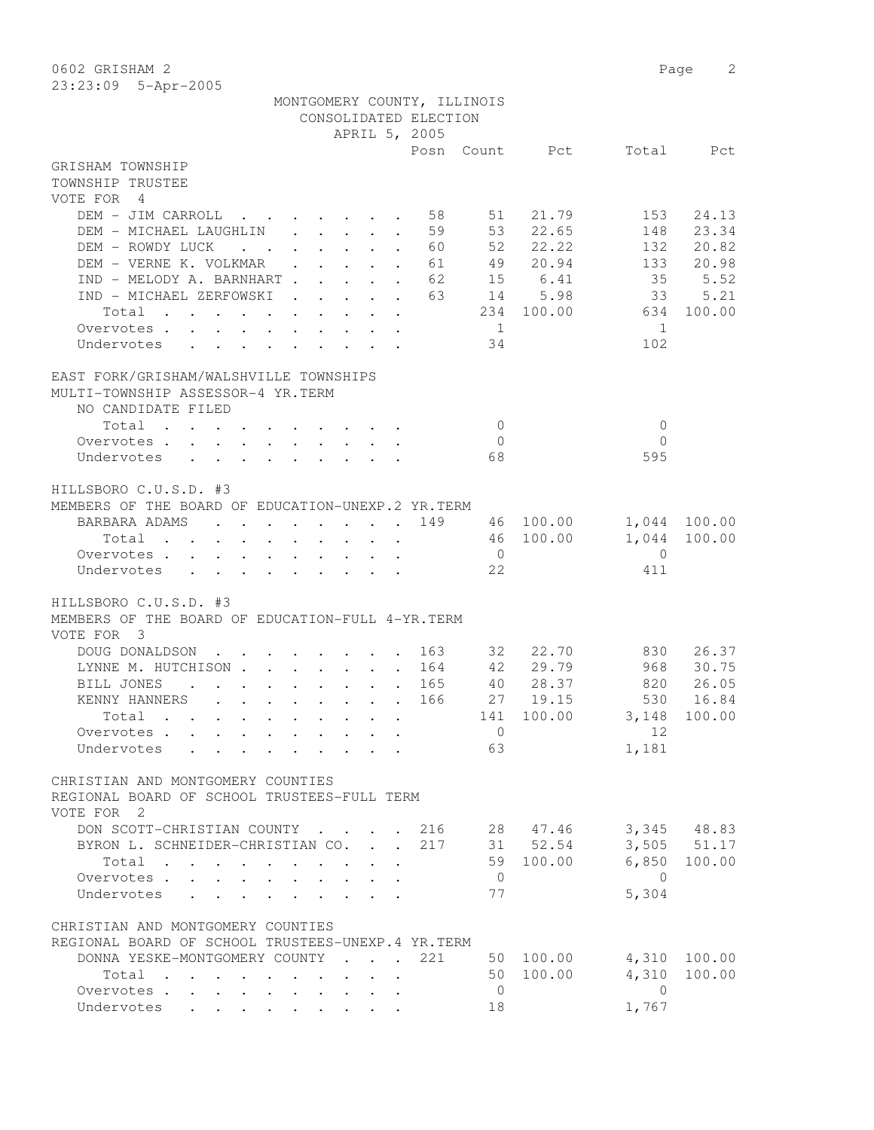0602 GRISHAM 2 Page 2 23:23:09 5-Apr-2005

|                                                                                                                                                                                                                                        |  |               |                                                            | MONTGOMERY COUNTY, ILLINOIS |                |                |                |              |
|----------------------------------------------------------------------------------------------------------------------------------------------------------------------------------------------------------------------------------------|--|---------------|------------------------------------------------------------|-----------------------------|----------------|----------------|----------------|--------------|
|                                                                                                                                                                                                                                        |  |               |                                                            | CONSOLIDATED ELECTION       |                |                |                |              |
|                                                                                                                                                                                                                                        |  |               |                                                            | APRIL 5, 2005               |                |                |                |              |
|                                                                                                                                                                                                                                        |  |               |                                                            |                             |                | Posn Count Pct | Total          | Pct          |
| GRISHAM TOWNSHIP                                                                                                                                                                                                                       |  |               |                                                            |                             |                |                |                |              |
| TOWNSHIP TRUSTEE                                                                                                                                                                                                                       |  |               |                                                            |                             |                |                |                |              |
| VOTE FOR 4                                                                                                                                                                                                                             |  |               |                                                            |                             |                |                |                |              |
| DEM - JIM CARROLL                                                                                                                                                                                                                      |  |               | $\mathbf{r}$ , $\mathbf{r}$ , $\mathbf{r}$ , $\mathbf{r}$  | 58                          | 51             | 21.79          | 153            | 24.13        |
| DEM - MICHAEL LAUGHLIN                                                                                                                                                                                                                 |  |               | $\mathbf{r}$ , $\mathbf{r}$ , $\mathbf{r}$<br>$\mathbf{r}$ | 59                          | 53             | 22.65          | 148            | 23.34        |
| DEM - ROWDY LUCK                                                                                                                                                                                                                       |  |               | $\mathbf{r}$ and $\mathbf{r}$ and $\mathbf{r}$             | 60                          | 52             | 22.22          | 132            | 20.82        |
| DEM - VERNE K. VOLKMAR                                                                                                                                                                                                                 |  |               | $\mathbf{r}$ , $\mathbf{r}$ , $\mathbf{r}$ , $\mathbf{r}$  | 61                          | 49             | 20.94          | 133            | 20.98        |
| IND - MELODY A. BARNHART                                                                                                                                                                                                               |  |               | $\mathbf{r}$                                               | 62                          |                | 15 6.41        | 35             | 5.52         |
| IND - MICHAEL ZERFOWSKI                                                                                                                                                                                                                |  |               | $\cdot$ $\cdot$ $\cdot$ $\cdot$ $\cdot$ $\cdot$ $\cdot$    | 63                          |                | 14 5.98        | 33             | 5.21         |
| Total<br>the contract of the contract of the contract of the contract of the contract of the contract of the contract of                                                                                                               |  |               |                                                            |                             |                | 234 100.00     | 634            | 100.00       |
| Overvotes .                                                                                                                                                                                                                            |  |               |                                                            |                             | $\overline{1}$ |                | $\overline{1}$ |              |
| Undervotes                                                                                                                                                                                                                             |  |               |                                                            |                             | 34             |                | 102            |              |
|                                                                                                                                                                                                                                        |  |               |                                                            |                             |                |                |                |              |
|                                                                                                                                                                                                                                        |  |               |                                                            |                             |                |                |                |              |
| EAST FORK/GRISHAM/WALSHVILLE TOWNSHIPS                                                                                                                                                                                                 |  |               |                                                            |                             |                |                |                |              |
| MULTI-TOWNSHIP ASSESSOR-4 YR.TERM                                                                                                                                                                                                      |  |               |                                                            |                             |                |                |                |              |
| NO CANDIDATE FILED                                                                                                                                                                                                                     |  |               |                                                            |                             |                |                |                |              |
| Total<br>$\sim$<br>the contract of the contract of the contract of                                                                                                                                                                     |  |               |                                                            |                             | $\bigcirc$     |                | $\mathbf{0}$   |              |
| Overvotes.                                                                                                                                                                                                                             |  |               |                                                            |                             | $\Omega$       |                | $\Omega$       |              |
| Undervotes                                                                                                                                                                                                                             |  |               |                                                            |                             | 68             |                | 595            |              |
|                                                                                                                                                                                                                                        |  |               |                                                            |                             |                |                |                |              |
| HILLSBORO C.U.S.D. #3                                                                                                                                                                                                                  |  |               |                                                            |                             |                |                |                |              |
| MEMBERS OF THE BOARD OF EDUCATION-UNEXP.2 YR. TERM                                                                                                                                                                                     |  |               |                                                            |                             |                |                |                |              |
| BARBARA ADAMS<br>. 149                                                                                                                                                                                                                 |  |               |                                                            |                             |                | 46 100.00      |                | 1,044 100.00 |
| $Total \cdot \cdot \cdot \cdot \cdot \cdot \cdot \cdot \cdot \cdot$                                                                                                                                                                    |  |               |                                                            |                             |                | 46 100.00      | 1,044          | 100.00       |
| Overvotes.                                                                                                                                                                                                                             |  |               |                                                            |                             | $\overline{0}$ |                | $\mathbf{0}$   |              |
| Undervotes                                                                                                                                                                                                                             |  |               |                                                            |                             | 22             |                | 411            |              |
|                                                                                                                                                                                                                                        |  |               |                                                            |                             |                |                |                |              |
| HILLSBORO C.U.S.D. #3                                                                                                                                                                                                                  |  |               |                                                            |                             |                |                |                |              |
| MEMBERS OF THE BOARD OF EDUCATION-FULL 4-YR. TERM                                                                                                                                                                                      |  |               |                                                            |                             |                |                |                |              |
| VOTE FOR 3                                                                                                                                                                                                                             |  |               |                                                            |                             |                |                |                |              |
| DOUG DONALDSON<br>$\mathbf{r}$ , $\mathbf{r}$ , $\mathbf{r}$                                                                                                                                                                           |  |               |                                                            | . 163                       | 32             | 22.70          | 830            | 26.37        |
| LYNNE M. HUTCHISON 164                                                                                                                                                                                                                 |  |               |                                                            |                             | 42             | 29.79          | 968            | 30.75        |
| BILL JONES<br>$\mathbf{r}$ , $\mathbf{r}$ , $\mathbf{r}$ , $\mathbf{r}$ , $\mathbf{r}$ , $\mathbf{r}$<br>$\sim$ $\sim$                                                                                                                 |  |               |                                                            | 165                         |                | 40 28.37       |                | 820 26.05    |
| KENNY HANNERS                                                                                                                                                                                                                          |  |               |                                                            | 166                         |                | 27 19.15       | 530            | 16.84        |
| . The contract of the contract of the contract of the contract of the contract of the contract of the contract of the contract of the contract of the contract of the contract of the contract of the contract of the contrac<br>Total |  |               |                                                            |                             | 141            | 100.00         | 3,148          | 100.00       |
| Overvotes                                                                                                                                                                                                                              |  |               |                                                            |                             | $\Omega$       |                | 12             |              |
|                                                                                                                                                                                                                                        |  |               |                                                            |                             | 63             |                |                |              |
| Undervotes                                                                                                                                                                                                                             |  |               |                                                            |                             |                |                | 1,181          |              |
|                                                                                                                                                                                                                                        |  |               |                                                            |                             |                |                |                |              |
| CHRISTIAN AND MONTGOMERY COUNTIES                                                                                                                                                                                                      |  |               |                                                            |                             |                |                |                |              |
| REGIONAL BOARD OF SCHOOL TRUSTEES-FULL TERM                                                                                                                                                                                            |  |               |                                                            |                             |                |                |                |              |
| VOTE FOR 2                                                                                                                                                                                                                             |  |               |                                                            |                             |                |                |                |              |
| DON SCOTT-CHRISTIAN COUNTY.                                                                                                                                                                                                            |  | $\sim$ $\sim$ | $\sim$ 100 $\sim$                                          | 216                         |                | 28 47.46       |                | 3,345 48.83  |
| BYRON L. SCHNEIDER-CHRISTIAN CO.                                                                                                                                                                                                       |  |               |                                                            | 217                         |                | 31 52.54       |                | 3,505 51.17  |
| Total<br>$\mathbf{r}$ , $\mathbf{r}$ , $\mathbf{r}$ , $\mathbf{r}$ , $\mathbf{r}$                                                                                                                                                      |  |               | $\mathbf{r}$ , and $\mathbf{r}$ , and $\mathbf{r}$         |                             |                | 59 100.00      | 6,850          | 100.00       |
| Overvotes                                                                                                                                                                                                                              |  |               | $\cdot$ $\cdot$ $\cdot$ $\cdot$ $\cdot$ $\cdot$            |                             | $\overline{0}$ |                | $\overline{0}$ |              |
| Undervotes                                                                                                                                                                                                                             |  |               |                                                            |                             | 77             |                | 5,304          |              |
|                                                                                                                                                                                                                                        |  |               |                                                            |                             |                |                |                |              |
| CHRISTIAN AND MONTGOMERY COUNTIES                                                                                                                                                                                                      |  |               |                                                            |                             |                |                |                |              |
| REGIONAL BOARD OF SCHOOL TRUSTEES-UNEXP.4 YR.TERM                                                                                                                                                                                      |  |               |                                                            |                             |                |                |                |              |
| DONNA YESKE-MONTGOMERY COUNTY                                                                                                                                                                                                          |  |               | $\mathbf{r} = \mathbf{r} \cdot \mathbf{r}$                 | 221                         |                | 50 100.00      | 4,310          | 100.00       |
| Total<br>$\sim$<br>$\mathbf{r}$ , $\mathbf{r}$ , $\mathbf{r}$ , $\mathbf{r}$ , $\mathbf{r}$                                                                                                                                            |  |               | $\mathbf{r}$                                               |                             |                | 50 100.00      | 4,310          | 100.00       |
| Overvotes.                                                                                                                                                                                                                             |  |               |                                                            |                             | $\mathbf{0}$   |                | $\Omega$       |              |
| Undervotes                                                                                                                                                                                                                             |  |               |                                                            |                             | 18             |                | 1,767          |              |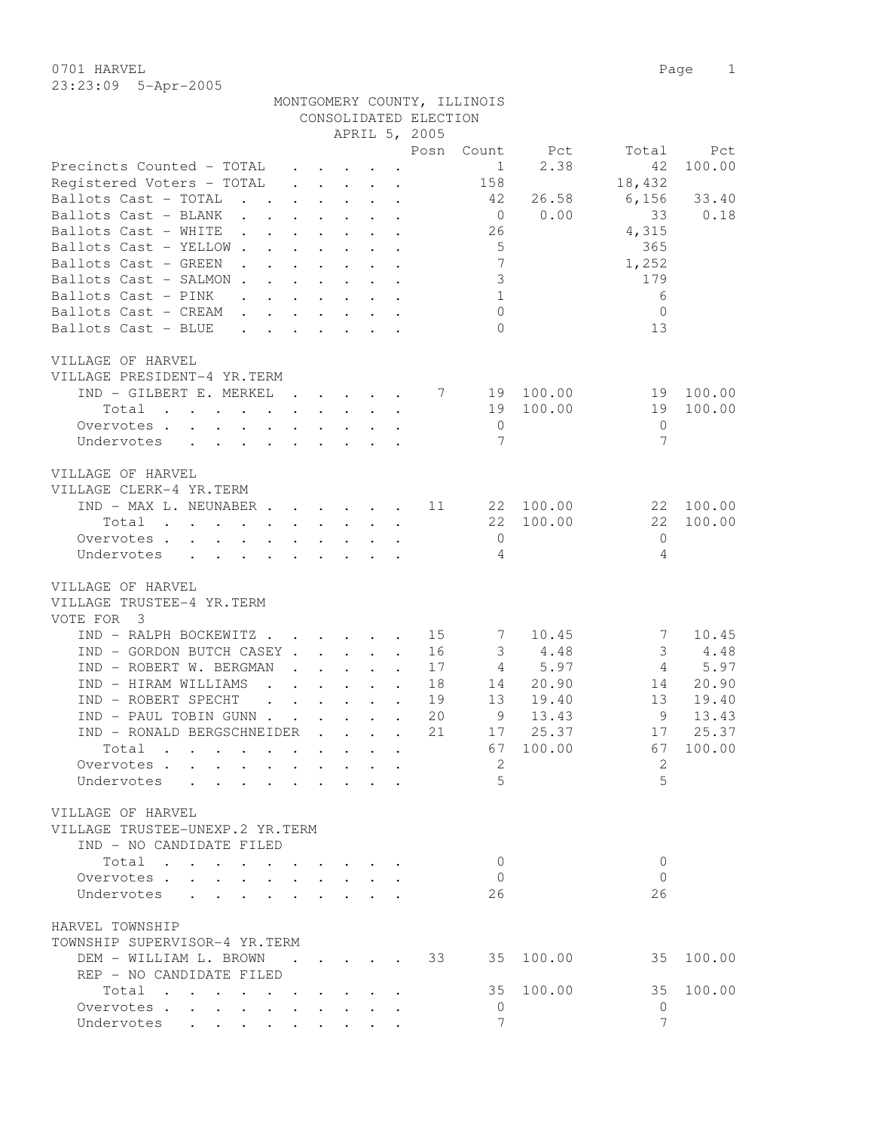0701 HARVEL 2008 Page 2012 23:23:09 5-Apr-2005

|                                                                                                                     |                                                                                                                                                                                                                                   |  |                                                           |                       | MONTGOMERY COUNTY, ILLINOIS    |             |                            |           |
|---------------------------------------------------------------------------------------------------------------------|-----------------------------------------------------------------------------------------------------------------------------------------------------------------------------------------------------------------------------------|--|-----------------------------------------------------------|-----------------------|--------------------------------|-------------|----------------------------|-----------|
|                                                                                                                     |                                                                                                                                                                                                                                   |  |                                                           | CONSOLIDATED ELECTION |                                |             |                            |           |
|                                                                                                                     |                                                                                                                                                                                                                                   |  |                                                           | APRIL 5, 2005         |                                |             |                            |           |
|                                                                                                                     |                                                                                                                                                                                                                                   |  |                                                           | Posn                  | Count                          | Pct         | Total                      | Pct       |
| Precincts Counted - TOTAL                                                                                           |                                                                                                                                                                                                                                   |  | $\cdot$ $\cdot$ $\cdot$ $\cdot$ $\cdot$ $\cdot$ $\cdot$   |                       | 1                              | 2.38        | 42                         | 100.00    |
| Registered Voters - TOTAL                                                                                           |                                                                                                                                                                                                                                   |  |                                                           |                       | 158                            |             | 18,432                     |           |
| Ballots Cast - TOTAL<br>. The set of the set of the set of the set of the set of the set of the set of the $\alpha$ |                                                                                                                                                                                                                                   |  |                                                           |                       | 42                             | 26.58       | 6,156                      | 33.40     |
| Ballots Cast - BLANK                                                                                                |                                                                                                                                                                                                                                   |  |                                                           |                       | $\overline{0}$                 | 0.00        | 33                         | 0.18      |
| Ballots Cast - WHITE                                                                                                |                                                                                                                                                                                                                                   |  |                                                           |                       | 26                             |             | 4,315                      |           |
| Ballots Cast - YELLOW                                                                                               |                                                                                                                                                                                                                                   |  |                                                           |                       | $5^{\circ}$<br>$7\phantom{.0}$ |             | 365                        |           |
| Ballots Cast - GREEN<br>$\mathbf{r}$ , and $\mathbf{r}$ , and $\mathbf{r}$ , and $\mathbf{r}$                       |                                                                                                                                                                                                                                   |  |                                                           |                       |                                |             | 1,252                      |           |
| Ballots Cast - SALMON                                                                                               |                                                                                                                                                                                                                                   |  |                                                           |                       | $\mathcal{S}$                  |             | 179                        |           |
| Ballots Cast - PINK                                                                                                 |                                                                                                                                                                                                                                   |  |                                                           |                       | 1                              |             | 6                          |           |
| Ballots Cast - CREAM                                                                                                | $\mathbf{r} = \mathbf{r} \times \mathbf{r}$ , and $\mathbf{r} = \mathbf{r} \times \mathbf{r}$ , and $\mathbf{r} = \mathbf{r} \times \mathbf{r}$                                                                                   |  |                                                           |                       | $\mathbf 0$                    |             | $\mathbf{0}$               |           |
| Ballots Cast - BLUE                                                                                                 | $\mathbf{r} = \mathbf{r} + \mathbf{r} + \mathbf{r} + \mathbf{r} + \mathbf{r} + \mathbf{r} + \mathbf{r}$                                                                                                                           |  |                                                           |                       | $\Omega$                       |             | 13                         |           |
|                                                                                                                     |                                                                                                                                                                                                                                   |  |                                                           |                       |                                |             |                            |           |
| VILLAGE OF HARVEL                                                                                                   |                                                                                                                                                                                                                                   |  |                                                           |                       |                                |             |                            |           |
| VILLAGE PRESIDENT-4 YR.TERM<br>IND - GILBERT E. MERKEL                                                              |                                                                                                                                                                                                                                   |  |                                                           | 7                     |                                | 19 100.00   | 19                         | 100.00    |
|                                                                                                                     |                                                                                                                                                                                                                                   |  |                                                           |                       |                                | 19 100.00   | 19                         | 100.00    |
| Total                                                                                                               |                                                                                                                                                                                                                                   |  |                                                           |                       |                                |             |                            |           |
| Overvotes.                                                                                                          |                                                                                                                                                                                                                                   |  |                                                           |                       | $\overline{0}$                 |             | $\mathbf{0}$               |           |
| Undervotes                                                                                                          |                                                                                                                                                                                                                                   |  |                                                           |                       | 7                              |             | 7                          |           |
| VILLAGE OF HARVEL                                                                                                   |                                                                                                                                                                                                                                   |  |                                                           |                       |                                |             |                            |           |
| VILLAGE CLERK-4 YR.TERM                                                                                             |                                                                                                                                                                                                                                   |  |                                                           |                       |                                |             |                            |           |
|                                                                                                                     |                                                                                                                                                                                                                                   |  |                                                           |                       |                                |             |                            |           |
| $IND - MAX L. NEUNABER 11$                                                                                          |                                                                                                                                                                                                                                   |  |                                                           |                       |                                | 22 100.00   |                            | 22 100.00 |
| Total                                                                                                               |                                                                                                                                                                                                                                   |  |                                                           |                       |                                | 22 100.00   | 22                         | 100.00    |
| Overvotes.                                                                                                          |                                                                                                                                                                                                                                   |  |                                                           |                       | $\overline{0}$                 |             | $\bigcirc$                 |           |
| Undervotes<br>$\mathbf{r}$ , $\mathbf{r}$ , $\mathbf{r}$ , $\mathbf{r}$ , $\mathbf{r}$ , $\mathbf{r}$               |                                                                                                                                                                                                                                   |  |                                                           |                       | -4                             |             | 4                          |           |
|                                                                                                                     |                                                                                                                                                                                                                                   |  |                                                           |                       |                                |             |                            |           |
| VILLAGE OF HARVEL                                                                                                   |                                                                                                                                                                                                                                   |  |                                                           |                       |                                |             |                            |           |
| VILLAGE TRUSTEE-4 YR.TERM                                                                                           |                                                                                                                                                                                                                                   |  |                                                           |                       |                                |             |                            |           |
| VOTE FOR 3                                                                                                          |                                                                                                                                                                                                                                   |  |                                                           |                       |                                |             |                            |           |
| IND - RALPH BOCKEWITZ 15                                                                                            |                                                                                                                                                                                                                                   |  |                                                           |                       | 7                              | 10.45       | 7                          | 10.45     |
| IND - GORDON BUTCH CASEY                                                                                            |                                                                                                                                                                                                                                   |  |                                                           | 16                    |                                | $3 \t 4.48$ | 3                          | 4.48      |
| IND - ROBERT W. BERGMAN                                                                                             |                                                                                                                                                                                                                                   |  | $\cdot$ $\cdot$ $\cdot$ $\cdot$ $\cdot$ $\cdot$           | 17                    | 4                              | 5.97        | $\overline{4}$             | 5.97      |
| IND - HIRAM WILLIAMS                                                                                                | $\mathbf{r}$ . The set of the set of the set of the set of the set of the set of the set of the set of the set of the set of the set of the set of the set of the set of the set of the set of the set of the set of the set of t |  |                                                           | 18                    | 14                             | 20.90       | 14                         | 20.90     |
| IND - ROBERT SPECHT                                                                                                 | $\mathcal{A}$ , and $\mathcal{A}$ , and $\mathcal{A}$ , and $\mathcal{A}$                                                                                                                                                         |  |                                                           | 19                    | 13                             | 19.40       | 13                         | 19.40     |
| IND - PAUL TOBIN GUNN.                                                                                              |                                                                                                                                                                                                                                   |  | $\mathbf{r}$ , $\mathbf{r}$ , $\mathbf{r}$ , $\mathbf{r}$ | 20                    | 9                              | 13.43       | 9                          | 13.43     |
| TND - RONALD BERGSCHNETDER                                                                                          |                                                                                                                                                                                                                                   |  |                                                           | 21                    | 17                             | 25.37       | 17                         | 25.37     |
| Total                                                                                                               |                                                                                                                                                                                                                                   |  |                                                           |                       |                                | 67 100.00   | 67 100.00                  |           |
| Overvotes                                                                                                           |                                                                                                                                                                                                                                   |  |                                                           |                       | -2.                            |             | 2                          |           |
| Undervotes                                                                                                          |                                                                                                                                                                                                                                   |  |                                                           |                       | $\overline{5}$                 |             | $\overline{5}$             |           |
|                                                                                                                     |                                                                                                                                                                                                                                   |  |                                                           |                       |                                |             |                            |           |
| VILLAGE OF HARVEL                                                                                                   |                                                                                                                                                                                                                                   |  |                                                           |                       |                                |             |                            |           |
| VILLAGE TRUSTEE-UNEXP.2 YR.TERM                                                                                     |                                                                                                                                                                                                                                   |  |                                                           |                       |                                |             |                            |           |
| IND - NO CANDIDATE FILED                                                                                            |                                                                                                                                                                                                                                   |  |                                                           |                       |                                |             |                            |           |
| Total                                                                                                               |                                                                                                                                                                                                                                   |  |                                                           |                       | $\overline{0}$                 |             | $\Omega$                   |           |
| Overvotes.                                                                                                          |                                                                                                                                                                                                                                   |  |                                                           |                       | - 0                            |             | $\overline{0}$             |           |
| Undervotes                                                                                                          |                                                                                                                                                                                                                                   |  |                                                           |                       | 26                             |             | 26                         |           |
|                                                                                                                     |                                                                                                                                                                                                                                   |  |                                                           |                       |                                |             |                            |           |
| HARVEL TOWNSHIP                                                                                                     |                                                                                                                                                                                                                                   |  |                                                           |                       |                                |             |                            |           |
| TOWNSHIP SUPERVISOR-4 YR.TERM                                                                                       |                                                                                                                                                                                                                                   |  |                                                           |                       |                                |             |                            |           |
| DEM - WILLIAM L. BROWN 33                                                                                           |                                                                                                                                                                                                                                   |  |                                                           |                       |                                | 35 100.00   |                            | 35 100.00 |
| REP - NO CANDIDATE FILED                                                                                            |                                                                                                                                                                                                                                   |  |                                                           |                       |                                |             |                            |           |
| Total                                                                                                               |                                                                                                                                                                                                                                   |  |                                                           |                       | 35                             | 100.00      | 35                         | 100.00    |
| Overvotes.                                                                                                          |                                                                                                                                                                                                                                   |  |                                                           |                       | $\overline{0}$                 |             | $\Omega$<br>$\overline{7}$ |           |
| Undervotes                                                                                                          |                                                                                                                                                                                                                                   |  |                                                           |                       | $7\phantom{.}$                 |             |                            |           |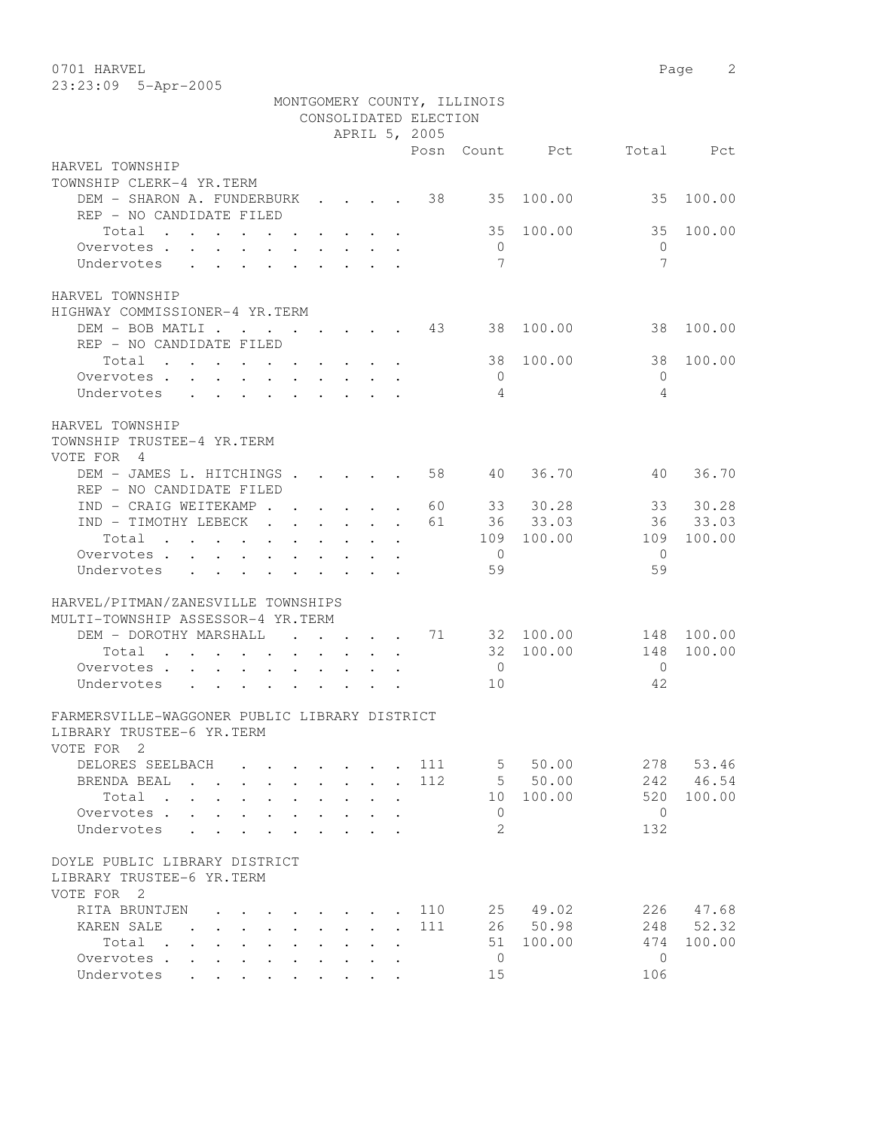| 0701 HARVEL                                                                                                             |                                                 |     |                |           | Page         | 2      |
|-------------------------------------------------------------------------------------------------------------------------|-------------------------------------------------|-----|----------------|-----------|--------------|--------|
| 23:23:09 5-Apr-2005                                                                                                     |                                                 |     |                |           |              |        |
| MONTGOMERY COUNTY, ILLINOIS                                                                                             |                                                 |     |                |           |              |        |
|                                                                                                                         | CONSOLIDATED ELECTION                           |     |                |           |              |        |
|                                                                                                                         | APRIL 5, 2005                                   |     |                |           |              |        |
|                                                                                                                         |                                                 |     | Posn Count     | Pct       | Total        | Pct    |
| HARVEL TOWNSHIP                                                                                                         |                                                 |     |                |           |              |        |
| TOWNSHIP CLERK-4 YR.TERM                                                                                                |                                                 |     |                |           |              |        |
| DEM - SHARON A. FUNDERBURK                                                                                              | $\cdot$ $\cdot$ $\cdot$ $\cdot$                 | 38  | 35             | 100.00    | 35           | 100.00 |
| REP - NO CANDIDATE FILED                                                                                                |                                                 |     |                |           |              |        |
| Total<br>$\sim$                                                                                                         |                                                 |     | 35             | 100.00    | 35           | 100.00 |
| Overvotes.<br>$\ddot{\phantom{a}}$<br>$\ddot{\phantom{0}}$<br>$\ddot{\phantom{0}}$<br>$\bullet$<br>$\ddot{\phantom{0}}$ |                                                 |     | $\mathbf{0}$   |           | $\mathbf{0}$ |        |
| Undervotes<br>$\ddot{\phantom{a}}$                                                                                      |                                                 |     | 7              |           | 7            |        |
|                                                                                                                         |                                                 |     |                |           |              |        |
| HARVEL TOWNSHIP                                                                                                         |                                                 |     |                |           |              |        |
| HIGHWAY COMMISSIONER-4 YR.TERM                                                                                          |                                                 |     |                |           |              |        |
| DEM - BOB MATLI.<br>$\mathbf{r}$ . The set of $\mathbf{r}$                                                              | $\cdot$ $\cdot$ $\cdot$ $\cdot$ $\cdot$ $\cdot$ | 43  |                | 38 100.00 | 38           | 100.00 |
| REP - NO CANDIDATE FILED                                                                                                |                                                 |     |                |           |              |        |
| Total<br>and the contract of the contract of the                                                                        |                                                 |     | 38             | 100.00    | 38           | 100.00 |
| Overvotes .                                                                                                             |                                                 |     | $\circ$        |           | $\mathbf{0}$ |        |
| Undervotes                                                                                                              |                                                 |     | 4              |           | 4            |        |
|                                                                                                                         |                                                 |     |                |           |              |        |
| HARVEL TOWNSHIP                                                                                                         |                                                 |     |                |           |              |        |
| TOWNSHIP TRUSTEE-4 YR.TERM                                                                                              |                                                 |     |                |           |              |        |
| VOTE FOR<br>4                                                                                                           |                                                 |     |                |           |              |        |
| DEM - JAMES L. HITCHINGS                                                                                                |                                                 | 58  | 40             | 36.70     | 40           | 36.70  |
| REP - NO CANDIDATE FILED                                                                                                |                                                 |     |                |           |              |        |
| IND - CRAIG WEITEKAMP.<br>$\ddot{\phantom{a}}$<br>$\sim$ $\sim$                                                         | $\mathbf{L}$                                    | 60  | 33             | 30.28     | 33           | 30.28  |
| IND - TIMOTHY LEBECK<br>$\ddot{\phantom{a}}$<br>$\ddot{\phantom{a}}$<br>$\ddot{\phantom{0}}$                            | $\mathbf{L}^{\text{max}}$                       | 61  | 36             | 33.03     | 36           | 33.03  |
| Total<br>$\mathbf{r}$ , $\mathbf{r}$ , $\mathbf{r}$ , $\mathbf{r}$<br>$\ddot{\phantom{0}}$<br>$\ddot{\phantom{a}}$      |                                                 |     | 109            | 100.00    | 109          | 100.00 |
| Overvotes<br>$\sim$<br>$\sim$                                                                                           |                                                 |     | $\overline{0}$ |           | $\mathbf{0}$ |        |
| Undervotes<br>$\mathbf{L}$<br>$\ddot{\phantom{a}}$<br>$\mathbf{r}$<br>$\ddot{\phantom{a}}$<br>$\mathbf{r}$<br>$\cdot$   |                                                 |     | 59             |           | 59           |        |
|                                                                                                                         |                                                 |     |                |           |              |        |
| HARVEL/PITMAN/ZANESVILLE TOWNSHIPS                                                                                      |                                                 |     |                |           |              |        |
| MULTI-TOWNSHIP ASSESSOR-4 YR.TERM                                                                                       |                                                 |     |                |           |              |        |
| DEM - DOROTHY MARSHALL<br>$\ddot{\phantom{0}}$                                                                          |                                                 | 71  |                | 32 100.00 | 148          | 100.00 |
| Total<br>$\cdots$ $\cdots$<br>$\mathbf{L}^{\text{max}}$                                                                 |                                                 |     |                | 32 100.00 | 148          | 100.00 |
| Overvotes .                                                                                                             |                                                 |     | $\mathbf 0$    |           | $\mathbf{0}$ |        |
| Undervotes                                                                                                              |                                                 |     | 10             |           | 42           |        |
|                                                                                                                         |                                                 |     |                |           |              |        |
| FARMERSVILLE-WAGGONER PUBLIC LIBRARY DISTRICT                                                                           |                                                 |     |                |           |              |        |
| LIBRARY TRUSTEE-6 YR.TERM                                                                                               |                                                 |     |                |           |              |        |
| VOTE FOR 2                                                                                                              |                                                 |     |                |           |              |        |
| DELORES SEELBACH                                                                                                        |                                                 | 111 |                | 5, 50, 00 | 278          | 53.46  |
| BRENDA BEAL                                                                                                             |                                                 | 112 |                | 5 50.00   | 242          | 46.54  |
| Total.                                                                                                                  |                                                 |     |                | 10 100.00 | 520          | 100.00 |
| Overvotes.                                                                                                              |                                                 |     | $\overline{0}$ |           | $\bigcirc$   |        |
| Undervotes                                                                                                              |                                                 |     | $\mathfrak{L}$ |           | 132          |        |
|                                                                                                                         |                                                 |     |                |           |              |        |
| DOYLE PUBLIC LIBRARY DISTRICT                                                                                           |                                                 |     |                |           |              |        |

LIBRARY TRUSTEE-6 YR.TERM

VOTE FOR 2 RITA BRUNTJEN . . . . . . . . 110 25 49.02 226 47.68 KAREN SALE . . . . . . . . . 111 26 50.98 248 52.32 Total . . . . . . . . . . 51 100.00 474 100.00<br>rrvotes . . . . . . . . . . 0 0 Overvotes . . . . . . . . . . 0 0<br>
Undervotes . . . . . . . . . . 15 0 106 Undervotes . . . . . . . . . 15 106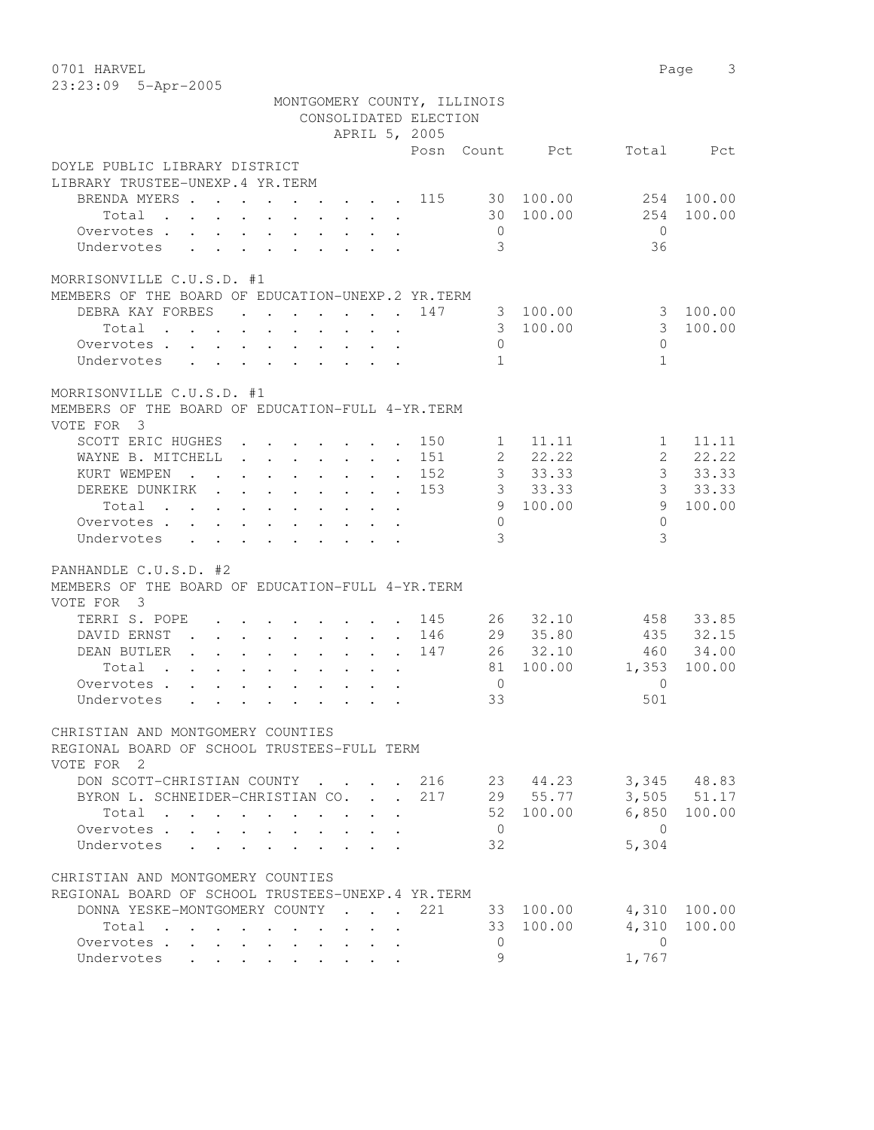| 0701 HARVEL |                       | Page 3 |  |
|-------------|-----------------------|--------|--|
|             | $23:23:09$ 5-Apr-2005 |        |  |

|                                                                                                |                                                                                                                                                                                                      | MONTGOMERY COUNTY, ILLINOIS              |                |                         |                 |
|------------------------------------------------------------------------------------------------|------------------------------------------------------------------------------------------------------------------------------------------------------------------------------------------------------|------------------------------------------|----------------|-------------------------|-----------------|
|                                                                                                |                                                                                                                                                                                                      | CONSOLIDATED ELECTION                    |                |                         |                 |
|                                                                                                |                                                                                                                                                                                                      | APRIL 5, 2005                            |                |                         |                 |
|                                                                                                |                                                                                                                                                                                                      | Posn                                     | Count          | Total<br>Pct            | Pct             |
| DOYLE PUBLIC LIBRARY DISTRICT<br>LIBRARY TRUSTEE-UNEXP.4 YR.TERM                               |                                                                                                                                                                                                      |                                          |                |                         |                 |
| BRENDA MYERS                                                                                   |                                                                                                                                                                                                      | . 115                                    | 30 100.00      | 254                     | 100.00          |
| Total<br><b>Contract Contract</b>                                                              | $\mathbf{r} = \mathbf{r} + \mathbf{r}$ , where $\mathbf{r} = \mathbf{r}$                                                                                                                             |                                          | 30 100.00      | 254                     | 100.00          |
| Overvotes .                                                                                    | $\sim$                                                                                                                                                                                               |                                          | $\overline{0}$ | $\bigcirc$              |                 |
| $\mathbf{L}$                                                                                   | $\ddot{\phantom{0}}$<br>$\sim$                                                                                                                                                                       |                                          | 3              | 36                      |                 |
| Undervotes<br>$\ddot{\phantom{a}}$                                                             | $\mathbf{r}$ , $\mathbf{r}$ , $\mathbf{r}$ , $\mathbf{r}$ , $\mathbf{r}$                                                                                                                             |                                          |                |                         |                 |
| MORRISONVILLE C.U.S.D. #1<br>MEMBERS OF THE BOARD OF EDUCATION-UNEXP.2 YR.TERM                 |                                                                                                                                                                                                      |                                          |                |                         |                 |
| DEBRA KAY FORBES                                                                               | $\mathbf{r}$ , $\mathbf{r}$ , $\mathbf{r}$ , $\mathbf{r}$                                                                                                                                            | 147<br>$\cdot$ $\cdot$ $\cdot$ $\cdot$   | 3              | 100.00<br>3             | 100.00          |
| Total                                                                                          |                                                                                                                                                                                                      |                                          | 3 100.00       | $\mathcal{S}$           | 100.00          |
| $\bullet$ .<br><br><br><br><br><br><br><br><br><br><br><br><br>                                | $\bullet$<br>$\bullet$ .<br><br><br><br><br><br><br><br><br><br><br><br><br>$\bullet$ .<br><br><br><br><br><br><br><br><br><br><br><br>                                                              |                                          |                |                         |                 |
| Overvotes .                                                                                    | <b>Contract Contract</b><br>$\sim$ 100 $\pm$                                                                                                                                                         | $\cdot$ $\cdot$ $\cdot$ $\cdot$ $\cdot$  | $\circ$        | $\circ$                 |                 |
| Undervotes                                                                                     |                                                                                                                                                                                                      |                                          | $\mathbf{1}$   | $\mathbf{1}$            |                 |
| MORRISONVILLE C.U.S.D. #1<br>MEMBERS OF THE BOARD OF EDUCATION-FULL 4-YR. TERM<br>VOTE FOR 3   |                                                                                                                                                                                                      |                                          |                |                         |                 |
| SCOTT ERIC HUGHES                                                                              | $\cdot$ $\cdot$ $\cdot$ $\cdot$ $\cdot$ $\cdot$                                                                                                                                                      | 150<br>$\sim$                            | $\mathbf{1}$   | 11.11<br>$\mathbf{1}$   | 11.11           |
| WAYNE B. MITCHELL<br>$\sim$ $\sim$                                                             | $\cdot$ $\cdot$ $\cdot$ $\cdot$ $\cdot$                                                                                                                                                              | 151<br>$\sim$<br>$\sim$ $-$              | $2^{\circ}$    | 22.22<br>$\overline{2}$ | 22.22           |
| KURT WEMPEN<br>$\cdot$ $\cdot$                                                                 | $\ddot{\phantom{0}}$<br>$\sim$ $\sim$<br>$\bullet$ .<br>$\ddot{\phantom{0}}$                                                                                                                         | 152<br>$\ddot{\phantom{a}}$<br>$\bullet$ | 3 <sup>7</sup> | $\mathcal{S}$<br>33.33  | 33.33           |
| DEREKE DUNKIRK.<br>$\mathbf{L}$                                                                | $\sim 100$ km s $^{-1}$<br>$\mathbf{L}$                                                                                                                                                              | 153                                      | 3 <sup>7</sup> | 3<br>33.33              | 33.33           |
| Total                                                                                          | $\cdot$ $\cdot$ $\cdot$                                                                                                                                                                              |                                          |                | 9 100.00<br>9           | 100.00          |
|                                                                                                |                                                                                                                                                                                                      |                                          |                | $\Omega$                |                 |
| Overvotes .<br>$\mathbf{L}$<br>$\mathbf{r}$                                                    | $\mathbf{L}$<br>$\ddot{\phantom{0}}$<br>$\ddot{\phantom{0}}$<br>$\mathbf{L}^{\text{max}}$                                                                                                            |                                          | $\circ$        |                         |                 |
| Undervotes<br>$\ddot{\phantom{0}}$<br>$\mathbf{L}$                                             | $\mathbf{r}$ , $\mathbf{r}$ , $\mathbf{r}$                                                                                                                                                           |                                          | 3              | 3                       |                 |
| PANHANDLE C.U.S.D. #2<br>MEMBERS OF THE BOARD OF EDUCATION-FULL 4-YR. TERM<br>VOTE FOR 3       |                                                                                                                                                                                                      |                                          |                |                         |                 |
| TERRI S. POPE                                                                                  | <b>Contract Contract Contract</b><br>$\mathbf{a}$ , and $\mathbf{a}$ , and $\mathbf{a}$                                                                                                              | 145                                      | 26             | 32.10<br>458            | 33.85           |
| DAVID ERNST                                                                                    | $\mathbf{r} = \left( \mathbf{r} \right) \left( \mathbf{r} \right) \left( \mathbf{r} \right) \left( \mathbf{r} \right) \left( \mathbf{r} \right) \left( \mathbf{r} \right) \left( \mathbf{r} \right)$ | 146                                      | 29             | 35.80<br>435            | 32.15           |
| DEAN BUTLER                                                                                    | $\cdot$ $\cdot$ $\cdot$<br>$\sim$<br>$\ddot{\phantom{0}}$                                                                                                                                            | 147<br>$\sim$                            | 26             | 32.10<br>460            | 34.00           |
| Total<br>$\mathbf{r}$ , $\mathbf{r}$ , $\mathbf{r}$                                            |                                                                                                                                                                                                      |                                          | 81             | 100.00<br>1,353         | 100.00          |
| $\sim$ $\sim$                                                                                  | $\ddot{\phantom{0}}$<br>$\mathbf{L}^{\text{max}}$                                                                                                                                                    | $\ddot{\phantom{a}}$                     |                | $\Omega$                |                 |
| Overvotes .<br>$\mathbf{L}$                                                                    | $\mathbf{r}$ , $\mathbf{r}$ , $\mathbf{r}$ , $\mathbf{r}$ , $\mathbf{r}$                                                                                                                             |                                          | $\overline{0}$ |                         |                 |
| Undervotes                                                                                     |                                                                                                                                                                                                      |                                          | 33             | 501                     |                 |
| CHRISTIAN AND MONTGOMERY COUNTIES<br>REGIONAL BOARD OF SCHOOL TRUSTEES-FULL TERM<br>VOTE FOR 2 |                                                                                                                                                                                                      |                                          |                |                         |                 |
| DON SCOTT-CHRISTIAN COUNTY                                                                     |                                                                                                                                                                                                      | . 216                                    |                | 23 44.23                | 3,345 48.83     |
| BYRON L. SCHNEIDER-CHRISTIAN CO. .                                                             |                                                                                                                                                                                                      | 217<br>$\mathbb{R}^{\mathbb{Z}^2}$       |                | 29 55.77                | $3,505$ $51.17$ |
| Total                                                                                          | $\ddot{\phantom{0}}$                                                                                                                                                                                 |                                          | 52             | 6,850<br>100.00         | 100.00          |
| Overvotes                                                                                      | $\ddot{\phantom{0}}$                                                                                                                                                                                 |                                          | $\overline{0}$ | $\Omega$                |                 |
| Undervotes<br>$\mathbf{L} = \mathbf{L} \mathbf{L} + \mathbf{L} \mathbf{L}$                     | $\mathbf{r}$<br>$\overline{a}$<br>$\mathbf{A}$                                                                                                                                                       |                                          | 32             | 5,304                   |                 |
| CHRISTIAN AND MONTGOMERY COUNTIES<br>REGIONAL BOARD OF SCHOOL TRUSTEES-UNEXP.4 YR.TERM         |                                                                                                                                                                                                      |                                          |                |                         |                 |
| DONNA YESKE-MONTGOMERY COUNTY                                                                  |                                                                                                                                                                                                      | 221                                      | 33 100.00      | 4,310                   | 100.00          |
| Total                                                                                          |                                                                                                                                                                                                      |                                          | 33 100.00      | 4,310                   | 100.00          |
| $\sim$                                                                                         |                                                                                                                                                                                                      |                                          |                |                         |                 |
| Overvotes<br>$\mathbf{L}$                                                                      |                                                                                                                                                                                                      |                                          | $\circ$        | $\overline{0}$          |                 |
| Undervotes<br>$\mathbf{L}$ and $\mathbf{L}$<br>$\ddot{\phantom{0}}$                            |                                                                                                                                                                                                      |                                          | 9              | 1,767                   |                 |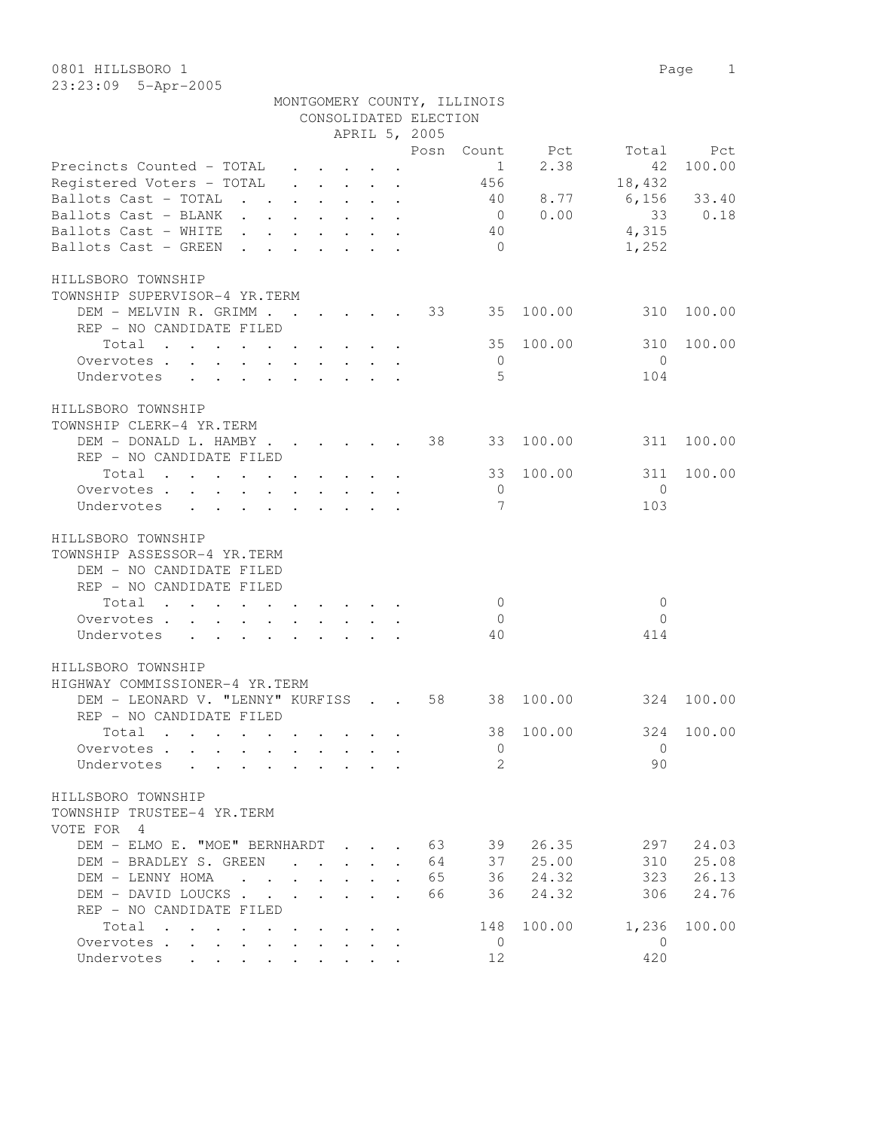|                                                                                                           |                           |                                                    |  |                       | MONTGOMERY COUNTY, ILLINOIS |                |                |            |
|-----------------------------------------------------------------------------------------------------------|---------------------------|----------------------------------------------------|--|-----------------------|-----------------------------|----------------|----------------|------------|
|                                                                                                           |                           |                                                    |  | CONSOLIDATED ELECTION |                             |                |                |            |
|                                                                                                           |                           |                                                    |  | APRIL 5, 2005         |                             |                |                |            |
|                                                                                                           |                           |                                                    |  |                       |                             | Posn Count Pct | Total          | Pct        |
| Precincts Counted - TOTAL                                                                                 |                           |                                                    |  |                       | 1                           | 2.38           | 42             | 100.00     |
| Registered Voters - TOTAL                                                                                 |                           |                                                    |  |                       |                             |                | 18,432         |            |
| Ballots Cast - TOTAL                                                                                      |                           |                                                    |  |                       |                             | 40 8.77        | 6,156          | 33.40      |
| Ballots Cast - BLANK                                                                                      |                           |                                                    |  |                       |                             | 0 0.00         | 33             | 0.18       |
| Ballots Cast - WHITE                                                                                      |                           |                                                    |  |                       | 40                          |                | 4,315          |            |
| Ballots Cast - GREEN.                                                                                     | $\mathbf{r}$ $\mathbf{r}$ |                                                    |  |                       | $\bigcirc$                  |                | 1,252          |            |
| HILLSBORO TOWNSHIP                                                                                        |                           |                                                    |  |                       |                             |                |                |            |
| TOWNSHIP SUPERVISOR-4 YR.TERM                                                                             |                           |                                                    |  |                       |                             |                |                |            |
| DEM - MELVIN R. GRIMM 33 35                                                                               |                           |                                                    |  |                       |                             | 100.00         | 310            | 100.00     |
| REP - NO CANDIDATE FILED                                                                                  |                           |                                                    |  |                       |                             |                |                |            |
| Total                                                                                                     |                           |                                                    |  |                       | 35                          | 100.00         | 310            | 100.00     |
| Overvotes                                                                                                 |                           |                                                    |  |                       | - 0                         |                | $\bigcirc$     |            |
| Undervotes                                                                                                |                           |                                                    |  |                       | -5                          |                | 104            |            |
| HILLSBORO TOWNSHIP                                                                                        |                           |                                                    |  |                       |                             |                |                |            |
| TOWNSHIP CLERK-4 YR.TERM                                                                                  |                           |                                                    |  |                       |                             |                |                |            |
| DEM - DONALD L. HAMBY                                                                                     |                           |                                                    |  | 38                    | 33                          | 100.00         | 311            | 100.00     |
| REP - NO CANDIDATE FILED                                                                                  |                           |                                                    |  |                       |                             |                |                |            |
| Total                                                                                                     |                           |                                                    |  |                       | 33                          | 100.00         | 311            | 100.00     |
| Overvotes.                                                                                                |                           |                                                    |  |                       | $\overline{0}$              |                | $\mathbf{0}$   |            |
| Undervotes                                                                                                |                           |                                                    |  |                       | 7                           |                | 103            |            |
|                                                                                                           |                           |                                                    |  |                       |                             |                |                |            |
| HILLSBORO TOWNSHIP<br>TOWNSHIP ASSESSOR-4 YR.TERM<br>DEM - NO CANDIDATE FILED<br>REP - NO CANDIDATE FILED |                           |                                                    |  |                       |                             |                |                |            |
| Total                                                                                                     |                           |                                                    |  |                       | $\overline{0}$              |                | 0              |            |
| Overvotes                                                                                                 |                           |                                                    |  |                       | $\overline{0}$              |                | $\Omega$       |            |
| Undervotes                                                                                                |                           |                                                    |  |                       | 40                          |                | 414            |            |
| HILLSBORO TOWNSHIP                                                                                        |                           |                                                    |  |                       |                             |                |                |            |
| HIGHWAY COMMISSIONER-4 YR.TERM                                                                            |                           |                                                    |  |                       |                             |                |                |            |
| DEM - LEONARD V. "LENNY" KURFISS 58<br>REP - NO CANDIDATE FILED                                           |                           |                                                    |  |                       | 38                          | 100.00         | 324            | 100.00     |
| Total                                                                                                     |                           |                                                    |  |                       |                             | 38 100.00      |                | 324 100.00 |
|                                                                                                           |                           |                                                    |  |                       |                             |                |                |            |
| Overvotes.                                                                                                |                           |                                                    |  |                       | 0                           |                | $\Omega$       |            |
| Undervotes                                                                                                |                           |                                                    |  |                       | $\mathcal{L}$               |                | 90             |            |
| HILLSBORO TOWNSHIP<br>TOWNSHIP TRUSTEE-4 YR.TERM<br>VOTE FOR 4                                            |                           |                                                    |  | 63                    |                             |                | 297            |            |
| DEM - ELMO E. "MOE" BERNHARDT                                                                             |                           |                                                    |  |                       | 39<br>37                    | 26.35          |                | 24.03      |
| DEM - BRADLEY S. GREEN                                                                                    |                           |                                                    |  | 64                    |                             | 25.00          | 310            | 25.08      |
| DEM - LENNY HOMA                                                                                          |                           |                                                    |  | 65                    | 36                          | 24.32          | 323            | 26.13      |
| DEM - DAVID LOUCKS                                                                                        |                           |                                                    |  | 66                    | 36                          | 24.32          | 306            | 24.76      |
| REP - NO CANDIDATE FILED<br>Total                                                                         |                           | $\mathbf{r}$ , and $\mathbf{r}$ , and $\mathbf{r}$ |  |                       | 148                         | 100.00         | 1,236          | 100.00     |
| Overvotes                                                                                                 |                           |                                                    |  |                       | $\overline{0}$              |                | $\overline{0}$ |            |
| Undervotes                                                                                                |                           |                                                    |  |                       | 12                          |                | 420            |            |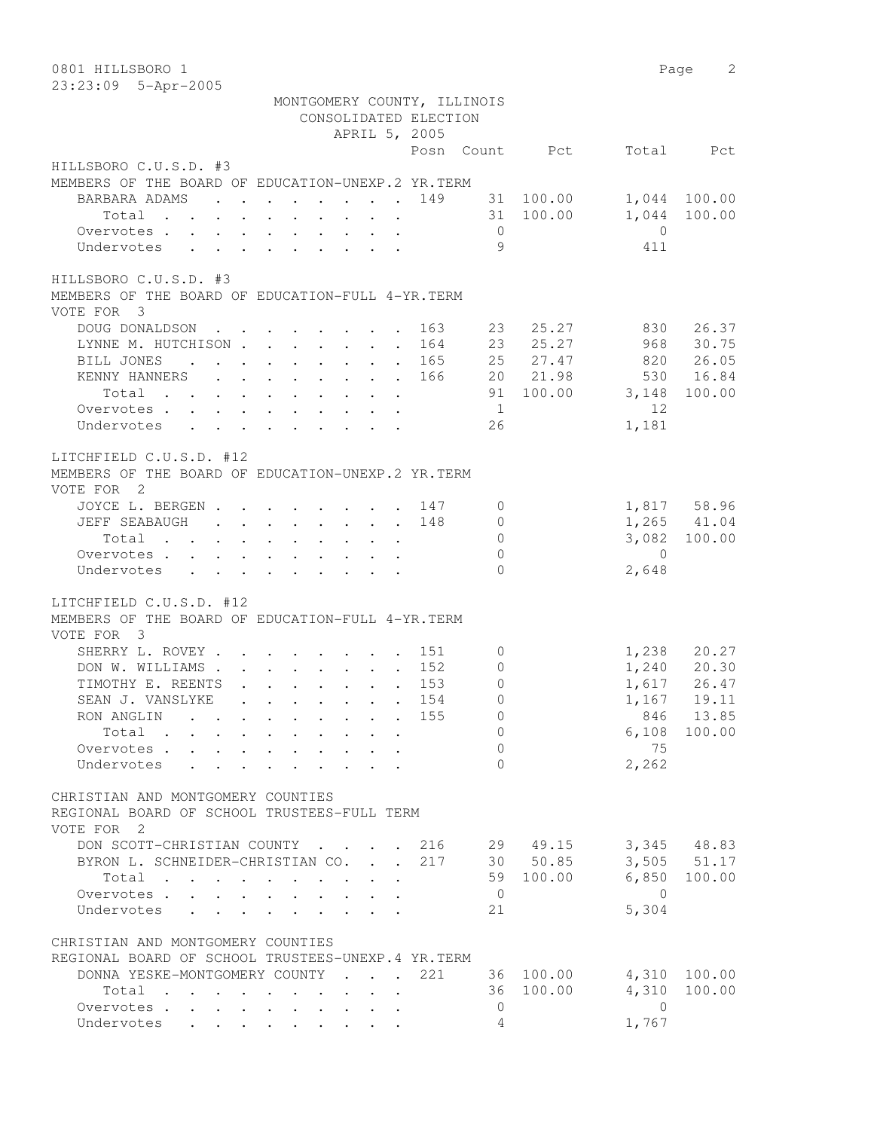| 0801 HILLSBORO 1<br>23:23:09 5-Apr-2005                                                                                                                                                                              |                           |             |                | Page<br>2                                    |
|----------------------------------------------------------------------------------------------------------------------------------------------------------------------------------------------------------------------|---------------------------|-------------|----------------|----------------------------------------------|
| MONTGOMERY COUNTY, ILLINOIS<br>CONSOLIDATED ELECTION                                                                                                                                                                 |                           |             |                |                                              |
| APRIL 5, 2005                                                                                                                                                                                                        |                           |             |                |                                              |
|                                                                                                                                                                                                                      | Posn Count                | Pct         | Total          | Pct                                          |
| HILLSBORO C.U.S.D. #3<br>MEMBERS OF THE BOARD OF EDUCATION-UNEXP.2 YR. TERM                                                                                                                                          |                           |             |                |                                              |
| BARBARA ADAMS                                                                                                                                                                                                        | 149                       | 31 100.00   |                | 1,044 100.00                                 |
| $\mathbf{r}$ , and $\mathbf{r}$ , and $\mathbf{r}$ , and $\mathbf{r}$ , and $\mathbf{r}$<br>Total<br>$\begin{array}{cccccccccccccc} \bullet & \bullet & \bullet & \bullet & \bullet & \bullet & \bullet \end{array}$ |                           | 31 100.00   | 1,044          | 100.00                                       |
| Overvotes                                                                                                                                                                                                            | $\overline{0}$            |             | $\overline{0}$ |                                              |
| Undervotes<br>$\mathbf{L} = \mathbf{L}$                                                                                                                                                                              | 9                         |             | 411            |                                              |
| HILLSBORO C.U.S.D. #3<br>MEMBERS OF THE BOARD OF EDUCATION-FULL 4-YR. TERM                                                                                                                                           |                           |             |                |                                              |
| VOTE FOR 3<br>DOUG DONALDSON                                                                                                                                                                                         | 163                       | 25.27<br>23 | 830            | 26.37                                        |
| LYNNE M. HUTCHISON                                                                                                                                                                                                   | . 164                     | 23 25.27    | 968            | 30.75                                        |
| BILL JONES                                                                                                                                                                                                           | . 165                     | 25 27.47    | 820            | 26.05                                        |
| KENNY HANNERS                                                                                                                                                                                                        | 166                       | 20 21.98    | 530            | 16.84                                        |
| Total                                                                                                                                                                                                                |                           | 91 100.00   | 3,148          | 100.00                                       |
| Overvotes                                                                                                                                                                                                            | $\overline{1}$            |             | 12             |                                              |
| Undervotes                                                                                                                                                                                                           | 26                        |             | 1,181          |                                              |
|                                                                                                                                                                                                                      |                           |             |                |                                              |
| LITCHFIELD C.U.S.D. #12<br>MEMBERS OF THE BOARD OF EDUCATION-UNEXP.2 YR.TERM<br>VOTE FOR 2                                                                                                                           |                           |             |                |                                              |
| JOYCE L. BERGEN 147                                                                                                                                                                                                  | 0                         |             |                | 1,817 58.96                                  |
| JEFF SEABAUGH                                                                                                                                                                                                        | 148<br>0                  |             |                | 1,265 41.04                                  |
| Total<br>$\mathbf{r} = \mathbf{r} + \mathbf{r} + \mathbf{r} + \mathbf{r} + \mathbf{r} + \mathbf{r} + \mathbf{r}$                                                                                                     | $\mathsf{O}\xspace$       |             |                | 3,082 100.00                                 |
| Overvotes                                                                                                                                                                                                            | $\mathbf{0}$              |             | $\overline{0}$ |                                              |
| Undervotes                                                                                                                                                                                                           | $\Omega$                  |             | 2,648          |                                              |
| LITCHFIELD C.U.S.D. #12<br>MEMBERS OF THE BOARD OF EDUCATION-FULL 4-YR. TERM<br>VOTE FOR 3                                                                                                                           |                           |             |                |                                              |
| SHERRY L. ROVEY .<br>$\cdot$ 151                                                                                                                                                                                     | 0                         |             |                |                                              |
| DON W. WILLIAMS.<br>$\mathbf{r}$ , and $\mathbf{r}$ , and $\mathbf{r}$ , and $\mathbf{r}$                                                                                                                            | 152<br>$\circ$            |             |                | 1, 238 20.27<br>1, 240 20.30<br>1, 617 26.47 |
| TIMOTHY E. REENTS<br>$\mathbf{1}^{\prime}$ , $\mathbf{1}^{\prime}$ , $\mathbf{1}^{\prime}$ , $\mathbf{1}^{\prime}$ , $\mathbf{1}^{\prime}$<br>$\mathbf{L}$                                                           | 153<br>$\mathbb O$        |             |                |                                              |
| . 154<br>SEAN J. VANSLYKE                                                                                                                                                                                            | $\circ$                   |             |                | 1,167 19.11                                  |
| RON ANGLIN 155                                                                                                                                                                                                       | 0                         |             |                | 846 13.85                                    |
| Total                                                                                                                                                                                                                | $\overline{0}$            |             |                | $6,108$ 100.00                               |
| Overvotes                                                                                                                                                                                                            | $\Omega$                  |             | 75             |                                              |
| Undervotes                                                                                                                                                                                                           | $\Omega$                  |             | 2,262          |                                              |
| CHRISTIAN AND MONTGOMERY COUNTIES<br>REGIONAL BOARD OF SCHOOL TRUSTEES-FULL TERM<br>VOTE FOR 2                                                                                                                       |                           |             |                |                                              |
| DON SCOTT-CHRISTIAN COUNTY 216 29 49.15                                                                                                                                                                              |                           |             |                | 3,345 48.83                                  |
| BYRON L. SCHNEIDER-CHRISTIAN CO. 217 30 50.85                                                                                                                                                                        |                           |             |                | $3,505$ $51.17$                              |
| Total                                                                                                                                                                                                                |                           | 59 100.00   |                | 6,850 100.00                                 |
| Overvotes                                                                                                                                                                                                            | $\overline{0}$            |             | $\overline{0}$ |                                              |
| Undervotes                                                                                                                                                                                                           | 21                        |             | 5,304          |                                              |
|                                                                                                                                                                                                                      |                           |             |                |                                              |
| CHRISTIAN AND MONTGOMERY COUNTIES<br>REGIONAL BOARD OF SCHOOL TRUSTEES-UNEXP.4 YR.TERM                                                                                                                               |                           |             |                |                                              |
| DONNA YESKE-MONTGOMERY COUNTY 221 36 100.00 4,310 100.00                                                                                                                                                             |                           |             |                |                                              |
|                                                                                                                                                                                                                      |                           | 36 100.00   | 4,310          | 100.00                                       |
| Total<br>$\mathbf{z} = \mathbf{z} + \mathbf{z}$ .<br>Overvotes.                                                                                                                                                      | $\ddot{\phantom{0}}$<br>0 |             | $\bigcirc$     |                                              |
| Undervotes                                                                                                                                                                                                           | 4                         |             | 1,767          |                                              |
|                                                                                                                                                                                                                      |                           |             |                |                                              |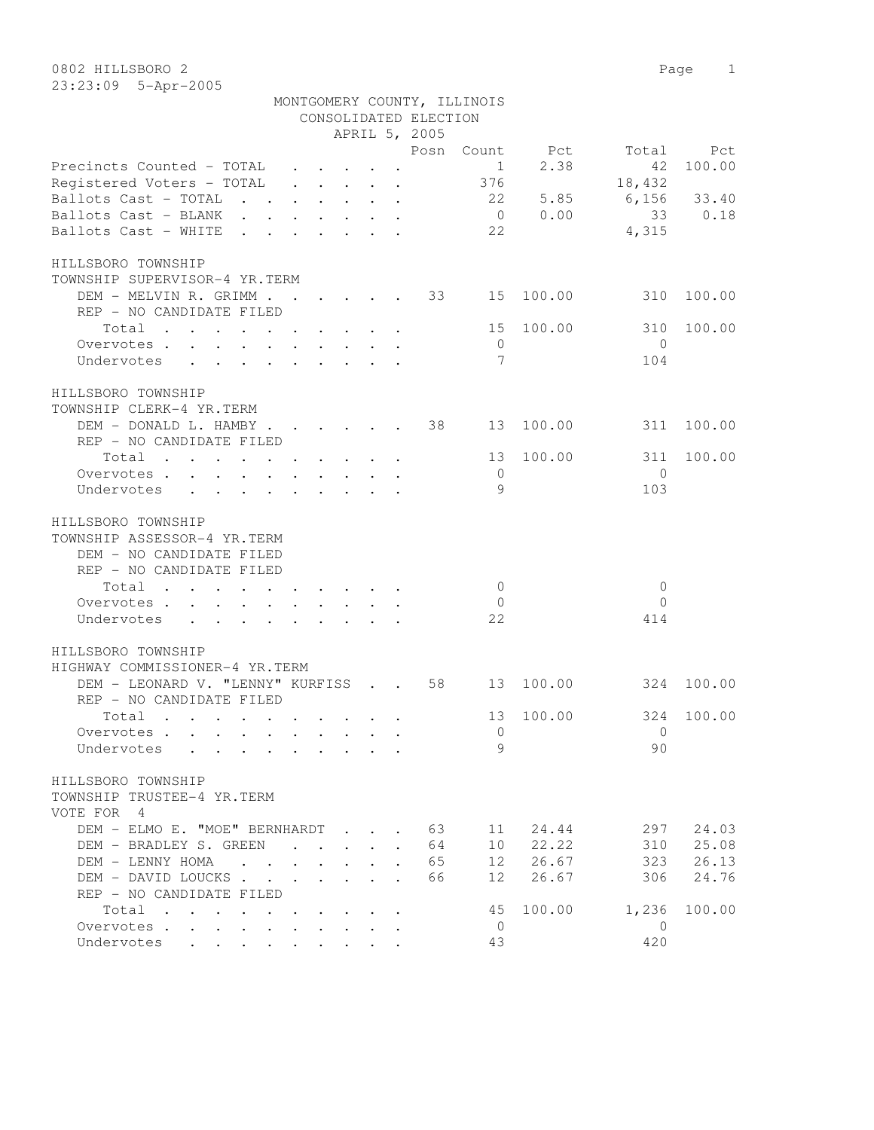|                                                                                                                                          |           | Posn | Count          | Pct    | Total         | Pct    |
|------------------------------------------------------------------------------------------------------------------------------------------|-----------|------|----------------|--------|---------------|--------|
| Precincts Counted - TOTAL                                                                                                                |           |      | $\mathbf{1}$   | 2.38   | 42            | 100.00 |
| Registered Voters - TOTAL                                                                                                                |           |      | 376            |        | 18,432        |        |
| Ballots Cast - TOTAL                                                                                                                     |           |      | 22             | 5.85   | $6,156$ 33.40 |        |
| Ballots Cast - BLANK                                                                                                                     |           |      | $\overline{0}$ | 0.00   | 33            | 0.18   |
| Ballots Cast - WHITE<br>the contract of the contract of the                                                                              |           |      | 22             |        | 4,315         |        |
| HILLSBORO TOWNSHIP                                                                                                                       |           |      |                |        |               |        |
| TOWNSHIP SUPERVISOR-4 YR.TERM                                                                                                            |           |      |                |        |               |        |
| DEM – MELVIN R. GRIMM 33                                                                                                                 |           |      | 15             | 100.00 | 310           | 100.00 |
| REP - NO CANDIDATE FILED                                                                                                                 |           |      |                |        |               |        |
| $\mathcal{A}$ . The second contribution of the second contribution $\mathcal{A}$<br>Total                                                |           |      | 15             | 100.00 | 310           | 100.00 |
| Overvotes.                                                                                                                               |           |      | $\overline{0}$ |        | $\Omega$      |        |
| Undervotes                                                                                                                               |           |      | 7              |        | 104           |        |
| HILLSBORO TOWNSHIP                                                                                                                       |           |      |                |        |               |        |
| TOWNSHIP CLERK-4 YR.TERM                                                                                                                 |           |      |                |        |               |        |
| DEM - DONALD L. HAMBY                                                                                                                    |           | 38   | 13             | 100.00 | 311           | 100.00 |
| REP - NO CANDIDATE FILED                                                                                                                 |           |      |                |        |               |        |
| Total<br>$\mathbf{r}$ , and $\mathbf{r}$ , and $\mathbf{r}$ , and $\mathbf{r}$ , and $\mathbf{r}$                                        |           |      | 13             | 100.00 | 311           | 100.00 |
| Overvotes.                                                                                                                               |           |      | $\overline{0}$ |        | $\Omega$      |        |
| Undervotes                                                                                                                               |           |      | 9              |        | 103           |        |
| HILLSBORO TOWNSHIP                                                                                                                       |           |      |                |        |               |        |
| TOWNSHIP ASSESSOR-4 YR.TERM                                                                                                              |           |      |                |        |               |        |
| DEM - NO CANDIDATE FILED                                                                                                                 |           |      |                |        |               |        |
| REP - NO CANDIDATE FILED                                                                                                                 |           |      |                |        |               |        |
| Total                                                                                                                                    |           |      | $\Omega$       |        | $\mathbf{0}$  |        |
| Overvotes.                                                                                                                               |           |      | $\overline{0}$ |        | $\Omega$      |        |
| Undervotes                                                                                                                               |           |      | 22             |        | 414           |        |
| HILLSBORO TOWNSHIP                                                                                                                       |           |      |                |        |               |        |
| HIGHWAY COMMISSIONER-4 YR.TERM                                                                                                           |           |      |                |        |               |        |
| DEM - LEONARD V. "LENNY" KURFISS 58                                                                                                      |           |      | 13             | 100.00 | 324           | 100.00 |
| REP - NO CANDIDATE FILED                                                                                                                 |           |      |                |        |               |        |
| Total                                                                                                                                    |           |      | 13             | 100.00 | 324           | 100.00 |
| Overvotes                                                                                                                                |           |      | $\overline{0}$ |        | $\mathbf{0}$  |        |
| Undervotes                                                                                                                               |           |      | 9              |        | 90            |        |
| HILLSBORO TOWNSHIP                                                                                                                       |           |      |                |        |               |        |
| TOWNSHIP TRUSTEE-4 YR.TERM                                                                                                               |           |      |                |        |               |        |
| VOTE FOR 4                                                                                                                               |           |      |                |        |               |        |
| DEM - ELMO E. "MOE" BERNHARDT                                                                                                            |           | 63   | 11             | 24.44  | 297           | 24.03  |
| DEM - BRADLEY S. GREEN<br>$\mathbf{r}$                                                                                                   |           | 64   | 10             | 22.22  | 310           | 25.08  |
| DEM - LENNY HOMA                                                                                                                         |           | 65   | 12             | 26.67  | 323           | 26.13  |
| DEM - DAVID LOUCKS                                                                                                                       |           | 66   | 12             | 26.67  | 306           | 24.76  |
| REP - NO CANDIDATE FILED                                                                                                                 |           |      |                |        |               |        |
| Total                                                                                                                                    |           |      | 45             | 100.00 | 1,236         | 100.00 |
| Overvotes<br>$\cdot$                                                                                                                     |           |      | 0              |        | $\mathbf{0}$  |        |
| Undervotes<br>$\bullet$ .<br><br><br><br><br><br><br><br><br><br><br><br><br>$\bullet$ .<br><br><br><br><br><br><br><br><br><br><br><br> | $\bullet$ |      | 43             |        | 420           |        |

APRIL 5, 2005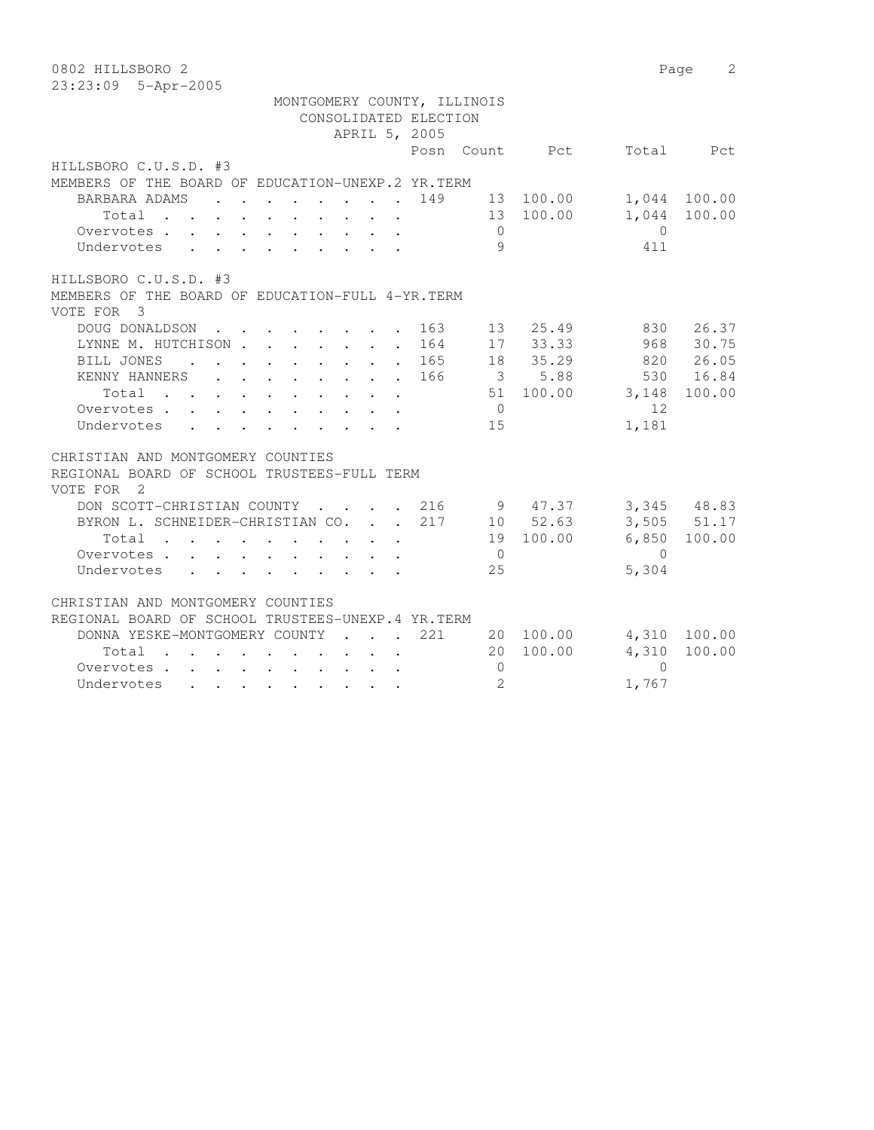| 0802 HILLSBORO 2                                                                                                                                                                                                                            |                |           | Page           | 2               |
|---------------------------------------------------------------------------------------------------------------------------------------------------------------------------------------------------------------------------------------------|----------------|-----------|----------------|-----------------|
| 23:23:09 5-Apr-2005                                                                                                                                                                                                                         |                |           |                |                 |
| MONTGOMERY COUNTY, ILLINOIS                                                                                                                                                                                                                 |                |           |                |                 |
| CONSOLIDATED ELECTION                                                                                                                                                                                                                       |                |           |                |                 |
| APRIL 5, 2005                                                                                                                                                                                                                               |                |           |                |                 |
|                                                                                                                                                                                                                                             | Posn Count     | Pct       | Total          | Pct             |
| HILLSBORO C.U.S.D. #3                                                                                                                                                                                                                       |                |           |                |                 |
| MEMBERS OF THE BOARD OF EDUCATION-UNEXP.2 YR. TERM                                                                                                                                                                                          |                |           |                |                 |
| BARBARA ADAMS<br>149<br>$\mathbf{L}$<br>$\mathbf{r}$ , and $\mathbf{r}$ , and $\mathbf{r}$ , and $\mathbf{r}$                                                                                                                               |                | 13 100.00 |                | 1,044 100.00    |
| Total                                                                                                                                                                                                                                       |                | 13 100.00 | 1,044          | 100.00          |
| Overvotes                                                                                                                                                                                                                                   | $\circ$        |           | $\overline{0}$ |                 |
| Undervotes<br>$\mathbf{r}$ and $\mathbf{r}$ and $\mathbf{r}$<br>$\cdot$ $\cdot$ $\cdot$ $\cdot$ $\cdot$ $\cdot$ $\cdot$                                                                                                                     | 9              |           | 411            |                 |
| HILLSBORO C.U.S.D. #3                                                                                                                                                                                                                       |                |           |                |                 |
| MEMBERS OF THE BOARD OF EDUCATION-FULL 4-YR. TERM                                                                                                                                                                                           |                |           |                |                 |
| VOTE FOR 3                                                                                                                                                                                                                                  |                |           |                |                 |
| DOUG DONALDSON<br>163<br>$\mathbf{r}$ , $\mathbf{r}$ , $\mathbf{r}$ , $\mathbf{r}$ , $\mathbf{r}$                                                                                                                                           | 13             | 25.49     | 830            | 26.37           |
| LYNNE M. HUTCHISON<br>164                                                                                                                                                                                                                   |                | 17 33.33  | 968            | 30.75           |
| BILL JONES<br>165<br>the contract of the contract of the<br>$\mathbf{L}$                                                                                                                                                                    |                | 18 35.29  |                | 820 26.05       |
| KENNY HANNERS<br>166                                                                                                                                                                                                                        |                | 3 5.88    | 530            | 16.84           |
| Total                                                                                                                                                                                                                                       |                | 51 100.00 | 3,148          | 100.00          |
| Overvotes                                                                                                                                                                                                                                   | $\overline{0}$ |           | 12             |                 |
| Undervotes                                                                                                                                                                                                                                  | 15             |           | 1,181          |                 |
| CHRISTIAN AND MONTGOMERY COUNTIES                                                                                                                                                                                                           |                |           |                |                 |
| REGIONAL BOARD OF SCHOOL TRUSTEES-FULL TERM                                                                                                                                                                                                 |                |           |                |                 |
| VOTE FOR<br>$\overline{2}$                                                                                                                                                                                                                  |                |           |                |                 |
| DON SCOTT-CHRISTIAN COUNTY<br>216<br>$\sim$<br><b>Contract Contract Contract</b><br>$\sim$                                                                                                                                                  |                | 9 47.37   |                | 3,345 48.83     |
| BYRON L. SCHNEIDER-CHRISTIAN CO.<br>217                                                                                                                                                                                                     |                | 10 52.63  |                | $3,505$ $51.17$ |
| Total<br>$\mathbf{L}$                                                                                                                                                                                                                       |                | 19 100.00 | 6,850          | 100.00          |
| Overvotes.                                                                                                                                                                                                                                  | $\overline{0}$ |           | $\Omega$       |                 |
| Undervotes                                                                                                                                                                                                                                  | 25             |           | 5,304          |                 |
| CHRISTIAN AND MONTGOMERY COUNTIES                                                                                                                                                                                                           |                |           |                |                 |
| REGIONAL BOARD OF SCHOOL TRUSTEES-UNEXP.4 YR.TERM                                                                                                                                                                                           |                |           |                |                 |
| 221<br>DONNA YESKE-MONTGOMERY COUNTY<br>$\sim$ $\sim$ $\sim$ $\sim$                                                                                                                                                                         | 20             | 100.00    | 4,310          | 100.00          |
| Total<br>$\sim$<br>the contract of the contract of the contract of                                                                                                                                                                          | 20             | 100.00    | 4,310          | 100.00          |
| Overvotes                                                                                                                                                                                                                                   | $\mathbf{0}$   |           | $\Omega$       |                 |
| Undervotes<br>. The contract of the contract of the contract of the contract of the contract of the contract of the contract of the contract of the contract of the contract of the contract of the contract of the contract of the contrac | $\overline{2}$ |           | 1,767          |                 |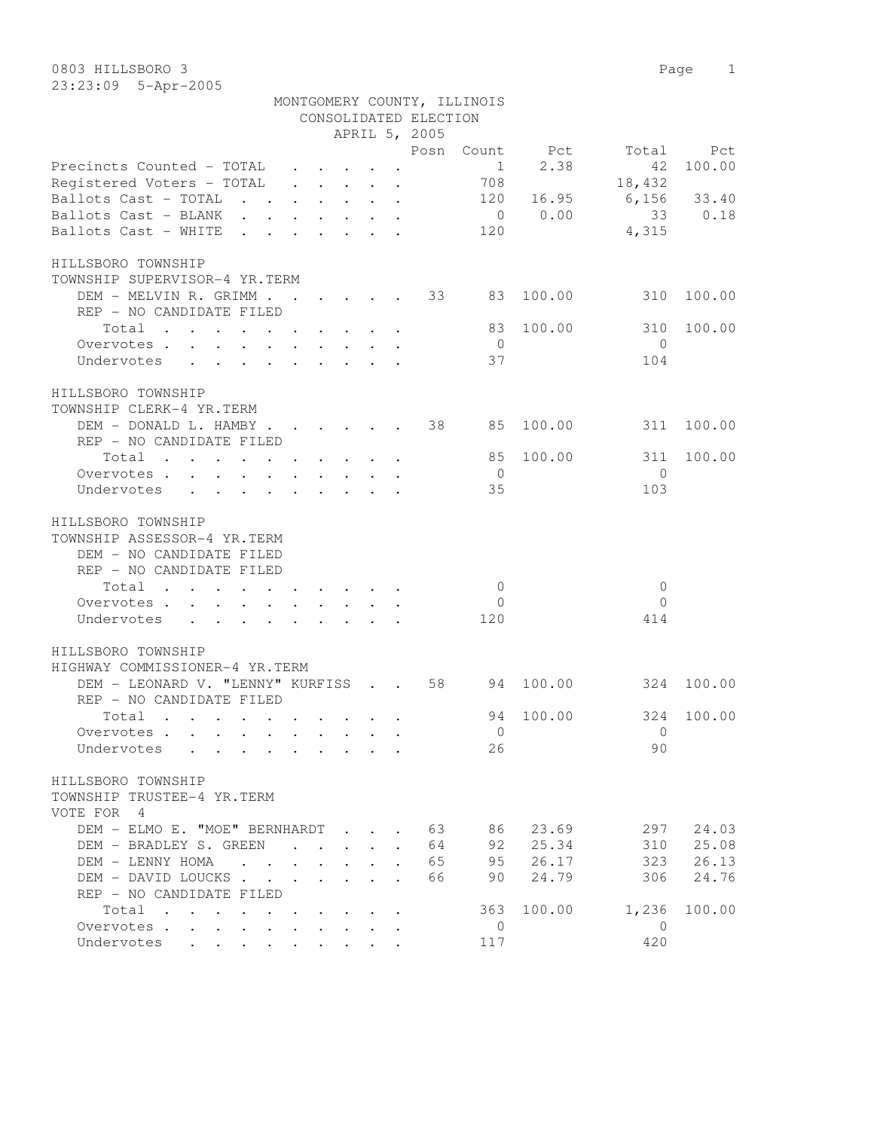| Precincts Counted - TOTAL                                                                              | $\mathbf{1}$<br>2.38<br>-42<br>100.00 |
|--------------------------------------------------------------------------------------------------------|---------------------------------------|
| Registered Voters - TOTAL                                                                              | 18,432<br>708                         |
| Ballots Cast - TOTAL                                                                                   | 120 16.95 6,156 33.40                 |
| Ballots Cast - BLANK                                                                                   | $0 \t 0.00$<br>33<br>0.18             |
| Ballots Cast - WHITE                                                                                   | 120<br>4,315                          |
|                                                                                                        |                                       |
| HILLSBORO TOWNSHIP                                                                                     |                                       |
| TOWNSHIP SUPERVISOR-4 YR.TERM                                                                          |                                       |
| DEM - MELVIN R. GRIMM 33                                                                               | 83<br>100.00<br>310<br>100.00         |
| REP - NO CANDIDATE FILED                                                                               |                                       |
| Total                                                                                                  | 83<br>100.00<br>310<br>100.00         |
| Overvotes.                                                                                             | $\bigcirc$<br>$\overline{0}$          |
| Undervotes                                                                                             | 37<br>104                             |
|                                                                                                        |                                       |
| HILLSBORO TOWNSHIP                                                                                     |                                       |
| TOWNSHIP CLERK-4 YR.TERM                                                                               |                                       |
| DEM - DONALD L. HAMBY                                                                                  | 38<br>85<br>100.00<br>311<br>100.00   |
| REP - NO CANDIDATE FILED                                                                               |                                       |
| Total                                                                                                  | 85<br>100.00<br>311<br>100.00         |
| Overvotes.                                                                                             | $\bigcirc$<br>$\overline{0}$          |
| Undervotes                                                                                             | 35<br>103                             |
|                                                                                                        |                                       |
| HILLSBORO TOWNSHIP                                                                                     |                                       |
| TOWNSHIP ASSESSOR-4 YR.TERM                                                                            |                                       |
| DEM - NO CANDIDATE FILED                                                                               |                                       |
| REP - NO CANDIDATE FILED                                                                               |                                       |
|                                                                                                        | $\mathbf{0}$<br>$\overline{0}$        |
| Total                                                                                                  | $\Omega$                              |
| Overvotes<br>$\mathbf{A}$ and $\mathbf{A}$ and $\mathbf{A}$<br>$\cdot$ $\cdot$ $\cdot$ $\cdot$ $\cdot$ | $\overline{0}$                        |
| Undervotes<br>$\cdot$ , , , , , , , , , ,                                                              | 120<br>414                            |
|                                                                                                        |                                       |
| HILLSBORO TOWNSHIP                                                                                     |                                       |
| HIGHWAY COMMISSIONER-4 YR.TERM                                                                         |                                       |
| DEM - LEONARD V. "LENNY" KURFISS 58                                                                    | 94<br>100.00<br>324<br>100.00         |
| REP - NO CANDIDATE FILED                                                                               |                                       |
| Total                                                                                                  | 94<br>100.00<br>324<br>100.00         |
| Overvotes                                                                                              | $\overline{0}$<br>$\overline{0}$      |
| Undervotes<br>$\mathbf{r}$ , and $\mathbf{r}$ , and $\mathbf{r}$ , and $\mathbf{r}$ , and $\mathbf{r}$ | 90<br>26                              |
|                                                                                                        |                                       |
| HILLSBORO TOWNSHIP                                                                                     |                                       |
| TOWNSHIP TRUSTEE-4 YR.TERM                                                                             |                                       |
| VOTE FOR 4                                                                                             |                                       |
| DEM - ELMO E. "MOE" BERNHARDT                                                                          | 63<br>86<br>23.69<br>297<br>24.03     |
| DEM - BRADLEY S. GREEN<br>$\sim$                                                                       | 64<br>92<br>25.34<br>310<br>25.08     |
| DEM - LENNY HOMA                                                                                       | 65<br>95<br>26.17<br>323<br>26.13     |
| DEM - DAVID LOUCKS                                                                                     | 24.79<br>66<br>90<br>306<br>24.76     |
| REP - NO CANDIDATE FILED                                                                               |                                       |
| Total                                                                                                  | 100.00<br>1,236<br>100.00<br>363      |
| Overvotes                                                                                              | $\overline{0}$<br>$\overline{0}$      |
| Undervotes                                                                                             | 420<br>117                            |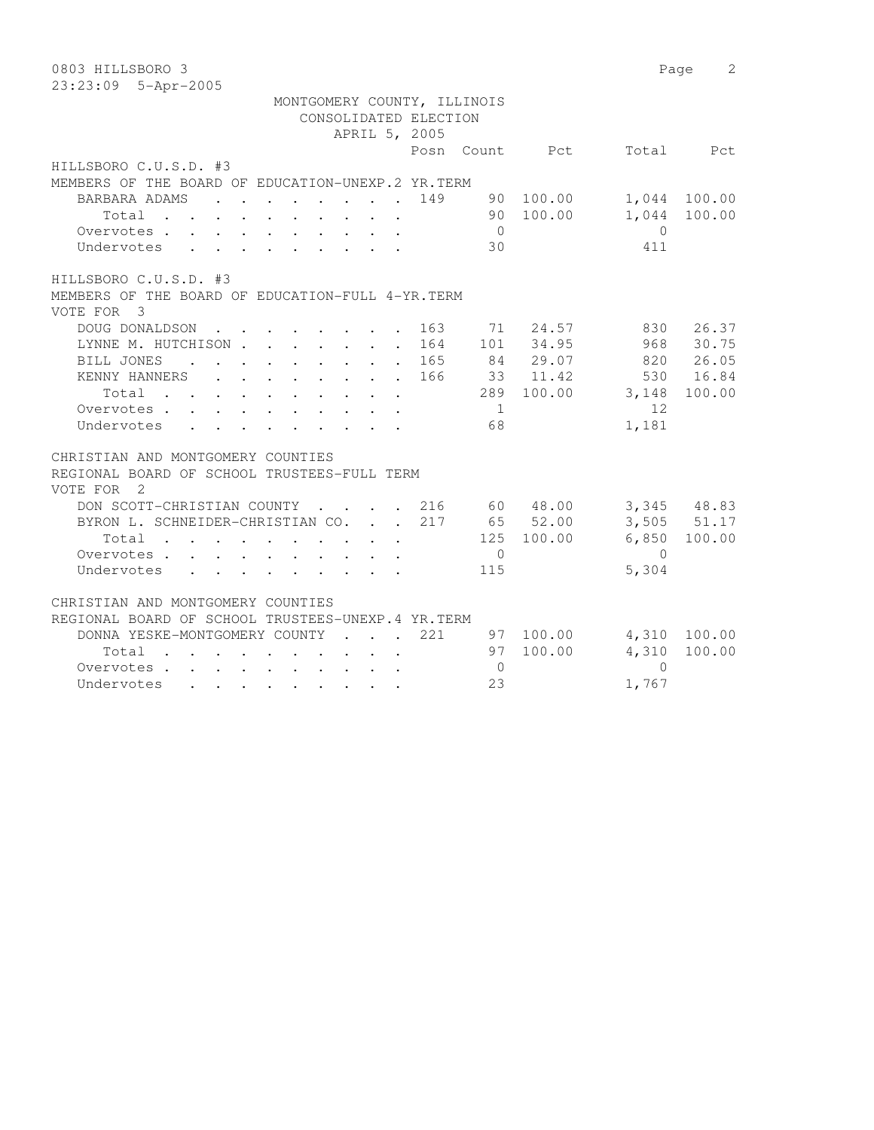| 0803 HILLSBORO 3                                                                                                                                                                                                                            |                |           | Page           | 2               |
|---------------------------------------------------------------------------------------------------------------------------------------------------------------------------------------------------------------------------------------------|----------------|-----------|----------------|-----------------|
| 23:23:09 5-Apr-2005                                                                                                                                                                                                                         |                |           |                |                 |
| MONTGOMERY COUNTY, ILLINOIS                                                                                                                                                                                                                 |                |           |                |                 |
| CONSOLIDATED ELECTION                                                                                                                                                                                                                       |                |           |                |                 |
| APRIL 5, 2005                                                                                                                                                                                                                               |                |           |                |                 |
|                                                                                                                                                                                                                                             | Posn Count     | Pct       | Total          | Pct             |
| HILLSBORO C.U.S.D. #3                                                                                                                                                                                                                       |                |           |                |                 |
| MEMBERS OF THE BOARD OF EDUCATION-UNEXP.2 YR. TERM                                                                                                                                                                                          |                |           |                |                 |
| BARBARA ADAMS<br>$\mathbf{L}$<br>$\sim$                                                                                                                                                                                                     | 149<br>90      | 100.00    |                | 1,044 100.00    |
| Total                                                                                                                                                                                                                                       |                | 90 100.00 | 1,044          | 100.00          |
| Overvotes                                                                                                                                                                                                                                   | $\overline{0}$ |           | $\overline{0}$ |                 |
| Undervotes<br>$\mathbf{r}$ , $\mathbf{r}$ , $\mathbf{r}$ , $\mathbf{r}$ , $\mathbf{r}$ , $\mathbf{r}$                                                                                                                                       | 30             |           | 411            |                 |
| HILLSBORO C.U.S.D. #3                                                                                                                                                                                                                       |                |           |                |                 |
| MEMBERS OF THE BOARD OF EDUCATION-FULL 4-YR. TERM                                                                                                                                                                                           |                |           |                |                 |
| VOTE FOR 3                                                                                                                                                                                                                                  |                |           |                |                 |
| DOUG DONALDSON<br>$\mathbf{r}$ , $\mathbf{r}$ , $\mathbf{r}$ , $\mathbf{r}$ , $\mathbf{r}$                                                                                                                                                  | 163<br>71      | 24.57     | 830            | 26.37           |
| LYNNE M. HUTCHISON                                                                                                                                                                                                                          | 164            | 101 34.95 | 968            | 30.75           |
| BILL JONES<br>$\mathbf{r}$ , and $\mathbf{r}$ , and $\mathbf{r}$ , and $\mathbf{r}$                                                                                                                                                         | 165            | 84 29.07  | 820            | 26.05           |
| KENNY HANNERS                                                                                                                                                                                                                               | 166            | 33 11.42  | 530            | 16.84           |
| Total                                                                                                                                                                                                                                       | 289            | 100.00    | 3,148          | 100.00          |
| Overvotes                                                                                                                                                                                                                                   | 1              |           | 12             |                 |
| Undervotes                                                                                                                                                                                                                                  | 68             |           | 1,181          |                 |
| CHRISTIAN AND MONTGOMERY COUNTIES                                                                                                                                                                                                           |                |           |                |                 |
| REGIONAL BOARD OF SCHOOL TRUSTEES-FULL TERM                                                                                                                                                                                                 |                |           |                |                 |
| VOTE FOR<br>$\overline{2}$                                                                                                                                                                                                                  |                |           |                |                 |
| DON SCOTT-CHRISTIAN COUNTY<br>$\sim$<br><b>Contract Contract Contract</b><br>$\sim$                                                                                                                                                         | 216            | 60 48.00  |                | 3,345 48.83     |
| BYRON L. SCHNEIDER-CHRISTIAN CO.                                                                                                                                                                                                            | 217            | 65 52.00  |                | $3,505$ $51.17$ |
| Total<br>$\sim$                                                                                                                                                                                                                             | 125            | 100.00    | 6,850          | 100.00          |
| Overvotes.                                                                                                                                                                                                                                  | $\overline{0}$ |           | $\Omega$       |                 |
| Undervotes                                                                                                                                                                                                                                  | 115            |           | 5,304          |                 |
| CHRISTIAN AND MONTGOMERY COUNTIES                                                                                                                                                                                                           |                |           |                |                 |
| REGIONAL BOARD OF SCHOOL TRUSTEES-UNEXP.4 YR.TERM                                                                                                                                                                                           |                |           |                |                 |
| DONNA YESKE-MONTGOMERY COUNTY<br>$\sim$ $\sim$ $\sim$ $\sim$                                                                                                                                                                                | 221            | 97 100.00 | 4,310          | 100.00          |
| Total<br>$\sim$<br>the contract of the contract of the contract of                                                                                                                                                                          | 97             | 100.00    | 4,310          | 100.00          |
| Overvotes                                                                                                                                                                                                                                   | $\overline{0}$ |           | $\Omega$       |                 |
| Undervotes<br>. The contract of the contract of the contract of the contract of the contract of the contract of the contract of the contract of the contract of the contract of the contract of the contract of the contract of the contrac | 23             |           | 1,767          |                 |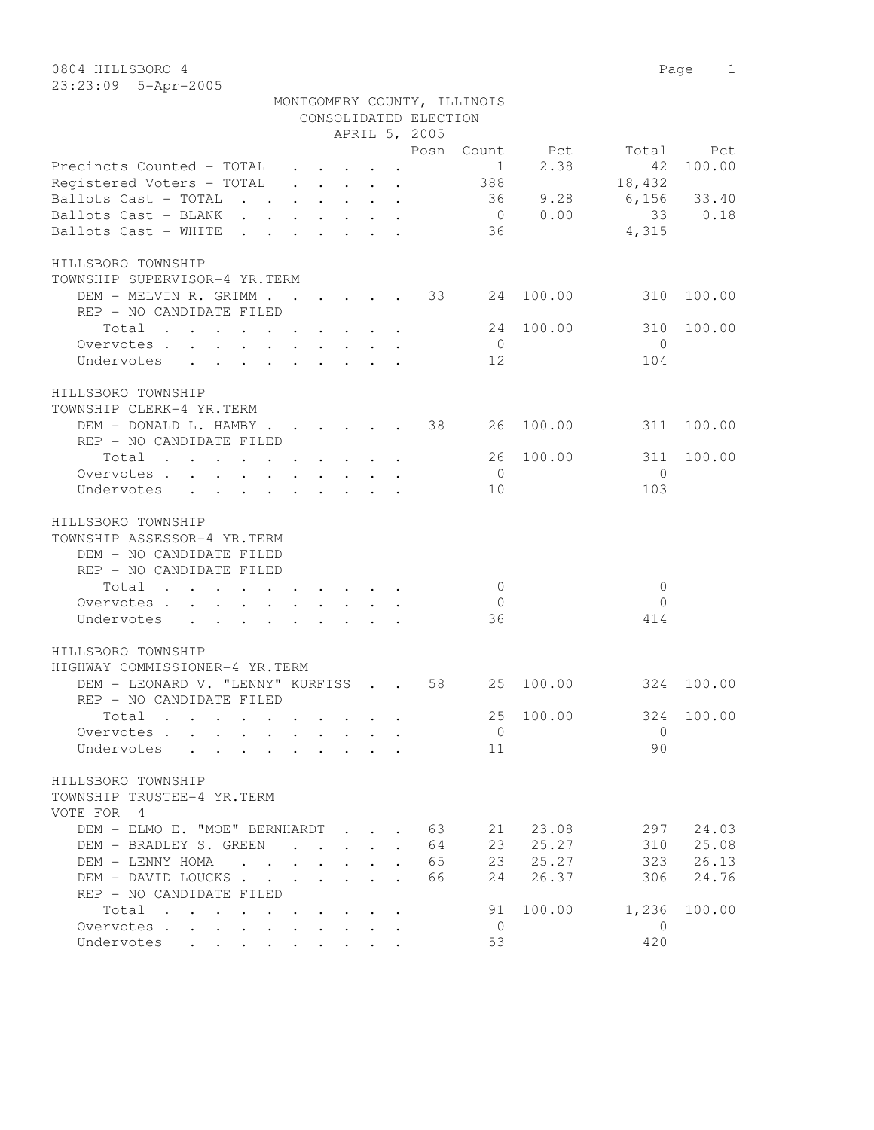| Z3:Z3:UY 5-Apr-ZUU5                                                |                                                                                                                 |        |                             |                                                           |                      |  |                       |                             |        |          |             |  |  |  |  |
|--------------------------------------------------------------------|-----------------------------------------------------------------------------------------------------------------|--------|-----------------------------|-----------------------------------------------------------|----------------------|--|-----------------------|-----------------------------|--------|----------|-------------|--|--|--|--|
|                                                                    |                                                                                                                 |        |                             |                                                           |                      |  |                       | MONTGOMERY COUNTY, ILLINOIS |        |          |             |  |  |  |  |
|                                                                    |                                                                                                                 |        |                             |                                                           |                      |  | CONSOLIDATED ELECTION |                             |        |          |             |  |  |  |  |
|                                                                    | APRIL 5, 2005                                                                                                   |        |                             |                                                           |                      |  |                       |                             |        |          |             |  |  |  |  |
|                                                                    |                                                                                                                 |        |                             |                                                           |                      |  | Posn                  | Count                       | Pct    | Total    | Pct         |  |  |  |  |
| Precincts Counted - TOTAL                                          |                                                                                                                 |        |                             |                                                           |                      |  |                       | 1                           | 2.38   | 42       | 100.00      |  |  |  |  |
| Registered Voters - TOTAL                                          |                                                                                                                 |        |                             | $\cdot$ $\cdot$ $\cdot$ $\cdot$ $\cdot$                   |                      |  |                       | 388                         |        | 18,432   |             |  |  |  |  |
| Ballots Cast - TOTAL                                               | $\sim$ $\sim$                                                                                                   |        |                             | $\mathbf{r}$ , $\mathbf{r}$ , $\mathbf{r}$ , $\mathbf{r}$ |                      |  |                       | 36                          | 9.28   |          | 6,156 33.40 |  |  |  |  |
| Ballots Cast - BLANK                                               | $\mathbf{r}$ , and $\mathbf{r}$ , and $\mathbf{r}$ , and $\mathbf{r}$                                           |        |                             |                                                           |                      |  |                       | $\overline{0}$              | 0.00   | 33       | 0.18        |  |  |  |  |
|                                                                    |                                                                                                                 |        |                             |                                                           |                      |  |                       |                             |        |          |             |  |  |  |  |
| Ballots Cast - WHITE                                               | $\sim$ $\sim$                                                                                                   |        |                             | $\sim$ $\sim$ $\sim$ $\sim$ $\sim$                        |                      |  |                       | 36                          |        | 4,315    |             |  |  |  |  |
| HILLSBORO TOWNSHIP                                                 |                                                                                                                 |        |                             |                                                           |                      |  |                       |                             |        |          |             |  |  |  |  |
| TOWNSHIP SUPERVISOR-4 YR.TERM                                      |                                                                                                                 |        |                             |                                                           |                      |  |                       |                             |        |          |             |  |  |  |  |
| DEM - MELVIN R. GRIMM.                                             |                                                                                                                 |        |                             | <u>in the second second</u>                               |                      |  | 33                    | 24                          | 100.00 | 310      | 100.00      |  |  |  |  |
| REP - NO CANDIDATE FILED                                           |                                                                                                                 |        |                             |                                                           |                      |  |                       |                             |        |          |             |  |  |  |  |
| Total<br>$\mathbf{r}$ , $\mathbf{r}$ , $\mathbf{r}$ , $\mathbf{r}$ |                                                                                                                 | $\sim$ | $\sim$ $\sim$ $\sim$ $\sim$ |                                                           |                      |  |                       | 24                          | 100.00 | 310      | 100.00      |  |  |  |  |
| Overvotes.                                                         | the contract of the contract of the contract of the contract of the contract of the contract of the contract of |        |                             |                                                           | $\sim$ $\sim$ $\sim$ |  |                       | $\overline{0}$              |        | $\Omega$ |             |  |  |  |  |
| Undervotes                                                         |                                                                                                                 |        |                             |                                                           |                      |  |                       | 12                          |        | 104      |             |  |  |  |  |
|                                                                    |                                                                                                                 |        |                             |                                                           |                      |  |                       |                             |        |          |             |  |  |  |  |
| HILLSBORO TOWNSHIP                                                 |                                                                                                                 |        |                             |                                                           |                      |  |                       |                             |        |          |             |  |  |  |  |

| TOWNSHIP CLERK-4 YR.TERM |                          |                                                                                                        |  |  |  |  |     |                                    |       |            |
|--------------------------|--------------------------|--------------------------------------------------------------------------------------------------------|--|--|--|--|-----|------------------------------------|-------|------------|
|                          |                          |                                                                                                        |  |  |  |  |     | DEM - DONALD L. HAMBY 38 26 100.00 |       | 311 100.00 |
|                          | REP - NO CANDIDATE FILED |                                                                                                        |  |  |  |  |     |                                    |       |            |
|                          | Total                    |                                                                                                        |  |  |  |  |     | 26 100.00                          |       | 311 100.00 |
|                          | Overvotes. $\cdot$       |                                                                                                        |  |  |  |  |     |                                    |       |            |
|                          | Undervotes               | $\mathbf{r}$ , $\mathbf{r}$ , $\mathbf{r}$ , $\mathbf{r}$ , $\mathbf{r}$ , $\mathbf{r}$ , $\mathbf{r}$ |  |  |  |  | 1 O |                                    | 1 N 3 |            |

## HILLSBORO TOWNSHIP TOWNSHIP ASSESSOR-4 YR.TERM

| DEM - NO CANDIDATE FILED |                                                                       |  |  |  |    |     |
|--------------------------|-----------------------------------------------------------------------|--|--|--|----|-----|
| REP - NO CANDIDATE FILED |                                                                       |  |  |  |    |     |
| Total                    |                                                                       |  |  |  |    |     |
| Overvotes                |                                                                       |  |  |  |    |     |
| Undervotes               | $\mathbf{r}$ , and $\mathbf{r}$ , and $\mathbf{r}$ , and $\mathbf{r}$ |  |  |  | ろん | 414 |

## HILLSBORO TOWNSHIP HIGHWAY COMMISSIONER-4 YR.TERM

| DEM - LEONARD V. "LENNY" KURFISS             | <b>Carl Carl Contract</b> |                      | 58 | 2.5      | 100.00 | 324      | 100.00 |
|----------------------------------------------|---------------------------|----------------------|----|----------|--------|----------|--------|
| REP - NO CANDIDATE FILED                     |                           |                      |    |          |        |          |        |
| Total                                        |                           |                      |    | 25       | 100.00 | 324      | 100.00 |
| Overvotes.                                   |                           |                      |    | 0        |        | $\Omega$ |        |
| Undervotes                                   |                           |                      |    | 11       |        | 90       |        |
| HILLSBORO TOWNSHIP                           |                           |                      |    |          |        |          |        |
| TOWNSHIP TRUSTEE-4 YR.TERM                   |                           |                      |    |          |        |          |        |
| VOTE FOR<br>-4                               |                           |                      |    |          |        |          |        |
| DEM - ELMO E. "MOE" BERNHARDT<br>$\sim$      |                           |                      | 63 | 2.1      | 23.08  | 297      | 24.03  |
| BRADLEY S. GREEN<br>$DEM -$<br>$\sim$ $\sim$ |                           | $\ddot{\phantom{a}}$ | 64 | 23       | 25.27  | 310      | 25.08  |
| DEM - LENNY HOMA                             |                           | $\bullet$            | 65 | 23       | 25.27  | 323      | 26.13  |
| DEM - DAVID LOUCKS                           |                           |                      | 66 | 2.4      | 26.37  | 306      | 24.76  |
| REP - NO CANDIDATE FILED                     |                           |                      |    |          |        |          |        |
| Total<br>$\ddot{\phantom{a}}$                |                           |                      |    | 91       | 100.00 | 1,236    | 100.00 |
| Overvotes<br>$\sim$                          |                           |                      |    | $\Omega$ |        | $\Omega$ |        |
| Undervotes<br>$\bullet$<br>$\bullet$         |                           |                      |    | 53       |        | 420      |        |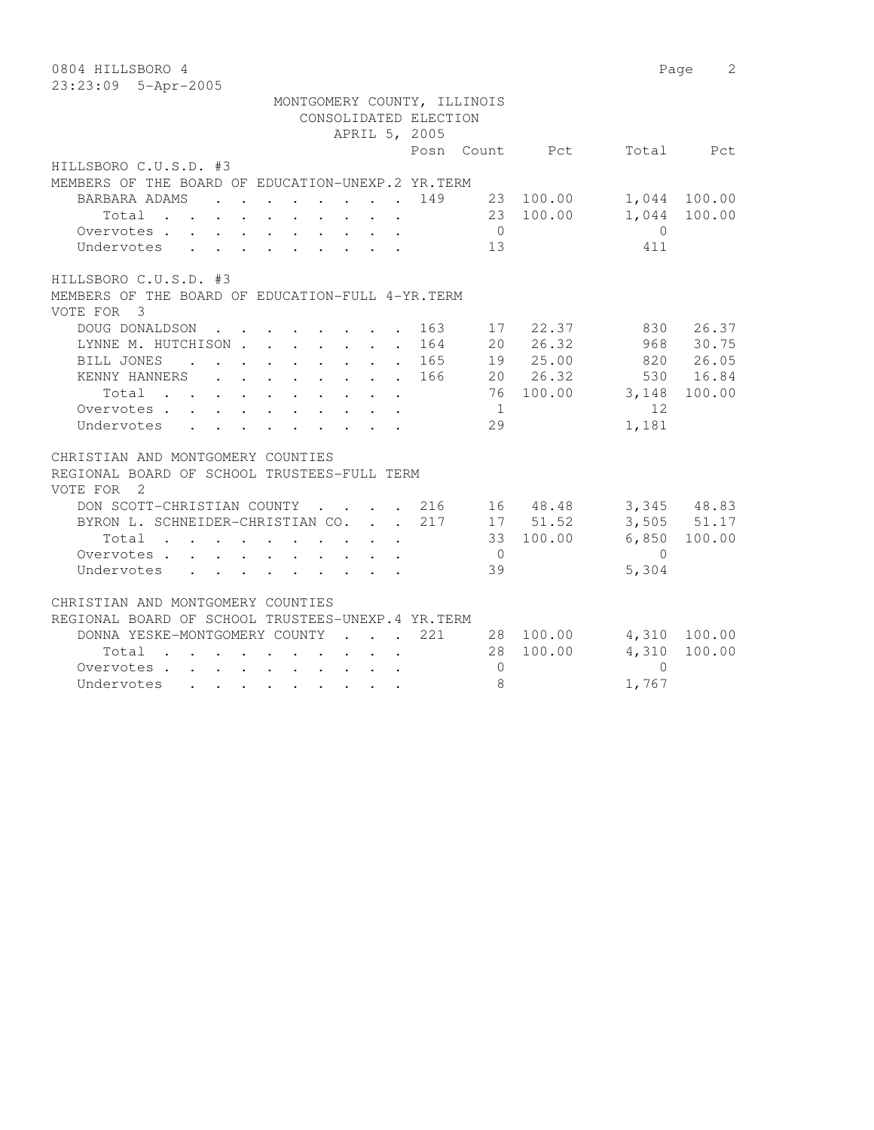| 0804 HILLSBORO 4                                                                                                                                                                                                                            |                |           | Page           | 2               |
|---------------------------------------------------------------------------------------------------------------------------------------------------------------------------------------------------------------------------------------------|----------------|-----------|----------------|-----------------|
| 23:23:09 5-Apr-2005                                                                                                                                                                                                                         |                |           |                |                 |
| MONTGOMERY COUNTY, ILLINOIS<br>CONSOLIDATED ELECTION                                                                                                                                                                                        |                |           |                |                 |
| APRIL 5, 2005                                                                                                                                                                                                                               |                |           |                |                 |
| Posn Count                                                                                                                                                                                                                                  |                | Pct       | Total          | Pct             |
| HILLSBORO C.U.S.D. #3                                                                                                                                                                                                                       |                |           |                |                 |
| MEMBERS OF THE BOARD OF EDUCATION-UNEXP.2 YR. TERM                                                                                                                                                                                          |                |           |                |                 |
| BARBARA ADAMS<br>149<br>$\mathbf{L}$<br>$\mathbf{r}$ , and $\mathbf{r}$ , and $\mathbf{r}$ , and $\mathbf{r}$                                                                                                                               |                | 23 100.00 |                | 1,044 100.00    |
| Total                                                                                                                                                                                                                                       |                | 23 100.00 | 1,044          | 100.00          |
| Overvotes                                                                                                                                                                                                                                   | $\overline{0}$ |           | $\overline{0}$ |                 |
| Undervotes<br>$\mathbf{r}$ , $\mathbf{r}$ , $\mathbf{r}$ , $\mathbf{r}$ , $\mathbf{r}$ , $\mathbf{r}$                                                                                                                                       | 13             |           | 411            |                 |
|                                                                                                                                                                                                                                             |                |           |                |                 |
| HILLSBORO C.U.S.D. #3                                                                                                                                                                                                                       |                |           |                |                 |
| MEMBERS OF THE BOARD OF EDUCATION-FULL 4-YR. TERM                                                                                                                                                                                           |                |           |                |                 |
| VOTE FOR 3                                                                                                                                                                                                                                  |                |           |                |                 |
| DOUG DONALDSON<br>163<br>$\mathbf{r}$ , and $\mathbf{r}$ , and $\mathbf{r}$                                                                                                                                                                 | 17             | 22.37     | 830            | 26.37           |
| LYNNE M. HUTCHISON<br>164                                                                                                                                                                                                                   |                | 20 26.32  | 968            | 30.75           |
| BILL JONES<br>165<br>$\mathbf{r}$ , and $\mathbf{r}$ , and $\mathbf{r}$ , and $\mathbf{r}$                                                                                                                                                  |                | 19 25.00  |                | 820 26.05       |
| KENNY HANNERS<br>166                                                                                                                                                                                                                        |                | 20 26.32  | 530            | 16.84           |
| Total                                                                                                                                                                                                                                       | 76             | 100.00    | 3,148          | 100.00          |
| Overvotes                                                                                                                                                                                                                                   | 1              |           | 12             |                 |
| Undervotes                                                                                                                                                                                                                                  | 29             |           | 1,181          |                 |
| CHRISTIAN AND MONTGOMERY COUNTIES                                                                                                                                                                                                           |                |           |                |                 |
| REGIONAL BOARD OF SCHOOL TRUSTEES-FULL TERM                                                                                                                                                                                                 |                |           |                |                 |
| VOTE FOR<br>$\overline{2}$                                                                                                                                                                                                                  |                |           |                |                 |
| DON SCOTT-CHRISTIAN COUNTY<br>216<br>$\mathbf{L}$<br><b>Contract Contract Contract</b><br>$\sim$                                                                                                                                            |                | 16 48.48  |                | 3,345 48.83     |
| BYRON L. SCHNEIDER-CHRISTIAN CO.<br>217                                                                                                                                                                                                     |                | 17 51.52  |                | $3,505$ $51.17$ |
| Total<br>$\sim$                                                                                                                                                                                                                             |                | 33 100.00 | 6,850          | 100.00          |
| Overvotes.                                                                                                                                                                                                                                  | $\overline{0}$ |           | $\Omega$       |                 |
| Undervotes                                                                                                                                                                                                                                  | 39             |           | 5,304          |                 |
|                                                                                                                                                                                                                                             |                |           |                |                 |
| CHRISTIAN AND MONTGOMERY COUNTIES                                                                                                                                                                                                           |                |           |                |                 |
| REGIONAL BOARD OF SCHOOL TRUSTEES-UNEXP.4 YR.TERM                                                                                                                                                                                           |                |           |                |                 |
| 221<br>DONNA YESKE-MONTGOMERY COUNTY<br>$\sim$ $\sim$ $\sim$ $\sim$ $\sim$                                                                                                                                                                  | 28             | 100.00    | 4,310          | 100.00          |
| Total<br>$\sim$<br>the contract of the contract of the contract of                                                                                                                                                                          | 28             | 100.00    | 4,310          | 100.00          |
| Overvotes                                                                                                                                                                                                                                   | $\mathbf{0}$   |           | $\Omega$       |                 |
| Undervotes<br>. The contribution of the contribution of the contribution of the contribution of the contribution of the contribution of the contribution of the contribution of the contribution of the contribution of the contribution of | 8              |           | 1,767          |                 |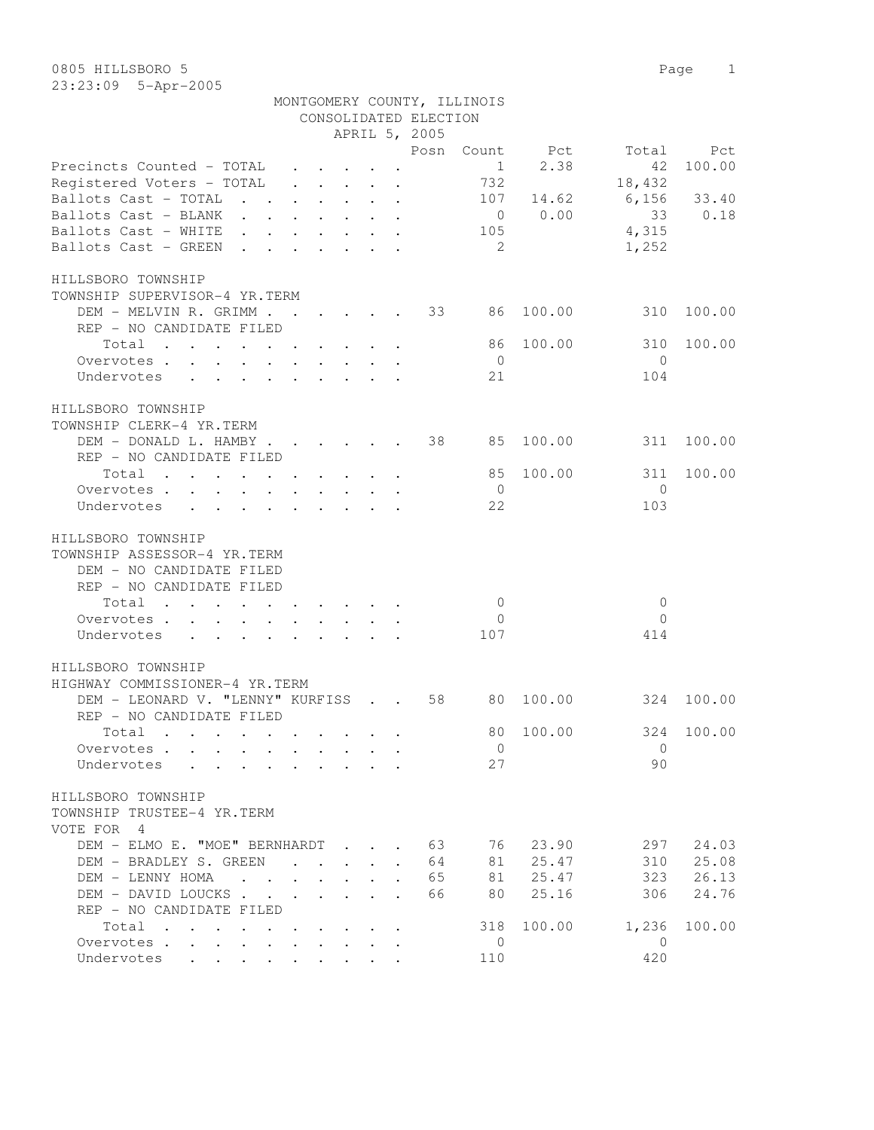|                                                                                                |                                            |                                                                                         |                      | CONSOLIDATED ELECTION | MONTGOMERY COUNTY, ILLINOIS |                |                |            |
|------------------------------------------------------------------------------------------------|--------------------------------------------|-----------------------------------------------------------------------------------------|----------------------|-----------------------|-----------------------------|----------------|----------------|------------|
|                                                                                                |                                            | APRIL 5, 2005                                                                           |                      |                       |                             |                |                |            |
|                                                                                                |                                            |                                                                                         |                      |                       |                             | Posn Count Pct | Total          | Pct        |
| Precincts Counted - TOTAL                                                                      |                                            | $\cdot$ $\cdot$ $\cdot$ $\cdot$ $\cdot$ $\cdot$ $\cdot$                                 |                      |                       | 1                           | 2.38           | 42             | 100.00     |
| Registered Voters - TOTAL                                                                      |                                            | $\mathbf{r}$ , $\mathbf{r}$ , $\mathbf{r}$ , $\mathbf{r}$ , $\mathbf{r}$ , $\mathbf{r}$ |                      |                       | 732                         |                | 18,432         |            |
| Ballots Cast - TOTAL                                                                           |                                            |                                                                                         |                      |                       | 107                         | 14.62          | 6,156          | 33.40      |
| Ballots Cast - BLANK                                                                           |                                            |                                                                                         |                      |                       |                             | $0 \t 0.00$    | 33             | 0.18       |
| Ballots Cast - WHITE                                                                           |                                            |                                                                                         |                      |                       | 105                         |                | 4,315          |            |
| Ballots Cast - GREEN                                                                           |                                            |                                                                                         |                      |                       | $\overline{2}$              |                | 1,252          |            |
|                                                                                                |                                            |                                                                                         |                      |                       |                             |                |                |            |
| HILLSBORO TOWNSHIP                                                                             |                                            |                                                                                         |                      |                       |                             |                |                |            |
| TOWNSHIP SUPERVISOR-4 YR.TERM                                                                  |                                            |                                                                                         |                      |                       |                             |                |                |            |
| DEM - MELVIN R. GRIMM 33 86                                                                    |                                            |                                                                                         |                      |                       |                             | 100.00         | 310            | 100.00     |
| REP - NO CANDIDATE FILED                                                                       |                                            |                                                                                         |                      |                       |                             |                |                |            |
| $\begin{tabular}{ccccccccccc} Total & . & . & . & . & . & . & . & . & . & . & . \end{tabular}$ |                                            |                                                                                         |                      |                       | 86                          | 100.00         | 310            | 100.00     |
| Overvotes                                                                                      |                                            |                                                                                         |                      |                       | $\overline{0}$              |                | $\bigcirc$     |            |
| Undervotes                                                                                     |                                            |                                                                                         |                      |                       | 21                          |                | 104            |            |
|                                                                                                |                                            |                                                                                         |                      |                       |                             |                |                |            |
| HILLSBORO TOWNSHIP                                                                             |                                            |                                                                                         |                      |                       |                             |                |                |            |
| TOWNSHIP CLERK-4 YR.TERM                                                                       |                                            |                                                                                         |                      |                       |                             |                |                |            |
| DEM - DONALD L. HAMBY                                                                          |                                            |                                                                                         |                      | 38                    | 85                          | 100.00         | 311            | 100.00     |
| REP - NO CANDIDATE FILED                                                                       |                                            |                                                                                         |                      |                       |                             |                |                |            |
| Total                                                                                          |                                            |                                                                                         |                      |                       | 85                          | 100.00         | 311            | 100.00     |
| Overvotes                                                                                      |                                            |                                                                                         |                      |                       | $\overline{0}$              |                | $\Omega$       |            |
| Undervotes                                                                                     |                                            |                                                                                         |                      |                       | 22                          |                | 103            |            |
|                                                                                                |                                            |                                                                                         |                      |                       |                             |                |                |            |
| HILLSBORO TOWNSHIP                                                                             |                                            |                                                                                         |                      |                       |                             |                |                |            |
| TOWNSHIP ASSESSOR-4 YR.TERM                                                                    |                                            |                                                                                         |                      |                       |                             |                |                |            |
| DEM - NO CANDIDATE FILED                                                                       |                                            |                                                                                         |                      |                       |                             |                |                |            |
| REP - NO CANDIDATE FILED                                                                       |                                            |                                                                                         |                      |                       |                             |                |                |            |
| Total                                                                                          |                                            |                                                                                         |                      |                       | $\overline{0}$              |                | $\mathbf{0}$   |            |
| Overvotes                                                                                      |                                            |                                                                                         |                      |                       | $\overline{0}$              |                | $\Omega$       |            |
| Undervotes                                                                                     |                                            |                                                                                         |                      |                       | 107                         |                | 414            |            |
|                                                                                                |                                            |                                                                                         |                      |                       |                             |                |                |            |
| HILLSBORO TOWNSHIP                                                                             |                                            |                                                                                         |                      |                       |                             |                |                |            |
| HIGHWAY COMMISSIONER-4 YR.TERM                                                                 |                                            |                                                                                         |                      |                       |                             |                |                |            |
| DEM - LEONARD V. "LENNY" KURFISS 58                                                            |                                            |                                                                                         |                      |                       |                             | 80 100.00      | 324            | 100.00     |
| REP - NO CANDIDATE FILED                                                                       |                                            |                                                                                         |                      |                       |                             |                |                |            |
| Total                                                                                          |                                            |                                                                                         |                      |                       |                             | 80 100.00      |                | 324 100.00 |
|                                                                                                |                                            |                                                                                         |                      |                       |                             |                | $\Omega$       |            |
| Overvotes                                                                                      |                                            |                                                                                         |                      |                       | $\mathbf{0}$                |                |                |            |
| Undervotes                                                                                     |                                            |                                                                                         |                      |                       | 27                          |                | 90             |            |
| HILLSBORO TOWNSHIP                                                                             |                                            |                                                                                         |                      |                       |                             |                |                |            |
| TOWNSHIP TRUSTEE-4 YR.TERM                                                                     |                                            |                                                                                         |                      |                       |                             |                |                |            |
|                                                                                                |                                            |                                                                                         |                      |                       |                             |                |                |            |
| VOTE FOR 4                                                                                     |                                            |                                                                                         |                      |                       |                             |                |                |            |
| DEM - ELMO E. "MOE" BERNHARDT                                                                  |                                            |                                                                                         |                      | 63                    | 76                          | 23.90          | 297            | 24.03      |
| DEM - BRADLEY S. GREEN                                                                         |                                            |                                                                                         |                      | 64                    | 81                          | 25.47          | 310            | 25.08      |
| DEM - LENNY HOMA                                                                               |                                            |                                                                                         | $\ddot{\phantom{a}}$ | 65                    | 81                          | 25.47          | 323            | 26.13      |
| DEM - DAVID LOUCKS                                                                             |                                            |                                                                                         |                      | 66                    | 80                          | 25.16          | 306            | 24.76      |
| REP - NO CANDIDATE FILED                                                                       |                                            |                                                                                         |                      |                       |                             |                |                |            |
| Total                                                                                          | <b>Contract Contract Contract Contract</b> |                                                                                         |                      |                       | 318                         | 100.00         | 1,236          | 100.00     |
| Overvotes                                                                                      |                                            |                                                                                         |                      |                       | $\overline{0}$              |                | $\overline{0}$ |            |
| Undervotes                                                                                     |                                            |                                                                                         |                      |                       | 110                         |                | 420            |            |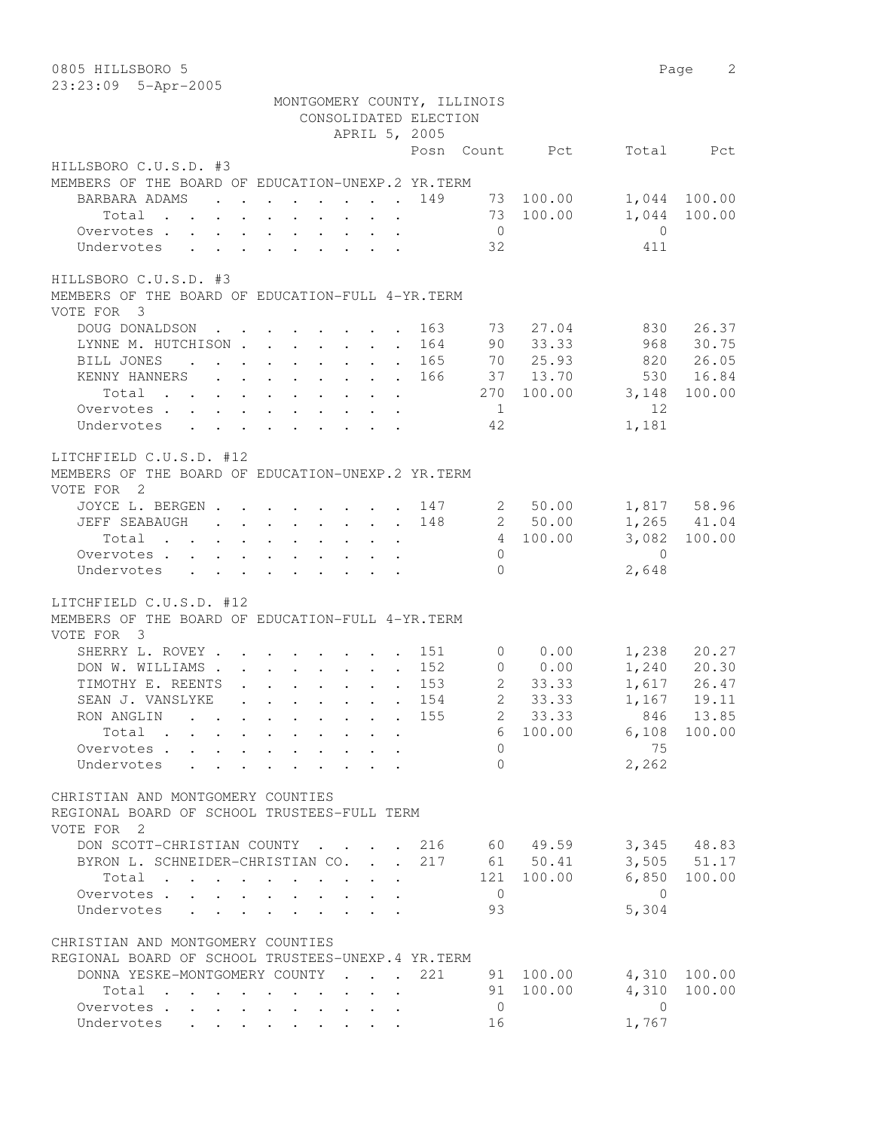| 0805 HILLSBORO 5                                                                                          |                                                                       |  |  |                       |                             |                |                        | Page 2                     |
|-----------------------------------------------------------------------------------------------------------|-----------------------------------------------------------------------|--|--|-----------------------|-----------------------------|----------------|------------------------|----------------------------|
| 23:23:09 5-Apr-2005                                                                                       |                                                                       |  |  |                       |                             |                |                        |                            |
|                                                                                                           |                                                                       |  |  |                       | MONTGOMERY COUNTY, ILLINOIS |                |                        |                            |
|                                                                                                           |                                                                       |  |  | CONSOLIDATED ELECTION |                             |                |                        |                            |
|                                                                                                           |                                                                       |  |  | APRIL 5, 2005         |                             |                |                        |                            |
|                                                                                                           |                                                                       |  |  |                       |                             | Posn Count Pct |                        | Total Pct                  |
| HILLSBORO C.U.S.D. #3                                                                                     |                                                                       |  |  |                       |                             |                |                        |                            |
| MEMBERS OF THE BOARD OF EDUCATION-UNEXP.2 YR. TERM                                                        |                                                                       |  |  |                       |                             |                |                        |                            |
| BARBARA ADAMS<br>$\mathbf{r}$ , and $\mathbf{r}$ , and $\mathbf{r}$ , and $\mathbf{r}$ , and $\mathbf{r}$ |                                                                       |  |  | 149                   |                             | 73 100.00      |                        | 1,044 100.00               |
| Total                                                                                                     |                                                                       |  |  |                       |                             | 73 100.00      |                        | 1,044 100.00               |
| Overvotes                                                                                                 |                                                                       |  |  |                       | $\overline{0}$              |                | $\bigcirc$             |                            |
| Undervotes                                                                                                |                                                                       |  |  |                       | 32                          |                | 411                    |                            |
| HILLSBORO C.U.S.D. #3                                                                                     |                                                                       |  |  |                       |                             |                |                        |                            |
| MEMBERS OF THE BOARD OF EDUCATION-FULL 4-YR. TERM                                                         |                                                                       |  |  |                       |                             |                |                        |                            |
| VOTE FOR 3                                                                                                |                                                                       |  |  |                       |                             |                |                        |                            |
| DOUG DONALDSON                                                                                            |                                                                       |  |  | 163                   | 73                          | 27.04          | 830                    | 26.37                      |
| LYNNE M. HUTCHISON                                                                                        |                                                                       |  |  | 164                   | 90                          | 33.33          | 968                    | 30.75                      |
| BILL JONES                                                                                                |                                                                       |  |  | 165                   |                             | 70 25.93       | 820                    | 26.05                      |
| KENNY HANNERS                                                                                             |                                                                       |  |  | 166                   |                             | 37 13.70       | 530                    | 16.84                      |
| Total                                                                                                     |                                                                       |  |  |                       |                             | 270 100.00     | 3,148                  | 100.00                     |
| Overvotes                                                                                                 |                                                                       |  |  |                       | $\overline{1}$              |                | 12                     |                            |
| Undervotes                                                                                                |                                                                       |  |  |                       | 42                          |                | 1,181                  |                            |
|                                                                                                           |                                                                       |  |  |                       |                             |                |                        |                            |
| LITCHFIELD C.U.S.D. #12                                                                                   |                                                                       |  |  |                       |                             |                |                        |                            |
| MEMBERS OF THE BOARD OF EDUCATION-UNEXP.2 YR.TERM                                                         |                                                                       |  |  |                       |                             |                |                        |                            |
| VOTE FOR 2                                                                                                |                                                                       |  |  |                       |                             |                |                        |                            |
| JOYCE L. BERGEN 147                                                                                       |                                                                       |  |  |                       |                             | 2 50.00        |                        | 1,817 58.96                |
| JEFF SEABAUGH                                                                                             |                                                                       |  |  | 148                   |                             | 2 50.00        |                        | $1,265$ $41.04$            |
| Total                                                                                                     |                                                                       |  |  |                       |                             | 4 100.00       |                        | 3,082 100.00               |
| Overvotes.                                                                                                |                                                                       |  |  |                       | $\Omega$                    |                | $\overline{0}$         |                            |
| Undervotes                                                                                                |                                                                       |  |  |                       | $\Omega$                    |                | 2,648                  |                            |
|                                                                                                           |                                                                       |  |  |                       |                             |                |                        |                            |
| LITCHFIELD C.U.S.D. #12                                                                                   |                                                                       |  |  |                       |                             |                |                        |                            |
| MEMBERS OF THE BOARD OF EDUCATION-FULL 4-YR. TERM                                                         |                                                                       |  |  |                       |                             |                |                        |                            |
| VOTE FOR 3                                                                                                |                                                                       |  |  |                       |                             |                |                        |                            |
| SHERRY L. ROVEY                                                                                           |                                                                       |  |  | . 151                 |                             | $0 \t 0.00$    |                        |                            |
| DON W. WILLIAMS.                                                                                          | $\mathbf{r}$ , and $\mathbf{r}$ , and $\mathbf{r}$ , and $\mathbf{r}$ |  |  | 152                   |                             | 0 0.00         |                        | 1,238 20.27<br>1,240 20.30 |
| TIMOTHY E. REENTS                                                                                         | $\mathcal{A}$ . The set of the set of the set of $\mathcal{A}$        |  |  | . 153                 | $\overline{2}$              | 33.33          |                        | $1,617$ 26.47              |
| SEAN J. VANSLYKE                                                                                          |                                                                       |  |  | . 154                 |                             | 2 33.33        |                        | 1,167 19.11                |
| RON ANGLIN 155 2 33.33                                                                                    |                                                                       |  |  |                       |                             |                |                        | 846 13.85                  |
| Total 6 100.00 6,108 100.00                                                                               |                                                                       |  |  |                       |                             |                |                        |                            |
| Overvotes.                                                                                                |                                                                       |  |  |                       | $\Omega$                    |                | 75                     |                            |
| Undervotes                                                                                                |                                                                       |  |  |                       | $\Omega$                    |                | 2,262                  |                            |
|                                                                                                           |                                                                       |  |  |                       |                             |                |                        |                            |
| CHRISTIAN AND MONTGOMERY COUNTIES                                                                         |                                                                       |  |  |                       |                             |                |                        |                            |
| REGIONAL BOARD OF SCHOOL TRUSTEES-FULL TERM                                                               |                                                                       |  |  |                       |                             |                |                        |                            |
| VOTE FOR 2                                                                                                |                                                                       |  |  |                       |                             |                |                        |                            |
| DON SCOTT-CHRISTIAN COUNTY 216 60 49.59 3,345 48.83                                                       |                                                                       |  |  |                       |                             |                |                        |                            |
| BYRON L. SCHNEIDER-CHRISTIAN CO. 217 61 50.41                                                             |                                                                       |  |  |                       |                             |                |                        | 3,505 51.17                |
| Total $\cdot$                                                                                             |                                                                       |  |  |                       |                             | 121 100.00     |                        | 6,850 100.00               |
| Overvotes.                                                                                                |                                                                       |  |  |                       | $\overline{0}$              |                | $\overline{0}$         |                            |
| Undervotes                                                                                                |                                                                       |  |  |                       | 93                          |                | 5,304                  |                            |
|                                                                                                           |                                                                       |  |  |                       |                             |                |                        |                            |
| CHRISTIAN AND MONTGOMERY COUNTIES                                                                         |                                                                       |  |  |                       |                             |                |                        |                            |
| REGIONAL BOARD OF SCHOOL TRUSTEES-UNEXP.4 YR.TERM                                                         |                                                                       |  |  |                       |                             |                |                        |                            |
| DONNA YESKE-MONTGOMERY COUNTY                                                                             |                                                                       |  |  | 221                   |                             |                | 91 100.00 4,310 100.00 |                            |
| Total                                                                                                     |                                                                       |  |  |                       |                             | 91 100.00      | 4,310                  | 100.00                     |
| Overvotes                                                                                                 |                                                                       |  |  |                       | $\overline{0}$              |                | $\bigcirc$             |                            |
| Undervotes                                                                                                |                                                                       |  |  |                       | 16                          |                | 1,767                  |                            |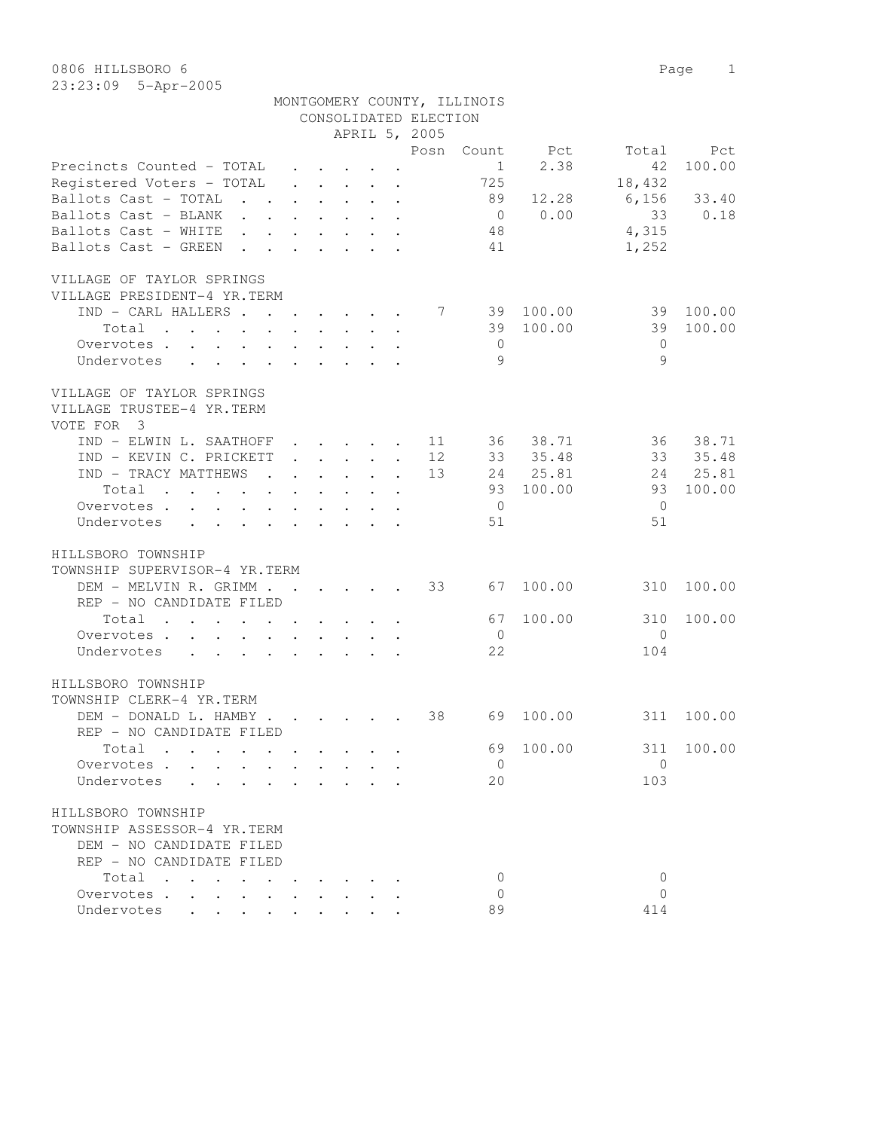23:23:09 5-Apr-2005

| APRIL 5, 2005<br>Posn<br>Count<br>Pct<br>Total<br>Pct<br>2.38<br>100.00<br>Precincts Counted - TOTAL<br>42<br>1<br>725<br>Registered Voters - TOTAL<br>18,432<br>$\cdot$ $\cdot$ $\cdot$ $\cdot$<br>$\ddot{\phantom{a}}$<br>Ballots Cast - TOTAL<br>89<br>12.28<br>6,156<br>33.40<br>$\mathbf{r}$ $\mathbf{r}$<br>$\sim 10^{-10}$<br>$\ddot{\phantom{a}}$<br>$\bullet$ .<br>0.00<br>Ballots Cast - BLANK<br>33<br>0.18<br>$\overline{0}$<br>$\mathbf{L}$ and $\mathbf{L}$<br>$\ddot{\phantom{a}}$<br>$\ddot{\phantom{a}}$<br>Ballots Cast - WHITE<br>48<br>4,315<br>Ballots Cast - GREEN<br>41<br>1,252<br>VILLAGE OF TAYLOR SPRINGS<br>VILLAGE PRESIDENT-4 YR.TERM<br>IND - CARL HALLERS.<br>100.00<br>39<br>100.00<br>7<br>39<br>$\mathbf{r}$ , $\mathbf{r}$ , $\mathbf{r}$ , $\mathbf{r}$<br>100.00<br>Total<br>39<br>39<br>100.00<br>the contract of the contract of the contract of the contract of the contract of the contract of the contract of<br>$\ddot{\phantom{a}}$<br>Overvotes<br>$\overline{0}$<br>$\Omega$<br>9<br>9<br>Undervotes<br>$\mathbf{r}$ , and $\mathbf{r}$ , and $\mathbf{r}$ , and $\mathbf{r}$ , and $\mathbf{r}$<br>VILLAGE OF TAYLOR SPRINGS<br>VILLAGE TRUSTEE-4 YR.TERM<br>$\overline{\mathbf{3}}$<br>VOTE FOR<br>IND - ELWIN L. SAATHOFF<br>36<br>38.71<br>36<br>38.71<br>11<br>$\cdot$ $\cdot$ $\cdot$ $\cdot$ $\cdot$<br>$\ddot{\phantom{a}}$<br>12<br>33 35.48<br>33<br>35.48<br>IND - KEVIN C. PRICKETT<br>$\cdot$ $\cdot$ $\cdot$ $\cdot$ $\cdot$<br>$\ddot{\phantom{0}}$<br>25.81<br>25.81<br>IND - TRACY MATTHEWS<br>13<br>24<br>24<br>$\sim$<br>$\cdot$ $\cdot$ $\cdot$<br>$\ddot{\phantom{0}}$<br>$\ddot{\phantom{a}}$<br>$\mathbf{L}$<br>100.00<br>100.00<br>93<br>93<br>Total<br>and the contract of the contract of<br>$\mathbf{L} = \mathbf{L} \mathbf{L}$<br>$\ddot{\phantom{0}}$<br>$\bullet$<br>$\overline{0}$<br>Overvotes.<br>$\overline{0}$<br>51<br>Undervotes<br>51<br>$\mathbf{L} = \mathbf{L}$<br>HILLSBORO TOWNSHIP<br>TOWNSHIP SUPERVISOR-4 YR.TERM<br>33<br>100.00<br>DEM - MELVIN R. GRIMM.<br>67<br>100.00<br>310<br>$\sim$ $\sim$<br>$\mathbf{r}$ , $\mathbf{r}$ , $\mathbf{r}$<br>REP - NO CANDIDATE FILED<br>Total<br>67<br>100.00<br>310<br>100.00<br>and the contract of the contract of<br>$\bullet$ .<br><br><br><br><br><br><br><br><br><br><br><br><br>Overvotes<br>$\overline{0}$<br>$\Omega$<br>$\cdot$ $\cdot$ $\cdot$ $\cdot$ $\cdot$<br>22<br>104<br>Undervotes<br>$\cdot$ $\cdot$ $\cdot$ $\cdot$<br>HILLSBORO TOWNSHIP<br>TOWNSHIP CLERK-4 YR.TERM<br>DEM - DONALD L. HAMBY .<br>38<br>100.00<br>69<br>311<br>100.00<br>$\mathbf{r}$ , $\mathbf{r}$ , $\mathbf{r}$ , $\mathbf{r}$<br>REP - NO CANDIDATE FILED<br>69 100.00<br>311 100.00<br>Total<br>$\overline{0}$<br>$\Omega$<br>Overvotes.<br>103<br>20<br>Undervotes<br>TOWNSHIP ASSESSOR-4 YR.TERM<br>DEM - NO CANDIDATE FILED<br>REP - NO CANDIDATE FILED<br>Total<br>0<br>0<br>Overvotes<br>$\Omega$<br>$\Omega$<br>89<br>Undervotes<br>414 |                    |  |  | CONSOLIDATED ELECTION |  |  |
|-----------------------------------------------------------------------------------------------------------------------------------------------------------------------------------------------------------------------------------------------------------------------------------------------------------------------------------------------------------------------------------------------------------------------------------------------------------------------------------------------------------------------------------------------------------------------------------------------------------------------------------------------------------------------------------------------------------------------------------------------------------------------------------------------------------------------------------------------------------------------------------------------------------------------------------------------------------------------------------------------------------------------------------------------------------------------------------------------------------------------------------------------------------------------------------------------------------------------------------------------------------------------------------------------------------------------------------------------------------------------------------------------------------------------------------------------------------------------------------------------------------------------------------------------------------------------------------------------------------------------------------------------------------------------------------------------------------------------------------------------------------------------------------------------------------------------------------------------------------------------------------------------------------------------------------------------------------------------------------------------------------------------------------------------------------------------------------------------------------------------------------------------------------------------------------------------------------------------------------------------------------------------------------------------------------------------------------------------------------------------------------------------------------------------------------------------------------------------------------------------------------------------------------------------------------------------------------------------------------------------------------------------------------------------------------------------------------------------------------------------------------------------------------------------------------------------------------------------------------------------------------------------------------------------------------------------------------------------------------|--------------------|--|--|-----------------------|--|--|
|                                                                                                                                                                                                                                                                                                                                                                                                                                                                                                                                                                                                                                                                                                                                                                                                                                                                                                                                                                                                                                                                                                                                                                                                                                                                                                                                                                                                                                                                                                                                                                                                                                                                                                                                                                                                                                                                                                                                                                                                                                                                                                                                                                                                                                                                                                                                                                                                                                                                                                                                                                                                                                                                                                                                                                                                                                                                                                                                                                                   |                    |  |  |                       |  |  |
|                                                                                                                                                                                                                                                                                                                                                                                                                                                                                                                                                                                                                                                                                                                                                                                                                                                                                                                                                                                                                                                                                                                                                                                                                                                                                                                                                                                                                                                                                                                                                                                                                                                                                                                                                                                                                                                                                                                                                                                                                                                                                                                                                                                                                                                                                                                                                                                                                                                                                                                                                                                                                                                                                                                                                                                                                                                                                                                                                                                   |                    |  |  |                       |  |  |
|                                                                                                                                                                                                                                                                                                                                                                                                                                                                                                                                                                                                                                                                                                                                                                                                                                                                                                                                                                                                                                                                                                                                                                                                                                                                                                                                                                                                                                                                                                                                                                                                                                                                                                                                                                                                                                                                                                                                                                                                                                                                                                                                                                                                                                                                                                                                                                                                                                                                                                                                                                                                                                                                                                                                                                                                                                                                                                                                                                                   |                    |  |  |                       |  |  |
|                                                                                                                                                                                                                                                                                                                                                                                                                                                                                                                                                                                                                                                                                                                                                                                                                                                                                                                                                                                                                                                                                                                                                                                                                                                                                                                                                                                                                                                                                                                                                                                                                                                                                                                                                                                                                                                                                                                                                                                                                                                                                                                                                                                                                                                                                                                                                                                                                                                                                                                                                                                                                                                                                                                                                                                                                                                                                                                                                                                   |                    |  |  |                       |  |  |
|                                                                                                                                                                                                                                                                                                                                                                                                                                                                                                                                                                                                                                                                                                                                                                                                                                                                                                                                                                                                                                                                                                                                                                                                                                                                                                                                                                                                                                                                                                                                                                                                                                                                                                                                                                                                                                                                                                                                                                                                                                                                                                                                                                                                                                                                                                                                                                                                                                                                                                                                                                                                                                                                                                                                                                                                                                                                                                                                                                                   |                    |  |  |                       |  |  |
|                                                                                                                                                                                                                                                                                                                                                                                                                                                                                                                                                                                                                                                                                                                                                                                                                                                                                                                                                                                                                                                                                                                                                                                                                                                                                                                                                                                                                                                                                                                                                                                                                                                                                                                                                                                                                                                                                                                                                                                                                                                                                                                                                                                                                                                                                                                                                                                                                                                                                                                                                                                                                                                                                                                                                                                                                                                                                                                                                                                   |                    |  |  |                       |  |  |
|                                                                                                                                                                                                                                                                                                                                                                                                                                                                                                                                                                                                                                                                                                                                                                                                                                                                                                                                                                                                                                                                                                                                                                                                                                                                                                                                                                                                                                                                                                                                                                                                                                                                                                                                                                                                                                                                                                                                                                                                                                                                                                                                                                                                                                                                                                                                                                                                                                                                                                                                                                                                                                                                                                                                                                                                                                                                                                                                                                                   |                    |  |  |                       |  |  |
|                                                                                                                                                                                                                                                                                                                                                                                                                                                                                                                                                                                                                                                                                                                                                                                                                                                                                                                                                                                                                                                                                                                                                                                                                                                                                                                                                                                                                                                                                                                                                                                                                                                                                                                                                                                                                                                                                                                                                                                                                                                                                                                                                                                                                                                                                                                                                                                                                                                                                                                                                                                                                                                                                                                                                                                                                                                                                                                                                                                   |                    |  |  |                       |  |  |
|                                                                                                                                                                                                                                                                                                                                                                                                                                                                                                                                                                                                                                                                                                                                                                                                                                                                                                                                                                                                                                                                                                                                                                                                                                                                                                                                                                                                                                                                                                                                                                                                                                                                                                                                                                                                                                                                                                                                                                                                                                                                                                                                                                                                                                                                                                                                                                                                                                                                                                                                                                                                                                                                                                                                                                                                                                                                                                                                                                                   |                    |  |  |                       |  |  |
|                                                                                                                                                                                                                                                                                                                                                                                                                                                                                                                                                                                                                                                                                                                                                                                                                                                                                                                                                                                                                                                                                                                                                                                                                                                                                                                                                                                                                                                                                                                                                                                                                                                                                                                                                                                                                                                                                                                                                                                                                                                                                                                                                                                                                                                                                                                                                                                                                                                                                                                                                                                                                                                                                                                                                                                                                                                                                                                                                                                   |                    |  |  |                       |  |  |
|                                                                                                                                                                                                                                                                                                                                                                                                                                                                                                                                                                                                                                                                                                                                                                                                                                                                                                                                                                                                                                                                                                                                                                                                                                                                                                                                                                                                                                                                                                                                                                                                                                                                                                                                                                                                                                                                                                                                                                                                                                                                                                                                                                                                                                                                                                                                                                                                                                                                                                                                                                                                                                                                                                                                                                                                                                                                                                                                                                                   |                    |  |  |                       |  |  |
|                                                                                                                                                                                                                                                                                                                                                                                                                                                                                                                                                                                                                                                                                                                                                                                                                                                                                                                                                                                                                                                                                                                                                                                                                                                                                                                                                                                                                                                                                                                                                                                                                                                                                                                                                                                                                                                                                                                                                                                                                                                                                                                                                                                                                                                                                                                                                                                                                                                                                                                                                                                                                                                                                                                                                                                                                                                                                                                                                                                   |                    |  |  |                       |  |  |
|                                                                                                                                                                                                                                                                                                                                                                                                                                                                                                                                                                                                                                                                                                                                                                                                                                                                                                                                                                                                                                                                                                                                                                                                                                                                                                                                                                                                                                                                                                                                                                                                                                                                                                                                                                                                                                                                                                                                                                                                                                                                                                                                                                                                                                                                                                                                                                                                                                                                                                                                                                                                                                                                                                                                                                                                                                                                                                                                                                                   |                    |  |  |                       |  |  |
|                                                                                                                                                                                                                                                                                                                                                                                                                                                                                                                                                                                                                                                                                                                                                                                                                                                                                                                                                                                                                                                                                                                                                                                                                                                                                                                                                                                                                                                                                                                                                                                                                                                                                                                                                                                                                                                                                                                                                                                                                                                                                                                                                                                                                                                                                                                                                                                                                                                                                                                                                                                                                                                                                                                                                                                                                                                                                                                                                                                   |                    |  |  |                       |  |  |
|                                                                                                                                                                                                                                                                                                                                                                                                                                                                                                                                                                                                                                                                                                                                                                                                                                                                                                                                                                                                                                                                                                                                                                                                                                                                                                                                                                                                                                                                                                                                                                                                                                                                                                                                                                                                                                                                                                                                                                                                                                                                                                                                                                                                                                                                                                                                                                                                                                                                                                                                                                                                                                                                                                                                                                                                                                                                                                                                                                                   |                    |  |  |                       |  |  |
|                                                                                                                                                                                                                                                                                                                                                                                                                                                                                                                                                                                                                                                                                                                                                                                                                                                                                                                                                                                                                                                                                                                                                                                                                                                                                                                                                                                                                                                                                                                                                                                                                                                                                                                                                                                                                                                                                                                                                                                                                                                                                                                                                                                                                                                                                                                                                                                                                                                                                                                                                                                                                                                                                                                                                                                                                                                                                                                                                                                   |                    |  |  |                       |  |  |
|                                                                                                                                                                                                                                                                                                                                                                                                                                                                                                                                                                                                                                                                                                                                                                                                                                                                                                                                                                                                                                                                                                                                                                                                                                                                                                                                                                                                                                                                                                                                                                                                                                                                                                                                                                                                                                                                                                                                                                                                                                                                                                                                                                                                                                                                                                                                                                                                                                                                                                                                                                                                                                                                                                                                                                                                                                                                                                                                                                                   |                    |  |  |                       |  |  |
|                                                                                                                                                                                                                                                                                                                                                                                                                                                                                                                                                                                                                                                                                                                                                                                                                                                                                                                                                                                                                                                                                                                                                                                                                                                                                                                                                                                                                                                                                                                                                                                                                                                                                                                                                                                                                                                                                                                                                                                                                                                                                                                                                                                                                                                                                                                                                                                                                                                                                                                                                                                                                                                                                                                                                                                                                                                                                                                                                                                   |                    |  |  |                       |  |  |
|                                                                                                                                                                                                                                                                                                                                                                                                                                                                                                                                                                                                                                                                                                                                                                                                                                                                                                                                                                                                                                                                                                                                                                                                                                                                                                                                                                                                                                                                                                                                                                                                                                                                                                                                                                                                                                                                                                                                                                                                                                                                                                                                                                                                                                                                                                                                                                                                                                                                                                                                                                                                                                                                                                                                                                                                                                                                                                                                                                                   |                    |  |  |                       |  |  |
|                                                                                                                                                                                                                                                                                                                                                                                                                                                                                                                                                                                                                                                                                                                                                                                                                                                                                                                                                                                                                                                                                                                                                                                                                                                                                                                                                                                                                                                                                                                                                                                                                                                                                                                                                                                                                                                                                                                                                                                                                                                                                                                                                                                                                                                                                                                                                                                                                                                                                                                                                                                                                                                                                                                                                                                                                                                                                                                                                                                   |                    |  |  |                       |  |  |
|                                                                                                                                                                                                                                                                                                                                                                                                                                                                                                                                                                                                                                                                                                                                                                                                                                                                                                                                                                                                                                                                                                                                                                                                                                                                                                                                                                                                                                                                                                                                                                                                                                                                                                                                                                                                                                                                                                                                                                                                                                                                                                                                                                                                                                                                                                                                                                                                                                                                                                                                                                                                                                                                                                                                                                                                                                                                                                                                                                                   |                    |  |  |                       |  |  |
|                                                                                                                                                                                                                                                                                                                                                                                                                                                                                                                                                                                                                                                                                                                                                                                                                                                                                                                                                                                                                                                                                                                                                                                                                                                                                                                                                                                                                                                                                                                                                                                                                                                                                                                                                                                                                                                                                                                                                                                                                                                                                                                                                                                                                                                                                                                                                                                                                                                                                                                                                                                                                                                                                                                                                                                                                                                                                                                                                                                   |                    |  |  |                       |  |  |
|                                                                                                                                                                                                                                                                                                                                                                                                                                                                                                                                                                                                                                                                                                                                                                                                                                                                                                                                                                                                                                                                                                                                                                                                                                                                                                                                                                                                                                                                                                                                                                                                                                                                                                                                                                                                                                                                                                                                                                                                                                                                                                                                                                                                                                                                                                                                                                                                                                                                                                                                                                                                                                                                                                                                                                                                                                                                                                                                                                                   |                    |  |  |                       |  |  |
|                                                                                                                                                                                                                                                                                                                                                                                                                                                                                                                                                                                                                                                                                                                                                                                                                                                                                                                                                                                                                                                                                                                                                                                                                                                                                                                                                                                                                                                                                                                                                                                                                                                                                                                                                                                                                                                                                                                                                                                                                                                                                                                                                                                                                                                                                                                                                                                                                                                                                                                                                                                                                                                                                                                                                                                                                                                                                                                                                                                   |                    |  |  |                       |  |  |
|                                                                                                                                                                                                                                                                                                                                                                                                                                                                                                                                                                                                                                                                                                                                                                                                                                                                                                                                                                                                                                                                                                                                                                                                                                                                                                                                                                                                                                                                                                                                                                                                                                                                                                                                                                                                                                                                                                                                                                                                                                                                                                                                                                                                                                                                                                                                                                                                                                                                                                                                                                                                                                                                                                                                                                                                                                                                                                                                                                                   |                    |  |  |                       |  |  |
|                                                                                                                                                                                                                                                                                                                                                                                                                                                                                                                                                                                                                                                                                                                                                                                                                                                                                                                                                                                                                                                                                                                                                                                                                                                                                                                                                                                                                                                                                                                                                                                                                                                                                                                                                                                                                                                                                                                                                                                                                                                                                                                                                                                                                                                                                                                                                                                                                                                                                                                                                                                                                                                                                                                                                                                                                                                                                                                                                                                   |                    |  |  |                       |  |  |
|                                                                                                                                                                                                                                                                                                                                                                                                                                                                                                                                                                                                                                                                                                                                                                                                                                                                                                                                                                                                                                                                                                                                                                                                                                                                                                                                                                                                                                                                                                                                                                                                                                                                                                                                                                                                                                                                                                                                                                                                                                                                                                                                                                                                                                                                                                                                                                                                                                                                                                                                                                                                                                                                                                                                                                                                                                                                                                                                                                                   |                    |  |  |                       |  |  |
|                                                                                                                                                                                                                                                                                                                                                                                                                                                                                                                                                                                                                                                                                                                                                                                                                                                                                                                                                                                                                                                                                                                                                                                                                                                                                                                                                                                                                                                                                                                                                                                                                                                                                                                                                                                                                                                                                                                                                                                                                                                                                                                                                                                                                                                                                                                                                                                                                                                                                                                                                                                                                                                                                                                                                                                                                                                                                                                                                                                   |                    |  |  |                       |  |  |
|                                                                                                                                                                                                                                                                                                                                                                                                                                                                                                                                                                                                                                                                                                                                                                                                                                                                                                                                                                                                                                                                                                                                                                                                                                                                                                                                                                                                                                                                                                                                                                                                                                                                                                                                                                                                                                                                                                                                                                                                                                                                                                                                                                                                                                                                                                                                                                                                                                                                                                                                                                                                                                                                                                                                                                                                                                                                                                                                                                                   |                    |  |  |                       |  |  |
|                                                                                                                                                                                                                                                                                                                                                                                                                                                                                                                                                                                                                                                                                                                                                                                                                                                                                                                                                                                                                                                                                                                                                                                                                                                                                                                                                                                                                                                                                                                                                                                                                                                                                                                                                                                                                                                                                                                                                                                                                                                                                                                                                                                                                                                                                                                                                                                                                                                                                                                                                                                                                                                                                                                                                                                                                                                                                                                                                                                   |                    |  |  |                       |  |  |
|                                                                                                                                                                                                                                                                                                                                                                                                                                                                                                                                                                                                                                                                                                                                                                                                                                                                                                                                                                                                                                                                                                                                                                                                                                                                                                                                                                                                                                                                                                                                                                                                                                                                                                                                                                                                                                                                                                                                                                                                                                                                                                                                                                                                                                                                                                                                                                                                                                                                                                                                                                                                                                                                                                                                                                                                                                                                                                                                                                                   |                    |  |  |                       |  |  |
|                                                                                                                                                                                                                                                                                                                                                                                                                                                                                                                                                                                                                                                                                                                                                                                                                                                                                                                                                                                                                                                                                                                                                                                                                                                                                                                                                                                                                                                                                                                                                                                                                                                                                                                                                                                                                                                                                                                                                                                                                                                                                                                                                                                                                                                                                                                                                                                                                                                                                                                                                                                                                                                                                                                                                                                                                                                                                                                                                                                   |                    |  |  |                       |  |  |
|                                                                                                                                                                                                                                                                                                                                                                                                                                                                                                                                                                                                                                                                                                                                                                                                                                                                                                                                                                                                                                                                                                                                                                                                                                                                                                                                                                                                                                                                                                                                                                                                                                                                                                                                                                                                                                                                                                                                                                                                                                                                                                                                                                                                                                                                                                                                                                                                                                                                                                                                                                                                                                                                                                                                                                                                                                                                                                                                                                                   |                    |  |  |                       |  |  |
|                                                                                                                                                                                                                                                                                                                                                                                                                                                                                                                                                                                                                                                                                                                                                                                                                                                                                                                                                                                                                                                                                                                                                                                                                                                                                                                                                                                                                                                                                                                                                                                                                                                                                                                                                                                                                                                                                                                                                                                                                                                                                                                                                                                                                                                                                                                                                                                                                                                                                                                                                                                                                                                                                                                                                                                                                                                                                                                                                                                   |                    |  |  |                       |  |  |
|                                                                                                                                                                                                                                                                                                                                                                                                                                                                                                                                                                                                                                                                                                                                                                                                                                                                                                                                                                                                                                                                                                                                                                                                                                                                                                                                                                                                                                                                                                                                                                                                                                                                                                                                                                                                                                                                                                                                                                                                                                                                                                                                                                                                                                                                                                                                                                                                                                                                                                                                                                                                                                                                                                                                                                                                                                                                                                                                                                                   |                    |  |  |                       |  |  |
|                                                                                                                                                                                                                                                                                                                                                                                                                                                                                                                                                                                                                                                                                                                                                                                                                                                                                                                                                                                                                                                                                                                                                                                                                                                                                                                                                                                                                                                                                                                                                                                                                                                                                                                                                                                                                                                                                                                                                                                                                                                                                                                                                                                                                                                                                                                                                                                                                                                                                                                                                                                                                                                                                                                                                                                                                                                                                                                                                                                   |                    |  |  |                       |  |  |
|                                                                                                                                                                                                                                                                                                                                                                                                                                                                                                                                                                                                                                                                                                                                                                                                                                                                                                                                                                                                                                                                                                                                                                                                                                                                                                                                                                                                                                                                                                                                                                                                                                                                                                                                                                                                                                                                                                                                                                                                                                                                                                                                                                                                                                                                                                                                                                                                                                                                                                                                                                                                                                                                                                                                                                                                                                                                                                                                                                                   |                    |  |  |                       |  |  |
|                                                                                                                                                                                                                                                                                                                                                                                                                                                                                                                                                                                                                                                                                                                                                                                                                                                                                                                                                                                                                                                                                                                                                                                                                                                                                                                                                                                                                                                                                                                                                                                                                                                                                                                                                                                                                                                                                                                                                                                                                                                                                                                                                                                                                                                                                                                                                                                                                                                                                                                                                                                                                                                                                                                                                                                                                                                                                                                                                                                   |                    |  |  |                       |  |  |
|                                                                                                                                                                                                                                                                                                                                                                                                                                                                                                                                                                                                                                                                                                                                                                                                                                                                                                                                                                                                                                                                                                                                                                                                                                                                                                                                                                                                                                                                                                                                                                                                                                                                                                                                                                                                                                                                                                                                                                                                                                                                                                                                                                                                                                                                                                                                                                                                                                                                                                                                                                                                                                                                                                                                                                                                                                                                                                                                                                                   |                    |  |  |                       |  |  |
|                                                                                                                                                                                                                                                                                                                                                                                                                                                                                                                                                                                                                                                                                                                                                                                                                                                                                                                                                                                                                                                                                                                                                                                                                                                                                                                                                                                                                                                                                                                                                                                                                                                                                                                                                                                                                                                                                                                                                                                                                                                                                                                                                                                                                                                                                                                                                                                                                                                                                                                                                                                                                                                                                                                                                                                                                                                                                                                                                                                   |                    |  |  |                       |  |  |
|                                                                                                                                                                                                                                                                                                                                                                                                                                                                                                                                                                                                                                                                                                                                                                                                                                                                                                                                                                                                                                                                                                                                                                                                                                                                                                                                                                                                                                                                                                                                                                                                                                                                                                                                                                                                                                                                                                                                                                                                                                                                                                                                                                                                                                                                                                                                                                                                                                                                                                                                                                                                                                                                                                                                                                                                                                                                                                                                                                                   |                    |  |  |                       |  |  |
|                                                                                                                                                                                                                                                                                                                                                                                                                                                                                                                                                                                                                                                                                                                                                                                                                                                                                                                                                                                                                                                                                                                                                                                                                                                                                                                                                                                                                                                                                                                                                                                                                                                                                                                                                                                                                                                                                                                                                                                                                                                                                                                                                                                                                                                                                                                                                                                                                                                                                                                                                                                                                                                                                                                                                                                                                                                                                                                                                                                   |                    |  |  |                       |  |  |
|                                                                                                                                                                                                                                                                                                                                                                                                                                                                                                                                                                                                                                                                                                                                                                                                                                                                                                                                                                                                                                                                                                                                                                                                                                                                                                                                                                                                                                                                                                                                                                                                                                                                                                                                                                                                                                                                                                                                                                                                                                                                                                                                                                                                                                                                                                                                                                                                                                                                                                                                                                                                                                                                                                                                                                                                                                                                                                                                                                                   |                    |  |  |                       |  |  |
|                                                                                                                                                                                                                                                                                                                                                                                                                                                                                                                                                                                                                                                                                                                                                                                                                                                                                                                                                                                                                                                                                                                                                                                                                                                                                                                                                                                                                                                                                                                                                                                                                                                                                                                                                                                                                                                                                                                                                                                                                                                                                                                                                                                                                                                                                                                                                                                                                                                                                                                                                                                                                                                                                                                                                                                                                                                                                                                                                                                   | HILLSBORO TOWNSHIP |  |  |                       |  |  |
|                                                                                                                                                                                                                                                                                                                                                                                                                                                                                                                                                                                                                                                                                                                                                                                                                                                                                                                                                                                                                                                                                                                                                                                                                                                                                                                                                                                                                                                                                                                                                                                                                                                                                                                                                                                                                                                                                                                                                                                                                                                                                                                                                                                                                                                                                                                                                                                                                                                                                                                                                                                                                                                                                                                                                                                                                                                                                                                                                                                   |                    |  |  |                       |  |  |
|                                                                                                                                                                                                                                                                                                                                                                                                                                                                                                                                                                                                                                                                                                                                                                                                                                                                                                                                                                                                                                                                                                                                                                                                                                                                                                                                                                                                                                                                                                                                                                                                                                                                                                                                                                                                                                                                                                                                                                                                                                                                                                                                                                                                                                                                                                                                                                                                                                                                                                                                                                                                                                                                                                                                                                                                                                                                                                                                                                                   |                    |  |  |                       |  |  |
|                                                                                                                                                                                                                                                                                                                                                                                                                                                                                                                                                                                                                                                                                                                                                                                                                                                                                                                                                                                                                                                                                                                                                                                                                                                                                                                                                                                                                                                                                                                                                                                                                                                                                                                                                                                                                                                                                                                                                                                                                                                                                                                                                                                                                                                                                                                                                                                                                                                                                                                                                                                                                                                                                                                                                                                                                                                                                                                                                                                   |                    |  |  |                       |  |  |
|                                                                                                                                                                                                                                                                                                                                                                                                                                                                                                                                                                                                                                                                                                                                                                                                                                                                                                                                                                                                                                                                                                                                                                                                                                                                                                                                                                                                                                                                                                                                                                                                                                                                                                                                                                                                                                                                                                                                                                                                                                                                                                                                                                                                                                                                                                                                                                                                                                                                                                                                                                                                                                                                                                                                                                                                                                                                                                                                                                                   |                    |  |  |                       |  |  |
|                                                                                                                                                                                                                                                                                                                                                                                                                                                                                                                                                                                                                                                                                                                                                                                                                                                                                                                                                                                                                                                                                                                                                                                                                                                                                                                                                                                                                                                                                                                                                                                                                                                                                                                                                                                                                                                                                                                                                                                                                                                                                                                                                                                                                                                                                                                                                                                                                                                                                                                                                                                                                                                                                                                                                                                                                                                                                                                                                                                   |                    |  |  |                       |  |  |
|                                                                                                                                                                                                                                                                                                                                                                                                                                                                                                                                                                                                                                                                                                                                                                                                                                                                                                                                                                                                                                                                                                                                                                                                                                                                                                                                                                                                                                                                                                                                                                                                                                                                                                                                                                                                                                                                                                                                                                                                                                                                                                                                                                                                                                                                                                                                                                                                                                                                                                                                                                                                                                                                                                                                                                                                                                                                                                                                                                                   |                    |  |  |                       |  |  |

MONTGOMERY COUNTY, ILLINOIS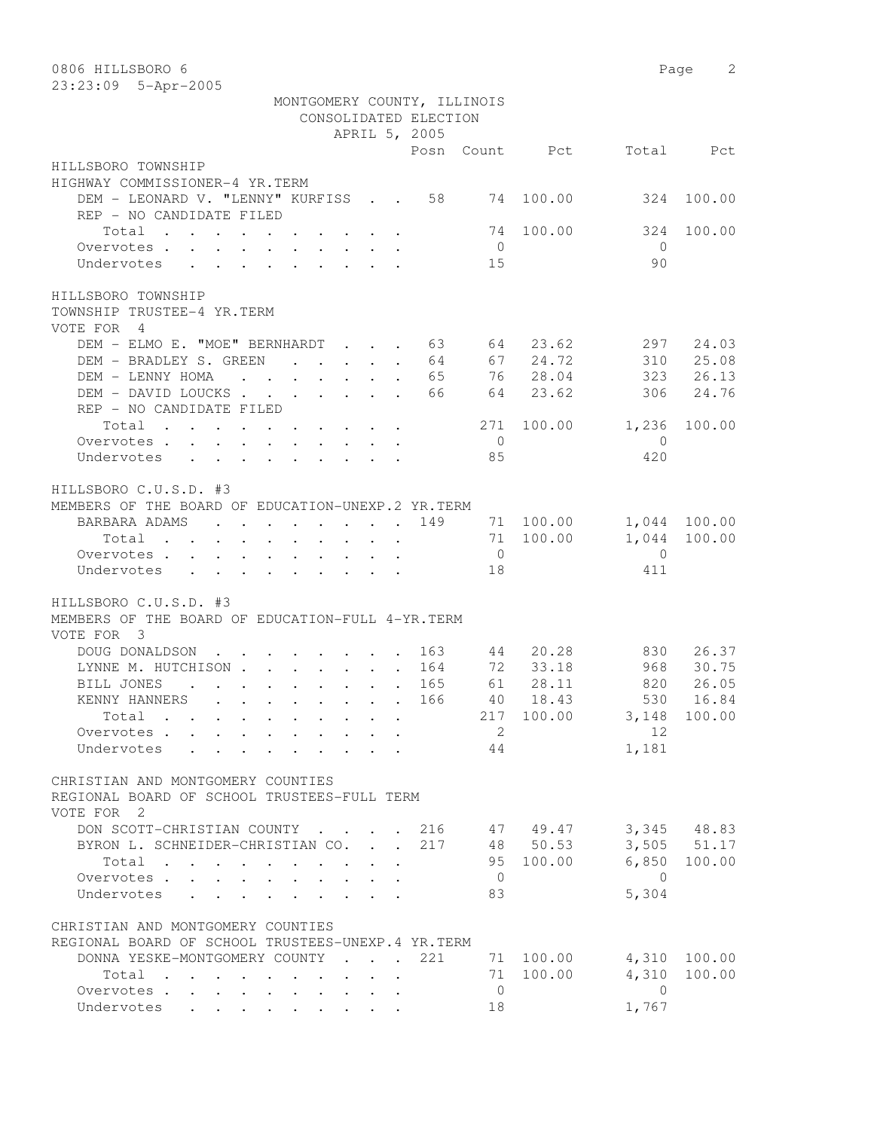| 0806 HILLSBORO 6                                                                                        |     |                |                                     |                | 2<br>Page    |
|---------------------------------------------------------------------------------------------------------|-----|----------------|-------------------------------------|----------------|--------------|
| 23:23:09 5-Apr-2005                                                                                     |     |                |                                     |                |              |
| MONTGOMERY COUNTY, ILLINOIS                                                                             |     |                |                                     |                |              |
| CONSOLIDATED ELECTION                                                                                   |     |                |                                     |                |              |
| APRIL 5, 2005                                                                                           |     |                |                                     |                |              |
|                                                                                                         |     |                | Posn Count Pct                      |                | Total Pct    |
| HILLSBORO TOWNSHIP                                                                                      |     |                |                                     |                |              |
| HIGHWAY COMMISSIONER-4 YR.TERM                                                                          |     |                |                                     |                |              |
| DEM - LEONARD V. "LENNY" KURFISS 58                                                                     |     |                | 74 100.00                           | 324            | 100.00       |
| REP - NO CANDIDATE FILED                                                                                |     |                |                                     |                |              |
| Total                                                                                                   |     | 74             | 100.00                              | 324            | 100.00       |
| Overvotes.                                                                                              |     | $\overline{0}$ |                                     | $\bigcirc$     |              |
| Undervotes                                                                                              |     | 15             |                                     | 90             |              |
|                                                                                                         |     |                |                                     |                |              |
| HILLSBORO TOWNSHIP                                                                                      |     |                |                                     |                |              |
| TOWNSHIP TRUSTEE-4 YR.TERM                                                                              |     |                |                                     |                |              |
| VOTE FOR 4                                                                                              |     |                |                                     |                |              |
| DEM - ELMO E. "MOE" BERNHARDT 63 64 23.62                                                               |     |                |                                     | 297            | 24.03        |
| DEM - BRADLEY S. GREEN                                                                                  | 64  |                | 67 24.72                            | 310            | 25.08        |
| DEM - LENNY HOMA<br>and the contract of the contract of the contract of the contract of the contract of | 65  |                | 76 28.04                            | 323            | 26.13        |
| DEM - DAVID LOUCKS                                                                                      | 66  |                | 64 23.62                            | 306            | 24.76        |
| REP - NO CANDIDATE FILED                                                                                |     |                |                                     |                |              |
| Total                                                                                                   |     | 271            | 100.00                              | 1,236          | 100.00       |
| Overvotes                                                                                               |     | $\overline{0}$ |                                     | $\overline{0}$ |              |
| Undervotes                                                                                              |     | 85             |                                     | 420            |              |
|                                                                                                         |     |                |                                     |                |              |
| HILLSBORO C.U.S.D. #3                                                                                   |     |                |                                     |                |              |
| MEMBERS OF THE BOARD OF EDUCATION-UNEXP.2 YR.TERM                                                       |     |                |                                     |                |              |
| BARBARA ADAMS 149 71 100.00                                                                             |     |                |                                     |                | 1,044 100.00 |
| Total                                                                                                   |     |                | 71 100.00                           | 1,044          | 100.00       |
| Overvotes.                                                                                              |     | $\overline{0}$ |                                     | $\overline{0}$ |              |
| Undervotes                                                                                              |     | 18             |                                     | 411            |              |
|                                                                                                         |     |                |                                     |                |              |
| HILLSBORO C.U.S.D. #3                                                                                   |     |                |                                     |                |              |
| MEMBERS OF THE BOARD OF EDUCATION-FULL 4-YR. TERM                                                       |     |                |                                     |                |              |
| VOTE FOR 3                                                                                              |     |                |                                     |                |              |
| DOUG DONALDSON<br>$\cdot$ 163                                                                           |     | 44             | 20.28<br>72 33.18                   | 830            | 26.37        |
| LYNNE M. HUTCHISON 164                                                                                  |     |                |                                     | 968            | 30.75        |
| BILL JONES<br>. 165                                                                                     |     | 61             | 28.11                               | 820            | 26.05        |
| KENNY HANNERS<br>166                                                                                    |     |                | 40 18.43<br>217 100.00 3,148 100.00 |                | 530 16.84    |
| Total                                                                                                   |     |                |                                     | 12             |              |
| Overvotes                                                                                               |     | $\overline{2}$ |                                     |                |              |
| Undervotes                                                                                              |     | 44             |                                     | 1,181          |              |
| CHRISTIAN AND MONTGOMERY COUNTIES                                                                       |     |                |                                     |                |              |
| REGIONAL BOARD OF SCHOOL TRUSTEES-FULL TERM                                                             |     |                |                                     |                |              |
| VOTE FOR 2                                                                                              |     |                |                                     |                |              |
| DON SCOTT-CHRISTIAN COUNTY 216 47 49.47 3,345 48.83                                                     |     |                |                                     |                |              |
| BYRON L. SCHNEIDER-CHRISTIAN CO. 217 48 50.53                                                           |     |                |                                     |                | 3,505 51.17  |
| Total                                                                                                   |     |                | 95 100.00                           |                | 6,850 100.00 |
| Overvotes                                                                                               |     | $\overline{0}$ |                                     | $\overline{0}$ |              |
| Undervotes                                                                                              |     | 83             |                                     | 5,304          |              |
|                                                                                                         |     |                |                                     |                |              |
| CHRISTIAN AND MONTGOMERY COUNTIES                                                                       |     |                |                                     |                |              |
| REGIONAL BOARD OF SCHOOL TRUSTEES-UNEXP.4 YR.TERM                                                       |     |                |                                     |                |              |
| DONNA YESKE-MONTGOMERY COUNTY                                                                           | 221 |                | 71 100.00 4,310 100.00              |                |              |
| Total                                                                                                   |     |                | 71 100.00                           | 4,310          | 100.00       |
| Overvotes                                                                                               |     | $\overline{0}$ |                                     | $\bigcirc$     |              |
| Undervotes                                                                                              |     | 18             |                                     | 1,767          |              |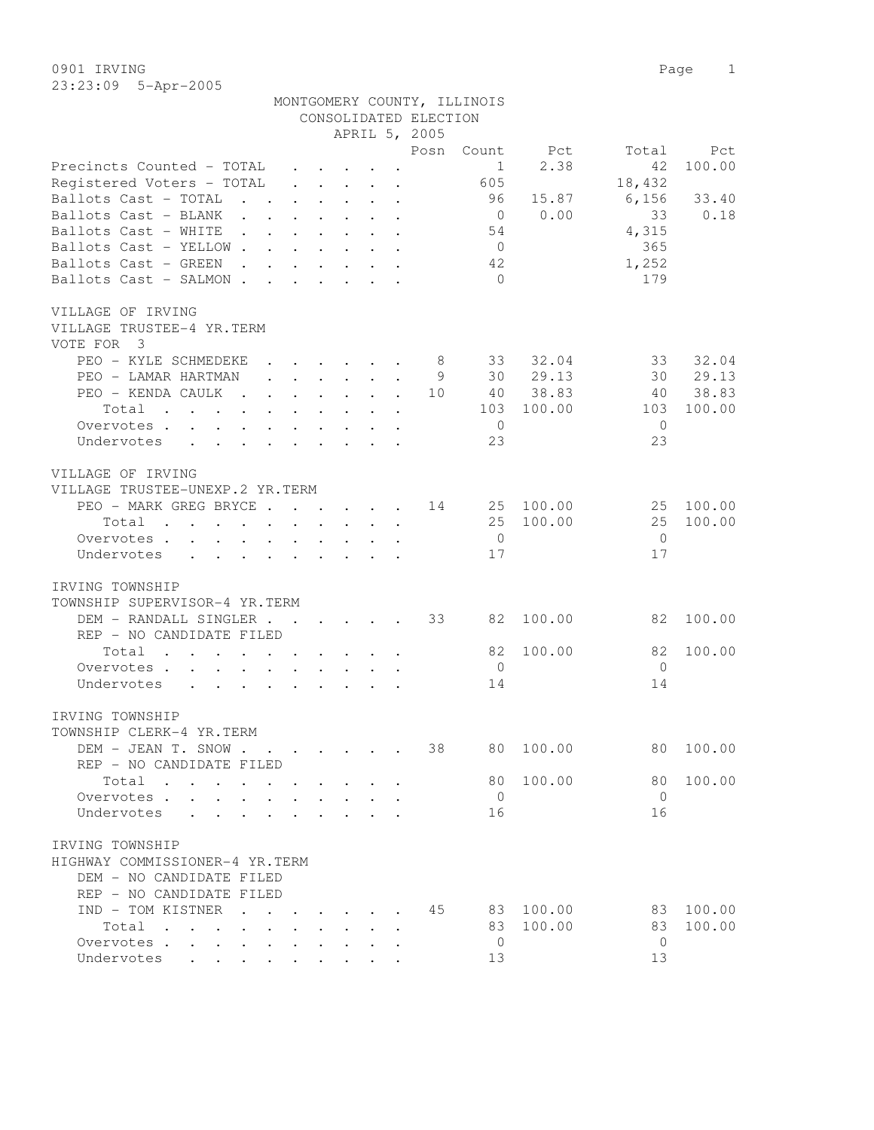0901 IRVING Page 1 23:23:09 5-Apr-2005

|                                                                                     |  |                                                           |  |                                                                                         | MONTGOMERY COUNTY, ILLINOIS |            |                |           |
|-------------------------------------------------------------------------------------|--|-----------------------------------------------------------|--|-----------------------------------------------------------------------------------------|-----------------------------|------------|----------------|-----------|
|                                                                                     |  |                                                           |  | CONSOLIDATED ELECTION                                                                   |                             |            |                |           |
|                                                                                     |  |                                                           |  | APRIL 5, 2005                                                                           |                             |            |                |           |
|                                                                                     |  |                                                           |  | Posn                                                                                    | Count                       | Pct        | Total          | Pct       |
| Precincts Counted - TOTAL                                                           |  | $\cdot$ $\cdot$ $\cdot$ $\cdot$ $\cdot$ $\cdot$ $\cdot$   |  |                                                                                         | $\mathbf{1}$                | 2.38       | 42             | 100.00    |
| Registered Voters - TOTAL                                                           |  |                                                           |  | $\mathbf{r}$ , $\mathbf{r}$ , $\mathbf{r}$ , $\mathbf{r}$ , $\mathbf{r}$ , $\mathbf{r}$ | 605                         |            | 18,432         |           |
| Ballots Cast - TOTAL                                                                |  |                                                           |  | the contract of the contract of the                                                     | 96                          | 15.87      | 6,156          | 33.40     |
| Ballots Cast - BLANK                                                                |  |                                                           |  |                                                                                         | $\overline{0}$              | 0.00       | 33             | 0.18      |
| Ballots Cast - WHITE                                                                |  |                                                           |  |                                                                                         | 54                          |            | 4,315          |           |
| Ballots Cast - YELLOW                                                               |  |                                                           |  |                                                                                         | $\overline{0}$              |            | 365            |           |
| Ballots Cast - GREEN<br>the contract of the contract of the contract of the         |  |                                                           |  |                                                                                         | 42                          |            | 1,252          |           |
| Ballots Cast - SALMON                                                               |  | $\cdot$ $\cdot$ $\cdot$ $\cdot$ $\cdot$ $\cdot$           |  |                                                                                         | $\bigcirc$                  |            | 179            |           |
|                                                                                     |  |                                                           |  |                                                                                         |                             |            |                |           |
| VILLAGE OF IRVING                                                                   |  |                                                           |  |                                                                                         |                             |            |                |           |
| VILLAGE TRUSTEE-4 YR.TERM                                                           |  |                                                           |  |                                                                                         |                             |            |                |           |
| VOTE FOR 3                                                                          |  |                                                           |  |                                                                                         |                             |            |                |           |
| PEO - KYLE SCHMEDEKE                                                                |  | $\cdot$ $\cdot$ $\cdot$ $\cdot$ $\cdot$                   |  | 8 <sup>1</sup>                                                                          |                             | 33 32.04   | 33             | 32.04     |
| PEO - LAMAR HARTMAN                                                                 |  | $\mathbf{r}$ , $\mathbf{r}$ , $\mathbf{r}$ , $\mathbf{r}$ |  | - 9                                                                                     |                             | 30 29.13   | 30             | 29.13     |
| PEO - KENDA CAULK                                                                   |  |                                                           |  | 10                                                                                      |                             | 40 38.83   | 40             | 38.83     |
|                                                                                     |  |                                                           |  |                                                                                         |                             |            |                |           |
| Total                                                                               |  |                                                           |  |                                                                                         |                             | 103 100.00 | 103            | 100.00    |
| Overvotes.                                                                          |  |                                                           |  |                                                                                         | $\overline{0}$              |            | $\bigcirc$     |           |
| Undervotes                                                                          |  |                                                           |  |                                                                                         | 23                          |            | 23             |           |
|                                                                                     |  |                                                           |  |                                                                                         |                             |            |                |           |
| VILLAGE OF IRVING                                                                   |  |                                                           |  |                                                                                         |                             |            |                |           |
| VILLAGE TRUSTEE-UNEXP.2 YR.TERM                                                     |  |                                                           |  |                                                                                         |                             |            |                |           |
| PEO - MARK GREG BRYCE 14                                                            |  |                                                           |  |                                                                                         |                             | 25 100.00  |                | 25 100.00 |
| Total                                                                               |  |                                                           |  |                                                                                         |                             | 25 100.00  | 25             | 100.00    |
| Overvotes                                                                           |  |                                                           |  |                                                                                         | $\overline{0}$              |            | $\bigcirc$     |           |
| Undervotes<br>$\mathbf{r}$ , and $\mathbf{r}$ , and $\mathbf{r}$ , and $\mathbf{r}$ |  |                                                           |  |                                                                                         | 17                          |            | 17             |           |
|                                                                                     |  |                                                           |  |                                                                                         |                             |            |                |           |
| IRVING TOWNSHIP                                                                     |  |                                                           |  |                                                                                         |                             |            |                |           |
| TOWNSHIP SUPERVISOR-4 YR.TERM                                                       |  |                                                           |  |                                                                                         |                             |            |                |           |
| DEM - RANDALL SINGLER 33                                                            |  |                                                           |  |                                                                                         | 82                          | 100.00     | 82             | 100.00    |
| REP - NO CANDIDATE FILED                                                            |  |                                                           |  |                                                                                         |                             |            |                |           |
| Total                                                                               |  |                                                           |  |                                                                                         | 82                          | 100.00     | 82             | 100.00    |
| Overvotes                                                                           |  |                                                           |  |                                                                                         | $\overline{0}$              |            | $\overline{0}$ |           |
| Undervotes<br>$\mathbf{r}$ , $\mathbf{r}$ , $\mathbf{r}$ , $\mathbf{r}$             |  | $\mathbf{L}$ . The set of $\mathbf{L}$                    |  |                                                                                         | 14                          |            | 14             |           |
|                                                                                     |  |                                                           |  |                                                                                         |                             |            |                |           |
| IRVING TOWNSHIP                                                                     |  |                                                           |  |                                                                                         |                             |            |                |           |
| TOWNSHIP CLERK-4 YR.TERM                                                            |  |                                                           |  |                                                                                         |                             |            |                |           |
| DEM - JEAN T. SNOW                                                                  |  |                                                           |  | 38                                                                                      | 80                          | 100.00     | 80             | 100.00    |
| REP - NO CANDIDATE FILED                                                            |  |                                                           |  |                                                                                         |                             |            |                |           |
| Total<br>$\sim$<br>$\sim$ $\sim$                                                    |  |                                                           |  |                                                                                         | 80                          | 100.00     | 80             | 100.00    |
| Overvotes .<br>$\ddot{\phantom{a}}$                                                 |  |                                                           |  |                                                                                         | $\mathbf{0}$                |            | $\overline{0}$ |           |
| Undervotes                                                                          |  |                                                           |  |                                                                                         | 16                          |            | 16             |           |
|                                                                                     |  |                                                           |  |                                                                                         |                             |            |                |           |
| IRVING TOWNSHIP                                                                     |  |                                                           |  |                                                                                         |                             |            |                |           |
| HIGHWAY COMMISSIONER-4 YR.TERM                                                      |  |                                                           |  |                                                                                         |                             |            |                |           |
|                                                                                     |  |                                                           |  |                                                                                         |                             |            |                |           |
| DEM - NO CANDIDATE FILED                                                            |  |                                                           |  |                                                                                         |                             |            |                |           |
| REP - NO CANDIDATE FILED                                                            |  |                                                           |  |                                                                                         |                             |            |                |           |
| IND - TOM KISTNER                                                                   |  |                                                           |  | 45                                                                                      | 83                          | 100.00     | 83             | 100.00    |
| Total<br>$\sim$<br>$\ddot{\phantom{a}}$                                             |  |                                                           |  |                                                                                         | 83                          | 100.00     | 83             | 100.00    |
| Overvotes                                                                           |  |                                                           |  |                                                                                         | $\mathbf 0$                 |            | $\mathbf{0}$   |           |
| Undervotes                                                                          |  |                                                           |  |                                                                                         | 13                          |            | 13             |           |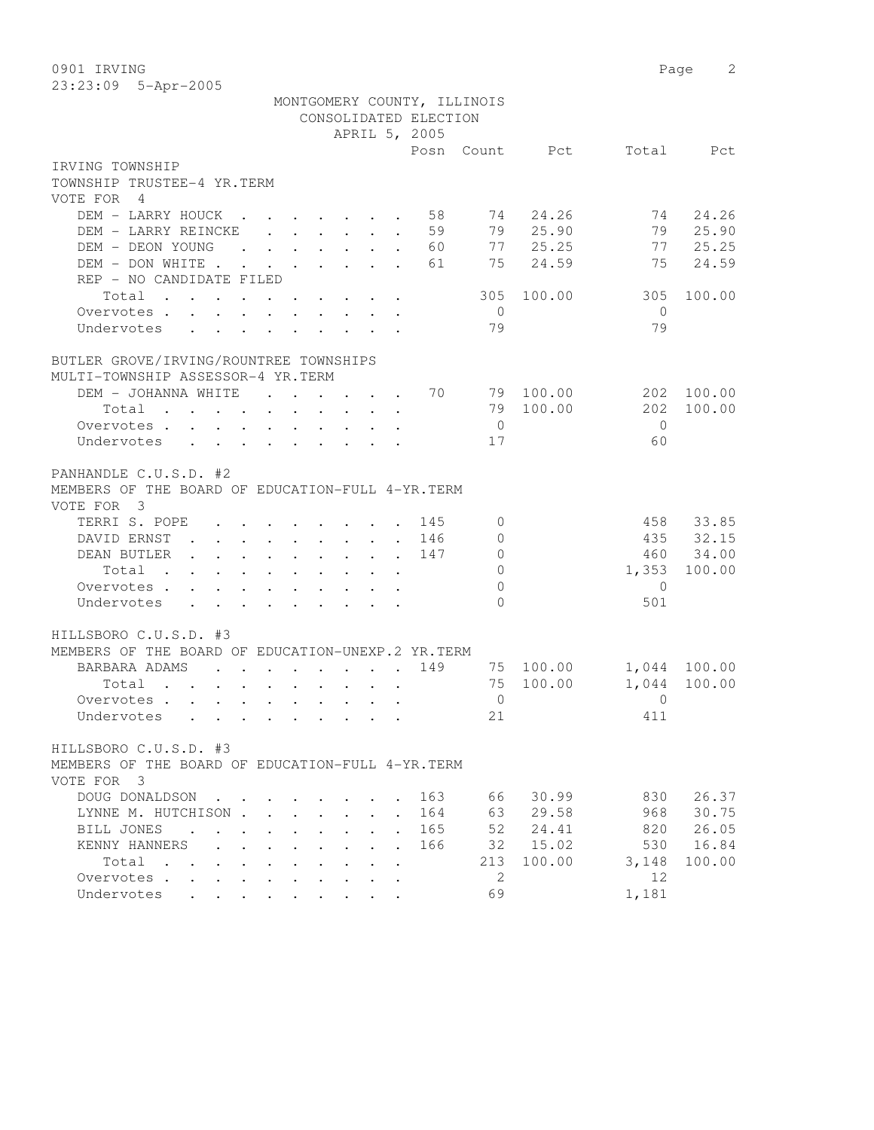0901 IRVING 2

| 23:23:09 5-Apr-2005                                                                                                                                                      |        |
|--------------------------------------------------------------------------------------------------------------------------------------------------------------------------|--------|
| MONTGOMERY COUNTY, ILLINOIS                                                                                                                                              |        |
| CONSOLIDATED ELECTION                                                                                                                                                    |        |
| APRIL 5, 2005                                                                                                                                                            |        |
| Posn Count Pct Total Pct                                                                                                                                                 |        |
| IRVING TOWNSHIP                                                                                                                                                          |        |
| TOWNSHIP TRUSTEE-4 YR.TERM                                                                                                                                               |        |
| VOTE FOR 4                                                                                                                                                               |        |
| DEM - LARRY HOUCK<br>$\cdot \quad \cdot \quad 58 \quad 74$<br>24.26<br>74<br>$\mathbf{r}$ . The set of $\mathbf{r}$<br><b>Contract Contract</b>                          | 24.26  |
| 79 25.90<br>79 25.90<br>. 59<br>DEM - LARRY REINCKE                                                                                                                      |        |
| 77 25.25<br>77<br>DEM - DEON YOUNG<br>$\cdot$ 60<br>$\cdot$ $\cdot$ $\cdot$ $\cdot$ $\cdot$ $\cdot$ $\cdot$ $\cdot$                                                      | 25.25  |
| 75<br>24.59<br>75<br>DEM - DON WHITE .<br>61<br>$\cdot$ $\cdot$ $\cdot$ $\cdot$ $\cdot$ $\cdot$                                                                          | 24.59  |
| REP - NO CANDIDATE FILED                                                                                                                                                 |        |
| Total<br>100.00<br>305<br>305                                                                                                                                            | 100.00 |
| $\overline{0}$<br>$\overline{0}$<br>Overvotes                                                                                                                            |        |
| 79<br>79<br>Undervotes<br>$\sim$ $\sim$<br>$\sim 100$<br>$\ddot{\phantom{a}}$                                                                                            |        |
| BUTLER GROVE/IRVING/ROUNTREE TOWNSHIPS                                                                                                                                   |        |
| MULTI-TOWNSHIP ASSESSOR-4 YR.TERM                                                                                                                                        |        |
| 70<br>DEM - JOHANNA WHITE<br>79 100.00<br>202 100.00<br>$\mathbf{L}$ and $\mathbf{L}$<br>$\mathbf{L} = \mathbf{L} \mathbf{L}$                                            |        |
| 202<br>79 100.00<br>Total                                                                                                                                                | 100.00 |
| $\overline{0}$<br>$\bigcirc$                                                                                                                                             |        |
| Overvotes<br>60<br>17                                                                                                                                                    |        |
| Undervotes                                                                                                                                                               |        |
| PANHANDLE C.U.S.D. #2                                                                                                                                                    |        |
| MEMBERS OF THE BOARD OF EDUCATION-FULL 4-YR. TERM                                                                                                                        |        |
| VOTE FOR 3                                                                                                                                                               |        |
| 458 33.85<br>TERRI S. POPE<br>145<br>$\Omega$<br>$\mathbf{r}$ , and $\mathbf{r}$ , and $\mathbf{r}$ , and $\mathbf{r}$                                                   |        |
| 435 32.15<br>DAVID ERNST<br>146<br>$\bigcap$                                                                                                                             |        |
| 460 34.00<br>147<br>$\overline{0}$<br>DEAN BUTLER.<br>$\mathbf{r}$ , and $\mathbf{r}$ , and $\mathbf{r}$ , and $\mathbf{r}$ , and $\mathbf{r}$                           |        |
| $\Omega$<br>1,353 100.00<br>Total .<br>$\cdot$ $\cdot$ $\cdot$<br>$\ddot{\phantom{0}}$<br>$\sim$<br>$\ddot{\phantom{0}}$<br>$\ddot{\phantom{0}}$<br>$\ddot{\phantom{0}}$ |        |
| $\Omega$<br>$\Omega$<br>Overvotes.<br>$\mathbf{r}$ , $\mathbf{r}$ , $\mathbf{r}$ , $\mathbf{r}$ , $\mathbf{r}$ , $\mathbf{r}$ , $\mathbf{r}$                             |        |
| $\cap$<br>501<br>Undervotes                                                                                                                                              |        |
|                                                                                                                                                                          |        |
| HILLSBORO C.U.S.D. #3                                                                                                                                                    |        |
| MEMBERS OF THE BOARD OF EDUCATION-UNEXP.2 YR.TERM                                                                                                                        |        |
| 149<br>1,044 100.00<br>BARBARA ADAMS<br>75 100.00<br>$\mathbf{r}$ , and $\mathbf{r}$ , and $\mathbf{r}$ , and $\mathbf{r}$                                               |        |
| 1,044 100.00<br>75 100.00<br>Total                                                                                                                                       |        |
| Overvotes.<br>$\overline{0}$<br>$\bigcirc$                                                                                                                               |        |
| Undervotes<br>411<br>21                                                                                                                                                  |        |
| HILLSBORO C.U.S.D. #3                                                                                                                                                    |        |
| MEMBERS OF THE BOARD OF EDUCATION-FULL 4-YR. TERM                                                                                                                        |        |

|                        |  |                                                    |  |  |  | UI LUUULILLUIN LULLUI I LINBILLUI |      |        |       |        |
|------------------------|--|----------------------------------------------------|--|--|--|-----------------------------------|------|--------|-------|--------|
| VOTE FOR 3             |  |                                                    |  |  |  |                                   |      |        |       |        |
| DOUG DONALDSON 163     |  |                                                    |  |  |  |                                   | 66   | 30.99  | 830   | 26.37  |
| LYNNE M. HUTCHISON 164 |  |                                                    |  |  |  |                                   | 63   | 29.58  | 968   | 30.75  |
| BILL JONES             |  |                                                    |  |  |  | . 165                             | 52   | 24.41  | 820   | 26.05  |
| KENNY HANNERS          |  |                                                    |  |  |  | 166                               | 32 F | 15.02  | 530   | 16.84  |
| Total                  |  |                                                    |  |  |  |                                   | 213  | 100.00 | 3,148 | 100.00 |
| Overvotes.             |  |                                                    |  |  |  |                                   |      |        | 12    |        |
| Undervotes             |  | $\mathbf{r}$ , and $\mathbf{r}$ , and $\mathbf{r}$ |  |  |  |                                   | 69   |        | 1,181 |        |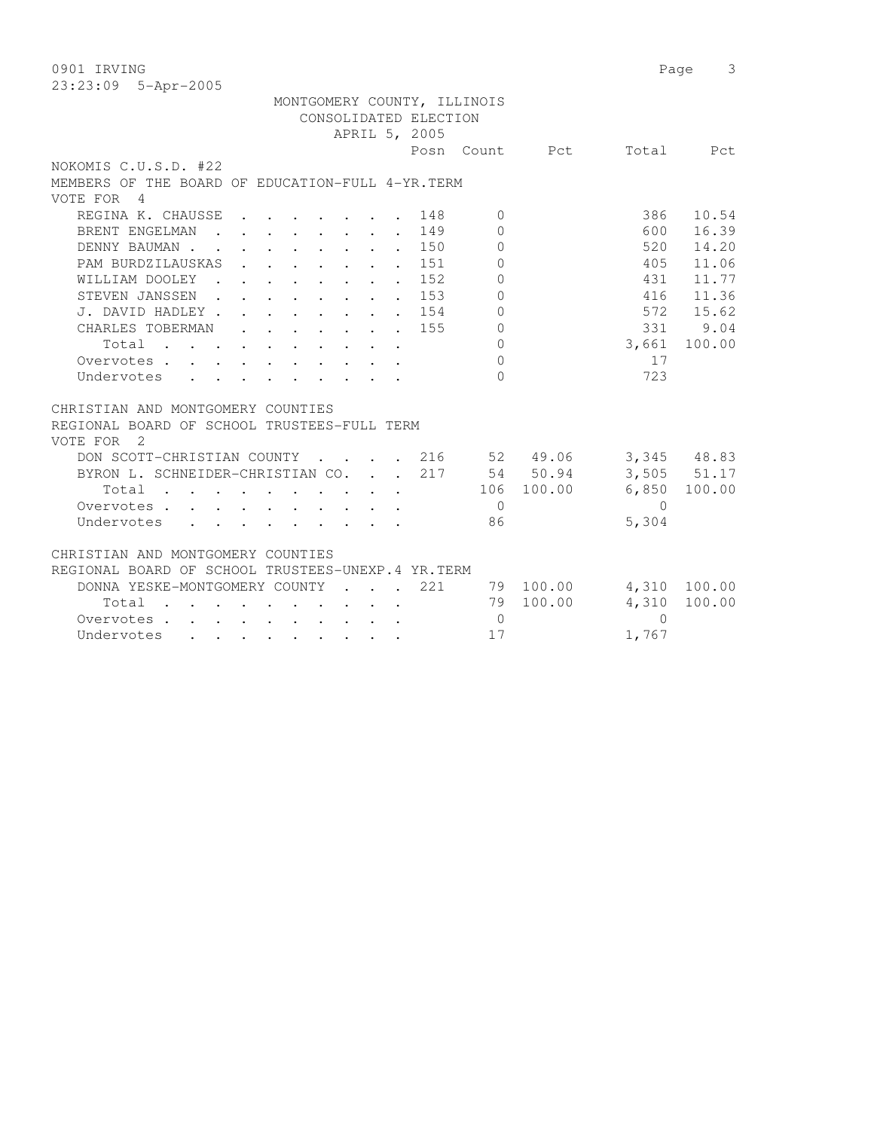0901 IRVING Page 3 23:23:09 5-Apr-2005 MONTGOMERY COUNTY, ILLINOIS CONSOLIDATED ELECTION APRIL 5, 2005 Posn Count Pct Total Pct NOKOMIS C.U.S.D. #22 MEMBERS OF THE BOARD OF EDUCATION-FULL 4-YR.TERM VOTE FOR 4 REGINA K. CHAUSSE . . . . . . 148 0 386 10.54 BRENT ENGELMAN . . . . . . 149 0 600 16.39 DENNY BAUMAN . . . . . . . . . 150 0 520 14.20 PAM BURDZILAUSKAS . . . . . . 151 0 405 11.06 WILLIAM DOOLEY . . . . . . 152 0 431 11.77 STEVEN JANSSEN . . . . . . 153 0 416 11.36 J. DAVID HADLEY . . . . . . . . 154 0 572 15.62 CHARLES TOBERMAN . . . . . . 155 0 331 9.04 Total . . . . . . . . . . 0 3,661 100.00 Overvotes . . . . . . . . . . . 0<br>
Undervotes . . . . . . . . . 0 17<br>
23 Undervotes . . . . . . . . . 0 723 CHRISTIAN AND MONTGOMERY COUNTIES REGIONAL BOARD OF SCHOOL TRUSTEES-FULL TERM VOTE FOR 2 DON SCOTT-CHRISTIAN COUNTY . . . . 216 52 49.06 3,345 48.83 BYRON L. SCHNEIDER-CHRISTIAN CO. . . 217 54 50.94 3,505 51.17 Total . . . . . . . . . . 106 100.00 6,850 100.00 Overvotes . . . . . . . . . . 0 0

## CHRISTIAN AND MONTGOMERY COUNTIES

| REGIONAL BOARD OF SCHOOL TRUSTEES-UNEXP.4 YR.TERM |       |  |  |  |  |  |                                   |        |           |              |  |
|---------------------------------------------------|-------|--|--|--|--|--|-----------------------------------|--------|-----------|--------------|--|
|                                                   |       |  |  |  |  |  | DONNA YESKE-MONTGOMERY COUNTY 221 |        | 79 100.00 | 4,310 100.00 |  |
|                                                   | Total |  |  |  |  |  |                                   |        | 79 100.00 | 4,310 100.00 |  |
|                                                   |       |  |  |  |  |  |                                   | $\Box$ |           |              |  |
| Undervotes                                        |       |  |  |  |  |  |                                   | 17     |           | 1.767        |  |
|                                                   |       |  |  |  |  |  |                                   |        |           |              |  |

Undervotes . . . . . . . . . 86 5,304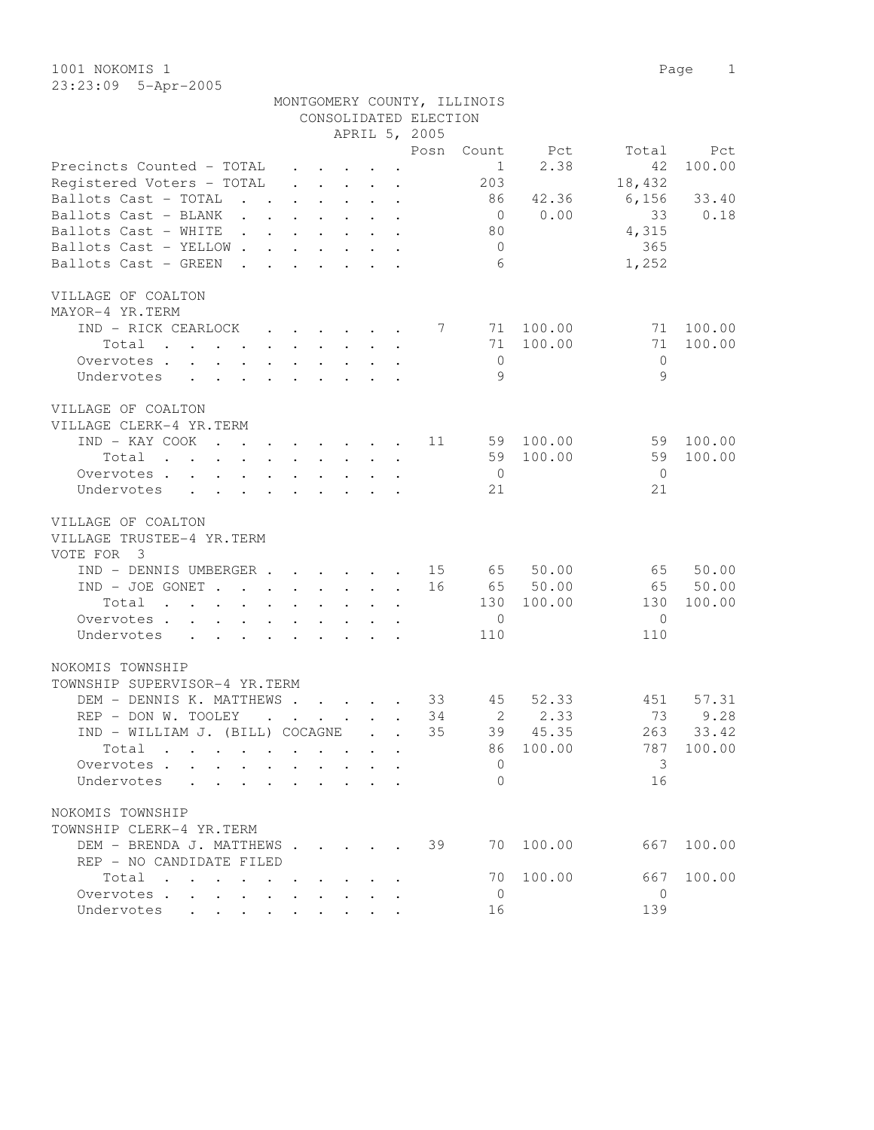| 1001 NOKOMIS 1 |                       |                             |  | Page 1 |  |
|----------------|-----------------------|-----------------------------|--|--------|--|
|                | $23:23:09$ 5-Apr-2005 |                             |  |        |  |
|                |                       | MONTGOMERY COUNTY, ILLINOIS |  |        |  |

|                                                                                                                                                                                                                                            |                               |                                                     |                                                                             | CONSOLIDATED ELECTION |                |        |                       |        |
|--------------------------------------------------------------------------------------------------------------------------------------------------------------------------------------------------------------------------------------------|-------------------------------|-----------------------------------------------------|-----------------------------------------------------------------------------|-----------------------|----------------|--------|-----------------------|--------|
|                                                                                                                                                                                                                                            |                               |                                                     |                                                                             | APRIL 5, 2005         |                |        |                       |        |
|                                                                                                                                                                                                                                            |                               |                                                     |                                                                             | Posn                  | Count          | Pct    | Total                 | Pct    |
| Precincts Counted - TOTAL                                                                                                                                                                                                                  |                               |                                                     | $\cdot$ $\cdot$ $\cdot$ $\cdot$ $\cdot$                                     |                       | $\mathbf{1}$   | 2.38   | 42                    | 100.00 |
| Registered Voters - TOTAL                                                                                                                                                                                                                  |                               |                                                     | $\bullet$ .<br><br><br><br><br><br><br><br><br><br><br><br><br><br><br><br> |                       | 203            |        | 18,432                |        |
| Ballots Cast - TOTAL<br>$\mathbf{r}$ , $\mathbf{r}$                                                                                                                                                                                        |                               |                                                     | $\ddot{\phantom{a}}$                                                        |                       | 86             | 42.36  | 6,156                 | 33.40  |
| Ballots Cast - BLANK<br>$\ddot{\phantom{0}}$<br>$\sim$ $\sim$                                                                                                                                                                              |                               |                                                     |                                                                             |                       | $\overline{0}$ | 0.00   | 33                    | 0.18   |
| Ballots Cast - WHITE<br>$\mathbf{L} = \mathbf{L}$<br>$\sim$ $\sim$                                                                                                                                                                         |                               |                                                     | $\sim$                                                                      |                       | 80             |        | 4,315                 |        |
| Ballots Cast - YELLOW.<br>$\mathbf{L}$                                                                                                                                                                                                     | $\mathbf{L}$                  | $\sim$                                              |                                                                             |                       | $\circ$        |        | 365                   |        |
| Ballots Cast - GREEN<br>$\sim$<br>$\mathbf{r}$                                                                                                                                                                                             | $\mathbf{r}$ and $\mathbf{r}$ |                                                     | $\sim$<br>$\ddot{\phantom{a}}$                                              |                       | 6              |        | 1,252                 |        |
|                                                                                                                                                                                                                                            |                               |                                                     |                                                                             |                       |                |        |                       |        |
| VILLAGE OF COALTON                                                                                                                                                                                                                         |                               |                                                     |                                                                             |                       |                |        |                       |        |
| MAYOR-4 YR.TERM                                                                                                                                                                                                                            |                               |                                                     |                                                                             |                       |                |        |                       |        |
| IND - RICK CEARLOCK                                                                                                                                                                                                                        |                               |                                                     |                                                                             | 7                     | 71             | 100.00 | 71                    | 100.00 |
|                                                                                                                                                                                                                                            |                               |                                                     | $\cdot$ $\cdot$ $\cdot$ $\cdot$ $\cdot$ $\cdot$ $\cdot$                     |                       |                |        | 71                    |        |
| Total<br>the contract of the contract of the contract of the contract of the contract of the contract of the contract of                                                                                                                   |                               |                                                     |                                                                             |                       | 71             | 100.00 |                       | 100.00 |
| Overvotes                                                                                                                                                                                                                                  |                               | $\mathbf{r} = \mathbf{r} + \mathbf{r} + \mathbf{r}$ |                                                                             |                       | $\overline{0}$ |        | $\mathbf{0}$          |        |
| Undervotes<br>$\ddot{\phantom{a}}$<br>$\ddot{\phantom{a}}$                                                                                                                                                                                 | $\mathbf{L}$                  |                                                     |                                                                             |                       | 9              |        | 9                     |        |
|                                                                                                                                                                                                                                            |                               |                                                     |                                                                             |                       |                |        |                       |        |
| VILLAGE OF COALTON                                                                                                                                                                                                                         |                               |                                                     |                                                                             |                       |                |        |                       |        |
| VILLAGE CLERK-4 YR.TERM                                                                                                                                                                                                                    |                               |                                                     |                                                                             |                       |                |        |                       |        |
| IND - KAY COOK<br>$\mathbf{r}$ , $\mathbf{r}$ , $\mathbf{r}$ , $\mathbf{r}$ , $\mathbf{r}$ , $\mathbf{r}$                                                                                                                                  |                               |                                                     |                                                                             | 11                    | 59             | 100.00 | 59                    | 100.00 |
| Total<br>$\mathbf{r}$ . The contribution of the contribution of the contribution of the contribution of the contribution of the contribution of the contribution of the contribution of the contribution of the contribution of the contri |                               |                                                     |                                                                             |                       | 59             | 100.00 | 59                    | 100.00 |
| Overvotes<br>$\ddot{\phantom{0}}$                                                                                                                                                                                                          | $\sim 100$                    |                                                     | $\mathbf{z} = \mathbf{z} + \mathbf{z} + \mathbf{z} + \mathbf{z}$            |                       | $\overline{0}$ |        | - 0                   |        |
| Undervotes<br>$\sim$<br>$\sim$ 100 $\pm$                                                                                                                                                                                                   | $\ddot{\phantom{a}}$          |                                                     |                                                                             |                       | 21             |        | 21                    |        |
|                                                                                                                                                                                                                                            |                               |                                                     |                                                                             |                       |                |        |                       |        |
| VILLAGE OF COALTON                                                                                                                                                                                                                         |                               |                                                     |                                                                             |                       |                |        |                       |        |
| VILLAGE TRUSTEE-4 YR.TERM                                                                                                                                                                                                                  |                               |                                                     |                                                                             |                       |                |        |                       |        |
| $\overline{\mathbf{3}}$<br>VOTE FOR                                                                                                                                                                                                        |                               |                                                     |                                                                             |                       |                |        |                       |        |
| IND - DENNIS UMBERGER.                                                                                                                                                                                                                     |                               |                                                     |                                                                             | 15                    | 65             | 50.00  | 65                    | 50.00  |
| $IND - JOE GONET$                                                                                                                                                                                                                          |                               |                                                     |                                                                             | 16                    | 65             | 50.00  | 65                    | 50.00  |
| Total<br>. The contract of the contract of the contract of the contract of the contract of the contract of the contract of the contract of the contract of the contract of the contract of the contract of the contract of the contrac     |                               |                                                     |                                                                             |                       | 130            | 100.00 | 130                   | 100.00 |
| Overvotes                                                                                                                                                                                                                                  |                               |                                                     | $\sim$ $\sim$                                                               |                       | $\mathbf{0}$   |        | $\mathbf{0}$          |        |
| Undervotes                                                                                                                                                                                                                                 |                               |                                                     |                                                                             |                       | 110            |        | 110                   |        |
|                                                                                                                                                                                                                                            |                               |                                                     |                                                                             |                       |                |        |                       |        |
| NOKOMIS TOWNSHIP                                                                                                                                                                                                                           |                               |                                                     |                                                                             |                       |                |        |                       |        |
| TOWNSHIP SUPERVISOR-4 YR.TERM                                                                                                                                                                                                              |                               |                                                     |                                                                             |                       |                |        |                       |        |
| DEM - DENNIS K. MATTHEWS                                                                                                                                                                                                                   |                               |                                                     |                                                                             | 33                    | 45             | 52.33  | 451                   | 57.31  |
| REP - DON W. TOOLEY                                                                                                                                                                                                                        |                               |                                                     | $\mathbf{r}$ , $\mathbf{r}$ , $\mathbf{r}$ , $\mathbf{r}$                   | 34                    | 2              | 2.33   | 73                    | 9.28   |
|                                                                                                                                                                                                                                            |                               |                                                     |                                                                             | 35                    | 39             | 45.35  | 263                   | 33.42  |
|                                                                                                                                                                                                                                            |                               |                                                     | $\mathbf{r}$ . The set of $\mathbf{r}$                                      |                       |                |        |                       |        |
| IND - WILLIAM J. (BILL) COCAGNE                                                                                                                                                                                                            |                               |                                                     |                                                                             |                       |                |        |                       |        |
| Total<br>$\cdot$                                                                                                                                                                                                                           |                               |                                                     |                                                                             |                       | 86             | 100.00 | 787                   | 100.00 |
| Overvotes                                                                                                                                                                                                                                  |                               |                                                     |                                                                             |                       | 0              |        | 3                     |        |
| Undervotes                                                                                                                                                                                                                                 |                               |                                                     |                                                                             |                       | $\Omega$       |        | 16                    |        |
|                                                                                                                                                                                                                                            |                               |                                                     |                                                                             |                       |                |        |                       |        |
| NOKOMIS TOWNSHIP                                                                                                                                                                                                                           |                               |                                                     |                                                                             |                       |                |        |                       |        |
| TOWNSHIP CLERK-4 YR.TERM                                                                                                                                                                                                                   |                               |                                                     |                                                                             |                       |                |        |                       |        |
| DEM - BRENDA J. MATTHEWS                                                                                                                                                                                                                   |                               |                                                     |                                                                             | 39                    | 70             | 100.00 | 667                   | 100.00 |
| REP - NO CANDIDATE FILED                                                                                                                                                                                                                   |                               |                                                     |                                                                             |                       |                |        |                       |        |
| Total                                                                                                                                                                                                                                      |                               |                                                     |                                                                             |                       | 70             | 100.00 | 667                   | 100.00 |
| Overvotes<br>Undervotes                                                                                                                                                                                                                    |                               |                                                     |                                                                             |                       | $\mathbf{0}$   |        | $\overline{0}$<br>139 |        |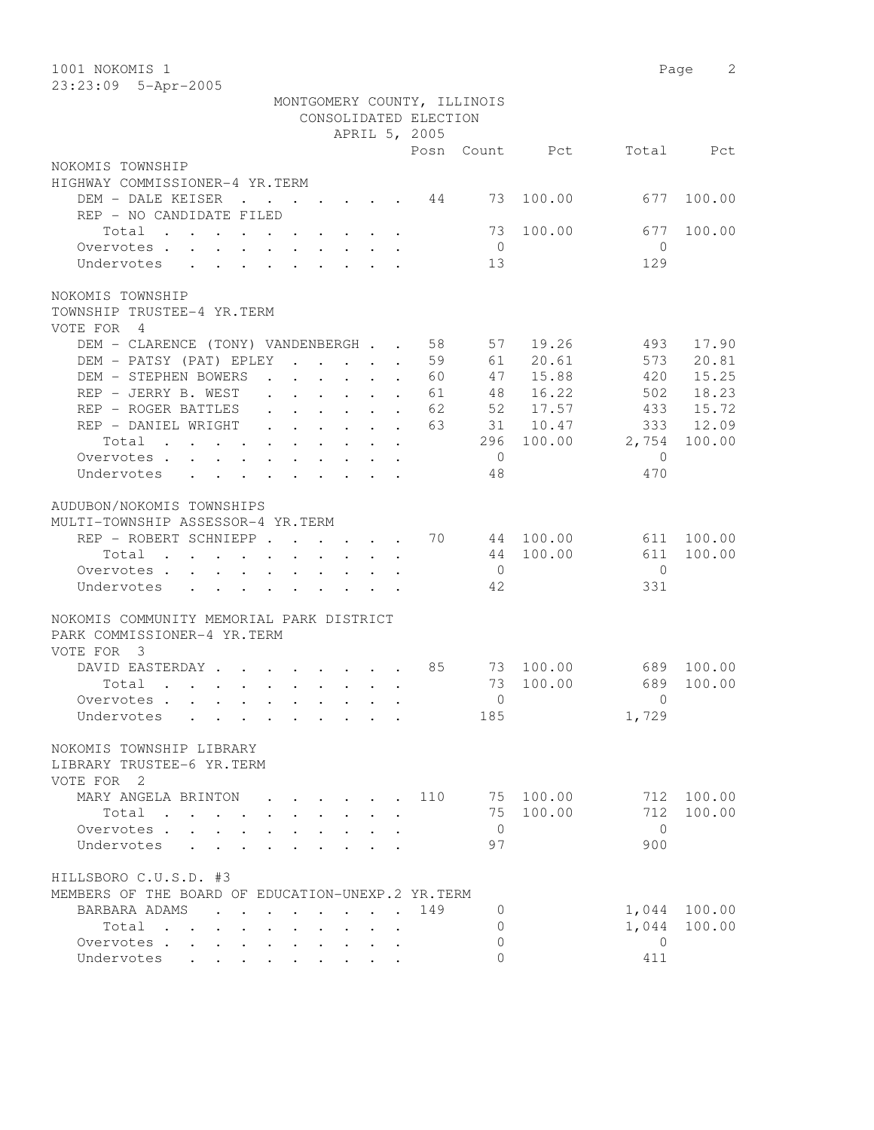| 1001 NOKOMIS 1                                                                                                 |                |                                  | Page<br>2    |
|----------------------------------------------------------------------------------------------------------------|----------------|----------------------------------|--------------|
| 23:23:09 5-Apr-2005                                                                                            |                |                                  |              |
| MONTGOMERY COUNTY, ILLINOIS                                                                                    |                |                                  |              |
| CONSOLIDATED ELECTION                                                                                          |                |                                  |              |
| APRIL 5, 2005                                                                                                  |                |                                  |              |
|                                                                                                                | Posn Count Pct | Total                            | Pct          |
| NOKOMIS TOWNSHIP                                                                                               |                |                                  |              |
| HIGHWAY COMMISSIONER-4 YR.TERM                                                                                 |                |                                  |              |
| DEM - DALE KEISER<br>$\cdot$ 44                                                                                | 73             | 100.00<br>677                    | 100.00       |
| REP - NO CANDIDATE FILED                                                                                       |                |                                  |              |
| Total                                                                                                          | 73             | 100.00<br>677                    | 100.00       |
| Overvotes                                                                                                      | $\overline{0}$ | $\overline{0}$                   |              |
| Undervotes                                                                                                     | 13             | 129                              |              |
|                                                                                                                |                |                                  |              |
| NOKOMIS TOWNSHIP                                                                                               |                |                                  |              |
| TOWNSHIP TRUSTEE-4 YR.TERM                                                                                     |                |                                  |              |
| VOTE FOR 4                                                                                                     |                |                                  |              |
| DEM - CLARENCE (TONY) VANDENBERGH 58                                                                           | 57             | 19.26<br>493                     | 17.90        |
| DEM - PATSY (PAT) EPLEY                                                                                        | 59<br>61       | 573<br>20.61                     | 20.81        |
| DEM - STEPHEN BOWERS                                                                                           | 60<br>47       | 15.88<br>420                     | 15.25        |
| REP - JERRY B. WEST                                                                                            | 61<br>48       | 16.22<br>502                     | 18.23        |
| $\mathbf{r} = \mathbf{r} + \mathbf{r} + \mathbf{r} + \mathbf{r}$<br>REP - ROGER BATTLES<br>$\mathbf{r}$        | 62<br>52       | 17.57<br>433                     | 15.72        |
| $\mathbf{r}$ , $\mathbf{r}$ , $\mathbf{r}$ , $\mathbf{r}$ , $\mathbf{r}$ , $\mathbf{r}$<br>REP - DANIEL WRIGHT | 63             | 31 10.47<br>333                  | 12.09        |
| Total                                                                                                          | 296            | 2,754<br>100.00                  | 100.00       |
| Overvotes                                                                                                      | $\overline{0}$ | $\mathbf{0}$                     |              |
| Undervotes                                                                                                     | 48             | 470                              |              |
|                                                                                                                |                |                                  |              |
| AUDUBON/NOKOMIS TOWNSHIPS                                                                                      |                |                                  |              |
| MULTI-TOWNSHIP ASSESSOR-4 YR.TERM                                                                              |                |                                  |              |
| REP - ROBERT SCHNIEPP                                                                                          | 70             | 44 100.00<br>611                 | 100.00       |
| Total                                                                                                          | 44             | 100.00<br>611                    | 100.00       |
| Overvotes                                                                                                      | $\overline{0}$ | $\mathbf{0}$                     |              |
| Undervotes                                                                                                     | 42             | 331                              |              |
|                                                                                                                |                |                                  |              |
| NOKOMIS COMMUNITY MEMORIAL PARK DISTRICT                                                                       |                |                                  |              |
| PARK COMMISSIONER-4 YR.TERM                                                                                    |                |                                  |              |
| VOTE FOR 3                                                                                                     |                |                                  |              |
| DAVID EASTERDAY                                                                                                | 85             | 73 100.00                        | 689 100.00   |
|                                                                                                                |                | 689                              | 100.00       |
| Total<br>$\mathbf{r}$ , and $\mathbf{r}$ , and $\mathbf{r}$ , and $\mathbf{r}$ , and $\mathbf{r}$              | 73             | 100.00                           |              |
| Overvotes                                                                                                      |                | $\overline{0}$<br>$\overline{a}$ |              |
| Undervotes                                                                                                     | 185            | 1,729                            |              |
|                                                                                                                |                |                                  |              |
| NOKOMIS TOWNSHIP LIBRARY                                                                                       |                |                                  |              |
| LIBRARY TRUSTEE-6 YR.TERM                                                                                      |                |                                  |              |
| VOTE FOR 2                                                                                                     |                |                                  |              |
| MARY ANGELA BRINTON<br>$\cdot$ $\cdot$ $\cdot$ $\cdot$ $\cdot$ $\cdot$                                         | 110            | 75 100.00                        | 712 100.00   |
| Total<br>$\mathbf{L}$<br>$\mathbf{L}$                                                                          |                | 75 100.00<br>712                 | 100.00       |
| Overvotes<br>$\mathbf{L}$<br>$\cdot$ $\cdot$ $\cdot$ $\cdot$                                                   | $\overline{0}$ | $\bigcirc$                       |              |
| Undervotes                                                                                                     | 97             | 900                              |              |
|                                                                                                                |                |                                  |              |
| HILLSBORO C.U.S.D. #3                                                                                          |                |                                  |              |
| MEMBERS OF THE BOARD OF EDUCATION-UNEXP.2 YR.TERM                                                              |                |                                  |              |
| BARBARA ADAMS                                                                                                  | 149<br>0       |                                  | 1,044 100.00 |
| Total                                                                                                          | 0              | 1,044                            | 100.00       |
| Overvotes                                                                                                      | 0              | $\overline{0}$                   |              |
| Undervotes                                                                                                     | $\overline{0}$ | 411                              |              |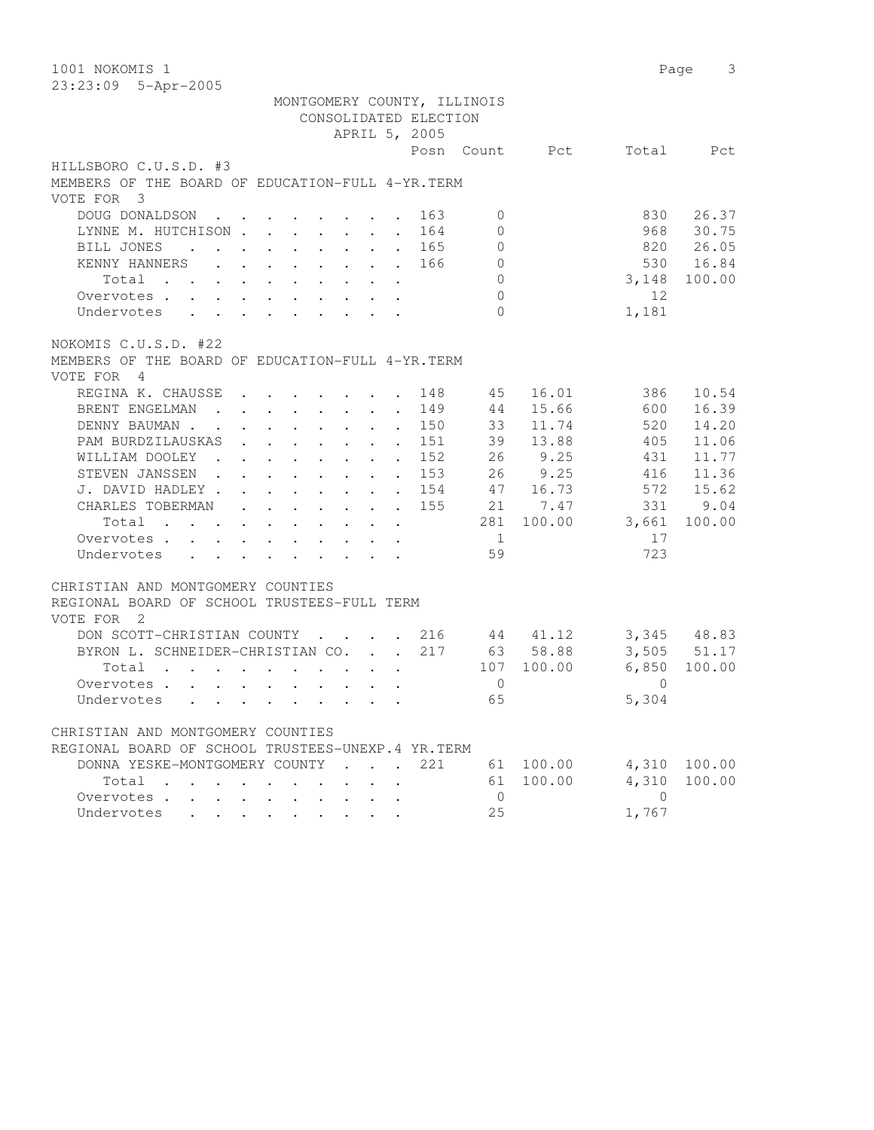| 1001 NOKOMIS 1                                                                                                    |                                                                       |                                                             |                                                           |                                              |                       |                             |                        |            | 3<br>Page   |
|-------------------------------------------------------------------------------------------------------------------|-----------------------------------------------------------------------|-------------------------------------------------------------|-----------------------------------------------------------|----------------------------------------------|-----------------------|-----------------------------|------------------------|------------|-------------|
| 23:23:09 5-Apr-2005                                                                                               |                                                                       |                                                             |                                                           |                                              |                       |                             |                        |            |             |
|                                                                                                                   |                                                                       |                                                             |                                                           |                                              |                       | MONTGOMERY COUNTY, ILLINOIS |                        |            |             |
|                                                                                                                   |                                                                       |                                                             |                                                           |                                              | CONSOLIDATED ELECTION |                             |                        |            |             |
|                                                                                                                   |                                                                       |                                                             |                                                           |                                              | APRIL 5, 2005         |                             |                        |            |             |
|                                                                                                                   |                                                                       |                                                             |                                                           |                                              |                       | Posn Count                  | Pct                    | Total      | Pct         |
| HILLSBORO C.U.S.D. #3                                                                                             |                                                                       |                                                             |                                                           |                                              |                       |                             |                        |            |             |
| MEMBERS OF THE BOARD OF EDUCATION-FULL 4-YR. TERM                                                                 |                                                                       |                                                             |                                                           |                                              |                       |                             |                        |            |             |
| VOTE FOR 3                                                                                                        |                                                                       |                                                             |                                                           |                                              |                       |                             |                        |            |             |
| DOUG DONALDSON<br>$\sim$ $\sim$ $\sim$                                                                            |                                                                       |                                                             |                                                           |                                              | 163                   | $\mathbf{0}$                |                        | 830        | 26.37       |
| LYNNE M. HUTCHISON                                                                                                |                                                                       |                                                             |                                                           | $\ddot{\phantom{a}}$                         | 164                   | $\circ$                     |                        | 968        | 30.75       |
| BILL JONES<br>$\sim$ $\sim$<br>$\ddot{\phantom{0}}$                                                               | $\mathbf{r}$ , and $\mathbf{r}$ , and $\mathbf{r}$ , and $\mathbf{r}$ |                                                             |                                                           |                                              | 165                   | $\circ$                     |                        | 820        | 26.05       |
| KENNY HANNERS                                                                                                     |                                                                       |                                                             |                                                           |                                              | 166<br>$\sim$         | $\circ$                     |                        | 530        | 16.84       |
| $Total$ , , , , , , , , ,                                                                                         |                                                                       |                                                             |                                                           |                                              |                       | $\circ$                     |                        | 3,148      | 100.00      |
| Overvotes                                                                                                         |                                                                       |                                                             |                                                           |                                              |                       | $\Omega$                    |                        | 12         |             |
| Undervotes                                                                                                        |                                                                       |                                                             |                                                           |                                              |                       | $\bigcap$                   |                        | 1,181      |             |
|                                                                                                                   |                                                                       |                                                             |                                                           |                                              |                       |                             |                        |            |             |
| NOKOMIS C.U.S.D. #22                                                                                              |                                                                       |                                                             |                                                           |                                              |                       |                             |                        |            |             |
| MEMBERS OF THE BOARD OF EDUCATION-FULL 4-YR. TERM                                                                 |                                                                       |                                                             |                                                           |                                              |                       |                             |                        |            |             |
| VOTE FOR<br>$\overline{4}$                                                                                        |                                                                       |                                                             |                                                           |                                              |                       |                             |                        |            |             |
| REGINA K. CHAUSSE                                                                                                 | $\cdot$ $\cdot$ $\cdot$ $\cdot$ $\cdot$                               |                                                             |                                                           |                                              | 148                   | 45                          | 16.01                  | 386        | 10.54       |
| BRENT ENGELMAN                                                                                                    | $\cdot$                                                               |                                                             |                                                           | $\ddot{\phantom{a}}$                         | 149                   | 44                          | 15.66                  | 600        | 16.39       |
| DENNY BAUMAN.<br>$\sim$ $\sim$                                                                                    | $\mathbf{r}$ , $\mathbf{r}$ , $\mathbf{r}$ , $\mathbf{r}$             |                                                             |                                                           |                                              | 150                   | 33                          | 11.74                  | 520        | 14.20       |
| PAM BURDZILAUSKAS                                                                                                 | $\cdot$ $\cdot$ $\cdot$ $\cdot$ $\cdot$                               |                                                             |                                                           | $\ddot{\phantom{a}}$<br>$\ddot{\phantom{a}}$ | 151                   | 39                          | 13.88                  | 405        | 11.06       |
| WILLIAM DOOLEY                                                                                                    | $\mathbf{r}$ and $\mathbf{r}$ and $\mathbf{r}$ and $\mathbf{r}$       |                                                             |                                                           | $\ddot{\phantom{0}}$<br>$\bullet$            | 152                   | 26                          | 9.25                   | 431        | 11.77       |
| STEVEN JANSSEN.                                                                                                   | $\mathbf{r}$ , and $\mathbf{r}$ , and $\mathbf{r}$                    |                                                             |                                                           | $\bullet$<br>$\bullet$                       | 153                   |                             | 26 9.25                | 416        | 11.36       |
| J. DAVID HADLEY .                                                                                                 | $\mathbf{L}^{\text{max}}$ , and $\mathbf{L}^{\text{max}}$             | $\bullet$ .<br><br><br><br><br><br><br><br><br><br><br><br> | $\mathbf{L}^{\text{max}}$                                 |                                              | 154                   | 47                          | 16.73                  | 572        | 15.62       |
| CHARLES TOBERMAN<br>$\ddot{\phantom{a}}$                                                                          | $\mathbf{L}^{\text{max}}$                                             |                                                             |                                                           | $\ddot{\phantom{a}}$                         | 155                   |                             | 21 7.47                | 331        | 9.04        |
| Total<br>$\mathbf{L}^{\text{max}}$                                                                                | $\ddot{\phantom{0}}$<br>$\sim$                                        | $\ddot{\phantom{0}}$                                        | $\mathbf{L}^{\text{max}}$                                 |                                              |                       | 281                         | 100.00                 | 3,661      | 100.00      |
| Overvotes                                                                                                         | $\ddot{\phantom{0}}$<br>$\sim$                                        |                                                             | $\mathbf{L}^{\text{max}}$ , and $\mathbf{L}^{\text{max}}$ | $\bullet$ .                                  |                       | $\mathbf{1}$                |                        | 17         |             |
| Undervotes<br>$\mathbf{L}$ $\mathbf{L}$ $\mathbf{L}$                                                              | $\cdot$ $\cdot$ $\cdot$ $\cdot$ $\cdot$ $\cdot$ $\cdot$               |                                                             |                                                           |                                              |                       | 59                          |                        | 723        |             |
|                                                                                                                   |                                                                       |                                                             |                                                           |                                              |                       |                             |                        |            |             |
| CHRISTIAN AND MONTGOMERY COUNTIES                                                                                 |                                                                       |                                                             |                                                           |                                              |                       |                             |                        |            |             |
| REGIONAL BOARD OF SCHOOL TRUSTEES-FULL TERM                                                                       |                                                                       |                                                             |                                                           |                                              |                       |                             |                        |            |             |
| VOTE FOR 2                                                                                                        |                                                                       |                                                             |                                                           |                                              |                       |                             |                        |            |             |
| DON SCOTT-CHRISTIAN COUNTY                                                                                        |                                                                       |                                                             |                                                           |                                              | 216                   |                             | 44 41.12               |            | 3,345 48.83 |
| BYRON L. SCHNEIDER-CHRISTIAN CO.                                                                                  |                                                                       |                                                             |                                                           |                                              | 217<br>$\mathbf{L}$   |                             | 63 58.88               | 3,505      | 51.17       |
| Total<br>and the state of the state of the                                                                        |                                                                       |                                                             |                                                           |                                              |                       | 107                         | 100.00                 | 6,850      | 100.00      |
| Overvotes                                                                                                         |                                                                       |                                                             |                                                           |                                              |                       | $\mathbf{0}$                |                        | $\circ$    |             |
| Undervotes                                                                                                        |                                                                       |                                                             |                                                           |                                              |                       | 65                          |                        | 5,304      |             |
|                                                                                                                   |                                                                       |                                                             |                                                           |                                              |                       |                             |                        |            |             |
| CHRISTIAN AND MONTGOMERY COUNTIES                                                                                 |                                                                       |                                                             |                                                           |                                              |                       |                             |                        |            |             |
| REGIONAL BOARD OF SCHOOL TRUSTEES-UNEXP.4 YR.TERM                                                                 |                                                                       |                                                             |                                                           |                                              |                       |                             |                        |            |             |
| DONNA YESKE-MONTGOMERY COUNTY                                                                                     |                                                                       |                                                             |                                                           |                                              | 221                   |                             |                        | 4,310      | 100.00      |
|                                                                                                                   |                                                                       |                                                             |                                                           | $\sim$ $\sim$ $\sim$ $\sim$                  |                       |                             | 61 100.00<br>61 100.00 | 4,310      |             |
| Total                                                                                                             |                                                                       |                                                             |                                                           |                                              |                       | $\mathbf 0$                 |                        | $\bigcirc$ | 100.00      |
| Overvotes .<br>$\Delta \sim 10^{-11}$<br>$\mathbf{L}^{\text{max}}$<br>$\mathbf{L} = \mathbf{L} \times \mathbf{L}$ |                                                                       |                                                             |                                                           |                                              |                       |                             |                        |            |             |
| Undervotes                                                                                                        |                                                                       |                                                             |                                                           |                                              |                       | 25                          |                        | 1,767      |             |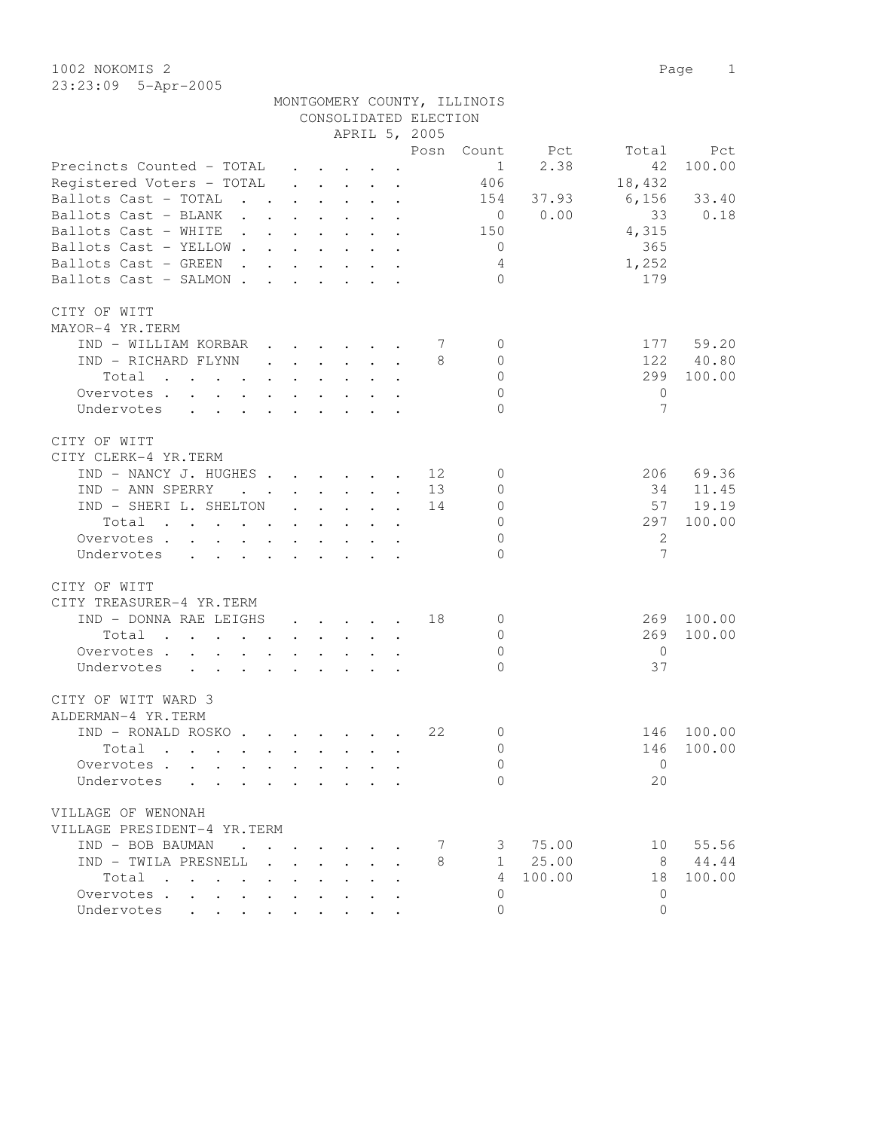| 1002 NOKOMIS 2 |                       | Page |  |
|----------------|-----------------------|------|--|
|                | $23:23:09$ 5-Apr-2005 |      |  |

|                                                                                                                          |                           |              |                                         |                                                                 |                           | CONSOLIDATED ELECTION |                |        |                |        |
|--------------------------------------------------------------------------------------------------------------------------|---------------------------|--------------|-----------------------------------------|-----------------------------------------------------------------|---------------------------|-----------------------|----------------|--------|----------------|--------|
|                                                                                                                          |                           |              |                                         |                                                                 |                           | APRIL 5, 2005         |                |        |                |        |
|                                                                                                                          |                           |              |                                         |                                                                 |                           | Posn                  | Count          | Pct    | Total          | Pct    |
| Precincts Counted - TOTAL                                                                                                |                           |              |                                         | $\cdot$ $\cdot$ $\cdot$ $\cdot$                                 |                           |                       | $\mathbf{1}$   | 2.38   | 42             | 100.00 |
| Registered Voters - TOTAL                                                                                                |                           |              |                                         | $\cdot$ $\cdot$ $\cdot$ $\cdot$ $\cdot$                         |                           |                       | 406            |        | 18,432         |        |
| Ballots Cast - TOTAL<br>$\sim$<br>$\mathbf{L}$                                                                           |                           |              |                                         |                                                                 | $\ddot{\phantom{a}}$      |                       | 154            | 37.93  | 6,156          | 33.40  |
| Ballots Cast - BLANK<br>$\ddot{\phantom{0}}$                                                                             |                           |              |                                         |                                                                 |                           |                       | $\overline{0}$ | 0.00   | 33             | 0.18   |
| Ballots Cast - WHITE<br>$\mathcal{L}^{\text{max}}$<br>$\mathbf{L}$                                                       |                           |              |                                         |                                                                 |                           |                       | 150            |        | 4,315          |        |
| Ballots Cast - YELLOW                                                                                                    |                           |              |                                         |                                                                 |                           |                       | $\overline{0}$ |        | 365            |        |
| Ballots Cast - GREEN                                                                                                     |                           | $\mathbf{L}$ | $\mathbf{L}$                            |                                                                 | $\mathbf{L} = \mathbf{L}$ |                       |                |        |                |        |
| $\sim$ $\sim$                                                                                                            |                           |              |                                         | $\mathbf{r}$ and $\mathbf{r}$ and $\mathbf{r}$ and $\mathbf{r}$ |                           |                       | 4              |        | 1,252          |        |
| Ballots Cast - SALMON .<br><b>Contract Contract</b>                                                                      |                           |              |                                         | $\cdot$ $\cdot$ $\cdot$ $\cdot$ $\cdot$                         |                           |                       | $\Omega$       |        | 179            |        |
|                                                                                                                          |                           |              |                                         |                                                                 |                           |                       |                |        |                |        |
| CITY OF WITT                                                                                                             |                           |              |                                         |                                                                 |                           |                       |                |        |                |        |
| MAYOR-4 YR.TERM                                                                                                          |                           |              |                                         |                                                                 |                           |                       |                |        |                |        |
| IND - WILLIAM KORBAR                                                                                                     |                           |              | $\cdot$ $\cdot$ $\cdot$ $\cdot$ $\cdot$ |                                                                 |                           | 7                     | $\mathbf{0}$   |        | 177            | 59.20  |
| IND - RICHARD FLYNN                                                                                                      |                           |              |                                         | $\cdot$ $\cdot$ $\cdot$ $\cdot$ $\cdot$                         |                           | 8                     | $\mathbf{0}$   |        | 122            | 40.80  |
| Total                                                                                                                    | $\ddot{\phantom{0}}$      |              |                                         |                                                                 |                           |                       | $\mathbf{0}$   |        | 299            | 100.00 |
| Overvotes                                                                                                                | $\mathbf{L} = \mathbf{L}$ |              | $\mathbf{L}$                            |                                                                 |                           |                       | $\circ$        |        | $\circ$        |        |
| Undervotes                                                                                                               |                           |              |                                         |                                                                 |                           |                       | $\Omega$       |        | 7              |        |
|                                                                                                                          |                           |              |                                         |                                                                 |                           |                       |                |        |                |        |
| CITY OF WITT                                                                                                             |                           |              |                                         |                                                                 |                           |                       |                |        |                |        |
| CITY CLERK-4 YR.TERM                                                                                                     |                           |              |                                         |                                                                 |                           |                       |                |        |                |        |
| IND - NANCY J. HUGHES                                                                                                    |                           |              |                                         |                                                                 | $\ddot{\phantom{a}}$      | 12                    | 0              |        | 206            | 69.36  |
| IND - ANN SPERRY<br>$\mathbf{z} = \mathbf{z} + \mathbf{z}$ .                                                             |                           |              | $\cdot$ $\cdot$ $\cdot$ $\cdot$         |                                                                 | $\ddot{\phantom{a}}$      | 13                    | 0              |        | 34             | 11.45  |
| IND - SHERI L. SHELTON                                                                                                   | $\ddot{\phantom{0}}$      |              | $\ddot{\phantom{0}}$                    |                                                                 |                           | 14                    | 0              |        | 57             | 19.19  |
| Total                                                                                                                    | $\sim$                    | $\mathbf{L}$ |                                         |                                                                 |                           |                       | $\circ$        |        | 297            | 100.00 |
| Overvotes .<br>$\sim$ 100 $\pm$<br>$\mathbf{L}$<br>$\mathbf{L}$<br>$\sim$                                                | $\mathbf{L}^{\text{max}}$ |              |                                         |                                                                 |                           |                       | $\mathbf{0}$   |        | $\overline{c}$ |        |
| Undervotes<br>$\mathbf{r}$ , $\mathbf{r}$ , $\mathbf{r}$                                                                 | $\mathbf{L}$              |              | $\mathbf{r} = \mathbf{r}$               | $\mathbf{r}$                                                    |                           |                       | $\Omega$       |        | 7              |        |
|                                                                                                                          |                           |              |                                         |                                                                 |                           |                       |                |        |                |        |
| CITY OF WITT                                                                                                             |                           |              |                                         |                                                                 |                           |                       |                |        |                |        |
| CITY TREASURER-4 YR.TERM                                                                                                 |                           |              |                                         |                                                                 |                           |                       |                |        |                |        |
| IND - DONNA RAE LEIGHS                                                                                                   | $\ddot{\phantom{0}}$      |              |                                         | $\cdot$ $\cdot$ $\cdot$ $\cdot$                                 | $\ddot{\phantom{a}}$      | 18                    | $\mathbf{0}$   |        | 269            | 100.00 |
| Total<br>$\sim$                                                                                                          |                           |              | $\ddot{\phantom{0}}$                    |                                                                 |                           |                       | $\mathbf{0}$   |        | 269            | 100.00 |
| Overvotes .<br>$\cdot$ $\cdot$                                                                                           |                           |              |                                         |                                                                 |                           |                       | $\mathbf{0}$   |        | $\overline{0}$ |        |
| Undervotes<br>$\ddot{\phantom{a}}$<br>$\sim$<br>$\ddot{\phantom{a}}$                                                     |                           |              |                                         |                                                                 |                           |                       | $\bigcap$      |        | 37             |        |
|                                                                                                                          |                           |              |                                         |                                                                 |                           |                       |                |        |                |        |
| CITY OF WITT WARD 3                                                                                                      |                           |              |                                         |                                                                 |                           |                       |                |        |                |        |
| ALDERMAN-4 YR.TERM                                                                                                       |                           |              |                                         |                                                                 |                           |                       |                |        |                |        |
| IND - RONALD ROSKO                                                                                                       |                           |              |                                         |                                                                 |                           | 22                    | 0              |        | 146            | 100.00 |
| Total<br>the contract of the contract of the contract of the contract of the contract of the contract of the contract of |                           |              |                                         |                                                                 |                           |                       | $\Omega$       |        | 146            | 100.00 |
| Overvotes                                                                                                                |                           |              |                                         |                                                                 |                           |                       | 0              |        | $\overline{0}$ |        |
| Undervotes                                                                                                               |                           |              |                                         |                                                                 |                           |                       | $\Omega$       |        | 20             |        |
|                                                                                                                          |                           |              |                                         |                                                                 |                           |                       |                |        |                |        |
| VILLAGE OF WENONAH                                                                                                       |                           |              |                                         |                                                                 |                           |                       |                |        |                |        |
| VILLAGE PRESIDENT-4 YR.TERM                                                                                              |                           |              |                                         |                                                                 |                           |                       |                |        |                |        |
| IND - BOB BAUMAN<br>$\mathbf{r}$ , $\mathbf{r}$ , $\mathbf{r}$ , $\mathbf{r}$                                            |                           |              |                                         |                                                                 |                           | 7                     | 3              | 75.00  | 10             | 55.56  |
| IND - TWILA PRESNELL                                                                                                     |                           |              |                                         |                                                                 |                           | 8                     | $\mathbf{1}$   | 25.00  | - 8            | 44.44  |
| Total                                                                                                                    |                           |              |                                         |                                                                 |                           |                       | 4              | 100.00 | 18             | 100.00 |
|                                                                                                                          |                           |              |                                         |                                                                 |                           |                       | $\Omega$       |        | $\Omega$       |        |
| Overvotes<br>$\bullet$                                                                                                   | $\bullet$                 |              |                                         |                                                                 |                           |                       |                |        |                |        |
| Undervotes                                                                                                               |                           |              |                                         |                                                                 |                           |                       | $\Omega$       |        | $\Omega$       |        |

MONTGOMERY COUNTY, ILLINOIS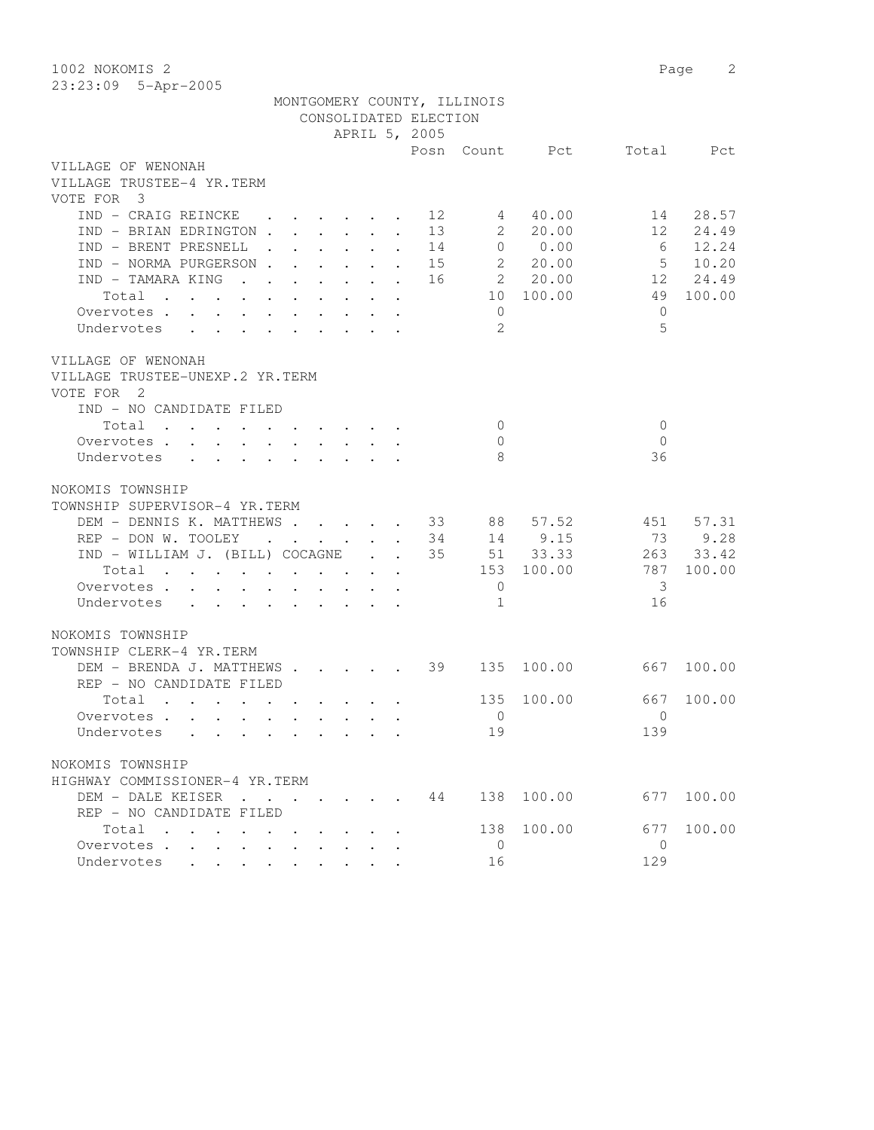1002 NOKOMIS 2 Page 2 23:23:09 5-Apr-2005

|                                        |  |  | MONTGOMERY COUNTY, ILLINOIS |    |                         |                  |                |            |
|----------------------------------------|--|--|-----------------------------|----|-------------------------|------------------|----------------|------------|
|                                        |  |  | CONSOLIDATED ELECTION       |    |                         |                  |                |            |
|                                        |  |  | APRIL 5, 2005               |    |                         |                  |                |            |
|                                        |  |  |                             |    |                         | Posn Count Pct   |                | Total Pct  |
| VILLAGE OF WENONAH                     |  |  |                             |    |                         |                  |                |            |
| VILLAGE TRUSTEE-4 YR.TERM              |  |  |                             |    |                         |                  |                |            |
| VOTE FOR 3                             |  |  |                             |    |                         |                  |                |            |
| IND - CRAIG REINCKE 12                 |  |  |                             |    | 4                       | 40.00            |                | 14 28.57   |
| IND - BRIAN EDRINGTON 13               |  |  |                             |    | $\overline{\mathbf{c}}$ | 20.00            |                | 12 24.49   |
| IND - BRENT PRESNELL                   |  |  |                             | 14 |                         | 0 0.00           | 6              | 12.24      |
| IND - NORMA PURGERSON                  |  |  |                             | 15 |                         | 20.00            | 5              | 10.20      |
| IND - TAMARA KING                      |  |  |                             |    |                         | 16 2 20.00       |                | 12 24.49   |
| Total                                  |  |  |                             |    |                         | 10 100.00        |                | 49 100.00  |
| Overvotes.                             |  |  |                             |    | $\overline{0}$          |                  | $\Omega$       |            |
| Undervotes                             |  |  |                             |    | 2                       |                  | $\overline{5}$ |            |
| VILLAGE OF WENONAH                     |  |  |                             |    |                         |                  |                |            |
| VILLAGE TRUSTEE-UNEXP.2 YR.TERM        |  |  |                             |    |                         |                  |                |            |
| VOTE FOR 2                             |  |  |                             |    |                         |                  |                |            |
| IND - NO CANDIDATE FILED               |  |  |                             |    |                         |                  |                |            |
| Total                                  |  |  |                             |    | $\overline{0}$          |                  | $\mathbf{0}$   |            |
| Overvotes.                             |  |  |                             |    | $\overline{0}$          |                  | $\Omega$       |            |
| Undervotes                             |  |  |                             |    | - 8                     |                  | 36             |            |
|                                        |  |  |                             |    |                         |                  |                |            |
| NOKOMIS TOWNSHIP                       |  |  |                             |    |                         |                  |                |            |
| TOWNSHIP SUPERVISOR-4 YR.TERM          |  |  |                             |    |                         |                  |                |            |
| DEM - DENNIS K. MATTHEWS 33 88 57.52   |  |  |                             |    |                         |                  |                | 451 57.31  |
| REP - DON W. TOOLEY                    |  |  |                             | 34 |                         | 14 9.15          | 73             | 9.28       |
| IND - WILLIAM J. (BILL) COCAGNE        |  |  |                             | 35 |                         | $51 \quad 33.33$ |                | 263 33.42  |
| Total                                  |  |  |                             |    |                         | 153 100.00       | 787            | 100.00     |
| Overvotes                              |  |  |                             |    | $\overline{0}$          |                  | -3             |            |
| Undervotes                             |  |  |                             |    | 1                       |                  | 16             |            |
|                                        |  |  |                             |    |                         |                  |                |            |
| NOKOMIS TOWNSHIP                       |  |  |                             |    |                         |                  |                |            |
| TOWNSHIP CLERK-4 YR.TERM               |  |  |                             |    |                         |                  |                |            |
| DEM - BRENDA J. MATTHEWS 39 135 100.00 |  |  |                             |    |                         |                  |                | 667 100.00 |
| REP - NO CANDIDATE FILED               |  |  |                             |    |                         |                  |                |            |
| Total                                  |  |  |                             |    | 135                     | 100.00           | 667            | 100.00     |
| Overvotes.                             |  |  |                             |    | $\mathbf{0}$            |                  | $\Omega$       |            |
| Undervotes                             |  |  |                             |    | 19                      |                  | 139            |            |
| NOKOMIS TOWNSHIP                       |  |  |                             |    |                         |                  |                |            |
| HIGHWAY COMMISSIONER-4 YR.TERM         |  |  |                             |    |                         |                  |                |            |
| DEM - DALE KEISER                      |  |  |                             | 44 |                         | 138 100.00       |                | 677 100.00 |
| REP - NO CANDIDATE FILED               |  |  |                             |    |                         |                  |                |            |
| Total                                  |  |  |                             |    | 138                     | 100.00           | 677            | 100.00     |
| Overvotes<br>$\mathbf{L}$              |  |  |                             |    | $\overline{0}$          |                  | $\bigcirc$     |            |
| Undervotes                             |  |  |                             |    | 16                      |                  | 129            |            |
|                                        |  |  |                             |    |                         |                  |                |            |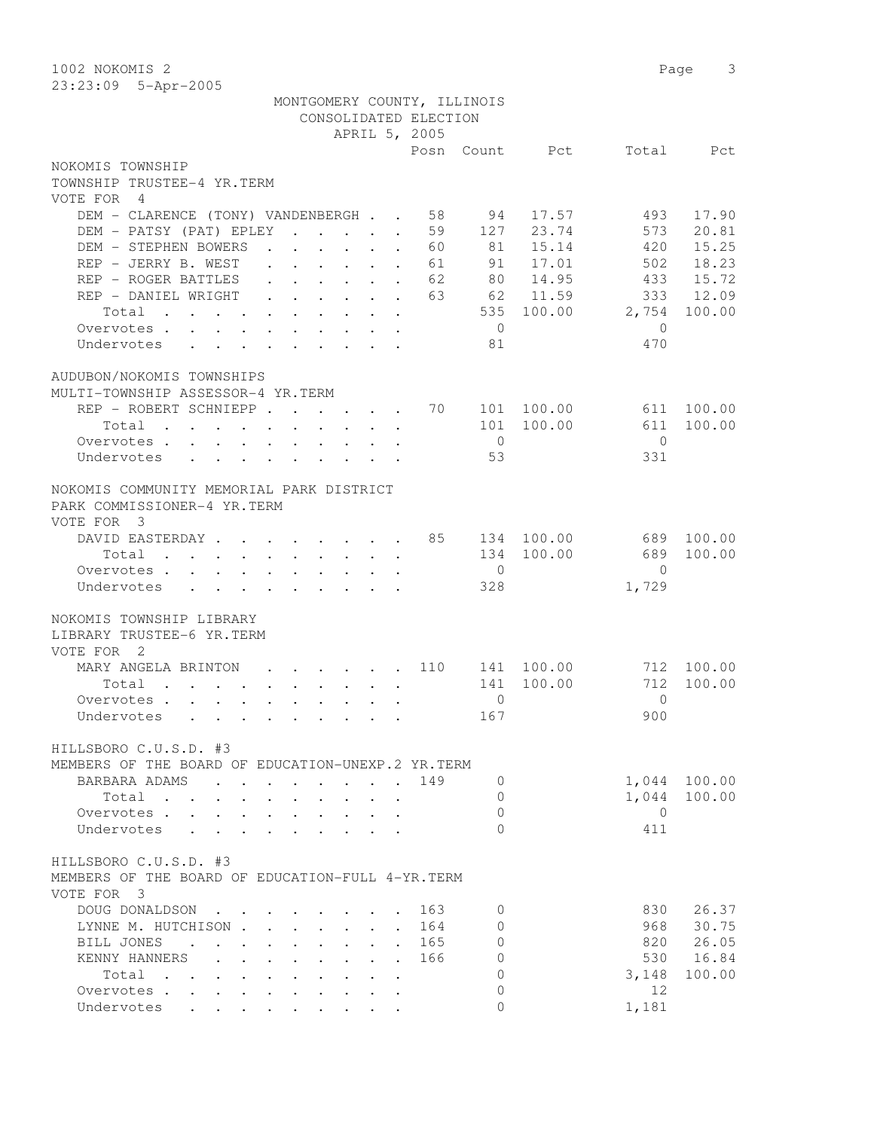| 1002 NOKOMIS 2                                                             |                                                                                                                 |                                         |            | 3<br>Page       |
|----------------------------------------------------------------------------|-----------------------------------------------------------------------------------------------------------------|-----------------------------------------|------------|-----------------|
| 23:23:09 5-Apr-2005                                                        |                                                                                                                 |                                         |            |                 |
|                                                                            | MONTGOMERY COUNTY, ILLINOIS                                                                                     |                                         |            |                 |
|                                                                            | CONSOLIDATED ELECTION                                                                                           |                                         |            |                 |
|                                                                            | APRIL 5, 2005                                                                                                   |                                         |            |                 |
|                                                                            |                                                                                                                 | Posn<br>Count                           | Pct        | Total<br>Pct    |
| NOKOMIS TOWNSHIP                                                           |                                                                                                                 |                                         |            |                 |
| TOWNSHIP TRUSTEE-4 YR.TERM                                                 |                                                                                                                 |                                         |            |                 |
| VOTE FOR 4                                                                 |                                                                                                                 |                                         |            |                 |
| DEM - CLARENCE (TONY) VANDENBERGH                                          |                                                                                                                 | 58<br>94                                | 17.57      | 493<br>17.90    |
| DEM - PATSY (PAT) EPLEY                                                    |                                                                                                                 | 59<br>127<br>$\ddot{\phantom{a}}$       | 23.74      | 20.81<br>573    |
| DEM - STEPHEN BOWERS                                                       | $\cdot$ $\cdot$ $\cdot$ $\cdot$ $\cdot$ $\cdot$ $\cdot$                                                         | 81<br>60                                | 15.14      | 15.25<br>420    |
| REP - JERRY B. WEST                                                        | $\cdot$ $\cdot$ $\cdot$ $\cdot$ $\cdot$ $\cdot$ $\cdot$                                                         | 91<br>61                                | 17.01      | 18.23<br>502    |
| REP - ROGER BATTLES                                                        | $\begin{array}{cccccccccccccc} . & . & . & . & . & . & . & . & . \end{array}$                                   | 62<br>80                                | 14.95      | 15.72<br>433    |
| REP - DANIEL WRIGHT                                                        | $\mathbf{r}$ , $\mathbf{r}$ , $\mathbf{r}$ , $\mathbf{r}$ , $\mathbf{r}$                                        | 63<br>62                                | 11.59      | 333<br>12.09    |
| Total                                                                      |                                                                                                                 | 535                                     | 100.00     | 2,754<br>100.00 |
| Overvotes .<br>$\sim$                                                      |                                                                                                                 | $\overline{0}$                          |            | $\mathbf{0}$    |
| Undervotes<br>$\ddot{\phantom{0}}$                                         |                                                                                                                 | 81<br>$\ddot{\phantom{a}}$              |            | 470             |
|                                                                            |                                                                                                                 |                                         |            |                 |
| AUDUBON/NOKOMIS TOWNSHIPS                                                  |                                                                                                                 |                                         |            |                 |
| MULTI-TOWNSHIP ASSESSOR-4 YR.TERM                                          |                                                                                                                 |                                         |            |                 |
| REP - ROBERT SCHNIEPP                                                      |                                                                                                                 | 70<br>101                               | 100.00     | 100.00<br>611   |
| Total                                                                      |                                                                                                                 | 101                                     | 100.00     | 611<br>100.00   |
| Overvotes                                                                  |                                                                                                                 | $\overline{0}$<br>53                    |            | $\Omega$<br>331 |
| Undervotes<br>$\ddot{\phantom{0}}$                                         |                                                                                                                 |                                         |            |                 |
| NOKOMIS COMMUNITY MEMORIAL PARK DISTRICT                                   |                                                                                                                 |                                         |            |                 |
| PARK COMMISSIONER-4 YR.TERM                                                |                                                                                                                 |                                         |            |                 |
| VOTE FOR 3                                                                 |                                                                                                                 |                                         |            |                 |
| DAVID EASTERDAY                                                            |                                                                                                                 | 85                                      | 134 100.00 | 689<br>100.00   |
| Total                                                                      | the contract of the contract of the contract of the contract of the contract of the contract of the contract of | 134                                     | 100.00     | 689<br>100.00   |
| Overvotes                                                                  |                                                                                                                 | $\overline{0}$                          |            | $\Omega$        |
| Undervotes                                                                 |                                                                                                                 | 328                                     |            | 1,729           |
|                                                                            |                                                                                                                 |                                         |            |                 |
| NOKOMIS TOWNSHIP LIBRARY                                                   |                                                                                                                 |                                         |            |                 |
| LIBRARY TRUSTEE-6 YR.TERM                                                  |                                                                                                                 |                                         |            |                 |
| VOTE FOR 2                                                                 |                                                                                                                 |                                         |            |                 |
| MARY ANGELA BRINTON                                                        |                                                                                                                 | 110<br>141                              | 100.00     | 712<br>100.00   |
| Total                                                                      | $\mathbf{r}$ , and $\mathbf{r}$ , and $\mathbf{r}$ , and $\mathbf{r}$ , and $\mathbf{r}$                        | 141                                     | 100.00     | 712<br>100.00   |
| Overvotes                                                                  |                                                                                                                 | 0                                       |            | 0               |
| Undervotes<br>$\mathbf{r}$ , and $\mathbf{r}$ , and $\mathbf{r}$           |                                                                                                                 | 167                                     |            | 900             |
|                                                                            |                                                                                                                 |                                         |            |                 |
| HILLSBORO C.U.S.D. #3                                                      |                                                                                                                 |                                         |            |                 |
| MEMBERS OF THE BOARD OF EDUCATION-UNEXP.2 YR.TERM                          |                                                                                                                 |                                         |            |                 |
| BARBARA ADAMS<br><b>Contract Contract Contract</b><br>$\ddot{\phantom{a}}$ | $\mathbf{L} = \mathbf{L}$                                                                                       | 149<br>0                                |            | 1,044<br>100.00 |
| Total<br>$\ddotsc$                                                         | $\mathcal{L}^{\text{max}}$<br>$\mathbf{L}$<br>$\mathbf{L}$<br>$\mathbf{L}$                                      | $\Omega$<br>$\ddot{\phantom{a}}$        |            | 1,044<br>100.00 |
| Overvotes.                                                                 | $\mathbf{r}$ , $\mathbf{r}$ , $\mathbf{r}$ , $\mathbf{r}$ , $\mathbf{r}$ , $\mathbf{r}$                         | $\Omega$                                |            | 0               |
| Undervotes                                                                 |                                                                                                                 | $\Omega$                                |            | 411             |
|                                                                            |                                                                                                                 |                                         |            |                 |
| HILLSBORO C.U.S.D. #3                                                      |                                                                                                                 |                                         |            |                 |
| MEMBERS OF THE BOARD OF EDUCATION-FULL 4-YR. TERM                          |                                                                                                                 |                                         |            |                 |
| VOTE FOR 3                                                                 |                                                                                                                 |                                         |            |                 |
| DOUG DONALDSON                                                             |                                                                                                                 | 163<br>0                                |            | 830<br>26.37    |
| LYNNE M. HUTCHISON.                                                        | $\mathbf{r} = \mathbf{r}$<br>$\mathbf{L}$<br>$\mathbf{L}$                                                       | $\circ$<br>164                          |            | 30.75<br>968    |
| BILL JONES<br>$\ddot{\phantom{a}}$<br>$\sim$<br>$\ddot{\phantom{0}}$       | $\mathbf{L}$<br>$\mathbf{L} = \mathbf{L} \mathbf{L}$<br>$\mathbf{L}$                                            | $\Omega$<br>165                         |            | 26.05<br>820    |
| KENNY HANNERS<br>$\mathbf{r} = \mathbf{r}$                                 | $\mathbf{r}$<br>$\mathbf{L} = \mathbf{L} \mathbf{L}$                                                            | $\Omega$<br>166<br>$\ddot{\phantom{a}}$ |            | 530<br>16.84    |
| Total<br>$\mathbf{r}$ , $\mathbf{r}$ , $\mathbf{r}$ , $\mathbf{r}$         | $\mathbf{L}$<br>$\mathbf{r} = \mathbf{r}$<br>$\ddot{\phantom{0}}$                                               | $\Omega$                                |            | 100.00<br>3,148 |
| Overvotes                                                                  | $\ddot{\phantom{0}}$<br>$\mathbf{r} = \mathbf{r} + \mathbf{r}$ .<br>$\ddot{\phantom{0}}$                        | $\mathbf{0}$<br>$\ddot{\phantom{a}}$    |            | 12              |
| Undervotes                                                                 |                                                                                                                 | $\Omega$                                |            | 1,181           |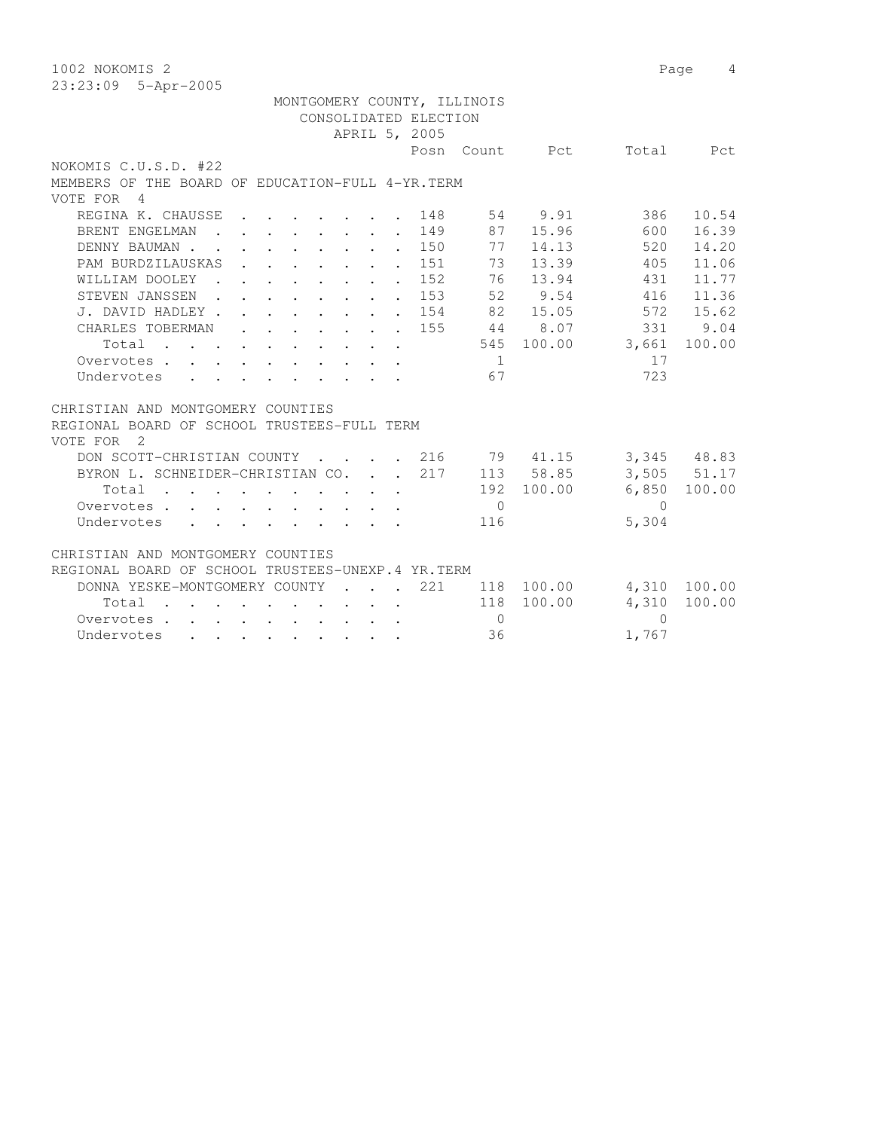| 1002 NOKOMIS 2                                                                                                                                     | Page<br>4                        |
|----------------------------------------------------------------------------------------------------------------------------------------------------|----------------------------------|
| 23:23:09 5-Apr-2005                                                                                                                                |                                  |
| MONTGOMERY COUNTY, ILLINOIS                                                                                                                        |                                  |
| CONSOLIDATED ELECTION                                                                                                                              |                                  |
| APRIL 5, 2005                                                                                                                                      |                                  |
|                                                                                                                                                    | Posn Count Pct<br>Total<br>Pct   |
| NOKOMIS C.U.S.D. #22                                                                                                                               |                                  |
| MEMBERS OF THE BOARD OF EDUCATION-FULL 4-YR. TERM                                                                                                  |                                  |
| VOTE FOR<br>$\overline{4}$                                                                                                                         |                                  |
| REGINA K. CHAUSSE<br>148                                                                                                                           | 54 9.91<br>386<br>10.54          |
| 149<br>BRENT ENGELMAN<br>$\mathbf{r}$ , $\mathbf{r}$ , $\mathbf{r}$ , $\mathbf{r}$<br>$\bullet$                                                    | 16.39<br>87<br>15.96<br>600      |
| . 150<br>DENNY BAUMAN.<br>$\mathbf{r}$ , $\mathbf{r}$ , $\mathbf{r}$ , $\mathbf{r}$<br>$\ddot{\phantom{a}}$                                        | 77<br>520<br>14.13<br>14.20      |
| PAM BURDZILAUSKAS<br>151<br>$\mathbf{r} = \mathbf{r} \times \mathbf{r}$ , where $\mathbf{r} = \mathbf{r} \times \mathbf{r}$                        | 73<br>13.39<br>405<br>11.06      |
| 152<br>WILLIAM DOOLEY.<br>$\mathbf{r}$ , $\mathbf{r}$ , $\mathbf{r}$ , $\mathbf{r}$<br>$\cdot$ $\cdot$                                             | 76<br>13.94<br>431<br>11.77      |
| 153<br>STEVEN JANSSEN.<br>$\cdot$ $\cdot$ $\cdot$ $\cdot$ $\cdot$ $\cdot$ $\cdot$ $\cdot$                                                          | 52 9.54<br>11.36<br>416          |
| J. DAVID HADLEY.<br>154                                                                                                                            | 82 15.05<br>572<br>15.62         |
| 155<br>CHARLES TOBERMAN<br>$\mathbf{r}$ , $\mathbf{r}$ , $\mathbf{r}$ , $\mathbf{r}$ , $\mathbf{r}$                                                | 44 8.07<br>331<br>9.04           |
| Total                                                                                                                                              | 545<br>100.00<br>3,661<br>100.00 |
| Overvotes.                                                                                                                                         | 17<br>$\overline{1}$             |
| Undervotes<br>$\mathbf{L}$ and $\mathbf{L}$<br>$\mathbf{L} = \mathbf{L}$                                                                           | 723<br>67                        |
|                                                                                                                                                    |                                  |
| CHRISTIAN AND MONTGOMERY COUNTIES                                                                                                                  |                                  |
| REGIONAL BOARD OF SCHOOL TRUSTEES-FULL TERM                                                                                                        |                                  |
| $\overline{2}$<br>VOTE FOR                                                                                                                         |                                  |
| DON SCOTT-CHRISTIAN COUNTY<br>216                                                                                                                  | 3,345 48.83<br>79 41.15          |
| BYRON L. SCHNEIDER-CHRISTIAN CO.<br>217                                                                                                            | 3,505 51.17<br>113 58.85         |
| Total<br>$\cdot$                                                                                                                                   | 100.00<br>6,850<br>100.00<br>192 |
| Overvotes.                                                                                                                                         | $\bigcirc$<br>$\Omega$           |
| Undervotes                                                                                                                                         | 5,304<br>116                     |
| CHRISTIAN AND MONTGOMERY COUNTIES                                                                                                                  |                                  |
| REGIONAL BOARD OF SCHOOL TRUSTEES-UNEXP.4 YR.TERM                                                                                                  |                                  |
| DONNA YESKE-MONTGOMERY COUNTY<br>221<br>$\sim$ $\sim$ $\sim$ $\sim$ $\sim$                                                                         | 118 100.00<br>4,310<br>100.00    |
| Total<br>the contract of the contract of the contract of the contract of the contract of the contract of the contract of<br>$\sim$<br>$\mathbf{r}$ | 100.00<br>4,310<br>118<br>100.00 |
| Overvotes                                                                                                                                          | $\Omega$<br>$\Omega$             |
| Undervotes<br>$\ddot{\phantom{0}}$<br>$\ddot{\phantom{0}}$<br>$\ddot{\phantom{0}}$<br>$\bullet$                                                    | 36<br>1,767                      |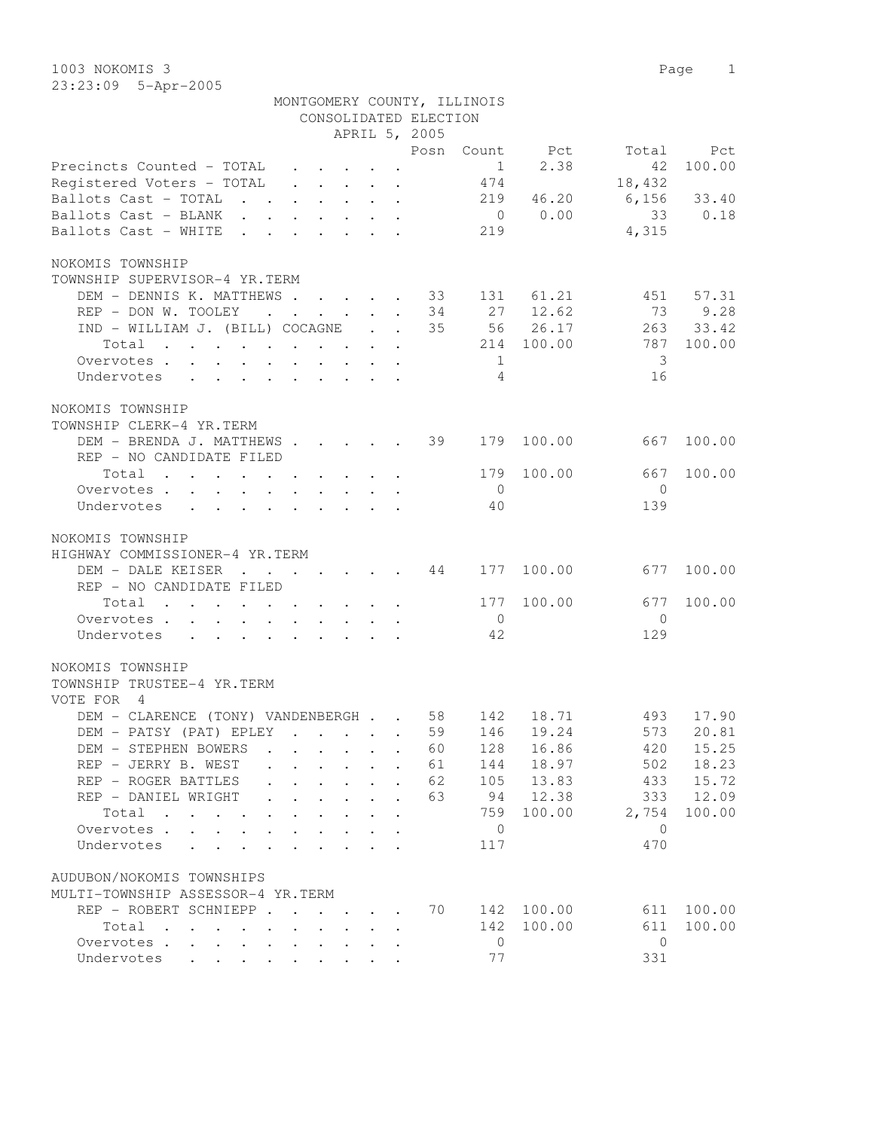|                                                                                        |                                                                                                                                                                                                                                   |                              |                                                                  |                            | MONTGOMERY COUNTY, ILLINOIS |                  |                |                  |
|----------------------------------------------------------------------------------------|-----------------------------------------------------------------------------------------------------------------------------------------------------------------------------------------------------------------------------------|------------------------------|------------------------------------------------------------------|----------------------------|-----------------------------|------------------|----------------|------------------|
|                                                                                        |                                                                                                                                                                                                                                   |                              |                                                                  | CONSOLIDATED ELECTION      |                             |                  |                |                  |
|                                                                                        |                                                                                                                                                                                                                                   |                              |                                                                  | APRIL 5, 2005              |                             |                  |                |                  |
|                                                                                        |                                                                                                                                                                                                                                   |                              |                                                                  | Posn                       |                             | Count Pct        | Total          | Pct              |
| Precincts Counted - TOTAL                                                              |                                                                                                                                                                                                                                   |                              | $\mathbf{r} = \mathbf{r} + \mathbf{r} + \mathbf{r} + \mathbf{r}$ |                            | 1                           | 2.38             | 42             | 100.00           |
| Registered Voters - TOTAL                                                              |                                                                                                                                                                                                                                   |                              | $\mathbf{r}$ , and $\mathbf{r}$ , and $\mathbf{r}$               |                            | 474                         |                  | 18,432         |                  |
| Ballots Cast - TOTAL                                                                   |                                                                                                                                                                                                                                   |                              |                                                                  |                            | 219                         | 46.20            | 6,156          | 33.40            |
| Ballots Cast - BLANK                                                                   |                                                                                                                                                                                                                                   |                              |                                                                  |                            | $\overline{0}$              | 0.00             | 33             | 0.18             |
| Ballots Cast - WHITE                                                                   | $\mathbf{r}$ . The set of the set of the set of the set of the set of the set of the set of the set of the set of the set of the set of the set of the set of the set of the set of the set of the set of the set of the set of t |                              |                                                                  |                            | 219                         |                  | 4,315          |                  |
| NOKOMIS TOWNSHIP                                                                       |                                                                                                                                                                                                                                   |                              |                                                                  |                            |                             |                  |                |                  |
| TOWNSHIP SUPERVISOR-4 YR.TERM                                                          |                                                                                                                                                                                                                                   |                              |                                                                  |                            |                             |                  |                |                  |
| DEM - DENNIS K. MATTHEWS 33                                                            |                                                                                                                                                                                                                                   |                              |                                                                  |                            |                             | 131 61.21        | 451            | 57.31            |
| REP - DON W. TOOLEY                                                                    |                                                                                                                                                                                                                                   |                              |                                                                  | 34<br>$\ddot{\phantom{0}}$ |                             | 27 12.62         | 73             | 9.28             |
| IND - WILLIAM J. (BILL) COCAGNE                                                        |                                                                                                                                                                                                                                   |                              |                                                                  | 35                         |                             | 56 26.17         | 263            | 33.42            |
| Total                                                                                  |                                                                                                                                                                                                                                   |                              |                                                                  |                            | 214                         | 100.00           | 787            | 100.00           |
| Overvotes                                                                              |                                                                                                                                                                                                                                   |                              |                                                                  |                            | 1                           |                  | 3              |                  |
| Undervotes<br>$\mathbf{r}$ , and $\mathbf{r}$ , and $\mathbf{r}$ , and $\mathbf{r}$    |                                                                                                                                                                                                                                   |                              |                                                                  |                            | $\overline{4}$              |                  | 16             |                  |
| NOKOMIS TOWNSHIP                                                                       |                                                                                                                                                                                                                                   |                              |                                                                  |                            |                             |                  |                |                  |
| TOWNSHIP CLERK-4 YR.TERM                                                               |                                                                                                                                                                                                                                   |                              |                                                                  |                            |                             |                  |                |                  |
| DEM - BRENDA J. MATTHEWS                                                               |                                                                                                                                                                                                                                   |                              |                                                                  | 39                         | 179                         | 100.00           | 667            | 100.00           |
| REP - NO CANDIDATE FILED                                                               |                                                                                                                                                                                                                                   |                              |                                                                  |                            |                             |                  |                |                  |
| Total                                                                                  |                                                                                                                                                                                                                                   |                              |                                                                  |                            | 179                         | 100.00           | 667            | 100.00           |
| Overvotes.                                                                             |                                                                                                                                                                                                                                   |                              |                                                                  |                            | $\overline{0}$              |                  | $\overline{0}$ |                  |
| Undervotes<br>$\cdot$ $\cdot$ $\cdot$ $\cdot$ $\cdot$ $\cdot$ $\cdot$<br>$\sim$ $\sim$ |                                                                                                                                                                                                                                   |                              |                                                                  |                            | 40                          |                  | 139            |                  |
|                                                                                        |                                                                                                                                                                                                                                   |                              |                                                                  |                            |                             |                  |                |                  |
| NOKOMIS TOWNSHIP                                                                       |                                                                                                                                                                                                                                   |                              |                                                                  |                            |                             |                  |                |                  |
| HIGHWAY COMMISSIONER-4 YR.TERM                                                         |                                                                                                                                                                                                                                   |                              |                                                                  |                            |                             |                  |                |                  |
| DEM - DALE KEISER                                                                      | $\mathbf{r}$ , $\mathbf{r}$ , $\mathbf{r}$ , $\mathbf{r}$ , $\mathbf{r}$ , $\mathbf{r}$                                                                                                                                           |                              |                                                                  | 44                         | 177                         | 100.00           | 677            | 100.00           |
| REP - NO CANDIDATE FILED                                                               |                                                                                                                                                                                                                                   |                              |                                                                  |                            |                             |                  |                |                  |
| Total                                                                                  |                                                                                                                                                                                                                                   |                              |                                                                  |                            | 177                         | 100.00           | 677            | 100.00           |
| Overvotes.                                                                             |                                                                                                                                                                                                                                   |                              |                                                                  |                            | $\overline{0}$              |                  | $\mathbf{0}$   |                  |
| Undervotes                                                                             |                                                                                                                                                                                                                                   |                              |                                                                  |                            | 42                          |                  | 129            |                  |
| NOKOMIS TOWNSHIP                                                                       |                                                                                                                                                                                                                                   |                              |                                                                  |                            |                             |                  |                |                  |
| TOWNSHIP TRUSTEE-4 YR.TERM                                                             |                                                                                                                                                                                                                                   |                              |                                                                  |                            |                             |                  |                |                  |
| VOTE FOR<br>$\overline{4}$                                                             |                                                                                                                                                                                                                                   |                              |                                                                  |                            |                             |                  |                |                  |
| DEM - CLARENCE (TONY) VANDENBERGH 58                                                   |                                                                                                                                                                                                                                   |                              |                                                                  |                            | 142                         | 18.71            | 493            | 17.90            |
| DEM - PATSY (PAT) EPLEY                                                                |                                                                                                                                                                                                                                   |                              |                                                                  | 59                         | 146                         | 19.24            | 573            | 20.81            |
| DEM - STEPHEN BOWERS                                                                   |                                                                                                                                                                                                                                   |                              |                                                                  | 60                         | 128                         | 16.86            | 420            | 15.25            |
| REP - JERRY B. WEST                                                                    |                                                                                                                                                                                                                                   |                              |                                                                  | 61                         | 144                         | 18.97            | 502            | 18.23            |
| REP - ROGER BATTLES                                                                    |                                                                                                                                                                                                                                   |                              |                                                                  | 62                         | 105                         | 13.83            | 433            | 15.72            |
| REP - DANIEL WRIGHT                                                                    |                                                                                                                                                                                                                                   | $\ddot{\phantom{0}}$         |                                                                  | 63                         | 94                          | 12.38            | 333            | 12.09            |
| Total                                                                                  | $\mathbf{L}$<br>$\mathbf{A}$                                                                                                                                                                                                      |                              |                                                                  |                            | 759                         | 100.00           | 2,754          | 100.00           |
| Overvotes .<br><b><i>Committee State State State</i></b>                               | $\ddot{\phantom{a}}$<br>$\ddot{\phantom{a}}$                                                                                                                                                                                      | $\mathbf{L}$<br>$\mathbf{L}$ | $\mathbf{r}$                                                     |                            | $\mathbf 0$                 |                  | $\Omega$       |                  |
| Undervotes<br>$\ddot{\phantom{a}}$<br>$\sim$ $\sim$ $\sim$ $\sim$                      | $\mathbf{r}$                                                                                                                                                                                                                      |                              |                                                                  |                            | 117                         |                  | 470            |                  |
|                                                                                        |                                                                                                                                                                                                                                   |                              |                                                                  |                            |                             |                  |                |                  |
| AUDUBON/NOKOMIS TOWNSHIPS<br>MULTI-TOWNSHIP ASSESSOR-4 YR.TERM                         |                                                                                                                                                                                                                                   |                              |                                                                  |                            |                             |                  |                |                  |
|                                                                                        |                                                                                                                                                                                                                                   |                              |                                                                  | 70                         |                             |                  |                |                  |
| REP - ROBERT SCHNIEPP.<br>Total                                                        | $\ddot{\phantom{a}}$                                                                                                                                                                                                              |                              | $\cdot$ $\cdot$ $\cdot$ $\cdot$ $\cdot$                          |                            | 142<br>142                  | 100.00<br>100.00 | 611<br>611     | 100.00<br>100.00 |
| Overvotes<br>$\ddot{\phantom{0}}$                                                      | $\ddot{\phantom{a}}$                                                                                                                                                                                                              |                              |                                                                  |                            | $\mathbf 0$                 |                  | $\overline{0}$ |                  |
| Undervotes                                                                             |                                                                                                                                                                                                                                   |                              |                                                                  |                            | 77                          |                  | 331            |                  |
|                                                                                        |                                                                                                                                                                                                                                   |                              |                                                                  |                            |                             |                  |                |                  |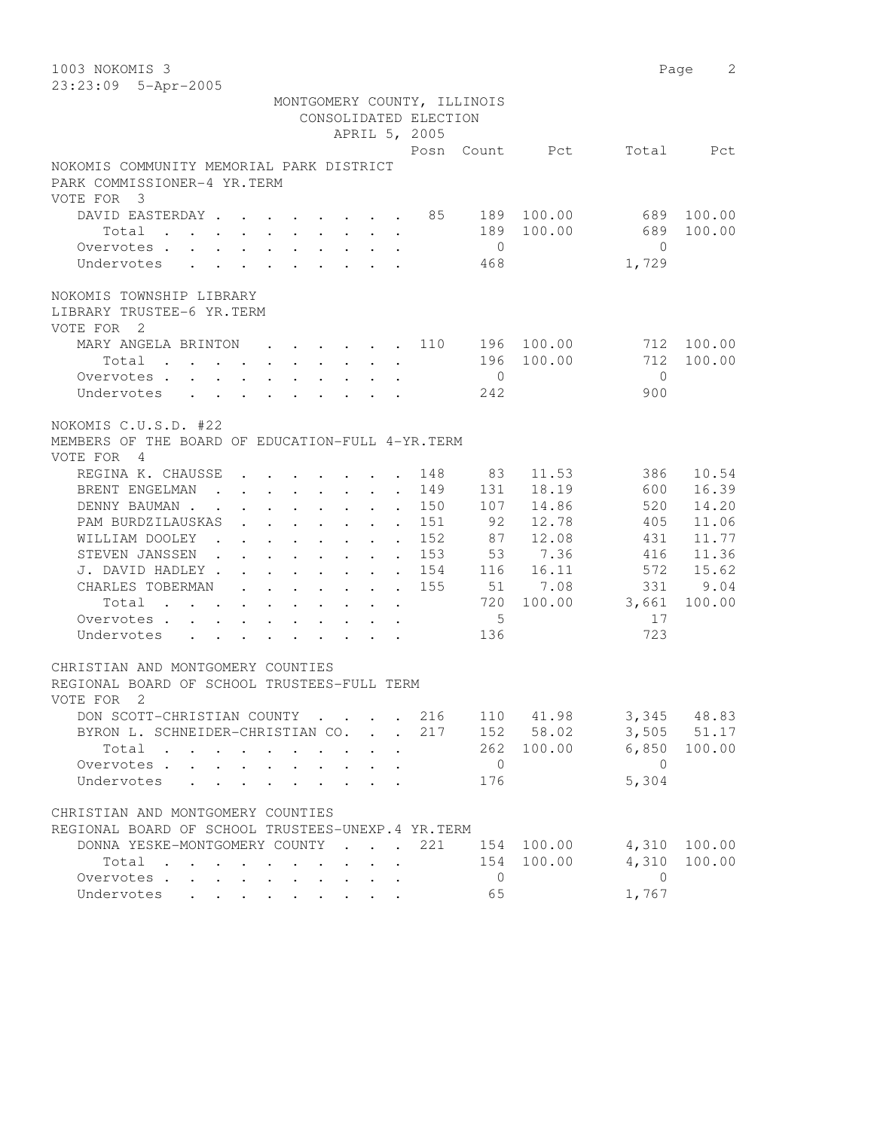1003 NOKOMIS 3 Page 2 23:23:09 5-Apr-2005 MONTGOMERY COUNTY, ILLINOIS CONSOLIDATED ELECTION APRIL 5, 2005 Posn Count Pct Total Pct NOKOMIS COMMUNITY MEMORIAL PARK DISTRICT PARK COMMISSIONER-4 YR.TERM VOTE FOR 3 DAVID EASTERDAY . . . . . . . . 85 189 100.00 689 100.00 Total . . . . . . . . . . 189 100.00 689 100.00 Overvotes . . . . . . . . . . 0 0 Undervotes . . . . . . . . . 468 1,729 NOKOMIS TOWNSHIP LIBRARY LIBRARY TRUSTEE-6 YR.TERM VOTE FOR 2 MARY ANGELA BRINTON . . . . . . 110 196 100.00 712 100.00 Total . . . . . . . . . . 196 100.00 712 100.00 Overvotes . . . . . . . . . . 0 0 Undervotes . . . . . . . . 242 900 NOKOMIS C.U.S.D. #22 MEMBERS OF THE BOARD OF EDUCATION-FULL 4-YR.TERM VOTE FOR 4 REGINA K. CHAUSSE . . . . . . . 148 83 11.53 386 10.54 BRENT ENGELMAN . . . . . . . . 149 131 18.19 600 16.39 DENNY BAUMAN . . . . . . . . . 150 107 14.86 520 14.20 PAM BURDZILAUSKAS . . . . . . 151 92 12.78 405 11.06 WILLIAM DOOLEY . . . . . . . . 152 87 12.08 431 11.77 STEVEN JANSSEN . . . . . . . . 153 53 7.36 416 11.36 J. DAVID HADLEY . . . . . . . . 154 116 16.11 572 15.62 CHARLES TOBERMAN . . . . . . . 155 51 7.08 331 9.04 Total . . . . . . . . . . 720 100.00 3,661 100.00 Overvotes . . . . . . . . . . . . 5 17 Undervotes . . . . . . . . 136 723 CHRISTIAN AND MONTGOMERY COUNTIES REGIONAL BOARD OF SCHOOL TRUSTEES-FULL TERM VOTE FOR 2 DON SCOTT-CHRISTIAN COUNTY . . . . 216 110 41.98 3,345 48.83 BYRON L. SCHNEIDER-CHRISTIAN CO. . . 217 152 58.02 3,505 51.17 Total . . . . . . . . . . 262 100.00 6,850 100.00 Overvotes . . . . . . . . . . 0 0 Undervotes . . . . . . . . . 176 5,304 CHRISTIAN AND MONTGOMERY COUNTIES REGIONAL BOARD OF SCHOOL TRUSTEES-UNEXP.4 YR.TERM DONNA YESKE-MONTGOMERY COUNTY . . . 221 154 100.00 4,310 100.00 Total . . . . . . . . . . 154 100.00 4,310 100.00 Overvotes . . . . . . . . . . 0 0 Undervotes . . . . . . . . . 65 1,767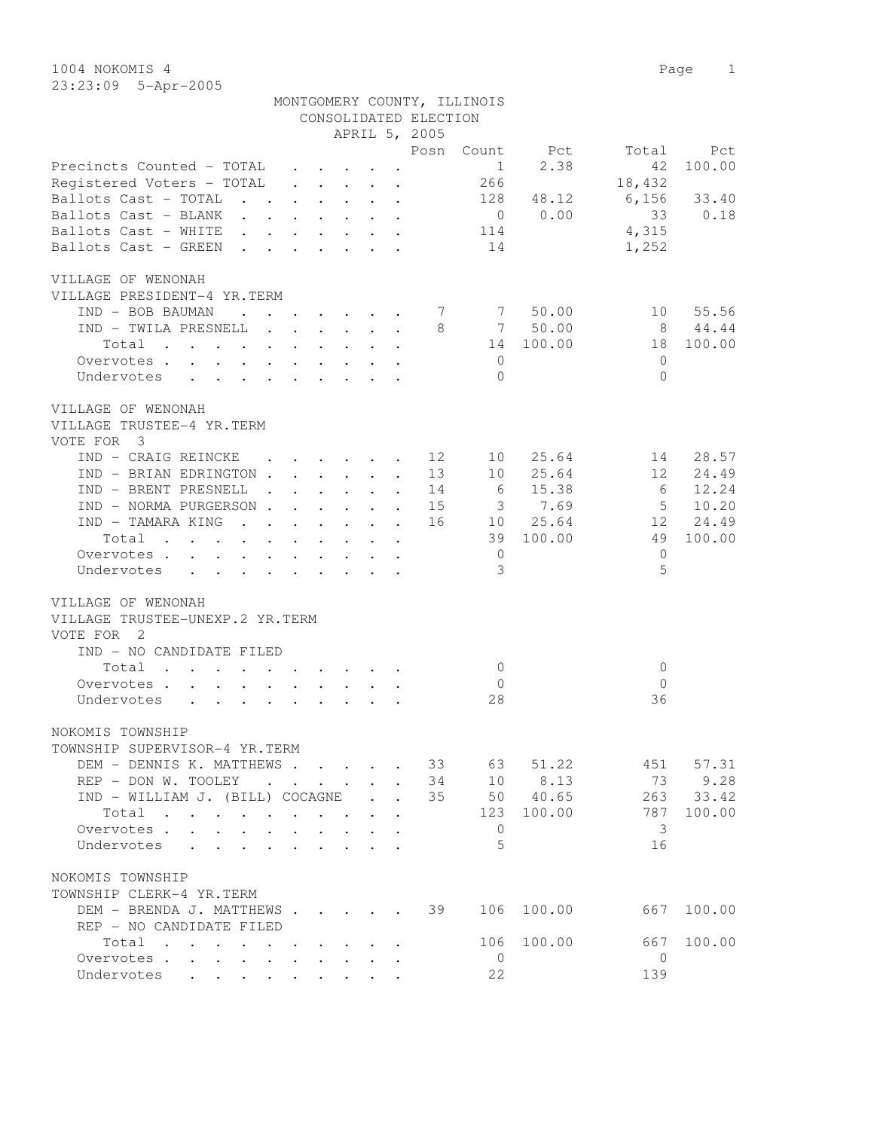1004 NOKOMIS 4 Page 1 23:23:09 5-Apr-2005

|                                                                                                                                                                                                                                                    |  |                                                         |                      |                      | CONSOLIDATED ELECTION | MONTGOMERY COUNTY, ILLINOIS |             |               |           |
|----------------------------------------------------------------------------------------------------------------------------------------------------------------------------------------------------------------------------------------------------|--|---------------------------------------------------------|----------------------|----------------------|-----------------------|-----------------------------|-------------|---------------|-----------|
|                                                                                                                                                                                                                                                    |  |                                                         |                      |                      | APRIL 5, 2005         |                             |             |               |           |
|                                                                                                                                                                                                                                                    |  |                                                         |                      |                      | Posn                  |                             | Count Pct   | Total         | Pct       |
| Precincts Counted - TOTAL                                                                                                                                                                                                                          |  | $\mathbf{r} = \mathbf{r} \cdot \mathbf{r}$              |                      |                      |                       | 1                           | 2.38        | 42            | 100.00    |
| Registered Voters - TOTAL                                                                                                                                                                                                                          |  |                                                         |                      |                      |                       | 266                         |             | 18,432        |           |
| Ballots Cast - TOTAL                                                                                                                                                                                                                               |  |                                                         |                      |                      |                       |                             | 128 48.12   | $6,156$ 33.40 |           |
| Ballots Cast - BLANK                                                                                                                                                                                                                               |  |                                                         |                      |                      |                       |                             | $0 \t 0.00$ | 33            | 0.18      |
| Ballots Cast - WHITE                                                                                                                                                                                                                               |  |                                                         |                      |                      |                       | 114                         |             | 4,315         |           |
| Ballots Cast - GREEN                                                                                                                                                                                                                               |  |                                                         |                      |                      |                       | 14                          |             | 1,252         |           |
| VILLAGE OF WENONAH<br>VILLAGE PRESIDENT-4 YR.TERM                                                                                                                                                                                                  |  |                                                         |                      |                      |                       |                             |             |               |           |
| IND - BOB BAUMAN<br>and the contract of the contract of the contract of the contract of the contract of the contract of the contract of the contract of the contract of the contract of the contract of the contract of the contract of the contra |  |                                                         |                      |                      | 7                     |                             | 7 50.00     |               | 10 55.56  |
| IND - TWILA PRESNELL                                                                                                                                                                                                                               |  |                                                         |                      |                      | 8                     |                             | 7 50.00     | 8 44.44       |           |
| Total                                                                                                                                                                                                                                              |  |                                                         |                      |                      |                       |                             | 14 100.00   |               | 18 100.00 |
| Overvotes.                                                                                                                                                                                                                                         |  |                                                         |                      |                      |                       | $\overline{0}$              |             | $\Omega$      |           |
| Undervotes                                                                                                                                                                                                                                         |  |                                                         |                      |                      |                       | $\Omega$                    |             | $\Omega$      |           |
| VILLAGE OF WENONAH<br>VILLAGE TRUSTEE-4 YR.TERM<br>VOTE FOR 3                                                                                                                                                                                      |  |                                                         |                      |                      |                       |                             |             |               |           |
| IND - CRAIG REINCKE                                                                                                                                                                                                                                |  | $\cdot$ $\cdot$ $\cdot$ $\cdot$ $\cdot$ $\cdot$ $\cdot$ |                      |                      |                       | 12<br>10                    | 25.64       | 14            | 28.57     |
| IND - BRIAN EDRINGTON 13                                                                                                                                                                                                                           |  |                                                         |                      |                      |                       |                             | 10 25.64    | 12            | 24.49     |
| IND - BRENT PRESNELL                                                                                                                                                                                                                               |  |                                                         |                      |                      |                       | 14 6                        | 15.38       | 6             | 12.24     |
| IND - NORMA PURGERSON 15 3 7.69                                                                                                                                                                                                                    |  |                                                         |                      |                      |                       |                             |             | $5^{\circ}$   | 10.20     |
| IND - TAMARA KING                                                                                                                                                                                                                                  |  |                                                         |                      |                      |                       |                             | 16 10 25.64 |               | 12 24.49  |
| Total                                                                                                                                                                                                                                              |  |                                                         |                      |                      |                       |                             | 39 100.00   | 49            | 100.00    |
| Overvotes                                                                                                                                                                                                                                          |  |                                                         |                      |                      |                       | $\overline{0}$              |             | $\mathbf{0}$  |           |
| Undervotes<br>$\cdot$ $\cdot$ $\cdot$ $\cdot$ $\cdot$                                                                                                                                                                                              |  |                                                         |                      |                      |                       | 3                           |             | 5             |           |
|                                                                                                                                                                                                                                                    |  |                                                         |                      |                      |                       |                             |             |               |           |
| VILLAGE OF WENONAH<br>VILLAGE TRUSTEE-UNEXP.2 YR.TERM<br>VOTE FOR 2<br>IND - NO CANDIDATE FILED                                                                                                                                                    |  |                                                         |                      |                      |                       |                             |             |               |           |
| Total                                                                                                                                                                                                                                              |  |                                                         |                      |                      |                       | $\overline{0}$              |             | 0             |           |
| Overvotes                                                                                                                                                                                                                                          |  |                                                         |                      |                      |                       | $\circ$                     |             | $\mathbf{0}$  |           |
| Undervotes                                                                                                                                                                                                                                         |  |                                                         |                      |                      |                       | 28                          |             | 36            |           |
| NOKOMIS TOWNSHIP<br>TOWNSHIP SUPERVISOR-4 YR.TERM                                                                                                                                                                                                  |  |                                                         |                      |                      |                       |                             |             |               |           |
| DEM - DENNIS K. MATTHEWS                                                                                                                                                                                                                           |  |                                                         |                      |                      | 33                    | 63                          | 51.22       | 451           | 57.31     |
| REP - DON W. TOOLEY                                                                                                                                                                                                                                |  | $\mathbf{r}$ , $\mathbf{r}$ , $\mathbf{r}$              | $\mathbf{r}$         | $\ddot{\phantom{a}}$ | 34                    | 10                          | 8.13        | 73            | 9.28      |
| IND - WILLIAM J. (BILL) COCAGNE                                                                                                                                                                                                                    |  |                                                         | $\ddot{\phantom{0}}$ | $\ddot{\phantom{a}}$ | 35                    |                             | 50 40.65    | 263           | 33.42     |
| Total<br>$\mathcal{A}$ and $\mathcal{A}$ are $\mathcal{A}$ and $\mathcal{A}$ and $\mathcal{A}$                                                                                                                                                     |  |                                                         |                      |                      |                       | 123                         | 100.00      | 787           | 100.00    |
| Overvotes<br>$\ddot{\phantom{0}}$                                                                                                                                                                                                                  |  |                                                         |                      |                      |                       | 0                           |             | 3             |           |
| Undervotes .                                                                                                                                                                                                                                       |  |                                                         |                      |                      |                       | 5                           |             | 16            |           |
| NOKOMIS TOWNSHIP<br>TOWNSHIP CLERK-4 YR.TERM                                                                                                                                                                                                       |  |                                                         |                      |                      |                       |                             |             |               |           |
| DEM - BRENDA J. MATTHEWS                                                                                                                                                                                                                           |  |                                                         |                      |                      | 39                    | 106                         | 100.00      | 667           | 100.00    |
| REP - NO CANDIDATE FILED                                                                                                                                                                                                                           |  |                                                         |                      |                      |                       |                             |             |               |           |
| Total                                                                                                                                                                                                                                              |  |                                                         |                      |                      |                       | 106                         | 100.00      | 667           | 100.00    |
| Overvotes                                                                                                                                                                                                                                          |  |                                                         |                      |                      |                       | 0                           |             | 0             |           |
| Undervotes                                                                                                                                                                                                                                         |  |                                                         |                      |                      |                       | 22                          |             | 139           |           |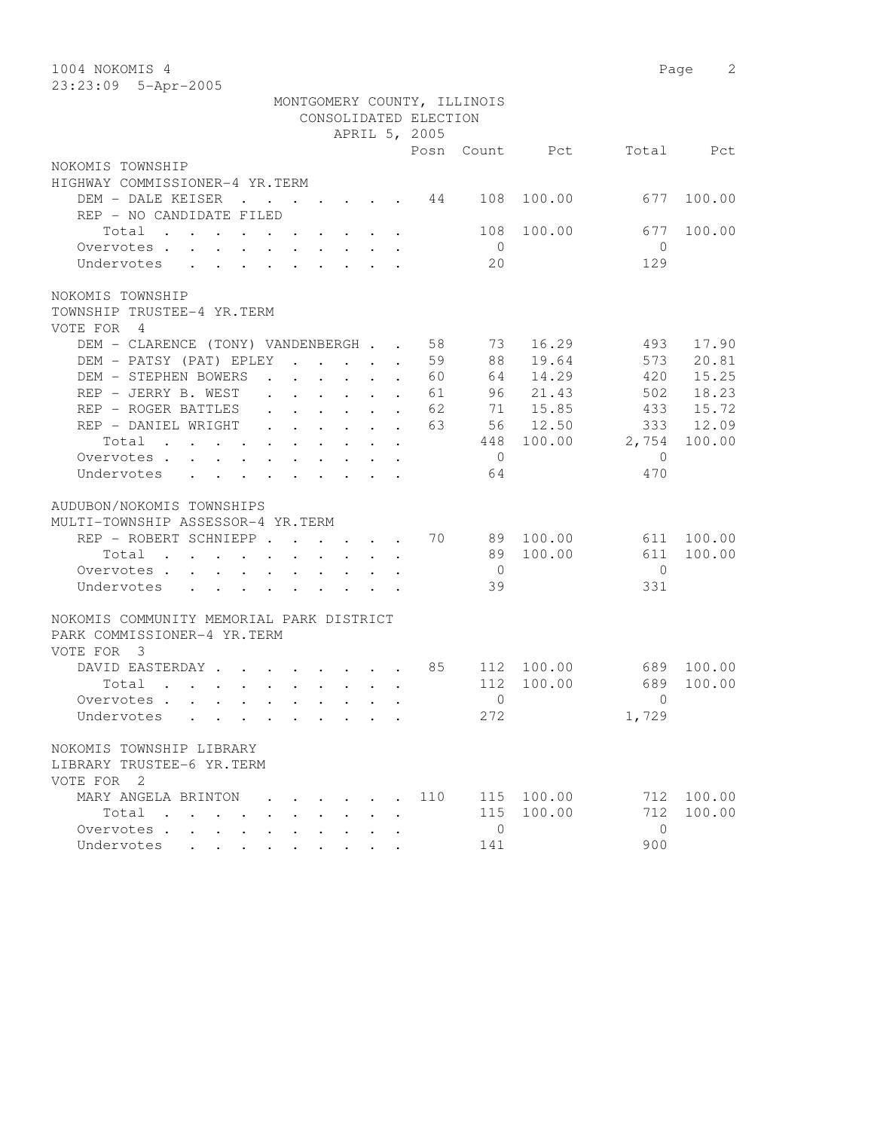| 1004 NOKOMIS 4                                                                                    |                                                                          |  |                                                 |                            |                             |        |              | 2<br>Page |
|---------------------------------------------------------------------------------------------------|--------------------------------------------------------------------------|--|-------------------------------------------------|----------------------------|-----------------------------|--------|--------------|-----------|
| 23:23:09 5-Apr-2005                                                                               |                                                                          |  |                                                 |                            |                             |        |              |           |
|                                                                                                   |                                                                          |  |                                                 |                            | MONTGOMERY COUNTY, ILLINOIS |        |              |           |
|                                                                                                   |                                                                          |  |                                                 | CONSOLIDATED ELECTION      |                             |        |              |           |
|                                                                                                   |                                                                          |  |                                                 | APRIL 5, 2005              |                             |        |              |           |
|                                                                                                   |                                                                          |  |                                                 | Posn                       | Count                       | Pct.   | Total        | Pct       |
| NOKOMIS TOWNSHIP                                                                                  |                                                                          |  |                                                 |                            |                             |        |              |           |
| HIGHWAY COMMISSIONER-4 YR.TERM                                                                    |                                                                          |  |                                                 |                            |                             |        |              |           |
| DEM - DALE KEISER                                                                                 | $\mathbf{r}$ , $\mathbf{r}$ , $\mathbf{r}$ , $\mathbf{r}$ , $\mathbf{r}$ |  |                                                 | 44                         | 108                         | 100.00 | 677          | 100.00    |
| REP - NO CANDIDATE FILED                                                                          |                                                                          |  |                                                 |                            |                             |        |              |           |
| Total                                                                                             |                                                                          |  |                                                 |                            | 108                         | 100.00 | 677          | 100.00    |
| Overvotes.                                                                                        |                                                                          |  |                                                 |                            | $\overline{0}$              |        | $\Omega$     |           |
| Undervotes                                                                                        |                                                                          |  |                                                 |                            | 20                          |        | 129          |           |
| NOKOMIS TOWNSHIP                                                                                  |                                                                          |  |                                                 |                            |                             |        |              |           |
| TOWNSHIP TRUSTEE-4 YR.TERM                                                                        |                                                                          |  |                                                 |                            |                             |        |              |           |
| VOTE FOR 4                                                                                        |                                                                          |  |                                                 |                            |                             |        |              |           |
| DEM - CLARENCE (TONY) VANDENBERGH                                                                 |                                                                          |  |                                                 | 58                         | 73                          | 16.29  | 493          | 17.90     |
| DEM - PATSY (PAT) EPLEY                                                                           |                                                                          |  |                                                 | 59<br>$\ddot{\phantom{a}}$ | 88                          | 19.64  | 573          | 20.81     |
| DEM - STEPHEN BOWERS                                                                              | $\mathbf{r}$ , $\mathbf{r}$ , $\mathbf{r}$ , $\mathbf{r}$ , $\mathbf{r}$ |  |                                                 | 60<br>$\ddot{\phantom{a}}$ | 64                          | 14.29  | 420          | 15.25     |
| REP - JERRY B. WEST                                                                               | $\cdot$ $\cdot$ $\cdot$ $\cdot$ $\cdot$ $\cdot$ $\cdot$                  |  |                                                 | 61                         | 96                          | 21.43  | 502          | 18.23     |
| REP - ROGER BATTLES                                                                               | $\cdot$ $\cdot$ $\cdot$ $\cdot$ $\cdot$ $\cdot$ $\cdot$                  |  |                                                 | 62                         | 71                          | 15.85  | 433          | 15.72     |
| REP - DANIEL WRIGHT                                                                               | $\mathbf{r}$ , and $\mathbf{r}$ , and $\mathbf{r}$ , and $\mathbf{r}$    |  |                                                 | 63                         | 56                          | 12.50  | 333          | 12.09     |
| Total                                                                                             |                                                                          |  |                                                 |                            | 448                         | 100.00 | 2,754        | 100.00    |
| Overvotes.                                                                                        |                                                                          |  |                                                 |                            | $\overline{0}$              |        | $\mathbf{0}$ |           |
| Undervotes<br>$\ddot{\phantom{0}}$<br>$\ddot{\phantom{0}}$                                        |                                                                          |  |                                                 |                            | 64                          |        | 470          |           |
| AUDUBON/NOKOMIS TOWNSHIPS                                                                         |                                                                          |  |                                                 |                            |                             |        |              |           |
| MULTI-TOWNSHIP ASSESSOR-4 YR.TERM                                                                 |                                                                          |  |                                                 |                            |                             |        |              |           |
| REP - ROBERT SCHNIEPP                                                                             |                                                                          |  |                                                 | 70                         | 89                          | 100.00 | 611          | 100.00    |
| Total<br>$\mathcal{A}$ . The second contribution of the second contribution $\mathcal{A}$         |                                                                          |  |                                                 |                            | 89                          | 100.00 | 611          | 100.00    |
| Overvotes                                                                                         |                                                                          |  | $\cdot$ $\cdot$ $\cdot$ $\cdot$ $\cdot$ $\cdot$ |                            | $\overline{0}$              |        | $\Omega$     |           |
| Undervotes                                                                                        |                                                                          |  |                                                 |                            | 39                          |        | 331          |           |
|                                                                                                   |                                                                          |  | $\cdot$ $\cdot$ $\cdot$ $\cdot$ $\cdot$ $\cdot$ |                            |                             |        |              |           |
| NOKOMIS COMMUNITY MEMORIAL PARK DISTRICT                                                          |                                                                          |  |                                                 |                            |                             |        |              |           |
| PARK COMMISSIONER-4 YR.TERM                                                                       |                                                                          |  |                                                 |                            |                             |        |              |           |
| VOTE FOR 3                                                                                        |                                                                          |  |                                                 |                            |                             |        |              |           |
| DAVID EASTERDAY                                                                                   |                                                                          |  |                                                 | 85                         | 112                         | 100.00 | 689          | 100.00    |
| Total<br>$\mathbf{r}$ , and $\mathbf{r}$ , and $\mathbf{r}$ , and $\mathbf{r}$ , and $\mathbf{r}$ |                                                                          |  |                                                 |                            | 112                         | 100.00 | 689          | 100.00    |
| Overvotes.                                                                                        |                                                                          |  |                                                 |                            | $\mathbf{0}$                |        | 0            |           |
| Undervotes                                                                                        |                                                                          |  |                                                 |                            | 272                         |        | 1,729        |           |
| NOKOMIS TOWNSHIP LIBRARY                                                                          |                                                                          |  |                                                 |                            |                             |        |              |           |
| LIBRARY TRUSTEE-6 YR.TERM                                                                         |                                                                          |  |                                                 |                            |                             |        |              |           |
| VOTE FOR 2                                                                                        |                                                                          |  |                                                 |                            |                             |        |              |           |
| MARY ANGELA BRINTON                                                                               |                                                                          |  |                                                 | 110                        | 115                         | 100.00 | 712          | 100.00    |
| Total<br>$\ddot{\phantom{a}}$                                                                     |                                                                          |  |                                                 |                            | 115                         | 100.00 | 712          | 100.00    |
| Overvotes.                                                                                        |                                                                          |  |                                                 |                            | $\mathbf{0}$                |        | $\circ$      |           |
| Undervotes<br>$\cdot$ $\cdot$ $\cdot$ $\cdot$                                                     |                                                                          |  |                                                 |                            | 141                         |        | 900          |           |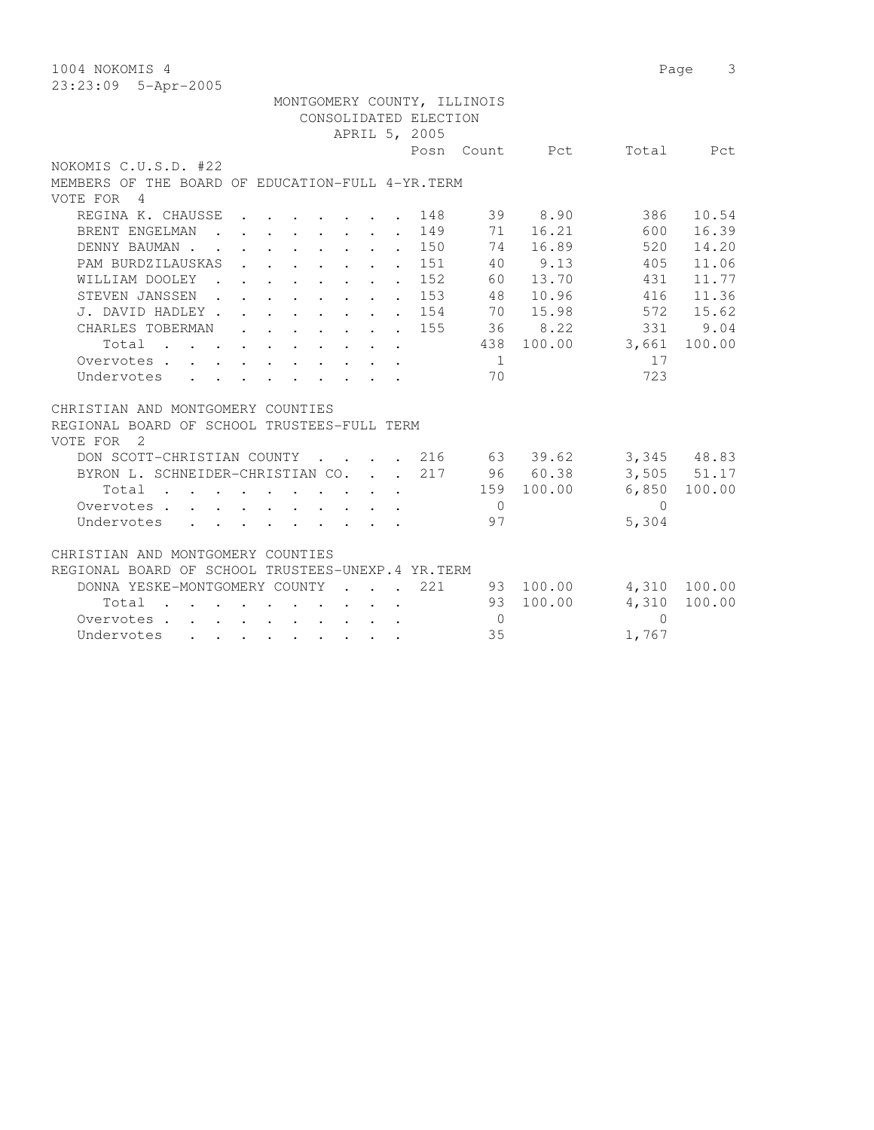| 1004 NOKOMIS 4                                                                                                                                                                        |            | Page      | 3                      |
|---------------------------------------------------------------------------------------------------------------------------------------------------------------------------------------|------------|-----------|------------------------|
| 23:23:09 5-Apr-2005                                                                                                                                                                   |            |           |                        |
| MONTGOMERY COUNTY, ILLINOIS                                                                                                                                                           |            |           |                        |
| CONSOLIDATED ELECTION                                                                                                                                                                 |            |           |                        |
| APRIL 5, 2005                                                                                                                                                                         |            |           |                        |
| Posn Count Pct                                                                                                                                                                        |            |           | Total Pct              |
| NOKOMIS C.U.S.D. #22                                                                                                                                                                  |            |           |                        |
| MEMBERS OF THE BOARD OF EDUCATION-FULL 4-YR. TERM                                                                                                                                     |            |           |                        |
| VOTE FOR 4                                                                                                                                                                            |            |           |                        |
| REGINA K. CHAUSSE<br>148                                                                                                                                                              | 39 8.90    | 386       | 10.54                  |
| 149<br>71<br>BRENT ENGELMAN<br>$\cdot$ $\cdot$ $\cdot$ $\cdot$ $\cdot$ $\cdot$                                                                                                        | 16.21      | 600       | 16.39                  |
| $\cdot$ 150<br>74<br>DENNY BAUMAN.<br>$\sim$ $\sim$                                                                                                                                   | 16.89      | 520       | 14.20                  |
| PAM BURDZILAUSKAS<br>151<br>40<br>$\mathbf{r} = \mathbf{r} \times \mathbf{r}$ , where $\mathbf{r} = \mathbf{r} \times \mathbf{r}$ , where $\mathbf{r} = \mathbf{r} \times \mathbf{r}$ | 9.13       | 405       | 11.06                  |
| WILLIAM DOOLEY .<br>$\cdot$ 152<br>60                                                                                                                                                 | 13.70      | 431       | 11.77                  |
| $\cdot$ 153<br>STEVEN JANSSEN.                                                                                                                                                        | 48 10.96   | 416       | 11.36                  |
| $\cdot$ 154<br>J. DAVID HADLEY.                                                                                                                                                       | 70 15.98   | 572       | 15.62                  |
| CHARLES TOBERMAN<br>155<br>$\cdot$ $\cdot$ $\cdot$ $\cdot$ $\cdot$ $\cdot$ $\cdot$ $\cdot$                                                                                            | 36 8.22    | 331       | 9.04                   |
| 438<br>Total<br>$\mathbf{r}$ , and $\mathbf{r}$ , and $\mathbf{r}$ , and $\mathbf{r}$ , and $\mathbf{r}$                                                                              | 100.00     | 3,661     | 100.00                 |
| Overvotes.<br>$\overline{1}$                                                                                                                                                          |            | 17        |                        |
| Undervotes<br>70                                                                                                                                                                      |            | 723       |                        |
|                                                                                                                                                                                       |            |           |                        |
| CHRISTIAN AND MONTGOMERY COUNTIES                                                                                                                                                     |            |           |                        |
| REGIONAL BOARD OF SCHOOL TRUSTEES-FULL TERM                                                                                                                                           |            |           |                        |
| VOTE FOR<br>$\overline{2}$                                                                                                                                                            |            |           |                        |
| DON SCOTT-CHRISTIAN COUNTY<br>$\cdot$ $\cdot$ 216<br>$\sim$ $\sim$ $\sim$ $\sim$                                                                                                      | 63 39.62   |           | 3,345 48.83            |
| BYRON L. SCHNEIDER-CHRISTIAN CO.<br>217<br><b>Service</b>                                                                                                                             | 96 60.38   |           | $3,505$ $51.17$        |
| Total                                                                                                                                                                                 | 159 100.00 | 6,850     | 100.00                 |
| Overvotes<br>$\overline{0}$                                                                                                                                                           |            | $\bigcap$ |                        |
| Undervotes<br>97                                                                                                                                                                      |            | 5,304     |                        |
| CHRISTIAN AND MONTGOMERY COUNTIES                                                                                                                                                     |            |           |                        |
| REGIONAL BOARD OF SCHOOL TRUSTEES-UNEXP.4 YR. TERM                                                                                                                                    |            |           |                        |
| DONNA YESKE-MONTGOMERY COUNTY<br>221<br><b><i>Committee State State State</i></b>                                                                                                     | 93 100.00  |           |                        |
| 93<br>Total                                                                                                                                                                           | 100.00     | 4,310     | 4,310 100.00<br>100.00 |
| the contract of the contract of the contract of the contract of the contract of the contract of the contract of<br>Overvotes<br>$\bigcirc$                                            |            | $\Omega$  |                        |
| 35<br>Undervotes<br>$\mathbf{r}$ , and $\mathbf{r}$ , and $\mathbf{r}$ , and $\mathbf{r}$                                                                                             |            | 1,767     |                        |
|                                                                                                                                                                                       |            |           |                        |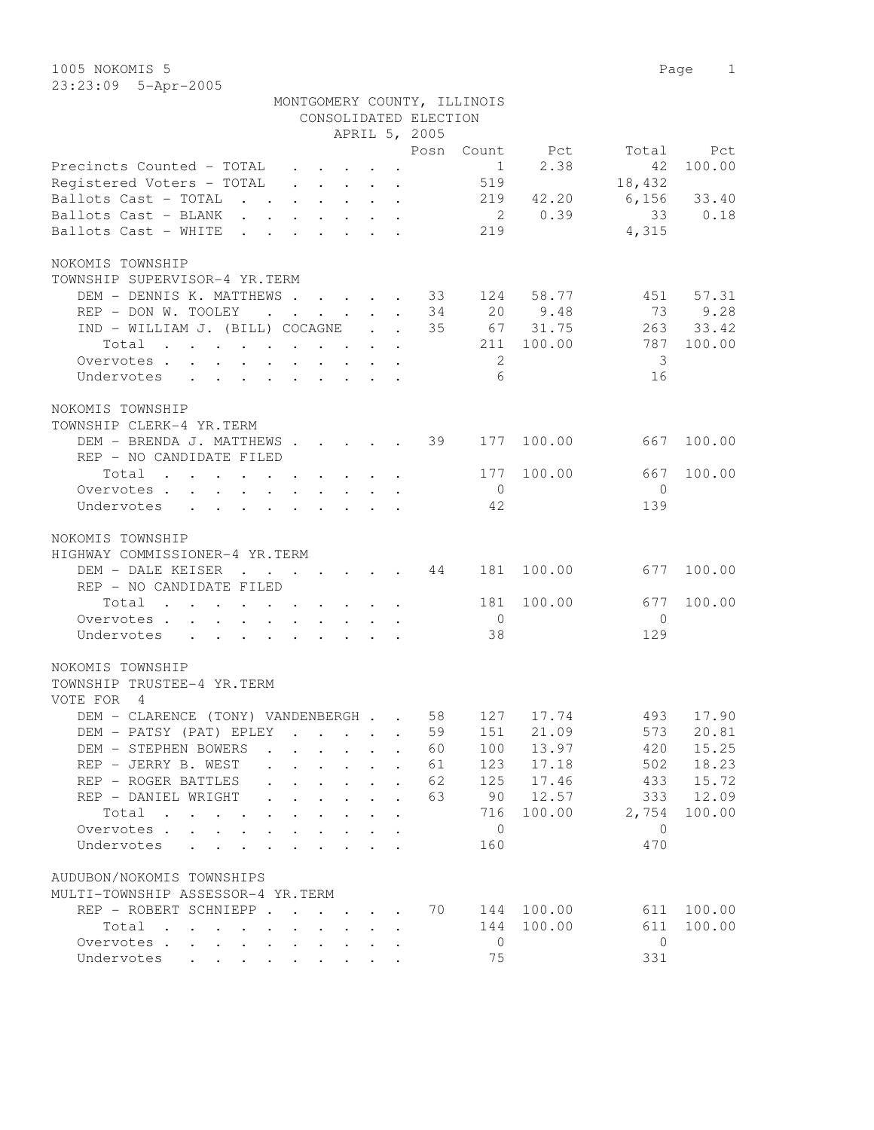|                                                                                                                 |                                                             |                                               |                                              | CONSOLIDATED ELECTION      | MONTGOMERY COUNTY, ILLINOIS |                |               |            |
|-----------------------------------------------------------------------------------------------------------------|-------------------------------------------------------------|-----------------------------------------------|----------------------------------------------|----------------------------|-----------------------------|----------------|---------------|------------|
|                                                                                                                 |                                                             |                                               |                                              | APRIL 5, 2005              |                             |                |               |            |
|                                                                                                                 |                                                             |                                               |                                              |                            |                             | Posn Count Pct | Total         | Pct        |
| Precincts Counted - TOTAL                                                                                       |                                                             |                                               |                                              |                            | $\sim$ 1                    | 2.38           | 42            | 100.00     |
| Registered Voters - TOTAL                                                                                       |                                                             |                                               |                                              |                            | 519                         |                | 18,432        |            |
| Ballots Cast - TOTAL 219 42.20                                                                                  |                                                             |                                               |                                              |                            |                             |                | $6,156$ 33.40 |            |
| Ballots Cast - BLANK                                                                                            |                                                             |                                               |                                              |                            |                             | 2 0.39         | 33            | 0.18       |
| Ballots Cast - WHITE                                                                                            |                                                             |                                               |                                              |                            | 219                         |                | 4,315         |            |
|                                                                                                                 |                                                             |                                               |                                              |                            |                             |                |               |            |
| NOKOMIS TOWNSHIP                                                                                                |                                                             |                                               |                                              |                            |                             |                |               |            |
| TOWNSHIP SUPERVISOR-4 YR.TERM                                                                                   |                                                             |                                               |                                              |                            |                             |                |               |            |
|                                                                                                                 |                                                             |                                               |                                              |                            |                             |                |               |            |
| DEM - DENNIS K. MATTHEWS                                                                                        |                                                             |                                               |                                              |                            | 124                         | 58.77          | 451           | 57.31      |
| REP - DON W. TOOLEY                                                                                             |                                                             |                                               |                                              | $\cdot$ 34                 |                             | 20 9.48        | 73            | 9.28       |
| IND - WILLIAM J. (BILL) COCAGNE                                                                                 |                                                             |                                               |                                              | 35                         |                             | 67 31.75       |               | 263 33.42  |
| Total<br>. The contract of the contract of the contract of the contract of the contract of the $\mathcal{O}(n)$ |                                                             |                                               |                                              |                            | 211                         | 100.00         |               | 787 100.00 |
| Overvotes                                                                                                       |                                                             |                                               |                                              |                            | 2                           |                | 3             |            |
| Undervotes                                                                                                      |                                                             |                                               |                                              |                            | $6 \overline{6}$            |                | 16            |            |
|                                                                                                                 |                                                             |                                               |                                              |                            |                             |                |               |            |
| NOKOMIS TOWNSHIP                                                                                                |                                                             |                                               |                                              |                            |                             |                |               |            |
| TOWNSHIP CLERK-4 YR.TERM                                                                                        |                                                             |                                               |                                              |                            |                             |                |               |            |
| DEM - BRENDA J. MATTHEWS                                                                                        |                                                             |                                               |                                              | 39                         | 177                         | 100.00         | 667           | 100.00     |
| REP - NO CANDIDATE FILED                                                                                        |                                                             |                                               |                                              |                            |                             |                |               |            |
| Total                                                                                                           |                                                             |                                               |                                              |                            | 177                         | 100.00         | 667           | 100.00     |
| Overvotes                                                                                                       |                                                             |                                               |                                              |                            | $\overline{0}$              |                | $\Omega$      |            |
|                                                                                                                 |                                                             |                                               |                                              |                            |                             |                |               |            |
| Undervotes                                                                                                      |                                                             |                                               |                                              |                            | 42                          |                | 139           |            |
| NOKOMIS TOWNSHIP                                                                                                |                                                             |                                               |                                              |                            |                             |                |               |            |
| HIGHWAY COMMISSIONER-4 YR.TERM                                                                                  |                                                             |                                               |                                              |                            |                             |                |               |            |
| DEM - DALE KEISER 44                                                                                            |                                                             |                                               |                                              |                            | 181                         | 100.00         | 677           | 100.00     |
| REP - NO CANDIDATE FILED                                                                                        |                                                             |                                               |                                              |                            |                             |                |               |            |
|                                                                                                                 |                                                             |                                               |                                              |                            |                             |                |               |            |
| Total                                                                                                           |                                                             |                                               |                                              |                            | 181                         | 100.00         | 677           | 100.00     |
| Overvotes.                                                                                                      |                                                             |                                               |                                              |                            | $\overline{0}$              |                | $\bigcirc$    |            |
| Undervotes                                                                                                      |                                                             |                                               |                                              |                            | 38                          |                | 129           |            |
|                                                                                                                 |                                                             |                                               |                                              |                            |                             |                |               |            |
| NOKOMIS TOWNSHIP                                                                                                |                                                             |                                               |                                              |                            |                             |                |               |            |
| TOWNSHIP TRUSTEE-4 YR.TERM                                                                                      |                                                             |                                               |                                              |                            |                             |                |               |            |
| VOTE FOR 4                                                                                                      |                                                             |                                               |                                              |                            |                             |                |               |            |
| DEM - CLARENCE (TONY) VANDENBERGH 58                                                                            |                                                             |                                               |                                              |                            | 127                         | 17.74          | 493           | 17.90      |
| DEM – PATSY (PAT) EPLEY                                                                                         |                                                             |                                               |                                              |                            |                             | 59 151 21.09   |               | 573 20.81  |
| DEM - STEPHEN BOWERS                                                                                            | $\sim$ $\sim$ $\sim$                                        |                                               | $\cdot$ $\cdot$ $\cdot$ $\cdot$ $\cdot$      | 60                         | 100                         | 13.97          | 420           | 15.25      |
| REP - JERRY B. WEST                                                                                             |                                                             |                                               | $\cdot$ $\cdot$ $\cdot$ $\cdot$ $\cdot$      | 61                         | 123                         | 17.18          | 502           | 18.23      |
| REP - ROGER BATTLES                                                                                             |                                                             | $\mathbf{r} = \mathbf{r} + \mathbf{r}$ .      | $\ddot{\phantom{a}}$                         | 62<br>$\ddot{\phantom{a}}$ | 125                         | 17.46          | 433           | 15.72      |
| REP - DANIEL WRIGHT                                                                                             |                                                             |                                               |                                              | 63                         | 90                          | 12.57          | 333           | 12.09      |
|                                                                                                                 |                                                             | $\bullet$ .                                   | $\ddot{\phantom{0}}$<br>$\ddot{\phantom{a}}$ |                            |                             |                |               |            |
| Total                                                                                                           |                                                             |                                               |                                              |                            | 716                         | 100.00         | 2,754         | 100.00     |
| Overvotes .<br>$\sim$ $-$                                                                                       |                                                             |                                               |                                              |                            | $\overline{0}$              |                | $\bigcirc$    |            |
| Undervotes                                                                                                      |                                                             |                                               |                                              |                            | 160                         |                | 470           |            |
|                                                                                                                 |                                                             |                                               |                                              |                            |                             |                |               |            |
| AUDUBON/NOKOMIS TOWNSHIPS                                                                                       |                                                             |                                               |                                              |                            |                             |                |               |            |
| MULTI-TOWNSHIP ASSESSOR-4 YR.TERM                                                                               |                                                             |                                               |                                              |                            |                             |                |               |            |
| REP - ROBERT SCHNIEPP                                                                                           |                                                             |                                               |                                              | 70                         | 144                         | 100.00         | 611           | 100.00     |
| Total<br>$\ddot{\phantom{a}}$<br><b>Contract Contract</b><br>$\bullet$                                          | $\bullet$ . The set of $\bullet$                            |                                               |                                              | $\ddot{\phantom{a}}$       | 144                         | 100.00         | 611           | 100.00     |
| Overvotes                                                                                                       | $\bullet$ .<br><br><br><br><br><br><br><br><br><br><br><br> | $\bullet$ , $\bullet$ , $\bullet$ , $\bullet$ |                                              |                            | 0                           |                | $\mathbf{0}$  |            |
| Undervotes                                                                                                      |                                                             |                                               |                                              |                            | 75                          |                | 331           |            |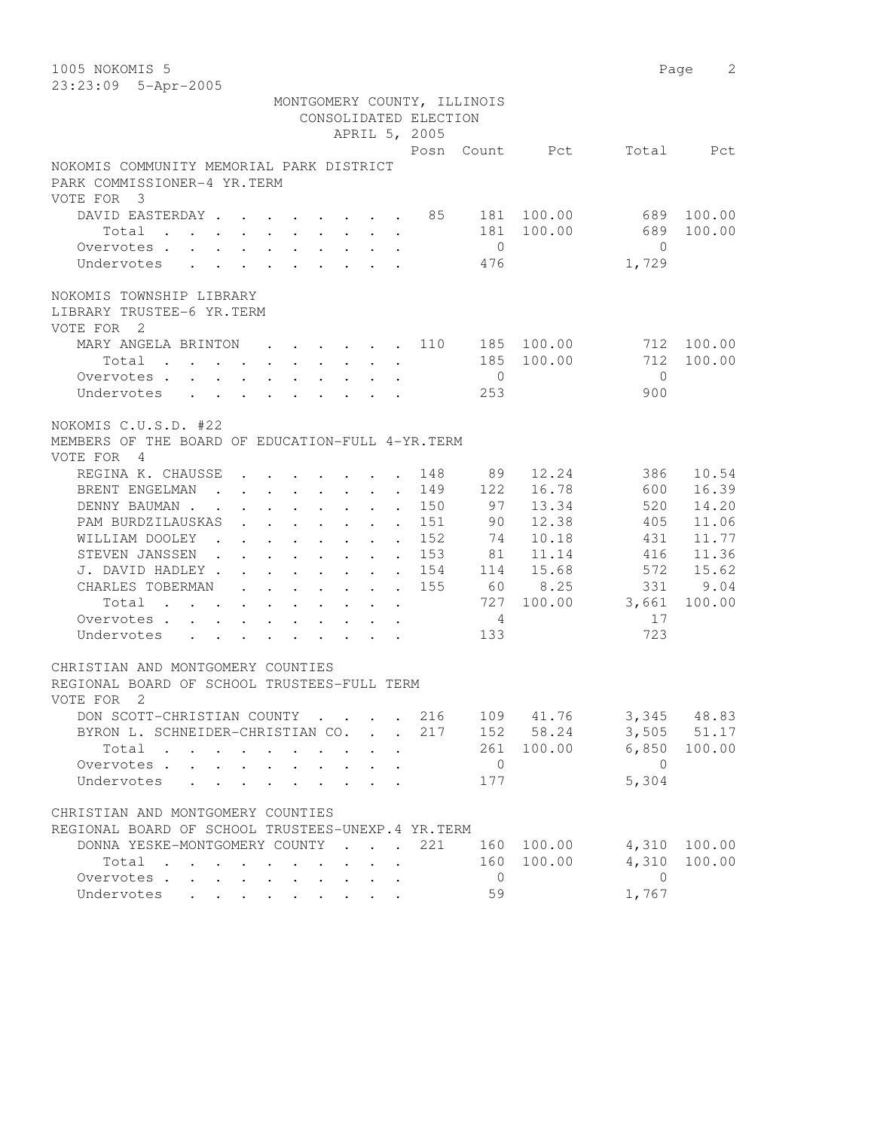1005 NOKOMIS 5 Page 2 23:23:09 5-Apr-2005

|                                                                                                | MONTGOMERY COUNTY, ILLINOIS                                           | CONSOLIDATED ELECTION<br>APRIL 5, 2005       |       |                 |                |                           |              |
|------------------------------------------------------------------------------------------------|-----------------------------------------------------------------------|----------------------------------------------|-------|-----------------|----------------|---------------------------|--------------|
|                                                                                                |                                                                       |                                              |       |                 | Posn Count Pct |                           | Total Pct    |
| NOKOMIS COMMUNITY MEMORIAL PARK DISTRICT<br>PARK COMMISSIONER-4 YR.TERM<br>VOTE FOR 3          |                                                                       |                                              |       |                 |                |                           |              |
| DAVID EASTERDAY 85 181 100.00                                                                  |                                                                       |                                              |       |                 |                | 689                       | 100.00       |
| Total $\cdot$                                                                                  |                                                                       |                                              |       |                 | 181 100.00     | 689                       | 100.00       |
| Overvotes                                                                                      |                                                                       |                                              |       | $\bigcirc$      |                | $\bigcap$                 |              |
| Undervotes                                                                                     |                                                                       |                                              |       | 476             |                | 1,729                     |              |
|                                                                                                |                                                                       |                                              |       |                 |                |                           |              |
| NOKOMIS TOWNSHIP LIBRARY<br>LIBRARY TRUSTEE-6 YR.TERM<br>VOTE FOR 2                            |                                                                       |                                              |       |                 |                |                           |              |
| MARY ANGELA BRINTON 110 185 100.00                                                             |                                                                       |                                              |       |                 |                |                           | 712 100.00   |
| Total                                                                                          |                                                                       |                                              |       |                 | 185 100.00     | 712                       | 100.00       |
| Overvotes                                                                                      |                                                                       |                                              |       | $\overline{0}$  |                | $\bigcirc$                |              |
| Undervotes                                                                                     |                                                                       |                                              |       | 253             |                | 900                       |              |
|                                                                                                |                                                                       |                                              |       |                 |                |                           |              |
| NOKOMIS C.U.S.D. #22                                                                           |                                                                       |                                              |       |                 |                |                           |              |
| MEMBERS OF THE BOARD OF EDUCATION-FULL 4-YR. TERM                                              |                                                                       |                                              |       |                 |                |                           |              |
| VOTE FOR 4                                                                                     |                                                                       |                                              |       |                 |                |                           |              |
| REGINA K. CHAUSSE                                                                              | $\mathbf{r}$ , and $\mathbf{r}$ , and $\mathbf{r}$ , and $\mathbf{r}$ |                                              | 148   | 89              | 12.24          | 386                       | 10.54        |
| BRENT ENGELMAN                                                                                 |                                                                       |                                              | 149   | 122             | 16.78          | 600                       | 16.39        |
| DENNY BAUMAN                                                                                   |                                                                       |                                              | 150   | 97              | 13.34          | 520                       | 14.20        |
| PAM BURDZILAUSKAS                                                                              |                                                                       | $\mathbf{r} = \mathbf{r} + \mathbf{r}$ .     | 151   | 90              | 12.38          | 405                       | 11.06        |
| WILLIAM DOOLEY                                                                                 |                                                                       |                                              | 152   | 74              | 10.18          | 431                       | 11.77        |
| STEVEN JANSSEN 153                                                                             |                                                                       |                                              |       | 81              | 11.14          | 416                       | 11.36        |
| J. DAVID HADLEY                                                                                |                                                                       |                                              | . 154 |                 | 114 15.68      | 572                       | 15.62        |
| CHARLES TOBERMAN                                                                               |                                                                       |                                              | 155   |                 | 60 8.25        | 331                       | 9.04         |
| Total                                                                                          |                                                                       | $\ddot{\phantom{0}}$<br>$\ddot{\phantom{a}}$ |       |                 |                | 727 100.00 3,661          | 100.00       |
| Overvotes.                                                                                     |                                                                       |                                              |       | $4\overline{4}$ |                | 17                        |              |
| Undervotes                                                                                     |                                                                       |                                              |       | 133             |                | 723                       |              |
|                                                                                                |                                                                       |                                              |       |                 |                |                           |              |
| CHRISTIAN AND MONTGOMERY COUNTIES<br>REGIONAL BOARD OF SCHOOL TRUSTEES-FULL TERM<br>VOTE FOR 2 |                                                                       |                                              |       |                 |                |                           |              |
| DON SCOTT-CHRISTIAN COUNTY 216                                                                 |                                                                       |                                              |       |                 |                | 109 41.76 3,345 48.83     |              |
| BYRON L. SCHNEIDER-CHRISTIAN CO.                                                               |                                                                       |                                              |       |                 |                | 217 152 58.24 3,505 51.17 |              |
| Total                                                                                          |                                                                       |                                              |       |                 | 261 100.00     |                           | 6,850 100.00 |
| Overvotes.                                                                                     | $\mathbf{r} = \mathbf{r} + \mathbf{r}$                                |                                              |       | $\overline{0}$  |                | $\bigcirc$                |              |
| Undervotes<br>$\cdot$ $\cdot$ $\cdot$ $\cdot$ $\cdot$                                          | $\cdot$ $\cdot$ $\cdot$ $\cdot$ $\cdot$ $\cdot$                       |                                              |       | 177             |                | 5,304                     |              |
|                                                                                                |                                                                       |                                              |       |                 |                |                           |              |
| CHRISTIAN AND MONTGOMERY COUNTIES                                                              |                                                                       |                                              |       |                 |                |                           |              |
| REGIONAL BOARD OF SCHOOL TRUSTEES-UNEXP. 4 YR. TERM                                            |                                                                       |                                              |       |                 |                |                           |              |
| DONNA YESKE-MONTGOMERY COUNTY                                                                  |                                                                       |                                              | 221   |                 | 160 100.00     | 4,310                     | 100.00       |
| Total                                                                                          |                                                                       |                                              |       | 160             | 100.00         | 4,310                     | 100.00       |
| Overvotes<br>$\mathbf{L}$                                                                      |                                                                       |                                              |       | $\overline{0}$  |                | $\overline{0}$            |              |
| Undervotes                                                                                     |                                                                       |                                              |       | 59              |                | 1,767                     |              |
|                                                                                                |                                                                       |                                              |       |                 |                |                           |              |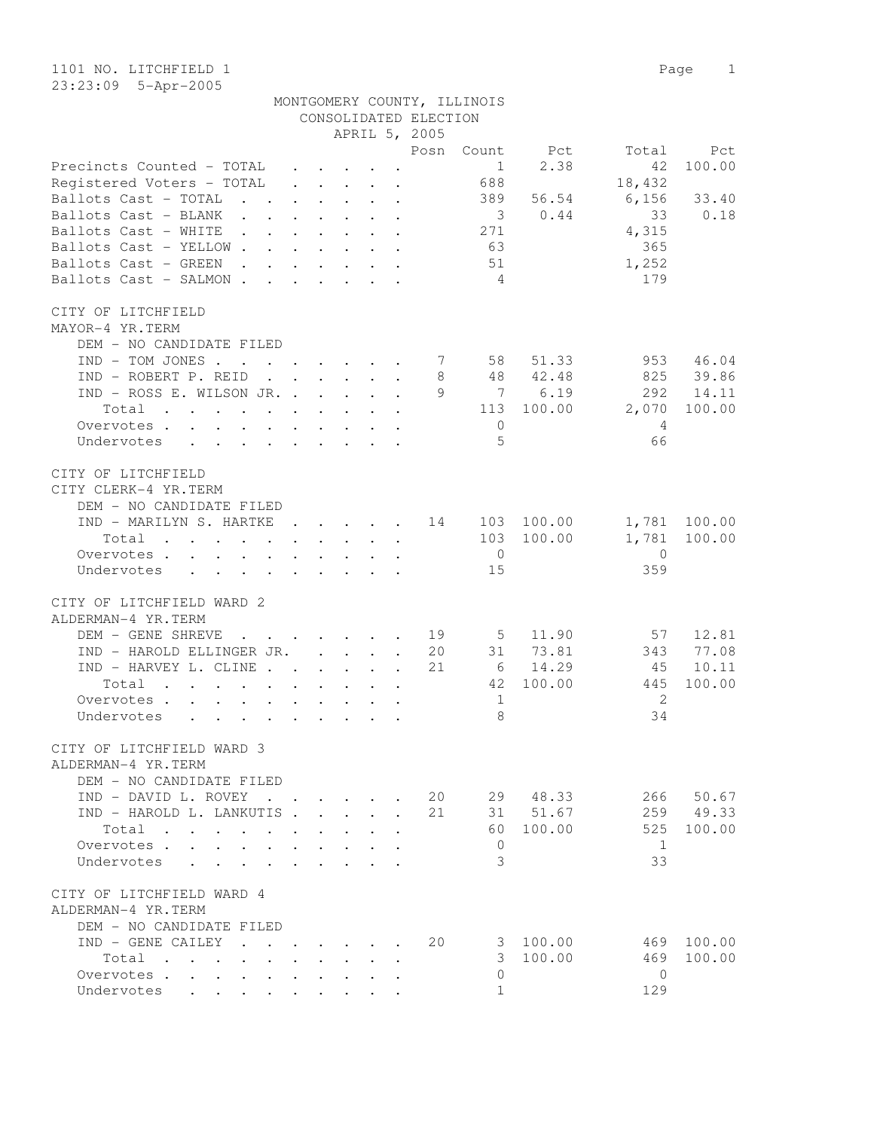## MONTGOMERY COUNTY, ILLINOIS CONSOLIDATED ELECTION

|                                                                                                                                                                                                                                            |                                 |              | APRIL 5, 2005                                                            |                      |                            |                         |             |                |              |
|--------------------------------------------------------------------------------------------------------------------------------------------------------------------------------------------------------------------------------------------|---------------------------------|--------------|--------------------------------------------------------------------------|----------------------|----------------------------|-------------------------|-------------|----------------|--------------|
|                                                                                                                                                                                                                                            |                                 |              |                                                                          |                      | Posn                       | Count                   | Pct         | Total          | Pct          |
| Precincts Counted - TOTAL                                                                                                                                                                                                                  |                                 |              |                                                                          |                      |                            | $\frac{1}{2}$           | 2.38        | 42             | 100.00       |
| Registered Voters - TOTAL                                                                                                                                                                                                                  |                                 |              | $\mathbf{r}$ , $\mathbf{r}$ , $\mathbf{r}$                               |                      |                            | 688                     |             | 18,432         |              |
| Ballots Cast - TOTAL                                                                                                                                                                                                                       |                                 |              |                                                                          |                      |                            | 389                     | 56.54       | 6,156          | 33.40        |
| Ballots Cast - BLANK                                                                                                                                                                                                                       |                                 |              |                                                                          |                      |                            | $\overline{\mathbf{3}}$ | 0.44        | 33             | 0.18         |
| Ballots Cast - WHITE                                                                                                                                                                                                                       |                                 |              |                                                                          |                      |                            | 271                     |             | 4,315          |              |
| Ballots Cast - YELLOW.                                                                                                                                                                                                                     |                                 |              | $\mathbf{r}$ , and $\mathbf{r}$ , and $\mathbf{r}$ , and $\mathbf{r}$    |                      |                            | 63                      |             | 365            |              |
| Ballots Cast - GREEN<br><b>Contract Contract</b><br>$\ddot{\phantom{a}}$                                                                                                                                                                   |                                 |              | $\cdot$ $\cdot$ $\cdot$ $\cdot$ $\cdot$ $\cdot$                          |                      |                            | 51                      |             | 1,252          |              |
| Ballots Cast - SALMON.<br>$\ddot{\phantom{a}}$                                                                                                                                                                                             |                                 | $\mathbf{L}$ | $\cdot$ $\cdot$ $\cdot$                                                  |                      |                            | $\overline{4}$          |             | 179            |              |
|                                                                                                                                                                                                                                            |                                 |              |                                                                          |                      |                            |                         |             |                |              |
| CITY OF LITCHFIELD                                                                                                                                                                                                                         |                                 |              |                                                                          |                      |                            |                         |             |                |              |
| MAYOR-4 YR.TERM                                                                                                                                                                                                                            |                                 |              |                                                                          |                      |                            |                         |             |                |              |
| DEM - NO CANDIDATE FILED                                                                                                                                                                                                                   |                                 |              |                                                                          |                      |                            |                         |             |                |              |
| $IND - TOM JONES$                                                                                                                                                                                                                          |                                 |              |                                                                          |                      |                            | 58                      | 51.33       | 953            | 46.04        |
| IND - ROBERT P. REID                                                                                                                                                                                                                       |                                 |              |                                                                          | $\ddot{\phantom{a}}$ | 8                          | 48                      | 42.48       | 825            | 39.86        |
| IND - ROSS E. WILSON JR.                                                                                                                                                                                                                   |                                 |              |                                                                          |                      | 9                          |                         | 7 6.19      | 292            | 14.11        |
| Total<br>. The contract of the contract of the contract of the contract of the contract of the contract of the contract of the contract of the contract of the contract of the contract of the contract of the contract of the contrac     |                                 |              |                                                                          |                      |                            |                         | 113 100.00  | 2,070          | 100.00       |
| Overvotes                                                                                                                                                                                                                                  |                                 |              | $\mathbf{r}$ , $\mathbf{r}$ , $\mathbf{r}$ , $\mathbf{r}$ , $\mathbf{r}$ |                      |                            | $\overline{0}$          |             | -4             |              |
| Undervotes<br>$\mathbf{r}$ , $\mathbf{r}$ , $\mathbf{r}$                                                                                                                                                                                   | $\mathbf{r}$ , and $\mathbf{r}$ |              | $\cdot$ $\cdot$                                                          |                      |                            | 5                       |             | 66             |              |
| CITY OF LITCHFIELD                                                                                                                                                                                                                         |                                 |              |                                                                          |                      |                            |                         |             |                |              |
| CITY CLERK-4 YR.TERM                                                                                                                                                                                                                       |                                 |              |                                                                          |                      |                            |                         |             |                |              |
|                                                                                                                                                                                                                                            |                                 |              |                                                                          |                      |                            |                         |             |                |              |
| DEM - NO CANDIDATE FILED                                                                                                                                                                                                                   |                                 |              |                                                                          |                      |                            |                         |             |                |              |
| IND - MARILYN S. HARTKE                                                                                                                                                                                                                    |                                 |              | . 14                                                                     |                      |                            |                         | 103 100.00  |                | 1,781 100.00 |
| Total<br>the contract of the contract of the contract of the contract of the contract of the contract of the contract of                                                                                                                   |                                 |              |                                                                          |                      |                            |                         | 103 100.00  | 1,781          | 100.00       |
| Overvotes                                                                                                                                                                                                                                  |                                 |              |                                                                          |                      |                            | $\overline{0}$          |             | $\overline{0}$ |              |
| Undervotes                                                                                                                                                                                                                                 |                                 |              |                                                                          |                      |                            | 15                      |             | 359            |              |
| CITY OF LITCHFIELD WARD 2                                                                                                                                                                                                                  |                                 |              |                                                                          |                      |                            |                         |             |                |              |
| ALDERMAN-4 YR.TERM                                                                                                                                                                                                                         |                                 |              |                                                                          |                      |                            |                         |             |                |              |
| DEM - GENE SHREVE<br>. 19                                                                                                                                                                                                                  |                                 |              |                                                                          |                      |                            | $5\overline{)}$         | 11.90       | 57             | 12.81        |
| IND - HAROLD ELLINGER JR.                                                                                                                                                                                                                  |                                 |              |                                                                          |                      | 20<br>$\ddot{\phantom{0}}$ |                         | 31 73.81    | 343            | 77.08        |
| IND - HARVEY L. CLINE                                                                                                                                                                                                                      |                                 |              |                                                                          |                      | 21                         |                         | $6 \t14.29$ | - 45           | 10.11        |
| Total<br>$\mathbf{r}$ . The contract of the contract of the contract of the contract of the contract of the contract of the contract of the contract of the contract of the contract of the contract of the contract of the contract of th |                                 |              |                                                                          |                      |                            | 42                      | 100.00      | 445            | 100.00       |
| Overvotes                                                                                                                                                                                                                                  |                                 |              |                                                                          |                      |                            | 1                       |             | 2              |              |
|                                                                                                                                                                                                                                            |                                 |              |                                                                          |                      |                            | 8                       |             | 34             |              |
| Undervotes<br>$\cdot$ $\cdot$ $\cdot$<br>$\ddot{\phantom{0}}$                                                                                                                                                                              | $\mathbf{L}$                    | $\mathbf{r}$ |                                                                          |                      |                            |                         |             |                |              |
| CITY OF LITCHFIELD WARD 3                                                                                                                                                                                                                  |                                 |              |                                                                          |                      |                            |                         |             |                |              |
| ALDERMAN-4 YR.TERM                                                                                                                                                                                                                         |                                 |              |                                                                          |                      |                            |                         |             |                |              |
| DEM - NO CANDIDATE FILED                                                                                                                                                                                                                   |                                 |              |                                                                          |                      |                            |                         |             |                |              |
| IND - DAVID L. ROVEY<br>$\mathbf{r}$ , $\mathbf{r}$ , $\mathbf{r}$ , $\mathbf{r}$                                                                                                                                                          |                                 |              |                                                                          |                      | 20                         |                         | 29 48.33    | 266            | 50.67        |
| IND - HAROLD L. LANKUTIS.                                                                                                                                                                                                                  |                                 |              |                                                                          |                      | 21                         | 31                      | 51.67       | 259            | 49.33        |
| Total                                                                                                                                                                                                                                      |                                 |              |                                                                          |                      |                            | 60                      | 100.00      | 525            | 100.00       |
| Overvotes.                                                                                                                                                                                                                                 |                                 |              |                                                                          |                      |                            | $\mathbf{0}$            |             | 1              |              |
| Undervotes                                                                                                                                                                                                                                 |                                 |              |                                                                          |                      |                            | 3                       |             | 33             |              |
|                                                                                                                                                                                                                                            |                                 |              |                                                                          |                      |                            |                         |             |                |              |
| CITY OF LITCHFIELD WARD 4                                                                                                                                                                                                                  |                                 |              |                                                                          |                      |                            |                         |             |                |              |
| ALDERMAN-4 YR.TERM                                                                                                                                                                                                                         |                                 |              |                                                                          |                      |                            |                         |             |                |              |
| DEM - NO CANDIDATE FILED                                                                                                                                                                                                                   |                                 |              |                                                                          |                      |                            |                         |             |                |              |
| IND - GENE CAILEY<br>$\ddot{\phantom{0}}$                                                                                                                                                                                                  |                                 |              |                                                                          |                      | 20                         | 3                       | 100.00      | 469            | 100.00       |
| Total<br>$\mathcal{A}=\mathcal{A}=\mathcal{A}=\mathcal{A}=\mathcal{A}$ .                                                                                                                                                                   |                                 |              |                                                                          |                      |                            | 3                       | 100.00      | 469            | 100.00       |
| Overvotes<br>$\bullet$                                                                                                                                                                                                                     |                                 |              |                                                                          |                      |                            | $\mathbf 0$             |             | $\mathbf{0}$   |              |
| Undervotes                                                                                                                                                                                                                                 |                                 |              |                                                                          |                      |                            | $\mathbf{1}$            |             | 129            |              |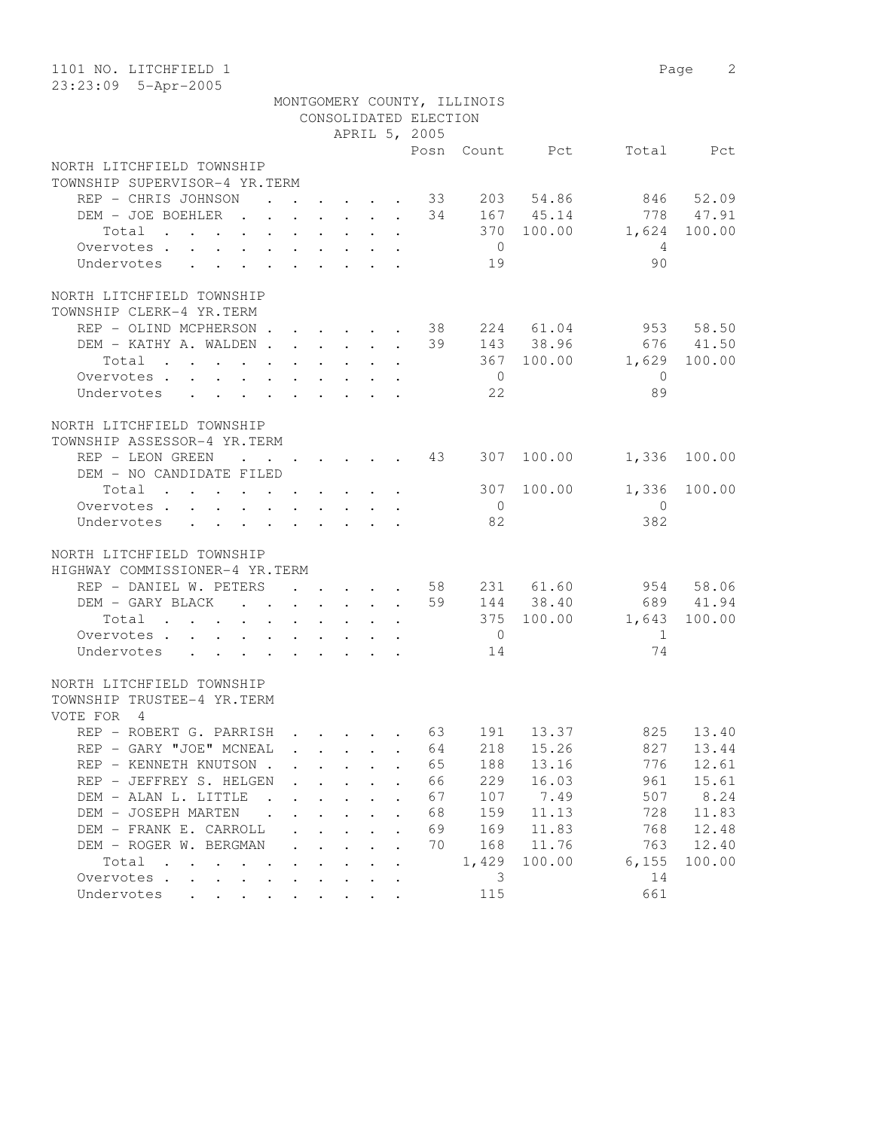| 1101 NO. LITCHFIELD 1<br>23:23:09 5-Apr-2005                                                                              |                                                           |                                        |                                 |                         |                            |                |                            |                | Page<br>2           |  |
|---------------------------------------------------------------------------------------------------------------------------|-----------------------------------------------------------|----------------------------------------|---------------------------------|-------------------------|----------------------------|----------------|----------------------------|----------------|---------------------|--|
| MONTGOMERY COUNTY, ILLINOIS<br>CONSOLIDATED ELECTION                                                                      |                                                           |                                        |                                 |                         |                            |                |                            |                |                     |  |
|                                                                                                                           |                                                           |                                        |                                 |                         | APRIL 5, 2005              |                |                            |                |                     |  |
|                                                                                                                           |                                                           |                                        |                                 |                         |                            |                | Posn Count Pct             |                | Total Pct           |  |
| NORTH LITCHFIELD TOWNSHIP                                                                                                 |                                                           |                                        |                                 |                         |                            |                |                            |                |                     |  |
| TOWNSHIP SUPERVISOR-4 YR.TERM                                                                                             |                                                           |                                        |                                 |                         |                            |                |                            |                |                     |  |
| REP - CHRIS JOHNSON                                                                                                       | $\ddot{\phantom{a}}$                                      |                                        | $\cdot$ $\cdot$                 |                         | 33                         | 203            | 54.86                      |                | 846 52.09           |  |
| DEM - JOE BOEHLER                                                                                                         |                                                           |                                        |                                 |                         |                            |                | 34 167 45.14               |                | 778 47.91           |  |
| Total                                                                                                                     |                                                           | $\mathbf{L} = \mathbf{L}$              |                                 |                         |                            |                | 370 100.00                 | 1,624          | 100.00              |  |
| Overvotes.<br>$\mathbf{A}$<br>$\sim$                                                                                      |                                                           | $\mathbf{L}$ and $\mathbf{L}$          |                                 |                         |                            | $\overline{0}$ |                            | 4              |                     |  |
| Undervotes<br>$\mathbf{L}$<br>$\mathbf{L}$<br>$\mathbf{r}$                                                                |                                                           |                                        |                                 |                         |                            | 19             |                            | 90             |                     |  |
| NORTH LITCHFIELD TOWNSHIP                                                                                                 |                                                           |                                        |                                 |                         |                            |                |                            |                |                     |  |
| TOWNSHIP CLERK-4 YR.TERM                                                                                                  |                                                           |                                        |                                 |                         |                            |                |                            |                |                     |  |
| REP - OLIND MCPHERSON.                                                                                                    |                                                           |                                        | $\mathbf{r}$ , and $\mathbf{r}$ |                         | 38                         |                | 224 61.04                  |                | 953 58.50           |  |
| DEM - KATHY A. WALDEN.                                                                                                    | $\ddot{\phantom{a}}$                                      | $\sim$                                 | $\sim$                          | $\sim$                  | 39<br>$\ddot{\phantom{a}}$ |                | 143 38.96                  |                | 676 41.50           |  |
| Total                                                                                                                     |                                                           |                                        |                                 |                         |                            |                | 367 100.00                 | 1,629          | 100.00              |  |
| Overvotes.<br>$\ddot{\phantom{a}}$                                                                                        |                                                           |                                        |                                 |                         |                            | $\overline{0}$ |                            | $\mathbf{0}$   |                     |  |
| Undervotes                                                                                                                |                                                           |                                        |                                 |                         |                            | 22             |                            | 89             |                     |  |
|                                                                                                                           |                                                           |                                        |                                 |                         |                            |                |                            |                |                     |  |
| NORTH LITCHFIELD TOWNSHIP                                                                                                 |                                                           |                                        |                                 |                         |                            |                |                            |                |                     |  |
| TOWNSHIP ASSESSOR-4 YR.TERM                                                                                               |                                                           |                                        |                                 |                         |                            |                |                            |                |                     |  |
| REP - LEON GREEN                                                                                                          | $\cdot$ $\cdot$ $\cdot$ $\cdot$                           | $\ddot{\phantom{0}}$                   |                                 | $\cdot$ $\cdot$ $\cdot$ |                            |                | 43 307 100.00              | 1,336          | 100.00              |  |
| DEM - NO CANDIDATE FILED                                                                                                  |                                                           |                                        |                                 |                         |                            |                |                            |                |                     |  |
| Total                                                                                                                     |                                                           |                                        |                                 |                         |                            |                | 307 100.00                 | 1,336          | 100.00              |  |
| Overvotes.                                                                                                                |                                                           |                                        |                                 |                         |                            | $\overline{0}$ |                            | $\overline{0}$ |                     |  |
| Undervotes                                                                                                                |                                                           |                                        |                                 |                         |                            | 82             |                            | 382            |                     |  |
|                                                                                                                           |                                                           |                                        |                                 |                         |                            |                |                            |                |                     |  |
| NORTH LITCHFIELD TOWNSHIP                                                                                                 |                                                           |                                        |                                 |                         |                            |                |                            |                |                     |  |
| HIGHWAY COMMISSIONER-4 YR.TERM                                                                                            |                                                           |                                        |                                 |                         |                            |                |                            |                |                     |  |
| REP - DANIEL W. PETERS                                                                                                    |                                                           | $\mathbf{r} = \mathbf{r} + \mathbf{r}$ |                                 |                         |                            | 58             | 231 61.60                  |                | 954 58.06           |  |
| DEM - GARY BLACK<br>$\cdot$<br>Total                                                                                      | $\mathbf{r}$ , $\mathbf{r}$ , $\mathbf{r}$ , $\mathbf{r}$ |                                        | $\mathbf{L}^{\text{max}}$       | $\mathbf{L}$            |                            |                | 59 144 38.40<br>375 100.00 | 1,643          | 689 41.94<br>100.00 |  |
| the contract of the contract of the contract of the contract of the contract of<br>Overvotes .                            |                                                           |                                        | $\sim$                          |                         |                            | $\overline{0}$ |                            | 1              |                     |  |
| $\ddot{\phantom{a}}$<br>Undervotes                                                                                        | $\mathbf{r} = \mathbf{r} + \mathbf{r}$                    | $\bullet$                              |                                 |                         |                            | 14             |                            | 74             |                     |  |
|                                                                                                                           |                                                           |                                        |                                 |                         |                            |                |                            |                |                     |  |
| NORTH LITCHFIELD TOWNSHIP                                                                                                 |                                                           |                                        |                                 |                         |                            |                |                            |                |                     |  |
| TOWNSHIP TRUSTEE-4 YR.TERM                                                                                                |                                                           |                                        |                                 |                         |                            |                |                            |                |                     |  |
| VOTE FOR 4                                                                                                                |                                                           |                                        |                                 |                         |                            |                |                            |                |                     |  |
| REP - ROBERT G. PARRISH                                                                                                   |                                                           |                                        |                                 |                         | 63                         | 191            | 13.37                      | 825            | 13.40               |  |
| REP - GARY "JOE" MCNEAL                                                                                                   |                                                           |                                        |                                 |                         | 64                         | 218            | 15.26                      | 827            | 13.44               |  |
| REP - KENNETH KNUTSON.                                                                                                    |                                                           |                                        |                                 |                         | 65                         | 188            | 13.16                      | 776            | 12.61               |  |
| REP - JEFFREY S. HELGEN                                                                                                   |                                                           |                                        |                                 |                         | 66                         | 229            | 16.03                      | 961            | 15.61               |  |
| DEM - ALAN L. LITTLE                                                                                                      |                                                           |                                        |                                 |                         | 67                         | 107            | 7.49                       | 507            | 8.24                |  |
| DEM - JOSEPH MARTEN                                                                                                       |                                                           |                                        |                                 |                         | 68                         | 159            | 11.13                      | 728            | 11.83               |  |
| DEM - FRANK E. CARROLL                                                                                                    |                                                           |                                        |                                 |                         | 69                         | 169            | 11.83                      | 768            | 12.48               |  |
| DEM - ROGER W. BERGMAN                                                                                                    |                                                           |                                        |                                 |                         | 70                         | 168            | 11.76                      | 763            | 12.40               |  |
| Total<br>$\ddot{\phantom{a}}$<br>$\mathbf{r}$ . The set of $\mathbf{r}$<br>$\cdot$                                        |                                                           |                                        |                                 |                         |                            | 1,429          | 100.00                     | 6,155          | 100.00              |  |
| Overvotes .<br>$\ddot{\phantom{0}}$<br>$\mathbf{L}$                                                                       |                                                           |                                        |                                 |                         |                            | 3              |                            | 14             |                     |  |
| Undervotes<br>$\ddot{\phantom{a}}$<br>$\ddot{\phantom{a}}$<br>$\bullet$ .<br><br><br><br><br><br><br><br><br><br><br><br> | $\ddot{\phantom{a}}$<br>$\bullet$                         |                                        |                                 |                         |                            | 115            |                            | 661            |                     |  |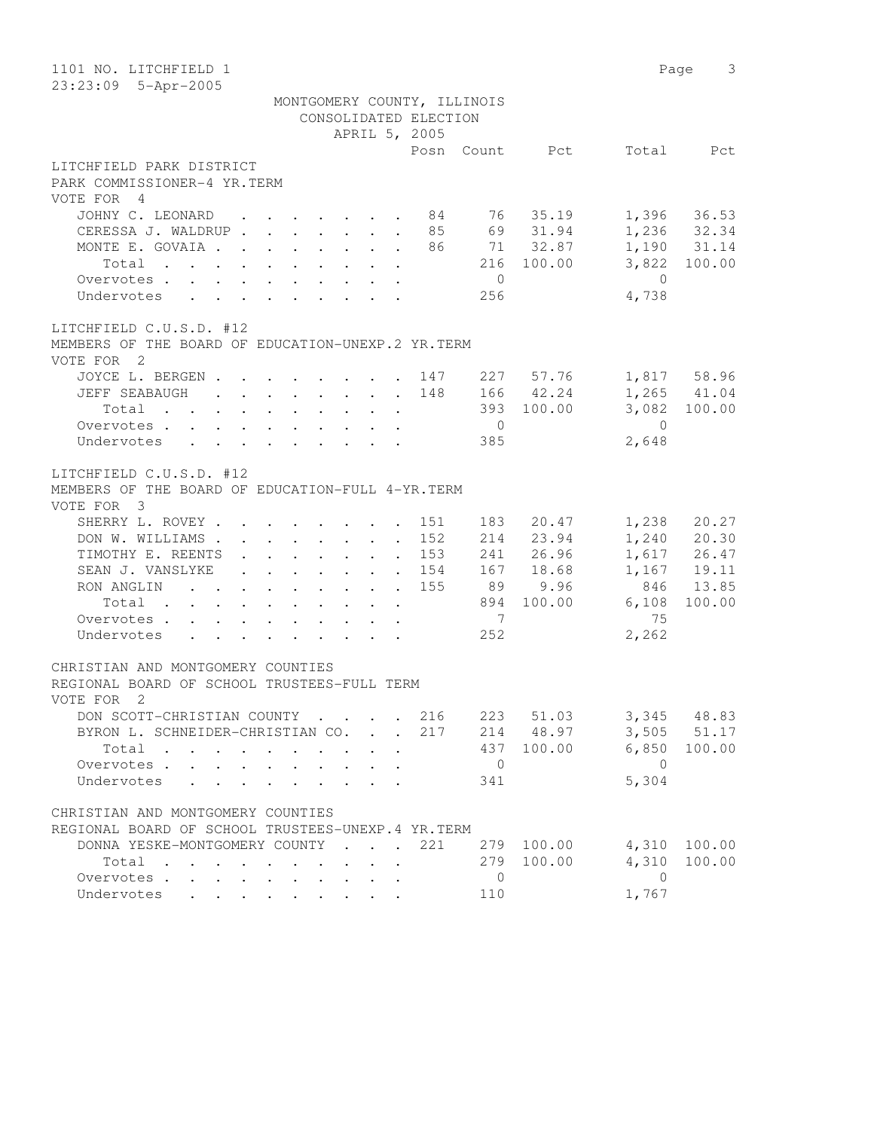| 1101 NO. LITCHFIELD 1                                                                                                        |                |            |                | 3<br>Page    |
|------------------------------------------------------------------------------------------------------------------------------|----------------|------------|----------------|--------------|
| 23:23:09 5-Apr-2005                                                                                                          |                |            |                |              |
| MONTGOMERY COUNTY, ILLINOIS                                                                                                  |                |            |                |              |
| CONSOLIDATED ELECTION                                                                                                        |                |            |                |              |
| APRIL 5, 2005                                                                                                                |                |            |                |              |
|                                                                                                                              | Posn           | Count Pct  | Total          | Pct          |
| LITCHFIELD PARK DISTRICT                                                                                                     |                |            |                |              |
| PARK COMMISSIONER-4 YR.TERM                                                                                                  |                |            |                |              |
| VOTE FOR 4                                                                                                                   |                |            |                |              |
| JOHNY C. LEONARD 84 76 35.19                                                                                                 |                |            |                | 1,396 36.53  |
| CERESSA J. WALDRUP 85 69 31.94                                                                                               |                |            |                | 1,236 32.34  |
| MONTE E. GOVAIA 86 71 32.87                                                                                                  |                |            |                | 1,190 31.14  |
| Total                                                                                                                        |                | 216 100.00 |                | 3,822 100.00 |
| Overvotes                                                                                                                    | $\overline{0}$ |            | $\overline{0}$ |              |
| Undervotes                                                                                                                   | 256            |            | 4,738          |              |
| LITCHFIELD C.U.S.D. #12                                                                                                      |                |            |                |              |
| MEMBERS OF THE BOARD OF EDUCATION-UNEXP.2 YR.TERM                                                                            |                |            |                |              |
| VOTE FOR 2                                                                                                                   |                |            |                |              |
| JOYCE L. BERGEN 147 227 57.76                                                                                                |                |            |                | 1,817 58.96  |
| JEFF SEABAUGH 148                                                                                                            |                | 166 42.24  |                | 1,265 41.04  |
| Total                                                                                                                        |                | 393 100.00 |                | 3,082 100.00 |
| Overvotes.                                                                                                                   | $\overline{0}$ |            | $\bigcirc$     |              |
| Undervotes                                                                                                                   | 385            |            | 2,648          |              |
|                                                                                                                              |                |            |                |              |
| LITCHFIELD C.U.S.D. #12                                                                                                      |                |            |                |              |
| MEMBERS OF THE BOARD OF EDUCATION-FULL 4-YR. TERM                                                                            |                |            |                |              |
| VOTE FOR 3                                                                                                                   |                |            |                |              |
| SHERRY L. ROVEY                                                                                                              | 183<br>151     | 20.47      | 1,238          | 20.27        |
| DON W. WILLIAMS                                                                                                              | 152            | 214 23.94  |                | 1,240 20.30  |
| TIMOTHY E. REENTS<br>$\mathbf{r} = \mathbf{r} \times \mathbf{r}$ , where $\mathbf{r} = \mathbf{r} \times \mathbf{r}$ , where | 153            | 241 26.96  |                | 1,617 26.47  |
| SEAN J. VANSLYKE                                                                                                             | 154            | 167 18.68  |                | 1,167 19.11  |
| RON ANGLIN 155                                                                                                               | 89             | 9.96       | 846            | 13.85        |
| Total                                                                                                                        | 894            | 100.00     | 6,108          | 100.00       |
| Overvotes                                                                                                                    | $\overline{7}$ |            | 75             |              |
| Undervotes                                                                                                                   | 252            |            | 2,262          |              |
|                                                                                                                              |                |            |                |              |
| CHRISTIAN AND MONTGOMERY COUNTIES                                                                                            |                |            |                |              |
| REGIONAL BOARD OF SCHOOL TRUSTEES-FULL TERM                                                                                  |                |            |                |              |
| VOTE FOR 2                                                                                                                   |                |            |                |              |
| DON SCOTT-CHRISTIAN COUNTY                                                                                                   | 223<br>216     | 51.03      | 3,345          | 48.83        |
| BYRON L. SCHNEIDER-CHRISTIAN CO. .                                                                                           | 214<br>217     | 48.97      | 3,505          | 51.17        |
| Total                                                                                                                        | 437            | 100.00     | 6,850          | 100.00       |
| Overvotes                                                                                                                    | $\overline{0}$ |            | $\overline{0}$ |              |
| Undervotes<br>$\sim$                                                                                                         | 341            |            | 5,304          |              |
|                                                                                                                              |                |            |                |              |
| CHRISTIAN AND MONTGOMERY COUNTIES                                                                                            |                |            |                |              |
| REGIONAL BOARD OF SCHOOL TRUSTEES-UNEXP.4 YR.TERM                                                                            |                |            |                |              |
| DONNA YESKE-MONTGOMERY COUNTY<br>$\mathbf{r}$ , $\mathbf{r}$ , $\mathbf{r}$ , $\mathbf{r}$                                   | 221<br>279     | 100.00     | 4,310          | 100.00       |
| Total<br>$\mathbf{r}$ , $\mathbf{r}$ , $\mathbf{r}$ , $\mathbf{r}$ , $\mathbf{r}$                                            | 279            | 100.00     | 4,310          | 100.00       |
| Overvotes.<br>$\bullet$ .<br><br><br><br><br><br><br><br><br><br><br><br><br><br><br>                                        | $\mathbf 0$    |            | $\overline{0}$ |              |
| Undervotes                                                                                                                   | 110            |            | 1,767          |              |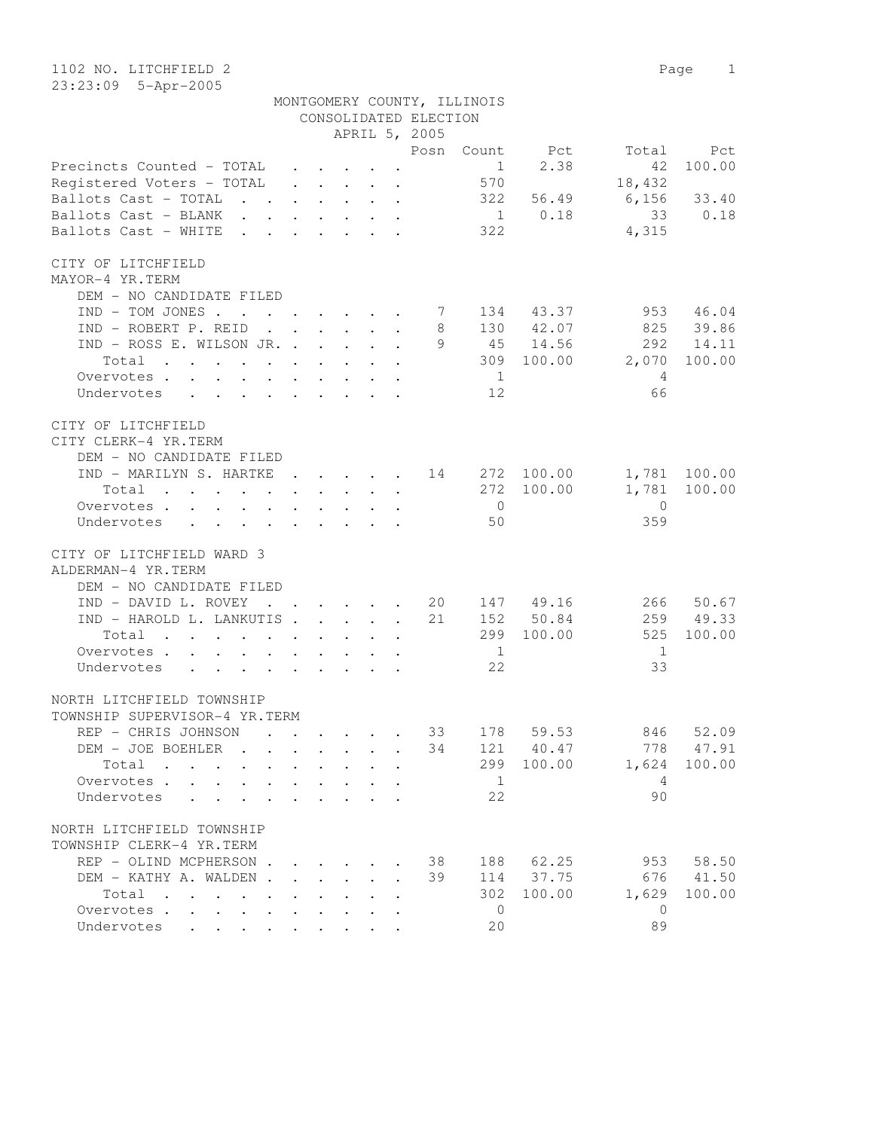1102 NO. LITCHFIELD 2 Page 1 23:23:09 5-Apr-2005

|                                       |        |              |                                                           |                           | CONSOLIDATED ELECTION<br>APRIL 5, 2005             | MONTGOMERY COUNTY, ILLINOIS |                        |                         |              |
|---------------------------------------|--------|--------------|-----------------------------------------------------------|---------------------------|----------------------------------------------------|-----------------------------|------------------------|-------------------------|--------------|
|                                       |        |              |                                                           |                           |                                                    |                             | Posn Count Pct         |                         | Total Pct    |
| Precincts Counted - TOTAL             |        |              |                                                           |                           |                                                    | 1                           | 2.38                   | 42                      | 100.00       |
| Registered Voters - TOTAL             |        |              |                                                           |                           |                                                    | 570                         |                        | 18,432                  |              |
| Ballots Cast - TOTAL                  |        |              |                                                           |                           |                                                    |                             |                        | 322 56.49 6,156 33.40   |              |
| Ballots Cast - BLANK                  |        |              |                                                           |                           |                                                    |                             | 1 0.18                 |                         | 33 0.18      |
|                                       |        |              |                                                           |                           |                                                    |                             |                        |                         |              |
| Ballots Cast - WHITE                  |        |              |                                                           |                           |                                                    | 322                         |                        | 4,315                   |              |
| CITY OF LITCHFIELD                    |        |              |                                                           |                           |                                                    |                             |                        |                         |              |
| MAYOR-4 YR.TERM                       |        |              |                                                           |                           |                                                    |                             |                        |                         |              |
| DEM - NO CANDIDATE FILED              |        |              |                                                           |                           |                                                    |                             |                        |                         |              |
| $IND - TOM JONES$                     |        |              |                                                           |                           | 7                                                  |                             | 134 43.37              |                         | 953 46.04    |
|                                       |        |              |                                                           |                           | 8                                                  |                             | 130 42.07              |                         | 825 39.86    |
| IND - ROBERT P. REID                  |        |              |                                                           |                           |                                                    |                             | 9 45 14.56             |                         |              |
| IND - ROSS E. WILSON JR.              |        |              |                                                           |                           |                                                    |                             |                        | 292<br>309 100.00 2,070 | 14.11        |
| Total                                 |        |              |                                                           |                           |                                                    |                             |                        |                         | 100.00       |
| Overvotes.                            |        |              |                                                           |                           |                                                    | $\sim$ 1                    |                        | $\overline{4}$          |              |
| Undervotes 12                         |        |              |                                                           |                           |                                                    |                             |                        | 66                      |              |
|                                       |        |              |                                                           |                           |                                                    |                             |                        |                         |              |
| CITY OF LITCHFIELD                    |        |              |                                                           |                           |                                                    |                             |                        |                         |              |
| CITY CLERK-4 YR.TERM                  |        |              |                                                           |                           |                                                    |                             |                        |                         |              |
| DEM - NO CANDIDATE FILED              |        |              |                                                           |                           |                                                    |                             |                        |                         |              |
| IND - MARILYN S. HARTKE 14 272 100.00 |        |              |                                                           |                           |                                                    |                             |                        |                         | 1,781 100.00 |
| Total $\cdot$                         |        |              |                                                           |                           |                                                    |                             | 272 100.00             |                         | 1,781 100.00 |
| Overvotes.                            |        |              |                                                           |                           |                                                    | $\overline{0}$              |                        | $\overline{0}$          |              |
| Undervotes                            |        |              |                                                           |                           |                                                    | 50                          |                        | 359                     |              |
| CITY OF LITCHFIELD WARD 3             |        |              |                                                           |                           |                                                    |                             |                        |                         |              |
| ALDERMAN-4 YR.TERM                    |        |              |                                                           |                           |                                                    |                             |                        |                         |              |
|                                       |        |              |                                                           |                           |                                                    |                             |                        |                         |              |
| DEM - NO CANDIDATE FILED              |        |              |                                                           |                           |                                                    |                             |                        |                         |              |
| IND - DAVID L. ROVEY                  |        |              |                                                           |                           | $\cdot$ $\cdot$ $\cdot$ $\cdot$ $\cdot$ $\cdot$ 20 |                             | 147 49.16<br>152 50.84 |                         | 266 50.67    |
| IND - HAROLD L. LANKUTIS              |        |              |                                                           |                           | 21                                                 |                             |                        |                         | 259 49.33    |
| Total                                 |        |              |                                                           |                           |                                                    |                             | 299 100.00             | 525                     | 100.00       |
| Overvotes.                            |        |              |                                                           |                           |                                                    | $\overline{1}$              |                        | $\overline{1}$          |              |
| Undervotes                            |        |              |                                                           |                           |                                                    | 22                          |                        | 33                      |              |
|                                       |        |              |                                                           |                           |                                                    |                             |                        |                         |              |
| NORTH LITCHFIELD TOWNSHIP             |        |              |                                                           |                           |                                                    |                             |                        |                         |              |
| TOWNSHIP SUPERVISOR-4 YR.TERM         |        |              |                                                           |                           |                                                    |                             |                        |                         |              |
| REP - CHRIS JOHNSON                   |        |              |                                                           |                           |                                                    |                             |                        | 33 178 59.53 846 52.09  |              |
| DEM - JOE BOEHLER                     |        | $\mathbf{L}$ | $\cdot$ $\cdot$                                           | $\mathbf{L}$ $\mathbf{L}$ | 34                                                 |                             | 121 40.47              | 778                     | 47.91        |
| Total<br>$\sim$                       | $\sim$ | $\mathbf{L}$ | $\mathbf{A}$<br>$\sim$                                    |                           |                                                    | 299                         | 100.00                 | 1,624                   | 100.00       |
| Overvotes                             |        |              | $\mathbf{r}$ , $\mathbf{r}$ , $\mathbf{r}$                | $\overline{a}$            |                                                    | - 1                         |                        | $\overline{4}$          |              |
| Undervotes                            |        |              | $\mathbf{r}$ , $\mathbf{r}$ , $\mathbf{r}$ , $\mathbf{r}$ |                           |                                                    | 22                          |                        | 90                      |              |
|                                       |        |              |                                                           |                           |                                                    |                             |                        |                         |              |
| NORTH LITCHFIELD TOWNSHIP             |        |              |                                                           |                           |                                                    |                             |                        |                         |              |
| TOWNSHIP CLERK-4 YR.TERM              |        |              |                                                           |                           |                                                    |                             |                        |                         |              |
| REP - OLIND MCPHERSON.                |        |              | $\mathbf{r} = \mathbf{r} \cdot \mathbf{r}$                |                           | 38                                                 |                             | 188 62.25              | 953                     | 58.50        |
| DEM - KATHY A. WALDEN.                |        |              | $\mathbf{L}$<br>$\mathbf{L}$                              |                           | 39                                                 |                             | 114 37.75              | 676                     | 41.50        |
| Total                                 |        |              |                                                           |                           |                                                    | 302                         | 100.00                 | 1,629                   | 100.00       |
| Overvotes                             |        |              |                                                           |                           |                                                    | $\overline{0}$              |                        | $\overline{0}$          |              |
| Undervotes                            |        |              |                                                           |                           |                                                    | 20                          |                        | 89                      |              |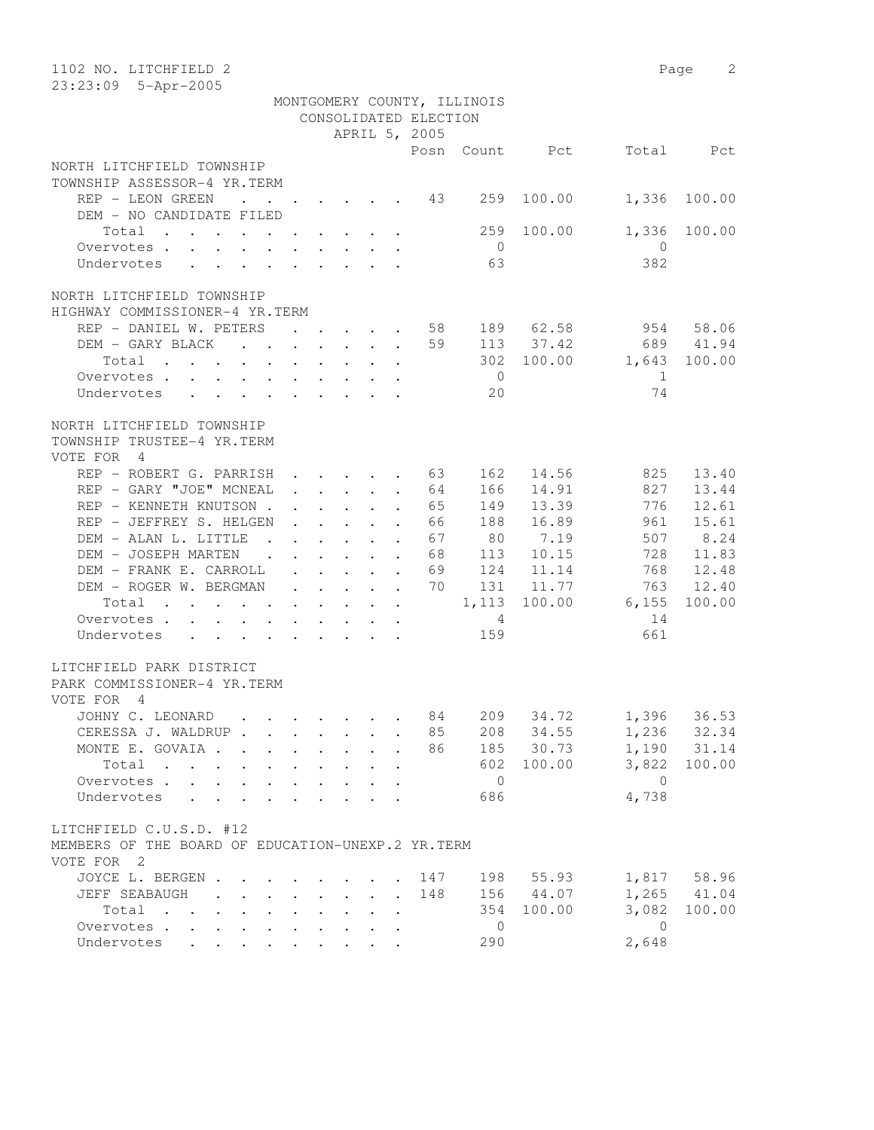| 1102 NO. LITCHFIELD 2<br>23:23:09 5-Apr-2005                                                                                             |                      |                                         |                                                   |                                                                                                                                     |                             |                             |           |                | Page<br>2 |
|------------------------------------------------------------------------------------------------------------------------------------------|----------------------|-----------------------------------------|---------------------------------------------------|-------------------------------------------------------------------------------------------------------------------------------------|-----------------------------|-----------------------------|-----------|----------------|-----------|
|                                                                                                                                          |                      |                                         |                                                   |                                                                                                                                     |                             | MONTGOMERY COUNTY, ILLINOIS |           |                |           |
|                                                                                                                                          |                      |                                         |                                                   |                                                                                                                                     | CONSOLIDATED ELECTION       |                             |           |                |           |
|                                                                                                                                          |                      |                                         |                                                   |                                                                                                                                     | APRIL 5, 2005               |                             |           |                |           |
|                                                                                                                                          |                      |                                         |                                                   |                                                                                                                                     | Posn                        | Count                       | Pct       | Total          | Pct       |
| NORTH LITCHFIELD TOWNSHIP                                                                                                                |                      |                                         |                                                   |                                                                                                                                     |                             |                             |           |                |           |
| TOWNSHIP ASSESSOR-4 YR.TERM                                                                                                              |                      |                                         |                                                   |                                                                                                                                     |                             |                             |           |                |           |
| REP - LEON GREEN<br>$\sim$ $\sim$<br>DEM - NO CANDIDATE FILED                                                                            | $\ddot{\phantom{1}}$ |                                         |                                                   | $\cdot$ $\cdot$ $\cdot$ $\cdot$ $\cdot$                                                                                             | 43                          | 259                         | 100.00    | 1,336          | 100.00    |
| Total                                                                                                                                    |                      |                                         |                                                   | $\cdot$ $\cdot$ $\cdot$ $\cdot$ $\cdot$                                                                                             |                             | 259                         | 100.00    | 1,336          | 100.00    |
| Overvotes                                                                                                                                |                      |                                         |                                                   |                                                                                                                                     |                             | $\overline{0}$              |           | $\overline{0}$ |           |
| Undervotes                                                                                                                               |                      |                                         |                                                   |                                                                                                                                     |                             | 63                          |           | 382            |           |
| NORTH LITCHFIELD TOWNSHIP                                                                                                                |                      |                                         |                                                   |                                                                                                                                     |                             |                             |           |                |           |
| HIGHWAY COMMISSIONER-4 YR.TERM                                                                                                           |                      |                                         |                                                   |                                                                                                                                     |                             |                             |           |                |           |
| REP - DANIEL W. PETERS                                                                                                                   |                      |                                         |                                                   | and the contract of the contract of                                                                                                 | 58                          |                             | 189 62.58 | 954            | 58.06     |
| DEM - GARY BLACK                                                                                                                         |                      |                                         |                                                   |                                                                                                                                     | 59                          |                             | 113 37.42 | 689            | 41.94     |
| Total                                                                                                                                    | $\sim$               | $\ddot{\phantom{0}}$                    | $\sim$ 100 $\pm$                                  | $\cdot$ $\cdot$ $\cdot$                                                                                                             |                             | 302                         | 100.00    | 1,643          | 100.00    |
| Overvotes.                                                                                                                               |                      |                                         |                                                   |                                                                                                                                     |                             | $\overline{0}$              |           | 1              |           |
| Undervotes<br>$\mathbf{r}$ , $\mathbf{r}$ , $\mathbf{r}$ , $\mathbf{r}$ , $\mathbf{r}$ , $\mathbf{r}$ , $\mathbf{r}$                     |                      |                                         |                                                   |                                                                                                                                     |                             | 20                          |           | 74             |           |
| NORTH LITCHFIELD TOWNSHIP                                                                                                                |                      |                                         |                                                   |                                                                                                                                     |                             |                             |           |                |           |
| TOWNSHIP TRUSTEE-4 YR.TERM                                                                                                               |                      |                                         |                                                   |                                                                                                                                     |                             |                             |           |                |           |
| VOTE FOR 4                                                                                                                               |                      |                                         |                                                   |                                                                                                                                     |                             |                             |           |                |           |
| REP - ROBERT G. PARRISH                                                                                                                  |                      |                                         |                                                   | $\cdot$ $\cdot$ $\cdot$ $\cdot$ $\cdot$                                                                                             | 63<br>$\ddot{\phantom{a}}$  | 162                         | 14.56     | 825            | 13.40     |
| REP - GARY "JOE" MCNEAL                                                                                                                  |                      |                                         | $\mathbf{r}$ , $\mathbf{r}$ , $\mathbf{r}$        |                                                                                                                                     | 64<br>$\cdot$               | 166                         | 14.91     | 827            | 13.44     |
| REP - KENNETH KNUTSON.                                                                                                                   |                      | $\mathbf{L}^{\text{max}}$               | $\mathbf{L}$<br>$\mathcal{L}^{\text{max}}$        | $\mathbf{L}$                                                                                                                        | 65<br>$\ddot{\phantom{a}}$  | 149                         | 13.39     | 776            | 12.61     |
| REP - JEFFREY S. HELGEN                                                                                                                  |                      |                                         |                                                   | $\ddot{\phantom{a}}$                                                                                                                | 66<br>$\ddot{\phantom{a}}$  | 188                         | 16.89     | 961            | 15.61     |
| DEM - ALAN L. LITTLE.                                                                                                                    |                      |                                         |                                                   | $\cdot$ $\cdot$ $\cdot$ $\cdot$ $\cdot$                                                                                             | 67<br>$\ddot{\phantom{a}}$  | 80                          | 7.19      | 507            | 8.24      |
| DEM - JOSEPH MARTEN                                                                                                                      | $\sim$ $\sim$        |                                         |                                                   | $\mathbf{r}$ , $\mathbf{r}$ , $\mathbf{r}$ , $\mathbf{r}$                                                                           | 68<br>$\ddot{\phantom{a}}$  | 113                         | 10.15     | 728            | 11.83     |
| DEM - FRANK E. CARROLL                                                                                                                   |                      |                                         | $\cdot$ $\cdot$ $\cdot$ $\cdot$ $\cdot$           |                                                                                                                                     | 69<br>$\bullet$             | 124                         | 11.14     | 768            | 12.48     |
| DEM - ROGER W. BERGMAN                                                                                                                   |                      |                                         |                                                   | $\begin{array}{cccccccccccccc} \bullet & \bullet & \bullet & \bullet & \bullet & \bullet & \bullet & \bullet & \bullet \end{array}$ | 70                          | 131                         | 11.77     | 763            | 12.40     |
| Total<br>the contract of the contract of the contract of the contract of the contract of the contract of the contract of                 |                      |                                         |                                                   |                                                                                                                                     |                             | 1,113                       | 100.00    | 6,155          | 100.00    |
| Overvotes                                                                                                                                |                      |                                         |                                                   |                                                                                                                                     |                             | 4                           |           | 14             |           |
| Undervotes<br>$\ddot{\phantom{a}}$<br>$\bullet$ .<br><br><br><br><br><br><br><br><br><br><br><br><br>$\bullet$ . In the set of $\bullet$ |                      | $\bullet$ .<br><br><br><br><br><br><br> |                                                   | $\cdot$ $\cdot$ $\cdot$ $\cdot$ $\cdot$                                                                                             |                             | 159                         |           | 661            |           |
| LITCHFIELD PARK DISTRICT                                                                                                                 |                      |                                         |                                                   |                                                                                                                                     |                             |                             |           |                |           |
| PARK COMMISSIONER-4 YR.TERM                                                                                                              |                      |                                         |                                                   |                                                                                                                                     |                             |                             |           |                |           |
| VOTE FOR 4                                                                                                                               |                      |                                         |                                                   |                                                                                                                                     |                             |                             |           |                |           |
| JOHNY C. LEONARD                                                                                                                         |                      |                                         |                                                   |                                                                                                                                     | 84                          | 209                         | 34.72     | 1,396          | 36.53     |
| CERESSA J. WALDRUP.                                                                                                                      | $\ddot{\phantom{a}}$ |                                         | $\ddot{\phantom{0}}$                              |                                                                                                                                     | 85<br>$\ddot{\phantom{a}}$  | 208                         | 34.55     | 1,236          | 32.34     |
| MONTE E. GOVAIA .<br>$\sim$                                                                                                              | $\ddot{\phantom{0}}$ | $\ddot{\phantom{0}}$                    | $\mathbf{L}^{\text{max}}$<br>$\ddot{\phantom{0}}$ | $\ddot{\phantom{a}}$                                                                                                                | 86                          | 185                         | 30.73     | 1,190          | 31.14     |
| Total<br>$\ddot{\phantom{a}}$                                                                                                            |                      |                                         |                                                   |                                                                                                                                     |                             | 602                         | 100.00    | 3,822          | 100.00    |
| Overvotes.<br>$\mathbf{L} = \mathbf{L}$<br>$\mathbf{L}$                                                                                  | $\mathbf{L}$         | $\mathbf{L}$                            |                                                   |                                                                                                                                     |                             | $\overline{0}$              |           | $\overline{0}$ |           |
| $\mathcal{L}^{\text{max}}$<br>Undervotes<br>$\ddot{\phantom{0}}$<br>$\ddot{\phantom{a}}$                                                 |                      |                                         |                                                   |                                                                                                                                     |                             | 686                         |           | 4,738          |           |
| LITCHFIELD C.U.S.D. #12                                                                                                                  |                      |                                         |                                                   |                                                                                                                                     |                             |                             |           |                |           |
| MEMBERS OF THE BOARD OF EDUCATION-UNEXP.2 YR.TERM                                                                                        |                      |                                         |                                                   |                                                                                                                                     |                             |                             |           |                |           |
| VOTE FOR 2                                                                                                                               |                      |                                         |                                                   |                                                                                                                                     |                             |                             |           |                |           |
| JOYCE L. BERGEN.                                                                                                                         |                      |                                         |                                                   |                                                                                                                                     | 147<br>$\ddot{\phantom{a}}$ | 198                         | 55.93     | 1,817          | 58.96     |
| JEFF SEABAUGH<br>$\cdot$ $\cdot$ $\cdot$                                                                                                 |                      |                                         |                                                   |                                                                                                                                     | 148                         | 156                         | 44.07     | 1,265          | 41.04     |
| Total<br>$\ddot{\phantom{0}}$                                                                                                            | $\ddot{\phantom{a}}$ | $\mathbf{L}$                            |                                                   |                                                                                                                                     |                             | 354                         | 100.00    | 3,082          | 100.00    |
| Overvotes<br>$\sim$<br>$\bullet$                                                                                                         |                      |                                         |                                                   |                                                                                                                                     |                             | $\overline{0}$              |           | $\mathbf{0}$   |           |
| Undervotes                                                                                                                               | $\mathbf{L}$         | $\mathbf{L}$                            | $\mathcal{L}^{\text{max}}$<br>$\mathbf{L}$        |                                                                                                                                     |                             | 290                         |           | 2,648          |           |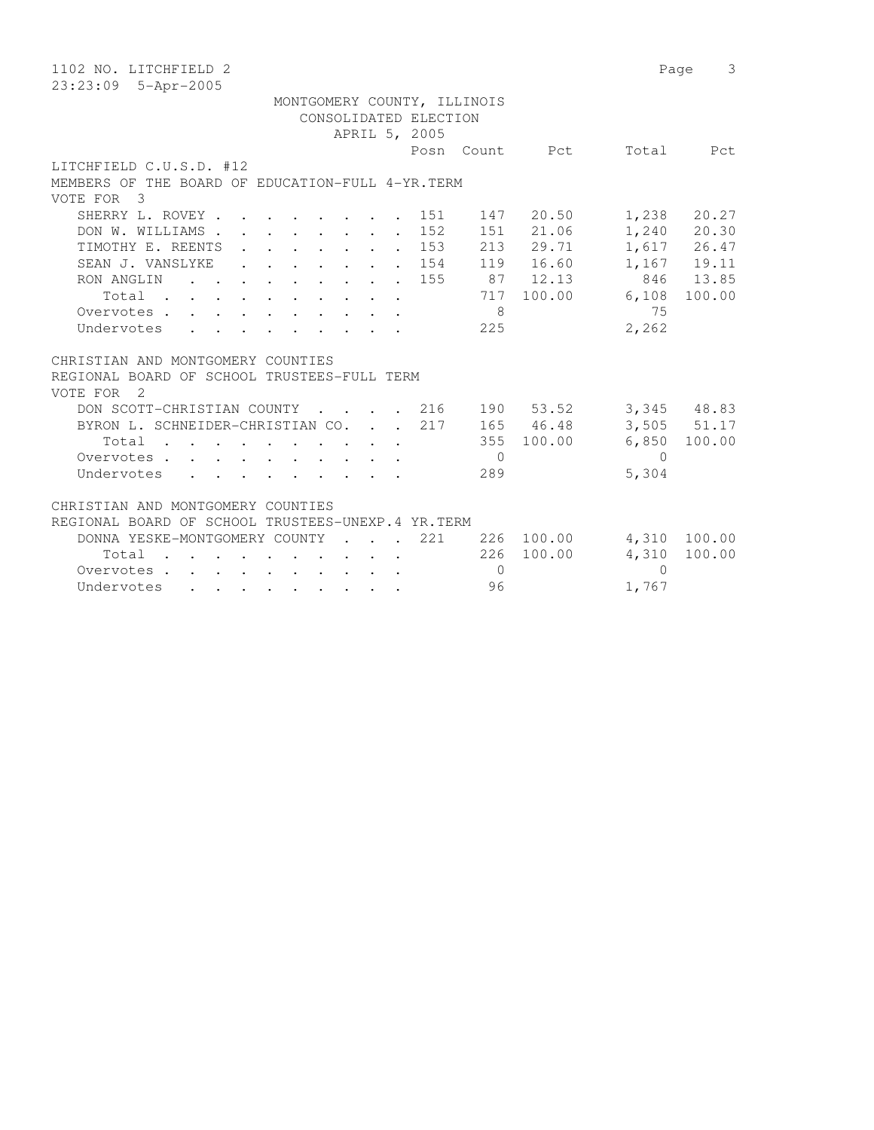| 1102 NO. LITCHFIELD 2                                                                                                                                                                                                                                      |            | Page      | 3               |
|------------------------------------------------------------------------------------------------------------------------------------------------------------------------------------------------------------------------------------------------------------|------------|-----------|-----------------|
| 23:23:09 5-Apr-2005                                                                                                                                                                                                                                        |            |           |                 |
| MONTGOMERY COUNTY, ILLINOIS                                                                                                                                                                                                                                |            |           |                 |
| CONSOLIDATED ELECTION                                                                                                                                                                                                                                      |            |           |                 |
| APRIL 5, 2005                                                                                                                                                                                                                                              |            |           |                 |
| Posn<br>Count                                                                                                                                                                                                                                              | Pct        | Total     | Pct             |
| LITCHFIELD C.U.S.D. #12                                                                                                                                                                                                                                    |            |           |                 |
| MEMBERS OF THE BOARD OF EDUCATION-FULL 4-YR. TERM                                                                                                                                                                                                          |            |           |                 |
| VOTE FOR 3                                                                                                                                                                                                                                                 |            |           |                 |
| SHERRY L. ROVEY.<br>151                                                                                                                                                                                                                                    | 147 20.50  | 1,238     | 20.27           |
| $\cdot$ $\cdot$ $\cdot$ $\cdot$ $\cdot$ $\cdot$ $\cdot$ $\cdot$<br>152<br>DON W. WILLIAMS.<br>$\mathbf{r}$ , $\mathbf{r}$ , $\mathbf{r}$ , $\mathbf{r}$ , $\mathbf{r}$                                                                                     | 151 21.06  |           | $1,240$ 20.30   |
| TIMOTHY E. REENTS<br>153                                                                                                                                                                                                                                   | 213 29.71  |           | 1,617 26.47     |
| $\mathbf{1}$ , $\mathbf{1}$ , $\mathbf{1}$ , $\mathbf{1}$ , $\mathbf{1}$ , $\mathbf{1}$ , $\mathbf{1}$<br>$\sim$                                                                                                                                           |            |           | 1,167 19.11     |
| SEAN J. VANSLYKE<br>154<br>$\cdot$ $\cdot$ $\cdot$ $\cdot$ $\cdot$ $\cdot$ $\cdot$                                                                                                                                                                         | 119 16.60  |           |                 |
| RON ANGLIN<br>155<br>$\mathbf{r}$ , and $\mathbf{r}$ , and $\mathbf{r}$ , and $\mathbf{r}$                                                                                                                                                                 | 87 12.13   | 846       | 13.85           |
| 717<br>Total                                                                                                                                                                                                                                               | 100.00     | 6,108     | 100.00          |
| 8<br>Overvotes                                                                                                                                                                                                                                             |            | 75        |                 |
| Undervotes<br>225                                                                                                                                                                                                                                          |            | 2,262     |                 |
|                                                                                                                                                                                                                                                            |            |           |                 |
| CHRISTIAN AND MONTGOMERY COUNTIES                                                                                                                                                                                                                          |            |           |                 |
| REGIONAL BOARD OF SCHOOL TRUSTEES-FULL TERM                                                                                                                                                                                                                |            |           |                 |
| VOTE FOR 2                                                                                                                                                                                                                                                 |            |           |                 |
| DON SCOTT-CHRISTIAN COUNTY<br>. 216                                                                                                                                                                                                                        | 190 53.52  |           | 3,345 48.83     |
| BYRON L. SCHNEIDER-CHRISTIAN CO.<br>217                                                                                                                                                                                                                    | 165 46.48  |           | $3,505$ $51.17$ |
| Total                                                                                                                                                                                                                                                      | 355 100.00 | 6,850     | 100.00          |
| Overvotes<br>$\overline{0}$                                                                                                                                                                                                                                |            | $\bigcap$ |                 |
| 289<br>Undervotes                                                                                                                                                                                                                                          |            | 5,304     |                 |
|                                                                                                                                                                                                                                                            |            |           |                 |
| CHRISTIAN AND MONTGOMERY COUNTIES                                                                                                                                                                                                                          |            |           |                 |
| REGIONAL BOARD OF SCHOOL TRUSTEES-UNEXP.4 YR.TERM                                                                                                                                                                                                          |            |           |                 |
| DONNA YESKE-MONTGOMERY COUNTY<br>221<br>$\sim$ $\sim$ $\sim$ $\sim$                                                                                                                                                                                        | 226 100.00 | 4,310     | 100.00          |
| 226<br>Total                                                                                                                                                                                                                                               | 100.00     | 4,310     | 100.00          |
| Overvotes.<br>$\bigcirc$<br>and a series of the contract of the series of the series of the series of the series of the series of the series of the series of the series of the series of the series of the series of the series of the series of the seri |            | $\Omega$  |                 |
| 96<br>Undervotes                                                                                                                                                                                                                                           |            | 1,767     |                 |
|                                                                                                                                                                                                                                                            |            |           |                 |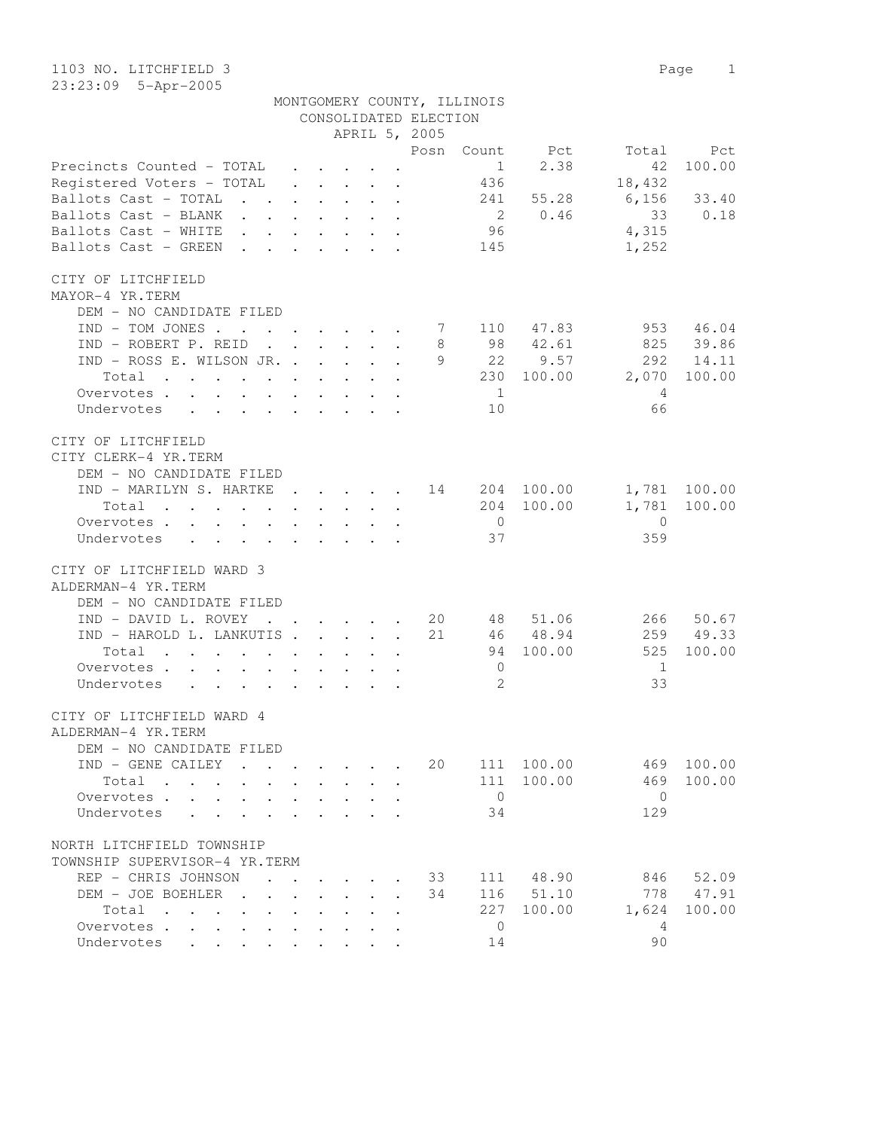1103 NO. LITCHFIELD 3 Page 1 23:23:09 5-Apr-2005

| MONTGOMERY COUNTY, ILLINOIS |  |
|-----------------------------|--|
| CONSOLIDATED ELECTION       |  |

|                                                                                                                          |                                                                 |                                                                                     |        |              | APRIL 5, 2005                                      |                |            |                          |              |
|--------------------------------------------------------------------------------------------------------------------------|-----------------------------------------------------------------|-------------------------------------------------------------------------------------|--------|--------------|----------------------------------------------------|----------------|------------|--------------------------|--------------|
|                                                                                                                          |                                                                 |                                                                                     |        |              | Posn                                               | Count          | Pct        | Total                    | Pct          |
| Precincts Counted - TOTAL                                                                                                |                                                                 |                                                                                     |        |              |                                                    | 1              | 2.38       | 42                       | 100.00       |
| Registered Voters - TOTAL                                                                                                |                                                                 |                                                                                     |        |              |                                                    | 436            |            | 18,432                   |              |
| Ballots Cast - TOTAL 241 55.28                                                                                           |                                                                 |                                                                                     |        |              |                                                    |                |            | $6,156$ 33.40            |              |
| Ballots Cast - BLANK                                                                                                     |                                                                 |                                                                                     |        |              |                                                    |                | 2 0.46     | 33                       | 0.18         |
| Ballots Cast - WHITE                                                                                                     |                                                                 |                                                                                     |        |              |                                                    | 96             |            | 4,315                    |              |
| Ballots Cast - GREEN                                                                                                     |                                                                 |                                                                                     |        |              |                                                    | 145            |            | 1,252                    |              |
|                                                                                                                          |                                                                 |                                                                                     |        |              |                                                    |                |            |                          |              |
| CITY OF LITCHFIELD                                                                                                       |                                                                 |                                                                                     |        |              |                                                    |                |            |                          |              |
| MAYOR-4 YR.TERM                                                                                                          |                                                                 |                                                                                     |        |              |                                                    |                |            |                          |              |
| DEM - NO CANDIDATE FILED                                                                                                 |                                                                 |                                                                                     |        |              |                                                    |                |            |                          |              |
| IND - TOM JONES 7 110 47.83                                                                                              |                                                                 |                                                                                     |        |              |                                                    |                |            | 953                      | 46.04        |
| $\mathbf{r}$ . The set of the set of $\mathbf{r}$                                                                        |                                                                 |                                                                                     |        |              |                                                    |                | 98 42.61   | 825 39.86                |              |
| IND - ROBERT P. REID                                                                                                     |                                                                 |                                                                                     |        |              | 8<br>9                                             |                |            |                          |              |
| IND - ROSS E. WILSON JR.                                                                                                 |                                                                 |                                                                                     |        |              |                                                    |                | 22 9.57    | 292                      | 14.11        |
| Total<br>the contract of the contract of the contract of the contract of the contract of the contract of the contract of |                                                                 |                                                                                     |        |              |                                                    |                | 230 100.00 | 2,070                    | 100.00       |
| Overvotes                                                                                                                |                                                                 |                                                                                     |        |              |                                                    | $\overline{1}$ |            | 4                        |              |
| Undervotes                                                                                                               |                                                                 |                                                                                     |        |              |                                                    | 10             |            | 66                       |              |
|                                                                                                                          |                                                                 |                                                                                     |        |              |                                                    |                |            |                          |              |
| CITY OF LITCHFIELD                                                                                                       |                                                                 |                                                                                     |        |              |                                                    |                |            |                          |              |
| CITY CLERK-4 YR.TERM                                                                                                     |                                                                 |                                                                                     |        |              |                                                    |                |            |                          |              |
| DEM - NO CANDIDATE FILED                                                                                                 |                                                                 |                                                                                     |        |              |                                                    |                |            |                          |              |
| IND - MARILYN S. HARTKE 14 204 100.00                                                                                    |                                                                 |                                                                                     |        |              |                                                    |                |            |                          | 1,781 100.00 |
| Total<br>$\mathbf{r}$ , and $\mathbf{r}$ , and $\mathbf{r}$ , and $\mathbf{r}$ , and $\mathbf{r}$ , and $\mathbf{r}$     |                                                                 |                                                                                     |        |              |                                                    |                | 204 100.00 |                          | 1,781 100.00 |
| Overvotes                                                                                                                |                                                                 |                                                                                     |        |              |                                                    | $\overline{0}$ |            | $\overline{0}$           |              |
| Undervotes                                                                                                               |                                                                 |                                                                                     |        |              |                                                    | 37             |            | 359                      |              |
|                                                                                                                          |                                                                 |                                                                                     |        |              |                                                    |                |            |                          |              |
| CITY OF LITCHFIELD WARD 3                                                                                                |                                                                 |                                                                                     |        |              |                                                    |                |            |                          |              |
| ALDERMAN-4 YR.TERM                                                                                                       |                                                                 |                                                                                     |        |              |                                                    |                |            |                          |              |
| DEM - NO CANDIDATE FILED                                                                                                 |                                                                 |                                                                                     |        |              |                                                    |                |            |                          |              |
| IND - DAVID L. ROVEY                                                                                                     |                                                                 |                                                                                     |        |              | $\cdot$ $\cdot$ $\cdot$ $\cdot$ $\cdot$ $\cdot$ 20 |                | 48 51.06   | 266                      | 50.67        |
| IND - HAROLD L. LANKUTIS                                                                                                 |                                                                 |                                                                                     |        |              | 21                                                 |                | 46 48.94   |                          | 259 49.33    |
| Total<br>$\mathcal{A}$ . The contribution of the contribution of the contribution of $\mathcal{A}$                       |                                                                 |                                                                                     |        |              |                                                    |                | 94 100.00  | 525                      | 100.00       |
| Overvotes                                                                                                                |                                                                 |                                                                                     |        |              |                                                    | $\overline{0}$ |            | $\overline{1}$           |              |
| Undervotes                                                                                                               |                                                                 |                                                                                     |        |              |                                                    | $\mathfrak{L}$ |            | 33                       |              |
|                                                                                                                          |                                                                 |                                                                                     |        |              |                                                    |                |            |                          |              |
| CITY OF LITCHFIELD WARD 4                                                                                                |                                                                 |                                                                                     |        |              |                                                    |                |            |                          |              |
| ALDERMAN-4 YR.TERM                                                                                                       |                                                                 |                                                                                     |        |              |                                                    |                |            |                          |              |
| DEM - NO CANDIDATE FILED                                                                                                 |                                                                 |                                                                                     |        |              |                                                    |                |            |                          |              |
| IND - GENE CAILEY                                                                                                        |                                                                 |                                                                                     |        |              |                                                    |                |            | 20 111 100.00 469 100.00 |              |
| Total                                                                                                                    |                                                                 |                                                                                     |        |              |                                                    |                | 111 100.00 | 469                      | 100.00       |
| Overvotes.                                                                                                               |                                                                 |                                                                                     |        |              |                                                    | $\circ$        |            | $\mathbf{0}$             |              |
|                                                                                                                          |                                                                 |                                                                                     |        |              |                                                    | 34             |            | 129                      |              |
| Undervotes                                                                                                               |                                                                 |                                                                                     |        |              |                                                    |                |            |                          |              |
| NORTH LITCHFIELD TOWNSHIP                                                                                                |                                                                 |                                                                                     |        |              |                                                    |                |            |                          |              |
| TOWNSHIP SUPERVISOR-4 YR.TERM                                                                                            |                                                                 |                                                                                     |        |              |                                                    |                |            |                          |              |
|                                                                                                                          |                                                                 |                                                                                     |        |              |                                                    |                |            |                          |              |
| REP - CHRIS JOHNSON                                                                                                      |                                                                 |                                                                                     |        |              | 33                                                 |                | 111 48.90  | 846                      | 52.09        |
| DEM - JOE BOEHLER.<br>$\mathbf{L}$                                                                                       | $\mathbf{L}$                                                    | $\ddot{\phantom{0}}$<br>$\mathbf{L}$                                                | $\sim$ | $\mathbf{r}$ | 34                                                 |                | 116 51.10  | 778                      | 47.91        |
| Total<br>$\ddot{\phantom{a}}$                                                                                            | $\ddot{\phantom{0}}$                                            | $\sim$                                                                              |        |              |                                                    | 227            | 100.00     | 1,624                    | 100.00       |
| Overvotes                                                                                                                | $\bullet$ .<br><br><br><br><br><br><br><br><br><br><br><br>     | $\ddot{\phantom{0}}$                                                                |        |              |                                                    | $\overline{0}$ |            | -4                       |              |
| Undervotes<br>$\bullet$ .<br><br><br><br><br><br><br><br><br><br><br><br><br>                                            | $\bullet$ .<br><br><br><br><br><br><br><br><br><br><br><br><br> | $\ddot{\phantom{0}}$<br>$\bullet$ .<br><br><br><br><br><br><br><br><br><br><br><br> |        |              |                                                    | 14             |            | 90                       |              |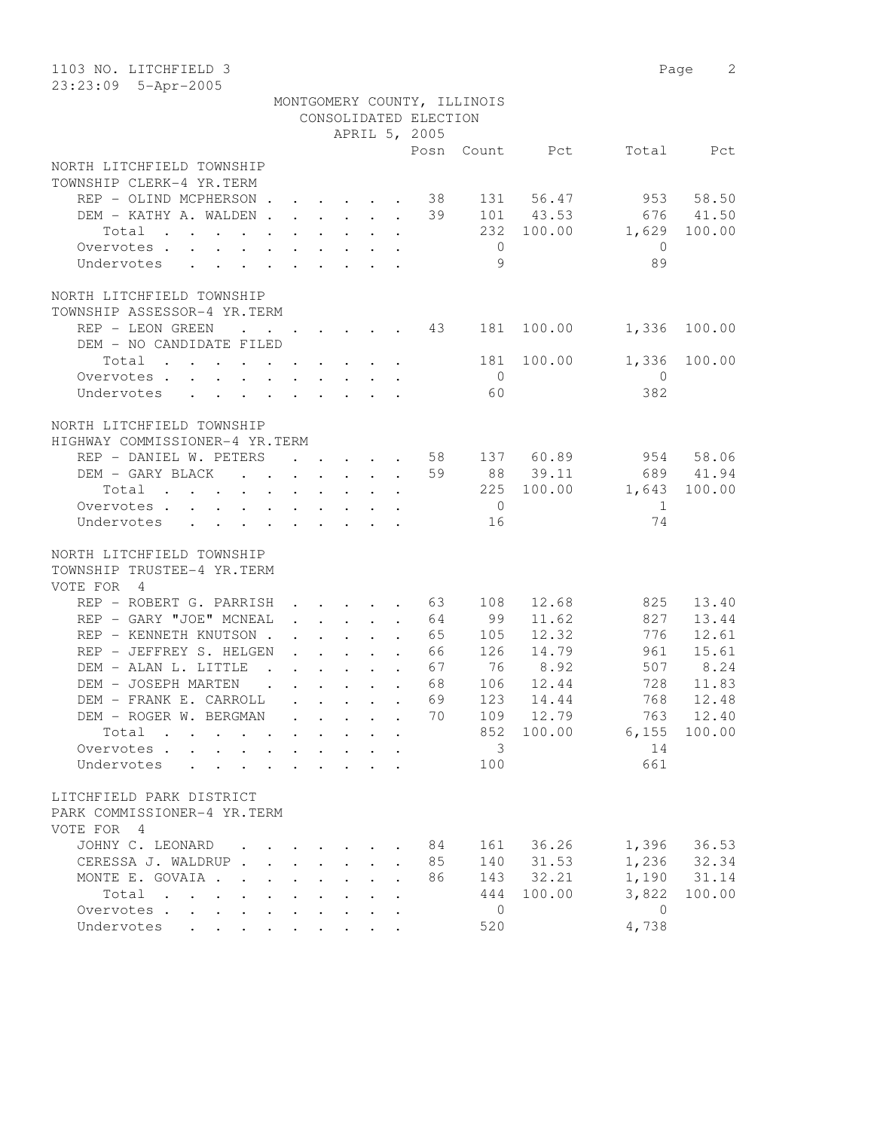| 1103 NO. LITCHFIELD 3<br>23:23:09 5-Apr-2005                    |                      |        |             |                                                                                         |                       |                             |            |                | 2<br>Page |
|-----------------------------------------------------------------|----------------------|--------|-------------|-----------------------------------------------------------------------------------------|-----------------------|-----------------------------|------------|----------------|-----------|
|                                                                 |                      |        |             |                                                                                         | CONSOLIDATED ELECTION | MONTGOMERY COUNTY, ILLINOIS |            |                |           |
|                                                                 |                      |        |             |                                                                                         | APRIL 5, 2005         |                             |            |                |           |
|                                                                 |                      |        |             |                                                                                         | Posn                  |                             | Count Pct  | Total          | Pct       |
| NORTH LITCHFIELD TOWNSHIP                                       |                      |        |             |                                                                                         |                       |                             |            |                |           |
| TOWNSHIP CLERK-4 YR.TERM                                        |                      |        |             |                                                                                         |                       |                             |            |                |           |
| REP - OLIND MCPHERSON                                           |                      |        |             |                                                                                         | 38                    |                             | 131 56.47  |                | 953 58.50 |
| DEM - KATHY A. WALDEN                                           |                      |        |             |                                                                                         | 39                    |                             | 101 43.53  | 676            | 41.50     |
| Total                                                           |                      |        |             |                                                                                         |                       | 232                         | 100.00     | 1,629          | 100.00    |
| Overvotes.                                                      |                      |        |             |                                                                                         |                       | $\overline{0}$              |            | $\overline{0}$ |           |
| Undervotes                                                      |                      |        |             |                                                                                         |                       | 9                           |            | 89             |           |
|                                                                 |                      |        |             |                                                                                         |                       |                             |            |                |           |
| NORTH LITCHFIELD TOWNSHIP                                       |                      |        |             |                                                                                         |                       |                             |            |                |           |
| TOWNSHIP ASSESSOR-4 YR.TERM                                     |                      |        |             |                                                                                         |                       |                             |            |                |           |
| REP - LEON GREEN<br><b>Contract Contract</b>                    |                      |        |             |                                                                                         | 43                    | 181                         | 100.00     | 1,336          | 100.00    |
| DEM - NO CANDIDATE FILED                                        |                      |        |             |                                                                                         |                       |                             |            |                |           |
| Total                                                           |                      |        |             |                                                                                         |                       | 181                         | 100.00     | 1,336          | 100.00    |
| Overvotes.                                                      |                      |        |             |                                                                                         |                       | $\bigcirc$                  |            | $\mathbf{0}$   |           |
| Undervotes                                                      |                      |        |             |                                                                                         |                       | 60                          |            | 382            |           |
|                                                                 |                      |        |             |                                                                                         |                       |                             |            |                |           |
| NORTH LITCHFIELD TOWNSHIP                                       |                      |        |             |                                                                                         |                       |                             |            |                |           |
| HIGHWAY COMMISSIONER-4 YR.TERM                                  |                      |        |             |                                                                                         |                       |                             |            |                |           |
| REP - DANIEL W. PETERS                                          |                      |        |             |                                                                                         | 58                    |                             | 137 60.89  |                | 954 58.06 |
| DEM - GARY BLACK                                                |                      |        |             |                                                                                         | 59                    |                             | 88 39.11   |                | 689 41.94 |
| Total                                                           |                      |        |             |                                                                                         |                       |                             | 225 100.00 | 1,643          | 100.00    |
| Overvotes                                                       |                      |        |             |                                                                                         |                       | $\overline{0}$              |            | 1              |           |
| Undervotes                                                      |                      |        |             |                                                                                         |                       | 16                          |            | 74             |           |
| NORTH LITCHFIELD TOWNSHIP                                       |                      |        |             |                                                                                         |                       |                             |            |                |           |
| TOWNSHIP TRUSTEE-4 YR.TERM                                      |                      |        |             |                                                                                         |                       |                             |            |                |           |
| VOTE FOR 4                                                      |                      |        |             |                                                                                         |                       |                             |            |                |           |
| REP - ROBERT G. PARRISH                                         |                      |        |             |                                                                                         | $\cdot$ 63            | 108                         | 12.68      | 825            | 13.40     |
| REP - GARY "JOE" MCNEAL                                         |                      |        |             | $\ddot{\phantom{a}}$                                                                    | 64                    | 99                          | 11.62      | 827            | 13.44     |
| REP - KENNETH KNUTSON.                                          |                      |        |             | $\mathbf{r} = \mathbf{r} - \mathbf{r} = \mathbf{r} - \mathbf{r}$ .                      | 65                    | 105                         | 12.32      | 776            | 12.61     |
| REP - JEFFREY S. HELGEN                                         |                      |        |             | $\mathbf{r}$ and $\mathbf{r}$ and $\mathbf{r}$ and $\mathbf{r}$                         | 66                    | 126                         | 14.79      | 961            | 15.61     |
| DEM - ALAN L. LITTLE                                            |                      |        |             | $\mathbf{r}$ , $\mathbf{r}$ , $\mathbf{r}$ , $\mathbf{r}$ , $\mathbf{r}$ , $\mathbf{r}$ | 67                    | 76                          | 8.92       | 507            | 8.24      |
| DEM - JOSEPH MARTEN                                             |                      |        |             | $\mathbf{r}$ , and $\mathbf{r}$ , and $\mathbf{r}$ , and $\mathbf{r}$                   | 68                    | 106                         | 12.44      | 728            | 11.83     |
| DEM - FRANK E. CARROLL                                          |                      |        |             |                                                                                         | 69                    | 123                         | 14.44      | 768            | 12.48     |
| DEM - ROGER W. BERGMAN                                          |                      |        |             |                                                                                         | 70                    | 109                         | 12.79      | 763            | 12.40     |
| Total                                                           |                      |        |             |                                                                                         |                       | 852                         | 100.00     | 6,155          | 100.00    |
| Overvotes                                                       |                      |        |             |                                                                                         |                       | $\overline{3}$              |            | 14             |           |
| Undervotes<br>$\ddot{\phantom{a}}$                              |                      |        |             |                                                                                         |                       | 100                         |            | 661            |           |
|                                                                 |                      |        |             |                                                                                         |                       |                             |            |                |           |
| LITCHFIELD PARK DISTRICT                                        |                      |        |             |                                                                                         |                       |                             |            |                |           |
| PARK COMMISSIONER-4 YR.TERM                                     |                      |        |             |                                                                                         |                       |                             |            |                |           |
| VOTE FOR 4                                                      |                      |        |             |                                                                                         |                       |                             |            |                |           |
| JOHNY C. LEONARD                                                |                      |        |             |                                                                                         | 84                    | 161                         | 36.26      | 1,396          | 36.53     |
| CERESSA J. WALDRUP.                                             | $\ddot{\phantom{a}}$ | $\sim$ | $\bullet$ . |                                                                                         | 85                    | 140                         | 31.53      | 1,236          | 32.34     |
| MONTE E. GOVAIA .                                               |                      |        |             |                                                                                         | 86                    | 143                         | 32.21      | 1,190          | 31.14     |
| Total                                                           |                      |        |             |                                                                                         |                       | 444                         | 100.00     | 3,822          | 100.00    |
| Overvotes<br>$\mathcal{L}^{\text{max}}$<br>$\ddot{\phantom{0}}$ |                      |        |             |                                                                                         |                       | $\overline{0}$              |            | $\mathbf{0}$   |           |
| Undervotes<br>$\mathbf{L}$<br>$\mathbf{r}$                      |                      |        |             |                                                                                         |                       | 520                         |            | 4,738          |           |
|                                                                 |                      |        |             |                                                                                         |                       |                             |            |                |           |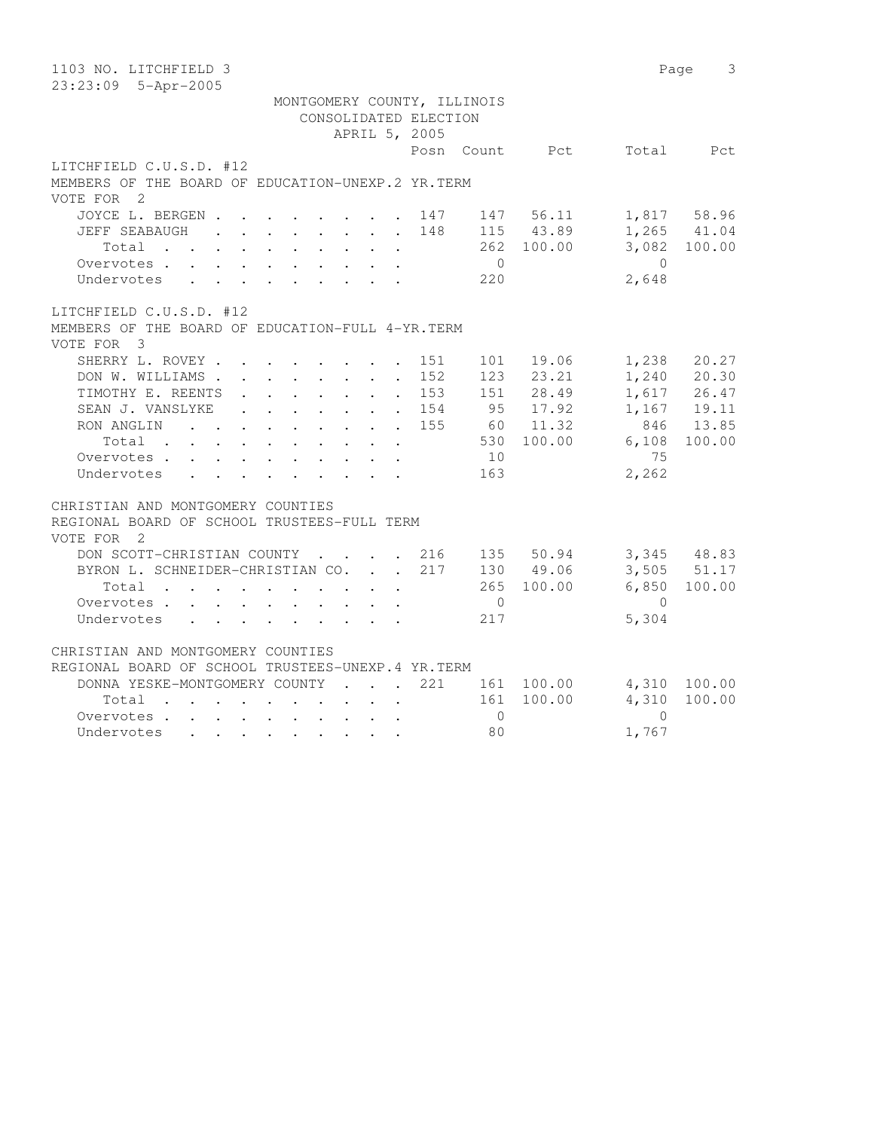| 1103 NO. LITCHFIELD 3                                                                                                                                                                                                                                                                                                                                       |                               | 3<br>Page                                                                   |
|-------------------------------------------------------------------------------------------------------------------------------------------------------------------------------------------------------------------------------------------------------------------------------------------------------------------------------------------------------------|-------------------------------|-----------------------------------------------------------------------------|
| 23:23:09 5-Apr-2005                                                                                                                                                                                                                                                                                                                                         |                               |                                                                             |
| MONTGOMERY COUNTY, ILLINOIS<br>CONSOLIDATED ELECTION<br>APRIL 5, 2005                                                                                                                                                                                                                                                                                       |                               |                                                                             |
| Posn Count Pct                                                                                                                                                                                                                                                                                                                                              |                               | Total Pct                                                                   |
| LITCHFIELD C.U.S.D. #12<br>MEMBERS OF THE BOARD OF EDUCATION-UNEXP.2 YR.TERM<br>VOTE FOR 2                                                                                                                                                                                                                                                                  |                               |                                                                             |
| JOYCE L. BERGEN<br>147 56.11<br>. 147<br>148<br>115 43.89<br>JEFF SEABAUGH<br>$\mathbf{r}$ , $\mathbf{r}$ , $\mathbf{r}$ , $\mathbf{r}$ , $\mathbf{r}$ , $\mathbf{r}$<br>262 100.00<br>Total<br>$\overline{0}$<br>Overvotes<br>$\mathbf{r}$ , $\mathbf{r}$ , $\mathbf{r}$ , $\mathbf{r}$ , $\mathbf{r}$ , $\mathbf{r}$<br>220<br>Undervotes                 | $\bigcirc$<br>2,648           | 1,817 58.96<br>$1,265$ $41.04$<br>3,082 100.00                              |
| LITCHFIELD C.U.S.D. #12<br>MEMBERS OF THE BOARD OF EDUCATION-FULL 4-YR. TERM<br>VOTE FOR 3                                                                                                                                                                                                                                                                  |                               |                                                                             |
| SHERRY L. ROVEY<br>19.06<br>151<br>101<br>123<br>23.21<br>DON W. WILLIAMS<br>152<br>$\ddot{\phantom{0}}$<br>28.49<br>TIMOTHY E. REENTS<br>153<br>151<br>$\sim$ $-$<br>95 17.92<br>SEAN J. VANSLYKE<br>. 154<br>RON ANGLIN<br>155<br>60 11.32<br>$\ddot{\phantom{0}}$<br>530 100.00<br>Total<br>$\ddot{\phantom{a}}$<br>10<br>Overvotes<br>Undervotes<br>163 | 1,238<br>6,108<br>75<br>2,262 | 20.27<br>1,240 20.30<br>1,617 26.47<br>$1,167$ 19.11<br>846 13.85<br>100.00 |
| CHRISTIAN AND MONTGOMERY COUNTIES<br>REGIONAL BOARD OF SCHOOL TRUSTEES-FULL TERM<br>VOTE FOR<br>$\overline{\phantom{0}}^2$                                                                                                                                                                                                                                  |                               |                                                                             |
| DON SCOTT-CHRISTIAN COUNTY<br>. 216<br>135 50.94<br>217<br>BYRON L. SCHNEIDER-CHRISTIAN CO.<br>130 49.06<br>100.00<br>Total<br>265<br>$\mathbf{r}$<br>$\ddot{\phantom{a}}$<br>$\overline{0}$<br>Overvotes.<br>217<br>Undervotes                                                                                                                             | 6,850<br>$\bigcirc$<br>5,304  | $3,345$ 48.83<br>3,505 51.17<br>100.00                                      |
| CHRISTIAN AND MONTGOMERY COUNTIES<br>REGIONAL BOARD OF SCHOOL TRUSTEES-UNEXP.4 YR.TERM<br>DONNA YESKE-MONTGOMERY COUNTY<br>221<br>161 100.00<br>$\sim$ $\sim$ $\sim$ $\sim$ $\sim$<br>161 100.00<br>Total<br>$\Omega$<br>Overvotes                                                                                                                          | 4,310<br>4,310<br>$\Omega$    | 100.00<br>100.00                                                            |
| 80<br>Undervotes                                                                                                                                                                                                                                                                                                                                            | 1,767                         |                                                                             |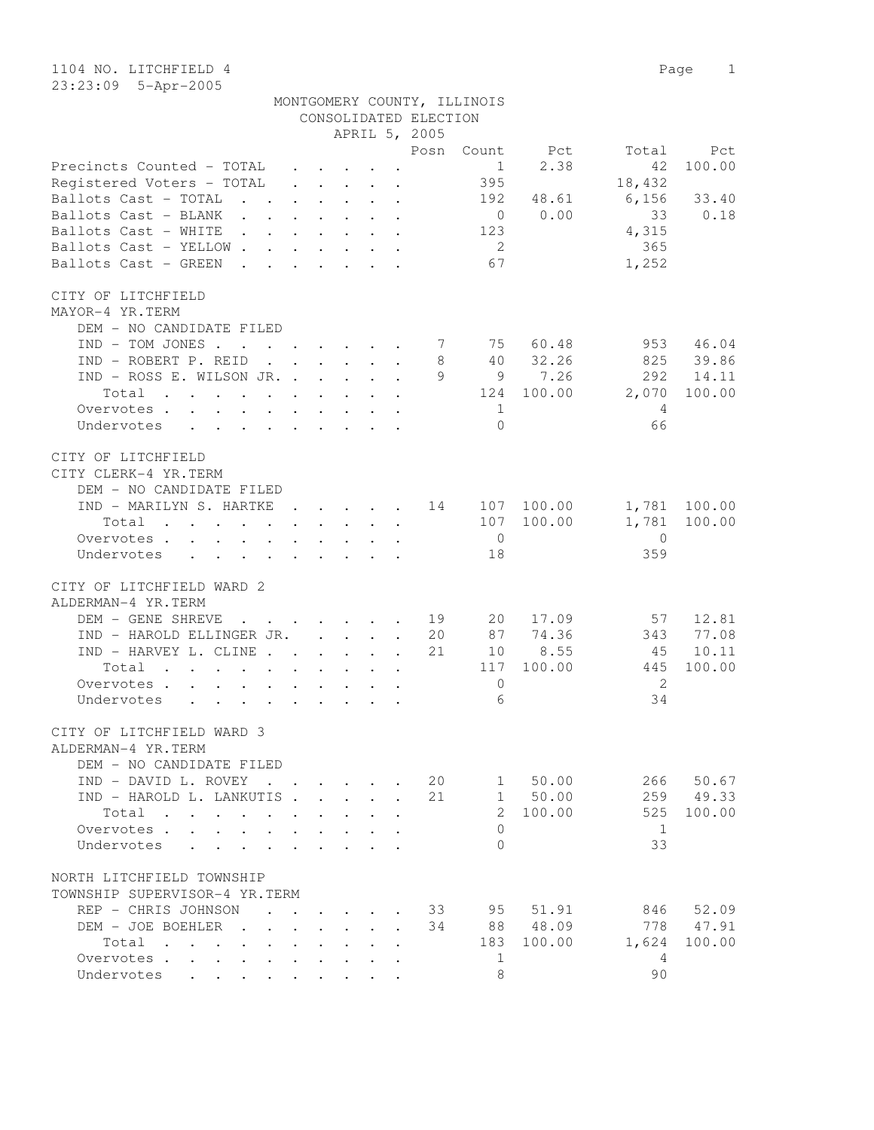| MONTGOMERY COUNTY, ILLINOIS |  |  |
|-----------------------------|--|--|
| CONSOLIDATED ELECTION       |  |  |

|                                                                                                                     |                      |                    |                                                                                             |                           |              | APRIL 5, 2005 |                |                     |                                                |              |
|---------------------------------------------------------------------------------------------------------------------|----------------------|--------------------|---------------------------------------------------------------------------------------------|---------------------------|--------------|---------------|----------------|---------------------|------------------------------------------------|--------------|
|                                                                                                                     |                      |                    |                                                                                             |                           |              |               |                | Posn Count Pct      |                                                | Total Pct    |
| Precincts Counted - TOTAL .                                                                                         |                      |                    | $\mathbf{u} = \mathbf{u} \cdot \mathbf{u}$ , and $\mathbf{u} = \mathbf{u} \cdot \mathbf{u}$ |                           |              |               |                | $1 \t 2.38$         | 42                                             | 100.00       |
| Registered Voters - TOTAL                                                                                           |                      |                    |                                                                                             |                           |              |               | 395            |                     | 18,432                                         |              |
| Ballots Cast - TOTAL 192 48.61 6,156 33.40<br>Ballots Cast - BLANK 0 0.00 33 0.18<br>Ballots Cast - WHITE 123 4,315 |                      |                    |                                                                                             |                           |              |               |                |                     |                                                |              |
|                                                                                                                     |                      |                    |                                                                                             |                           |              |               |                |                     |                                                |              |
|                                                                                                                     |                      |                    |                                                                                             |                           |              |               |                |                     |                                                |              |
| Ballots Cast - YELLOW                                                                                               |                      |                    |                                                                                             |                           |              |               | $\overline{2}$ |                     | 365                                            |              |
| Ballots Cast - GREEN                                                                                                |                      |                    |                                                                                             |                           |              |               | 67             |                     | 1,252                                          |              |
| CITY OF LITCHFIELD                                                                                                  |                      |                    |                                                                                             |                           |              |               |                |                     |                                                |              |
| MAYOR-4 YR.TERM                                                                                                     |                      |                    |                                                                                             |                           |              |               |                |                     |                                                |              |
| DEM - NO CANDIDATE FILED                                                                                            |                      |                    |                                                                                             |                           |              |               |                |                     |                                                |              |
| $IND - TOM JONES$ 7 75 60.48                                                                                        |                      |                    |                                                                                             |                           |              |               |                |                     |                                                | 953 46.04    |
| IND - ROBERT P. REID                                                                                                |                      |                    |                                                                                             |                           |              | 8             |                | 40 32.26            |                                                | 825 39.86    |
| IND - ROSS E. WILSON JR.                                                                                            |                      |                    |                                                                                             |                           |              |               |                | 9 9 7.26            |                                                | 292 14.11    |
| Total 124 100.00 2,070 100.00                                                                                       |                      |                    |                                                                                             |                           |              |               |                |                     |                                                |              |
| Overvotes.                                                                                                          |                      |                    |                                                                                             |                           |              |               | $\overline{1}$ |                     | $\overline{4}$                                 |              |
| Undervotes                                                                                                          |                      |                    |                                                                                             |                           |              |               | $\bigcirc$     |                     | 66                                             |              |
| CITY OF LITCHFIELD                                                                                                  |                      |                    |                                                                                             |                           |              |               |                |                     |                                                |              |
| CITY CLERK-4 YR.TERM                                                                                                |                      |                    |                                                                                             |                           |              |               |                |                     |                                                |              |
| DEM - NO CANDIDATE FILED                                                                                            |                      |                    |                                                                                             |                           |              |               |                |                     |                                                |              |
| IND - MARILYN S. HARTKE 14 107 100.00 1,781 100.00                                                                  |                      |                    |                                                                                             |                           |              |               |                |                     |                                                |              |
| Total                                                                                                               |                      |                    |                                                                                             |                           |              |               |                | 107 100.00          |                                                | 1,781 100.00 |
| Overvotes.                                                                                                          |                      |                    |                                                                                             |                           |              |               | $\overline{0}$ |                     | $\overline{0}$                                 |              |
| Undervotes 18                                                                                                       |                      |                    |                                                                                             |                           |              |               |                |                     | 359                                            |              |
| CITY OF LITCHFIELD WARD 2                                                                                           |                      |                    |                                                                                             |                           |              |               |                |                     |                                                |              |
| ALDERMAN-4 YR.TERM                                                                                                  |                      |                    |                                                                                             |                           |              |               |                |                     |                                                |              |
| DEM - GENE SHREVE 19                                                                                                |                      |                    |                                                                                             |                           |              |               |                |                     |                                                |              |
| IND - HAROLD ELLINGER JR.                                                                                           |                      |                    |                                                                                             |                           |              | 20            |                |                     | 20 17.09 57 12.81<br>87 74.36 343 77.08<br>343 | 77.08        |
| IND - HARVEY L. CLINE                                                                                               |                      |                    |                                                                                             |                           |              | 21            |                | 87 74.36<br>10 8.55 | 45                                             | 10.11        |
| Total                                                                                                               |                      |                    |                                                                                             |                           |              |               |                | 117 100.00          | 445                                            | 100.00       |
| Overvotes.                                                                                                          |                      |                    |                                                                                             |                           |              |               | $\overline{0}$ |                     | $\overline{2}$                                 |              |
| Undervotes                                                                                                          |                      |                    |                                                                                             |                           |              |               | 6              |                     | 34                                             |              |
|                                                                                                                     |                      |                    |                                                                                             |                           |              |               |                |                     |                                                |              |
| CITY OF LITCHFIELD WARD 3                                                                                           |                      |                    |                                                                                             |                           |              |               |                |                     |                                                |              |
| ALDERMAN-4 YR.TERM                                                                                                  |                      |                    |                                                                                             |                           |              |               |                |                     |                                                |              |
| DEM - NO CANDIDATE FILED                                                                                            |                      |                    |                                                                                             |                           |              |               |                |                     |                                                |              |
| IND - DAVID L. ROVEY                                                                                                |                      |                    |                                                                                             |                           |              | 20            | 1              | 50.00               | 266                                            | 50.67        |
| IND - HAROLD L. LANKUTIS.                                                                                           |                      | $\Delta \sim 10^4$ | $\mathcal{L}^{\text{max}}$                                                                  | $\mathbf{L}^{\text{max}}$ | $\sim$       | 21            | $\mathbf{1}$   | 50.00               | 259                                            | 49.33        |
| Total                                                                                                               | $\ddot{\phantom{a}}$ | $\sim$             | $\ddot{\phantom{0}}$                                                                        |                           |              |               | $\mathcal{L}$  | 100.00              | 525                                            | 100.00       |
| Overvotes                                                                                                           | $\ddot{\phantom{a}}$ | $\sim$             | $\ddot{\phantom{a}}$                                                                        | $\sim$                    |              |               | $\Omega$       |                     | 1                                              |              |
| Undervotes                                                                                                          | $\ddot{\phantom{a}}$ |                    | $\cdot$                                                                                     | $\mathbf{r}$              |              |               | $\Omega$       |                     | 33                                             |              |
| NORTH LITCHFIELD TOWNSHIP                                                                                           |                      |                    |                                                                                             |                           |              |               |                |                     |                                                |              |
| TOWNSHIP SUPERVISOR-4 YR.TERM                                                                                       |                      |                    |                                                                                             |                           |              |               |                |                     |                                                |              |
| REP - CHRIS JOHNSON                                                                                                 |                      |                    |                                                                                             |                           |              | 33            | 95             | 51.91               | 846                                            | 52.09        |
| DEM - JOE BOEHLER.                                                                                                  |                      |                    |                                                                                             |                           | $\mathbf{r}$ | 34            | 88             | 48.09               | 778                                            | 47.91        |
| Total<br>$\sim$                                                                                                     |                      |                    |                                                                                             |                           |              |               | 183            | 100.00              | 1,624                                          | 100.00       |
| Overvotes<br>$\sim$                                                                                                 |                      |                    |                                                                                             |                           |              |               | $\mathbf{1}$   |                     | $\overline{4}$                                 |              |
| Undervotes                                                                                                          |                      |                    |                                                                                             |                           |              |               | 8              |                     | 90                                             |              |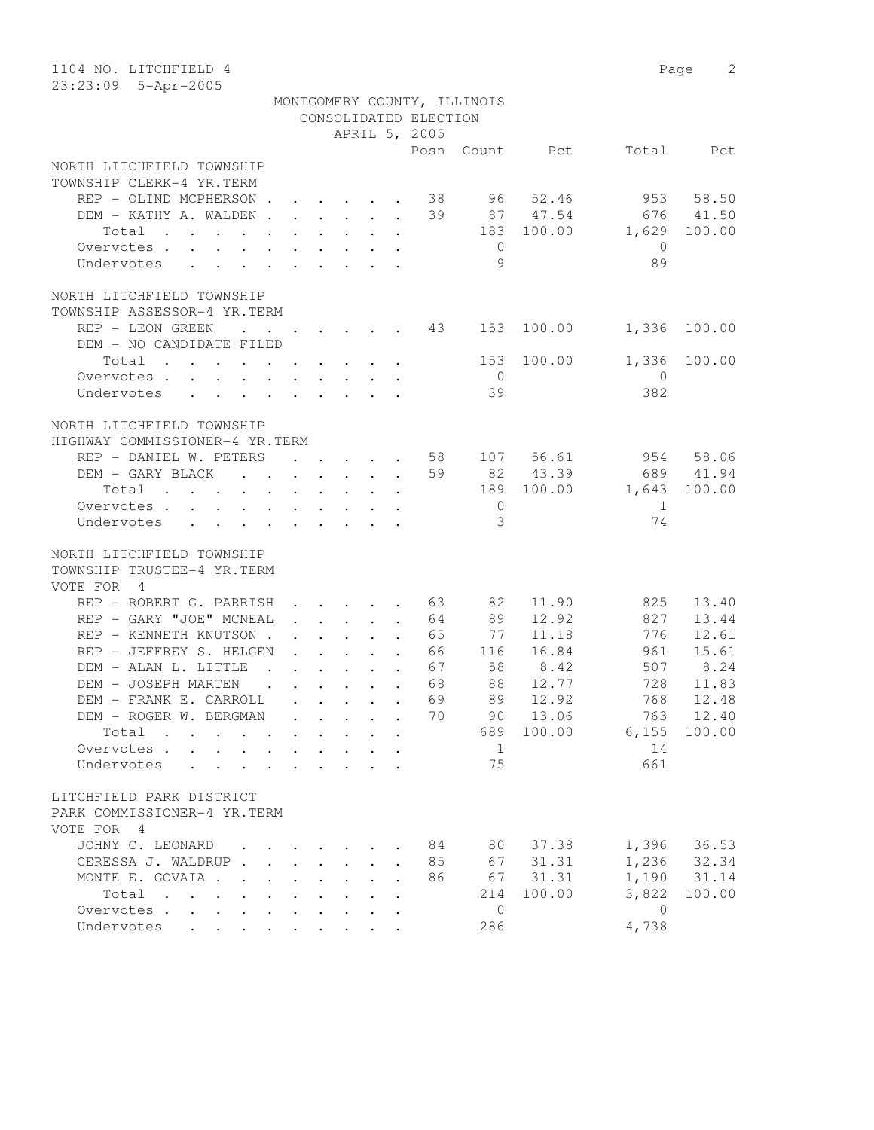| 1104 NO. LITCHFIELD 4                        |                      |                                                                                         |  |                       |                             |            |                | 2<br>Page |
|----------------------------------------------|----------------------|-----------------------------------------------------------------------------------------|--|-----------------------|-----------------------------|------------|----------------|-----------|
| 23:23:09 5-Apr-2005                          |                      |                                                                                         |  |                       |                             |            |                |           |
|                                              |                      |                                                                                         |  | CONSOLIDATED ELECTION | MONTGOMERY COUNTY, ILLINOIS |            |                |           |
|                                              |                      |                                                                                         |  |                       |                             |            |                |           |
|                                              |                      |                                                                                         |  | APRIL 5, 2005<br>Posn |                             | Count Pct  | Total          | Pct       |
| NORTH LITCHFIELD TOWNSHIP                    |                      |                                                                                         |  |                       |                             |            |                |           |
| TOWNSHIP CLERK-4 YR.TERM                     |                      |                                                                                         |  |                       |                             |            |                |           |
| REP - OLIND MCPHERSON 38                     |                      |                                                                                         |  |                       | 96                          | 52.46      |                | 953 58.50 |
| DEM - KATHY A. WALDEN                        |                      |                                                                                         |  | 39                    |                             | 87 47.54   | 676            | 41.50     |
| Total                                        |                      |                                                                                         |  |                       | 183                         | 100.00     | 1,629          | 100.00    |
| Overvotes.                                   |                      |                                                                                         |  |                       | $\overline{0}$              |            | $\overline{0}$ |           |
| Undervotes                                   |                      |                                                                                         |  |                       | 9                           |            | 89             |           |
|                                              |                      |                                                                                         |  |                       |                             |            |                |           |
| NORTH LITCHFIELD TOWNSHIP                    |                      |                                                                                         |  |                       |                             |            |                |           |
| TOWNSHIP ASSESSOR-4 YR.TERM                  |                      |                                                                                         |  |                       |                             |            |                |           |
| REP - LEON GREEN<br><b>Contract Contract</b> |                      | $\mathbf{r}$ , $\mathbf{r}$ , $\mathbf{r}$ , $\mathbf{r}$ , $\mathbf{r}$                |  | 43                    | 153                         | 100.00     | 1,336          | 100.00    |
| DEM - NO CANDIDATE FILED                     |                      |                                                                                         |  |                       |                             |            |                |           |
| Total                                        |                      |                                                                                         |  |                       | 153                         | 100.00     | 1,336          | 100.00    |
| Overvotes.                                   |                      |                                                                                         |  |                       | $\overline{0}$              |            | $\mathbf{0}$   |           |
| Undervotes                                   |                      |                                                                                         |  |                       | 39                          |            | 382            |           |
|                                              |                      |                                                                                         |  |                       |                             |            |                |           |
| NORTH LITCHFIELD TOWNSHIP                    |                      |                                                                                         |  |                       |                             |            |                |           |
| HIGHWAY COMMISSIONER-4 YR.TERM               |                      |                                                                                         |  |                       |                             |            |                |           |
| REP - DANIEL W. PETERS                       |                      |                                                                                         |  | 58                    |                             | 107 56.61  |                | 954 58.06 |
| DEM - GARY BLACK                             |                      |                                                                                         |  | 59                    |                             | 82 43.39   |                | 689 41.94 |
| Total                                        |                      |                                                                                         |  |                       |                             | 189 100.00 | 1,643          | 100.00    |
| Overvotes                                    |                      |                                                                                         |  |                       | $\overline{0}$              |            | 1              |           |
| Undervotes                                   |                      |                                                                                         |  |                       | $\overline{3}$              |            | 74             |           |
|                                              |                      |                                                                                         |  |                       |                             |            |                |           |
| NORTH LITCHFIELD TOWNSHIP                    |                      |                                                                                         |  |                       |                             |            |                |           |
| TOWNSHIP TRUSTEE-4 YR.TERM                   |                      |                                                                                         |  |                       |                             |            |                |           |
| VOTE FOR 4                                   |                      |                                                                                         |  |                       |                             |            |                |           |
| REP - ROBERT G. PARRISH                      |                      |                                                                                         |  | $\cdot$ 63            | 82                          | 11.90      | 825            | 13.40     |
| REP - GARY "JOE" MCNEAL                      |                      | $\ddot{\phantom{a}}$                                                                    |  | 64                    | 89                          | 12.92      | 827            | 13.44     |
| REP - KENNETH KNUTSON.                       |                      | $\mathbf{r}$ , $\mathbf{r}$ , $\mathbf{r}$ , $\mathbf{r}$ , $\mathbf{r}$                |  | 65                    | 77                          | 11.18      | 776            | 12.61     |
| REP - JEFFREY S. HELGEN                      |                      | $\mathbf{r}$ and $\mathbf{r}$ and $\mathbf{r}$ and $\mathbf{r}$                         |  | 66                    | 116                         | 16.84      | 961            | 15.61     |
| DEM - ALAN L. LITTLE                         |                      | $\mathbf{r}$ , and $\mathbf{r}$ , and $\mathbf{r}$ , and $\mathbf{r}$                   |  | 67                    | 58                          | 8.42       | 507            | 8.24      |
| DEM - JOSEPH MARTEN                          |                      | $\mathbf{r}$ , $\mathbf{r}$ , $\mathbf{r}$ , $\mathbf{r}$ , $\mathbf{r}$ , $\mathbf{r}$ |  | 68                    | 88                          | 12.77      | 728            | 11.83     |
| DEM - FRANK E. CARROLL                       |                      |                                                                                         |  | 69                    | 89                          | 12.92      | 768            | 12.48     |
| DEM - ROGER W. BERGMAN                       |                      |                                                                                         |  | 70                    | 90                          | 13.06      | 763            | 12.40     |
| Total                                        |                      |                                                                                         |  |                       | 689                         | 100.00     | 6,155          | 100.00    |
| Overvotes                                    |                      |                                                                                         |  |                       | $\mathbf{1}$                |            | 14             |           |
| Undervotes<br>$\cdot$                        |                      |                                                                                         |  |                       | 75                          |            | 661            |           |
|                                              |                      |                                                                                         |  |                       |                             |            |                |           |
| LITCHFIELD PARK DISTRICT                     |                      |                                                                                         |  |                       |                             |            |                |           |
| PARK COMMISSIONER-4 YR.TERM                  |                      |                                                                                         |  |                       |                             |            |                |           |
| VOTE FOR 4                                   |                      |                                                                                         |  |                       |                             |            |                |           |
| JOHNY C. LEONARD                             |                      |                                                                                         |  | 84                    | 80                          | 37.38      | 1,396          | 36.53     |
| CERESSA J. WALDRUP.                          | $\ddot{\phantom{a}}$ | $\sim$<br>$\bullet$ .                                                                   |  | 85                    | 67                          | 31.31      | 1,236          | 32.34     |
| MONTE E. GOVAIA                              |                      |                                                                                         |  | 86                    | 67                          | 31.31      | 1,190          | 31.14     |
| Total                                        |                      |                                                                                         |  |                       | 214                         | 100.00     | 3,822          | 100.00    |
| Overvotes                                    |                      |                                                                                         |  |                       | $\circledcirc$              |            | $\overline{0}$ |           |
| Undervotes                                   |                      |                                                                                         |  |                       | 286                         |            | 4,738          |           |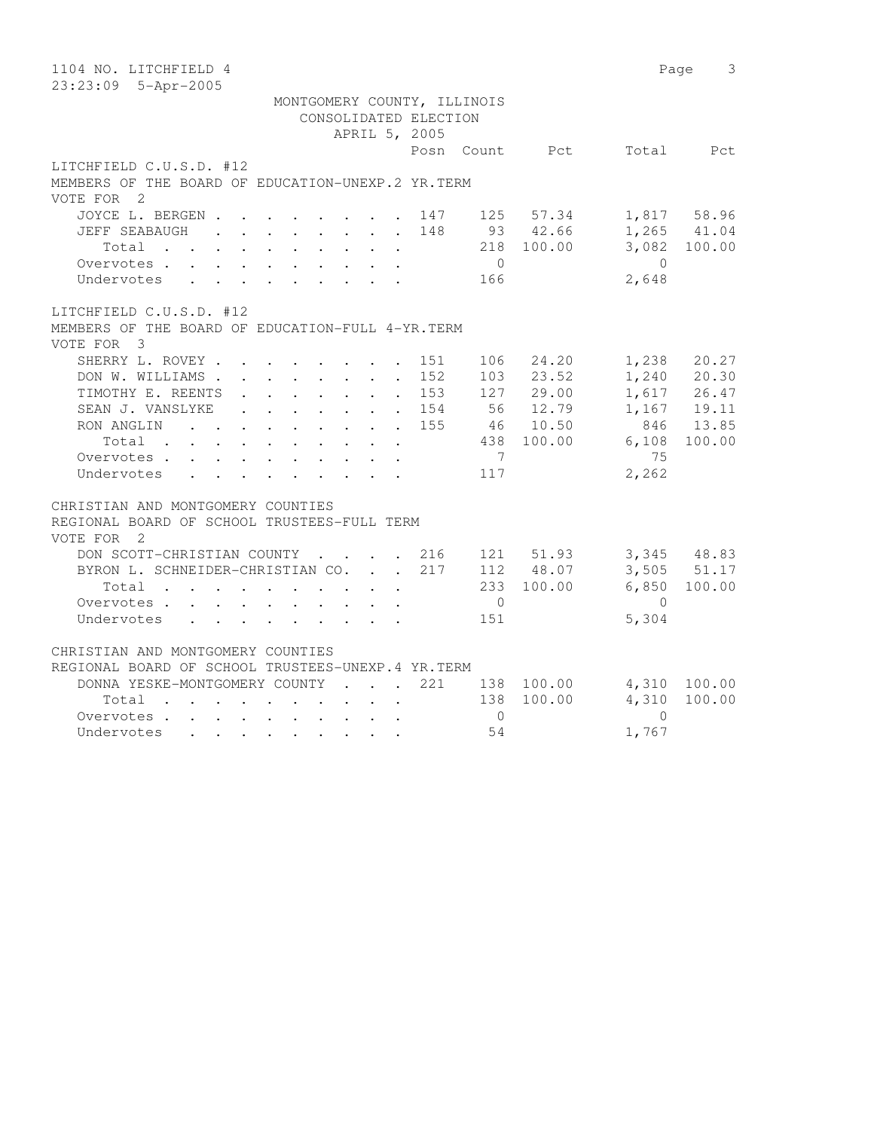| 1104 NO. LITCHFIELD 4                                                                                                                                                                                                                                                                                                               |                                                                   | Page                                | 3                                                                           |
|-------------------------------------------------------------------------------------------------------------------------------------------------------------------------------------------------------------------------------------------------------------------------------------------------------------------------------------|-------------------------------------------------------------------|-------------------------------------|-----------------------------------------------------------------------------|
| 23:23:09 5-Apr-2005                                                                                                                                                                                                                                                                                                                 |                                                                   |                                     |                                                                             |
| MONTGOMERY COUNTY, ILLINOIS<br>CONSOLIDATED ELECTION<br>APRIL 5, 2005                                                                                                                                                                                                                                                               |                                                                   |                                     |                                                                             |
| Posn Count Pct                                                                                                                                                                                                                                                                                                                      |                                                                   |                                     | Total Pct                                                                   |
| LITCHFIELD C.U.S.D. #12<br>MEMBERS OF THE BOARD OF EDUCATION-UNEXP.2 YR.TERM<br>VOTE FOR 2                                                                                                                                                                                                                                          |                                                                   |                                     |                                                                             |
| JOYCE L. BERGEN<br>$147$ 125 57.34<br>$\sim$<br>148<br>93 42.66<br>JEFF SEABAUGH<br>$\mathbf{r}$ , $\mathbf{r}$ , $\mathbf{r}$ , $\mathbf{r}$ , $\mathbf{r}$ , $\mathbf{r}$<br>Total<br>$\overline{0}$<br>Overvotes<br>$\mathbf{r}$ , $\mathbf{r}$ , $\mathbf{r}$ , $\mathbf{r}$ , $\mathbf{r}$ , $\mathbf{r}$<br>166<br>Undervotes | 218 100.00                                                        | $\bigcirc$<br>2,648                 | 1,817 58.96<br>$1,265$ $41.04$<br>3,082 100.00                              |
| LITCHFIELD C.U.S.D. #12<br>MEMBERS OF THE BOARD OF EDUCATION-FULL 4-YR. TERM<br>VOTE FOR 3                                                                                                                                                                                                                                          |                                                                   |                                     |                                                                             |
| SHERRY L. ROVEY<br>106<br>151<br>152<br>DON W. WILLIAMS<br>103<br>$\ddot{\phantom{0}}$<br>TIMOTHY E. REENTS<br>153<br>$\sim 100$<br>SEAN J. VANSLYKE<br>. 154<br>RON ANGLIN<br>155<br>$\mathbf{L}$<br>Total<br>$\ddot{\phantom{a}}$<br>7<br>Overvotes<br>Undervotes<br>117                                                          | 24.20<br>23.52<br>127 29.00<br>56 12.79<br>46 10.50<br>438 100.00 | 1,238<br>6,108<br>75<br>2,262       | 20.27<br>1,240 20.30<br>1,617 26.47<br>$1,167$ 19.11<br>846 13.85<br>100.00 |
| CHRISTIAN AND MONTGOMERY COUNTIES<br>REGIONAL BOARD OF SCHOOL TRUSTEES-FULL TERM<br>VOTE FOR 2                                                                                                                                                                                                                                      |                                                                   |                                     |                                                                             |
| DON SCOTT-CHRISTIAN COUNTY 216<br>217<br>BYRON L. SCHNEIDER-CHRISTIAN CO.<br>Total<br>$\ddot{\phantom{0}}$<br>$\mathbf{r}$<br>Overvotes<br>$\overline{0}$<br>151<br>Undervotes                                                                                                                                                      | 121 51.93<br>112 48.07<br>233 100.00                              | 6,850<br>$\bigcirc$<br>5,304        | $3,345$ 48.83<br>3,505 51.17<br>100.00                                      |
| CHRISTIAN AND MONTGOMERY COUNTIES<br>REGIONAL BOARD OF SCHOOL TRUSTEES-UNEXP.4 YR.TERM<br>DONNA YESKE-MONTGOMERY COUNTY<br>221<br>138 100.00<br>$\sim$ $\sim$ $\sim$ $\sim$ $\sim$<br>Total<br>$\overline{0}$<br>Overvotes<br>54<br>Undervotes                                                                                      | 138 100.00                                                        | 4,310<br>4,310<br>$\Omega$<br>1,767 | 100.00<br>100.00                                                            |
|                                                                                                                                                                                                                                                                                                                                     |                                                                   |                                     |                                                                             |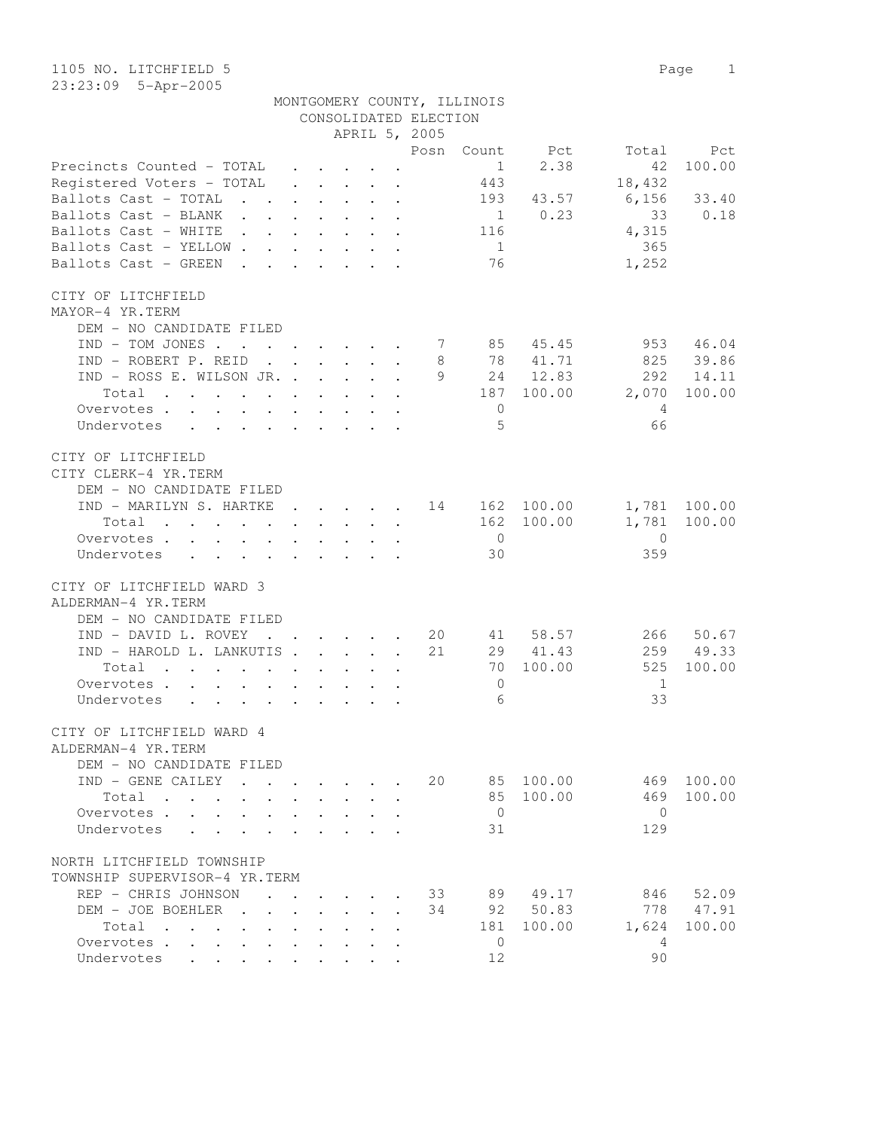1105 NO. LITCHFIELD 5 Page 1 23:23:09 5-Apr-2005

|                                                                                             |                      |                                                                 |                          | CONSOLIDATED ELECTION | MONTGOMERY COUNTY, ILLINOIS |              |                  |              |
|---------------------------------------------------------------------------------------------|----------------------|-----------------------------------------------------------------|--------------------------|-----------------------|-----------------------------|--------------|------------------|--------------|
|                                                                                             |                      |                                                                 |                          | APRIL 5, 2005         |                             |              |                  |              |
|                                                                                             |                      |                                                                 |                          | Posn                  |                             | Count Pct    | Total            | Pct          |
| Precincts Counted - TOTAL                                                                   |                      |                                                                 |                          |                       | $\frac{1}{1}$               | 2.38         | 42               | 100.00       |
| Registered Voters - TOTAL                                                                   |                      |                                                                 |                          |                       | 443                         |              | 18,432           |              |
| Ballots Cast - TOTAL                                                                        |                      |                                                                 |                          |                       |                             | 193 43.57    | $6,156$ 33.40    |              |
| Ballots Cast - BLANK                                                                        |                      |                                                                 |                          |                       |                             | $1 \t 0.23$  | 33               | 0.18         |
| Ballots Cast - WHITE                                                                        |                      |                                                                 |                          |                       | 116                         |              | 4,315            |              |
| Ballots Cast - YELLOW                                                                       |                      |                                                                 |                          |                       | 1                           |              | 365              |              |
| Ballots Cast - GREEN                                                                        |                      |                                                                 |                          |                       | 76                          |              | 1,252            |              |
| CITY OF LITCHFIELD                                                                          |                      |                                                                 |                          |                       |                             |              |                  |              |
| MAYOR-4 YR.TERM                                                                             |                      |                                                                 |                          |                       |                             |              |                  |              |
| DEM - NO CANDIDATE FILED                                                                    |                      |                                                                 |                          |                       |                             |              |                  |              |
| IND - TOM JONES 7 85 45.45                                                                  |                      |                                                                 |                          |                       |                             |              |                  | 953 46.04    |
| IND - ROBERT P. REID                                                                        |                      |                                                                 |                          | 8                     |                             | 78 41.71     |                  | 825 39.86    |
| IND - ROSS E. WILSON JR.                                                                    |                      |                                                                 |                          |                       |                             | 9 24 12.83   |                  | 292 14.11    |
| Total<br>. The contract of the contract of the contract of the contract of $\mathcal{O}(1)$ |                      |                                                                 |                          |                       |                             |              | 187 100.00 2,070 | 100.00       |
| Overvotes                                                                                   |                      |                                                                 |                          |                       | $\overline{0}$              |              | 4                |              |
| Undervotes                                                                                  |                      |                                                                 |                          |                       | 5                           |              | 66               |              |
|                                                                                             |                      |                                                                 |                          |                       |                             |              |                  |              |
| CITY OF LITCHFIELD                                                                          |                      |                                                                 |                          |                       |                             |              |                  |              |
| CITY CLERK-4 YR. TERM                                                                       |                      |                                                                 |                          |                       |                             |              |                  |              |
| DEM - NO CANDIDATE FILED                                                                    |                      |                                                                 |                          |                       |                             |              |                  |              |
| IND - MARILYN S. HARTKE 14 162 100.00                                                       |                      |                                                                 |                          |                       |                             |              |                  | 1,781 100.00 |
| Total $\cdot$                                                                               |                      |                                                                 |                          |                       |                             | 162 100.00   | 1,781            | 100.00       |
| Overvotes.                                                                                  |                      |                                                                 |                          |                       | $\overline{0}$              |              | $\overline{0}$   |              |
| Undervotes                                                                                  |                      |                                                                 |                          |                       | 30                          |              | 359              |              |
| CITY OF LITCHFIELD WARD 3                                                                   |                      |                                                                 |                          |                       |                             |              |                  |              |
| ALDERMAN-4 YR.TERM                                                                          |                      |                                                                 |                          |                       |                             |              |                  |              |
| DEM - NO CANDIDATE FILED                                                                    |                      |                                                                 |                          |                       |                             |              |                  |              |
| IND - DAVID L. ROVEY                                                                        |                      |                                                                 |                          | . 20                  |                             | 41 58.57     |                  | 266 50.67    |
| IND - HAROLD L. LANKUTIS                                                                    |                      |                                                                 |                          | 21                    |                             | 29 41.43     |                  | 259 49.33    |
| Total                                                                                       |                      |                                                                 |                          |                       |                             | 70 100.00    | 525              | 100.00       |
| . The simple state is a set of the state of the state $\mathcal{A}$                         |                      |                                                                 |                          |                       | $\circ$                     |              |                  |              |
| Overvotes.                                                                                  |                      |                                                                 |                          |                       |                             |              | -1<br>33         |              |
| Undervotes                                                                                  |                      |                                                                 |                          |                       | 6                           |              |                  |              |
| CITY OF LITCHFIELD WARD 4                                                                   |                      |                                                                 |                          |                       |                             |              |                  |              |
| ALDERMAN-4 YR.TERM                                                                          |                      |                                                                 |                          |                       |                             |              |                  |              |
| DEM - NO CANDIDATE FILED                                                                    |                      |                                                                 |                          |                       |                             |              |                  |              |
| IND - GENE CAILEY                                                                           |                      | $\cdot$ $\cdot$ $\cdot$ $\cdot$ $\cdot$ $\cdot$                 |                          |                       |                             | 20 85 100.00 | 469              | 100.00       |
| Total                                                                                       | $\ddot{\phantom{0}}$ | $\mathbf{r} = \mathbf{r} + \mathbf{r}$                          |                          |                       |                             | 85 100.00    | 469              | 100.00       |
| Overvotes                                                                                   |                      |                                                                 |                          |                       | $\overline{0}$              |              | $\bigcirc$       |              |
| Undervotes                                                                                  |                      |                                                                 |                          |                       | 31                          |              | 129              |              |
| NORTH LITCHFIELD TOWNSHIP                                                                   |                      |                                                                 |                          |                       |                             |              |                  |              |
| TOWNSHIP SUPERVISOR-4 YR.TERM                                                               |                      |                                                                 |                          |                       |                             |              |                  |              |
| REP - CHRIS JOHNSON                                                                         |                      |                                                                 |                          | 33                    |                             | 89 49.17     |                  | 846 52.09    |
| DEM - JOE BOEHLER.                                                                          |                      | $\mathbf{r}$ and $\mathbf{r}$ and $\mathbf{r}$ and $\mathbf{r}$ |                          | 34                    |                             | 92 50.83     |                  | 778 47.91    |
| Total                                                                                       |                      |                                                                 |                          |                       |                             | 181 100.00   | 1,624            | 100.00       |
| Overvotes                                                                                   |                      |                                                                 |                          |                       | 0                           |              | 4                |              |
|                                                                                             |                      |                                                                 | <b>Contract Contract</b> |                       |                             |              |                  |              |

Undervotes . . . . . . . . . . 12 90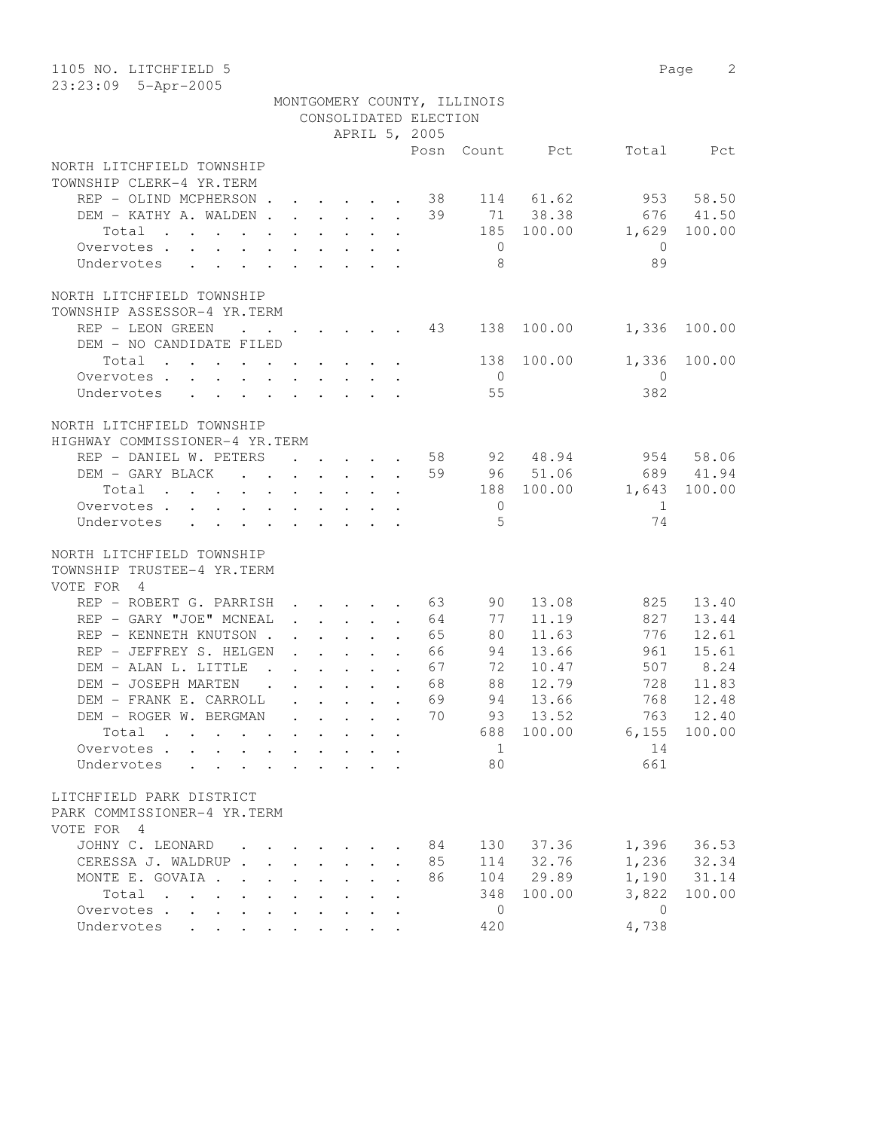| 1105 NO. LITCHFIELD 5              |                      |                      |                      |                                                                                         |                       |                             |            |                | 2<br>Page |
|------------------------------------|----------------------|----------------------|----------------------|-----------------------------------------------------------------------------------------|-----------------------|-----------------------------|------------|----------------|-----------|
| 23:23:09 5-Apr-2005                |                      |                      |                      |                                                                                         |                       |                             |            |                |           |
|                                    |                      |                      |                      |                                                                                         |                       | MONTGOMERY COUNTY, ILLINOIS |            |                |           |
|                                    |                      |                      |                      |                                                                                         | CONSOLIDATED ELECTION |                             |            |                |           |
|                                    |                      |                      |                      |                                                                                         | APRIL 5, 2005         |                             |            |                |           |
|                                    |                      |                      |                      |                                                                                         | Posn                  |                             | Count Pct  | Total          | Pct       |
| NORTH LITCHFIELD TOWNSHIP          |                      |                      |                      |                                                                                         |                       |                             |            |                |           |
| TOWNSHIP CLERK-4 YR.TERM           |                      |                      |                      |                                                                                         |                       |                             |            |                |           |
| REP - OLIND MCPHERSON              |                      |                      |                      |                                                                                         | 38                    |                             | 114 61.62  |                | 953 58.50 |
| DEM - KATHY A. WALDEN              |                      |                      |                      |                                                                                         | 39                    |                             | 71 38.38   | 676            | 41.50     |
| Total                              |                      |                      |                      |                                                                                         |                       |                             | 185 100.00 | 1,629          | 100.00    |
| Overvotes.                         |                      |                      |                      |                                                                                         |                       | $\overline{0}$              |            | $\overline{0}$ |           |
| Undervotes                         |                      |                      |                      |                                                                                         |                       | - 8                         |            | 89             |           |
| NORTH LITCHFIELD TOWNSHIP          |                      |                      |                      |                                                                                         |                       |                             |            |                |           |
| TOWNSHIP ASSESSOR-4 YR.TERM        |                      |                      |                      |                                                                                         |                       |                             |            |                |           |
| REP - LEON GREEN<br>$\sim$ $\sim$  |                      |                      |                      |                                                                                         | 43                    | 138                         | 100.00     | 1,336          | 100.00    |
| DEM - NO CANDIDATE FILED           |                      |                      |                      |                                                                                         |                       |                             |            |                |           |
| Total                              |                      |                      |                      |                                                                                         |                       | 138                         | 100.00     | 1,336          | 100.00    |
| Overvotes.                         |                      |                      |                      |                                                                                         |                       | $\overline{0}$              |            | $\mathbf{0}$   |           |
| Undervotes                         |                      |                      |                      |                                                                                         |                       | 55                          |            | 382            |           |
|                                    |                      |                      |                      |                                                                                         |                       |                             |            |                |           |
| NORTH LITCHFIELD TOWNSHIP          |                      |                      |                      |                                                                                         |                       |                             |            |                |           |
| HIGHWAY COMMISSIONER-4 YR.TERM     |                      |                      |                      |                                                                                         |                       |                             |            |                |           |
| REP - DANIEL W. PETERS             |                      |                      |                      | $\mathbf{r}$ , $\mathbf{r}$ , $\mathbf{r}$ , $\mathbf{r}$ , $\mathbf{r}$                | 58                    |                             | 92 48.94   |                | 954 58.06 |
| DEM - GARY BLACK                   |                      |                      |                      |                                                                                         | 59                    |                             | 96 51.06   |                | 689 41.94 |
| Total                              |                      |                      |                      |                                                                                         |                       |                             | 188 100.00 | 1,643          | 100.00    |
| Overvotes                          |                      |                      |                      |                                                                                         |                       | $\overline{0}$              |            | 1              |           |
| Undervotes                         |                      |                      |                      |                                                                                         |                       | $\overline{5}$              |            | 74             |           |
|                                    |                      |                      |                      |                                                                                         |                       |                             |            |                |           |
| NORTH LITCHFIELD TOWNSHIP          |                      |                      |                      |                                                                                         |                       |                             |            |                |           |
| TOWNSHIP TRUSTEE-4 YR.TERM         |                      |                      |                      |                                                                                         |                       |                             |            |                |           |
| VOTE FOR 4                         |                      |                      |                      |                                                                                         |                       |                             |            |                |           |
| REP - ROBERT G. PARRISH            |                      |                      |                      |                                                                                         | $\cdot$ 63            | 90 —                        | 13.08      | 825            | 13.40     |
| REP - GARY "JOE" MCNEAL            |                      |                      |                      | $\ddot{\phantom{a}}$                                                                    | 64                    | 77                          | 11.19      | 827            | 13.44     |
| REP - KENNETH KNUTSON.             |                      |                      |                      | $\mathbf{1}$ , $\mathbf{1}$ , $\mathbf{1}$ , $\mathbf{1}$ , $\mathbf{1}$ , $\mathbf{1}$ | 65                    | 80                          | 11.63      | 776            | 12.61     |
| REP - JEFFREY S. HELGEN            |                      |                      |                      | $\ddot{\phantom{a}}$                                                                    | 66                    | 94                          | 13.66      | 961            | 15.61     |
| DEM - ALAN L. LITTLE               |                      |                      |                      | $\mathbf{r}$ , $\mathbf{r}$ , $\mathbf{r}$ , $\mathbf{r}$ , $\mathbf{r}$ , $\mathbf{r}$ | 67                    | 72                          | 10.47      | 507            | 8.24      |
| DEM - JOSEPH MARTEN                |                      |                      |                      | $\mathbf{r}$ , $\mathbf{r}$ , $\mathbf{r}$ , $\mathbf{r}$ , $\mathbf{r}$ , $\mathbf{r}$ | 68                    | 88                          | 12.79      | 728            | 11.83     |
| DEM - FRANK E. CARROLL             |                      |                      |                      |                                                                                         | 69                    | 94                          | 13.66      | 768            | 12.48     |
| DEM - ROGER W. BERGMAN             |                      |                      |                      |                                                                                         | 70                    | 93                          | 13.52      | 763            | 12.40     |
| Total                              |                      |                      |                      |                                                                                         |                       | 688                         | 100.00     | 6,155          | 100.00    |
| Overvotes                          |                      |                      |                      |                                                                                         |                       | $\mathbf{1}$                |            | 14             |           |
| Undervotes<br>$\ddot{\phantom{a}}$ |                      |                      |                      |                                                                                         |                       | 80                          |            | 661            |           |
| LITCHFIELD PARK DISTRICT           |                      |                      |                      |                                                                                         |                       |                             |            |                |           |
| PARK COMMISSIONER-4 YR.TERM        |                      |                      |                      |                                                                                         |                       |                             |            |                |           |
| VOTE FOR 4                         |                      |                      |                      |                                                                                         |                       |                             |            |                |           |
| JOHNY C. LEONARD                   |                      |                      |                      |                                                                                         | 84                    | 130                         | 37.36      | 1,396          | 36.53     |
| CERESSA J. WALDRUP.                | $\sim$               | $\ddot{\phantom{0}}$ | $\ddot{\phantom{0}}$ | $\bullet$ .                                                                             | 85                    | 114                         | 32.76      | 1,236          | 32.34     |
| MONTE E. GOVAIA                    | $\ddot{\phantom{a}}$ |                      | $\mathbf{L}$         |                                                                                         | 86                    | 104                         | 29.89      | 1,190          | 31.14     |
| Total                              |                      |                      |                      |                                                                                         |                       | 348                         | 100.00     | 3,822          | 100.00    |
| Overvotes                          |                      |                      |                      |                                                                                         |                       | $\overline{0}$              |            | $\overline{0}$ |           |
| Undervotes                         |                      |                      |                      |                                                                                         |                       | 420                         |            | 4,738          |           |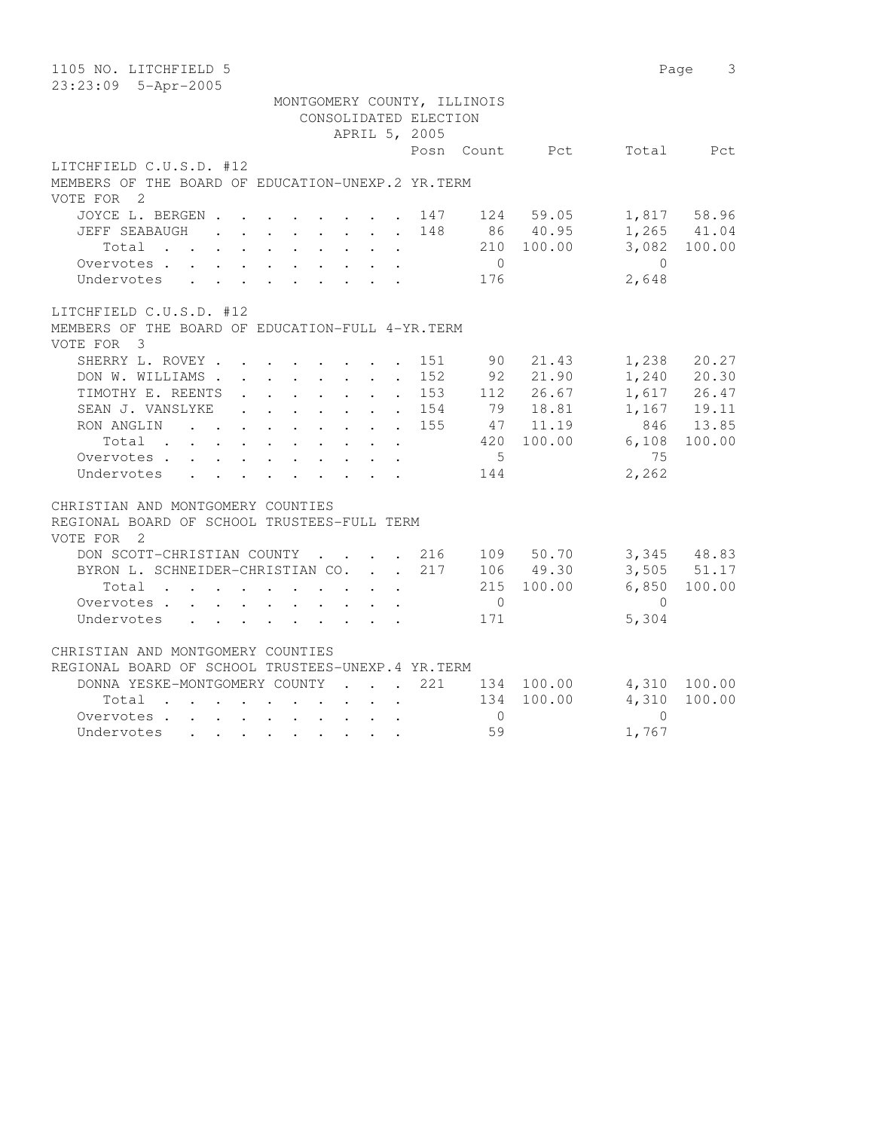| 1105 NO. LITCHFIELD 5                                                                                                                                                                                                                                                                                                                   | 3<br>Page                                                                                                                                        |
|-----------------------------------------------------------------------------------------------------------------------------------------------------------------------------------------------------------------------------------------------------------------------------------------------------------------------------------------|--------------------------------------------------------------------------------------------------------------------------------------------------|
| 23:23:09 5-Apr-2005                                                                                                                                                                                                                                                                                                                     |                                                                                                                                                  |
| MONTGOMERY COUNTY, ILLINOIS<br>CONSOLIDATED ELECTION<br>APRIL 5, 2005                                                                                                                                                                                                                                                                   |                                                                                                                                                  |
| Posn Count Pct                                                                                                                                                                                                                                                                                                                          |                                                                                                                                                  |
| LITCHFIELD C.U.S.D. #12<br>MEMBERS OF THE BOARD OF EDUCATION-UNEXP.2 YR.TERM<br>VOTE FOR 2                                                                                                                                                                                                                                              | Total Pct                                                                                                                                        |
| JOYCE L. BERGEN<br>$147$ 124 59.05<br>148<br>86 40.95<br>JEFF SEABAUGH<br>$\mathbf{r}$ , $\mathbf{r}$ , $\mathbf{r}$ , $\mathbf{r}$ , $\mathbf{r}$ , $\mathbf{r}$<br>210 100.00<br>Total<br>$\overline{0}$<br>Overvotes<br>$\mathbf{r}$ , $\mathbf{r}$ , $\mathbf{r}$ , $\mathbf{r}$ , $\mathbf{r}$ , $\mathbf{r}$<br>176<br>Undervotes | 1,817 58.96<br>$1,265$ $41.04$<br>3,082 100.00<br>$\bigcirc$<br>2,648                                                                            |
| LITCHFIELD C.U.S.D. #12<br>MEMBERS OF THE BOARD OF EDUCATION-FULL 4-YR. TERM<br>VOTE FOR 3                                                                                                                                                                                                                                              |                                                                                                                                                  |
| SHERRY L. ROVEY<br>151<br>90<br>152<br>92<br>DON W. WILLIAMS<br>$\ddot{\phantom{0}}$<br>TIMOTHY E. REENTS .<br>153<br>112<br>$\sim$ $-$<br>79 18.81<br>SEAN J. VANSLYKE<br>. 154<br>RON ANGLIN<br>155<br>47<br>$\mathbf{L}$<br>420 100.00<br>Total<br>$\ddot{\phantom{a}}$<br>- 5<br>Overvotes<br>Undervotes<br>144                     | 1,238<br>21.43<br>20.27<br>1,240 20.30<br>21.90<br>26.67<br>1,617 26.47<br>$1,167$ 19.11<br>846 13.85<br>11.19<br>6,108<br>100.00<br>75<br>2,262 |
| CHRISTIAN AND MONTGOMERY COUNTIES<br>REGIONAL BOARD OF SCHOOL TRUSTEES-FULL TERM<br>VOTE FOR<br>$\overline{\phantom{0}}^2$                                                                                                                                                                                                              |                                                                                                                                                  |
| DON SCOTT-CHRISTIAN COUNTY<br>. 216<br>109 50.70<br>217<br>BYRON L. SCHNEIDER-CHRISTIAN CO.<br>106 49.30<br>215 100.00<br>Total<br>$\mathbf{r}$<br>$\ddot{\phantom{a}}$<br>Overvotes<br>$\overline{0}$<br>171<br>Undervotes                                                                                                             | $3,345$ 48.83<br>3,505 51.17<br>100.00<br>6,850<br>$\bigcirc$<br>5,304                                                                           |
| CHRISTIAN AND MONTGOMERY COUNTIES<br>REGIONAL BOARD OF SCHOOL TRUSTEES-UNEXP.4 YR.TERM<br>DONNA YESKE-MONTGOMERY COUNTY<br>221<br>134 100.00<br>$\sim$ $\sim$ $\sim$ $\sim$ $\sim$<br>134 100.00<br>Total<br>$\Omega$<br>Overvotes<br>59<br>Undervotes                                                                                  | 4,310<br>100.00<br>4,310<br>100.00<br>$\Omega$<br>1,767                                                                                          |
|                                                                                                                                                                                                                                                                                                                                         |                                                                                                                                                  |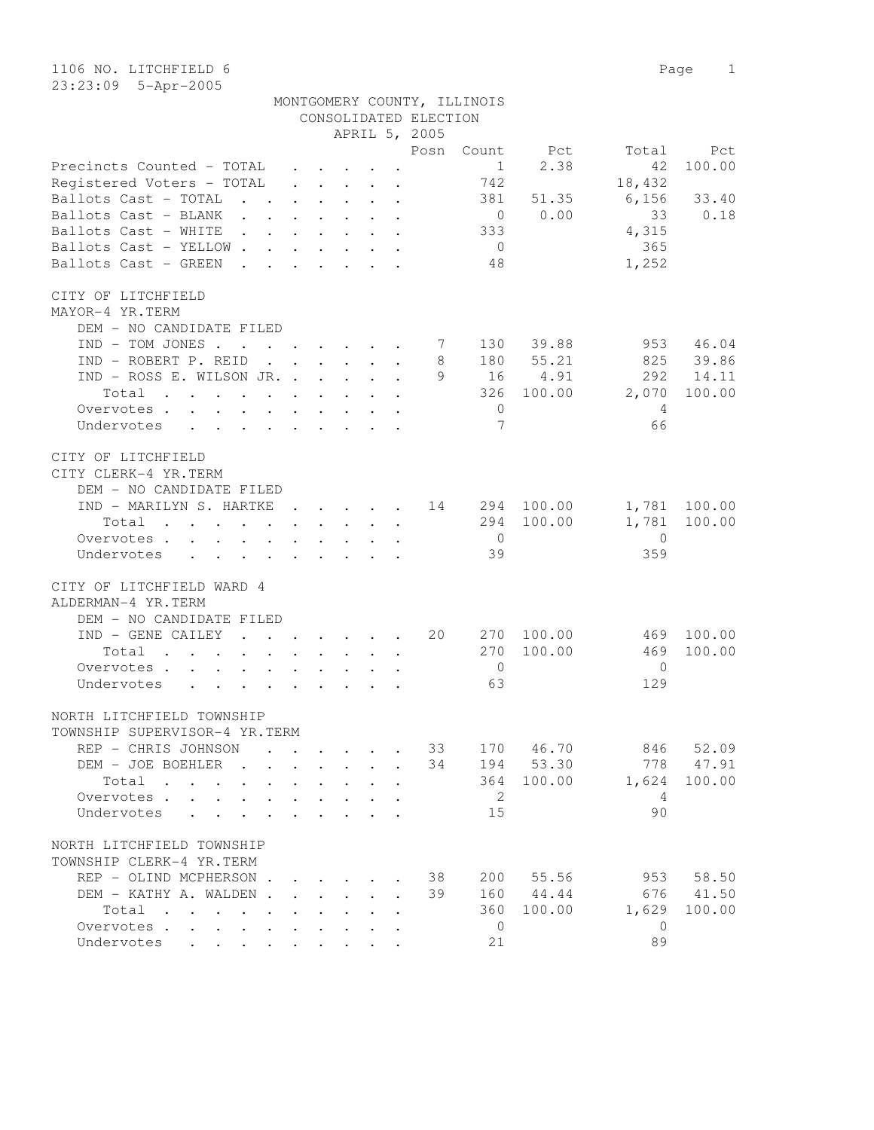1106 NO. LITCHFIELD 6 Page 1 23:23:09 5-Apr-2005

|                       | MONTGOMERY COUNTY, ILLINOIS |
|-----------------------|-----------------------------|
| CONSOLIDATED ELECTION |                             |

|                                                      |  |                                                 | APRIL 5, 2005 |                |                                                              |                       |              |
|------------------------------------------------------|--|-------------------------------------------------|---------------|----------------|--------------------------------------------------------------|-----------------------|--------------|
|                                                      |  |                                                 |               |                | Posn Count Pct                                               |                       | Total Pct    |
| Precincts Counted - TOTAL .                          |  |                                                 |               | 1              | 2.38                                                         | 42                    | 100.00       |
| Registered Voters - TOTAL                            |  | $\cdot$ $\cdot$ $\cdot$ $\cdot$ $\cdot$ $\cdot$ |               | 742            |                                                              | 18,432                |              |
| Ballots Cast - TOTAL                                 |  |                                                 |               | 381            | 51.35                                                        | $6,156$ 33.40         |              |
| Ballots Cast - BLANK                                 |  |                                                 |               |                | $0 \t 0.00$                                                  | 33                    | 0.18         |
| Ballots Cast - WHITE $\cdot \cdot \cdot \cdot \cdot$ |  |                                                 |               | 333            |                                                              | 4,315                 |              |
| Ballots Cast - YELLOW                                |  |                                                 |               | $\overline{0}$ |                                                              | 365                   |              |
| Ballots Cast - GREEN                                 |  |                                                 |               | 48             |                                                              | 1,252                 |              |
| CITY OF LITCHFIELD                                   |  |                                                 |               |                |                                                              |                       |              |
| MAYOR-4 YR.TERM                                      |  |                                                 |               |                |                                                              |                       |              |
| DEM - NO CANDIDATE FILED                             |  |                                                 |               |                |                                                              |                       |              |
| $IND - TOM JONES$                                    |  |                                                 | 7             |                | 130 39.88                                                    |                       | 953 46.04    |
| IND - ROBERT P. REID                                 |  |                                                 | 8             |                | 180 55.21                                                    |                       | 825 39.86    |
| IND - ROSS E. WILSON JR.                             |  |                                                 | 9             |                | 16 4.91                                                      | 292                   | 14.11        |
| Total                                                |  |                                                 |               |                |                                                              | 326 100.00 2,070      | 100.00       |
| Overvotes.                                           |  |                                                 |               | $\overline{0}$ |                                                              | $\overline{4}$        |              |
| Undervotes                                           |  |                                                 |               | $\overline{7}$ |                                                              | 66                    |              |
|                                                      |  |                                                 |               |                |                                                              |                       |              |
| CITY OF LITCHFIELD                                   |  |                                                 |               |                |                                                              |                       |              |
| CITY CLERK-4 YR.TERM                                 |  |                                                 |               |                |                                                              |                       |              |
| DEM - NO CANDIDATE FILED                             |  |                                                 |               |                |                                                              |                       |              |
| IND - MARILYN S. HARTKE 14 294 100.00                |  |                                                 |               |                |                                                              |                       | 1,781 100.00 |
| Total                                                |  |                                                 |               |                | 294 100.00                                                   | 1,781                 | 100.00       |
| Overvotes.                                           |  |                                                 |               | $\overline{0}$ |                                                              | $\overline{0}$        |              |
| Undervotes                                           |  |                                                 |               | 39             |                                                              | 359                   |              |
| CITY OF LITCHFIELD WARD 4                            |  |                                                 |               |                |                                                              |                       |              |
| ALDERMAN-4 YR.TERM                                   |  |                                                 |               |                |                                                              |                       |              |
| DEM - NO CANDIDATE FILED                             |  |                                                 |               |                |                                                              |                       |              |
| $IND - GENERAL CAILEY$ 20                            |  |                                                 |               |                |                                                              | 270 100.00 469 100.00 |              |
| Total                                                |  |                                                 |               |                | 270 100.00                                                   | 469                   | 100.00       |
| Overvotes.                                           |  |                                                 |               | $\overline{0}$ |                                                              | $\bigcirc$            |              |
| Undervotes                                           |  |                                                 |               | 63             |                                                              | 129                   |              |
|                                                      |  |                                                 |               |                |                                                              |                       |              |
| NORTH LITCHFIELD TOWNSHIP                            |  |                                                 |               |                |                                                              |                       |              |
| TOWNSHIP SUPERVISOR-4 YR.TERM                        |  |                                                 |               |                |                                                              |                       |              |
| REP - CHRIS JOHNSON                                  |  |                                                 |               |                | $\cdot$ $\cdot$ $\cdot$ $\cdot$ $\cdot$ $\cdot$ 33 170 46.70 |                       | 846 52.09    |
| DEM - JOE BOEHLER                                    |  |                                                 |               |                | 34 194 53.30                                                 |                       | 778 47.91    |
| Total                                                |  |                                                 |               | 364            | 100.00                                                       | 1,624                 | 100.00       |
| Overvotes                                            |  |                                                 |               | 2              |                                                              | 4                     |              |
| Undervotes<br>$\ddot{\phantom{a}}$                   |  |                                                 |               | 15             |                                                              | 90                    |              |
| NORTH LITCHFIELD TOWNSHIP                            |  |                                                 |               |                |                                                              |                       |              |
| TOWNSHIP CLERK-4 YR.TERM                             |  |                                                 |               |                |                                                              |                       |              |
| REP - OLIND MCPHERSON.                               |  |                                                 | 38            | 200            | 55.56                                                        | 953                   | 58.50        |
| DEM - KATHY A. WALDEN.                               |  |                                                 | 39            | 160            | 44.44                                                        | 676                   | 41.50        |
|                                                      |  |                                                 |               | 360            | 100.00                                                       | 1,629                 | 100.00       |
| Total<br>Overvotes<br>$\mathbf{L}$                   |  |                                                 |               | $\overline{0}$ |                                                              | $\mathbf{0}$          |              |
| Undervotes                                           |  |                                                 |               | 21             |                                                              | 89                    |              |
|                                                      |  |                                                 |               |                |                                                              |                       |              |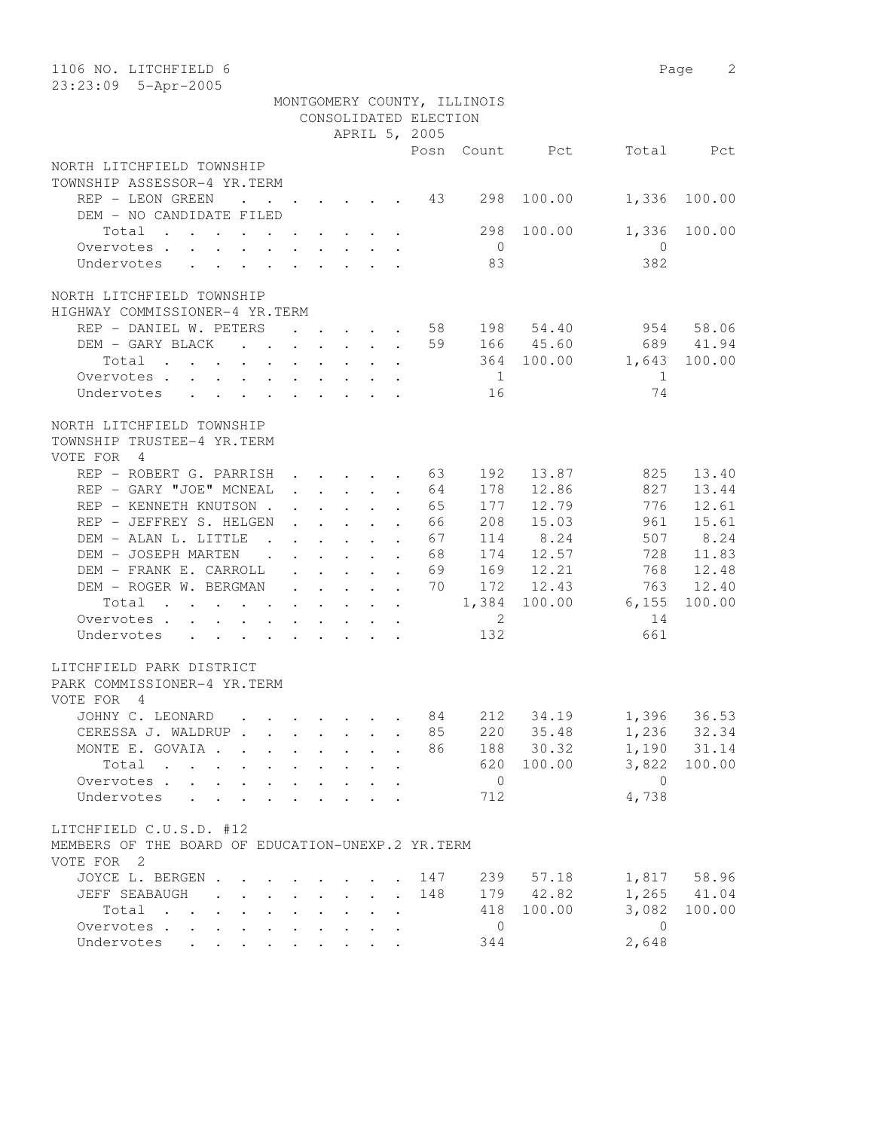| 1106 NO. LITCHFIELD 6                                                                                                    |                         |                                                                                                      |                                                                                                                                     |                       |                             |               |                | Page<br>2     |
|--------------------------------------------------------------------------------------------------------------------------|-------------------------|------------------------------------------------------------------------------------------------------|-------------------------------------------------------------------------------------------------------------------------------------|-----------------------|-----------------------------|---------------|----------------|---------------|
| 23:23:09 5-Apr-2005                                                                                                      |                         |                                                                                                      |                                                                                                                                     |                       | MONTGOMERY COUNTY, ILLINOIS |               |                |               |
|                                                                                                                          |                         |                                                                                                      |                                                                                                                                     | CONSOLIDATED ELECTION |                             |               |                |               |
|                                                                                                                          |                         |                                                                                                      | APRIL 5, 2005                                                                                                                       |                       |                             |               |                |               |
|                                                                                                                          |                         |                                                                                                      |                                                                                                                                     | Posn                  |                             | Count Pct     | Total          | Pct           |
| NORTH LITCHFIELD TOWNSHIP                                                                                                |                         |                                                                                                      |                                                                                                                                     |                       |                             |               |                |               |
| TOWNSHIP ASSESSOR-4 YR.TERM                                                                                              |                         |                                                                                                      |                                                                                                                                     |                       |                             |               |                |               |
| REP - LEON GREEN<br>$\sim$ $\sim$ $\sim$                                                                                 | $\cdot$ $\cdot$ $\cdot$ |                                                                                                      | $\cdot$ $\cdot$ $\cdot$ $\cdot$ $\cdot$                                                                                             | 43                    | 298                         | 100.00        | 1,336          | 100.00        |
| DEM - NO CANDIDATE FILED                                                                                                 |                         |                                                                                                      |                                                                                                                                     |                       |                             |               |                |               |
| Total                                                                                                                    |                         |                                                                                                      |                                                                                                                                     |                       | 298                         | 100.00        | 1,336          | 100.00        |
| Overvotes                                                                                                                |                         |                                                                                                      |                                                                                                                                     |                       | $\overline{0}$              |               | $\overline{0}$ |               |
| Undervotes                                                                                                               |                         |                                                                                                      |                                                                                                                                     |                       | 83                          |               | 382            |               |
|                                                                                                                          |                         |                                                                                                      |                                                                                                                                     |                       |                             |               |                |               |
| NORTH LITCHFIELD TOWNSHIP                                                                                                |                         |                                                                                                      |                                                                                                                                     |                       |                             |               |                |               |
| HIGHWAY COMMISSIONER-4 YR.TERM                                                                                           |                         |                                                                                                      |                                                                                                                                     |                       |                             |               |                |               |
| REP - DANIEL W. PETERS                                                                                                   |                         |                                                                                                      |                                                                                                                                     | 58                    |                             | 198 54.40     | 954            | 58.06         |
| DEM - GARY BLACK                                                                                                         |                         |                                                                                                      |                                                                                                                                     | 59                    |                             | 166 45.60     | 689            | 41.94         |
| Total<br>$\sim$ $-$                                                                                                      | $\sim$                  | $\sim$ 100 $\pm$                                                                                     |                                                                                                                                     |                       | 364                         | 100.00        | 1,643          | 100.00        |
| Overvotes.                                                                                                               |                         |                                                                                                      |                                                                                                                                     |                       | $\overline{1}$              |               | 1              |               |
| Undervotes<br>$\mathbf{r}$ , $\mathbf{r}$ , $\mathbf{r}$ , $\mathbf{r}$ , $\mathbf{r}$ , $\mathbf{r}$ , $\mathbf{r}$     |                         |                                                                                                      |                                                                                                                                     |                       | 16                          |               | 74             |               |
|                                                                                                                          |                         |                                                                                                      |                                                                                                                                     |                       |                             |               |                |               |
| NORTH LITCHFIELD TOWNSHIP                                                                                                |                         |                                                                                                      |                                                                                                                                     |                       |                             |               |                |               |
| TOWNSHIP TRUSTEE-4 YR.TERM                                                                                               |                         |                                                                                                      |                                                                                                                                     |                       |                             |               |                |               |
| VOTE FOR 4                                                                                                               |                         |                                                                                                      |                                                                                                                                     |                       |                             |               |                |               |
| REP - ROBERT G. PARRISH                                                                                                  |                         | $\cdot$ $\cdot$ $\cdot$ $\cdot$ $\cdot$                                                              | $\ddot{\phantom{a}}$                                                                                                                | 63                    | 192                         | 13.87         | 825            | 13.40         |
| REP - GARY "JOE" MCNEAL                                                                                                  |                         |                                                                                                      | $\ddot{\phantom{a}}$                                                                                                                | 64                    | 178                         | 12.86         | 827            | 13.44         |
| REP - KENNETH KNUTSON.                                                                                                   | $\mathbf{L}$            | $\ddot{\phantom{0}}$<br>$\mathbf{L}^{\text{max}}$                                                    | $\mathbf{L}$<br>$\cdot$                                                                                                             | 65                    | 177                         | 12.79         | 776            | 12.61         |
| REP - JEFFREY S. HELGEN<br>DEM - ALAN L. LITTLE.                                                                         |                         | $\ddot{\phantom{a}}$                                                                                 | $\ddot{\phantom{a}}$                                                                                                                | 66                    | 208<br>114                  | 15.03<br>8.24 | 961<br>507     | 15.61<br>8.24 |
| DEM - JOSEPH MARTEN                                                                                                      |                         | $\cdot$ $\cdot$ $\cdot$ $\cdot$ $\cdot$                                                              | $\ddot{\phantom{a}}$                                                                                                                | 67<br>68              | 174                         | 12.57         | 728            | 11.83         |
| $\sim$ $\sim$<br>DEM - FRANK E. CARROLL                                                                                  |                         | $\mathbf{r}$ , $\mathbf{r}$ , $\mathbf{r}$ , $\mathbf{r}$<br>$\cdot$ $\cdot$ $\cdot$ $\cdot$ $\cdot$ | $\ddot{\phantom{a}}$                                                                                                                | 69                    | 169                         | 12.21         | 768            | 12.48         |
| DEM - ROGER W. BERGMAN                                                                                                   |                         |                                                                                                      | $\ddot{\phantom{a}}$                                                                                                                | 70                    | 172                         | 12.43         | 763            | 12.40         |
| Total<br>the contract of the contract of the contract of the contract of the contract of the contract of the contract of |                         |                                                                                                      | $\begin{array}{cccccccccccccc} \bullet & \bullet & \bullet & \bullet & \bullet & \bullet & \bullet & \bullet & \bullet \end{array}$ |                       | 1,384                       | 100.00        | 6,155          | 100.00        |
| Overvotes                                                                                                                |                         |                                                                                                      |                                                                                                                                     |                       | -2                          |               | 14             |               |
| Undervotes<br>$\bullet$ .<br><br><br><br><br><br><br><br><br><br><br><br><br>$\bullet$ . The set of $\bullet$            |                         |                                                                                                      |                                                                                                                                     |                       | 132                         |               | 661            |               |
|                                                                                                                          |                         |                                                                                                      |                                                                                                                                     |                       |                             |               |                |               |
| LITCHFIELD PARK DISTRICT                                                                                                 |                         |                                                                                                      |                                                                                                                                     |                       |                             |               |                |               |
| PARK COMMISSIONER-4 YR.TERM                                                                                              |                         |                                                                                                      |                                                                                                                                     |                       |                             |               |                |               |
| VOTE FOR 4                                                                                                               |                         |                                                                                                      |                                                                                                                                     |                       |                             |               |                |               |
| JOHNY C. LEONARD                                                                                                         |                         |                                                                                                      |                                                                                                                                     | 84                    | 212                         | 34.19         | 1,396          | 36.53         |
| CERESSA J. WALDRUP.<br>$\ddot{\phantom{a}}$                                                                              |                         | $\ddot{\phantom{0}}$                                                                                 | $\ddot{\phantom{a}}$                                                                                                                | 85                    | 220                         | 35.48         | 1,236          | 32.34         |
| MONTE E. GOVAIA .<br>$\sim$<br>$\mathbf{L}^{\text{max}}$                                                                 | $\ddot{\phantom{0}}$    | $\mathbf{L}^{\text{max}}$<br>$\ddot{\phantom{0}}$                                                    | $\ddot{\phantom{a}}$                                                                                                                | 86                    | 188                         | 30.32         | 1,190          | 31.14         |
| Total                                                                                                                    |                         |                                                                                                      |                                                                                                                                     |                       | 620                         | 100.00        | 3,822          | 100.00        |
| Overvotes.<br>$\mathbf{L} = \mathbf{L}$<br>$\mathcal{L}^{\text{max}}$<br>$\mathbf{L}$                                    | $\mathbf{L}$            |                                                                                                      |                                                                                                                                     |                       | $\overline{0}$              |               | $\overline{0}$ |               |
| $\mathcal{L}^{\text{max}}$<br>Undervotes<br>$\mathbf{r}$                                                                 |                         |                                                                                                      |                                                                                                                                     |                       | 712                         |               | 4,738          |               |
|                                                                                                                          |                         |                                                                                                      |                                                                                                                                     |                       |                             |               |                |               |
| LITCHFIELD C.U.S.D. #12                                                                                                  |                         |                                                                                                      |                                                                                                                                     |                       |                             |               |                |               |
| MEMBERS OF THE BOARD OF EDUCATION-UNEXP.2 YR.TERM                                                                        |                         |                                                                                                      |                                                                                                                                     |                       |                             |               |                |               |
| VOTE FOR 2                                                                                                               |                         |                                                                                                      |                                                                                                                                     |                       |                             |               |                |               |
| JOYCE L. BERGEN.                                                                                                         |                         |                                                                                                      | $\ddot{\phantom{a}}$                                                                                                                | 147                   | 239                         | 57.18         | 1,817          | 58.96         |
| JEFF SEABAUGH<br>$\mathbf{r}$ $\mathbf{r}$<br>$\ddot{\phantom{a}}$                                                       | $\ddot{\phantom{a}}$    | $\ddot{\phantom{0}}$                                                                                 | $\sim$                                                                                                                              | 148                   | 179                         | 42.82         | 1,265          | 41.04         |
| Total<br>$\ddot{\phantom{a}}$<br>$\ddot{\phantom{a}}$                                                                    | $\mathbf{L}$            |                                                                                                      |                                                                                                                                     |                       | 418                         | 100.00        | 3,082          | 100.00        |
| Overvotes<br>$\ddot{\phantom{0}}$<br>$\ddot{\phantom{0}}$                                                                |                         |                                                                                                      |                                                                                                                                     |                       | $\overline{0}$              |               | $\mathbf{0}$   |               |
| Undervotes                                                                                                               |                         | $\cdot$ $\cdot$ $\cdot$ $\cdot$ $\cdot$                                                              |                                                                                                                                     |                       | 344                         |               | 2,648          |               |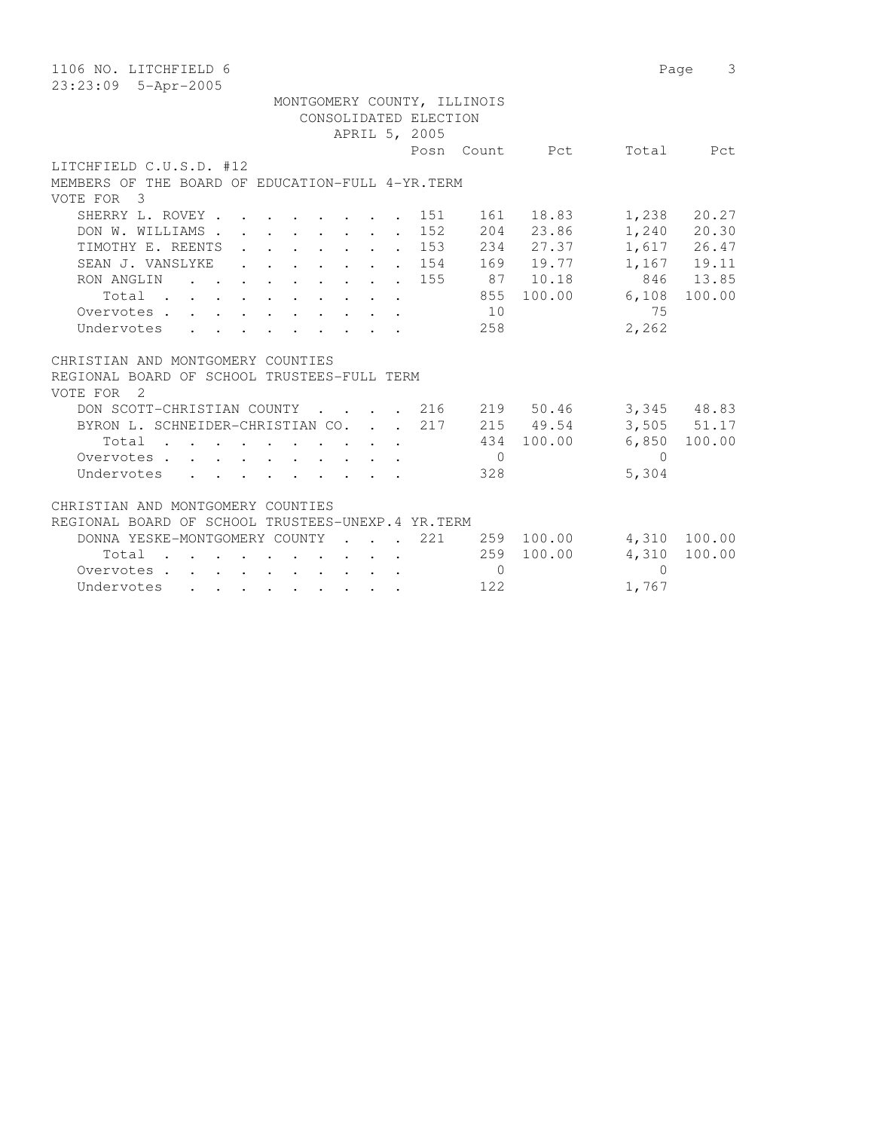| 1106 NO. LITCHFIELD 6                                                                                                                                                            | 3<br>Page     |
|----------------------------------------------------------------------------------------------------------------------------------------------------------------------------------|---------------|
| 23:23:09 5-Apr-2005                                                                                                                                                              |               |
| MONTGOMERY COUNTY, ILLINOIS                                                                                                                                                      |               |
| CONSOLIDATED ELECTION                                                                                                                                                            |               |
| APRIL 5, 2005                                                                                                                                                                    |               |
| Total<br>Posn<br>Count Pct                                                                                                                                                       | Pct           |
| LITCHFIELD C.U.S.D. #12                                                                                                                                                          |               |
| MEMBERS OF THE BOARD OF EDUCATION-FULL 4-YR. TERM                                                                                                                                |               |
| VOTE FOR 3                                                                                                                                                                       |               |
| SHERRY L. ROVEY.<br>18.83<br>1,238<br>151<br>161                                                                                                                                 | 20.27         |
| $\mathbf{r}$ , and $\mathbf{r}$ , and $\mathbf{r}$ , and $\mathbf{r}$<br>204 23.86<br>DON W. WILLIAMS.<br>152<br>$\cdot$ $\cdot$ $\cdot$ $\cdot$ $\cdot$ $\cdot$ $\cdot$ $\cdot$ | $1,240$ 20.30 |
| 234 27.37<br>TIMOTHY E. REENTS<br>153<br>$\mathbf{r} = \mathbf{r} - \mathbf{r} = \mathbf{r} - \mathbf{r} = \mathbf{r} - \mathbf{r}$                                              | 1,617 26.47   |
| $\sim$<br>154                                                                                                                                                                    |               |
| 169 19.77<br>SEAN J. VANSLYKE                                                                                                                                                    | 1,167 19.11   |
| 155<br>87 10.18<br>RON ANGLIN<br>$\mathbf{r}$ , $\mathbf{r}$ , $\mathbf{r}$ , $\mathbf{r}$ , $\mathbf{r}$ , $\mathbf{r}$ , $\mathbf{r}$                                          | 846 13.85     |
| 100.00<br>855<br>6,108<br>Total                                                                                                                                                  | 100.00        |
| 10<br>75<br>Overvotes                                                                                                                                                            |               |
| 2,262<br>Undervotes<br>258                                                                                                                                                       |               |
|                                                                                                                                                                                  |               |
| CHRISTIAN AND MONTGOMERY COUNTIES                                                                                                                                                |               |
| REGIONAL BOARD OF SCHOOL TRUSTEES-FULL TERM                                                                                                                                      |               |
| VOTE FOR 2                                                                                                                                                                       |               |
| DON SCOTT-CHRISTIAN COUNTY<br>. 216<br>219 50.46                                                                                                                                 | 3,345 48.83   |
| BYRON L. SCHNEIDER-CHRISTIAN CO.<br>217<br>215 49.54                                                                                                                             | 3,505 51.17   |
| 100.00<br>6,850<br>Total<br>434                                                                                                                                                  | 100.00        |
| Overvotes<br>$\overline{0}$<br>$\Omega$                                                                                                                                          |               |
| 5,304<br>328<br>Undervotes                                                                                                                                                       |               |
|                                                                                                                                                                                  |               |
| CHRISTIAN AND MONTGOMERY COUNTIES                                                                                                                                                |               |
| REGIONAL BOARD OF SCHOOL TRUSTEES-UNEXP.4 YR.TERM                                                                                                                                |               |
| DONNA YESKE-MONTGOMERY COUNTY<br>221<br>259<br>100.00<br>4,310<br>$\sim$ $\sim$ $\sim$ $\sim$ $\sim$                                                                             | 100.00        |
| 259<br>100.00<br>4,310<br>Total                                                                                                                                                  | 100.00        |
|                                                                                                                                                                                  |               |
| $\bigcirc$<br>$\Omega$<br>Overvotes                                                                                                                                              |               |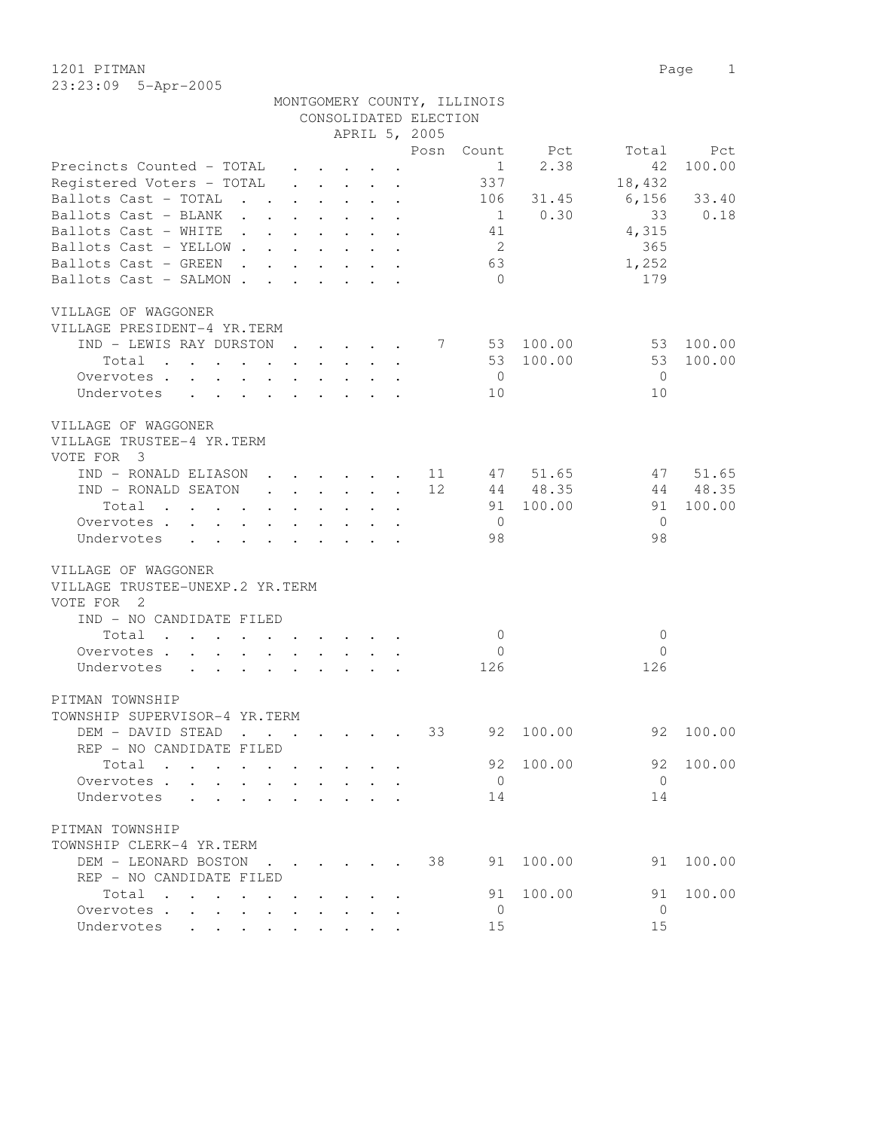1201 PITMAN Page 1 23:23:09 5-Apr-2005

|                                                                                                                          |                                 |                                                                                         |                                      |                                                                 |                                        | CONSOLIDATED ELECTION |                |           |                |        |
|--------------------------------------------------------------------------------------------------------------------------|---------------------------------|-----------------------------------------------------------------------------------------|--------------------------------------|-----------------------------------------------------------------|----------------------------------------|-----------------------|----------------|-----------|----------------|--------|
|                                                                                                                          |                                 |                                                                                         |                                      |                                                                 |                                        | APRIL 5, 2005         |                |           |                |        |
|                                                                                                                          |                                 |                                                                                         |                                      |                                                                 |                                        | Posn                  | Count          | Pct       | Total          | Pct    |
| Precincts Counted - TOTAL                                                                                                |                                 |                                                                                         |                                      | $\cdot$ $\cdot$ $\cdot$ $\cdot$                                 |                                        |                       | $\mathbf{1}$   | 2.38      | 42             | 100.00 |
| Registered Voters - TOTAL                                                                                                |                                 |                                                                                         |                                      | $\cdot$ $\cdot$ $\cdot$ $\cdot$ $\cdot$                         |                                        |                       | 337            |           | 18,432         |        |
| Ballots Cast - TOTAL                                                                                                     |                                 | $\mathbf{L} = \mathbf{L} \mathbf{L}$                                                    |                                      |                                                                 | $\mathbf{r}$ $\mathbf{r}$ $\mathbf{r}$ |                       | 106            | 31.45     | 6,156          | 33.40  |
| Ballots Cast - BLANK                                                                                                     | $\sim$ $\sim$                   |                                                                                         |                                      |                                                                 |                                        |                       | $\overline{1}$ | 0.30      | 33             | 0.18   |
| Ballots Cast - WHITE                                                                                                     | $\sim$ $\sim$                   |                                                                                         | $\mathbf{L} = \mathbf{L} \mathbf{L}$ |                                                                 |                                        |                       | 41             |           | 4,315          |        |
| Ballots Cast - YELLOW                                                                                                    |                                 |                                                                                         |                                      |                                                                 |                                        |                       | 2              |           | 365            |        |
| Ballots Cast - GREEN                                                                                                     |                                 | $\mathbf{r}$ , $\mathbf{r}$ , $\mathbf{r}$ , $\mathbf{r}$ , $\mathbf{r}$ , $\mathbf{r}$ |                                      |                                                                 |                                        |                       | 63             |           | 1,252          |        |
| Ballots Cast - SALMON.                                                                                                   |                                 | $\mathbf{r}$ . The set of $\mathbf{r}$ is the set of $\mathbf{r}$                       |                                      |                                                                 |                                        |                       | $\bigcirc$     |           | 179            |        |
|                                                                                                                          |                                 |                                                                                         |                                      |                                                                 |                                        |                       |                |           |                |        |
|                                                                                                                          |                                 |                                                                                         |                                      |                                                                 |                                        |                       |                |           |                |        |
| VILLAGE OF WAGGONER                                                                                                      |                                 |                                                                                         |                                      |                                                                 |                                        |                       |                |           |                |        |
| VILLAGE PRESIDENT-4 YR.TERM                                                                                              |                                 |                                                                                         |                                      |                                                                 |                                        |                       |                |           |                |        |
| IND - LEWIS RAY DURSTON                                                                                                  |                                 |                                                                                         |                                      | $\cdot$                                                         |                                        | 7                     | 53             | 100.00    | 53             | 100.00 |
| Total                                                                                                                    |                                 |                                                                                         |                                      |                                                                 |                                        |                       |                | 53 100.00 | 53             | 100.00 |
| Overvotes .                                                                                                              | $\cdot$ $\cdot$ $\cdot$ $\cdot$ |                                                                                         |                                      | $\mathbf{L}$ and $\mathbf{L}$                                   |                                        |                       | $\overline{0}$ |           | $\overline{0}$ |        |
| Undervotes                                                                                                               | $\mathbf{L}$ $\mathbf{L}$       | $\mathbf{L}$                                                                            |                                      | $\mathbf{r} = \mathbf{r} \cdot \mathbf{r}$                      |                                        |                       | 10             |           | 10             |        |
|                                                                                                                          |                                 |                                                                                         |                                      |                                                                 |                                        |                       |                |           |                |        |
| VILLAGE OF WAGGONER                                                                                                      |                                 |                                                                                         |                                      |                                                                 |                                        |                       |                |           |                |        |
| VILLAGE TRUSTEE-4 YR.TERM                                                                                                |                                 |                                                                                         |                                      |                                                                 |                                        |                       |                |           |                |        |
| VOTE FOR 3                                                                                                               |                                 |                                                                                         |                                      |                                                                 |                                        |                       |                |           |                |        |
| IND - RONALD ELIASON                                                                                                     |                                 | $\ddot{\phantom{a}}$                                                                    |                                      | $\cdot$ $\cdot$ $\cdot$ $\cdot$ $\cdot$                         |                                        | 11<br>$\sim$          | 47             | 51.65     | 47             | 51.65  |
| IND - RONALD SEATON                                                                                                      |                                 |                                                                                         | $\sim$                               |                                                                 |                                        | 12                    |                | 44 48.35  | 44             | 48.35  |
| Total                                                                                                                    |                                 |                                                                                         |                                      | $\cdot$ $\cdot$ $\cdot$                                         |                                        |                       | 91             | 100.00    | 91             | 100.00 |
| Overvotes                                                                                                                |                                 | $\mathbf{L}$                                                                            |                                      |                                                                 |                                        |                       | $\overline{0}$ |           | $\mathbf{0}$   |        |
| Undervotes<br>$\mathbf{L}$                                                                                               |                                 |                                                                                         |                                      |                                                                 |                                        |                       | 98             |           | 98             |        |
|                                                                                                                          |                                 |                                                                                         |                                      |                                                                 |                                        |                       |                |           |                |        |
| VILLAGE OF WAGGONER                                                                                                      |                                 |                                                                                         |                                      |                                                                 |                                        |                       |                |           |                |        |
| VILLAGE TRUSTEE-UNEXP.2 YR.TERM                                                                                          |                                 |                                                                                         |                                      |                                                                 |                                        |                       |                |           |                |        |
| VOTE FOR 2                                                                                                               |                                 |                                                                                         |                                      |                                                                 |                                        |                       |                |           |                |        |
| IND - NO CANDIDATE FILED                                                                                                 |                                 |                                                                                         |                                      |                                                                 |                                        |                       |                |           |                |        |
|                                                                                                                          |                                 |                                                                                         |                                      |                                                                 |                                        |                       |                |           |                |        |
| Total<br>the contract of the contract of the contract of the contract of the contract of the contract of the contract of |                                 |                                                                                         |                                      |                                                                 |                                        |                       | $\overline{0}$ |           | $\mathbf{0}$   |        |
| Overvotes .                                                                                                              |                                 |                                                                                         |                                      |                                                                 |                                        |                       | $\mathbf{0}$   |           | $\circ$        |        |
| Undervotes<br>$\ddot{\phantom{0}}$                                                                                       |                                 |                                                                                         |                                      |                                                                 |                                        |                       | 126            |           | 126            |        |
|                                                                                                                          |                                 |                                                                                         |                                      |                                                                 |                                        |                       |                |           |                |        |
| PITMAN TOWNSHIP                                                                                                          |                                 |                                                                                         |                                      |                                                                 |                                        |                       |                |           |                |        |
| TOWNSHIP SUPERVISOR-4 YR.TERM                                                                                            |                                 |                                                                                         |                                      |                                                                 |                                        |                       |                |           |                |        |
| DEM - DAVID STEAD                                                                                                        |                                 | $\sim$                                                                                  |                                      | $\mathbf{r}$ and $\mathbf{r}$ and $\mathbf{r}$ and $\mathbf{r}$ |                                        | 33                    | 92             | 100.00    | 92             | 100.00 |
| REP - NO CANDIDATE FILED                                                                                                 |                                 |                                                                                         |                                      |                                                                 |                                        |                       |                |           |                |        |
| Total                                                                                                                    |                                 |                                                                                         |                                      |                                                                 |                                        |                       | 92             | 100.00    | 92             | 100.00 |
| Overvotes .                                                                                                              |                                 |                                                                                         |                                      |                                                                 |                                        |                       | $\mathbf{0}$   |           | $\mathbf{0}$   |        |
| Undervotes                                                                                                               |                                 |                                                                                         |                                      |                                                                 |                                        |                       | 14             |           | 14             |        |
|                                                                                                                          |                                 |                                                                                         |                                      |                                                                 |                                        |                       |                |           |                |        |
| PITMAN TOWNSHIP                                                                                                          |                                 |                                                                                         |                                      |                                                                 |                                        |                       |                |           |                |        |
| TOWNSHIP CLERK-4 YR.TERM                                                                                                 |                                 |                                                                                         |                                      |                                                                 |                                        |                       |                |           |                |        |
| DEM - LEONARD BOSTON                                                                                                     |                                 | $\sim$ $\sim$ $\sim$ $\sim$ $\sim$                                                      |                                      |                                                                 |                                        | 38                    | 91             | 100.00    | 91             | 100.00 |
| REP - NO CANDIDATE FILED                                                                                                 |                                 |                                                                                         |                                      |                                                                 |                                        |                       |                |           |                |        |
| Total                                                                                                                    |                                 |                                                                                         |                                      |                                                                 |                                        |                       | 91             | 100.00    | 91             | 100.00 |
| Overvotes                                                                                                                |                                 |                                                                                         |                                      |                                                                 |                                        |                       | 0              |           | 0              |        |
| Undervotes                                                                                                               |                                 |                                                                                         |                                      |                                                                 |                                        |                       | 15             |           | 15             |        |
|                                                                                                                          |                                 |                                                                                         |                                      |                                                                 |                                        |                       |                |           |                |        |

MONTGOMERY COUNTY, ILLINOIS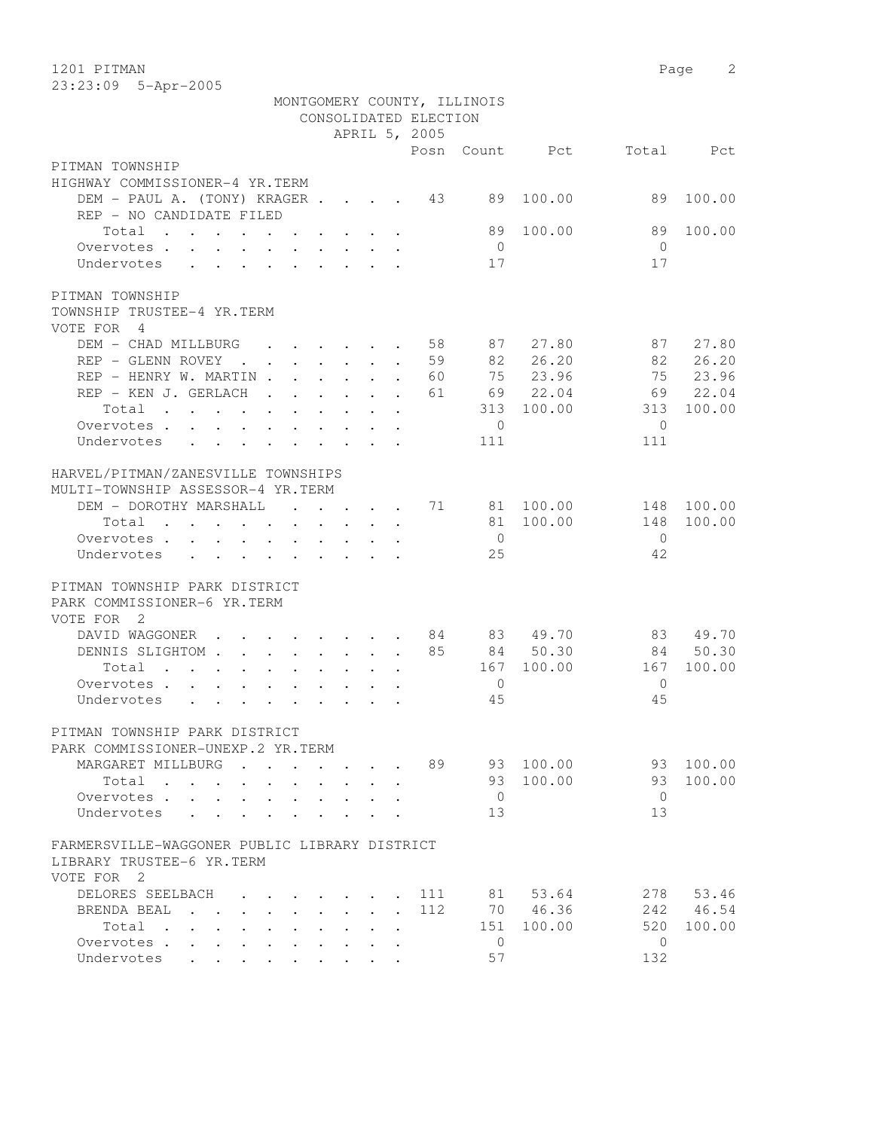1201 PITMAN Page 2

|                                                                                          |                                |                      |                                                                     |                                           | CONSOLIDATED ELECTION       | MONTGOMERY COUNTY, ILLINOIS |                |                |           |
|------------------------------------------------------------------------------------------|--------------------------------|----------------------|---------------------------------------------------------------------|-------------------------------------------|-----------------------------|-----------------------------|----------------|----------------|-----------|
|                                                                                          |                                |                      |                                                                     |                                           | APRIL 5, 2005               |                             | Posn Count Pct |                | Total Pct |
| PITMAN TOWNSHIP                                                                          |                                |                      |                                                                     |                                           |                             |                             |                |                |           |
| HIGHWAY COMMISSIONER-4 YR.TERM                                                           |                                |                      |                                                                     |                                           |                             |                             |                |                |           |
| DEM - PAUL A. (TONY) KRAGER 43                                                           |                                |                      |                                                                     |                                           |                             | 89                          | 100.00         | 89             | 100.00    |
| REP - NO CANDIDATE FILED                                                                 |                                |                      |                                                                     |                                           |                             |                             |                |                |           |
| Total                                                                                    |                                |                      |                                                                     |                                           |                             | 89                          | 100.00         | 89             | 100.00    |
| Overvotes.                                                                               |                                |                      |                                                                     |                                           |                             | $\overline{0}$              |                | $\bigcirc$     |           |
| Undervotes                                                                               |                                |                      |                                                                     |                                           |                             | 17                          |                | 17             |           |
| PITMAN TOWNSHIP                                                                          |                                |                      |                                                                     |                                           |                             |                             |                |                |           |
| TOWNSHIP TRUSTEE-4 YR.TERM                                                               |                                |                      |                                                                     |                                           |                             |                             |                |                |           |
| VOTE FOR 4                                                                               |                                |                      |                                                                     |                                           |                             |                             |                |                |           |
| DEM - CHAD MILLBURG 58                                                                   |                                |                      |                                                                     |                                           |                             |                             | 87 27.80       | 87             | 27.80     |
| REP - GLENN ROVEY                                                                        | . 59                           |                      |                                                                     |                                           |                             |                             | 82 26.20       |                | 82 26.20  |
| REP - HENRY W. MARTIN 60                                                                 |                                |                      |                                                                     |                                           |                             |                             | 75 23.96       |                | 75 23.96  |
| REP - KEN J. GERLACH 61                                                                  |                                |                      |                                                                     |                                           |                             |                             | 69 22.04       | 69             | 22.04     |
| Total                                                                                    |                                |                      |                                                                     |                                           |                             |                             | 313 100.00     | 313            | 100.00    |
| Overvotes                                                                                |                                |                      |                                                                     |                                           |                             | $\overline{0}$              |                | $\bigcirc$     |           |
| Undervotes<br>$\sim$ $\sim$                                                              |                                |                      |                                                                     |                                           |                             | 111                         |                | 111            |           |
| HARVEL/PITMAN/ZANESVILLE TOWNSHIPS<br>MULTI-TOWNSHIP ASSESSOR-4 YR.TERM                  |                                |                      |                                                                     |                                           |                             |                             |                |                |           |
| DEM - DOROTHY MARSHALL 71                                                                |                                |                      |                                                                     |                                           |                             |                             | 81 100.00      | 148            | 100.00    |
| Total                                                                                    |                                |                      |                                                                     |                                           |                             |                             | 81 100.00      | 148            | 100.00    |
| Overvotes.                                                                               |                                |                      |                                                                     |                                           |                             | $\overline{0}$              |                | $\overline{0}$ |           |
| Undervotes                                                                               |                                |                      |                                                                     |                                           |                             | 25                          |                | 42             |           |
| PITMAN TOWNSHIP PARK DISTRICT<br>PARK COMMISSIONER-6 YR. TERM<br>VOTE FOR 2              |                                |                      |                                                                     |                                           |                             |                             |                |                |           |
| DAVID WAGGONER 84                                                                        |                                |                      |                                                                     |                                           |                             |                             | 83 49.70       | 83             | 49.70     |
| DENNIS SLIGHTOM 85                                                                       |                                |                      |                                                                     |                                           |                             |                             | 84 50.30       |                | 84 50.30  |
| Total                                                                                    |                                |                      |                                                                     |                                           |                             | 167                         | 100.00         | 167            | 100.00    |
| Overvotes                                                                                |                                |                      |                                                                     |                                           |                             | $\overline{0}$              |                | $\Omega$       |           |
| Undervotes                                                                               |                                |                      |                                                                     |                                           |                             | 45                          |                | 45             |           |
| PITMAN TOWNSHIP PARK DISTRICT<br>PARK COMMISSIONER-UNEXP.2 YR.TERM                       |                                |                      |                                                                     |                                           |                             |                             |                |                |           |
| MARGARET MILLBURG                                                                        | $\mathbf{r}$ , $\mathbf{r}$    | $\ddot{\phantom{a}}$ | $\cdot$ $\cdot$ $\cdot$                                             |                                           | 89                          | 93                          | 100.00         | 93             | 100.00    |
| Total                                                                                    |                                |                      | $\mathbf{r}$ and $\mathbf{r}$                                       |                                           |                             | 93                          | 100.00         | 93             | 100.00    |
| Overvotes                                                                                | $\ddot{\phantom{a}}$           | $\bullet$            | $\bullet$ .<br><br><br><br><br><br><br><br><br><br><br><br><br><br> |                                           |                             | $\overline{0}$              |                | $\overline{0}$ |           |
| Undervotes<br>$\mathbf{L}^{\text{max}}$ , and $\mathbf{L}^{\text{max}}$                  | $\ddot{\phantom{0}}$           |                      |                                                                     |                                           |                             | 13                          |                | 13             |           |
| FARMERSVILLE-WAGGONER PUBLIC LIBRARY DISTRICT<br>LIBRARY TRUSTEE-6 YR.TERM<br>VOTE FOR 2 |                                |                      |                                                                     |                                           |                             |                             |                |                |           |
| DELORES SEELBACH                                                                         |                                |                      |                                                                     | $\sim$ $\sim$ $\sim$ $\sim$ $\sim$ $\sim$ | 111                         | 81                          | 53.64          | 278            | 53.46     |
| BRENDA BEAL                                                                              | $\sim$<br>$\ddot{\phantom{a}}$ | $\mathbf{r}$         | $\mathbf{L} = \mathbf{L} \mathbf{L}$                                | $\mathbf{L}$                              | 112<br>$\ddot{\phantom{0}}$ |                             | 70 46.36       | 242            | 46.54     |
| Total .<br>$\ddot{\phantom{0}}$<br>$\mathbf{r}$                                          |                                |                      |                                                                     |                                           | $\ddot{\phantom{a}}$        | 151                         | 100.00         | 520            | 100.00    |
| Overvotes                                                                                |                                | $\ddot{\phantom{0}}$ | $\ddot{\phantom{0}}$                                                |                                           |                             | $\mathbf{0}$                |                | $\mathbf{0}$   |           |
| Undervotes .                                                                             |                                |                      |                                                                     |                                           |                             | 57                          |                | 132            |           |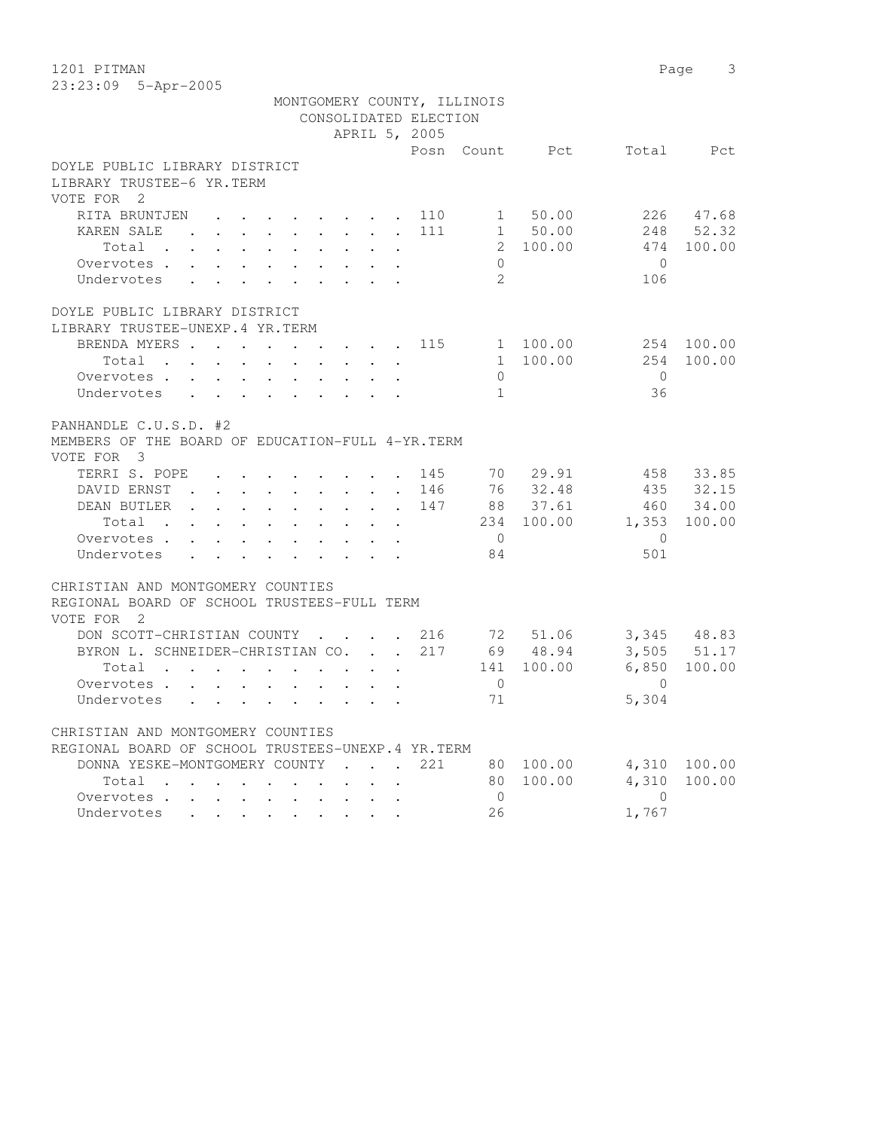1201 PITMAN Page 3 23:23:09 5-Apr-2005

|                                                                                                                               |                                                                       |                         |                                         |                       | MONTGOMERY COUNTY, ILLINOIS |                |              |             |
|-------------------------------------------------------------------------------------------------------------------------------|-----------------------------------------------------------------------|-------------------------|-----------------------------------------|-----------------------|-----------------------------|----------------|--------------|-------------|
|                                                                                                                               |                                                                       |                         |                                         | CONSOLIDATED ELECTION |                             |                |              |             |
|                                                                                                                               |                                                                       |                         |                                         | APRIL 5, 2005         |                             |                |              |             |
|                                                                                                                               |                                                                       |                         |                                         |                       |                             | Posn Count Pct |              | Total Pct   |
| DOYLE PUBLIC LIBRARY DISTRICT                                                                                                 |                                                                       |                         |                                         |                       |                             |                |              |             |
| LIBRARY TRUSTEE-6 YR.TERM                                                                                                     |                                                                       |                         |                                         |                       |                             |                |              |             |
| VOTE FOR 2                                                                                                                    |                                                                       |                         |                                         |                       |                             |                |              |             |
| RITA BRUNTJEN                                                                                                                 | $\mathbf{r}$ , and $\mathbf{r}$ , and $\mathbf{r}$ , and $\mathbf{r}$ |                         |                                         | 110                   |                             | 1 50.00        |              | 226 47.68   |
| KAREN SALE<br><b>Contract Contract</b>                                                                                        |                                                                       |                         |                                         | 111                   |                             | 1 50.00        |              | 248 52.32   |
| Total .<br>$\mathbf{L}$<br>$\mathcal{L}^{\text{max}}$<br>$\ddot{\phantom{0}}$<br>$\ddot{\phantom{0}}$                         | $\mathbf{L}$<br>$\sim$                                                | $\ddot{\phantom{0}}$    |                                         |                       |                             | 2 100.00       | 474          | 100.00      |
| Overvotes.<br>$\mathbf{r}$ , and $\mathbf{r}$ , and $\mathbf{r}$ , and $\mathbf{r}$                                           |                                                                       |                         | $\ddot{\phantom{a}}$                    |                       | $\Omega$                    |                | $\bigcap$    |             |
| Undervotes                                                                                                                    |                                                                       |                         |                                         |                       | $\overline{2}$              |                | 106          |             |
| DOYLE PUBLIC LIBRARY DISTRICT                                                                                                 |                                                                       |                         |                                         |                       |                             |                |              |             |
| LIBRARY TRUSTEE-UNEXP.4 YR.TERM                                                                                               |                                                                       |                         |                                         |                       |                             |                |              |             |
| BRENDA MYERS<br>$\sim$                                                                                                        | $\sim$<br>$\sim$                                                      |                         | $\cdot$ $\cdot$ $\cdot$ $\cdot$         | 115                   |                             | 1 100.00       |              | 254 100.00  |
| Total $\cdots$                                                                                                                |                                                                       |                         |                                         |                       |                             | 1 100.00       | 254          | 100.00      |
| Overvotes                                                                                                                     |                                                                       |                         | $\sim$ $\sim$                           |                       | $\Omega$                    |                | $\bigcirc$   |             |
| Undervotes<br>$\mathbf{L}$<br>$\mathbf{L}$<br>$\mathbf{L}$                                                                    | $\mathbf{r} = \mathbf{r}$ and $\mathbf{r} = \mathbf{r}$               |                         |                                         |                       | $\mathbf{1}$                |                | 36           |             |
|                                                                                                                               |                                                                       |                         |                                         |                       |                             |                |              |             |
| PANHANDLE C.U.S.D. #2                                                                                                         |                                                                       |                         |                                         |                       |                             |                |              |             |
| MEMBERS OF THE BOARD OF EDUCATION-FULL 4-YR. TERM                                                                             |                                                                       |                         |                                         |                       |                             |                |              |             |
| VOTE FOR 3                                                                                                                    |                                                                       |                         |                                         |                       |                             |                |              |             |
| TERRI S. POPE                                                                                                                 |                                                                       | $\cdot$ $\cdot$ $\cdot$ |                                         | . 145                 |                             | 70 29.91       | 458          | 33.85       |
| DAVID ERNST<br>$\mathbf{r}$ , $\mathbf{r}$ , $\mathbf{r}$ , $\mathbf{r}$ , $\mathbf{r}$ , $\mathbf{r}$<br>$\sim$              |                                                                       |                         |                                         | . 146                 | 76                          | 32.48          | 435          | 32.15       |
| DEAN BUTLER<br>$\mathbf{r} = \mathbf{r}$<br>$\mathbf{L}$                                                                      | $\cdot$ $\cdot$ $\cdot$ $\cdot$                                       |                         | $\mathbf{L}$                            | 147                   |                             | 88 37.61       |              | 460 34.00   |
| Total                                                                                                                         |                                                                       |                         |                                         |                       |                             | 234 100.00     | 1,353 100.00 |             |
| Overvotes .<br>$\mathbf{r}$ , $\mathbf{r}$ , $\mathbf{r}$ , $\mathbf{r}$                                                      |                                                                       |                         | $\cdot$ $\cdot$ $\cdot$ $\cdot$ $\cdot$ |                       | $\overline{0}$              |                | $\bigcirc$   |             |
| Undervotes                                                                                                                    |                                                                       |                         |                                         |                       | 84                          |                | 501          |             |
|                                                                                                                               |                                                                       |                         |                                         |                       |                             |                |              |             |
| CHRISTIAN AND MONTGOMERY COUNTIES                                                                                             |                                                                       |                         |                                         |                       |                             |                |              |             |
| REGIONAL BOARD OF SCHOOL TRUSTEES-FULL TERM                                                                                   |                                                                       |                         |                                         |                       |                             |                |              |             |
| VOTE FOR 2                                                                                                                    |                                                                       |                         |                                         |                       |                             |                |              |             |
| DON SCOTT-CHRISTIAN COUNTY                                                                                                    |                                                                       |                         |                                         | . 216                 |                             | 72 51.06       |              | 3,345 48.83 |
| BYRON L. SCHNEIDER-CHRISTIAN CO.                                                                                              |                                                                       |                         |                                         | 217                   |                             | 69 48.94       |              | 3,505 51.17 |
| Total                                                                                                                         |                                                                       |                         |                                         |                       |                             | 141 100.00     | 6,850        | 100.00      |
| Overvotes .<br>$\sim$<br>$\mathbf{L}$<br>$\sim$ $\sim$<br>$\ddot{\phantom{a}}$                                                | $\ddot{\phantom{a}}$<br>$\ddot{\phantom{0}}$                          | $\sim$ $\sim$           | $\sim$                                  |                       | $\overline{0}$              |                | $\bigcirc$   |             |
| Undervotes<br>$\cdot$ $\cdot$ $\cdot$ $\cdot$ $\cdot$                                                                         | $\cdot$ $\cdot$ $\cdot$ $\cdot$ $\cdot$ $\cdot$                       |                         |                                         |                       | 71                          |                | 5,304        |             |
|                                                                                                                               |                                                                       |                         |                                         |                       |                             |                |              |             |
| CHRISTIAN AND MONTGOMERY COUNTIES                                                                                             |                                                                       |                         |                                         |                       |                             |                |              |             |
| REGIONAL BOARD OF SCHOOL TRUSTEES-UNEXP.4 YR.TERM                                                                             |                                                                       |                         |                                         |                       |                             |                |              |             |
| DONNA YESKE-MONTGOMERY COUNTY                                                                                                 |                                                                       |                         |                                         | 2.2.1                 |                             | 80 100.00      | 4,310        | 100.00      |
| Total<br>$\ddot{\phantom{0}}$<br>$\sim$                                                                                       | $\sim$<br>$\ddot{\phantom{0}}$                                        |                         |                                         |                       | 80                          | 100.00         | 4,310        | 100.00      |
| Overvotes.                                                                                                                    |                                                                       |                         | $\ddot{\phantom{0}}$                    |                       | $\Omega$                    |                | $\Omega$     |             |
| Undervotes<br>the contract of the contract of the contract of the contract of the contract of the contract of the contract of |                                                                       |                         |                                         |                       | 26                          |                | 1,767        |             |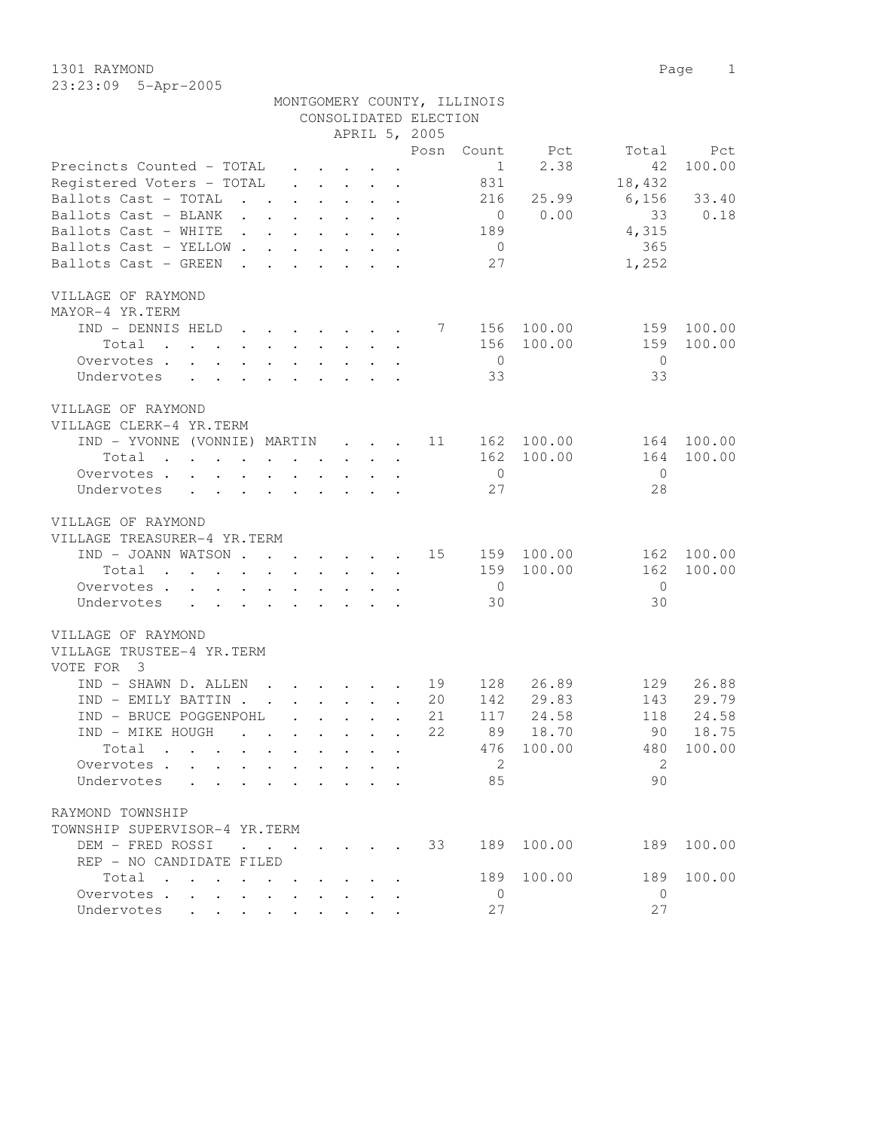1301 RAYMOND Page 1 23:23:09 5-Apr-2005

|                                                                                                                                                                                                                                        |                                 |                                                                                                                 |                       | MONTGOMERY COUNTY, ILLINOIS |            |                |          |
|----------------------------------------------------------------------------------------------------------------------------------------------------------------------------------------------------------------------------------------|---------------------------------|-----------------------------------------------------------------------------------------------------------------|-----------------------|-----------------------------|------------|----------------|----------|
|                                                                                                                                                                                                                                        |                                 |                                                                                                                 | CONSOLIDATED ELECTION |                             |            |                |          |
|                                                                                                                                                                                                                                        |                                 | APRIL 5, 2005                                                                                                   |                       |                             |            |                |          |
|                                                                                                                                                                                                                                        |                                 |                                                                                                                 | Posn                  | Count                       | Pct        | Total          | Pct      |
| Precincts Counted - TOTAL                                                                                                                                                                                                              |                                 | $\mathbf{r} = \mathbf{r} + \mathbf{r} + \mathbf{r} + \mathbf{r}$                                                |                       | 1                           | 2.38       | 42             | 100.00   |
| Registered Voters - TOTAL                                                                                                                                                                                                              |                                 | $\mathbf{r}$ , $\mathbf{r}$ , $\mathbf{r}$ , $\mathbf{r}$ , $\mathbf{r}$                                        |                       | 831                         |            | 18,432         |          |
| Ballots Cast - TOTAL                                                                                                                                                                                                                   |                                 | $\mathbf{r}$ , $\mathbf{r}$ , $\mathbf{r}$ , $\mathbf{r}$ , $\mathbf{r}$ , $\mathbf{r}$                         |                       | 216                         | 25.99      | 6,156          | 33.40    |
| Ballots Cast - BLANK                                                                                                                                                                                                                   |                                 |                                                                                                                 |                       | $\overline{0}$              | 0.00       | 33             | 0.18     |
| Ballots Cast - WHITE                                                                                                                                                                                                                   |                                 |                                                                                                                 |                       | 189                         |            | 4,315          |          |
| Ballots Cast - YELLOW                                                                                                                                                                                                                  |                                 |                                                                                                                 |                       | $\overline{0}$              |            | 365            |          |
| Ballots Cast - GREEN<br><b>Contract Contract</b>                                                                                                                                                                                       |                                 | $\mathbf{r}$ , $\mathbf{r}$ , $\mathbf{r}$ , $\mathbf{r}$                                                       |                       | 27                          |            | 1,252          |          |
|                                                                                                                                                                                                                                        |                                 |                                                                                                                 |                       |                             |            |                |          |
| VILLAGE OF RAYMOND                                                                                                                                                                                                                     |                                 |                                                                                                                 |                       |                             |            |                |          |
| MAYOR-4 YR.TERM                                                                                                                                                                                                                        |                                 |                                                                                                                 |                       |                             |            |                |          |
|                                                                                                                                                                                                                                        |                                 |                                                                                                                 |                       |                             |            |                |          |
| IND - DENNIS HELD                                                                                                                                                                                                                      |                                 |                                                                                                                 | $\overline{7}$        | 156                         | 100.00     | 159            | 100.00   |
| Total<br>the contract of the contract of the contract of the contract of the contract of the contract of the contract of                                                                                                               |                                 |                                                                                                                 |                       | 156                         | 100.00     | 159            | 100.00   |
| Overvotes                                                                                                                                                                                                                              |                                 |                                                                                                                 |                       | $\overline{0}$              |            | $\overline{0}$ |          |
| Undervotes                                                                                                                                                                                                                             |                                 |                                                                                                                 |                       | 33                          |            | 33             |          |
|                                                                                                                                                                                                                                        |                                 |                                                                                                                 |                       |                             |            |                |          |
| VILLAGE OF RAYMOND                                                                                                                                                                                                                     |                                 |                                                                                                                 |                       |                             |            |                |          |
| VILLAGE CLERK-4 YR. TERM                                                                                                                                                                                                               |                                 |                                                                                                                 |                       |                             |            |                |          |
| IND - YVONNE (VONNIE) MARTIN                                                                                                                                                                                                           |                                 |                                                                                                                 | 11                    |                             | 162 100.00 | 164            | 100.00   |
| Total<br>. The contract of the contract of the contract of the contract of the contract of the contract of the contract of the contract of the contract of the contract of the contract of the contract of the contract of the contrac |                                 |                                                                                                                 |                       | 162                         | 100.00     | 164            | 100.00   |
| Overvotes                                                                                                                                                                                                                              |                                 |                                                                                                                 |                       | $\overline{0}$              |            | $\bigcirc$     |          |
| Undervotes                                                                                                                                                                                                                             |                                 |                                                                                                                 |                       | 27                          |            | 28             |          |
|                                                                                                                                                                                                                                        |                                 |                                                                                                                 |                       |                             |            |                |          |
| VILLAGE OF RAYMOND                                                                                                                                                                                                                     |                                 |                                                                                                                 |                       |                             |            |                |          |
| VILLAGE TREASURER-4 YR.TERM                                                                                                                                                                                                            |                                 |                                                                                                                 |                       |                             |            |                |          |
| IND - JOANN WATSON                                                                                                                                                                                                                     |                                 |                                                                                                                 | 15                    |                             | 159 100.00 | 162            | 100.00   |
| . The contract of the contract of the contract of the contract of the contract of the contract of the contract of the contract of the contract of the contract of the contract of the contract of the contract of the contrac<br>Total |                                 |                                                                                                                 |                       | 159                         | 100.00     | 162            | 100.00   |
| Overvotes.                                                                                                                                                                                                                             |                                 |                                                                                                                 |                       | $\overline{0}$              |            | $\bigcirc$     |          |
| Undervotes                                                                                                                                                                                                                             |                                 |                                                                                                                 |                       | 30                          |            | 30             |          |
|                                                                                                                                                                                                                                        |                                 |                                                                                                                 |                       |                             |            |                |          |
| VILLAGE OF RAYMOND                                                                                                                                                                                                                     |                                 |                                                                                                                 |                       |                             |            |                |          |
| VILLAGE TRUSTEE-4 YR.TERM                                                                                                                                                                                                              |                                 |                                                                                                                 |                       |                             |            |                |          |
|                                                                                                                                                                                                                                        |                                 |                                                                                                                 |                       |                             |            |                |          |
| VOTE FOR 3                                                                                                                                                                                                                             |                                 |                                                                                                                 |                       |                             |            |                |          |
| IND - SHAWN D. ALLEN                                                                                                                                                                                                                   |                                 |                                                                                                                 | 19                    | 128                         | 26.89      | 129            | 26.88    |
| IND - EMILY BATTIN                                                                                                                                                                                                                     |                                 |                                                                                                                 | 20                    | 142                         | 29.83      | 143            | 29.79    |
| IND - BRUCE POGGENPOHL                                                                                                                                                                                                                 | $\cdot$ $\cdot$ $\cdot$ $\cdot$ | $\mathbf{r}$                                                                                                    | 21                    | 117                         | 24.58      | 118            | 24.58    |
| IND - MIKE HOUGH                                                                                                                                                                                                                       |                                 | the contract of the contract of the contract of the contract of the contract of the contract of the contract of | 2.2.                  | 89                          | 18.70      |                | 90 18.75 |
| Total                                                                                                                                                                                                                                  |                                 |                                                                                                                 |                       |                             | 476 100.00 | 480            | 100.00   |
| Overvotes                                                                                                                                                                                                                              |                                 |                                                                                                                 |                       | $\overline{2}$              |            | 2              |          |
| Undervotes                                                                                                                                                                                                                             |                                 |                                                                                                                 |                       | 85                          |            | 90             |          |
|                                                                                                                                                                                                                                        |                                 |                                                                                                                 |                       |                             |            |                |          |
| RAYMOND TOWNSHIP                                                                                                                                                                                                                       |                                 |                                                                                                                 |                       |                             |            |                |          |
| TOWNSHIP SUPERVISOR-4 YR.TERM                                                                                                                                                                                                          |                                 |                                                                                                                 |                       |                             |            |                |          |
| DEM - FRED ROSSI                                                                                                                                                                                                                       |                                 |                                                                                                                 | 33                    |                             | 189 100.00 | 189            | 100.00   |
| REP - NO CANDIDATE FILED                                                                                                                                                                                                               |                                 |                                                                                                                 |                       |                             |            |                |          |
| Total $\cdot$                                                                                                                                                                                                                          |                                 |                                                                                                                 |                       | 189                         | 100.00     | 189            | 100.00   |
| Overvotes.                                                                                                                                                                                                                             |                                 |                                                                                                                 |                       | $\overline{0}$              |            | $\overline{0}$ |          |
| Undervotes                                                                                                                                                                                                                             |                                 |                                                                                                                 |                       | 27                          |            | 27             |          |
|                                                                                                                                                                                                                                        |                                 |                                                                                                                 |                       |                             |            |                |          |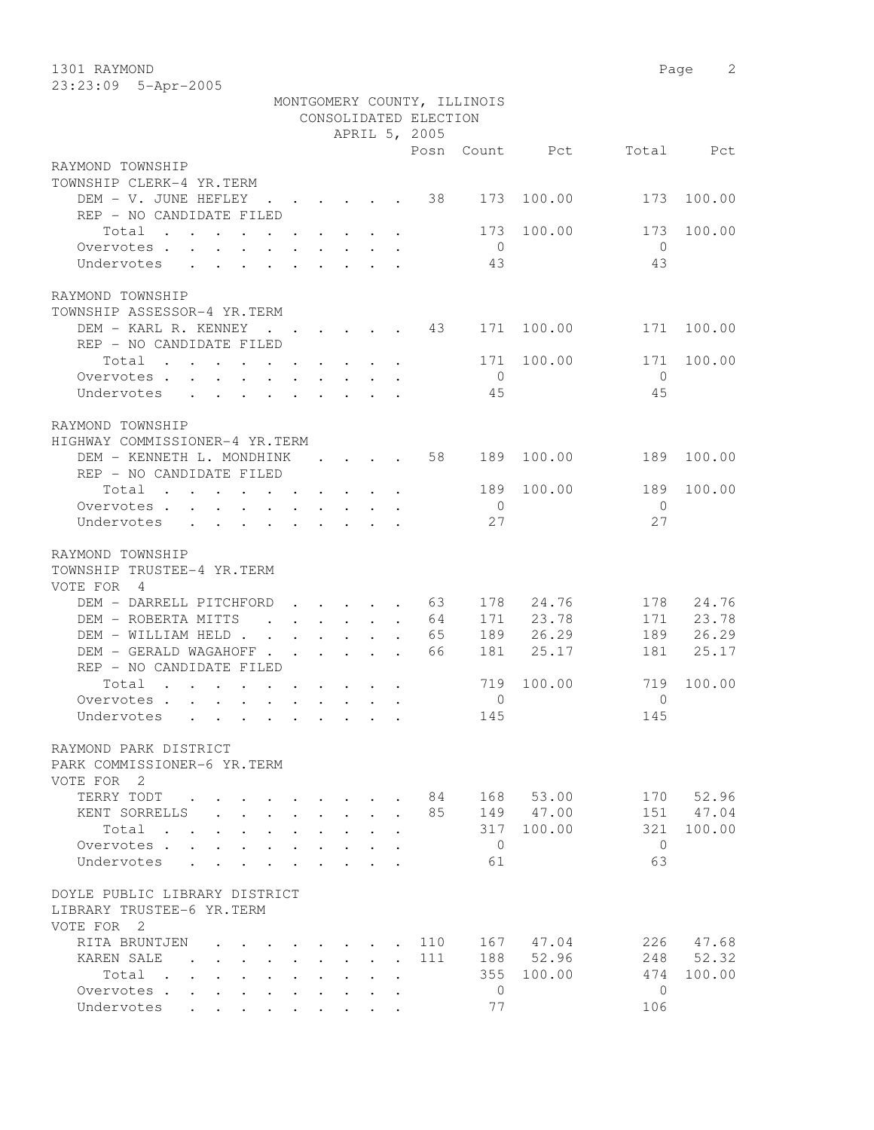1301 RAYMOND Page 2 23:23:09 5-Apr-2005

|                                                                                                             |                      |                                                 |                      | CONSOLIDATED ELECTION<br>APRIL 5, 2005 | MONTGOMERY COUNTY, ILLINOIS |                |                |           |
|-------------------------------------------------------------------------------------------------------------|----------------------|-------------------------------------------------|----------------------|----------------------------------------|-----------------------------|----------------|----------------|-----------|
|                                                                                                             |                      |                                                 |                      |                                        |                             | Posn Count Pct |                | Total Pct |
| RAYMOND TOWNSHIP                                                                                            |                      |                                                 |                      |                                        |                             |                |                |           |
| TOWNSHIP CLERK-4 YR.TERM                                                                                    |                      |                                                 |                      |                                        |                             |                |                |           |
| DEM - V. JUNE HEFLEY 38                                                                                     |                      |                                                 |                      |                                        | 173                         | 100.00         | 173            | 100.00    |
| REP - NO CANDIDATE FILED                                                                                    |                      |                                                 |                      |                                        |                             |                |                |           |
| Total<br>. The simple state is a set of the state of the state $\alpha$                                     |                      |                                                 |                      |                                        | 173                         | 100.00         | 173            | 100.00    |
| Overvotes.                                                                                                  |                      |                                                 |                      |                                        | $\overline{0}$              |                | $\overline{0}$ |           |
| Undervotes                                                                                                  |                      |                                                 |                      |                                        | 43                          |                | 43             |           |
| RAYMOND TOWNSHIP<br>TOWNSHIP ASSESSOR-4 YR.TERM                                                             |                      |                                                 |                      |                                        |                             |                |                |           |
| DEM - KARL R. KENNEY                                                                                        |                      | $\cdot$ $\cdot$ $\cdot$ $\cdot$ $\cdot$ $\cdot$ |                      | 43                                     | 171                         | 100.00         | 171            | 100.00    |
| REP - NO CANDIDATE FILED                                                                                    |                      |                                                 |                      |                                        |                             |                |                |           |
| Total<br>. The contribution of the contribution of the contribution $\mathcal{A}$                           |                      |                                                 |                      |                                        | 171                         | 100.00         | 171            | 100.00    |
| Overvotes                                                                                                   |                      |                                                 |                      |                                        | $\bigcirc$                  |                | $\bigcirc$     |           |
| Undervotes                                                                                                  |                      |                                                 |                      |                                        | 45                          |                | 45             |           |
|                                                                                                             |                      |                                                 |                      |                                        |                             |                |                |           |
| RAYMOND TOWNSHIP                                                                                            |                      |                                                 |                      |                                        |                             |                |                |           |
| HIGHWAY COMMISSIONER-4 YR.TERM                                                                              |                      |                                                 |                      |                                        |                             |                |                |           |
| DEM - KENNETH L. MONDHINK<br>REP - NO CANDIDATE FILED                                                       |                      | $\cdot$ $\cdot$ $\cdot$ $\cdot$                 |                      | 58                                     | 189                         | 100.00         | 189            | 100.00    |
| Total                                                                                                       |                      |                                                 |                      |                                        | 189                         | 100.00         | 189            | 100.00    |
| $\mathbf{r}$ , and $\mathbf{r}$ , and $\mathbf{r}$ , and $\mathbf{r}$ , and $\mathbf{r}$ , and $\mathbf{r}$ |                      |                                                 |                      |                                        | $\overline{0}$              |                | $\Omega$       |           |
| Overvotes.<br>Undervotes                                                                                    |                      |                                                 |                      |                                        | 27                          |                | 27             |           |
|                                                                                                             |                      |                                                 |                      |                                        |                             |                |                |           |
| RAYMOND TOWNSHIP<br>TOWNSHIP TRUSTEE-4 YR.TERM<br>VOTE FOR 4                                                |                      |                                                 |                      |                                        |                             |                |                |           |
| DEM - DARRELL PITCHFORD                                                                                     |                      |                                                 |                      | 63<br>$\mathbf{L}$                     | 178                         | 24.76          | 178            | 24.76     |
| DEM - ROBERTA MITTS                                                                                         |                      | $\cdot$ $\cdot$ $\cdot$ $\cdot$ $\cdot$         |                      | 64                                     |                             | 171 23.78      |                | 171 23.78 |
| DEM - WILLIAM HELD                                                                                          |                      |                                                 |                      | 65                                     |                             | 189 26.29      | 189            | 26.29     |
| DEM - GERALD WAGAHOFF                                                                                       |                      |                                                 | $\ddot{\phantom{a}}$ | 66                                     | 181                         | 25.17          | 181            | 25.17     |
| REP - NO CANDIDATE FILED                                                                                    |                      |                                                 |                      |                                        |                             |                |                |           |
| Total<br>$\mathbf{r}$ , and $\mathbf{r}$ , and $\mathbf{r}$ , and $\mathbf{r}$                              |                      |                                                 |                      |                                        | 719                         | 100.00         | 719            | 100.00    |
| Overvotes                                                                                                   |                      |                                                 |                      |                                        | $\circ$                     |                | $\mathbf{0}$   |           |
| Undervotes<br>$\cdot$ $\cdot$ $\cdot$<br>$\cdot$ $\cdot$ $\cdot$                                            | $\ddot{\phantom{a}}$ |                                                 |                      |                                        | 145                         |                | 145            |           |
| RAYMOND PARK DISTRICT<br>PARK COMMISSIONER-6 YR. TERM<br>VOTE FOR 2                                         |                      |                                                 |                      |                                        |                             |                |                |           |
| TERRY TODT                                                                                                  |                      |                                                 |                      | 84                                     | 168                         | 53.00          | 170            | 52.96     |
| KENT SORRELLS                                                                                               |                      |                                                 |                      | 85                                     | 149                         | 47.00          | 151            | 47.04     |
| Total<br>$\sim$                                                                                             |                      |                                                 |                      |                                        | 317                         | 100.00         | 321            | 100.00    |
| Overvotes .                                                                                                 |                      |                                                 |                      |                                        | $\circ$                     |                | $\Omega$       |           |
| Undervotes                                                                                                  |                      |                                                 |                      |                                        | 61                          |                | 63             |           |
| DOYLE PUBLIC LIBRARY DISTRICT<br>LIBRARY TRUSTEE-6 YR.TERM<br>VOTE FOR 2                                    |                      |                                                 |                      |                                        |                             |                |                |           |
| RITA BRUNTJEN                                                                                               |                      |                                                 |                      | 110                                    | 167                         | 47.04          | 226            | 47.68     |
| KAREN SALE                                                                                                  |                      |                                                 |                      | 111                                    | 188                         | 52.96          | 248            | 52.32     |
| Total<br>$\sim$                                                                                             |                      |                                                 |                      |                                        | 355                         | 100.00         | 474            | 100.00    |
| Overvotes .                                                                                                 |                      |                                                 |                      |                                        | $\mathbf{0}$                |                | $\mathbf{0}$   |           |
| Undervotes                                                                                                  |                      |                                                 |                      |                                        | 77                          |                | 106            |           |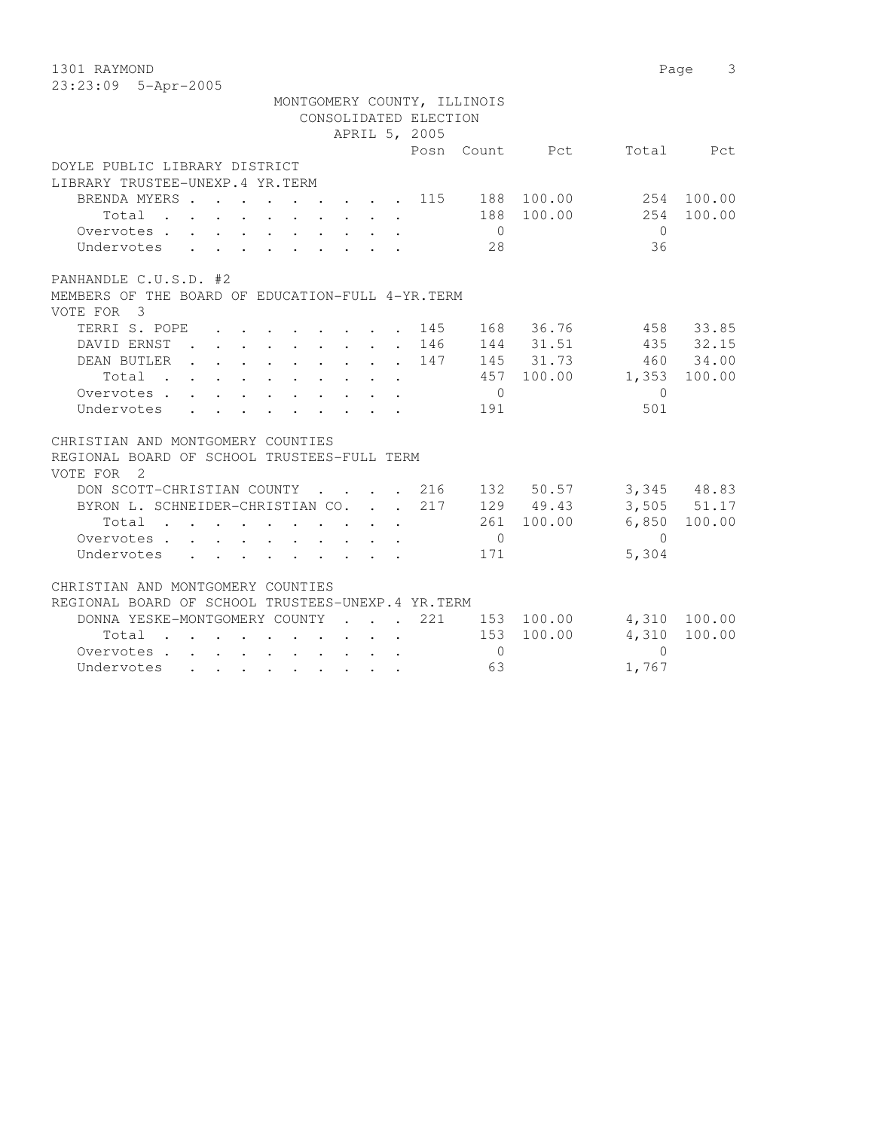1301 RAYMOND Page 3 23:23:09 5-Apr-2005

|                                                                                                                                                                                                                                             |  |  |                       | MONTGOMERY COUNTY, ILLINOIS |            |                          |             |
|---------------------------------------------------------------------------------------------------------------------------------------------------------------------------------------------------------------------------------------------|--|--|-----------------------|-----------------------------|------------|--------------------------|-------------|
|                                                                                                                                                                                                                                             |  |  | CONSOLIDATED ELECTION |                             |            |                          |             |
|                                                                                                                                                                                                                                             |  |  | APRIL 5, 2005         |                             |            |                          |             |
|                                                                                                                                                                                                                                             |  |  |                       |                             |            | Posn Count Pct Total Pct |             |
| DOYLE PUBLIC LIBRARY DISTRICT                                                                                                                                                                                                               |  |  |                       |                             |            |                          |             |
| LIBRARY TRUSTEE-UNEXP.4 YR.TERM                                                                                                                                                                                                             |  |  |                       |                             |            |                          |             |
| BRENDA MYERS 115 188 100.00                                                                                                                                                                                                                 |  |  |                       |                             |            | 254 100.00               |             |
| Total 188 100.00                                                                                                                                                                                                                            |  |  |                       |                             |            |                          | 254 100.00  |
| Overvotes.                                                                                                                                                                                                                                  |  |  |                       | $\overline{0}$              |            | $\bigcap$                |             |
| Undervotes                                                                                                                                                                                                                                  |  |  |                       | 28                          |            | 36                       |             |
| PANHANDLE C.U.S.D. #2                                                                                                                                                                                                                       |  |  |                       |                             |            |                          |             |
| MEMBERS OF THE BOARD OF EDUCATION-FULL 4-YR. TERM                                                                                                                                                                                           |  |  |                       |                             |            |                          |             |
| VOTE FOR 3                                                                                                                                                                                                                                  |  |  |                       |                             |            |                          |             |
| TERRI S. POPE 145                                                                                                                                                                                                                           |  |  |                       |                             | 168 36.76  |                          | 458 33.85   |
| DAVID ERNST 146                                                                                                                                                                                                                             |  |  |                       |                             | 144 31.51  |                          | 435 32.15   |
| DEAN BUTLER 147                                                                                                                                                                                                                             |  |  |                       |                             | 145 31.73  |                          | 460 34.00   |
| $\cdot$ 457 100.00<br>Total                                                                                                                                                                                                                 |  |  |                       |                             |            | 1,353 100.00             |             |
| Overvotes                                                                                                                                                                                                                                   |  |  |                       | $\overline{0}$              |            | $\bigcirc$               |             |
| Undervotes                                                                                                                                                                                                                                  |  |  |                       | 191                         |            | 501                      |             |
| CHRISTIAN AND MONTGOMERY COUNTIES                                                                                                                                                                                                           |  |  |                       |                             |            |                          |             |
| REGIONAL BOARD OF SCHOOL TRUSTEES-FULL TERM                                                                                                                                                                                                 |  |  |                       |                             |            |                          |             |
| VOTE FOR 2                                                                                                                                                                                                                                  |  |  |                       |                             |            |                          |             |
| DON SCOTT-CHRISTIAN COUNTY 216 132 50.57                                                                                                                                                                                                    |  |  |                       |                             |            |                          | 3,345 48.83 |
| BYRON L. SCHNEIDER-CHRISTIAN CO. 217                                                                                                                                                                                                        |  |  |                       |                             | 129 49.43  |                          | 3,505 51.17 |
| Total $\cdot$                                                                                                                                                                                                                               |  |  |                       |                             | 261 100.00 | 6,850                    | 100.00      |
| Overvotes.                                                                                                                                                                                                                                  |  |  |                       | $\overline{0}$              |            | $\overline{0}$           |             |
| Undervotes                                                                                                                                                                                                                                  |  |  |                       | 171                         |            | 5,304                    |             |
| CHRISTIAN AND MONTGOMERY COUNTIES                                                                                                                                                                                                           |  |  |                       |                             |            |                          |             |
| REGIONAL BOARD OF SCHOOL TRUSTEES-UNEXP.4 YR.TERM                                                                                                                                                                                           |  |  |                       |                             |            |                          |             |
| DONNA YESKE-MONTGOMERY COUNTY 221 153 100.00 4,310 100.00                                                                                                                                                                                   |  |  |                       |                             |            |                          |             |
| Total                                                                                                                                                                                                                                       |  |  |                       |                             | 153 100.00 | 4,310                    | 100.00      |
| Overvotes.                                                                                                                                                                                                                                  |  |  |                       | $\Omega$                    |            | $\bigcap$                |             |
| Undervotes<br>. The contract of the contract of the contract of the contract of the contract of the contract of the contract of the contract of the contract of the contract of the contract of the contract of the contract of the contrac |  |  |                       | 63                          |            | 1,767                    |             |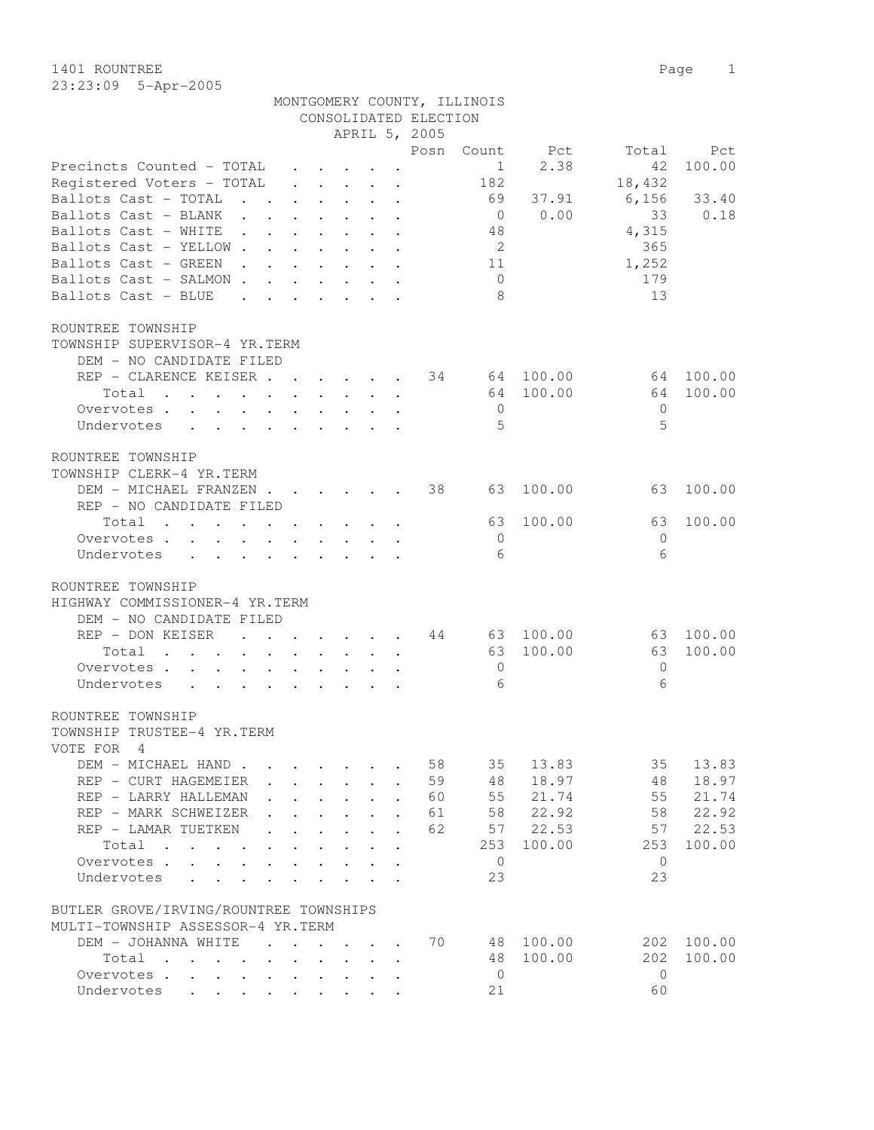1401 ROUNTREE Page 1 23:23:09 5-Apr-2005

MONTGOMERY COUNTY, ILLINOIS

|                                                                                                   |                                      |                                                                |                                          |                           | CONSOLIDATED ELECTION |                |           |              |        |
|---------------------------------------------------------------------------------------------------|--------------------------------------|----------------------------------------------------------------|------------------------------------------|---------------------------|-----------------------|----------------|-----------|--------------|--------|
|                                                                                                   |                                      |                                                                |                                          |                           | APRIL 5, 2005         |                |           |              |        |
|                                                                                                   |                                      |                                                                |                                          |                           | Posn                  | Count          | Pct       | Total        | Pct    |
| Precincts Counted - TOTAL                                                                         |                                      |                                                                |                                          |                           |                       | 1              | 2.38      | 42           | 100.00 |
| Registered Voters - TOTAL                                                                         |                                      |                                                                | $\mathbf{r} = \mathbf{r} + \mathbf{r}$ . | $\bullet$                 |                       | 182            |           | 18,432       |        |
| Ballots Cast - TOTAL<br>$\ddot{\phantom{a}}$                                                      |                                      |                                                                |                                          |                           |                       | 69             | 37.91     | 6,156        | 33.40  |
| Ballots Cast - BLANK                                                                              |                                      |                                                                |                                          |                           |                       | $\overline{0}$ | 0.00      | 33           | 0.18   |
| Ballots Cast - WHITE                                                                              |                                      |                                                                |                                          |                           |                       | 48             |           | 4,315        |        |
| Ballots Cast - YELLOW.<br>$\mathbf{L}$                                                            |                                      | $\mathbf{L}$                                                   |                                          |                           |                       | 2              |           | 365          |        |
| Ballots Cast - GREEN<br>$\mathbf{L}$<br>$\ddot{\phantom{a}}$                                      | $\ddot{\phantom{0}}$                 | $\mathbf{L}$<br>$\ddot{\phantom{0}}$                           | $\ddot{\phantom{0}}$                     | $\ddot{\phantom{a}}$      |                       | 11             |           | 1,252        |        |
| Ballots Cast - SALMON.<br>$\mathbf{r}$                                                            | $\mathbf{L}$                         | $\mathbf{L}$<br>$\ddot{\phantom{0}}$                           |                                          | $\mathbf{r} = \mathbf{r}$ |                       | $\overline{0}$ |           | 179          |        |
| Ballots Cast - BLUE<br>$\ddot{\phantom{a}}$                                                       | $\ddot{\phantom{a}}$                 | $\cdot$ $\cdot$ $\cdot$ $\cdot$                                |                                          |                           |                       | 8              |           | 13           |        |
| ROUNTREE TOWNSHIP                                                                                 |                                      |                                                                |                                          |                           |                       |                |           |              |        |
| TOWNSHIP SUPERVISOR-4 YR.TERM                                                                     |                                      |                                                                |                                          |                           |                       |                |           |              |        |
| DEM - NO CANDIDATE FILED                                                                          |                                      |                                                                |                                          |                           |                       |                |           |              |        |
| REP - CLARENCE KEISER.                                                                            |                                      |                                                                |                                          |                           | 34                    |                | 64 100.00 | 64           | 100.00 |
|                                                                                                   | $\sim$ $\sim$                        | $\mathbf{r} = \mathbf{r}$                                      | $\sim$                                   | $\mathbf{r}$              |                       |                |           |              |        |
| Total<br>$\ddot{\phantom{a}}$                                                                     |                                      | $\mathbf{L}$<br>$\ddot{\phantom{0}}$                           | $\mathbf{L}^{\text{max}}$                | $\ddot{\phantom{a}}$      |                       | 64             | 100.00    | 64           | 100.00 |
| Overvotes                                                                                         | $\mathbf{L}$                         | $\mathbf{r} = \mathbf{r}$                                      | $\sim$                                   | $\ddot{\phantom{a}}$      |                       | $\mathbf{0}$   |           | $\mathbf{0}$ |        |
| Undervotes<br>$\mathbf{L}$<br>$\cdot$ $\cdot$ $\cdot$ $\cdot$                                     | $\sim$                               | $\ddot{\phantom{0}}$<br>$\mathbf{r}$ . The set of $\mathbf{r}$ |                                          | $\ddot{\phantom{a}}$      |                       | 5              |           | 5            |        |
| ROUNTREE TOWNSHIP                                                                                 |                                      |                                                                |                                          |                           |                       |                |           |              |        |
| TOWNSHIP CLERK-4 YR.TERM                                                                          |                                      |                                                                |                                          |                           |                       |                |           |              |        |
| DEM - MICHAEL FRANZEN                                                                             |                                      |                                                                |                                          |                           | 38                    | 63             | 100.00    | 63           | 100.00 |
| REP - NO CANDIDATE FILED                                                                          |                                      |                                                                |                                          |                           |                       |                |           |              |        |
| Total<br>$\mathbf{r}$ , and $\mathbf{r}$ , and $\mathbf{r}$ , and $\mathbf{r}$ , and $\mathbf{r}$ |                                      |                                                                |                                          |                           |                       | 63             | 100.00    | 63           | 100.00 |
| Overvotes .<br>$\ddot{\phantom{0}}$<br>$\sim$<br>$\sim$                                           | $\ddot{\phantom{0}}$                 | $\ddot{\phantom{0}}$<br>$\ddot{\phantom{0}}$                   |                                          |                           |                       | 0              |           | 0            |        |
| Undervotes<br>$\mathbf{L}^{\text{max}}$<br>$\mathbf{L}$<br>$\ddot{\phantom{a}}$<br>$\mathbf{r}$   | $\mathbf{r}$<br>$\ddot{\phantom{a}}$ | $\sim$                                                         |                                          |                           |                       | 6              |           | 6            |        |
|                                                                                                   |                                      |                                                                |                                          |                           |                       |                |           |              |        |
| ROUNTREE TOWNSHIP                                                                                 |                                      |                                                                |                                          |                           |                       |                |           |              |        |
| HIGHWAY COMMISSIONER-4 YR.TERM                                                                    |                                      |                                                                |                                          |                           |                       |                |           |              |        |
| DEM - NO CANDIDATE FILED                                                                          |                                      |                                                                |                                          |                           |                       |                |           |              |        |
| REP - DON KEISER<br>$\ddot{\phantom{0}}$                                                          |                                      |                                                                |                                          |                           | 44                    |                | 63 100.00 | 63           | 100.00 |
| Total<br>$\mathbf{r}$ , $\mathbf{r}$ , $\mathbf{r}$                                               |                                      | $\ddot{\phantom{0}}$                                           |                                          |                           |                       | 63             | 100.00    | 63           | 100.00 |
| $\mathbf{L}^{\text{max}}$                                                                         |                                      | $\ddotsc$                                                      |                                          |                           |                       | $\overline{0}$ |           | $\mathbf{0}$ |        |
| Overvotes .<br>$\ddot{\phantom{0}}$                                                               |                                      |                                                                |                                          |                           |                       | 6              |           | 6            |        |
| Undervotes<br>$\ddot{\phantom{a}}$                                                                |                                      |                                                                |                                          |                           |                       |                |           |              |        |
| ROUNTREE TOWNSHIP                                                                                 |                                      |                                                                |                                          |                           |                       |                |           |              |        |
| TOWNSHIP TRUSTEE-4 YR.TERM                                                                        |                                      |                                                                |                                          |                           |                       |                |           |              |        |
| VOTE FOR 4                                                                                        |                                      |                                                                |                                          |                           |                       |                |           |              |        |
| DEM - MICHAEL HAND.                                                                               |                                      |                                                                |                                          |                           | 58                    | 35             | 13.83     | 35           | 13.83  |
| REP - CURT HAGEMEIER                                                                              |                                      |                                                                |                                          |                           | 59                    | 48             | 18.97     | 48           | 18.97  |
| REP - LARRY HALLEMAN                                                                              |                                      |                                                                |                                          |                           | 60                    | 55             | 21.74     | 55           | 21.74  |
|                                                                                                   |                                      |                                                                |                                          |                           |                       |                |           |              |        |
| REP - MARK SCHWEIZER                                                                              |                                      |                                                                |                                          |                           | 61                    | 58             | 22.92     | 58           | 22.92  |
| REP - LAMAR TUETKEN                                                                               |                                      |                                                                |                                          |                           | 62                    | 57             | 22.53     | 57           | 22.53  |
| Total<br>$\cdot$<br>$\ddot{\phantom{a}}$                                                          | $\ddot{\phantom{a}}$                 | $\mathbf{r}$                                                   | $\overline{a}$                           | $\ddot{\phantom{a}}$      |                       | 253            | 100.00    | 253          | 100.00 |
| Overvotes .<br>$\sim$ $\sim$ $\sim$ $\sim$ $\sim$ $\sim$<br>$\ddot{\phantom{a}}$                  |                                      | $\ddot{\phantom{a}}$                                           | $\ddot{\phantom{a}}$                     |                           |                       | $\mathbf{0}$   |           | $\mathbf{0}$ |        |
| Undervotes<br>$\mathbf{r}$<br>$\mathbf{r} = \mathbf{r}$<br>$\ddot{\phantom{a}}$                   | $\ddot{\phantom{a}}$                 | $\cdot$                                                        | $\sim$                                   | $\cdot$                   |                       | 23             |           | 23           |        |
| BUTLER GROVE/IRVING/ROUNTREE TOWNSHIPS                                                            |                                      |                                                                |                                          |                           |                       |                |           |              |        |
| MULTI-TOWNSHIP ASSESSOR-4 YR.TERM                                                                 |                                      |                                                                |                                          |                           |                       |                |           |              |        |
| DEM - JOHANNA WHITE                                                                               |                                      |                                                                |                                          |                           | 70                    | 48             | 100.00    | 202          | 100.00 |
| Total                                                                                             |                                      |                                                                |                                          |                           |                       | 48             | 100.00    | 202          | 100.00 |
|                                                                                                   |                                      |                                                                |                                          |                           |                       | $\overline{0}$ |           | $\mathbf{0}$ |        |
| Overvotes .<br>$\mathbf{L}$<br>$\mathbf{L}$<br>$\ddot{\phantom{a}}$                               |                                      |                                                                |                                          |                           |                       |                |           |              |        |
| Undervotes<br>$\mathbf{L}$<br>$\mathbf{L}$<br>$\mathbf{L}$<br>$\overline{a}$                      | $\mathbf{L}$                         | $\mathbf{L}$                                                   | $\mathbf{L}$                             | $\ddot{\phantom{a}}$      |                       | 21             |           | 60           |        |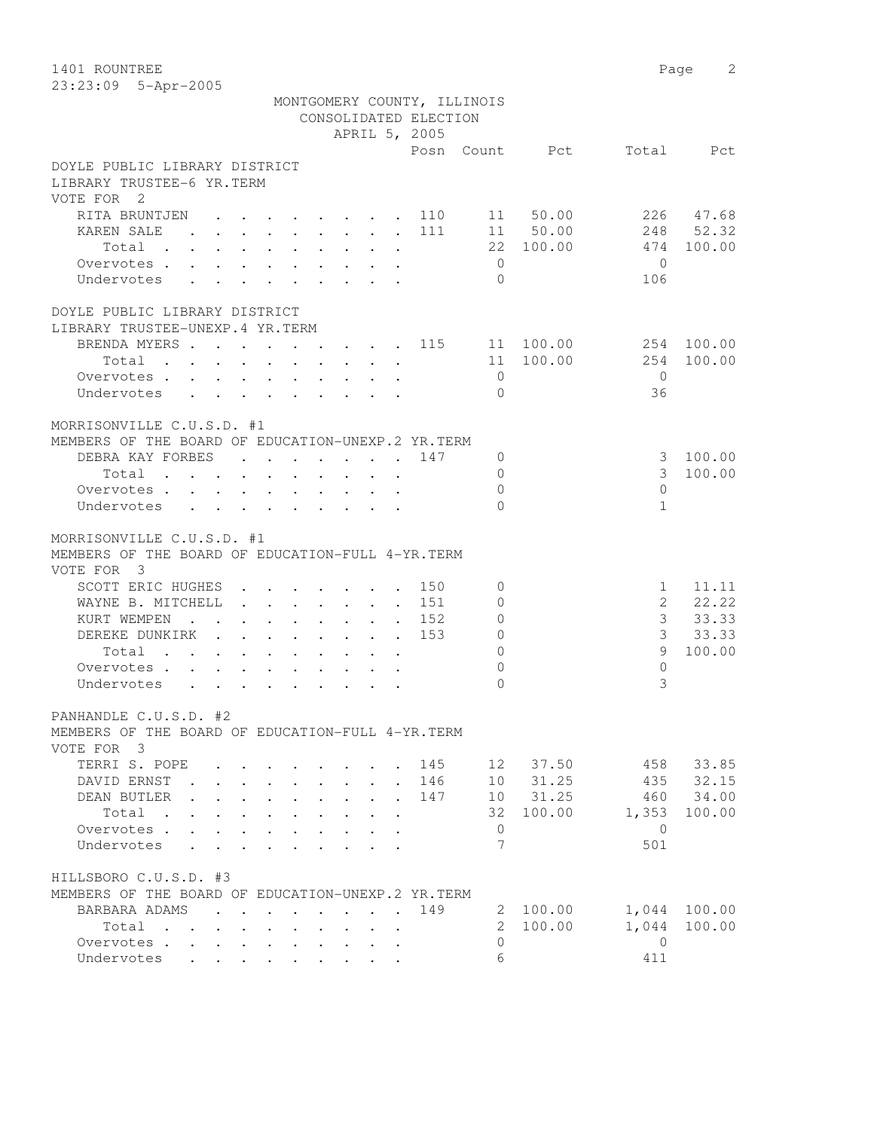23:23:09 5-Apr-2005

|                                                                                                                                                                                                                                                                                                                                                                                                                                                                                                                            | APRIL 5, 2005                                                   |     |                |                |                |            |
|----------------------------------------------------------------------------------------------------------------------------------------------------------------------------------------------------------------------------------------------------------------------------------------------------------------------------------------------------------------------------------------------------------------------------------------------------------------------------------------------------------------------------|-----------------------------------------------------------------|-----|----------------|----------------|----------------|------------|
|                                                                                                                                                                                                                                                                                                                                                                                                                                                                                                                            |                                                                 |     |                | Posn Count Pct | Total          | Pct        |
| DOYLE PUBLIC LIBRARY DISTRICT                                                                                                                                                                                                                                                                                                                                                                                                                                                                                              |                                                                 |     |                |                |                |            |
| LIBRARY TRUSTEE-6 YR.TERM                                                                                                                                                                                                                                                                                                                                                                                                                                                                                                  |                                                                 |     |                |                |                |            |
| VOTE FOR 2                                                                                                                                                                                                                                                                                                                                                                                                                                                                                                                 |                                                                 |     |                |                |                |            |
| RITA BRUNTJEN<br>$\mathbf{r}$ , and $\mathbf{r}$ , and $\mathbf{r}$ , and $\mathbf{r}$                                                                                                                                                                                                                                                                                                                                                                                                                                     |                                                                 | 110 |                | 11 50.00       | 226            | 47.68      |
| KAREN SALE<br>$\mathbf{r} = \mathbf{r} \times \mathbf{r} \times \mathbf{r} \times \mathbf{r} \times \mathbf{r} \times \mathbf{r} \times \mathbf{r} \times \mathbf{r} \times \mathbf{r} \times \mathbf{r} \times \mathbf{r} \times \mathbf{r} \times \mathbf{r} \times \mathbf{r} \times \mathbf{r} \times \mathbf{r} \times \mathbf{r} \times \mathbf{r} \times \mathbf{r} \times \mathbf{r} \times \mathbf{r} \times \mathbf{r} \times \mathbf{r} \times \mathbf{r} \times \mathbf{r} \times \mathbf{r} \times \mathbf{r$ |                                                                 | 111 |                | 11 50.00       | 248            | 52.32      |
| Total .<br>$\ddot{\phantom{0}}$<br>$\sim$ 100 $\pm$                                                                                                                                                                                                                                                                                                                                                                                                                                                                        |                                                                 |     |                | 22 100.00      | 474            | 100.00     |
| Overvotes .                                                                                                                                                                                                                                                                                                                                                                                                                                                                                                                | $\bullet$ .<br><br><br><br><br><br><br><br><br><br><br><br><br> |     | $\overline{0}$ |                | $\bigcirc$     |            |
| Undervotes<br>$\ddot{\phantom{a}}$<br>$\sim$                                                                                                                                                                                                                                                                                                                                                                                                                                                                               |                                                                 |     | $\Omega$       |                | 106            |            |
| DOYLE PUBLIC LIBRARY DISTRICT<br>LIBRARY TRUSTEE-UNEXP.4 YR.TERM                                                                                                                                                                                                                                                                                                                                                                                                                                                           |                                                                 |     |                |                |                |            |
| BRENDA MYERS 115 11 100.00                                                                                                                                                                                                                                                                                                                                                                                                                                                                                                 |                                                                 |     |                |                |                | 254 100.00 |
| Total<br>the contract of the contract of the contract of the contract of the contract of the contract of the contract of                                                                                                                                                                                                                                                                                                                                                                                                   |                                                                 |     |                | 11 100.00      | 254            | 100.00     |
| Overvotes                                                                                                                                                                                                                                                                                                                                                                                                                                                                                                                  |                                                                 |     | $\overline{0}$ |                | $\bigcirc$     |            |
| Undervotes                                                                                                                                                                                                                                                                                                                                                                                                                                                                                                                 |                                                                 |     | $\Omega$       |                | 36             |            |
|                                                                                                                                                                                                                                                                                                                                                                                                                                                                                                                            |                                                                 |     |                |                |                |            |
| MORRISONVILLE C.U.S.D. #1                                                                                                                                                                                                                                                                                                                                                                                                                                                                                                  |                                                                 |     |                |                |                |            |
| MEMBERS OF THE BOARD OF EDUCATION-UNEXP.2 YR.TERM                                                                                                                                                                                                                                                                                                                                                                                                                                                                          |                                                                 |     |                |                |                |            |
| DEBRA KAY FORBES 147                                                                                                                                                                                                                                                                                                                                                                                                                                                                                                       |                                                                 |     | 0              |                | 3              | 100.00     |
| $\mathbf{r}$ , and $\mathbf{r}$ , and $\mathbf{r}$ , and $\mathbf{r}$ , and $\mathbf{r}$<br>Total                                                                                                                                                                                                                                                                                                                                                                                                                          |                                                                 |     | $\Omega$       |                | 3              | 100.00     |
| Overvotes                                                                                                                                                                                                                                                                                                                                                                                                                                                                                                                  |                                                                 |     | $\Omega$       |                | $\bigcap$      |            |
| Undervotes                                                                                                                                                                                                                                                                                                                                                                                                                                                                                                                 |                                                                 |     | $\Omega$       |                | $\mathbf{1}$   |            |
| MORRISONVILLE C.U.S.D. #1                                                                                                                                                                                                                                                                                                                                                                                                                                                                                                  |                                                                 |     |                |                |                |            |
| MEMBERS OF THE BOARD OF EDUCATION-FULL 4-YR. TERM                                                                                                                                                                                                                                                                                                                                                                                                                                                                          |                                                                 |     |                |                |                |            |
| VOTE FOR 3                                                                                                                                                                                                                                                                                                                                                                                                                                                                                                                 |                                                                 |     |                |                |                |            |
| SCOTT ERIC HUGHES 150                                                                                                                                                                                                                                                                                                                                                                                                                                                                                                      |                                                                 |     | 0              |                | $\mathbf{1}$   | 11.11      |
| WAYNE B. MITCHELL<br>. 151                                                                                                                                                                                                                                                                                                                                                                                                                                                                                                 |                                                                 |     | $\Omega$       |                | $\overline{2}$ | 22.22      |
| KURT WEMPEN<br>$\mathbf{r}$ . The set of $\mathbf{r}$<br>$\mathbf{r}$ , and $\mathbf{r}$ , and $\mathbf{r}$ , and $\mathbf{r}$                                                                                                                                                                                                                                                                                                                                                                                             |                                                                 | 152 | 0              |                | 3              | 33.33      |
| DEREKE DUNKIRK                                                                                                                                                                                                                                                                                                                                                                                                                                                                                                             |                                                                 | 153 | $\Omega$       |                |                | 3 33.33    |
| Total                                                                                                                                                                                                                                                                                                                                                                                                                                                                                                                      |                                                                 |     | $\Omega$       |                | 9              | 100.00     |
| Overvotes                                                                                                                                                                                                                                                                                                                                                                                                                                                                                                                  |                                                                 |     | $\Omega$       |                | $\Omega$       |            |
| Undervotes                                                                                                                                                                                                                                                                                                                                                                                                                                                                                                                 |                                                                 |     | $\bigcap$      |                | 3              |            |
|                                                                                                                                                                                                                                                                                                                                                                                                                                                                                                                            |                                                                 |     |                |                |                |            |
| PANHANDLE C.U.S.D. #2                                                                                                                                                                                                                                                                                                                                                                                                                                                                                                      |                                                                 |     |                |                |                |            |
| MEMBERS OF THE BOARD OF EDUCATION-FULL 4-YR. TERM                                                                                                                                                                                                                                                                                                                                                                                                                                                                          |                                                                 |     |                |                |                |            |
| VOTE FOR 3                                                                                                                                                                                                                                                                                                                                                                                                                                                                                                                 |                                                                 |     |                |                |                |            |
| TERRI S. POPE                                                                                                                                                                                                                                                                                                                                                                                                                                                                                                              |                                                                 |     | 145 12         | 37.50          | 458            | 33.85      |
| DAVID ERNST                                                                                                                                                                                                                                                                                                                                                                                                                                                                                                                |                                                                 | 146 |                | 10 31.25       | 435            | 32.15      |
| DEAN BUTLER                                                                                                                                                                                                                                                                                                                                                                                                                                                                                                                |                                                                 | 147 |                | 10 31.25       |                | 460 34.00  |
| Total                                                                                                                                                                                                                                                                                                                                                                                                                                                                                                                      |                                                                 |     |                | 32 100.00      | 1,353          | 100.00     |
| Overvotes                                                                                                                                                                                                                                                                                                                                                                                                                                                                                                                  |                                                                 |     | $\mathbf{0}$   |                | $\overline{0}$ |            |
| Undervotes                                                                                                                                                                                                                                                                                                                                                                                                                                                                                                                 |                                                                 |     | 7              |                | 501            |            |
| HILLSBORO C.U.S.D. #3                                                                                                                                                                                                                                                                                                                                                                                                                                                                                                      |                                                                 |     |                |                |                |            |
| MEMBERS OF THE BOARD OF EDUCATION-UNEXP.2 YR.TERM                                                                                                                                                                                                                                                                                                                                                                                                                                                                          |                                                                 |     |                |                |                |            |
| BARBARA ADAMS                                                                                                                                                                                                                                                                                                                                                                                                                                                                                                              |                                                                 | 149 |                | 2 100.00       | 1,044          | 100.00     |
| Total                                                                                                                                                                                                                                                                                                                                                                                                                                                                                                                      |                                                                 |     | $\overline{2}$ | 100.00         | 1,044          | 100.00     |
| Overvotes                                                                                                                                                                                                                                                                                                                                                                                                                                                                                                                  |                                                                 |     | $\Omega$       |                | $\overline{0}$ |            |
| Undervotes                                                                                                                                                                                                                                                                                                                                                                                                                                                                                                                 |                                                                 |     | 6              |                | 411            |            |
|                                                                                                                                                                                                                                                                                                                                                                                                                                                                                                                            |                                                                 |     |                |                |                |            |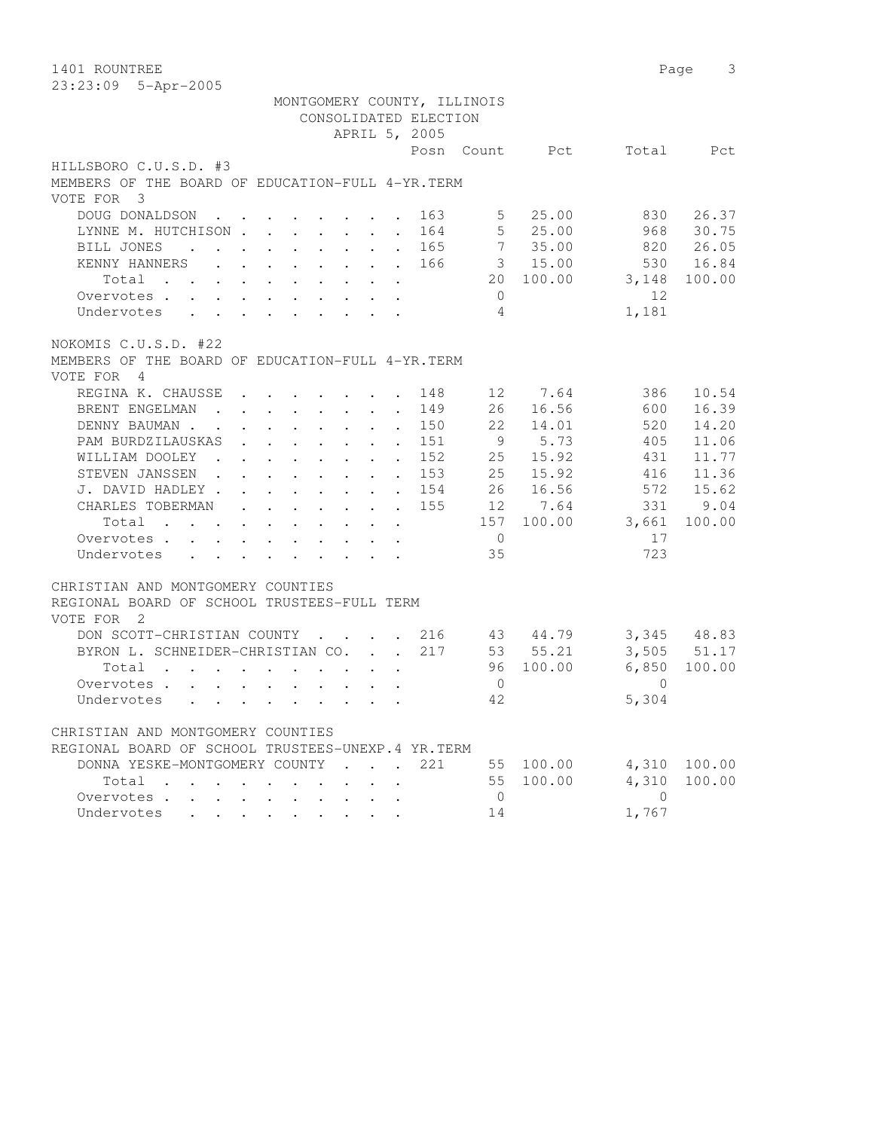| 1401 ROUNTREE                                                                                                                                                                                                                          |                                                |           | 3<br>Page       |
|----------------------------------------------------------------------------------------------------------------------------------------------------------------------------------------------------------------------------------------|------------------------------------------------|-----------|-----------------|
| 23:23:09 5-Apr-2005                                                                                                                                                                                                                    |                                                |           |                 |
| MONTGOMERY COUNTY, ILLINOIS                                                                                                                                                                                                            |                                                |           |                 |
| CONSOLIDATED ELECTION                                                                                                                                                                                                                  |                                                |           |                 |
| APRIL 5, 2005                                                                                                                                                                                                                          |                                                |           |                 |
|                                                                                                                                                                                                                                        | Posn<br>Count                                  | Pct       | Total<br>Pct    |
| HILLSBORO C.U.S.D. #3                                                                                                                                                                                                                  |                                                |           |                 |
| MEMBERS OF THE BOARD OF EDUCATION-FULL 4-YR. TERM                                                                                                                                                                                      |                                                |           |                 |
| VOTE FOR 3                                                                                                                                                                                                                             |                                                |           |                 |
| DOUG DONALDSON<br>$\cdot$ $\cdot$                                                                                                                                                                                                      | 163<br>5                                       | 25.00     | 26.37<br>830    |
| LYNNE M. HUTCHISON                                                                                                                                                                                                                     | 5<br>164<br>$\ddot{\phantom{0}}$               | 25.00     | 968<br>30.75    |
| BILL JONES<br>$\cdot$ $\cdot$ $\cdot$ $\cdot$ $\cdot$ $\cdot$ $\cdot$ $\cdot$<br>$\ddot{\phantom{a}}$                                                                                                                                  | 7<br>165<br>$\ddot{\phantom{a}}$               | 35.00     | 820<br>26.05    |
| KENNY HANNERS                                                                                                                                                                                                                          | 166<br>$\sim$                                  | 3, 15,00  | 530<br>16.84    |
| Total<br>. The contract of the contract of the contract of the contract of the contract of the contract of the contract of the contract of the contract of the contract of the contract of the contract of the contract of the contrac | 20                                             | 100.00    | 3,148<br>100.00 |
| Overvotes                                                                                                                                                                                                                              | $\circ$                                        |           | 12.             |
| Undervotes                                                                                                                                                                                                                             | 4                                              |           | 1,181           |
|                                                                                                                                                                                                                                        |                                                |           |                 |
| NOKOMIS C.U.S.D. #22                                                                                                                                                                                                                   |                                                |           |                 |
| MEMBERS OF THE BOARD OF EDUCATION-FULL 4-YR. TERM                                                                                                                                                                                      |                                                |           |                 |
| VOTE FOR<br>$\frac{4}{3}$                                                                                                                                                                                                              |                                                |           |                 |
| REGINA K. CHAUSSE<br>$\cdot$ $\cdot$ $\cdot$ $\cdot$ $\cdot$                                                                                                                                                                           | 148<br>12 <sup>°</sup>                         | 7.64      | 386<br>10.54    |
| BRENT ENGELMAN<br>$\mathbf{r}$ , $\mathbf{r}$ , $\mathbf{r}$ , $\mathbf{r}$ , $\mathbf{r}$                                                                                                                                             | 149<br>26<br>$\ddot{\phantom{a}}$              | 16.56     | 16.39<br>600    |
| DENNY BAUMAN.<br>$\cdot$ $\cdot$ $\cdot$ $\cdot$<br><b>Contract Contract</b><br>$\sim$<br>$\mathbf{r}$                                                                                                                                 | 150<br>22<br>$\ddot{\phantom{a}}$              | 14.01     | 520<br>14.20    |
| PAM BURDZILAUSKAS<br>$\cdot$ $\cdot$ $\cdot$ $\cdot$ $\cdot$<br>$\sim$                                                                                                                                                                 | 151<br>9<br>$\ddot{\phantom{0}}$               | 5.73      | 405<br>11.06    |
| WILLIAM DOOLEY<br>$\mathbf{r}$ , $\mathbf{r}$ , $\mathbf{r}$ , $\mathbf{r}$<br>$\sim$<br>$\ddot{\phantom{0}}$                                                                                                                          | 152<br>25<br>$\bullet$                         | 15.92     | 431<br>11.77    |
| STEVEN JANSSEN.<br>$\cdot$ $\cdot$<br>$\ddot{\phantom{0}}$<br>$\mathbf{L}^{\text{max}}$ , and $\mathbf{L}^{\text{max}}$<br>$\sim$                                                                                                      | 153<br>25<br>$\bullet$ .                       | 15.92     | 416<br>11.36    |
| J. DAVID HADLEY .<br>$\bullet$ .<br><br><br><br><br><br><br><br><br><br><br><br><br><br><br><br>$\ddot{\phantom{0}}$<br>$\sim$ $-$                                                                                                     | 26<br>154                                      | 16.56     | 572<br>15.62    |
| CHARLES TOBERMAN<br>$\Delta \sim 10^4$<br>$\mathbf{L}$<br>$\sim$<br>$\mathbf{L}^{\text{max}}$<br>$\mathbf{L}^{\text{max}}$                                                                                                             | 155<br>12 <sup>°</sup><br>$\ddot{\phantom{a}}$ | 7.64      | 9.04<br>331     |
| Total<br>$\mathbf{r} = \mathbf{r} + \mathbf{r}$ , where $\mathbf{r} = \mathbf{r}$<br>$\ddot{\phantom{0}}$<br>$\ddot{\phantom{0}}$                                                                                                      | 157                                            | 100.00    | 3,661<br>100.00 |
| Overvotes.                                                                                                                                                                                                                             | $\overline{0}$                                 |           | 17              |
| Undervotes<br>$\cdot$ $\cdot$ $\cdot$ $\cdot$ $\cdot$ $\cdot$ $\cdot$                                                                                                                                                                  | 35                                             |           | 723             |
|                                                                                                                                                                                                                                        |                                                |           |                 |
| CHRISTIAN AND MONTGOMERY COUNTIES                                                                                                                                                                                                      |                                                |           |                 |
| REGIONAL BOARD OF SCHOOL TRUSTEES-FULL TERM                                                                                                                                                                                            |                                                |           |                 |
| VOTE FOR<br>$\overline{\phantom{0}}^2$                                                                                                                                                                                                 |                                                |           |                 |
| DON SCOTT-CHRISTIAN COUNTY                                                                                                                                                                                                             | 216                                            | 43 44.79  | 3,345 48.83     |
| BYRON L. SCHNEIDER-CHRISTIAN CO.<br>$\mathbf{r} = \mathbf{r}$                                                                                                                                                                          | 217                                            | 53 55.21  | 3,505<br>51.17  |
| Total                                                                                                                                                                                                                                  | 96                                             | 100.00    | 6,850<br>100.00 |
| $\mathbf{r}$ , $\mathbf{r}$ , $\mathbf{r}$ , $\mathbf{r}$ , $\mathbf{r}$                                                                                                                                                               | $\mathbf{0}$                                   |           | $\Omega$        |
| Overvotes.                                                                                                                                                                                                                             | 42                                             |           | 5,304           |
| Undervotes                                                                                                                                                                                                                             |                                                |           |                 |
| CHRISTIAN AND MONTGOMERY COUNTIES                                                                                                                                                                                                      |                                                |           |                 |
| REGIONAL BOARD OF SCHOOL TRUSTEES-UNEXP.4 YR.TERM                                                                                                                                                                                      |                                                |           |                 |
| DONNA YESKE-MONTGOMERY COUNTY<br>$\mathbf{r}$ , $\mathbf{r}$ , $\mathbf{r}$ , $\mathbf{r}$                                                                                                                                             | 221                                            | 55 100.00 | 4,310 100.00    |
| Total                                                                                                                                                                                                                                  |                                                | 55 100.00 | 4,310<br>100.00 |
| Overvotes.<br>$\sim$<br>$\ddot{\phantom{0}}$                                                                                                                                                                                           | $\overline{0}$                                 |           | $\overline{0}$  |
| Undervotes<br>$\mathbf{r}$ and $\mathbf{r}$                                                                                                                                                                                            | 14                                             |           | 1,767           |
|                                                                                                                                                                                                                                        |                                                |           |                 |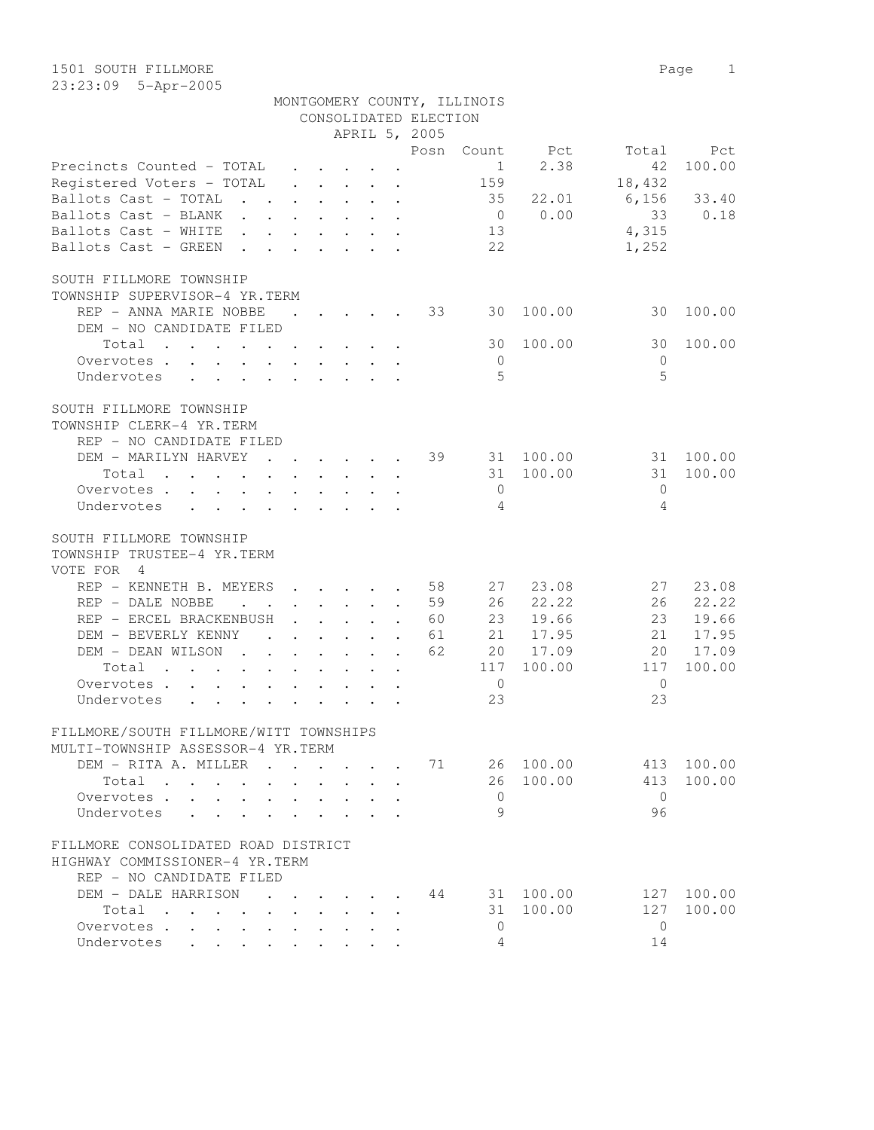|                                                                                                                 |                      |                                                                  |                      | CONSOLIDATED ELECTION |                |           |              |            |
|-----------------------------------------------------------------------------------------------------------------|----------------------|------------------------------------------------------------------|----------------------|-----------------------|----------------|-----------|--------------|------------|
|                                                                                                                 |                      |                                                                  |                      | APRIL 5, 2005         |                |           |              |            |
|                                                                                                                 |                      |                                                                  |                      | Posn                  |                | Count Pct | Total        | Pct        |
| Precincts Counted - TOTAL                                                                                       |                      |                                                                  |                      |                       | 1              | 2.38      | 42           | 100.00     |
| Registered Voters - TOTAL                                                                                       |                      | $\cdot$ $\cdot$ $\cdot$ $\cdot$ $\cdot$ $\cdot$                  |                      |                       | 159            |           | 18,432       |            |
| Ballots Cast - TOTAL<br>$\mathbf{r}$ , $\mathbf{r}$ , $\mathbf{r}$ , $\mathbf{r}$ , $\mathbf{r}$                |                      |                                                                  |                      |                       | 35             | 22.01     | 6,156        | 33.40      |
| Ballots Cast - BLANK                                                                                            |                      |                                                                  |                      |                       | $\overline{0}$ | 0.00      | 33           | 0.18       |
| Ballots Cast - WHITE                                                                                            |                      |                                                                  |                      |                       | 13             |           | 4,315        |            |
| Ballots Cast - GREEN<br>$\mathbf{r}$ , $\mathbf{r}$ , $\mathbf{r}$ , $\mathbf{r}$ , $\mathbf{r}$ , $\mathbf{r}$ |                      |                                                                  |                      |                       | 22             |           | 1,252        |            |
|                                                                                                                 |                      |                                                                  |                      |                       |                |           |              |            |
| SOUTH FILLMORE TOWNSHIP                                                                                         |                      |                                                                  |                      |                       |                |           |              |            |
| TOWNSHIP SUPERVISOR-4 YR.TERM                                                                                   |                      |                                                                  |                      |                       |                |           |              |            |
| REP - ANNA MARIE NOBBE                                                                                          | $\sim$ 100 $\pm$     |                                                                  |                      | 33                    | 30             | 100.00    | 30           | 100.00     |
| DEM - NO CANDIDATE FILED                                                                                        |                      |                                                                  |                      |                       |                |           |              |            |
| Total                                                                                                           |                      |                                                                  |                      |                       | 30             | 100.00    | 30           | 100.00     |
| Overvotes.                                                                                                      |                      |                                                                  |                      |                       | $\overline{0}$ |           | $\Omega$     |            |
| Undervotes                                                                                                      |                      |                                                                  |                      |                       | $\overline{5}$ |           | 5            |            |
| SOUTH FILLMORE TOWNSHIP                                                                                         |                      |                                                                  |                      |                       |                |           |              |            |
| TOWNSHIP CLERK-4 YR.TERM                                                                                        |                      |                                                                  |                      |                       |                |           |              |            |
| REP - NO CANDIDATE FILED                                                                                        |                      |                                                                  |                      |                       |                |           |              |            |
| DEM - MARILYN HARVEY<br>$\mathbf{r}$ , $\mathbf{r}$ , $\mathbf{r}$ , $\mathbf{r}$ , $\mathbf{r}$                |                      |                                                                  |                      | 39<br>$\mathbf{L}$    |                | 31 100.00 | 31           | 100.00     |
| Total<br>$\mathbf{r}$ , and $\mathbf{r}$ , and $\mathbf{r}$ , and $\mathbf{r}$ , and $\mathbf{r}$               |                      |                                                                  |                      |                       | 31             | 100.00    | 31           | 100.00     |
| Overvotes.                                                                                                      |                      |                                                                  |                      |                       | $\overline{0}$ |           | $\mathbf{0}$ |            |
| Undervotes                                                                                                      |                      |                                                                  |                      |                       | $\overline{4}$ |           | 4            |            |
|                                                                                                                 |                      |                                                                  |                      |                       |                |           |              |            |
| SOUTH FILLMORE TOWNSHIP                                                                                         |                      |                                                                  |                      |                       |                |           |              |            |
| TOWNSHIP TRUSTEE-4 YR.TERM                                                                                      |                      |                                                                  |                      |                       |                |           |              |            |
| VOTE FOR<br>4                                                                                                   |                      |                                                                  |                      |                       |                |           |              |            |
| REP - KENNETH B. MEYERS                                                                                         |                      | $\mathbf{r}$ , $\mathbf{r}$ , $\mathbf{r}$ , $\mathbf{r}$        | $\ddot{\phantom{a}}$ | 58                    | 27             | 23.08     | 27           | 23.08      |
| REP - DALE NOBBE<br>$\mathbf{r}$ . The set of $\mathbf{r}$                                                      | $\ddot{\phantom{0}}$ | $\mathbf{1}$ $\mathbf{1}$ $\mathbf{1}$ $\mathbf{1}$ $\mathbf{1}$ | $\cdot$              | 59                    | 26             | 22.22     | 26           | 22.22      |
| REP - ERCEL BRACKENBUSH                                                                                         |                      | $\mathbf{r}$ , $\mathbf{r}$ , $\mathbf{r}$                       | $\ddot{\phantom{a}}$ | 60                    | 23             | 19.66     | 23           | 19.66      |
| DEM - BEVERLY KENNY                                                                                             |                      |                                                                  |                      | 61                    | 21             | 17.95     | 21           | 17.95      |
| DEM - DEAN WILSON<br>$\mathbf{r}$ , $\mathbf{r}$ , $\mathbf{r}$ , $\mathbf{r}$ , $\mathbf{r}$                   |                      |                                                                  | $\ddot{\phantom{a}}$ | 62                    |                | 20 17.09  | 20           | 17.09      |
| Total<br>$\mathcal{A}$ . The contribution of the contribution of the contribution of $\mathcal{A}$              |                      |                                                                  |                      |                       | 117            | 100.00    | 117          | 100.00     |
| Overvotes                                                                                                       |                      |                                                                  |                      |                       | $\overline{0}$ |           | $\mathbf{0}$ |            |
| Undervotes<br>$\sim$<br>$\sim$ $\sim$                                                                           |                      | $\ddot{\phantom{a}}$ . $\ddot{\phantom{a}}$                      |                      |                       | 23             |           | 23           |            |
|                                                                                                                 |                      |                                                                  |                      |                       |                |           |              |            |
| FILLMORE/SOUTH FILLMORE/WITT TOWNSHIPS                                                                          |                      |                                                                  |                      |                       |                |           |              |            |
| MULTI-TOWNSHIP ASSESSOR-4 YR.TERM                                                                               |                      |                                                                  |                      |                       |                |           |              |            |
| DEM - RITA A. MILLER                                                                                            |                      |                                                                  |                      | 71                    |                | 26 100.00 |              | 413 100.00 |
| Total                                                                                                           |                      |                                                                  |                      |                       | 26             | 100.00    | 413          | 100.00     |
| Overvotes.                                                                                                      |                      | $\cdot$ $\cdot$ $\cdot$ $\cdot$ $\cdot$                          | $\ddot{\phantom{a}}$ |                       | $\overline{0}$ |           | $\bigcirc$   |            |
| Undervotes                                                                                                      |                      | $\mathbf{r} = \mathbf{r} + \mathbf{r} + \mathbf{r} + \mathbf{r}$ |                      |                       | $\circ$        |           | 96           |            |
|                                                                                                                 |                      |                                                                  |                      |                       |                |           |              |            |
| FILLMORE CONSOLIDATED ROAD DISTRICT                                                                             |                      |                                                                  |                      |                       |                |           |              |            |
| HIGHWAY COMMISSIONER-4 YR.TERM                                                                                  |                      |                                                                  |                      |                       |                |           |              |            |
| REP - NO CANDIDATE FILED                                                                                        |                      |                                                                  |                      |                       |                |           |              |            |
| DEM - DALE HARRISON                                                                                             |                      |                                                                  |                      | 44                    |                | 31 100.00 | 127          | 100.00     |
| Total                                                                                                           |                      |                                                                  |                      |                       | 31             | 100.00    | 127          | 100.00     |
| Overvotes.                                                                                                      |                      |                                                                  |                      |                       | $\overline{0}$ |           | $\mathbf{0}$ |            |
| Undervotes                                                                                                      |                      |                                                                  |                      |                       | 4              |           | 14           |            |

MONTGOMERY COUNTY, ILLINOIS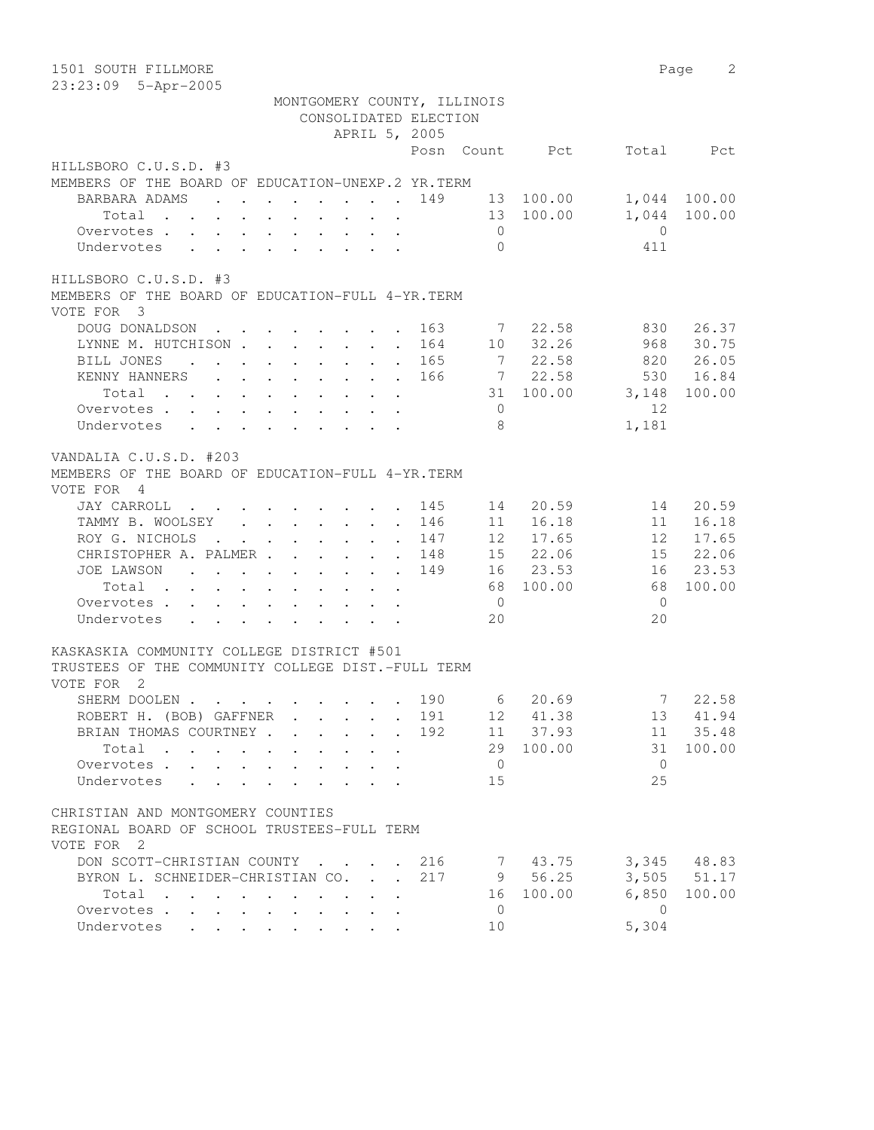| 1501 SOUTH FILLMORE                                                                                                                   |                             |                |                        |                | 2<br>Page              |
|---------------------------------------------------------------------------------------------------------------------------------------|-----------------------------|----------------|------------------------|----------------|------------------------|
| 23:23:09 5-Apr-2005                                                                                                                   |                             |                |                        |                |                        |
| MONTGOMERY COUNTY, ILLINOIS                                                                                                           |                             |                |                        |                |                        |
| CONSOLIDATED ELECTION                                                                                                                 |                             |                |                        |                |                        |
| APRIL 5, 2005                                                                                                                         |                             |                |                        |                |                        |
|                                                                                                                                       |                             |                | Posn Count Pct         | Total          | Pct                    |
| HILLSBORO C.U.S.D. #3                                                                                                                 |                             |                |                        |                |                        |
| MEMBERS OF THE BOARD OF EDUCATION-UNEXP.2 YR.TERM                                                                                     |                             |                |                        |                |                        |
| BARBARA ADAMS<br>$\mathbf{r}$ , and $\mathbf{r}$ , and $\mathbf{r}$ , and $\mathbf{r}$ , and $\mathbf{r}$                             | 149                         |                | 13 100.00<br>13 100.00 | 1,044          | 1,044 100.00<br>100.00 |
| Total<br>Overvotes.                                                                                                                   |                             | $\overline{0}$ |                        | $\Omega$       |                        |
| Undervotes                                                                                                                            |                             | $\bigcap$      |                        | 411            |                        |
|                                                                                                                                       |                             |                |                        |                |                        |
| HILLSBORO C.U.S.D. #3                                                                                                                 |                             |                |                        |                |                        |
| MEMBERS OF THE BOARD OF EDUCATION-FULL 4-YR. TERM                                                                                     |                             |                |                        |                |                        |
| VOTE FOR 3                                                                                                                            |                             |                |                        |                |                        |
| DOUG DONALDSON<br>the contract of the contract of the contract of the contract of the contract of the contract of the contract of     | 163                         | 7              | 22.58                  | 830            | 26.37                  |
| LYNNE M. HUTCHISON                                                                                                                    | 164                         | 10             | 32.26                  | 968            | 30.75                  |
| BILL JONES<br>$\mathcal{L}^{\mathcal{A}}$ . The contribution of the contribution of the contribution of $\mathcal{L}^{\mathcal{A}}$   | 165                         | $\overline{7}$ | 22.58                  | 820            | 26.05                  |
| KENNY HANNERS                                                                                                                         | 166                         |                | 7 22.58                | 530            | 16.84                  |
| Total                                                                                                                                 |                             |                | 31 100.00              | 3,148          | 100.00                 |
| Overvotes                                                                                                                             |                             | $\overline{0}$ |                        | 12             |                        |
| Undervotes                                                                                                                            |                             | -8             |                        | 1,181          |                        |
|                                                                                                                                       |                             |                |                        |                |                        |
| VANDALIA C.U.S.D. #203                                                                                                                |                             |                |                        |                |                        |
| MEMBERS OF THE BOARD OF EDUCATION-FULL 4-YR. TERM                                                                                     |                             |                |                        |                |                        |
| VOTE FOR 4                                                                                                                            |                             |                |                        |                |                        |
| <b>JAY CARROLL</b><br>the contract of the contract of the contract of the contract of the contract of the contract of the contract of | 145                         | 14             | 20.59                  | 14             | 20.59                  |
| TAMMY B. WOOLSEY                                                                                                                      | 146                         | 11             | 16.18                  | 11             | 16.18                  |
| ROY G. NICHOLS                                                                                                                        | 147<br>$\ddot{\phantom{a}}$ | 12             | 17.65                  | 12             | 17.65                  |
| CHRISTOPHER A. PALMER<br>$\sim$                                                                                                       | 148<br>$\ddot{\phantom{0}}$ |                | 15 22.06               | 15             | 22.06                  |
| JOE LAWSON                                                                                                                            | 149                         |                | 16 23.53               | 16             | 23.53                  |
| Total                                                                                                                                 |                             | 68             | 100.00                 | 68             | 100.00                 |
| Overvotes                                                                                                                             |                             | $\overline{0}$ |                        | $\overline{0}$ |                        |
| Undervotes<br>$\mathbf{r}$ , and $\mathbf{r}$ , and $\mathbf{r}$ , and $\mathbf{r}$                                                   |                             | 20             |                        | 20             |                        |
| KASKASKIA COMMUNITY COLLEGE DISTRICT #501                                                                                             |                             |                |                        |                |                        |
| TRUSTEES OF THE COMMUNITY COLLEGE DIST.-FULL TERM                                                                                     |                             |                |                        |                |                        |
| VOTE FOR<br>$\overline{2}$                                                                                                            |                             |                |                        |                |                        |
| SHERM DOOLEN                                                                                                                          | 190                         |                | 6 20.69                |                | 7 22.58                |
| ROBERT H. (BOB) GAFFNER.                                                                                                              | 191                         | 12             | 41.38                  | 13             | 41.94                  |
| BRIAN THOMAS COURTNEY.<br>$\mathcal{L}^{\text{max}}$<br>$\ddot{\phantom{a}}$                                                          | 192<br>$\ddot{\phantom{a}}$ | 11             | 37.93                  | 11             | 35.48                  |
| Total                                                                                                                                 |                             | 29             | 100.00                 | 31             | 100.00                 |
| Overvotes .<br>$\mathcal{L}^{\text{max}}$<br>$\mathbf{L}$                                                                             |                             | $\overline{0}$ |                        | $\overline{0}$ |                        |
| Undervotes<br>$\mathbf{r}$                                                                                                            |                             | 15             |                        | 25             |                        |
|                                                                                                                                       |                             |                |                        |                |                        |
| CHRISTIAN AND MONTGOMERY COUNTIES                                                                                                     |                             |                |                        |                |                        |
| REGIONAL BOARD OF SCHOOL TRUSTEES-FULL TERM                                                                                           |                             |                |                        |                |                        |
| VOTE FOR 2                                                                                                                            |                             |                |                        |                |                        |
| DON SCOTT-CHRISTIAN COUNTY                                                                                                            | 216                         |                | 7 43.75                |                | 3,345 48.83            |
| BYRON L. SCHNEIDER-CHRISTIAN CO.                                                                                                      | 217                         | 9              | 56.25                  |                | 3,505 51.17            |
| Total                                                                                                                                 |                             | 16             | 100.00                 | 6,850          | 100.00                 |
| Overvotes<br>$\mathbf{L}$                                                                                                             |                             | $\mathbf 0$    |                        | $\bigcirc$     |                        |
| Undervotes                                                                                                                            |                             | 10             |                        | 5,304          |                        |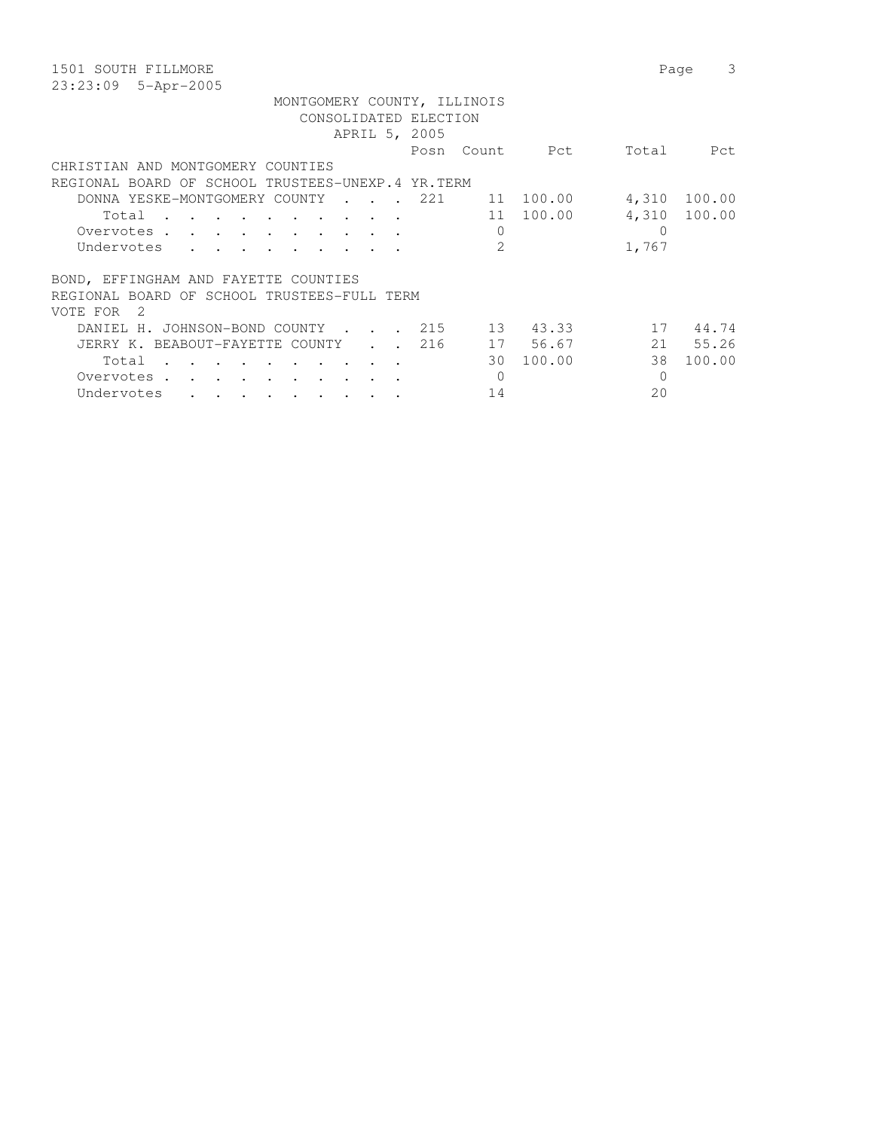| 1501 SOUTH FILLMORE                                                                                                                   |                  | 3<br>Page    |
|---------------------------------------------------------------------------------------------------------------------------------------|------------------|--------------|
| 23:23:09 5-Apr-2005                                                                                                                   |                  |              |
| MONTGOMERY COUNTY, ILLINOIS                                                                                                           |                  |              |
| CONSOLIDATED ELECTION                                                                                                                 |                  |              |
| APRIL 5, 2005                                                                                                                         |                  |              |
| Posn Count Pct                                                                                                                        | Total            | Pct          |
| CHRISTIAN AND MONTGOMERY COUNTIES                                                                                                     |                  |              |
| REGIONAL BOARD OF SCHOOL TRUSTEES-UNEXP.4 YR.TERM                                                                                     |                  |              |
| 11 100.00<br>DONNA YESKE-MONTGOMERY COUNTY<br>221                                                                                     | 4,310            | 100.00       |
| 11 100.00<br>Total<br>the contract of the contract of the contract of the contract of the contract of the contract of the contract of |                  | 4,310 100.00 |
| 0<br>Overvotes.                                                                                                                       | $\left( \right)$ |              |
| 2<br>Undervotes                                                                                                                       | 1,767            |              |
|                                                                                                                                       |                  |              |
| BOND, EFFINGHAM AND FAYETTE COUNTIES                                                                                                  |                  |              |
| REGIONAL BOARD OF SCHOOL TRUSTEES-FULL TERM                                                                                           |                  |              |
| VOTE FOR<br>- 2                                                                                                                       |                  |              |
| 13 43.33<br>215<br>DANIEL H. JOHNSON-BOND COUNTY<br>$\sim$ $\sim$ $\sim$ $\sim$ $\sim$                                                | 17               | 44.74        |
| 17 56.67<br>216<br>JERRY K. BEABOUT-FAYETTE COUNTY<br>$\mathbf{r} = \mathbf{r}$                                                       |                  | 21 55.26     |
| 30 100.00<br>Total<br>$\cdot$ $\cdot$ $\cdot$ $\cdot$ $\cdot$ $\cdot$<br>$\sim$                                                       | 38               | 100.00       |
| 0<br>Overvotes .                                                                                                                      | $\Omega$         |              |
| 14<br>Undervotes<br>$\bullet$ . In the case of the contract $\bullet$ , and $\bullet$                                                 | 20               |              |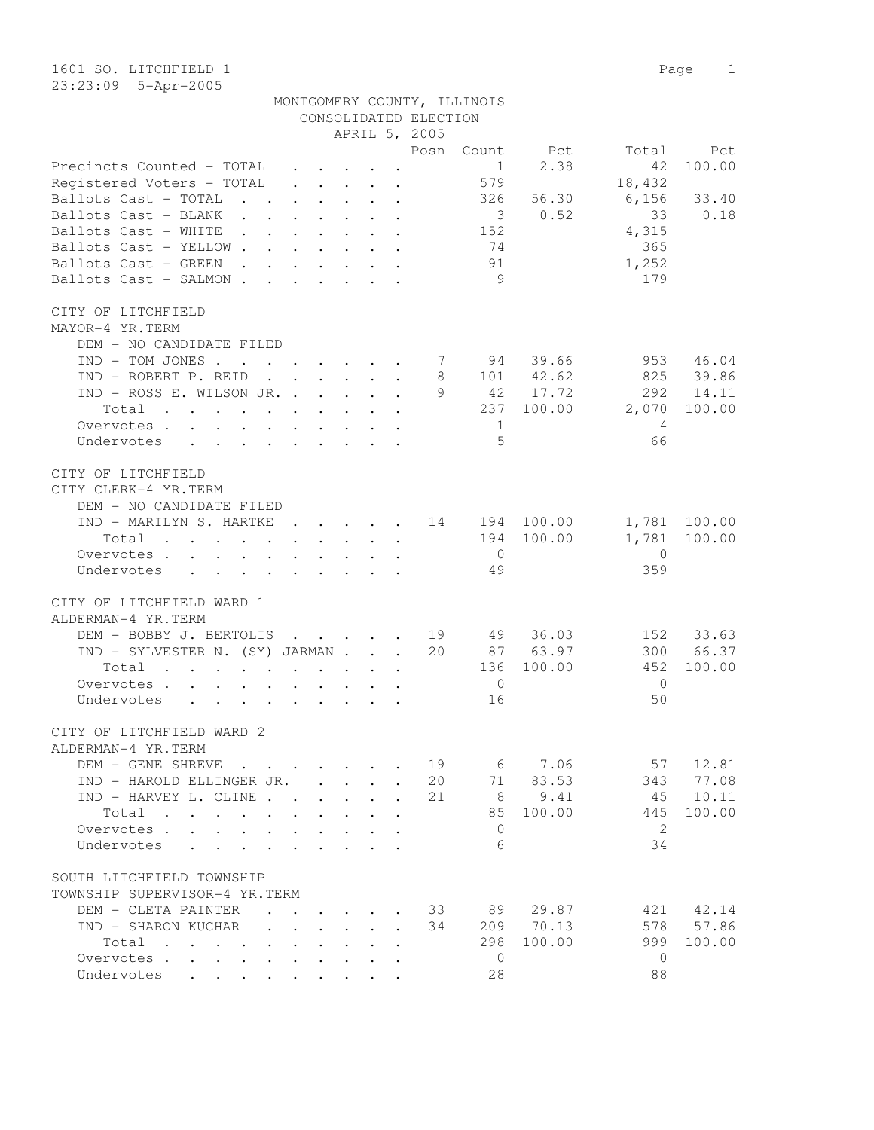| MONTGOMERY COUNTY, ILLINOIS |  |
|-----------------------------|--|
| CONSOLIDATED ELECTION       |  |

|                                                                                                                                                                                                                                        |         |                              |        |                      | APRIL 5, 2005                                      |                |             |                                    |              |
|----------------------------------------------------------------------------------------------------------------------------------------------------------------------------------------------------------------------------------------|---------|------------------------------|--------|----------------------|----------------------------------------------------|----------------|-------------|------------------------------------|--------------|
|                                                                                                                                                                                                                                        |         |                              |        |                      | Posn                                               | Count          | Pct         | Total                              | Pct          |
| Precincts Counted - TOTAL .                                                                                                                                                                                                            |         |                              |        |                      |                                                    | 1              | 2.38        | 42                                 | 100.00       |
| Registered Voters - TOTAL                                                                                                                                                                                                              | $\cdot$ |                              |        |                      |                                                    | 579            |             | 18,432                             |              |
| Ballots Cast - TOTAL                                                                                                                                                                                                                   |         |                              |        |                      |                                                    | 326            | 56.30       | 6,156                              | 33.40        |
| Ballots Cast - BLANK                                                                                                                                                                                                                   |         |                              |        |                      |                                                    |                | 30.52       | 33                                 | 0.18         |
| Ballots Cast - WHITE 152                                                                                                                                                                                                               |         |                              |        |                      |                                                    |                |             | 4,315                              |              |
| Ballots Cast - YELLOW                                                                                                                                                                                                                  |         |                              |        |                      |                                                    | 74             |             | 365                                |              |
| Ballots Cast - GREEN                                                                                                                                                                                                                   |         |                              |        |                      |                                                    | 91             |             | 1,252                              |              |
| Ballots Cast - SALMON                                                                                                                                                                                                                  |         |                              |        |                      |                                                    | 9              |             | 179                                |              |
| CITY OF LITCHFIELD                                                                                                                                                                                                                     |         |                              |        |                      |                                                    |                |             |                                    |              |
| MAYOR-4 YR.TERM                                                                                                                                                                                                                        |         |                              |        |                      |                                                    |                |             |                                    |              |
| DEM - NO CANDIDATE FILED                                                                                                                                                                                                               |         |                              |        |                      |                                                    |                |             |                                    |              |
| IND - TOM JONES 7 94 39.66                                                                                                                                                                                                             |         |                              |        |                      |                                                    |                |             |                                    | 953 46.04    |
| IND - ROBERT P. REID                                                                                                                                                                                                                   |         |                              |        |                      |                                                    |                | 8 101 42.62 |                                    | 825 39.86    |
| IND - ROSS E. WILSON JR.                                                                                                                                                                                                               |         |                              |        |                      |                                                    |                | 9 42 17.72  | 292                                | 14.11        |
| Total<br>the contract of the contract of the contract of the contract of the contract of the contract of the contract of                                                                                                               |         |                              |        |                      |                                                    |                | 237 100.00  | 2,070                              | 100.00       |
| Overvotes                                                                                                                                                                                                                              |         |                              |        |                      |                                                    | $\mathbf{1}$   |             | $\overline{4}$                     |              |
| Undervotes                                                                                                                                                                                                                             |         |                              |        |                      |                                                    | $\overline{5}$ |             | 66                                 |              |
| CITY OF LITCHFIELD                                                                                                                                                                                                                     |         |                              |        |                      |                                                    |                |             |                                    |              |
| CITY CLERK-4 YR.TERM                                                                                                                                                                                                                   |         |                              |        |                      |                                                    |                |             |                                    |              |
| DEM - NO CANDIDATE FILED                                                                                                                                                                                                               |         |                              |        |                      |                                                    |                |             |                                    |              |
| IND - MARILYN S. HARTKE 14 194 100.00                                                                                                                                                                                                  |         |                              |        |                      |                                                    |                |             |                                    | 1,781 100.00 |
| Total<br>. The contract of the contract of the contract of the contract of the contract of the contract of the contract of the contract of the contract of the contract of the contract of the contract of the contract of the contrac |         |                              |        |                      |                                                    |                | 194 100.00  |                                    | 1,781 100.00 |
| Overvotes.                                                                                                                                                                                                                             |         |                              |        |                      |                                                    | $\bigcirc$     |             | $\overline{0}$                     |              |
| Undervotes                                                                                                                                                                                                                             |         |                              |        |                      |                                                    | 49             |             | 359                                |              |
| CITY OF LITCHFIELD WARD 1                                                                                                                                                                                                              |         |                              |        |                      |                                                    |                |             |                                    |              |
| ALDERMAN-4 YR.TERM                                                                                                                                                                                                                     |         |                              |        |                      |                                                    |                |             |                                    |              |
| DEM - BOBBY J. BERTOLIS                                                                                                                                                                                                                |         |                              |        |                      | $\cdot$ $\cdot$ $\cdot$ $\cdot$ $\cdot$ $\cdot$ 19 |                | 49 36.03    |                                    | 152 33.63    |
| IND - SYLVESTER N. (SY) JARMAN                                                                                                                                                                                                         |         |                              |        |                      | 20                                                 |                | 87 63.97    |                                    | 300 66.37    |
| Total                                                                                                                                                                                                                                  |         |                              |        |                      |                                                    | 136            | 100.00      | 452                                | 100.00       |
| Overvotes.                                                                                                                                                                                                                             |         |                              |        |                      |                                                    | $\overline{0}$ |             | $\overline{0}$                     |              |
| Undervotes                                                                                                                                                                                                                             |         |                              |        |                      |                                                    | 16             |             | 50                                 |              |
| CITY OF LITCHFIELD WARD 2                                                                                                                                                                                                              |         |                              |        |                      |                                                    |                |             |                                    |              |
| ALDERMAN-4 YR.TERM                                                                                                                                                                                                                     |         |                              |        |                      |                                                    |                |             |                                    |              |
| DEM - GENE SHREVE                                                                                                                                                                                                                      |         |                              |        |                      |                                                    |                |             | $\cdot$ $\cdot$ 19 6 7.06 57 12.81 |              |
| IND - HAROLD ELLINGER JR.                                                                                                                                                                                                              |         |                              |        |                      | 20                                                 |                | 71 83.53    | 343                                | 77.08        |
| IND - HARVEY L. CLINE                                                                                                                                                                                                                  |         |                              |        |                      | 21                                                 | 8 <sup>8</sup> | 9.41        |                                    | 45 10.11     |
|                                                                                                                                                                                                                                        |         |                              |        |                      |                                                    | 85             | 100.00      | 445                                | 100.00       |
| Total                                                                                                                                                                                                                                  |         |                              |        |                      |                                                    |                |             |                                    |              |
| Overvotes                                                                                                                                                                                                                              |         |                              |        |                      |                                                    | $\Omega$       |             | 2                                  |              |
| Undervotes                                                                                                                                                                                                                             |         |                              |        |                      |                                                    | 6              |             | 34                                 |              |
| SOUTH LITCHFIELD TOWNSHIP                                                                                                                                                                                                              |         |                              |        |                      |                                                    |                |             |                                    |              |
| TOWNSHIP SUPERVISOR-4 YR.TERM                                                                                                                                                                                                          |         |                              |        |                      |                                                    |                |             |                                    |              |
| DEM - CLETA PAINTER                                                                                                                                                                                                                    |         |                              |        | $\ddot{\phantom{a}}$ | 33                                                 | 89             | 29.87       |                                    | 421 42.14    |
| IND - SHARON KUCHAR<br>$\mathbf{A}$                                                                                                                                                                                                    | $\sim$  | $\mathbf{L}$<br>$\mathbf{L}$ | $\sim$ | $\sim$               | 34                                                 |                | 209 70.13   | 578                                | 57.86        |
| Total                                                                                                                                                                                                                                  |         |                              | $\sim$ | $\ddot{\phantom{a}}$ |                                                    | 298            | 100.00      | 999                                | 100.00       |
| Overvotes.                                                                                                                                                                                                                             |         |                              |        | $\ddot{\phantom{a}}$ |                                                    | $\overline{0}$ |             | $\mathbf{0}$                       |              |
| Undervotes                                                                                                                                                                                                                             |         |                              |        |                      |                                                    | 28             |             | 88                                 |              |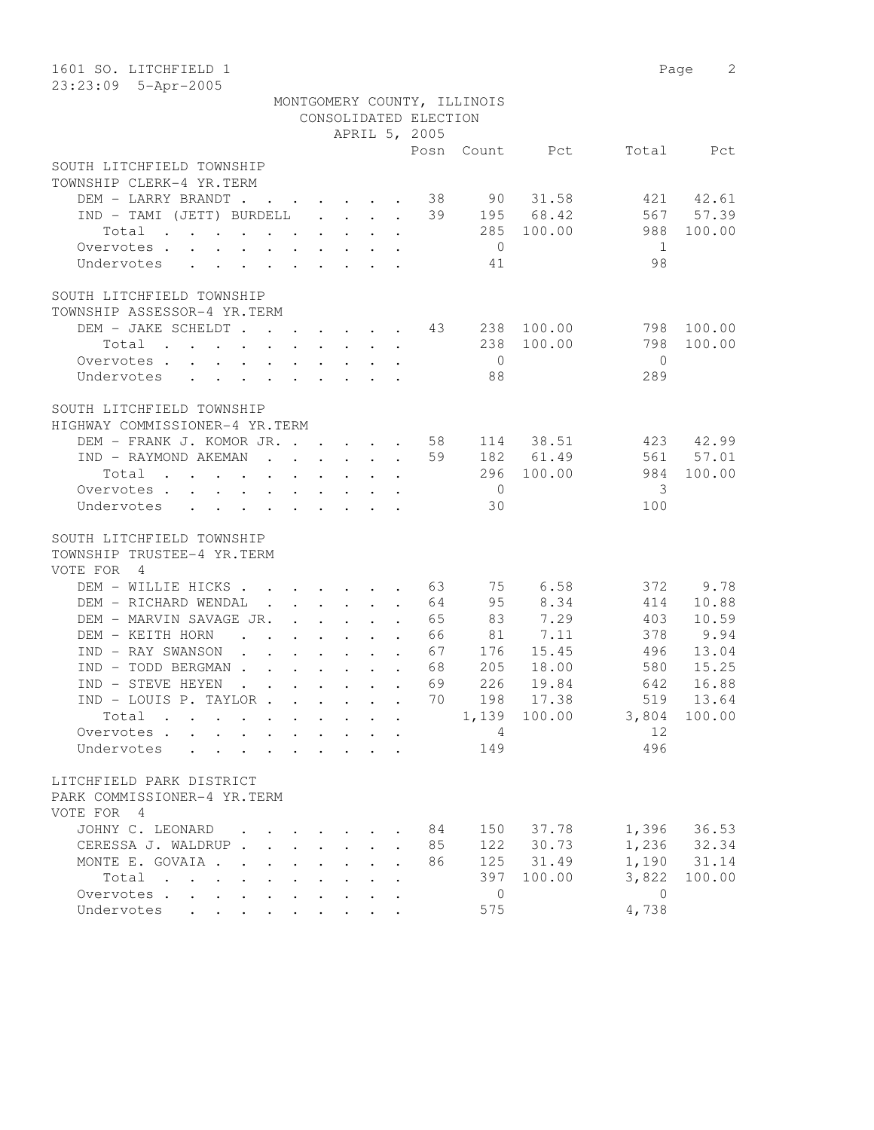| 1601 SO. LITCHFIELD 1<br>23:23:09 5-Apr-2005                                                                 |  |                                                                                                                                                         |                      |                       |                             |            |              | 2<br>Page |
|--------------------------------------------------------------------------------------------------------------|--|---------------------------------------------------------------------------------------------------------------------------------------------------------|----------------------|-----------------------|-----------------------------|------------|--------------|-----------|
|                                                                                                              |  |                                                                                                                                                         |                      |                       | MONTGOMERY COUNTY, ILLINOIS |            |              |           |
|                                                                                                              |  |                                                                                                                                                         |                      | CONSOLIDATED ELECTION |                             |            |              |           |
|                                                                                                              |  |                                                                                                                                                         |                      | APRIL 5, 2005         |                             |            |              |           |
|                                                                                                              |  |                                                                                                                                                         |                      | Posn                  |                             | Count Pct  | Total        | Pct       |
| SOUTH LITCHFIELD TOWNSHIP                                                                                    |  |                                                                                                                                                         |                      |                       |                             |            |              |           |
| TOWNSHIP CLERK-4 YR.TERM                                                                                     |  |                                                                                                                                                         |                      |                       |                             |            |              |           |
| DEM - LARRY BRANDT                                                                                           |  |                                                                                                                                                         |                      | 38                    |                             | 90 31.58   | 421          | 42.61     |
| $IND - TAMI (JETT) BURDELL $                                                                                 |  |                                                                                                                                                         |                      | 39                    |                             | 195 68.42  | 567          | 57.39     |
| Total                                                                                                        |  |                                                                                                                                                         |                      |                       | 285                         | 100.00     | 988          | 100.00    |
| Overvotes.                                                                                                   |  |                                                                                                                                                         |                      |                       | $\overline{0}$              |            | -1           |           |
| Undervotes                                                                                                   |  |                                                                                                                                                         |                      |                       | 41                          |            | 98           |           |
|                                                                                                              |  |                                                                                                                                                         |                      |                       |                             |            |              |           |
| SOUTH LITCHFIELD TOWNSHIP                                                                                    |  |                                                                                                                                                         |                      |                       |                             |            |              |           |
| TOWNSHIP ASSESSOR-4 YR.TERM                                                                                  |  |                                                                                                                                                         |                      |                       |                             |            |              |           |
| DEM - JAKE SCHELDT 43                                                                                        |  |                                                                                                                                                         |                      |                       | 238                         | 100.00     | 798          | 100.00    |
| Total                                                                                                        |  | $\cdot$ $\cdot$ $\cdot$ $\cdot$ $\cdot$                                                                                                                 |                      |                       | 238                         | 100.00     | 798          | 100.00    |
| Overvotes                                                                                                    |  |                                                                                                                                                         |                      |                       | $\overline{0}$              |            | $\Omega$     |           |
| Undervotes                                                                                                   |  |                                                                                                                                                         |                      |                       | 88                          |            | 289          |           |
|                                                                                                              |  |                                                                                                                                                         |                      |                       |                             |            |              |           |
| SOUTH LITCHFIELD TOWNSHIP                                                                                    |  |                                                                                                                                                         |                      |                       |                             |            |              |           |
| HIGHWAY COMMISSIONER-4 YR.TERM                                                                               |  |                                                                                                                                                         |                      |                       |                             |            |              |           |
| DEM - FRANK J. KOMOR JR.                                                                                     |  |                                                                                                                                                         |                      | 58                    |                             | 114 38.51  | 423          | 42.99     |
| IND - RAYMOND AKEMAN                                                                                         |  |                                                                                                                                                         |                      | 59                    |                             | 182 61.49  | 561          | 57.01     |
| Total                                                                                                        |  |                                                                                                                                                         |                      |                       |                             | 296 100.00 | 984          | 100.00    |
| Overvotes<br>$\ddot{\phantom{0}}$                                                                            |  | $\begin{array}{cccccccccccccc} \bullet & \bullet & \bullet & \bullet & \bullet & \bullet & \bullet & \bullet & \bullet & \bullet & \bullet \end{array}$ |                      |                       | $\overline{0}$              |            | 3            |           |
| Undervotes<br>$\cdot$ $\cdot$ $\cdot$ $\cdot$ $\cdot$                                                        |  | $\cdot$ $\cdot$ $\cdot$ $\cdot$ $\cdot$ $\cdot$                                                                                                         |                      |                       | 30                          |            | 100          |           |
|                                                                                                              |  |                                                                                                                                                         |                      |                       |                             |            |              |           |
| SOUTH LITCHFIELD TOWNSHIP                                                                                    |  |                                                                                                                                                         |                      |                       |                             |            |              |           |
| TOWNSHIP TRUSTEE-4 YR.TERM                                                                                   |  |                                                                                                                                                         |                      |                       |                             |            |              |           |
| VOTE FOR<br>$\overline{4}$                                                                                   |  |                                                                                                                                                         |                      |                       |                             |            |              |           |
| DEM - WILLIE HICKS                                                                                           |  |                                                                                                                                                         |                      | 63                    |                             | 75 6.58    | 372          | 9.78      |
| DEM - RICHARD WENDAL                                                                                         |  | $\mathbf{r}$ , $\mathbf{r}$ , $\mathbf{r}$ , $\mathbf{r}$ , $\mathbf{r}$ , $\mathbf{r}$                                                                 |                      | 64                    | 95                          | 8.34       | 414          | 10.88     |
| DEM - MARVIN SAVAGE JR.                                                                                      |  |                                                                                                                                                         | $\ddot{\phantom{a}}$ | 65                    | 83                          | 7.29       | 403          | 10.59     |
| DEM - KEITH HORN<br>$\mathbf{r}$ , and $\mathbf{r}$ , and $\mathbf{r}$ , and $\mathbf{r}$                    |  |                                                                                                                                                         |                      | 66                    | 81                          | 7.11       | 378          | 9.94      |
| IND - RAY SWANSON<br>$\mathbf{r}$ , $\mathbf{r}$ , $\mathbf{r}$ , $\mathbf{r}$ , $\mathbf{r}$ , $\mathbf{r}$ |  |                                                                                                                                                         |                      | 67                    | 176                         | 15.45      | 496          | 13.04     |
| IND - TODD BERGMAN                                                                                           |  |                                                                                                                                                         |                      | 68                    | 205                         | 18.00      | 580          | 15.25     |
| IND - STEVE HEYEN<br>$\mathbf{r}$ , $\mathbf{r}$ , $\mathbf{r}$ , $\mathbf{r}$ , $\mathbf{r}$ , $\mathbf{r}$ |  |                                                                                                                                                         |                      | 69                    | 226                         | 19.84      | 642          | 16.88     |
| IND - LOUIS P. TAYLOR                                                                                        |  |                                                                                                                                                         |                      | 70                    | 198                         | 17.38      | 519          | 13.64     |
| Total                                                                                                        |  |                                                                                                                                                         |                      |                       | 1,139                       | 100.00     | 3,804        | 100.00    |
| Overvotes.                                                                                                   |  |                                                                                                                                                         |                      |                       | 4                           |            | 12           |           |
| Undervotes                                                                                                   |  |                                                                                                                                                         |                      |                       | 149                         |            | 496          |           |
|                                                                                                              |  |                                                                                                                                                         |                      |                       |                             |            |              |           |
| LITCHFIELD PARK DISTRICT                                                                                     |  |                                                                                                                                                         |                      |                       |                             |            |              |           |
| PARK COMMISSIONER-4 YR.TERM                                                                                  |  |                                                                                                                                                         |                      |                       |                             |            |              |           |
| VOTE FOR 4                                                                                                   |  |                                                                                                                                                         |                      |                       |                             |            |              |           |
| JOHNY C. LEONARD                                                                                             |  |                                                                                                                                                         |                      | 84                    | 150                         | 37.78      | 1,396        | 36.53     |
| CERESSA J. WALDRUP .                                                                                         |  | $\ddot{\phantom{0}}$<br>$\ddot{\phantom{a}}$                                                                                                            |                      | 85                    | 122                         | 30.73      | 1,236        | 32.34     |
| MONTE E. GOVAIA .                                                                                            |  |                                                                                                                                                         |                      | 86                    | 125                         | 31.49      | 1,190        | 31.14     |
| Total                                                                                                        |  |                                                                                                                                                         |                      |                       | 397                         | 100.00     | 3,822        | 100.00    |
| Overvotes .<br>$\ddot{\phantom{a}}$                                                                          |  |                                                                                                                                                         |                      |                       | $\overline{0}$              |            | $\mathbf{0}$ |           |
| Undervotes                                                                                                   |  |                                                                                                                                                         |                      |                       | 575                         |            | 4,738        |           |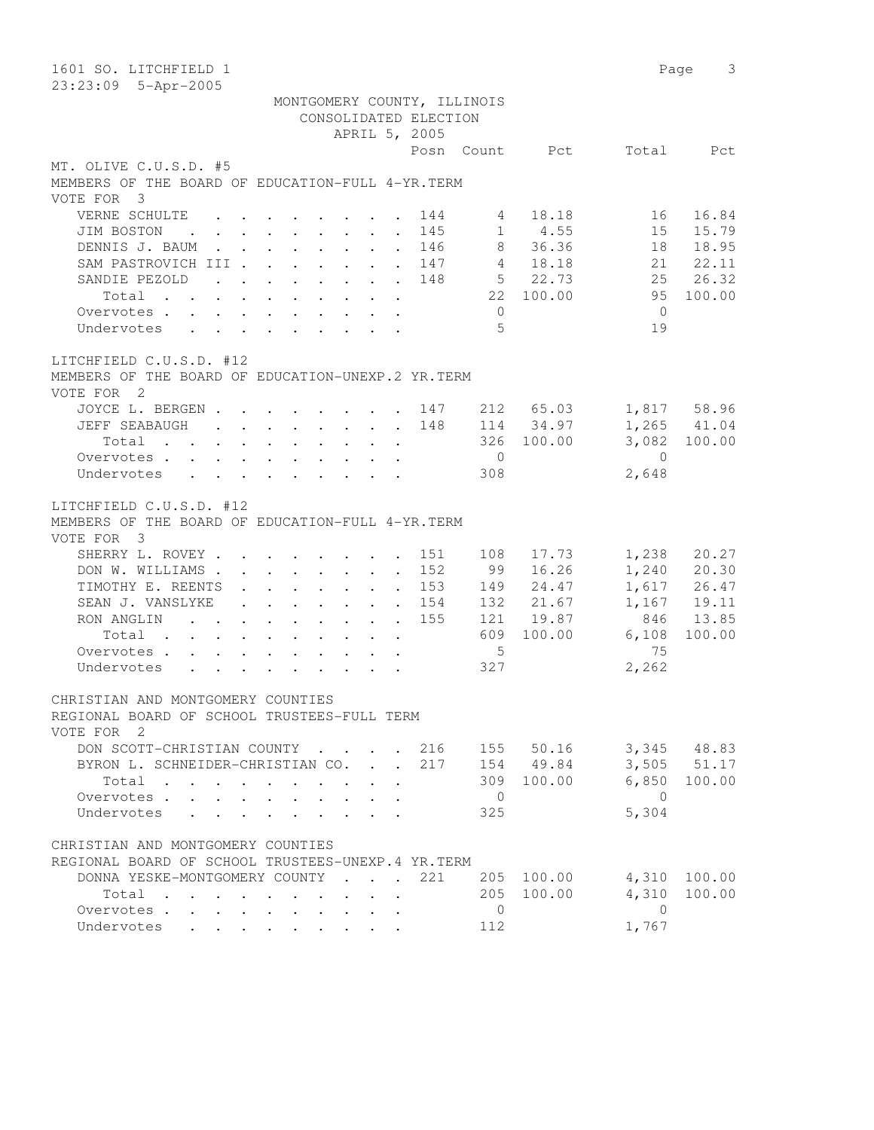| 1601 SO. LITCHFIELD 1<br>23:23:09 5-Apr-2005                                               |                                            | 3<br>Page             |
|--------------------------------------------------------------------------------------------|--------------------------------------------|-----------------------|
| MONTGOMERY COUNTY, ILLINOIS                                                                |                                            |                       |
| CONSOLIDATED ELECTION                                                                      |                                            |                       |
| APRIL 5, 2005                                                                              |                                            | Total                 |
| MT. OLIVE C.U.S.D. #5                                                                      | Posn Count Pct                             | Pct                   |
| MEMBERS OF THE BOARD OF EDUCATION-FULL 4-YR. TERM                                          |                                            |                       |
| VOTE FOR 3                                                                                 |                                            |                       |
| VERNE SCHULTE<br>$\cdot$ , , , , , , , , ,                                                 | 18.18<br>144<br>4                          | 16.84<br>16           |
| JIM BOSTON<br>$\mathbf{r}$ , and $\mathbf{r}$ , and $\mathbf{r}$ , and $\mathbf{r}$        | $1 \t 4.55$<br>145<br>$\ddot{\phantom{0}}$ | 15.79<br>15           |
| DENNIS J. BAUM                                                                             | 8<br>36.36<br>146<br>$\ddot{\phantom{0}}$  | 18.95<br>18           |
| SAM PASTROVICH III                                                                         | 4 18.18<br>147                             | 21   22.11            |
| SANDIE PEZOLD<br>$\mathbf{r}$ , and $\mathbf{r}$ , and $\mathbf{r}$ , and $\mathbf{r}$     | 5 22.73<br>148                             | 25 26.32              |
| Total $\cdot$                                                                              | 22 100.00                                  | 95<br>100.00          |
| Overvotes                                                                                  | $\overline{0}$                             | $\overline{0}$        |
| Undervotes                                                                                 | 5                                          | 19                    |
| LITCHFIELD C.U.S.D. #12                                                                    |                                            |                       |
| MEMBERS OF THE BOARD OF EDUCATION-UNEXP.2 YR.TERM<br>VOTE FOR 2                            |                                            |                       |
| JOYCE L. BERGEN 147                                                                        | 212 65.03                                  | 1,817 58.96           |
| JEFF SEABAUGH                                                                              | 114 34.97<br>148                           | 1,265 41.04           |
|                                                                                            | 326 100.00                                 | 3,082 100.00          |
| Overvotes                                                                                  | $\overline{0}$                             | $\Omega$              |
| Undervotes                                                                                 | 308                                        | 2,648                 |
| LITCHFIELD C.U.S.D. #12<br>MEMBERS OF THE BOARD OF EDUCATION-FULL 4-YR. TERM<br>VOTE FOR 3 |                                            |                       |
| SHERRY L. ROVEY                                                                            | 151<br>17.73<br>108                        | 1,238<br>20.27        |
| DON W. WILLIAMS                                                                            | 99<br>152<br>16.26                         | 1,240<br>20.30        |
| TIMOTHY E. REENTS                                                                          | 24.47<br>153<br>149                        | 1,617 26.47           |
| SEAN J. VANSLYKE<br>$\cdot$ 154                                                            | 132<br>21.67                               | 1,167<br>19.11        |
| RON ANGLING                                                                                | 155<br>121<br>19.87                        | 846<br>13.85          |
| Total                                                                                      | 609<br>100.00<br>5                         | 6,108<br>100.00<br>75 |
| Overvotes                                                                                  | 327                                        | 2,262                 |
| Undervotes                                                                                 |                                            |                       |
| CHRISTIAN AND MONTGOMERY COUNTIES                                                          |                                            |                       |
| REGIONAL BOARD OF SCHOOL TRUSTEES-FULL TERM<br>VOTE FOR 2                                  |                                            |                       |
| DON SCOTT-CHRISTIAN COUNTY 216                                                             |                                            | 155 50.16 3,345 48.83 |
| BYRON L. SCHNEIDER-CHRISTIAN CO. .                                                         | 217<br>154 49.84                           | $3,505$ $51.17$       |
| Total                                                                                      | 309 100.00                                 | 6,850 100.00          |
| Overvotes                                                                                  | $\overline{0}$                             | $\overline{0}$        |
| Undervotes                                                                                 | 325                                        | 5,304                 |
| CHRISTIAN AND MONTGOMERY COUNTIES                                                          |                                            |                       |
| REGIONAL BOARD OF SCHOOL TRUSTEES-UNEXP.4 YR.TERM                                          |                                            |                       |
| DONNA YESKE-MONTGOMERY COUNTY                                                              | 221<br>205 100.00                          | 4,310 100.00          |
| Total                                                                                      | 205 100.00                                 | 4,310<br>100.00       |
| Overvotes                                                                                  | $\overline{0}$                             | $\overline{0}$        |
| Undervotes                                                                                 | 112                                        | 1,767                 |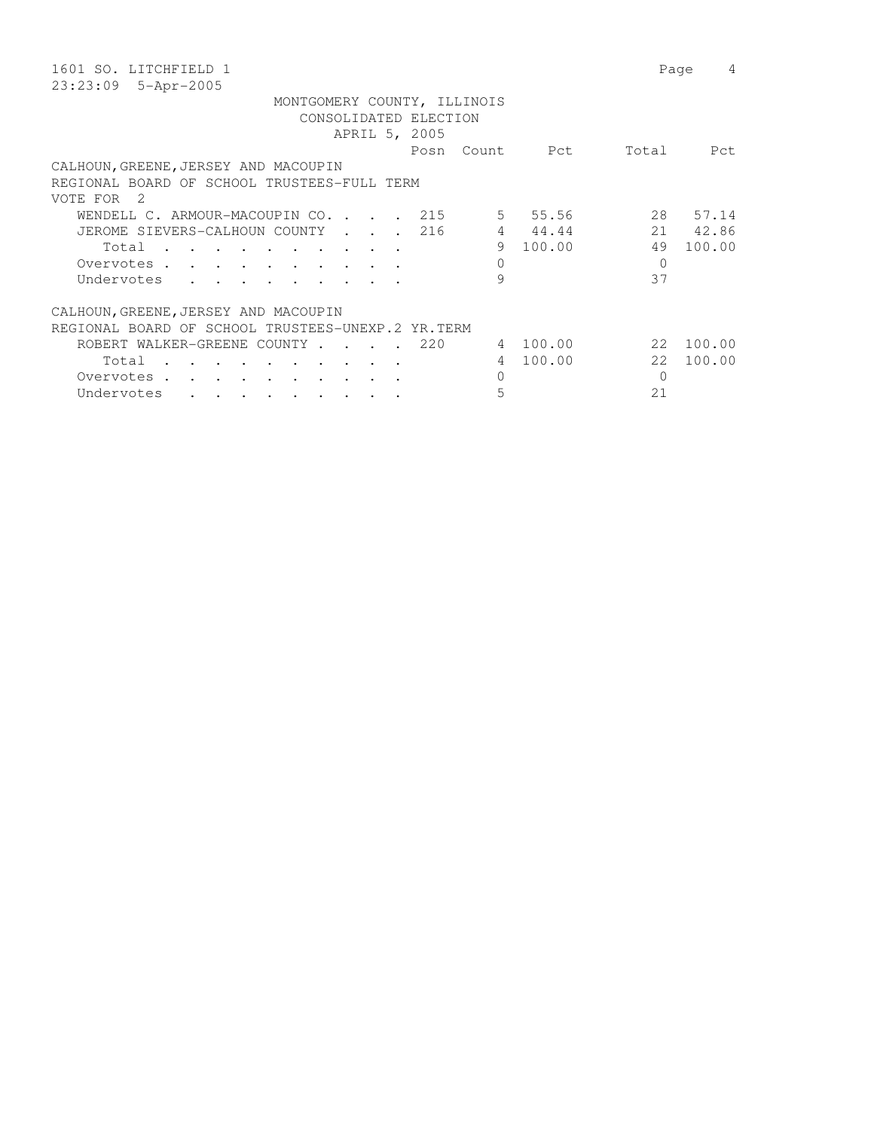| 1601 SO. LITCHFIELD 1                                                                                                                                                                                                                                        | 4<br>Page     |
|--------------------------------------------------------------------------------------------------------------------------------------------------------------------------------------------------------------------------------------------------------------|---------------|
| 23:23:09<br>5-Apr-2005                                                                                                                                                                                                                                       |               |
| MONTGOMERY COUNTY, ILLINOIS                                                                                                                                                                                                                                  |               |
| CONSOLIDATED ELECTION                                                                                                                                                                                                                                        |               |
| APRIL 5, 2005                                                                                                                                                                                                                                                |               |
| Posn<br>Count.<br>Pct                                                                                                                                                                                                                                        | Total<br>Pct. |
| CALHOUN, GREENE, JERSEY AND MACOUPIN                                                                                                                                                                                                                         |               |
| REGIONAL BOARD OF SCHOOL TRUSTEES-FULL TERM                                                                                                                                                                                                                  |               |
| VOTE FOR<br>2                                                                                                                                                                                                                                                |               |
| 55.56<br>WENDELL C. ARMOUR-MACOUPIN CO. .<br>215<br>$5 -$<br>$\sim$ $\sim$<br>$\sim$                                                                                                                                                                         | 28<br>57.14   |
| 216<br>$\overline{4}$<br>44.44<br>JEROME SIEVERS-CALHOUN COUNTY                                                                                                                                                                                              | 21<br>42.86   |
| 100.00<br>9<br>Total                                                                                                                                                                                                                                         | 49<br>100.00  |
| $\Omega$<br>Overvotes .<br>$\mathbf{r}$ . The contract of the contract of the contract of the contract of the contract of the contract of the contract of the contract of the contract of the contract of the contract of the contract of the contract of th | $\Omega$      |
| 9<br>Undervotes<br>$\cdot$ $\cdot$ $\cdot$                                                                                                                                                                                                                   | 37            |
|                                                                                                                                                                                                                                                              |               |
| CALHOUN, GREENE, JERSEY AND MACOUPIN                                                                                                                                                                                                                         |               |
| REGIONAL BOARD OF SCHOOL TRUSTEES-UNEXP.2 YR.TERM                                                                                                                                                                                                            |               |
| 100.00<br>ROBERT WALKER-GREENE COUNTY<br>220<br>4                                                                                                                                                                                                            | 2.2<br>100.00 |
| 100.00<br>Total<br>4                                                                                                                                                                                                                                         | 22<br>100.00  |
| 0<br>Overvotes.                                                                                                                                                                                                                                              | $\Omega$      |
| 5<br>Undervotes                                                                                                                                                                                                                                              | 21            |
|                                                                                                                                                                                                                                                              |               |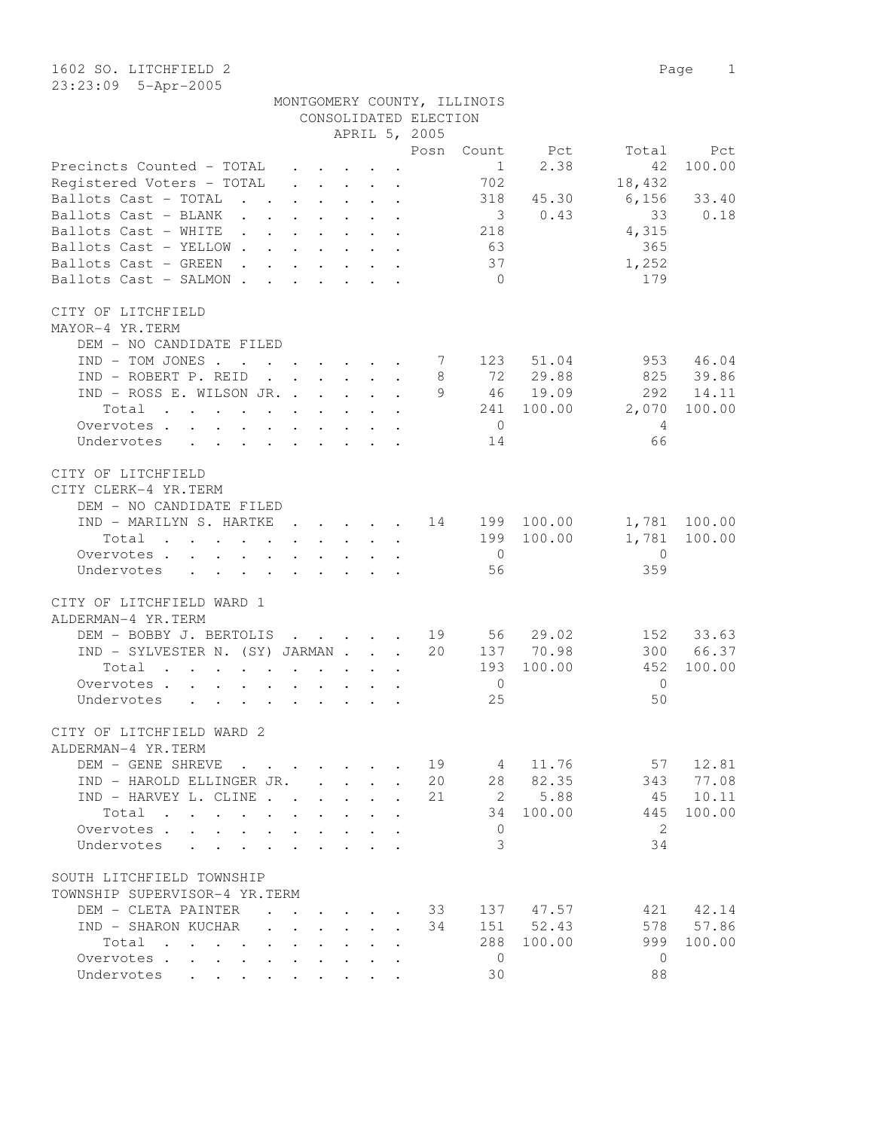| MONTGOMERY COUNTY, ILLINOIS |  |
|-----------------------------|--|
| CONSOLIDATED ELECTION       |  |

|                                                                                                                                                                                                                                                |              |                                         |                      | APRIL 5, 2005 |                         |                                                             |                                     |              |
|------------------------------------------------------------------------------------------------------------------------------------------------------------------------------------------------------------------------------------------------|--------------|-----------------------------------------|----------------------|---------------|-------------------------|-------------------------------------------------------------|-------------------------------------|--------------|
|                                                                                                                                                                                                                                                |              |                                         |                      | Posn          | Count                   | Pct                                                         | Total                               | Pct          |
| Precincts Counted - TOTAL                                                                                                                                                                                                                      |              |                                         |                      |               | $\frac{1}{2}$           | 2.38                                                        | 42                                  | 100.00       |
| Registered Voters - TOTAL                                                                                                                                                                                                                      | $\cdot$      |                                         |                      |               | 702                     |                                                             | 18,432                              |              |
| Ballots Cast - TOTAL                                                                                                                                                                                                                           |              |                                         |                      |               |                         | 318 45.30                                                   | 6,156                               | 33.40        |
| Ballots Cast - BLANK                                                                                                                                                                                                                           |              |                                         |                      |               | $\overline{\mathbf{3}}$ | 0.43                                                        | 33                                  | 0.18         |
| Ballots Cast - WHITE 218                                                                                                                                                                                                                       |              |                                         |                      |               |                         |                                                             | 4,315                               |              |
| Ballots Cast - YELLOW                                                                                                                                                                                                                          |              |                                         |                      |               | 63                      |                                                             | 365                                 |              |
| Ballots Cast - GREEN                                                                                                                                                                                                                           |              |                                         |                      |               | 37                      |                                                             | 1,252                               |              |
| Ballots Cast - SALMON                                                                                                                                                                                                                          |              |                                         |                      |               | $\bigcirc$              |                                                             | 179                                 |              |
| CITY OF LITCHFIELD                                                                                                                                                                                                                             |              |                                         |                      |               |                         |                                                             |                                     |              |
| MAYOR-4 YR.TERM                                                                                                                                                                                                                                |              |                                         |                      |               |                         |                                                             |                                     |              |
| DEM - NO CANDIDATE FILED                                                                                                                                                                                                                       |              |                                         |                      |               |                         |                                                             |                                     |              |
| $IND - TOM JONES 7 123$                                                                                                                                                                                                                        |              |                                         |                      |               |                         | 51.04                                                       |                                     | 953 46.04    |
| $IND - ROBERT P. REID$                                                                                                                                                                                                                         |              |                                         |                      | 8             |                         | 72 29.88                                                    |                                     | 825 39.86    |
| IND - ROSS E. WILSON JR.                                                                                                                                                                                                                       |              |                                         |                      |               |                         | 9 46 19.09                                                  | 292                                 | 14.11        |
| Total<br>$\mathbf{r}$ , and $\mathbf{r}$ , and $\mathbf{r}$ , and $\mathbf{r}$ , and $\mathbf{r}$                                                                                                                                              |              |                                         |                      |               |                         | 241 100.00                                                  | 2,070                               | 100.00       |
| Overvotes                                                                                                                                                                                                                                      |              |                                         |                      |               | $\overline{0}$          |                                                             | $\overline{4}$                      |              |
| Undervotes                                                                                                                                                                                                                                     |              |                                         |                      |               | 14                      |                                                             | 66                                  |              |
| CITY OF LITCHFIELD                                                                                                                                                                                                                             |              |                                         |                      |               |                         |                                                             |                                     |              |
| CITY CLERK-4 YR.TERM                                                                                                                                                                                                                           |              |                                         |                      |               |                         |                                                             |                                     |              |
| DEM - NO CANDIDATE FILED                                                                                                                                                                                                                       |              |                                         |                      |               |                         |                                                             |                                     |              |
| IND - MARILYN S. HARTKE 14 199 100.00                                                                                                                                                                                                          |              |                                         |                      |               |                         |                                                             |                                     | 1,781 100.00 |
| Total<br>$\mathbf{a}$ and $\mathbf{a}$ are a set of the set of the set of the set of the set of the set of the set of the set of the set of the set of the set of the set of the set of the set of the set of the set of the set of the set of |              |                                         |                      |               |                         | 199 100.00                                                  |                                     | 1,781 100.00 |
| Overvotes.                                                                                                                                                                                                                                     |              |                                         |                      |               | $\overline{0}$          |                                                             | $\overline{0}$                      |              |
| Undervotes                                                                                                                                                                                                                                     |              |                                         |                      |               | 56                      |                                                             | 359                                 |              |
| CITY OF LITCHFIELD WARD 1                                                                                                                                                                                                                      |              |                                         |                      |               |                         |                                                             |                                     |              |
| ALDERMAN-4 YR.TERM                                                                                                                                                                                                                             |              |                                         |                      |               |                         |                                                             |                                     |              |
| DEM - BOBBY J. BERTOLIS                                                                                                                                                                                                                        |              |                                         |                      |               |                         | $\cdot$ $\cdot$ $\cdot$ $\cdot$ $\cdot$ $\cdot$ 19 56 29.02 |                                     | 152 33.63    |
| IND - SYLVESTER N. (SY) JARMAN                                                                                                                                                                                                                 |              |                                         |                      | 20            |                         | 137 70.98                                                   |                                     | 300 66.37    |
| Total                                                                                                                                                                                                                                          |              |                                         |                      |               | 193                     | 100.00                                                      | 452                                 | 100.00       |
| Overvotes.                                                                                                                                                                                                                                     |              |                                         |                      |               | $\overline{0}$          |                                                             | $\overline{0}$                      |              |
| Undervotes                                                                                                                                                                                                                                     |              |                                         |                      |               | 25                      |                                                             | 50                                  |              |
| CITY OF LITCHFIELD WARD 2                                                                                                                                                                                                                      |              |                                         |                      |               |                         |                                                             |                                     |              |
| ALDERMAN-4 YR.TERM                                                                                                                                                                                                                             |              |                                         |                      |               |                         |                                                             |                                     |              |
| DEM - GENE SHREVE                                                                                                                                                                                                                              |              |                                         |                      |               |                         |                                                             | $\cdot$ $\cdot$ 19 4 11.76 57 12.81 |              |
| IND - HAROLD ELLINGER JR.                                                                                                                                                                                                                      |              |                                         |                      | 20            |                         | 28 82.35                                                    | 343                                 | 77.08        |
| IND - HARVEY L. CLINE                                                                                                                                                                                                                          |              |                                         |                      | 21            | $\overline{2}$          | 5.88                                                        |                                     | 45 10.11     |
| Total                                                                                                                                                                                                                                          |              |                                         |                      |               | 34                      | 100.00                                                      | 445                                 | 100.00       |
| Overvotes                                                                                                                                                                                                                                      |              |                                         | $\ddot{\phantom{a}}$ |               | $\mathbf{0}$            |                                                             | 2                                   |              |
| Undervotes                                                                                                                                                                                                                                     |              |                                         |                      |               | 3                       |                                                             | 34                                  |              |
|                                                                                                                                                                                                                                                |              |                                         |                      |               |                         |                                                             |                                     |              |
| SOUTH LITCHFIELD TOWNSHIP                                                                                                                                                                                                                      |              |                                         |                      |               |                         |                                                             |                                     |              |
| TOWNSHIP SUPERVISOR-4 YR.TERM                                                                                                                                                                                                                  |              |                                         |                      |               |                         |                                                             |                                     |              |
| DEM - CLETA PAINTER                                                                                                                                                                                                                            |              |                                         |                      | 33            |                         | 137 47.57                                                   |                                     | 421 42.14    |
| IND - SHARON KUCHAR<br>$\sim$                                                                                                                                                                                                                  | $\mathbf{L}$ | $\cdot$ $\cdot$ $\cdot$ $\cdot$ $\cdot$ |                      | 34            |                         | 151 52.43                                                   | 578                                 | 57.86        |
| Total                                                                                                                                                                                                                                          |              |                                         | $\ddot{\phantom{a}}$ |               | 288                     | 100.00                                                      | 999                                 | 100.00       |
| Overvotes.                                                                                                                                                                                                                                     |              |                                         | $\ddot{\phantom{a}}$ |               | $\overline{0}$          |                                                             | $\mathbf{0}$                        |              |
| Undervotes                                                                                                                                                                                                                                     |              |                                         |                      |               | 30                      |                                                             | 88                                  |              |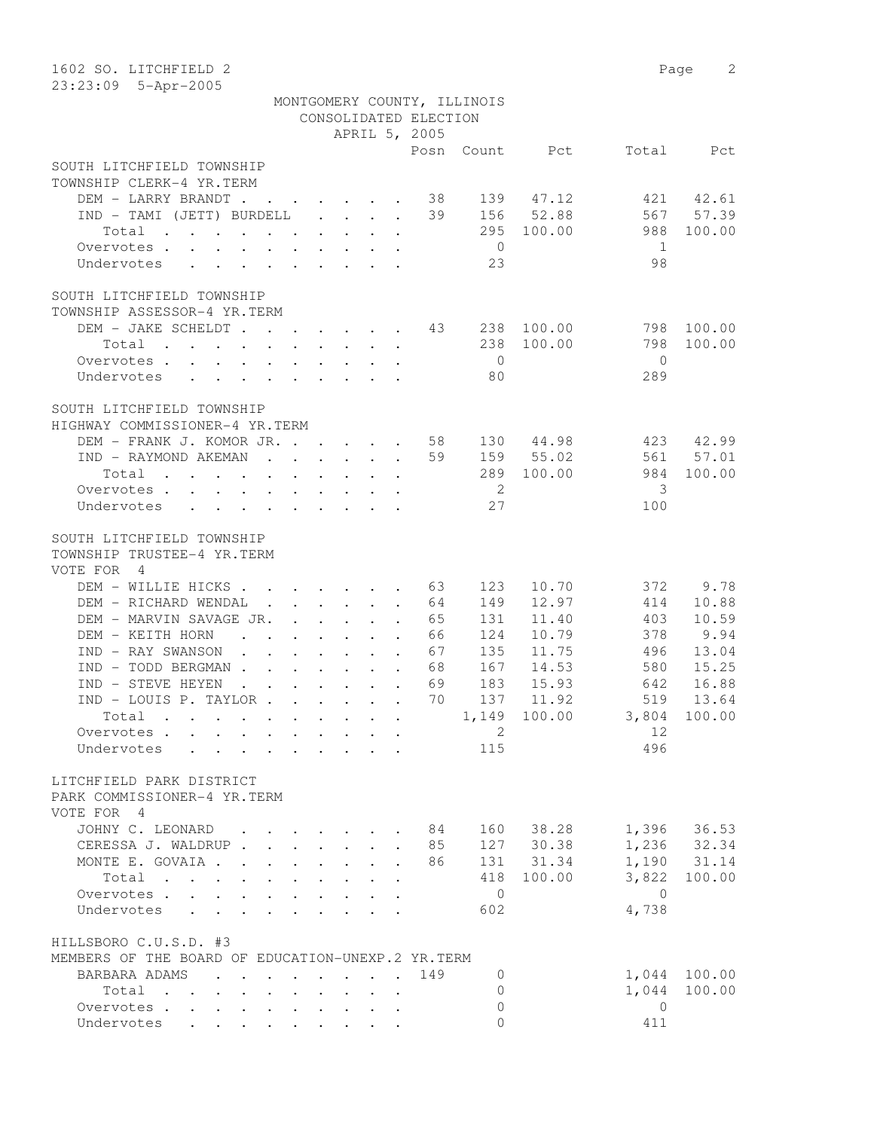| 1602 SO. LITCHFIELD 2                                                                                        |                                                                                                                                                         |                           |        |                                                                  |                            |                             |              |                | 2<br>Page   |
|--------------------------------------------------------------------------------------------------------------|---------------------------------------------------------------------------------------------------------------------------------------------------------|---------------------------|--------|------------------------------------------------------------------|----------------------------|-----------------------------|--------------|----------------|-------------|
| 23:23:09 5-Apr-2005                                                                                          |                                                                                                                                                         |                           |        |                                                                  |                            |                             |              |                |             |
|                                                                                                              |                                                                                                                                                         |                           |        |                                                                  |                            | MONTGOMERY COUNTY, ILLINOIS |              |                |             |
|                                                                                                              |                                                                                                                                                         |                           |        |                                                                  | CONSOLIDATED ELECTION      |                             |              |                |             |
|                                                                                                              |                                                                                                                                                         |                           |        |                                                                  | APRIL 5, 2005              |                             |              |                |             |
|                                                                                                              |                                                                                                                                                         |                           |        |                                                                  | Posn                       |                             | Count Pct    | Total          | Pct         |
| SOUTH LITCHFIELD TOWNSHIP                                                                                    |                                                                                                                                                         |                           |        |                                                                  |                            |                             |              |                |             |
| TOWNSHIP CLERK-4 YR.TERM                                                                                     |                                                                                                                                                         |                           |        |                                                                  |                            |                             |              |                |             |
| DEM - LARRY BRANDT                                                                                           |                                                                                                                                                         |                           |        |                                                                  | 38                         | 139                         | 47.12        | 421            | 42.61       |
| $IND - TAMI (JETT) BURDELL $                                                                                 |                                                                                                                                                         |                           |        |                                                                  | 39                         | 156                         | 52.88        | 567            | 57.39       |
| Total                                                                                                        |                                                                                                                                                         |                           |        |                                                                  |                            | 295                         | 100.00       | 988            | 100.00      |
| Overvotes.                                                                                                   |                                                                                                                                                         |                           |        |                                                                  |                            | $\overline{0}$              |              | 1              |             |
| Undervotes                                                                                                   |                                                                                                                                                         |                           |        |                                                                  |                            | 23                          |              | 98             |             |
| SOUTH LITCHFIELD TOWNSHIP                                                                                    |                                                                                                                                                         |                           |        |                                                                  |                            |                             |              |                |             |
| TOWNSHIP ASSESSOR-4 YR.TERM                                                                                  |                                                                                                                                                         |                           |        |                                                                  |                            |                             |              |                |             |
| DEM - JAKE SCHELDT 43                                                                                        |                                                                                                                                                         |                           |        |                                                                  |                            | 238                         | 100.00       | 798            | 100.00      |
| Total                                                                                                        |                                                                                                                                                         |                           |        |                                                                  |                            | 238                         | 100.00       | 798            | 100.00      |
| Overvotes                                                                                                    |                                                                                                                                                         |                           |        | $\mathbf{r} = \mathbf{r} + \mathbf{r} + \mathbf{r} + \mathbf{r}$ |                            | $\overline{0}$              |              | $\bigcirc$     |             |
|                                                                                                              |                                                                                                                                                         |                           |        |                                                                  |                            | 80                          |              | 289            |             |
| Undervotes<br>$\mathbf{r}$ , and $\mathbf{r}$ , and $\mathbf{r}$ , and $\mathbf{r}$                          |                                                                                                                                                         |                           |        |                                                                  |                            |                             |              |                |             |
| SOUTH LITCHFIELD TOWNSHIP                                                                                    |                                                                                                                                                         |                           |        |                                                                  |                            |                             |              |                |             |
| HIGHWAY COMMISSIONER-4 YR.TERM                                                                               |                                                                                                                                                         |                           |        |                                                                  |                            |                             |              |                |             |
| DEM - FRANK J. KOMOR JR.                                                                                     |                                                                                                                                                         |                           |        |                                                                  | 58                         |                             | 130 44.98    | 423            | 42.99       |
| IND - RAYMOND AKEMAN                                                                                         |                                                                                                                                                         |                           |        |                                                                  | 59                         |                             | 159 55.02    | 561            | 57.01       |
| Total                                                                                                        |                                                                                                                                                         |                           |        |                                                                  |                            |                             | 289 100.00   | 984            | 100.00      |
| Overvotes<br>$\ddot{\phantom{0}}$                                                                            | $\begin{array}{cccccccccccccc} \bullet & \bullet & \bullet & \bullet & \bullet & \bullet & \bullet & \bullet & \bullet & \bullet & \bullet \end{array}$ |                           |        |                                                                  |                            | $\overline{\phantom{0}}^2$  |              | 3              |             |
| Undervotes<br>$\cdot$ $\cdot$ $\cdot$ $\cdot$ $\cdot$                                                        |                                                                                                                                                         |                           |        | $\cdot$ $\cdot$ $\cdot$ $\cdot$ $\cdot$ $\cdot$                  |                            | 27                          |              | 100            |             |
|                                                                                                              |                                                                                                                                                         |                           |        |                                                                  |                            |                             |              |                |             |
| SOUTH LITCHFIELD TOWNSHIP                                                                                    |                                                                                                                                                         |                           |        |                                                                  |                            |                             |              |                |             |
| TOWNSHIP TRUSTEE-4 YR.TERM                                                                                   |                                                                                                                                                         |                           |        |                                                                  |                            |                             |              |                |             |
| VOTE FOR<br>$\overline{4}$                                                                                   |                                                                                                                                                         |                           |        |                                                                  |                            |                             |              |                |             |
| DEM - WILLIE HICKS                                                                                           |                                                                                                                                                         |                           |        |                                                                  | 63                         | 123                         | 10.70        | 372            | 9.78        |
| DEM - RICHARD WENDAL                                                                                         |                                                                                                                                                         |                           |        |                                                                  | 64                         | 149                         | 12.97        | 414            | 10.88       |
| DEM - MARVIN SAVAGE JR.                                                                                      |                                                                                                                                                         |                           |        |                                                                  | 65                         | 131                         | 11.40        | 403            | 10.59       |
| DEM - KEITH HORN<br>$\mathbf{r}$ , and $\mathbf{r}$ , and $\mathbf{r}$ , and $\mathbf{r}$                    |                                                                                                                                                         |                           |        |                                                                  | 66                         | 124                         | 10.79        | 378            | 9.94        |
| IND - RAY SWANSON                                                                                            | $\mathbf{r}$ , $\mathbf{r}$ , $\mathbf{r}$ , $\mathbf{r}$ , $\mathbf{r}$                                                                                |                           |        |                                                                  | 67                         | 135                         | 11.75        | 496            | 13.04       |
| IND - TODD BERGMAN                                                                                           |                                                                                                                                                         |                           |        |                                                                  | 68                         | 167                         | 14.53        | 580            | 15.25       |
| IND - STEVE HEYEN<br>$\mathbf{r}$ , $\mathbf{r}$ , $\mathbf{r}$ , $\mathbf{r}$ , $\mathbf{r}$ , $\mathbf{r}$ |                                                                                                                                                         |                           |        |                                                                  | 69                         | 183                         | 15.93        | 642            | 16.88       |
| IND - LOUIS P. TAYLOR                                                                                        |                                                                                                                                                         |                           |        |                                                                  | 70                         | 137                         | 11.92        | 519            | 13.64       |
| Total                                                                                                        |                                                                                                                                                         |                           |        |                                                                  |                            |                             | 1,149 100.00 |                | 100.00      |
| Overvotes                                                                                                    |                                                                                                                                                         |                           |        |                                                                  |                            | 2                           |              | 3,804<br>12    |             |
| Undervotes                                                                                                   |                                                                                                                                                         |                           |        |                                                                  |                            | 115                         |              | 496            |             |
| $\sim$                                                                                                       |                                                                                                                                                         |                           |        | $\cdots$                                                         |                            |                             |              |                |             |
| LITCHFIELD PARK DISTRICT                                                                                     |                                                                                                                                                         |                           |        |                                                                  |                            |                             |              |                |             |
| PARK COMMISSIONER-4 YR.TERM                                                                                  |                                                                                                                                                         |                           |        |                                                                  |                            |                             |              |                |             |
| VOTE FOR 4                                                                                                   |                                                                                                                                                         |                           |        |                                                                  |                            |                             |              |                |             |
| JOHNY C. LEONARD                                                                                             |                                                                                                                                                         |                           |        |                                                                  | - 84                       |                             | 160 38.28    |                | 1,396 36.53 |
| CERESSA J. WALDRUP.                                                                                          | $\mathbf{r}$ and $\mathbf{r}$ and $\mathbf{r}$                                                                                                          |                           |        | $\ddot{\phantom{0}}$                                             | 85<br>$\ddot{\phantom{a}}$ |                             | 127 30.38    |                | 1,236 32.34 |
| MONTE E. GOVAIA.<br>$\sim$ $\sim$                                                                            | $\cdot$ $\cdot$ $\cdot$                                                                                                                                 | $\mathbf{L}^{\text{max}}$ | $\sim$ | $\mathbb{Z}^{\mathbb{Z}^2}$                                      | 86<br>$\ddot{\phantom{a}}$ |                             | 131 31.34    |                | 1,190 31.14 |
| Total                                                                                                        | $\sim$                                                                                                                                                  | $\mathbf{L}$              |        |                                                                  |                            | 418                         | 100.00       | 3,822          | 100.00      |
| Overvotes<br>$\ddot{\phantom{0}}$                                                                            |                                                                                                                                                         |                           |        |                                                                  |                            | $\overline{0}$              |              | $\overline{0}$ |             |
| Undervotes<br>$\sim$                                                                                         |                                                                                                                                                         |                           |        |                                                                  |                            | 602                         |              | 4,738          |             |
|                                                                                                              |                                                                                                                                                         |                           |        |                                                                  |                            |                             |              |                |             |
| HILLSBORO C.U.S.D. #3                                                                                        |                                                                                                                                                         |                           |        |                                                                  |                            |                             |              |                |             |
| MEMBERS OF THE BOARD OF EDUCATION-UNEXP.2 YR.TERM                                                            |                                                                                                                                                         |                           |        |                                                                  |                            |                             |              |                |             |
| BARBARA ADAMS<br>$\mathbf{r}$ , $\mathbf{r}$ , $\mathbf{r}$ , $\mathbf{r}$ , $\mathbf{r}$ , $\mathbf{r}$     |                                                                                                                                                         |                           |        |                                                                  | 149                        | $\mathbf{0}$                |              | 1,044          | 100.00      |
| Total                                                                                                        |                                                                                                                                                         |                           |        |                                                                  |                            | $\mathbf{0}$                |              | 1,044          | 100.00      |
| Overvotes                                                                                                    |                                                                                                                                                         |                           |        |                                                                  |                            | $\mathbf{0}$                |              | $\mathbf{0}$   |             |
| Undervotes                                                                                                   |                                                                                                                                                         |                           |        |                                                                  |                            | $\Omega$                    |              | 411            |             |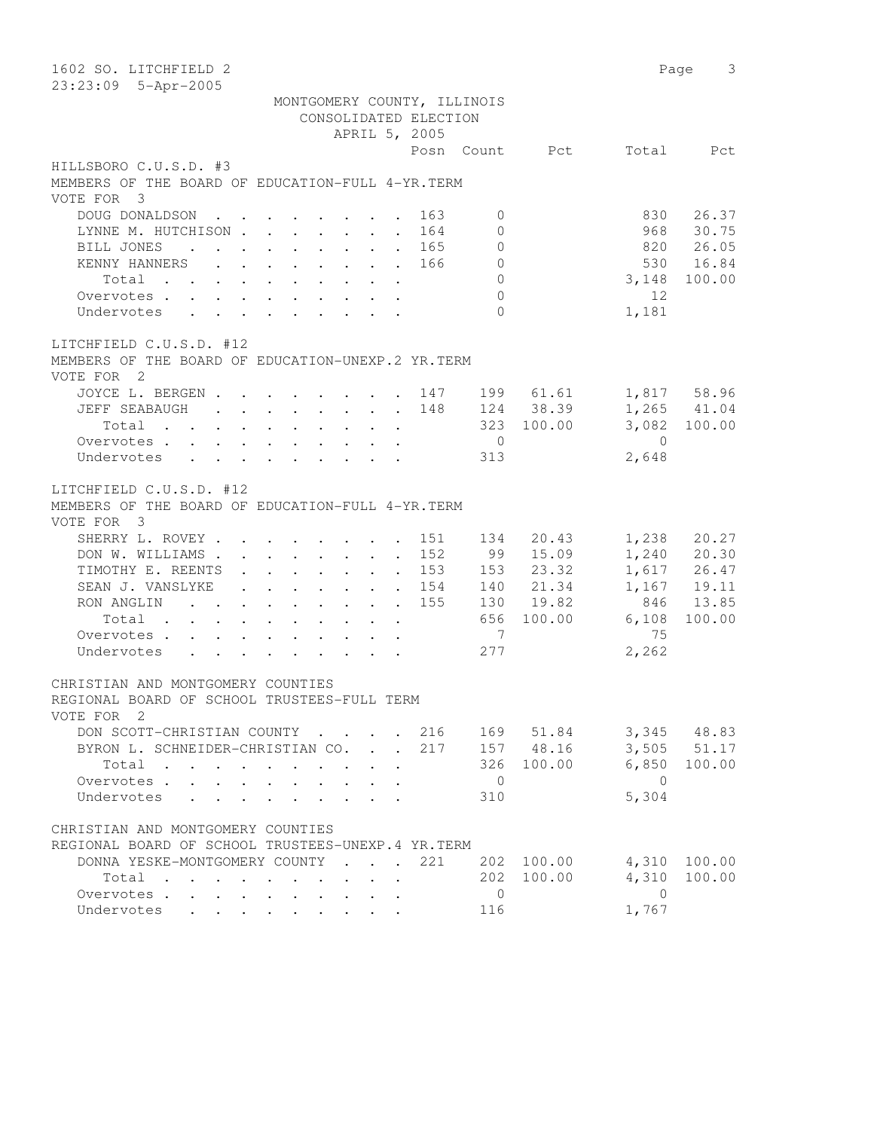| 1602 SO. LITCHFIELD 2<br>23:23:09 5-Apr-2005                    |                             |                                   |                             |                |                |                | 3<br>Page       |
|-----------------------------------------------------------------|-----------------------------|-----------------------------------|-----------------------------|----------------|----------------|----------------|-----------------|
|                                                                 | MONTGOMERY COUNTY, ILLINOIS |                                   |                             |                |                |                |                 |
|                                                                 |                             | CONSOLIDATED ELECTION             |                             |                |                |                |                 |
|                                                                 |                             | APRIL 5, 2005                     |                             |                |                |                |                 |
|                                                                 |                             |                                   |                             |                | Posn Count Pct | Total          | Pct             |
| HILLSBORO C.U.S.D. #3                                           |                             |                                   |                             |                |                |                |                 |
| MEMBERS OF THE BOARD OF EDUCATION-FULL 4-YR. TERM               |                             |                                   |                             |                |                |                |                 |
| VOTE FOR 3                                                      |                             |                                   |                             |                |                |                |                 |
| DOUG DONALDSON                                                  |                             |                                   | 163                         | $\mathbf{0}$   |                | 830            | 26.37           |
| LYNNE M. HUTCHISON                                              |                             |                                   | 164                         | $\Omega$       |                | 968            | 30.75           |
| BILL JONES                                                      |                             |                                   | 165<br>$\ddot{\phantom{0}}$ | $\mathbf{0}$   |                |                | 820 26.05       |
| KENNY HANNERS                                                   |                             |                                   | 166                         | $\overline{0}$ |                |                | 530 16.84       |
| Total                                                           |                             |                                   |                             | $\Omega$       |                | 3,148          | 100.00          |
| Overvotes                                                       |                             |                                   |                             | $\Omega$       |                | 12             |                 |
| Undervotes                                                      |                             |                                   |                             | $\Omega$       |                | 1,181          |                 |
| LITCHFIELD C.U.S.D. #12                                         |                             |                                   |                             |                |                |                |                 |
| MEMBERS OF THE BOARD OF EDUCATION-UNEXP.2 YR.TERM               |                             |                                   |                             |                |                |                |                 |
| VOTE FOR 2                                                      |                             |                                   |                             |                |                |                |                 |
| JOYCE L. BERGEN 147 199 61.61                                   |                             |                                   |                             |                |                |                | 1,817 58.96     |
| JEFF SEABAUGH                                                   |                             |                                   | 148                         |                | 124 38.39      |                | $1,265$ $41.04$ |
|                                                                 |                             |                                   |                             |                | 323 100.00     |                | 3,082 100.00    |
| Overvotes                                                       |                             |                                   |                             | $\overline{0}$ |                | $\overline{0}$ |                 |
| Undervotes                                                      |                             |                                   |                             | 313            |                | 2,648          |                 |
|                                                                 |                             |                                   |                             |                |                |                |                 |
| LITCHFIELD C.U.S.D. #12                                         |                             |                                   |                             |                |                |                |                 |
| MEMBERS OF THE BOARD OF EDUCATION-FULL 4-YR. TERM<br>VOTE FOR 3 |                             |                                   |                             |                |                |                |                 |
| SHERRY L. ROVEY                                                 |                             |                                   | 151                         | 134            | 20.43          | 1,238          | 20.27           |
| DON W. WILLIAMS                                                 |                             |                                   | 152                         | 99             | 15.09          |                | $1,240$ 20.30   |
| TIMOTHY E. REENTS                                               |                             |                                   | 153                         | 153            | 23.32          |                | 1,617 26.47     |
| SEAN J. VANSLYKE                                                |                             |                                   | 154                         |                | 140 21.34      | 1,167          | 19.11           |
| RON ANGLIN 155                                                  |                             |                                   |                             |                | 130 19.82      | 846            | 13.85           |
| Total                                                           |                             |                                   |                             |                | 656 100.00     | 6,108          | 100.00          |
| Overvotes                                                       |                             |                                   |                             | $\overline{7}$ |                | 75             |                 |
| Undervotes                                                      |                             |                                   |                             | 277            |                | 2,262          |                 |
| CHRISTIAN AND MONTGOMERY COUNTIES                               |                             |                                   |                             |                |                |                |                 |
| REGIONAL BOARD OF SCHOOL TRUSTEES-FULL TERM                     |                             |                                   |                             |                |                |                |                 |
| VOTE FOR 2                                                      |                             |                                   |                             |                |                |                |                 |
| DON SCOTT-CHRISTIAN COUNTY                                      |                             |                                   | 216<br>$\sim$               |                | 169 51.84      |                | 3,345 48.83     |
| BYRON L. SCHNEIDER-CHRISTIAN CO.                                |                             | $\mathcal{L}^{\text{max}}$        | 217                         |                | 157 48.16      | 3,505          | 51.17           |
| Total                                                           |                             |                                   |                             | 326            | 100.00         | 6,850          | 100.00          |
| Overvotes .<br>$\mathbf{L} = \mathbf{L}$                        |                             |                                   |                             | $\overline{0}$ |                | $\overline{0}$ |                 |
| Undervotes<br>$\mathbf{A}$                                      |                             |                                   |                             | 310            |                | 5,304          |                 |
|                                                                 |                             |                                   |                             |                |                |                |                 |
| CHRISTIAN AND MONTGOMERY COUNTIES                               |                             |                                   |                             |                |                |                |                 |
| REGIONAL BOARD OF SCHOOL TRUSTEES-UNEXP. 4 YR. TERM             |                             |                                   |                             |                |                |                |                 |
| DONNA YESKE-MONTGOMERY COUNTY                                   |                             | <b>Contract Contract Contract</b> | 221                         | 202            | 100.00         | 4,310          | 100.00          |
| Total<br>$\cdot$                                                |                             |                                   |                             | 202            | 100.00         | 4,310          | 100.00          |
| Overvotes.                                                      |                             |                                   |                             | $\mathbf 0$    |                | $\overline{0}$ |                 |
| Undervotes                                                      |                             |                                   |                             | 116            |                | 1,767          |                 |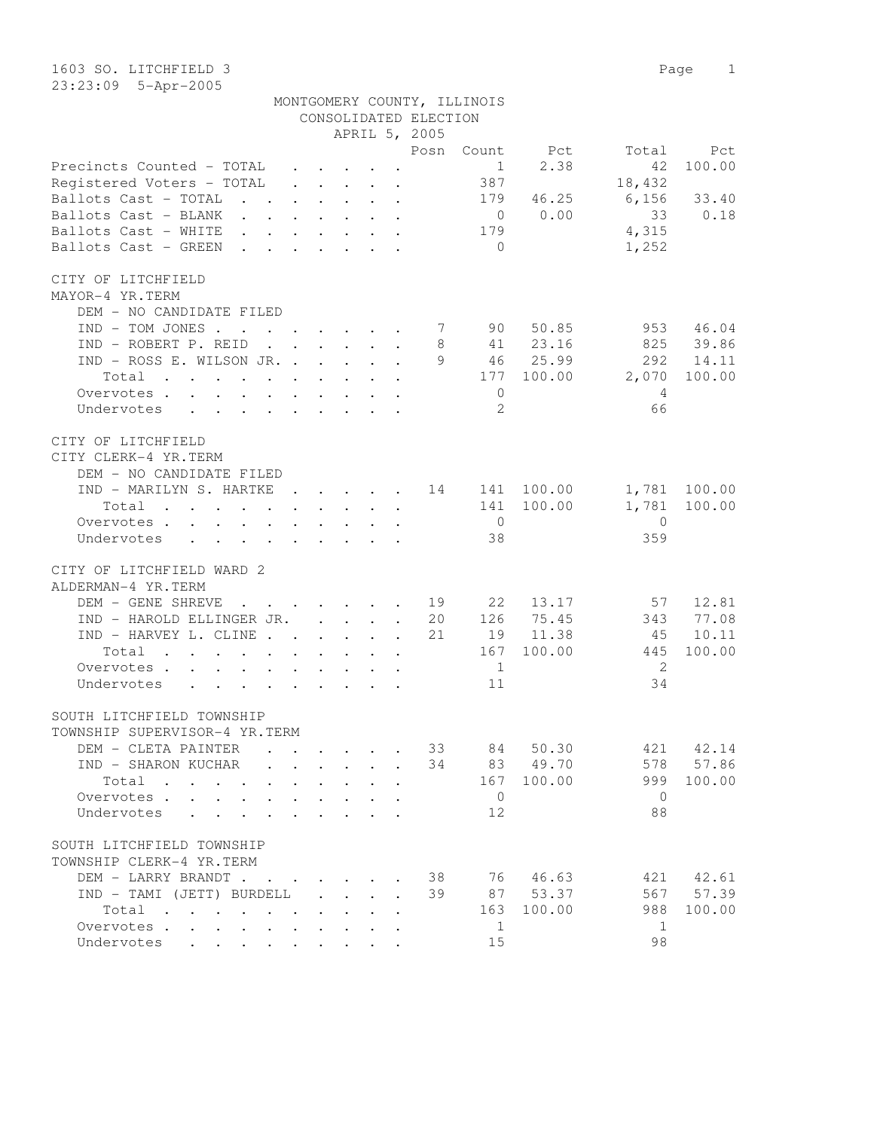1603 SO. LITCHFIELD 3 Page 1 23:23:09 5-Apr-2005

|                                                                                                                                                                                                                                                           |              |                                                           |                      |           |                                                                                                                                                                                                                                                                                                                                                                                                                                                                          | MONTGOMERY COUNTY, ILLINOIS |            |                |              |
|-----------------------------------------------------------------------------------------------------------------------------------------------------------------------------------------------------------------------------------------------------------|--------------|-----------------------------------------------------------|----------------------|-----------|--------------------------------------------------------------------------------------------------------------------------------------------------------------------------------------------------------------------------------------------------------------------------------------------------------------------------------------------------------------------------------------------------------------------------------------------------------------------------|-----------------------------|------------|----------------|--------------|
|                                                                                                                                                                                                                                                           |              |                                                           |                      |           | CONSOLIDATED ELECTION                                                                                                                                                                                                                                                                                                                                                                                                                                                    |                             |            |                |              |
|                                                                                                                                                                                                                                                           |              |                                                           |                      |           | APRIL 5, 2005                                                                                                                                                                                                                                                                                                                                                                                                                                                            |                             |            |                |              |
|                                                                                                                                                                                                                                                           |              |                                                           |                      |           | Posn                                                                                                                                                                                                                                                                                                                                                                                                                                                                     |                             | Count Pct  | Total          | Pct          |
| Precincts Counted - TOTAL                                                                                                                                                                                                                                 |              | $\mathbf{r}$ , $\mathbf{r}$ , $\mathbf{r}$ , $\mathbf{r}$ |                      |           |                                                                                                                                                                                                                                                                                                                                                                                                                                                                          | $\mathbf{1}$                | 2.38       | 42             | 100.00       |
| Registered Voters - TOTAL                                                                                                                                                                                                                                 |              |                                                           |                      |           | $\mathbf{r} = \mathbf{r} \times \mathbf{r} + \mathbf{r} \times \mathbf{r} + \mathbf{r} \times \mathbf{r} + \mathbf{r} \times \mathbf{r} + \mathbf{r} \times \mathbf{r} + \mathbf{r} \times \mathbf{r} + \mathbf{r} \times \mathbf{r} + \mathbf{r} \times \mathbf{r} + \mathbf{r} \times \mathbf{r} + \mathbf{r} \times \mathbf{r} + \mathbf{r} \times \mathbf{r} + \mathbf{r} \times \mathbf{r} + \mathbf{r} \times \mathbf{r} + \mathbf{r} \times \mathbf{r} + \mathbf$ | 387                         |            | 18,432         |              |
| Ballots Cast - TOTAL<br>$\mathcal{A}$ . The set of the set of the set of the $\mathcal{A}$                                                                                                                                                                |              |                                                           |                      |           |                                                                                                                                                                                                                                                                                                                                                                                                                                                                          | 179                         | 46.25      | 6,156          | 33.40        |
| Ballots Cast - BLANK                                                                                                                                                                                                                                      |              |                                                           |                      |           |                                                                                                                                                                                                                                                                                                                                                                                                                                                                          | $\overline{0}$              | 0.00       | 33             | 0.18         |
| Ballots Cast - WHITE                                                                                                                                                                                                                                      |              |                                                           |                      |           |                                                                                                                                                                                                                                                                                                                                                                                                                                                                          | 179                         |            | 4,315          |              |
| Ballots Cast - GREEN<br>$\mathbf{r}$ . The contract of the contract of the contract of the contract of the contract of the contract of the contract of the contract of the contract of the contract of the contract of the contract of the contract of th |              |                                                           |                      |           |                                                                                                                                                                                                                                                                                                                                                                                                                                                                          | $\bigcirc$                  |            | 1,252          |              |
| CITY OF LITCHFIELD                                                                                                                                                                                                                                        |              |                                                           |                      |           |                                                                                                                                                                                                                                                                                                                                                                                                                                                                          |                             |            |                |              |
| MAYOR-4 YR.TERM                                                                                                                                                                                                                                           |              |                                                           |                      |           |                                                                                                                                                                                                                                                                                                                                                                                                                                                                          |                             |            |                |              |
| DEM - NO CANDIDATE FILED                                                                                                                                                                                                                                  |              |                                                           |                      |           |                                                                                                                                                                                                                                                                                                                                                                                                                                                                          |                             |            |                |              |
| $IND - TOM JONES$                                                                                                                                                                                                                                         |              |                                                           |                      |           |                                                                                                                                                                                                                                                                                                                                                                                                                                                                          |                             | 90 50.85   | 953            | 46.04        |
| IND - ROBERT P. REID                                                                                                                                                                                                                                      |              |                                                           |                      | $\bullet$ | 8                                                                                                                                                                                                                                                                                                                                                                                                                                                                        |                             | 41 23.16   | 825            | 39.86        |
| IND - ROSS E. WILSON JR.                                                                                                                                                                                                                                  |              |                                                           |                      |           | 9                                                                                                                                                                                                                                                                                                                                                                                                                                                                        |                             | 46 25.99   | 292            | 14.11        |
| Total                                                                                                                                                                                                                                                     |              |                                                           |                      |           |                                                                                                                                                                                                                                                                                                                                                                                                                                                                          |                             | 177 100.00 | 2,070          | 100.00       |
| Overvotes.                                                                                                                                                                                                                                                |              |                                                           |                      |           |                                                                                                                                                                                                                                                                                                                                                                                                                                                                          | $\circ$                     |            | $\overline{4}$ |              |
| Undervotes                                                                                                                                                                                                                                                |              |                                                           |                      |           |                                                                                                                                                                                                                                                                                                                                                                                                                                                                          | 2                           |            | 66             |              |
|                                                                                                                                                                                                                                                           |              |                                                           |                      |           |                                                                                                                                                                                                                                                                                                                                                                                                                                                                          |                             |            |                |              |
| CITY OF LITCHFIELD                                                                                                                                                                                                                                        |              |                                                           |                      |           |                                                                                                                                                                                                                                                                                                                                                                                                                                                                          |                             |            |                |              |
| CITY CLERK-4 YR. TERM                                                                                                                                                                                                                                     |              |                                                           |                      |           |                                                                                                                                                                                                                                                                                                                                                                                                                                                                          |                             |            |                |              |
| DEM - NO CANDIDATE FILED                                                                                                                                                                                                                                  |              |                                                           |                      |           |                                                                                                                                                                                                                                                                                                                                                                                                                                                                          |                             |            |                |              |
| IND - MARILYN S. HARTKE 14 141 100.00                                                                                                                                                                                                                     |              |                                                           |                      |           |                                                                                                                                                                                                                                                                                                                                                                                                                                                                          |                             |            |                | 1,781 100.00 |
| Total<br>the contract of the contract of the contract of                                                                                                                                                                                                  |              |                                                           |                      |           |                                                                                                                                                                                                                                                                                                                                                                                                                                                                          | 141                         | 100.00     | 1,781          | 100.00       |
| Overvotes.                                                                                                                                                                                                                                                |              |                                                           |                      |           |                                                                                                                                                                                                                                                                                                                                                                                                                                                                          | $\overline{0}$              |            | $\overline{0}$ |              |
| Undervotes<br>$\mathbf{r}$ , and $\mathbf{r}$ , and $\mathbf{r}$ , and $\mathbf{r}$                                                                                                                                                                       |              |                                                           |                      |           |                                                                                                                                                                                                                                                                                                                                                                                                                                                                          | 38                          |            | 359            |              |
|                                                                                                                                                                                                                                                           |              |                                                           |                      |           |                                                                                                                                                                                                                                                                                                                                                                                                                                                                          |                             |            |                |              |
| CITY OF LITCHFIELD WARD 2                                                                                                                                                                                                                                 |              |                                                           |                      |           |                                                                                                                                                                                                                                                                                                                                                                                                                                                                          |                             |            |                |              |
| ALDERMAN-4 YR.TERM                                                                                                                                                                                                                                        |              |                                                           |                      |           |                                                                                                                                                                                                                                                                                                                                                                                                                                                                          |                             |            |                |              |
| DEM - GENE SHREVE 19                                                                                                                                                                                                                                      |              |                                                           |                      |           |                                                                                                                                                                                                                                                                                                                                                                                                                                                                          | 22                          | 13.17      | 57             | 12.81        |
| IND - HAROLD ELLINGER JR.                                                                                                                                                                                                                                 |              |                                                           |                      |           | 20                                                                                                                                                                                                                                                                                                                                                                                                                                                                       | 126                         | 75.45      | 343            | 77.08        |
| IND - HARVEY L. CLINE                                                                                                                                                                                                                                     |              |                                                           |                      |           | 21                                                                                                                                                                                                                                                                                                                                                                                                                                                                       |                             | 19 11.38   | 45             | 10.11        |
| Total<br>the contract of the contract of the contract of the contract of the contract of the contract of the contract of                                                                                                                                  |              |                                                           |                      |           |                                                                                                                                                                                                                                                                                                                                                                                                                                                                          | 167                         | 100.00     | 445            | 100.00       |
| Overvotes                                                                                                                                                                                                                                                 |              |                                                           |                      |           |                                                                                                                                                                                                                                                                                                                                                                                                                                                                          | $\mathbf{1}$                |            | -2             |              |
| Undervotes<br>$\mathbf{r}$ , and $\mathbf{r}$ , and $\mathbf{r}$ , and $\mathbf{r}$ , and $\mathbf{r}$                                                                                                                                                    |              |                                                           |                      |           |                                                                                                                                                                                                                                                                                                                                                                                                                                                                          | 11                          |            | 34             |              |
| SOUTH LITCHFIELD TOWNSHIP                                                                                                                                                                                                                                 |              |                                                           |                      |           |                                                                                                                                                                                                                                                                                                                                                                                                                                                                          |                             |            |                |              |
| TOWNSHIP SUPERVISOR-4 YR.TERM                                                                                                                                                                                                                             |              |                                                           |                      |           |                                                                                                                                                                                                                                                                                                                                                                                                                                                                          |                             |            |                |              |
| DEM - CLETA PAINTER                                                                                                                                                                                                                                       |              |                                                           |                      |           | 33                                                                                                                                                                                                                                                                                                                                                                                                                                                                       | 84                          | 50.30      | 421            | 42.14        |
| IND - SHARON KUCHAR                                                                                                                                                                                                                                       |              |                                                           |                      |           | 34                                                                                                                                                                                                                                                                                                                                                                                                                                                                       | 83                          | 49.70      | 578            | 57.86        |
| Total<br>$\sim$<br>$\mathbf{r}$ . The set of $\mathbf{r}$<br>$\sim$                                                                                                                                                                                       |              |                                                           |                      |           |                                                                                                                                                                                                                                                                                                                                                                                                                                                                          | 167                         | 100.00     | 999            | 100.00       |
| Overvotes .                                                                                                                                                                                                                                               |              |                                                           |                      |           |                                                                                                                                                                                                                                                                                                                                                                                                                                                                          | $\overline{0}$              |            | $\overline{0}$ |              |
| Undervotes                                                                                                                                                                                                                                                |              |                                                           |                      |           |                                                                                                                                                                                                                                                                                                                                                                                                                                                                          | 12                          |            | 88             |              |
|                                                                                                                                                                                                                                                           |              |                                                           |                      |           |                                                                                                                                                                                                                                                                                                                                                                                                                                                                          |                             |            |                |              |
| SOUTH LITCHFIELD TOWNSHIP                                                                                                                                                                                                                                 |              |                                                           |                      |           |                                                                                                                                                                                                                                                                                                                                                                                                                                                                          |                             |            |                |              |
| TOWNSHIP CLERK-4 YR.TERM                                                                                                                                                                                                                                  |              |                                                           |                      |           |                                                                                                                                                                                                                                                                                                                                                                                                                                                                          |                             |            |                |              |
| DEM - LARRY BRANDT                                                                                                                                                                                                                                        |              |                                                           |                      |           | 38                                                                                                                                                                                                                                                                                                                                                                                                                                                                       | 76 —                        | 46.63      | 421            | 42.61        |
| IND - TAMI (JETT) BURDELL                                                                                                                                                                                                                                 | $\mathbf{L}$ | $\mathbf{L}$                                              | $\ddot{\phantom{0}}$ | $\cdot$   | 39                                                                                                                                                                                                                                                                                                                                                                                                                                                                       | 87                          | 53.37      | 567            | 57.39        |
| Total                                                                                                                                                                                                                                                     |              |                                                           |                      |           |                                                                                                                                                                                                                                                                                                                                                                                                                                                                          | 163                         | 100.00     | 988            | 100.00       |

Overvotes . . . . . . . . . . . . 1 1 1 1 1 Undervotes . . . . . . . . . 15 98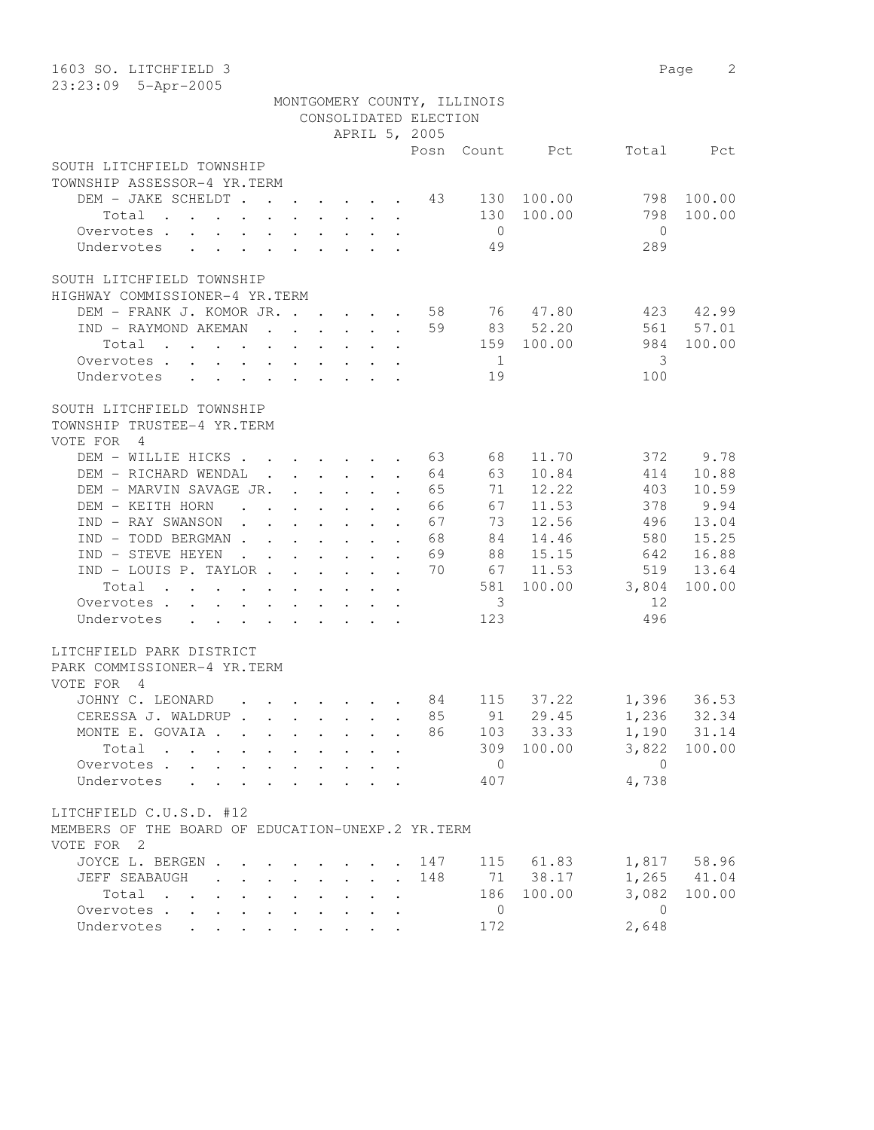| 1603 SO. LITCHFIELD 3                                                                                                                                                                                                                           |                            |                            |                                                                          |                           |                       |                             |            |              | 2<br>Page       |
|-------------------------------------------------------------------------------------------------------------------------------------------------------------------------------------------------------------------------------------------------|----------------------------|----------------------------|--------------------------------------------------------------------------|---------------------------|-----------------------|-----------------------------|------------|--------------|-----------------|
| 23:23:09 5-Apr-2005                                                                                                                                                                                                                             |                            |                            |                                                                          |                           |                       |                             |            |              |                 |
|                                                                                                                                                                                                                                                 |                            |                            |                                                                          |                           |                       | MONTGOMERY COUNTY, ILLINOIS |            |              |                 |
|                                                                                                                                                                                                                                                 |                            |                            |                                                                          |                           | CONSOLIDATED ELECTION |                             |            |              |                 |
|                                                                                                                                                                                                                                                 |                            |                            |                                                                          |                           | APRIL 5, 2005         |                             |            |              |                 |
|                                                                                                                                                                                                                                                 |                            |                            |                                                                          |                           | Posn                  |                             | Count Pct  | Total        | Pct             |
| SOUTH LITCHFIELD TOWNSHIP                                                                                                                                                                                                                       |                            |                            |                                                                          |                           |                       |                             |            |              |                 |
| TOWNSHIP ASSESSOR-4 YR.TERM                                                                                                                                                                                                                     |                            |                            |                                                                          |                           |                       |                             |            |              |                 |
| DEM - JAKE SCHELDT 43                                                                                                                                                                                                                           |                            |                            |                                                                          |                           |                       |                             | 130 100.00 | 798          | 100.00          |
| Total                                                                                                                                                                                                                                           |                            |                            |                                                                          | $\ddot{\phantom{a}}$      |                       | 130                         | 100.00     | 798          | 100.00          |
| Overvotes                                                                                                                                                                                                                                       |                            |                            |                                                                          |                           |                       | $\overline{0}$              |            | $\Omega$     |                 |
| Undervotes                                                                                                                                                                                                                                      |                            |                            |                                                                          |                           |                       | 49                          |            | 289          |                 |
|                                                                                                                                                                                                                                                 |                            |                            |                                                                          |                           |                       |                             |            |              |                 |
| SOUTH LITCHFIELD TOWNSHIP                                                                                                                                                                                                                       |                            |                            |                                                                          |                           |                       |                             |            |              |                 |
| HIGHWAY COMMISSIONER-4 YR.TERM                                                                                                                                                                                                                  |                            |                            |                                                                          |                           |                       |                             |            |              |                 |
| DEM - FRANK J. KOMOR JR.                                                                                                                                                                                                                        |                            |                            |                                                                          |                           | 58                    |                             | 76 47.80   | 423          | 42.99           |
| IND - RAYMOND AKEMAN                                                                                                                                                                                                                            |                            |                            | $\mathbf{r}$ , $\mathbf{r}$ , $\mathbf{r}$ , $\mathbf{r}$ , $\mathbf{r}$ |                           | 59                    |                             | 83 52.20   | 561          | 57.01           |
| Total                                                                                                                                                                                                                                           |                            |                            |                                                                          |                           |                       |                             | 159 100.00 | 984          | 100.00          |
| Overvotes                                                                                                                                                                                                                                       |                            |                            |                                                                          |                           |                       | $\overline{1}$              |            | 3            |                 |
| Undervotes                                                                                                                                                                                                                                      |                            |                            |                                                                          |                           |                       | 19                          |            | 100          |                 |
|                                                                                                                                                                                                                                                 |                            |                            |                                                                          |                           |                       |                             |            |              |                 |
| SOUTH LITCHFIELD TOWNSHIP                                                                                                                                                                                                                       |                            |                            |                                                                          |                           |                       |                             |            |              |                 |
| TOWNSHIP TRUSTEE-4 YR.TERM                                                                                                                                                                                                                      |                            |                            |                                                                          |                           |                       |                             |            |              |                 |
| VOTE FOR 4                                                                                                                                                                                                                                      |                            |                            |                                                                          |                           |                       |                             |            |              |                 |
| DEM - WILLIE HICKS                                                                                                                                                                                                                              |                            |                            |                                                                          |                           | 63                    | 68                          | 11.70      | 372          | 9.78            |
| DEM - RICHARD WENDAL .                                                                                                                                                                                                                          |                            |                            | $\cdot$ $\cdot$ $\cdot$ $\cdot$                                          | $\ddot{\phantom{a}}$      | 64                    | 63                          | 10.84      | 414          | 10.88           |
| DEM - MARVIN SAVAGE JR.                                                                                                                                                                                                                         |                            |                            |                                                                          |                           | 65                    | 71                          | 12.22      | 403          | 10.59           |
| DEM - KEITH HORN                                                                                                                                                                                                                                |                            |                            |                                                                          | $\ddot{\phantom{a}}$      | 66                    | 67                          | 11.53      | 378          | 9.94            |
| IND - RAY SWANSON<br>$\mathbf{r}$ , $\mathbf{r}$ , $\mathbf{r}$ , $\mathbf{r}$ , $\mathbf{r}$                                                                                                                                                   |                            |                            |                                                                          | $\ddot{\phantom{a}}$      | 67                    | 73                          | 12.56      | 496          | 13.04           |
| $IND - TOD BERGMAN$                                                                                                                                                                                                                             |                            |                            |                                                                          | $\ddot{\phantom{a}}$      | 68                    | 84                          | 14.46      | 580          | 15.25           |
| IND - STEVE HEYEN<br>$\mathbf{r}$ , $\mathbf{r}$ , $\mathbf{r}$ , $\mathbf{r}$ , $\mathbf{r}$ , $\mathbf{r}$                                                                                                                                    |                            |                            |                                                                          |                           | 69                    | 88                          | 15.15      | 642          | 16.88           |
| IND - LOUIS P. TAYLOR                                                                                                                                                                                                                           |                            |                            |                                                                          |                           | 70                    | 67                          | 11.53      | 519          | 13.64           |
| Total                                                                                                                                                                                                                                           |                            |                            |                                                                          |                           |                       | 581                         | 100.00     | 3,804        | 100.00          |
| Overvotes                                                                                                                                                                                                                                       |                            |                            |                                                                          |                           |                       | 3                           |            | 12           |                 |
| Undervotes<br>$\mathbf{r}$ . The contract of the contract of the contract of the contract of the contract of the contract of the contract of the contract of the contract of the contract of the contract of the contract of the contract of th |                            |                            |                                                                          |                           |                       | 123                         |            | 496          |                 |
|                                                                                                                                                                                                                                                 |                            |                            |                                                                          |                           |                       |                             |            |              |                 |
| LITCHFIELD PARK DISTRICT                                                                                                                                                                                                                        |                            |                            |                                                                          |                           |                       |                             |            |              |                 |
| PARK COMMISSIONER-4 YR.TERM                                                                                                                                                                                                                     |                            |                            |                                                                          |                           |                       |                             |            |              |                 |
| VOTE FOR<br>4                                                                                                                                                                                                                                   |                            |                            |                                                                          |                           |                       |                             |            |              |                 |
| JOHNY C. LEONARD 84                                                                                                                                                                                                                             |                            |                            |                                                                          |                           |                       | 115                         | 37.22      |              | 1,396 36.53     |
| CERESSA J. WALDRUP                                                                                                                                                                                                                              |                            |                            |                                                                          |                           | 85                    | 91                          | 29.45      | 1,236        | 32.34           |
| MONTE E. GOVAIA                                                                                                                                                                                                                                 |                            | $\sim$ $-$                 | $\mathbf{L} = \mathbf{L} \times \mathbf{L}$                              | $\ddot{\phantom{a}}$      | 86                    | 103                         | 33.33      |              | 1,190 31.14     |
| Total                                                                                                                                                                                                                                           |                            | $\mathbf{L}$               | $\cdot$ $\cdot$ $\cdot$                                                  |                           |                       | 309                         | 100.00     | 3,822        | 100.00          |
| Overvotes                                                                                                                                                                                                                                       | $\mathcal{L}^{\text{max}}$ | $\mathbf{L}$               |                                                                          |                           |                       | $\overline{0}$              |            | $\bigcirc$   |                 |
| Undervotes<br>$\mathbf{r} = \mathbf{r} + \mathbf{r}$                                                                                                                                                                                            |                            |                            |                                                                          |                           |                       | 407                         |            | 4,738        |                 |
|                                                                                                                                                                                                                                                 |                            |                            |                                                                          |                           |                       |                             |            |              |                 |
| LITCHFIELD C.U.S.D. #12                                                                                                                                                                                                                         |                            |                            |                                                                          |                           |                       |                             |            |              |                 |
| MEMBERS OF THE BOARD OF EDUCATION-UNEXP.2 YR.TERM                                                                                                                                                                                               |                            |                            |                                                                          |                           |                       |                             |            |              |                 |
| VOTE FOR 2                                                                                                                                                                                                                                      |                            |                            |                                                                          |                           |                       |                             |            |              |                 |
| JOYCE L. BERGEN                                                                                                                                                                                                                                 |                            |                            |                                                                          |                           | 147                   |                             | 115 61.83  |              | 1,817 58.96     |
| JEFF SEABAUGH                                                                                                                                                                                                                                   |                            | $\mathcal{L}^{\text{max}}$ | $\ddotsc$ $\ddotsc$                                                      | $\mathbf{L} = \mathbf{L}$ | 148                   | 71                          | 38.17      |              | $1,265$ $41.04$ |
| Total                                                                                                                                                                                                                                           |                            | $\mathbf{L}$               | $\mathbf{L}$                                                             |                           |                       | 186                         | 100.00     | 3,082        | 100.00          |
| Overvotes                                                                                                                                                                                                                                       | $\sim$                     | $\ddot{\phantom{a}}$       |                                                                          |                           |                       | $\overline{0}$              |            | $\mathbf{0}$ |                 |
| Undervotes                                                                                                                                                                                                                                      |                            |                            |                                                                          |                           |                       | 172                         |            | 2,648        |                 |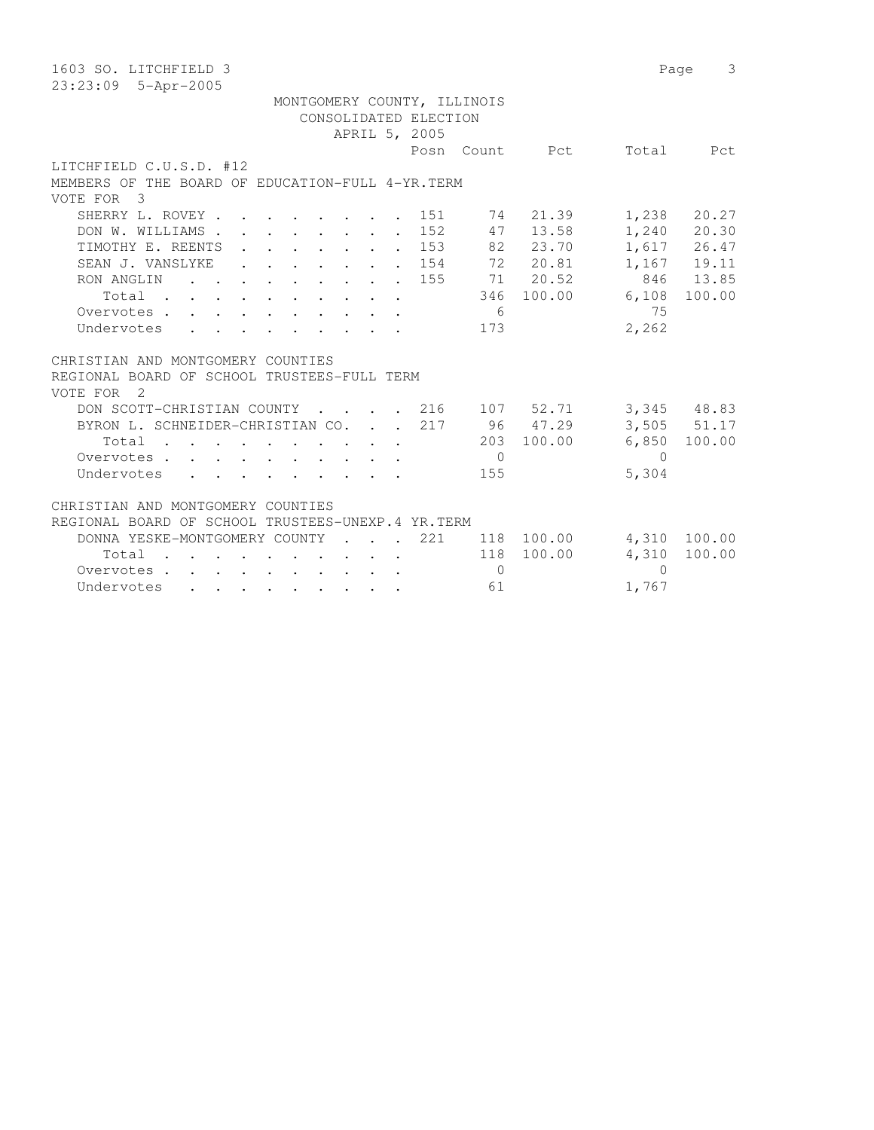| 1603 SO. LITCHFIELD 3                                                                                                                                                                                                                                                                                                                                                                                                                                                    |                             |                             |                |            | Page      | 3               |
|--------------------------------------------------------------------------------------------------------------------------------------------------------------------------------------------------------------------------------------------------------------------------------------------------------------------------------------------------------------------------------------------------------------------------------------------------------------------------|-----------------------------|-----------------------------|----------------|------------|-----------|-----------------|
| 23:23:09 5-Apr-2005                                                                                                                                                                                                                                                                                                                                                                                                                                                      |                             |                             |                |            |           |                 |
|                                                                                                                                                                                                                                                                                                                                                                                                                                                                          |                             | MONTGOMERY COUNTY, ILLINOIS |                |            |           |                 |
|                                                                                                                                                                                                                                                                                                                                                                                                                                                                          |                             | CONSOLIDATED ELECTION       |                |            |           |                 |
|                                                                                                                                                                                                                                                                                                                                                                                                                                                                          |                             | APRIL 5, 2005               |                |            |           |                 |
|                                                                                                                                                                                                                                                                                                                                                                                                                                                                          |                             | Posn                        |                | Count Pct  | Total     | Pct             |
| LITCHFIELD C.U.S.D. #12                                                                                                                                                                                                                                                                                                                                                                                                                                                  |                             |                             |                |            |           |                 |
| MEMBERS OF THE BOARD OF EDUCATION-FULL 4-YR. TERM                                                                                                                                                                                                                                                                                                                                                                                                                        |                             |                             |                |            |           |                 |
| VOTE FOR 3                                                                                                                                                                                                                                                                                                                                                                                                                                                               |                             |                             |                |            |           |                 |
| SHERRY L. ROVEY.<br>$\mathbf{r}$ , and $\mathbf{r}$ , and $\mathbf{r}$ , and $\mathbf{r}$                                                                                                                                                                                                                                                                                                                                                                                |                             | 151                         |                | 74 21.39   | 1,238     | 20.27           |
| DON W. WILLIAMS.<br>$\mathbf{r}$ , $\mathbf{r}$ , $\mathbf{r}$ , $\mathbf{r}$ , $\mathbf{r}$                                                                                                                                                                                                                                                                                                                                                                             |                             | 152                         |                | 47 13.58   |           | $1,240$ 20.30   |
| TIMOTHY E. REENTS<br>$\begin{array}{cccccccccccccc} . & . & . & . & . & . & . & . & . \end{array}$                                                                                                                                                                                                                                                                                                                                                                       |                             | . 153                       |                | 82 23.70   |           | 1,617 26.47     |
| SEAN J. VANSLYKE                                                                                                                                                                                                                                                                                                                                                                                                                                                         |                             | 154                         |                | 72 20.81   |           | 1,167 19.11     |
| $\cdot$ $\cdot$ $\cdot$ $\cdot$ $\cdot$ $\cdot$ $\cdot$ $\cdot$                                                                                                                                                                                                                                                                                                                                                                                                          |                             |                             |                | 71 20.52   |           | 846 13.85       |
| RON ANGLIN<br>$\mathbf{r}$ , $\mathbf{r}$ , $\mathbf{r}$ , $\mathbf{r}$ , $\mathbf{r}$ , $\mathbf{r}$ , $\mathbf{r}$                                                                                                                                                                                                                                                                                                                                                     |                             | 155                         |                |            |           |                 |
| Total                                                                                                                                                                                                                                                                                                                                                                                                                                                                    |                             |                             | 346            | 100.00     | 6,108     | 100.00          |
| Overvotes                                                                                                                                                                                                                                                                                                                                                                                                                                                                |                             |                             | 6              |            | 75        |                 |
| Undervotes                                                                                                                                                                                                                                                                                                                                                                                                                                                               |                             |                             | 173            |            | 2,262     |                 |
|                                                                                                                                                                                                                                                                                                                                                                                                                                                                          |                             |                             |                |            |           |                 |
| CHRISTIAN AND MONTGOMERY COUNTIES                                                                                                                                                                                                                                                                                                                                                                                                                                        |                             |                             |                |            |           |                 |
| REGIONAL BOARD OF SCHOOL TRUSTEES-FULL TERM                                                                                                                                                                                                                                                                                                                                                                                                                              |                             |                             |                |            |           |                 |
| VOTE FOR 2                                                                                                                                                                                                                                                                                                                                                                                                                                                               |                             |                             |                |            |           |                 |
| DON SCOTT-CHRISTIAN COUNTY                                                                                                                                                                                                                                                                                                                                                                                                                                               |                             | . 216                       |                | 107 52.71  |           | 3,345 48.83     |
| BYRON L. SCHNEIDER-CHRISTIAN CO.                                                                                                                                                                                                                                                                                                                                                                                                                                         |                             | 217                         |                | 96 47.29   |           | $3,505$ $51.17$ |
| Total                                                                                                                                                                                                                                                                                                                                                                                                                                                                    |                             |                             |                | 203 100.00 | 6,850     | 100.00          |
| Overvotes                                                                                                                                                                                                                                                                                                                                                                                                                                                                |                             |                             | $\overline{0}$ |            | $\bigcap$ |                 |
| Undervotes                                                                                                                                                                                                                                                                                                                                                                                                                                                               |                             |                             | 155            |            | 5,304     |                 |
|                                                                                                                                                                                                                                                                                                                                                                                                                                                                          |                             |                             |                |            |           |                 |
| CHRISTIAN AND MONTGOMERY COUNTIES                                                                                                                                                                                                                                                                                                                                                                                                                                        |                             |                             |                |            |           |                 |
| REGIONAL BOARD OF SCHOOL TRUSTEES-UNEXP.4 YR.TERM                                                                                                                                                                                                                                                                                                                                                                                                                        |                             |                             |                |            |           |                 |
| DONNA YESKE-MONTGOMERY COUNTY                                                                                                                                                                                                                                                                                                                                                                                                                                            | $\sim$ $\sim$ $\sim$ $\sim$ | 221                         |                | 118 100.00 | 4,310     | 100.00          |
| Total                                                                                                                                                                                                                                                                                                                                                                                                                                                                    |                             |                             | 118            | 100.00     | 4,310     | 100.00          |
| Overvotes.<br>$\mathbf{1} \qquad \mathbf{1} \qquad \mathbf{1} \qquad \mathbf{1} \qquad \mathbf{1} \qquad \mathbf{1} \qquad \mathbf{1} \qquad \mathbf{1} \qquad \mathbf{1} \qquad \mathbf{1} \qquad \mathbf{1} \qquad \mathbf{1} \qquad \mathbf{1} \qquad \mathbf{1} \qquad \mathbf{1} \qquad \mathbf{1} \qquad \mathbf{1} \qquad \mathbf{1} \qquad \mathbf{1} \qquad \mathbf{1} \qquad \mathbf{1} \qquad \mathbf{1} \qquad \mathbf{1} \qquad \mathbf{1} \qquad \mathbf{$ |                             |                             | $\bigcirc$     |            | $\Omega$  |                 |
| Undervotes                                                                                                                                                                                                                                                                                                                                                                                                                                                               |                             |                             | 61             |            | 1,767     |                 |
|                                                                                                                                                                                                                                                                                                                                                                                                                                                                          |                             |                             |                |            |           |                 |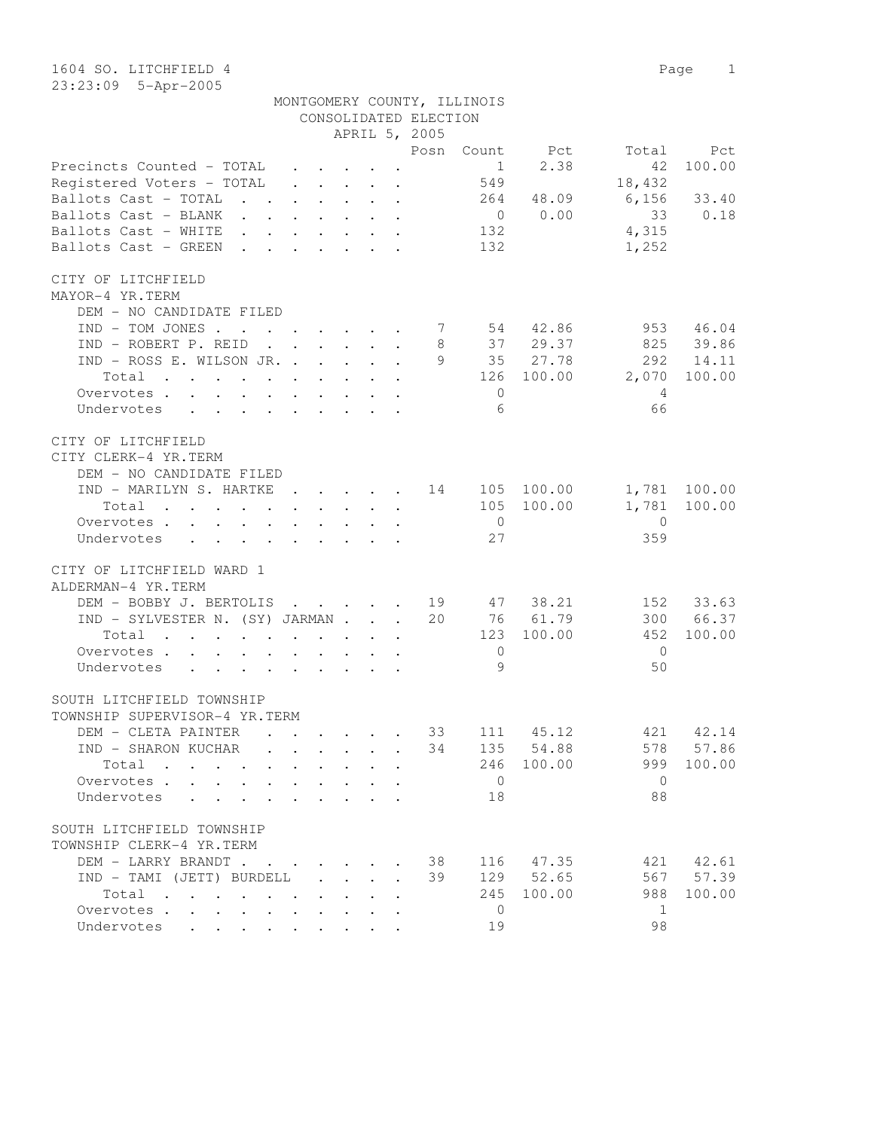1604 SO. LITCHFIELD 4 Page 1

| 23:23:09 5-Apr-2005                                                            |                                                                               |  |                       |                             |                                                    |                                                      |                        |
|--------------------------------------------------------------------------------|-------------------------------------------------------------------------------|--|-----------------------|-----------------------------|----------------------------------------------------|------------------------------------------------------|------------------------|
|                                                                                |                                                                               |  |                       | MONTGOMERY COUNTY, ILLINOIS |                                                    |                                                      |                        |
|                                                                                |                                                                               |  | CONSOLIDATED ELECTION |                             |                                                    |                                                      |                        |
|                                                                                |                                                                               |  | APRIL 5, 2005         |                             |                                                    |                                                      |                        |
|                                                                                |                                                                               |  |                       |                             | Posn Count Pct                                     | Total                                                | Pct                    |
| Precincts Counted - TOTAL                                                      | $\mathbf{r} = \mathbf{r} + \mathbf{r} + \mathbf{r} + \mathbf{r} + \mathbf{r}$ |  |                       |                             | $1 \t 2.38$                                        | 42                                                   | 100.00                 |
| Registered Voters - TOTAL                                                      | $\mathbf{r} = \mathbf{r} + \mathbf{r} + \mathbf{r} + \mathbf{r} + \mathbf{r}$ |  |                       | 549                         |                                                    | 18,432                                               |                        |
| Ballots Cast - TOTAL 264 48.09                                                 |                                                                               |  |                       |                             |                                                    | $6,156$ 33.40                                        |                        |
|                                                                                |                                                                               |  |                       |                             | $\begin{bmatrix} 48.09 \\ 0 \\ 0.00 \end{bmatrix}$ |                                                      | 33 0.18                |
|                                                                                |                                                                               |  |                       | 132                         |                                                    | 4,315                                                |                        |
| Ballots Cast - GREEN                                                           |                                                                               |  |                       | 132                         |                                                    | 1,252                                                |                        |
|                                                                                |                                                                               |  |                       |                             |                                                    |                                                      |                        |
| CITY OF LITCHFIELD                                                             |                                                                               |  |                       |                             |                                                    |                                                      |                        |
| MAYOR-4 YR.TERM                                                                |                                                                               |  |                       |                             |                                                    |                                                      |                        |
| DEM - NO CANDIDATE FILED                                                       |                                                                               |  |                       |                             |                                                    |                                                      |                        |
| $IND - TOM JONES 7 54 42.86$                                                   |                                                                               |  |                       |                             |                                                    |                                                      | 953 46.04              |
| IND - ROBERT P. REID                                                           |                                                                               |  |                       |                             |                                                    |                                                      |                        |
| IND - ROSS E. WILSON JR.                                                       |                                                                               |  |                       |                             |                                                    |                                                      | 825 39.86<br>292 14.11 |
| Total                                                                          |                                                                               |  |                       |                             |                                                    | 8 37 29.37 825<br>9 35 27.78 292<br>126 100.00 2,070 | 100.00                 |
| Overvotes                                                                      |                                                                               |  |                       | $\overline{0}$              |                                                    |                                                      |                        |
|                                                                                |                                                                               |  |                       |                             |                                                    | 4                                                    |                        |
| Undervotes                                                                     |                                                                               |  |                       | -6                          |                                                    | 66                                                   |                        |
| CITY OF LITCHFIELD                                                             |                                                                               |  |                       |                             |                                                    |                                                      |                        |
| CITY CLERK-4 YR.TERM                                                           |                                                                               |  |                       |                             |                                                    |                                                      |                        |
|                                                                                |                                                                               |  |                       |                             |                                                    |                                                      |                        |
| DEM - NO CANDIDATE FILED<br>IND - MARILYN S. HARTKE 14 105 100.00 1,781 100.00 |                                                                               |  |                       |                             |                                                    |                                                      |                        |
|                                                                                |                                                                               |  |                       |                             |                                                    | 1,781 100.00                                         |                        |
| Total                                                                          |                                                                               |  |                       |                             | 105 100.00                                         |                                                      |                        |
| Overvotes.                                                                     |                                                                               |  |                       | $\overline{0}$<br>27        |                                                    | $\overline{0}$                                       |                        |
| Undervotes                                                                     |                                                                               |  |                       |                             |                                                    | 359                                                  |                        |
| CITY OF LITCHFIELD WARD 1                                                      |                                                                               |  |                       |                             |                                                    |                                                      |                        |
|                                                                                |                                                                               |  |                       |                             |                                                    |                                                      |                        |
| ALDERMAN-4 YR.TERM                                                             |                                                                               |  |                       |                             |                                                    |                                                      |                        |
| DEM - BOBBY J. BERTOLIS 19 47 38.21                                            |                                                                               |  |                       |                             |                                                    |                                                      | 152 33.63              |
| IND - SYLVESTER N. (SY) JARMAN 20 76 61.79                                     |                                                                               |  |                       |                             |                                                    | 300                                                  | 66.37                  |
| Total                                                                          |                                                                               |  |                       |                             | 123 100.00                                         | 452                                                  | 100.00                 |
| Overvotes.                                                                     |                                                                               |  |                       | $\overline{0}$              |                                                    | $\overline{0}$                                       |                        |
| Undervotes                                                                     |                                                                               |  |                       | 9                           |                                                    | 50                                                   |                        |
|                                                                                |                                                                               |  |                       |                             |                                                    |                                                      |                        |
| SOUTH LITCHFIELD TOWNSHIP                                                      |                                                                               |  |                       |                             |                                                    |                                                      |                        |
| TOWNSHIP SUPERVISOR-4 YR.TERM                                                  |                                                                               |  |                       |                             |                                                    |                                                      |                        |
| DEM - CLETA PAINTER                                                            |                                                                               |  | 33                    | 111                         | 45.12                                              | 421                                                  | 42.14                  |
| IND - SHARON KUCHAR                                                            |                                                                               |  | 34                    | 135                         | 54.88                                              | 578                                                  | 57.86                  |
| Total                                                                          |                                                                               |  |                       | 246                         | 100.00                                             | 999                                                  | 100.00                 |
| Overvotes                                                                      |                                                                               |  |                       | $\overline{0}$              |                                                    | $\overline{0}$                                       |                        |
| Undervotes<br>$\ddot{\phantom{0}}$                                             |                                                                               |  |                       | 18                          |                                                    | 88                                                   |                        |
|                                                                                |                                                                               |  |                       |                             |                                                    |                                                      |                        |
| SOUTH LITCHFIELD TOWNSHIP                                                      |                                                                               |  |                       |                             |                                                    |                                                      |                        |
| TOWNSHIP CLERK-4 YR.TERM<br>$\Gamma$ חוגמס צפת ז $\Gamma$                      |                                                                               |  |                       |                             |                                                    | 38 116 17 35 171 1761                                |                        |
|                                                                                |                                                                               |  |                       |                             |                                                    |                                                      |                        |

| TOWNSHIP CLERK-4 YR.TERM |            |  |                                                                                                        |  |  |  |    |                                 |    |            |
|--------------------------|------------|--|--------------------------------------------------------------------------------------------------------|--|--|--|----|---------------------------------|----|------------|
|                          |            |  |                                                                                                        |  |  |  |    | DEM - LARRY BRANDT 38 116 47.35 |    | 421 42.61  |
|                          |            |  |                                                                                                        |  |  |  |    | 129 52.65                       |    | 567 57.39  |
|                          | Total      |  |                                                                                                        |  |  |  |    | 245 100.00                      |    | 988 100.00 |
|                          | Overvotes  |  |                                                                                                        |  |  |  |    |                                 |    |            |
|                          | Undervotes |  | $\mathbf{r}$ , $\mathbf{r}$ , $\mathbf{r}$ , $\mathbf{r}$ , $\mathbf{r}$ , $\mathbf{r}$ , $\mathbf{r}$ |  |  |  | 19 |                                 | 98 |            |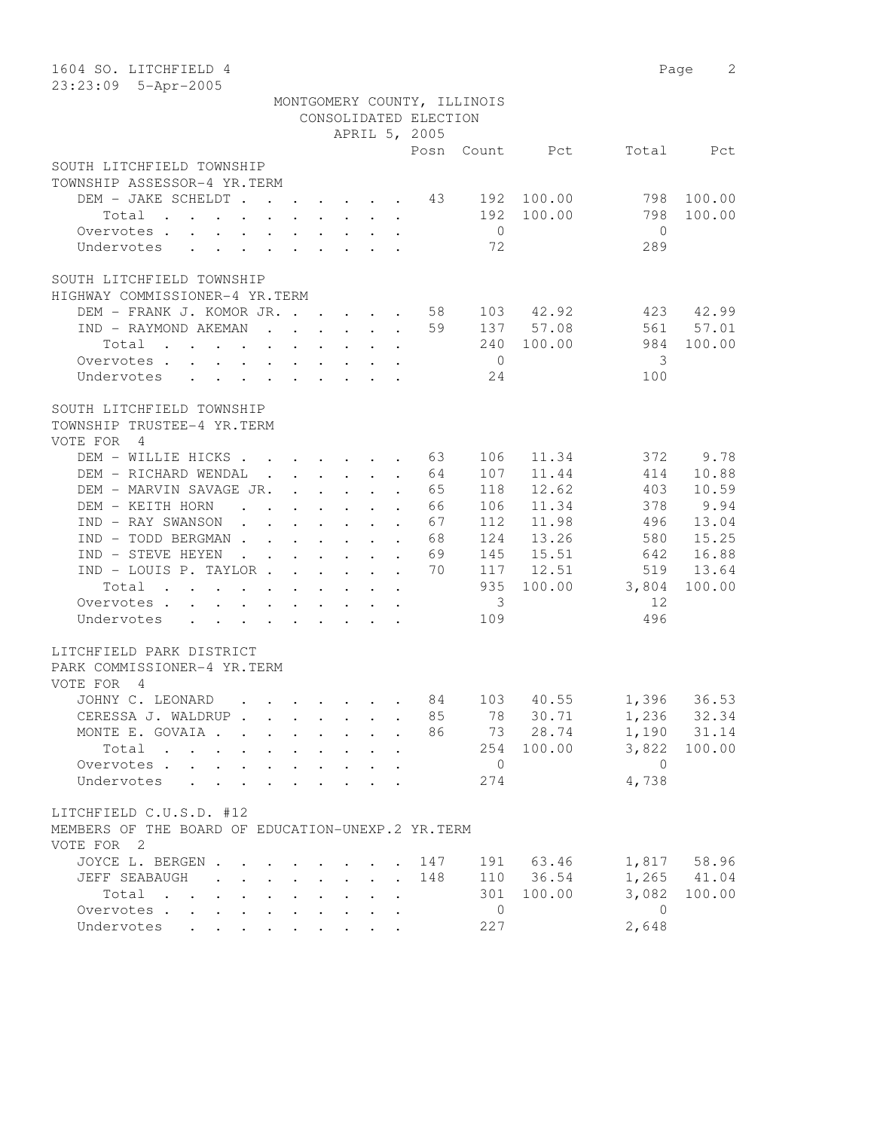| 1604 SO. LITCHFIELD 4<br>23:23:09 5-Apr-2005                                                                             |                                                                           |                      |                                                             |                                 |                      |                       |                             |           |            | Page<br>2   |
|--------------------------------------------------------------------------------------------------------------------------|---------------------------------------------------------------------------|----------------------|-------------------------------------------------------------|---------------------------------|----------------------|-----------------------|-----------------------------|-----------|------------|-------------|
|                                                                                                                          |                                                                           |                      |                                                             |                                 |                      | CONSOLIDATED ELECTION | MONTGOMERY COUNTY, ILLINOIS |           |            |             |
|                                                                                                                          |                                                                           |                      |                                                             |                                 |                      | APRIL 5, 2005         |                             |           |            |             |
|                                                                                                                          |                                                                           |                      |                                                             |                                 |                      |                       | Posn Count                  | Pct       |            | Total Pct   |
| SOUTH LITCHFIELD TOWNSHIP                                                                                                |                                                                           |                      |                                                             |                                 |                      |                       |                             |           |            |             |
| TOWNSHIP ASSESSOR-4 YR.TERM                                                                                              |                                                                           |                      |                                                             |                                 |                      |                       |                             | 100.00    |            |             |
| DEM - JAKE SCHELDT.                                                                                                      | $\mathbf{r}$ . The set of $\mathbf{r}$                                    |                      |                                                             |                                 | $\ddot{\phantom{a}}$ | 43                    | 192<br>192                  |           | 798<br>798 | 100.00      |
| Total                                                                                                                    |                                                                           |                      |                                                             |                                 |                      |                       | $\bigcirc$                  | 100.00    | $\Omega$   | 100.00      |
| Overvotes .<br>Undervotes                                                                                                |                                                                           |                      |                                                             |                                 |                      |                       | 72                          |           | 289        |             |
|                                                                                                                          |                                                                           |                      |                                                             |                                 |                      |                       |                             |           |            |             |
| SOUTH LITCHFIELD TOWNSHIP<br>HIGHWAY COMMISSIONER-4 YR.TERM                                                              |                                                                           |                      |                                                             |                                 |                      |                       |                             |           |            |             |
| DEM - FRANK J. KOMOR JR. .                                                                                               |                                                                           | $\sim$ $\sim$        | $\ddot{\phantom{0}}$                                        |                                 |                      | 58                    | 103                         | 42.92     | 423        | 42.99       |
| IND - RAYMOND AKEMAN                                                                                                     | $\ddot{\phantom{a}}$                                                      |                      | $\ddot{\phantom{0}}$                                        |                                 |                      | 59                    |                             | 137 57.08 | 561        | 57.01       |
| Total<br>$\sim$ $\sim$<br>$\cdot$ .                                                                                      |                                                                           |                      |                                                             |                                 |                      |                       | 240                         | 100.00    | 984        | 100.00      |
| Overvotes .<br>Undervotes                                                                                                |                                                                           |                      |                                                             |                                 |                      |                       | $\bigcirc$<br>24            |           | 3<br>100   |             |
|                                                                                                                          |                                                                           |                      |                                                             |                                 |                      |                       |                             |           |            |             |
| SOUTH LITCHFIELD TOWNSHIP<br>TOWNSHIP TRUSTEE-4 YR.TERM<br>VOTE FOR<br>$\overline{4}$                                    |                                                                           |                      |                                                             |                                 |                      |                       |                             |           |            |             |
| DEM - WILLIE HICKS                                                                                                       |                                                                           |                      |                                                             |                                 |                      | 63                    | 106                         | 11.34     | 372        | 9.78        |
| DEM - RICHARD WENDAL                                                                                                     | $\sim$ 100 $\pm$                                                          |                      | $\ddot{\phantom{0}}$                                        |                                 |                      | 64                    | 107                         | 11.44     | 414        | 10.88       |
| DEM - MARVIN SAVAGE JR.                                                                                                  |                                                                           |                      |                                                             |                                 |                      | 65                    | 118                         | 12.62     | 403        | 10.59       |
| DEM - KEITH HORN                                                                                                         |                                                                           |                      |                                                             |                                 |                      | 66                    | 106                         | 11.34     | 378        | 9.94        |
| IND - RAY SWANSON                                                                                                        |                                                                           |                      |                                                             |                                 |                      | 67                    | 112                         | 11.98     | 496        | 13.04       |
| IND - TODD BERGMAN.                                                                                                      |                                                                           |                      |                                                             |                                 |                      | 68                    | 124                         | 13.26     | 580        | 15.25       |
| IND - STEVE HEYEN<br>$\mathbf{L}$                                                                                        |                                                                           |                      |                                                             |                                 | $\mathbf{r}$         | 69                    | 145                         | 15.51     | 642        | 16.88       |
| IND - LOUIS P. TAYLOR.                                                                                                   | $\ddot{\phantom{a}}$                                                      |                      |                                                             |                                 |                      | 70                    | 117                         | 12.51     | 519        | 13.64       |
| Total<br>$\sim$ $\sim$ $\sim$                                                                                            | $\ddot{\phantom{a}}$                                                      |                      |                                                             |                                 |                      |                       | 935                         | 100.00    | 3,804      | 100.00      |
| Overvotes .<br>$\cdot$ $\cdot$ $\cdot$<br>$\ddot{\phantom{0}}$                                                           | $\ddot{\phantom{0}}$<br>$\ddot{\phantom{a}}$                              | $\ddot{\phantom{a}}$ | $\ddot{\phantom{0}}$                                        | $\ddot{\phantom{0}}$            | $\ddot{\phantom{0}}$ |                       | 3                           |           | 12         |             |
| Undervotes<br>$\ddot{\phantom{0}}$<br>$\bullet$                                                                          | $\sim$ $-$<br>$\bullet$ .<br><br><br><br><br><br><br><br><br><br><br><br> | $\ddot{\phantom{0}}$ | $\bullet$ .<br><br><br><br><br><br><br><br><br><br><br><br> |                                 | $\bullet$            |                       | 109                         |           | 496        |             |
| LITCHFIELD PARK DISTRICT<br>PARK COMMISSIONER-4 YR.TERM<br>VOTE FOR<br>$\overline{4}$                                    |                                                                           |                      |                                                             |                                 |                      |                       |                             |           |            |             |
| JOHNY C. LEONARD<br>$\mathbf{r} = \mathbf{r}$                                                                            |                                                                           | $\sim$ $\sim$        |                                                             |                                 |                      | 84                    | 103                         | 40.55     | 1,396      | 36.53       |
| CERESSA J. WALDRUP.                                                                                                      | $\mathbf{r}$ , $\mathbf{r}$ , $\mathbf{r}$ , $\mathbf{r}$                 |                      |                                                             |                                 | $\ddot{\phantom{a}}$ | 85                    | 78                          | 30.71     |            | 1,236 32.34 |
| MONTE E. GOVAIA .                                                                                                        | $\mathbf{r}$ , $\mathbf{r}$ , $\mathbf{r}$ , $\mathbf{r}$ , $\mathbf{r}$  |                      |                                                             |                                 | $\mathbf{r}$         | 86                    | 73                          | 28.74     |            | 1,190 31.14 |
| Total                                                                                                                    |                                                                           |                      |                                                             |                                 |                      |                       | 254                         | 100.00    | 3,822      | 100.00      |
| Overvotes<br>$\ddot{\phantom{0}}$                                                                                        | $\sim$ $-$<br>$\mathbf{L}^{\text{max}}$                                   | $\ddot{\phantom{0}}$ | $\sim$                                                      | $\sim$                          | $\ddot{\phantom{a}}$ |                       | $\overline{0}$              |           | $\Omega$   |             |
| Undervotes<br>$\ddot{\phantom{a}}$                                                                                       |                                                                           | $\ddot{\phantom{a}}$ |                                                             |                                 |                      |                       | 274                         |           | 4,738      |             |
| LITCHFIELD C.U.S.D. #12<br>MEMBERS OF THE BOARD OF EDUCATION-UNEXP.2 YR.TERM<br>VOTE FOR 2                               |                                                                           |                      |                                                             |                                 |                      |                       |                             |           |            |             |
| JOYCE L. BERGEN .                                                                                                        | $\cdot$ $\cdot$ $\cdot$ $\cdot$ $\cdot$ $\cdot$                           |                      |                                                             |                                 |                      | 147                   |                             | 191 63.46 | 1,817      | 58.96       |
| JEFF SEABAUGH<br>$\overline{\phantom{a}}$                                                                                | $\cdot$ $\cdot$ $\cdot$ $\cdot$ $\cdot$ $\cdot$ $\cdot$                   |                      |                                                             |                                 | $\mathbf{r}$         | 148                   |                             | 110 36.54 | 1,265      | 41.04       |
| Total<br>the contract of the contract of the contract of the contract of the contract of the contract of the contract of |                                                                           |                      |                                                             |                                 |                      |                       | 301                         | 100.00    | 3,082      | 100.00      |
| Overvotes                                                                                                                |                                                                           |                      |                                                             | $\cdot$ $\cdot$ $\cdot$ $\cdot$ |                      |                       | $\overline{0}$              |           | $\Omega$   |             |
| Undervotes                                                                                                               |                                                                           |                      |                                                             |                                 |                      |                       | 227                         |           | 2,648      |             |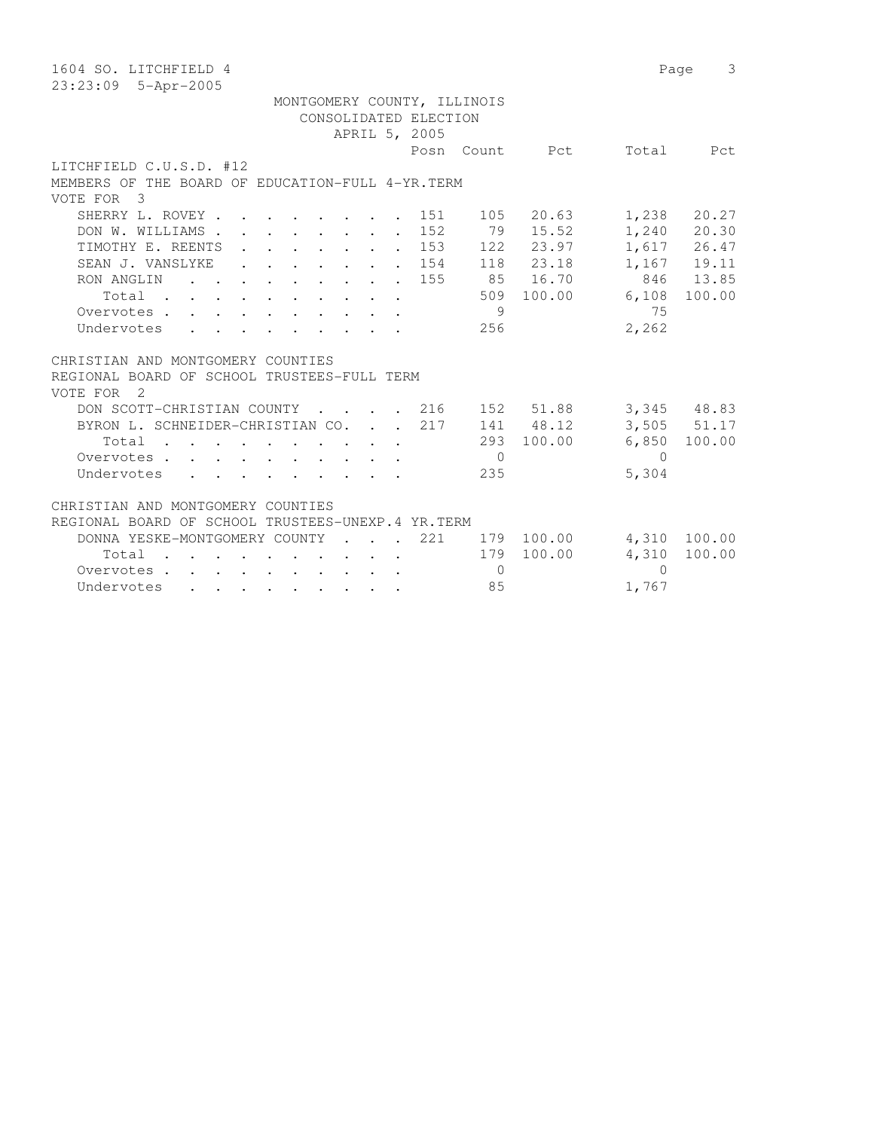| 1604 SO. LITCHFIELD 4                                                                                                              |            | Page      | 3           |
|------------------------------------------------------------------------------------------------------------------------------------|------------|-----------|-------------|
| 23:23:09 5-Apr-2005                                                                                                                |            |           |             |
| MONTGOMERY COUNTY, ILLINOIS                                                                                                        |            |           |             |
| CONSOLIDATED ELECTION                                                                                                              |            |           |             |
| APRIL 5, 2005                                                                                                                      |            |           |             |
| Posn<br>Count                                                                                                                      | Pct        | Total     | Pct         |
| LITCHFIELD C.U.S.D. #12                                                                                                            |            |           |             |
| MEMBERS OF THE BOARD OF EDUCATION-FULL 4-YR. TERM                                                                                  |            |           |             |
| VOTE FOR 3                                                                                                                         |            |           |             |
| SHERRY L. ROVEY.<br>105<br>151<br>$\cdot$ $\cdot$ $\cdot$ $\cdot$ $\cdot$ $\cdot$ $\cdot$                                          | 20.63      | 1,238     | 20.27       |
| 152<br>DON W. WILLIAMS.<br>$\mathbf{r}$ , $\mathbf{r}$ , $\mathbf{r}$ , $\mathbf{r}$ , $\mathbf{r}$                                | 79 15.52   |           | 1,240 20.30 |
| TIMOTHY E. REENTS<br>153<br>$\mathbf{r}$ , and $\mathbf{r}$ , and $\mathbf{r}$ , and $\mathbf{r}$<br>$\sim$                        | 122 23.97  |           | 1,617 26.47 |
| SEAN J. VANSLYKE<br>154<br>$\mathbf{r} = \mathbf{r} + \mathbf{r} + \mathbf{r} + \mathbf{r} + \mathbf{r} + \mathbf{r} + \mathbf{r}$ | 118 23.18  |           | 1,167 19.11 |
| RON ANGLIN<br>155<br>85<br>$\mathbf{r}$ , $\mathbf{r}$ , $\mathbf{r}$ , $\mathbf{r}$ , $\mathbf{r}$ , $\mathbf{r}$ , $\mathbf{r}$  | 16.70      |           | 846 13.85   |
| 509<br>Total                                                                                                                       | 100.00     | 6,108     | 100.00      |
| 9<br>Overvotes                                                                                                                     |            | 75        |             |
| 256<br>Undervotes                                                                                                                  |            | 2,262     |             |
|                                                                                                                                    |            |           |             |
| CHRISTIAN AND MONTGOMERY COUNTIES                                                                                                  |            |           |             |
| REGIONAL BOARD OF SCHOOL TRUSTEES-FULL TERM                                                                                        |            |           |             |
| VOTE FOR 2                                                                                                                         |            |           |             |
| DON SCOTT-CHRISTIAN COUNTY<br>. 216                                                                                                | 152 51.88  |           | 3,345 48.83 |
| BYRON L. SCHNEIDER-CHRISTIAN CO.<br>217                                                                                            | 141 48.12  |           | 3,505 51.17 |
| Total                                                                                                                              | 293 100.00 | 6,850     | 100.00      |
| Overvotes<br>$\overline{0}$                                                                                                        |            | $\bigcap$ |             |
| 235<br>Undervotes                                                                                                                  |            | 5,304     |             |
|                                                                                                                                    |            |           |             |
| CHRISTIAN AND MONTGOMERY COUNTIES                                                                                                  |            |           |             |
| REGIONAL BOARD OF SCHOOL TRUSTEES-UNEXP.4 YR.TERM                                                                                  |            |           |             |
| 221<br>DONNA YESKE-MONTGOMERY COUNTY<br>179<br>$\sim$ $\sim$ $\sim$ $\sim$ $\sim$ $\sim$                                           | 100.00     | 4,310     | 100.00      |
| 179<br>Total<br>$\mathbf{r}$ , and $\mathbf{r}$ , and $\mathbf{r}$ , and $\mathbf{r}$ , and $\mathbf{r}$                           | 100.00     | 4,310     | 100.00      |
| Overvotes<br>$\overline{0}$                                                                                                        |            | $\Omega$  |             |
| 85<br>Undervotes                                                                                                                   |            | 1,767     |             |
|                                                                                                                                    |            |           |             |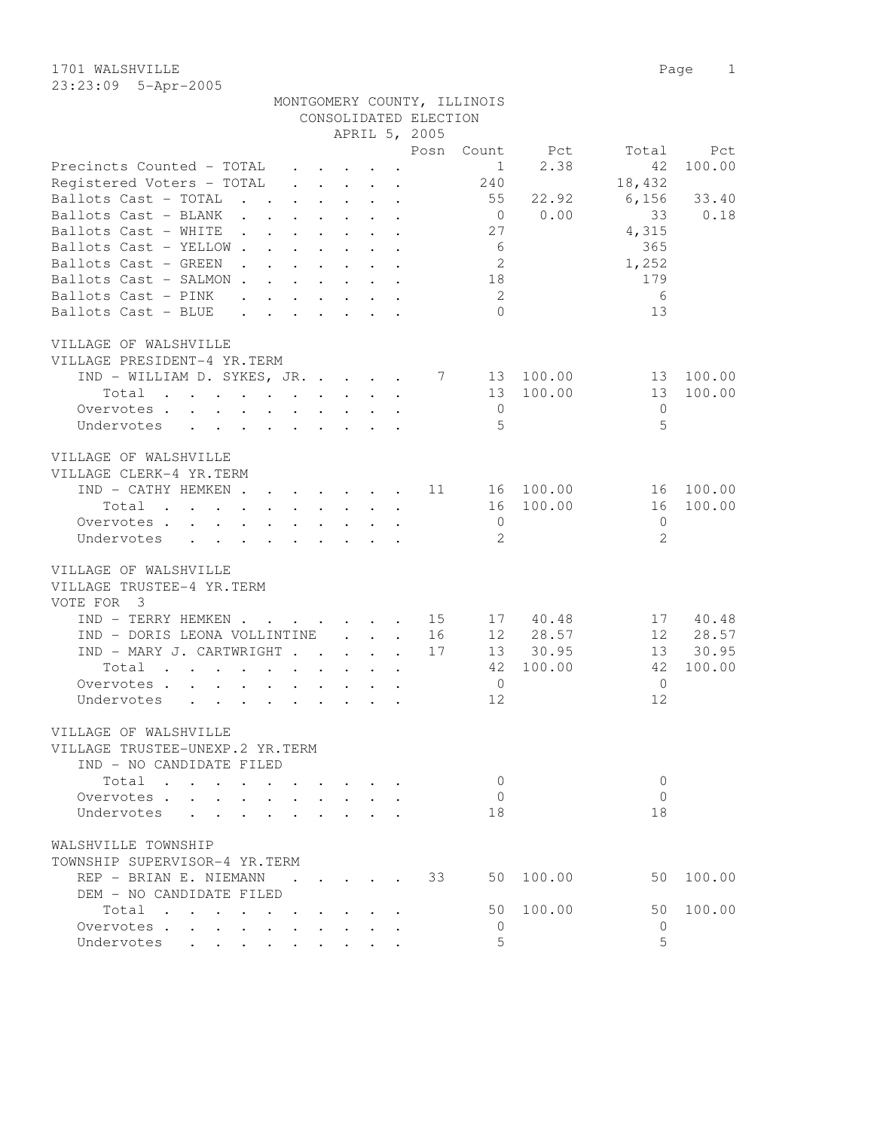1701 WALSHVILLE Page 1 23:23:09 5-Apr-2005

| MONTGOMERY COUNTY, ILLINOIS |                       |  |
|-----------------------------|-----------------------|--|
|                             | CONSOLIDATED ELECTION |  |

|                                                                                                                |                                                           |                                                                          |                           | APRIL 5, 2005 |                |           |                |        |
|----------------------------------------------------------------------------------------------------------------|-----------------------------------------------------------|--------------------------------------------------------------------------|---------------------------|---------------|----------------|-----------|----------------|--------|
|                                                                                                                |                                                           |                                                                          |                           | Posn          | Count          | Pct       | Total          | Pct    |
| Precincts Counted - TOTAL                                                                                      |                                                           | $\cdot$ $\cdot$ $\cdot$ $\cdot$ $\cdot$                                  |                           |               | $\mathbf{1}$   | 2.38      | 42             | 100.00 |
| Registered Voters - TOTAL                                                                                      |                                                           | $\cdot$ $\cdot$ $\cdot$ $\cdot$ $\cdot$ $\cdot$                          |                           |               | 240            |           | 18,432         |        |
| Ballots Cast - TOTAL<br>$\cdot$ $\cdot$                                                                        |                                                           | $\cdot$ $\cdot$ $\cdot$ $\cdot$ $\cdot$ $\cdot$                          |                           |               | 55             | 22.92     | 6,156          | 33.40  |
| Ballots Cast - BLANK                                                                                           |                                                           | $\mathbf{L}^{(1)}$                                                       | $\sim$                    |               | $\overline{0}$ | 0.00      | 33             | 0.18   |
| Ballots Cast - WHITE<br>$\sim 100$ km s $^{-1}$                                                                |                                                           |                                                                          |                           |               | 27             |           | 4,315          |        |
| Ballots Cast - YELLOW.<br>$\mathbf{L}$                                                                         |                                                           |                                                                          | $\sim$                    |               | 6              |           | 365            |        |
| Ballots Cast - GREEN<br>$\mathbf{L} = \mathbf{L} \mathbf{L}$<br>$\sim$ $\sim$                                  | $\mathbf{L}$                                              | $\sim$ $\sim$                                                            | $\ddot{\phantom{0}}$      |               | 2              |           | 1,252          |        |
| Ballots Cast - SALMON                                                                                          |                                                           | $\mathbf{L}$                                                             | $\mathbf{r} = \mathbf{r}$ |               | 18             |           | 179            |        |
| Ballots Cast - PINK<br>$\mathbf{r}$ , $\mathbf{r}$ , $\mathbf{r}$ , $\mathbf{r}$ , $\mathbf{r}$ , $\mathbf{r}$ |                                                           |                                                                          |                           |               | - 2            |           | 6              |        |
| Ballots Cast - BLUE<br>$\cdot$ $\cdot$ $\cdot$ $\cdot$ $\cdot$ $\cdot$ $\cdot$ $\cdot$                         |                                                           |                                                                          |                           |               | $\bigcap$      |           | 13             |        |
| VILLAGE OF WALSHVILLE                                                                                          |                                                           |                                                                          |                           |               |                |           |                |        |
| VILLAGE PRESIDENT-4 YR.TERM                                                                                    |                                                           |                                                                          |                           |               |                |           |                |        |
| $IND - WILLIAM D. SYKES, JR.$                                                                                  |                                                           |                                                                          |                           | 7             |                | 13 100.00 | 13             | 100.00 |
| Total                                                                                                          |                                                           |                                                                          |                           |               | 13             | 100.00    | 13             | 100.00 |
| Overvotes                                                                                                      |                                                           | $\mathbf{r}$ , $\mathbf{r}$ , $\mathbf{r}$ , $\mathbf{r}$ , $\mathbf{r}$ |                           |               | $\overline{0}$ |           | $\mathbf{0}$   |        |
| $\mathbf{L} = \mathbf{L} \times \mathbf{L}$<br>Undervotes                                                      |                                                           | $\cdot$ $\cdot$ $\cdot$ $\cdot$ $\cdot$ $\cdot$ $\cdot$                  |                           |               | $\overline{5}$ |           | 5              |        |
| VILLAGE OF WALSHVILLE                                                                                          |                                                           |                                                                          |                           |               |                |           |                |        |
| VILLAGE CLERK-4 YR.TERM                                                                                        |                                                           |                                                                          |                           |               |                |           |                |        |
| IND - CATHY HEMKEN.                                                                                            |                                                           | $\mathbf{r}$ , and $\mathbf{r}$ , and $\mathbf{r}$ , and $\mathbf{r}$    |                           | 11            |                | 16 100.00 | 16             | 100.00 |
| Total                                                                                                          |                                                           |                                                                          |                           |               | 16             | 100.00    | 16             | 100.00 |
| Overvotes                                                                                                      |                                                           | $\cdot$ $\cdot$ $\cdot$                                                  |                           |               | $\overline{0}$ |           | $\mathbf{0}$   |        |
| Undervotes<br>$\mathbf{L}$<br>$\ddot{\phantom{a}}$<br>$\ddot{\phantom{a}}$                                     |                                                           |                                                                          |                           |               | 2              |           | 2              |        |
| VILLAGE OF WALSHVILLE                                                                                          |                                                           |                                                                          |                           |               |                |           |                |        |
| VILLAGE TRUSTEE-4 YR.TERM                                                                                      |                                                           |                                                                          |                           |               |                |           |                |        |
|                                                                                                                |                                                           |                                                                          |                           |               |                |           |                |        |
| VOTE FOR 3                                                                                                     |                                                           |                                                                          |                           |               |                |           |                |        |
| IND - TERRY HEMKEN 15                                                                                          |                                                           |                                                                          |                           |               | 17             | 40.48     | 17             | 40.48  |
| IND - DORIS LEONA VOLLINTINE<br>IND - MARY J. CARTWRIGHT                                                       |                                                           |                                                                          | $\cdot$ $\cdot$ $\cdot$   | 16            | 12             | 28.57     | 12             | 28.57  |
|                                                                                                                |                                                           |                                                                          |                           | 17            | 13             | 30.95     | 13             | 30.95  |
| Total                                                                                                          |                                                           |                                                                          |                           |               | 42             | 100.00    | 42             | 100.00 |
| Overvotes.<br>$\cdot$ $\cdot$ $\cdot$ $\cdot$                                                                  | $\sim$ $-$                                                |                                                                          |                           |               | $\overline{0}$ |           | $\overline{0}$ |        |
| Undervotes<br>$\mathbf{r} = \mathbf{r} + \mathbf{r}$                                                           |                                                           | $\mathbf{r}$ , $\mathbf{r}$ , $\mathbf{r}$ , $\mathbf{r}$ , $\mathbf{r}$ |                           |               | 12             |           | 12             |        |
| VILLAGE OF WALSHVILLE                                                                                          |                                                           |                                                                          |                           |               |                |           |                |        |
| VILLAGE TRUSTEE-UNEXP.2 YR.TERM                                                                                |                                                           |                                                                          |                           |               |                |           |                |        |
| IND - NO CANDIDATE FILED                                                                                       |                                                           |                                                                          |                           |               |                |           |                |        |
| Total                                                                                                          |                                                           |                                                                          |                           |               | 0              |           | $\mathbf{0}$   |        |
| Overvotes .                                                                                                    |                                                           |                                                                          |                           |               | $\circ$        |           | $\mathbf{0}$   |        |
| Undervotes                                                                                                     |                                                           |                                                                          |                           |               | 18             |           | 18             |        |
| WALSHVILLE TOWNSHIP                                                                                            |                                                           |                                                                          |                           |               |                |           |                |        |
| TOWNSHIP SUPERVISOR-4 YR.TERM                                                                                  |                                                           |                                                                          |                           |               |                |           |                |        |
| REP - BRIAN E. NIEMANN                                                                                         |                                                           |                                                                          |                           | 33            | 50             | 100.00    | 50             | 100.00 |
| DEM - NO CANDIDATE FILED                                                                                       |                                                           |                                                                          |                           |               |                |           |                |        |
| Total<br>$\sim$<br>$\cdot$ $\cdot$ $\cdot$ $\cdot$                                                             | $\mathbf{r}$ , $\mathbf{r}$ , $\mathbf{r}$ , $\mathbf{r}$ |                                                                          |                           |               | 50             | 100.00    | 50             | 100.00 |
| Overvotes                                                                                                      |                                                           |                                                                          |                           |               | $\mathbf 0$    |           | 0              |        |
| Undervotes                                                                                                     |                                                           |                                                                          |                           |               | 5              |           | 5              |        |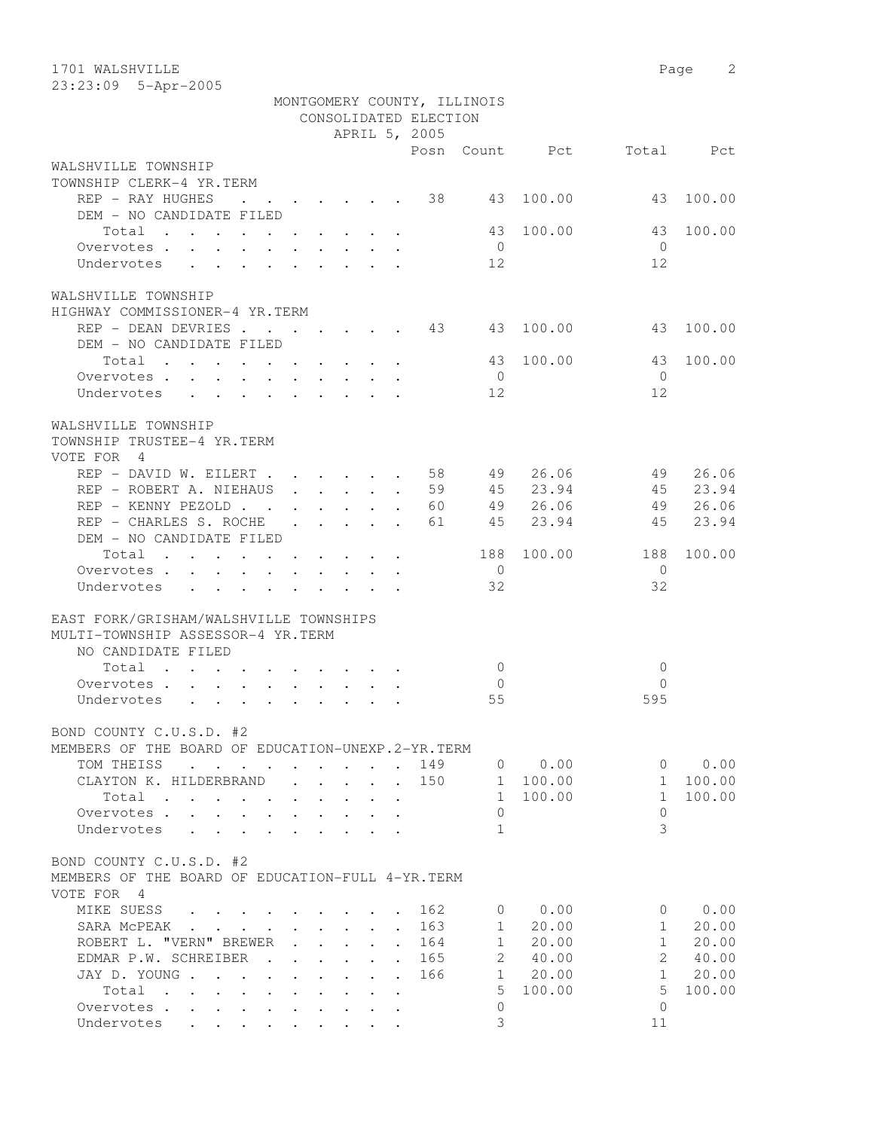| 1701 WALSHVILLE                                                                                              |                      |                                                           |  |                      |                       |                             |           | Page           | 2      |
|--------------------------------------------------------------------------------------------------------------|----------------------|-----------------------------------------------------------|--|----------------------|-----------------------|-----------------------------|-----------|----------------|--------|
| 23:23:09 5-Apr-2005                                                                                          |                      |                                                           |  |                      |                       |                             |           |                |        |
|                                                                                                              |                      |                                                           |  |                      |                       | MONTGOMERY COUNTY, ILLINOIS |           |                |        |
|                                                                                                              |                      |                                                           |  |                      | CONSOLIDATED ELECTION |                             |           |                |        |
|                                                                                                              |                      |                                                           |  |                      | APRIL 5, 2005         |                             |           |                |        |
| WALSHVILLE TOWNSHIP                                                                                          |                      |                                                           |  |                      | Posn                  |                             | Count Pct | Total          | Pct    |
| TOWNSHIP CLERK-4 YR.TERM                                                                                     |                      |                                                           |  |                      |                       |                             |           |                |        |
| REP - RAY HUGHES<br>$\mathbf{r}$ , and $\mathbf{r}$ , and $\mathbf{r}$ , and $\mathbf{r}$ , and $\mathbf{r}$ |                      |                                                           |  |                      | 38                    | 43                          | 100.00    | 43             | 100.00 |
| DEM - NO CANDIDATE FILED                                                                                     |                      |                                                           |  |                      |                       |                             |           |                |        |
| Total                                                                                                        |                      |                                                           |  |                      |                       | 43                          | 100.00    | 43             | 100.00 |
| Overvotes.                                                                                                   |                      |                                                           |  |                      |                       | $\overline{0}$              |           | $\bigcirc$     |        |
| Undervotes                                                                                                   |                      |                                                           |  |                      |                       | 12                          |           | 12             |        |
|                                                                                                              |                      |                                                           |  |                      |                       |                             |           |                |        |
| WALSHVILLE TOWNSHIP                                                                                          |                      |                                                           |  |                      |                       |                             |           |                |        |
| HIGHWAY COMMISSIONER-4 YR.TERM                                                                               |                      |                                                           |  |                      |                       |                             |           |                |        |
| REP - DEAN DEVRIES 13                                                                                        |                      |                                                           |  |                      |                       | 43                          | 100.00    | 43             | 100.00 |
| DEM - NO CANDIDATE FILED                                                                                     |                      |                                                           |  |                      |                       |                             |           |                |        |
| Total                                                                                                        |                      |                                                           |  |                      |                       | 43                          | 100.00    | 43             | 100.00 |
| Overvotes.                                                                                                   |                      |                                                           |  |                      |                       | $\overline{0}$              |           | $\bigcirc$     |        |
| Undervotes                                                                                                   |                      |                                                           |  |                      |                       | 12                          |           | 12             |        |
|                                                                                                              |                      |                                                           |  |                      |                       |                             |           |                |        |
| WALSHVILLE TOWNSHIP                                                                                          |                      |                                                           |  |                      |                       |                             |           |                |        |
| TOWNSHIP TRUSTEE-4 YR.TERM                                                                                   |                      |                                                           |  |                      |                       |                             |           |                |        |
| VOTE FOR 4                                                                                                   |                      |                                                           |  |                      |                       |                             |           |                |        |
| REP - DAVID W. EILERT                                                                                        |                      |                                                           |  |                      | 58                    | 49                          | 26.06     | 49             | 26.06  |
| REP - ROBERT A. NIEHAUS                                                                                      |                      |                                                           |  |                      | 59                    | 45                          | 23.94     | 45             | 23.94  |
| REP - KENNY PEZOLD                                                                                           |                      |                                                           |  |                      | 60                    | 49                          | 26.06     | 49             | 26.06  |
| REP - CHARLES S. ROCHE                                                                                       |                      | $\mathbf{r}$ , $\mathbf{r}$ , $\mathbf{r}$ , $\mathbf{r}$ |  | $\ddot{\phantom{a}}$ | 61                    | 45                          | 23.94     | 45             | 23.94  |
| DEM - NO CANDIDATE FILED                                                                                     |                      |                                                           |  |                      |                       |                             |           |                |        |
| Total                                                                                                        |                      |                                                           |  |                      |                       | 188                         | 100.00    | 188            | 100.00 |
| Overvotes                                                                                                    |                      |                                                           |  |                      |                       | $\overline{0}$              |           | $\overline{0}$ |        |
| Undervotes                                                                                                   |                      |                                                           |  |                      |                       | 32                          |           | 32             |        |
|                                                                                                              |                      |                                                           |  |                      |                       |                             |           |                |        |
| EAST FORK/GRISHAM/WALSHVILLE TOWNSHIPS                                                                       |                      |                                                           |  |                      |                       |                             |           |                |        |
| MULTI-TOWNSHIP ASSESSOR-4 YR.TERM                                                                            |                      |                                                           |  |                      |                       |                             |           |                |        |
| NO CANDIDATE FILED                                                                                           |                      |                                                           |  |                      |                       |                             |           |                |        |
| Total                                                                                                        |                      |                                                           |  |                      |                       | $\mathbf{0}$                |           | $\circ$        |        |
| Overvotes.                                                                                                   |                      |                                                           |  |                      |                       | $\mathbf{0}$                |           | $\Omega$       |        |
| Undervotes                                                                                                   |                      |                                                           |  |                      |                       | 55                          |           | 595            |        |
|                                                                                                              |                      |                                                           |  |                      |                       |                             |           |                |        |
| BOND COUNTY C.U.S.D. #2                                                                                      |                      |                                                           |  |                      |                       |                             |           |                |        |
| MEMBERS OF THE BOARD OF EDUCATION-UNEXP.2-YR.TERM                                                            |                      |                                                           |  |                      |                       |                             |           |                |        |
| TOM THEISS<br>$\cdot$                                                                                        |                      |                                                           |  |                      | 149                   | $\overline{0}$              | 0.00      | $\Omega$       | 0.00   |
| CLAYTON K. HILDERBRAND                                                                                       |                      |                                                           |  |                      | 150                   | 1                           | 100.00    | $\mathbf{1}$   | 100.00 |
| Total<br>$\ddot{\phantom{a}}$<br>$\ddot{\phantom{a}}$                                                        |                      |                                                           |  |                      |                       | $\mathbf{1}$                | 100.00    | $\mathbf{1}$   | 100.00 |
| Overvotes .                                                                                                  |                      |                                                           |  |                      |                       | $\Omega$                    |           | $\circ$        |        |
| Undervotes                                                                                                   |                      |                                                           |  |                      |                       | $\mathbf{1}$                |           | 3              |        |
|                                                                                                              |                      |                                                           |  |                      |                       |                             |           |                |        |
| BOND COUNTY C.U.S.D. #2                                                                                      |                      |                                                           |  |                      |                       |                             |           |                |        |
| MEMBERS OF THE BOARD OF EDUCATION-FULL 4-YR. TERM                                                            |                      |                                                           |  |                      |                       |                             |           |                |        |
| VOTE FOR 4                                                                                                   |                      |                                                           |  |                      |                       |                             |           |                |        |
| MIKE SUESS                                                                                                   |                      |                                                           |  |                      | 162                   | $\mathbf{0}$                | 0.00      | 0              | 0.00   |
| SARA MCPEAK                                                                                                  |                      |                                                           |  |                      | 163                   | $\mathbf{1}$                | 20.00     | $\mathbf{1}$   | 20.00  |
| ROBERT L. "VERN" BREWER                                                                                      |                      |                                                           |  |                      | 164                   | $\mathbf{1}$                | 20.00     | $\mathbf{1}$   | 20.00  |
| EDMAR P.W. SCHREIBER                                                                                         |                      |                                                           |  |                      | 165                   | 2                           | 40.00     | $\overline{2}$ | 40.00  |
| JAY D. YOUNG.<br>$\sim 100$<br>$\ddot{\phantom{a}}$                                                          |                      |                                                           |  | $\ddot{\phantom{a}}$ | 166                   | $\mathbf{1}$                | 20.00     | $\mathbf{1}$   | 20.00  |
| Total<br>$\ddot{\phantom{a}}$<br>$\mathbf{r}$ , $\mathbf{r}$ , $\mathbf{r}$ , $\mathbf{r}$                   | $\ddot{\phantom{a}}$ |                                                           |  |                      |                       | 5                           | 100.00    | 5              | 100.00 |
| Overvotes.<br>$\sim$<br>$\sim$<br>$\ddot{\phantom{0}}$                                                       |                      |                                                           |  |                      |                       | $\mathbf{0}$                |           | $\Omega$       |        |
| Undervotes                                                                                                   |                      |                                                           |  |                      |                       | 3                           |           | 11             |        |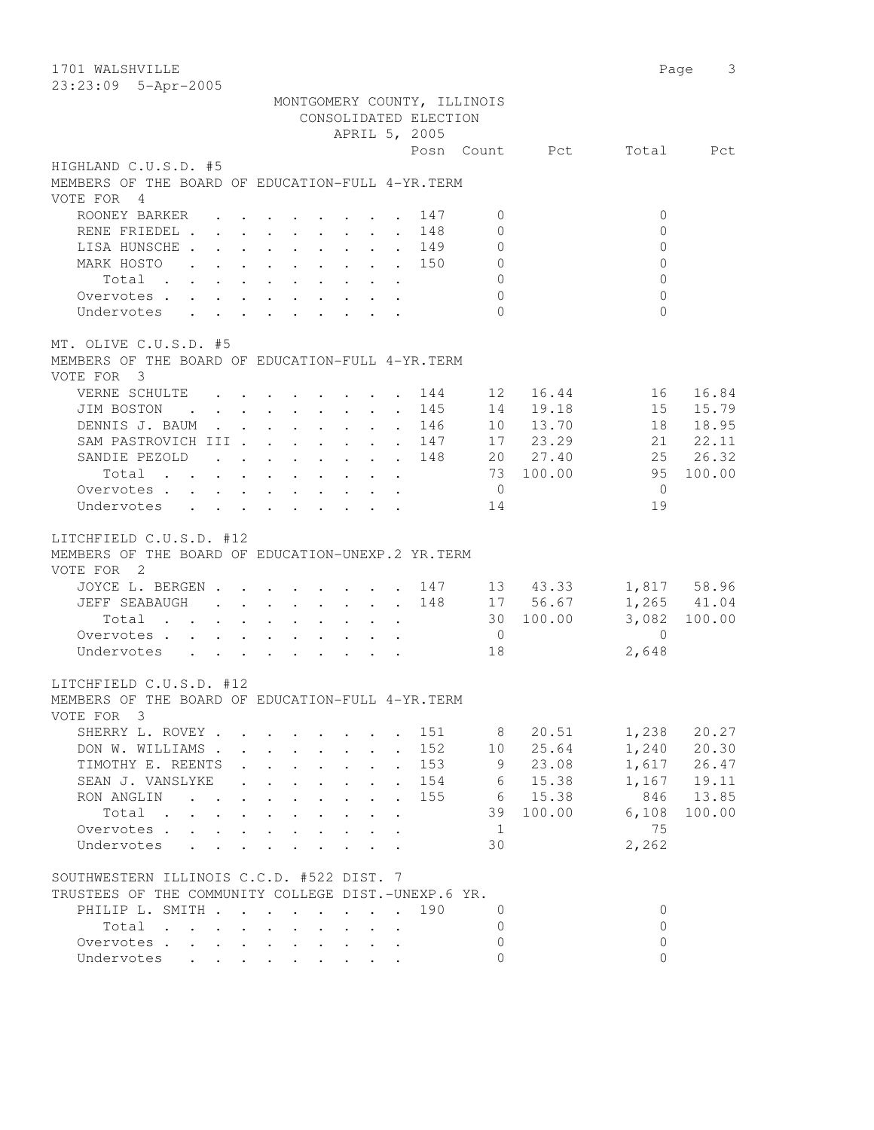1701 WALSHVILLE Page 3 23:23:09 5-Apr-2005 MONTGOMERY COUNTY, ILLINOIS CONSOLIDATED ELECTION APRIL 5, 2005 Posn Count Pct Total Pct HIGHLAND C.U.S.D. #5 MEMBERS OF THE BOARD OF EDUCATION-FULL 4-YR.TERM VOTE FOR 4 ROONEY BARKER . . . . . . . 147 0 0 0 0 RENE FRIEDEL . . . . . . . . 148 0 0 0 0 LISA HUNSCHE . . . . . . . . 149 0 0 0 0 MARK HOSTO . . . . . . . . . 150 0 0 Total . . . . . . . . . . 0 0 Overvotes . . . . . . . . . . 0 0 Undervotes . . . . . . . . . 0 0 MT. OLIVE C.U.S.D. #5 MEMBERS OF THE BOARD OF EDUCATION-FULL 4-YR.TERM VOTE FOR 3 VERNE SCHULTE . . . . . . . . 144 12 16.44 16 16.84 JIM BOSTON . . . . . . . . . 145 14 19.18 15 15.79 DENNIS J. BAUM . . . . . . . . 146 10 13.70 18 18.95 SAM PASTROVICH III . . . . . . 147 17 23.29 21 22.11 SANDIE PEZOLD . . . . . . 148 20 27.40 25 26.32 Total . . . . . . . . . . 73 100.00 95 100.00 Overvotes . . . . . . . . . . . 0 Undervotes . . . . . . . . . 14 19 LITCHFIELD C.U.S.D. #12 MEMBERS OF THE BOARD OF EDUCATION-UNEXP.2 YR.TERM VOTE FOR 2 JOYCE L. BERGEN . . . . . . . 147 13 43.33 1,817 58.96 JEFF SEABAUGH . . . . . . . . 148 17 56.67 1,265 41.04 Total . . . . . . . . . . 30 100.00 3,082 100.00 Overvotes . . . . . . . . . . 0 0 Undervotes . . . . . . . . . 18 2,648 LITCHFIELD C.U.S.D. #12 MEMBERS OF THE BOARD OF EDUCATION-FULL 4-YR.TERM VOTE FOR 3 SHERRY L. ROVEY . . . . . . . 151 8 20.51 1,238 20.27 DON W. WILLIAMS . . . . . . . . 152 10 25.64 1,240 20.30 TIMOTHY E. REENTS . . . . . . . 153 9 23.08 1,617 26.47 SEAN J. VANSLYKE . . . . . . . 154 6 15.38 1,167 19.11 RON ANGLIN . . . . . . . . 155 6 15.38 846 13.85 Total . . . . . . . . . . 39 100.00 6,108 100.00 Overvotes . . . . . . . . . . . 1 75 0<br>vervotes . . . . . . . . . . . . . . . . . 75<br>Undervotes . . . . . . . . . . 30 2,262 SOUTHWESTERN ILLINOIS C.C.D. #522 DIST. 7 TRUSTEES OF THE COMMUNITY COLLEGE DIST.-UNEXP.6 YR. PHILIP L. SMITH . . . . . . . . 190 0 0  $\texttt{Total} \quad . \quad . \quad . \quad . \quad . \quad . \qquad . \qquad 0 \qquad \qquad 0$  Overvotes . . . . . . . . . . 0 0 Undervotes . . . . . . . . . 0 0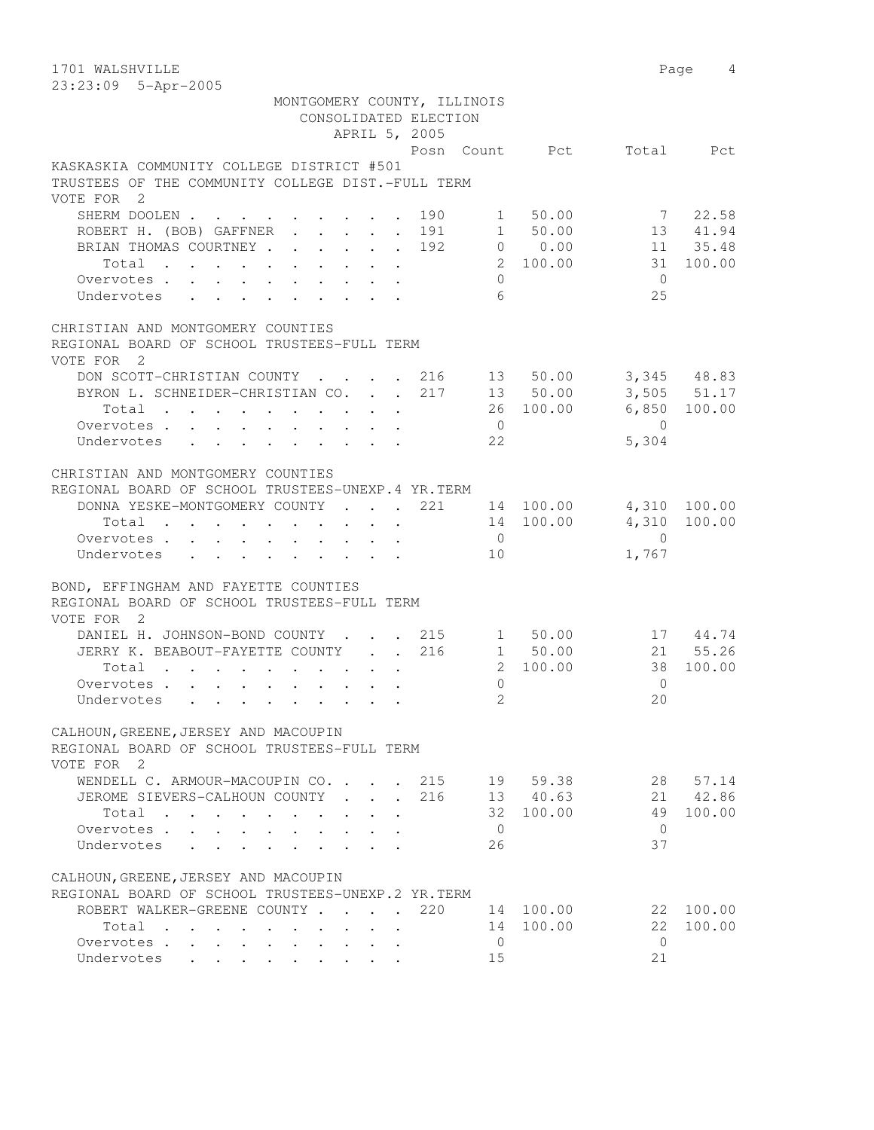1701 WALSHVILLE Page 4 23:23:09 5-Apr-2005 MONTGOMERY COUNTY, ILLINOIS CONSOLIDATED ELECTION APRIL 5, 2005 Posn Count Pct Total Pct KASKASKIA COMMUNITY COLLEGE DISTRICT #501 TRUSTEES OF THE COMMUNITY COLLEGE DIST.-FULL TERM VOTE FOR 2 SHERM DOOLEN . . . . . . . . 190 1 50.00 7 22.58 ROBERT H. (BOB) GAFFNER . . . . . 191 1 50.00 13 41.94 BRIAN THOMAS COURTNEY . . . . . . 192 0 0.00 11 35.48 Total . . . . . . . . . . 2 100.00 31 100.00 Overvotes . . . . . . . . . . 0 0 Undervotes . . . . . . . . . 6 25 CHRISTIAN AND MONTGOMERY COUNTIES REGIONAL BOARD OF SCHOOL TRUSTEES-FULL TERM VOTE FOR 2 DON SCOTT-CHRISTIAN COUNTY . . . . 216 13 50.00 3,345 48.83 BYRON L. SCHNEIDER-CHRISTIAN CO. . . 217 13 50.00 3,505 51.17 Total . . . . . . . . . . 26 100.00 6,850 100.00 Overvotes . . . . . . . . . . . 0 Undervotes . . . . . . . . . . . . . . . . . 5,304 CHRISTIAN AND MONTGOMERY COUNTIES REGIONAL BOARD OF SCHOOL TRUSTEES-UNEXP.4 YR.TERM DONNA YESKE-MONTGOMERY COUNTY . . . 221 14 100.00 4,310 100.00 Total . . . . . . . . . . 14 100.00 4,310 100.00 Overvotes . . . . . . . . . . 0 0 Undervotes . . . . . . . . . 10 1,767 BOND, EFFINGHAM AND FAYETTE COUNTIES REGIONAL BOARD OF SCHOOL TRUSTEES-FULL TERM VOTE FOR 2 DANIEL H. JOHNSON-BOND COUNTY . . . 215 1 50.00 17 44.74 JERRY K. BEABOUT-FAYETTE COUNTY . . 216 1 50.00 21 55.26 Total . . . . . . . . . . 2 100.00 38 100.00 Overvotes . . . . . . . . . . 0 0 Undervotes . . . . . . . . . . 2 20 CALHOUN,GREENE,JERSEY AND MACOUPIN REGIONAL BOARD OF SCHOOL TRUSTEES-FULL TERM VOTE FOR 2 WENDELL C. ARMOUR-MACOUPIN CO. . . . 215 19 59.38 28 57.14 JEROME SIEVERS-CALHOUN COUNTY . . . 216 13 40.63 21 42.86 Total . . . . . . . . . . 32 100.00 49 100.00 Overvotes . . . . . . . . . . 0 0 Undervotes . . . . . . . . . 26 37 CALHOUN,GREENE,JERSEY AND MACOUPIN REGIONAL BOARD OF SCHOOL TRUSTEES-UNEXP.2 YR.TERM ROBERT WALKER-GREENE COUNTY . . . . 220 14 100.00 22 100.00 Total . . . . . . . . . . 14 100.00 22 100.00 100.00 22<br>
Overvotes . . . . . . . . . . . 0<br>
Undervotes . . . . . . . . . . . 15 21 Undervotes . . . . . . . . . 15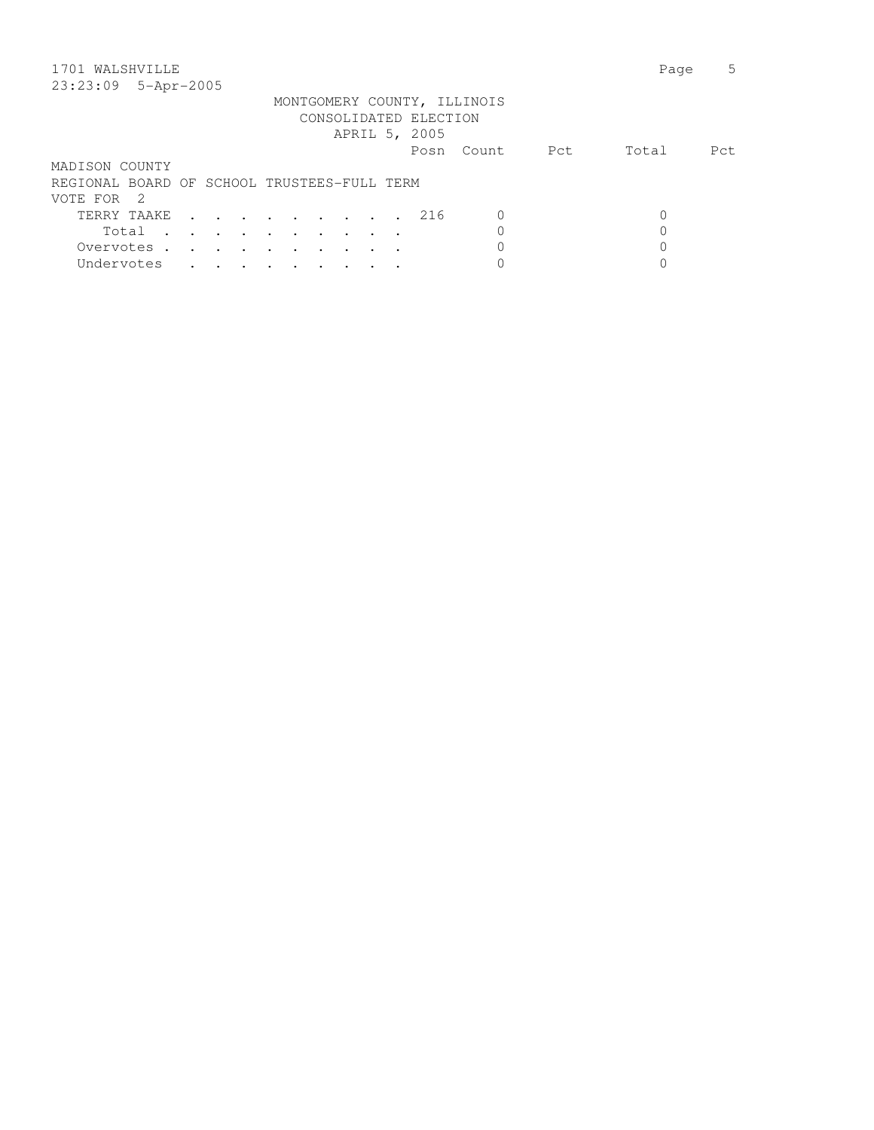| 1701 WALSHVILLE                                                                                                               | Page  | 5    |
|-------------------------------------------------------------------------------------------------------------------------------|-------|------|
| 23:23:09 5-Apr-2005                                                                                                           |       |      |
| MONTGOMERY COUNTY, ILLINOIS                                                                                                   |       |      |
| CONSOLIDATED ELECTION                                                                                                         |       |      |
| APRIL 5, 2005                                                                                                                 |       |      |
| Pct<br>- Count.<br>Posn                                                                                                       | Total | Pct. |
| MADISON COUNTY                                                                                                                |       |      |
| REGIONAL BOARD OF SCHOOL TRUSTEES-FULL TERM                                                                                   |       |      |
| VOTE FOR 2                                                                                                                    |       |      |
| TERRY TAAKE<br>216<br>O                                                                                                       |       |      |
| Total                                                                                                                         |       |      |
| Overvotes.<br>the contract of the contract of the contract of the contract of the contract of the contract of the contract of |       |      |

Undervotes . . . . . . . . . 0 0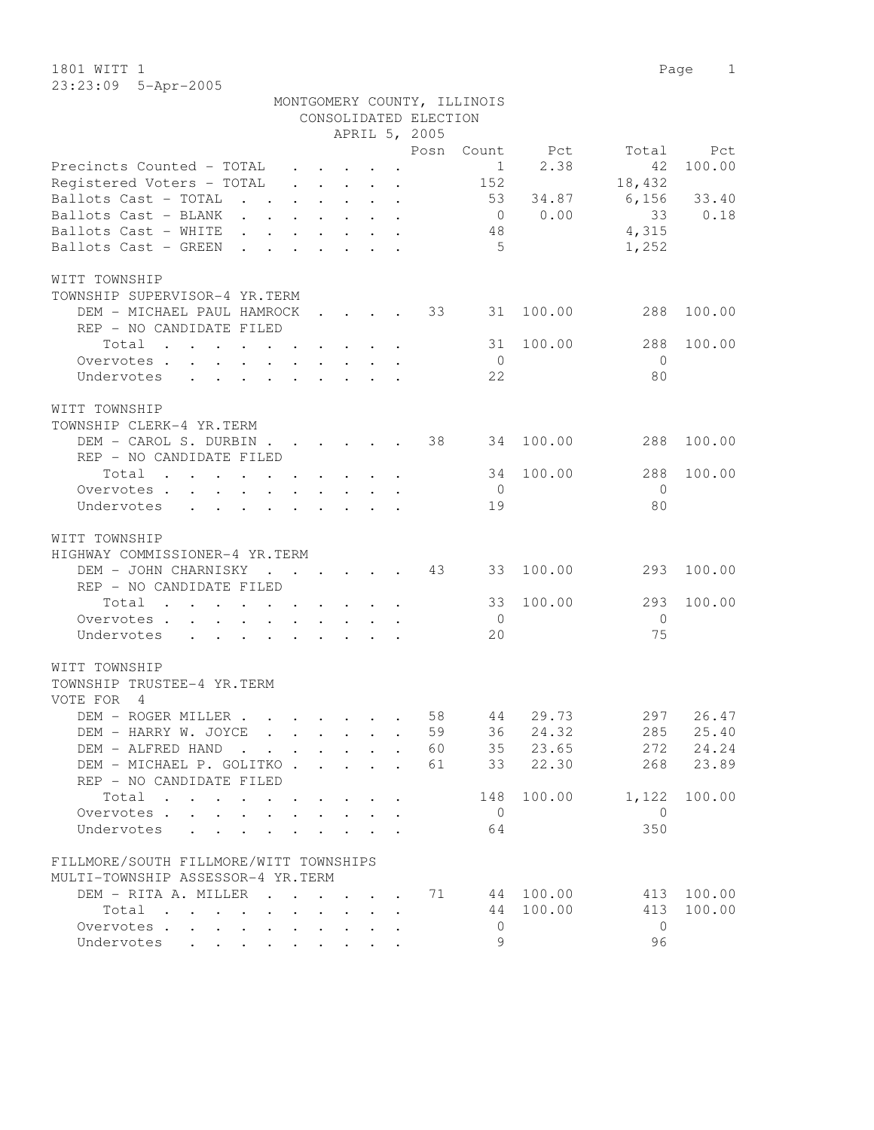1801 WITT 1 Page 1 23:23:09 5-Apr-2005

|                                                                                                                                                                                                                                             |                                          |                      |                                         |                                                 | CONSOLIDATED ELECTION |                |           |                |        |
|---------------------------------------------------------------------------------------------------------------------------------------------------------------------------------------------------------------------------------------------|------------------------------------------|----------------------|-----------------------------------------|-------------------------------------------------|-----------------------|----------------|-----------|----------------|--------|
|                                                                                                                                                                                                                                             |                                          |                      |                                         |                                                 | APRIL 5, 2005         |                |           |                |        |
|                                                                                                                                                                                                                                             |                                          |                      |                                         |                                                 | Posn                  | Count          | Pct       | Total          | Pct    |
| Precincts Counted - TOTAL                                                                                                                                                                                                                   | $\ddot{\phantom{0}}$                     |                      | $\cdot$ $\cdot$                         |                                                 |                       | $\mathbf{1}$   | 2.38      | 42             | 100.00 |
| Registered Voters - TOTAL                                                                                                                                                                                                                   |                                          |                      |                                         | $\cdot$ $\cdot$ $\cdot$ $\cdot$ $\cdot$ $\cdot$ |                       | 152            |           | 18,432         |        |
| Ballots Cast - TOTAL<br>$\sim$<br>$\sim$                                                                                                                                                                                                    | $\ddot{\phantom{0}}$                     |                      |                                         | $\cdot$ $\cdot$ $\cdot$ $\cdot$                 |                       | 53             | 34.87     | 6,156          | 33.40  |
| Ballots Cast - BLANK                                                                                                                                                                                                                        | $\mathbf{r} = \mathbf{r} + \mathbf{r}$ . |                      |                                         | $\cdot$ $\cdot$ $\cdot$                         |                       | $\overline{0}$ | 0.00      | 33             | 0.18   |
| Ballots Cast - WHITE                                                                                                                                                                                                                        |                                          | $\ddot{\phantom{0}}$ | $\cdot$ $\cdot$ $\cdot$ $\cdot$         |                                                 |                       | 48             |           | 4,315          |        |
| Ballots Cast - GREEN                                                                                                                                                                                                                        |                                          |                      |                                         |                                                 |                       | 5              |           | 1,252          |        |
|                                                                                                                                                                                                                                             |                                          |                      |                                         |                                                 |                       |                |           |                |        |
| WITT TOWNSHIP                                                                                                                                                                                                                               |                                          |                      |                                         |                                                 |                       |                |           |                |        |
| TOWNSHIP SUPERVISOR-4 YR.TERM                                                                                                                                                                                                               |                                          |                      |                                         |                                                 |                       |                |           |                |        |
| DEM - MICHAEL PAUL HAMROCK                                                                                                                                                                                                                  |                                          |                      |                                         |                                                 | 33                    | 31             | 100.00    | 288            | 100.00 |
| REP - NO CANDIDATE FILED                                                                                                                                                                                                                    |                                          |                      |                                         |                                                 |                       |                |           |                |        |
| Total<br>$\mathcal{A}$ . The set of the set of the set of the set of the set of the set of the set of the set of the set of the set of the set of the set of the set of the set of the set of the set of the set of the set of the set of t |                                          |                      |                                         |                                                 |                       | 31             | 100.00    | 288            | 100.00 |
| Overvotes                                                                                                                                                                                                                                   |                                          |                      |                                         |                                                 |                       | $\overline{0}$ |           | $\overline{0}$ |        |
| Undervotes<br>$\mathbf{r}$ , and $\mathbf{r}$ , and $\mathbf{r}$ , and $\mathbf{r}$                                                                                                                                                         |                                          |                      |                                         |                                                 |                       | 22             |           | 80             |        |
|                                                                                                                                                                                                                                             |                                          |                      |                                         |                                                 |                       |                |           |                |        |
| WITT TOWNSHIP                                                                                                                                                                                                                               |                                          |                      |                                         |                                                 |                       |                |           |                |        |
| TOWNSHIP CLERK-4 YR.TERM                                                                                                                                                                                                                    |                                          |                      |                                         |                                                 |                       |                |           |                |        |
| DEM - CAROL S. DURBIN.                                                                                                                                                                                                                      |                                          |                      | $\cdot$                                 |                                                 | 38                    | 34             | 100.00    | 288            | 100.00 |
| REP - NO CANDIDATE FILED                                                                                                                                                                                                                    |                                          |                      |                                         |                                                 |                       |                |           |                |        |
| Total<br>the contract of the contract of the contract of the contract of the contract of the contract of the contract of                                                                                                                    |                                          |                      |                                         | $\ddot{\phantom{a}}$                            |                       | 34             | 100.00    | 288            | 100.00 |
| Overvotes                                                                                                                                                                                                                                   |                                          |                      |                                         |                                                 |                       | $\mathbf{0}$   |           | $\Omega$       |        |
| Undervotes<br>$\mathbf{r}$ , and $\mathbf{r}$ , and $\mathbf{r}$ , and $\mathbf{r}$ , and $\mathbf{r}$                                                                                                                                      |                                          |                      |                                         |                                                 |                       | 19             |           | 80             |        |
|                                                                                                                                                                                                                                             |                                          |                      |                                         |                                                 |                       |                |           |                |        |
| WITT TOWNSHIP                                                                                                                                                                                                                               |                                          |                      |                                         |                                                 |                       |                |           |                |        |
| HIGHWAY COMMISSIONER-4 YR.TERM                                                                                                                                                                                                              |                                          |                      |                                         |                                                 |                       |                |           |                |        |
| DEM - JOHN CHARNISKY<br>$\cdot$ $\cdot$ $\cdot$ $\cdot$                                                                                                                                                                                     |                                          |                      |                                         |                                                 | 43                    | 33             | 100.00    | 293            | 100.00 |
| REP - NO CANDIDATE FILED                                                                                                                                                                                                                    |                                          |                      |                                         |                                                 |                       |                |           |                |        |
| Total<br>the contract of the contract of the contract of                                                                                                                                                                                    |                                          |                      |                                         |                                                 |                       | 33             | 100.00    | 293            | 100.00 |
|                                                                                                                                                                                                                                             |                                          |                      |                                         |                                                 |                       | $\overline{0}$ |           | $\Omega$       |        |
| Overvotes.<br>Undervotes                                                                                                                                                                                                                    |                                          |                      |                                         |                                                 |                       | 20             |           | 75             |        |
| $\mathbf{r} = \mathbf{r} - \mathbf{r}$ , and $\mathbf{r} = \mathbf{r} - \mathbf{r}$ , and $\mathbf{r} = \mathbf{r} - \mathbf{r}$                                                                                                            |                                          |                      |                                         |                                                 |                       |                |           |                |        |
|                                                                                                                                                                                                                                             |                                          |                      |                                         |                                                 |                       |                |           |                |        |
| WITT TOWNSHIP                                                                                                                                                                                                                               |                                          |                      |                                         |                                                 |                       |                |           |                |        |
| TOWNSHIP TRUSTEE-4 YR.TERM<br>VOTE FOR<br>$\overline{4}$                                                                                                                                                                                    |                                          |                      |                                         |                                                 |                       |                |           |                |        |
| DEM - ROGER MILLER.                                                                                                                                                                                                                         |                                          |                      |                                         |                                                 | 58                    | 44             | 29.73     | 297            | 26.47  |
| $\mathbf{r}$ , $\mathbf{r}$ , $\mathbf{r}$ , $\mathbf{r}$<br>DEM - HARRY W. JOYCE                                                                                                                                                           |                                          |                      |                                         |                                                 | 59                    | 36             | 24.32     | 285            |        |
| $\cdot$ $\cdot$ $\cdot$ $\cdot$ $\cdot$                                                                                                                                                                                                     |                                          |                      |                                         |                                                 |                       |                |           |                | 25.40  |
| DEM - ALFRED HAND                                                                                                                                                                                                                           |                                          |                      |                                         |                                                 | 60                    | 35             | 23.65     | 272            | 24.24  |
| DEM - MICHAEL P. GOLITKO                                                                                                                                                                                                                    |                                          |                      |                                         |                                                 | 61                    | 33             | 22.30     | 268            | 23.89  |
| REP - NO CANDIDATE FILED                                                                                                                                                                                                                    |                                          |                      |                                         |                                                 |                       |                |           |                |        |
| Total<br>the contract of the contract of the contract of the contract of the contract of the contract of the contract of                                                                                                                    |                                          |                      |                                         |                                                 |                       | 148            | 100.00    | 1,122          | 100.00 |
| Overvotes                                                                                                                                                                                                                                   |                                          |                      |                                         |                                                 |                       | $\overline{0}$ |           | $\overline{0}$ |        |
| Undervotes                                                                                                                                                                                                                                  |                                          |                      |                                         |                                                 |                       | 64             |           | 350            |        |
|                                                                                                                                                                                                                                             |                                          |                      |                                         |                                                 |                       |                |           |                |        |
| FILLMORE/SOUTH FILLMORE/WITT TOWNSHIPS                                                                                                                                                                                                      |                                          |                      |                                         |                                                 |                       |                |           |                |        |
| MULTI-TOWNSHIP ASSESSOR-4 YR.TERM                                                                                                                                                                                                           |                                          |                      |                                         |                                                 |                       |                |           |                |        |
| DEM - RITA A. MILLER                                                                                                                                                                                                                        |                                          |                      |                                         |                                                 | 71                    |                | 44 100.00 | 413            | 100.00 |
| Total<br>$\mathbf{r}$ , $\mathbf{r}$ , $\mathbf{r}$ , $\mathbf{r}$ , $\mathbf{r}$                                                                                                                                                           | $\mathbf{L}$                             |                      | $\mathbf{r} = \mathbf{r} + \mathbf{r}$  |                                                 |                       | 44             | 100.00    | 413            | 100.00 |
| Overvotes                                                                                                                                                                                                                                   |                                          |                      | $\cdot$ $\cdot$ $\cdot$ $\cdot$ $\cdot$ |                                                 |                       | $\mathbf{0}$   |           | $\mathbf{0}$   |        |
| Undervotes                                                                                                                                                                                                                                  |                                          |                      |                                         |                                                 |                       | 9              |           | 96             |        |

MONTGOMERY COUNTY, ILLINOIS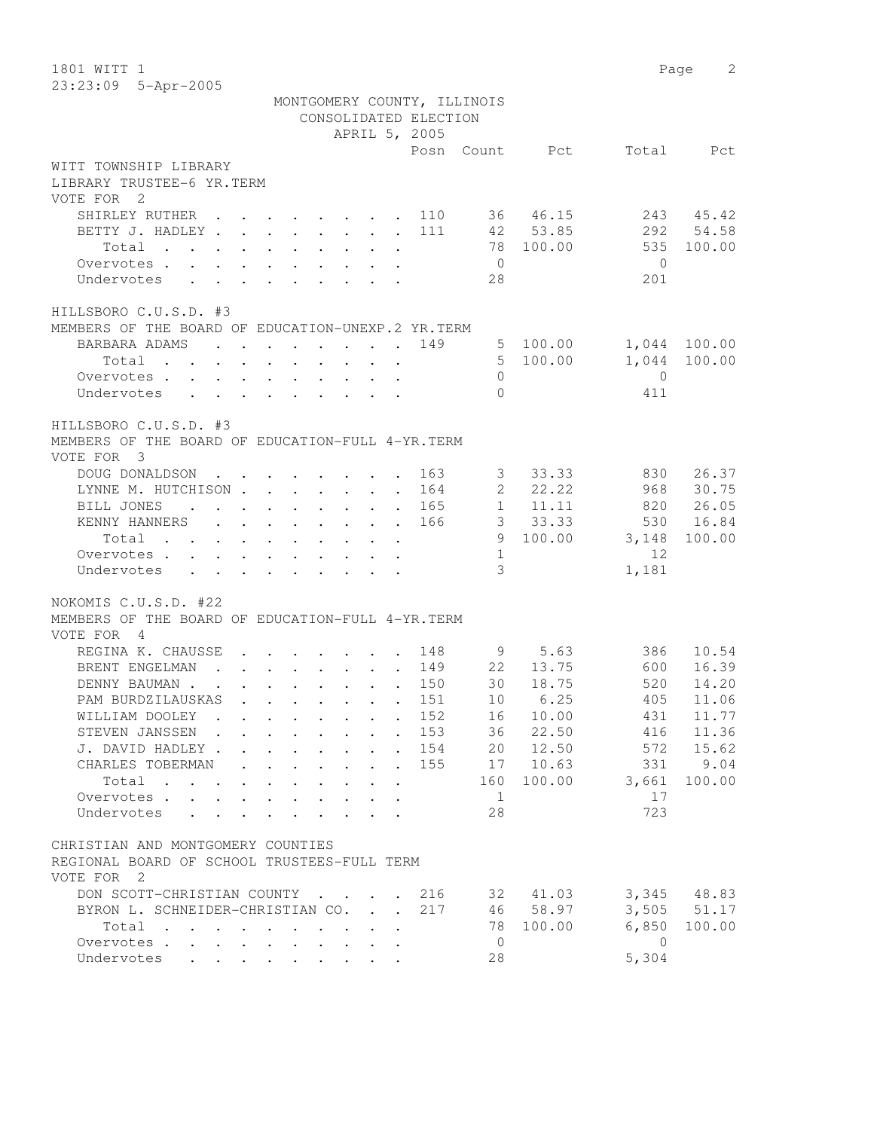1801 WITT 1 Page 2 23:23:09 5-Apr-2005

|                                                                                         | MONTGOMERY COUNTY, ILLINOIS                                                             | CONSOLIDATED ELECTION |                     |                |                |                |                 |
|-----------------------------------------------------------------------------------------|-----------------------------------------------------------------------------------------|-----------------------|---------------------|----------------|----------------|----------------|-----------------|
|                                                                                         |                                                                                         | APRIL 5, 2005         |                     |                |                |                |                 |
|                                                                                         |                                                                                         |                       |                     |                | Posn Count Pct |                | Total Pct       |
| WITT TOWNSHIP LIBRARY                                                                   |                                                                                         |                       |                     |                |                |                |                 |
| LIBRARY TRUSTEE-6 YR.TERM<br>VOTE FOR 2                                                 |                                                                                         |                       |                     |                |                |                |                 |
| SHIRLEY RUTHER 110                                                                      |                                                                                         |                       |                     |                | 36 46.15       | 243            | 45.42           |
| BETTY J. HADLEY 111                                                                     |                                                                                         |                       |                     |                | 42 53.85       |                | 292 54.58       |
| Total                                                                                   |                                                                                         |                       |                     |                | 78 100.00      | 535            | 100.00          |
| Overvotes                                                                               |                                                                                         |                       |                     | $\overline{0}$ |                | $\overline{0}$ |                 |
| Undervotes                                                                              | $\mathbf{r}$ , $\mathbf{r}$ , $\mathbf{r}$ , $\mathbf{r}$ , $\mathbf{r}$ , $\mathbf{r}$ |                       |                     | 28             |                | 201            |                 |
| HILLSBORO C.U.S.D. #3                                                                   |                                                                                         |                       |                     |                |                |                |                 |
| MEMBERS OF THE BOARD OF EDUCATION-UNEXP.2 YR.TERM                                       |                                                                                         |                       |                     |                |                |                |                 |
| BARBARA ADAMS                                                                           |                                                                                         |                       | 149                 | $5^{\circ}$    | 100.00         | 1,044 100.00   |                 |
| Total $\cdot$                                                                           |                                                                                         |                       |                     |                | 5 100.00       |                | 1,044 100.00    |
| Overvotes                                                                               |                                                                                         |                       |                     | $\Omega$       |                | $\overline{0}$ |                 |
| Undervotes                                                                              |                                                                                         |                       |                     | $\Omega$       |                | 411            |                 |
| HILLSBORO C.U.S.D. #3<br>MEMBERS OF THE BOARD OF EDUCATION-FULL 4-YR.TERM<br>VOTE FOR 3 |                                                                                         |                       |                     |                |                |                |                 |
| DOUG DONALDSON 163                                                                      |                                                                                         |                       |                     |                | 3 33.33        | 830            | 26.37           |
| LYNNE M. HUTCHISON 164                                                                  |                                                                                         |                       |                     |                | 2, 22, 22      | 968            | 30.75           |
| BILL JONES<br>$\cdot$ 165                                                               |                                                                                         |                       |                     |                | 1 11.11        | 820            | 26.05           |
| KENNY HANNERS 166                                                                       |                                                                                         |                       |                     |                | 3 33.33        |                | 530 16.84       |
| Total                                                                                   |                                                                                         |                       |                     |                | 9 100.00       | 3,148          | 100.00          |
| Overvotes                                                                               |                                                                                         |                       |                     | 1              |                | 12             |                 |
| Undervotes                                                                              |                                                                                         |                       |                     | 3 <sup>7</sup> |                | 1,181          |                 |
| NOKOMIS C.U.S.D. #22                                                                    |                                                                                         |                       |                     |                |                |                |                 |
| MEMBERS OF THE BOARD OF EDUCATION-FULL 4-YR. TERM<br>VOTE FOR 4                         |                                                                                         |                       |                     |                |                |                |                 |
| REGINA K. CHAUSSE                                                                       |                                                                                         |                       |                     |                | 9 5.63         | 386            | 10.54           |
| BRENT ENGELMAN 149 22 13.75                                                             |                                                                                         |                       |                     |                |                | 600            | 16.39           |
| DENNY BAUMAN                                                                            | $\cdot$ 150                                                                             |                       |                     |                | 30 18.75       | 520            | 14.20           |
| PAM BURDZILAUSKAS                                                                       | $\mathbf{r}$ , $\mathbf{r}$ , $\mathbf{r}$ , $\mathbf{r}$ , $\mathbf{r}$                |                       | $\cdot$ $\cdot$ 151 |                | 10 6.25        | 405            | 11.06           |
| WILLIAM DOOLEY                                                                          | . 152                                                                                   |                       |                     | 16             | 10.00          | 431            | 11.77           |
| STEVEN JANSSEN 153                                                                      |                                                                                         |                       |                     |                | 36 22.50       |                | 416 11.36       |
| J. DAVID HADLEY 154                                                                     |                                                                                         |                       |                     |                | 20 12.50       | 572            | 15.62           |
| CHARLES TOBERMAN                                                                        |                                                                                         |                       | 155                 |                | 17 10.63       | 331            | 9.04            |
| Total                                                                                   |                                                                                         |                       |                     | 160            | 100.00         | 3,661          | 100.00          |
| Overvotes                                                                               | $\cdot$ $\cdot$ $\cdot$ $\cdot$ $\cdot$ $\cdot$                                         |                       |                     | $\mathbf{1}$   |                | 17             |                 |
| Undervotes                                                                              |                                                                                         |                       |                     | 28             |                | 723            |                 |
| CHRISTIAN AND MONTGOMERY COUNTIES                                                       |                                                                                         |                       |                     |                |                |                |                 |
| REGIONAL BOARD OF SCHOOL TRUSTEES-FULL TERM                                             |                                                                                         |                       |                     |                |                |                |                 |
| VOTE FOR 2                                                                              |                                                                                         |                       |                     |                |                |                |                 |
| DON SCOTT-CHRISTIAN COUNTY                                                              |                                                                                         |                       | 216                 |                | 32 41.03       |                | 3,345 48.83     |
| BYRON L. SCHNEIDER-CHRISTIAN CO.                                                        |                                                                                         |                       | 217                 |                | 46 58.97       |                | $3,505$ $51.17$ |
|                                                                                         |                                                                                         |                       |                     | 78             |                | 6,850          | 100.00          |
| Total<br>. The simple state is a set of the state of the state $\mathcal{A}$            |                                                                                         |                       |                     | $\overline{0}$ | 100.00         | $\overline{0}$ |                 |
| Overvotes<br>Undervotes                                                                 |                                                                                         |                       |                     | 28             |                | 5,304          |                 |
|                                                                                         |                                                                                         |                       |                     |                |                |                |                 |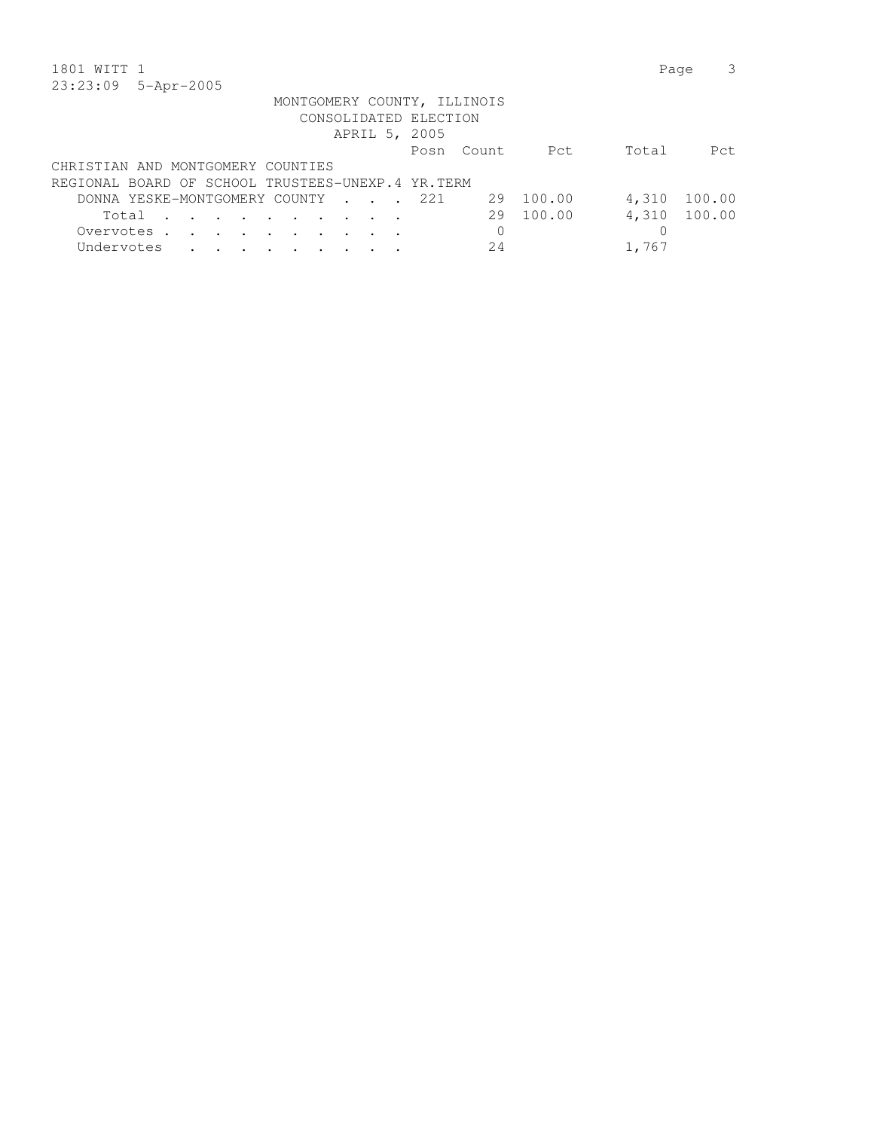| 1801 WITT 1                                                                                                                                                                                                                                             | Page  |        |
|---------------------------------------------------------------------------------------------------------------------------------------------------------------------------------------------------------------------------------------------------------|-------|--------|
| 23:23:09<br>$5 - Apr - 2005$                                                                                                                                                                                                                            |       |        |
| MONTGOMERY COUNTY, ILLINOIS                                                                                                                                                                                                                             |       |        |
| CONSOLIDATED ELECTION                                                                                                                                                                                                                                   |       |        |
| APRIL 5, 2005                                                                                                                                                                                                                                           |       |        |
| Pct<br>- Count.<br>Posn                                                                                                                                                                                                                                 | Total | Pct.   |
| CHRISTIAN AND MONTGOMERY COUNTIES                                                                                                                                                                                                                       |       |        |
| REGIONAL BOARD OF SCHOOL TRUSTEES-UNEXP.4 YR.TERM                                                                                                                                                                                                       |       |        |
| 100.00<br>DONNA YESKE-MONTGOMERY COUNTY 221<br>29                                                                                                                                                                                                       | 4,310 | 100.00 |
| 29 100.00<br>Total<br>$\mathbf{r}$ . The contract of the contract of the contract of the contract of the contract of the contract of the contract of the contract of the contract of the contract of the contract of the contract of the contract of th | 4,310 | 100.00 |
| 0<br>Overvotes.<br>$\sim$<br>and the state of the state of the                                                                                                                                                                                          |       |        |
| Undervotes<br>24                                                                                                                                                                                                                                        | 1,767 |        |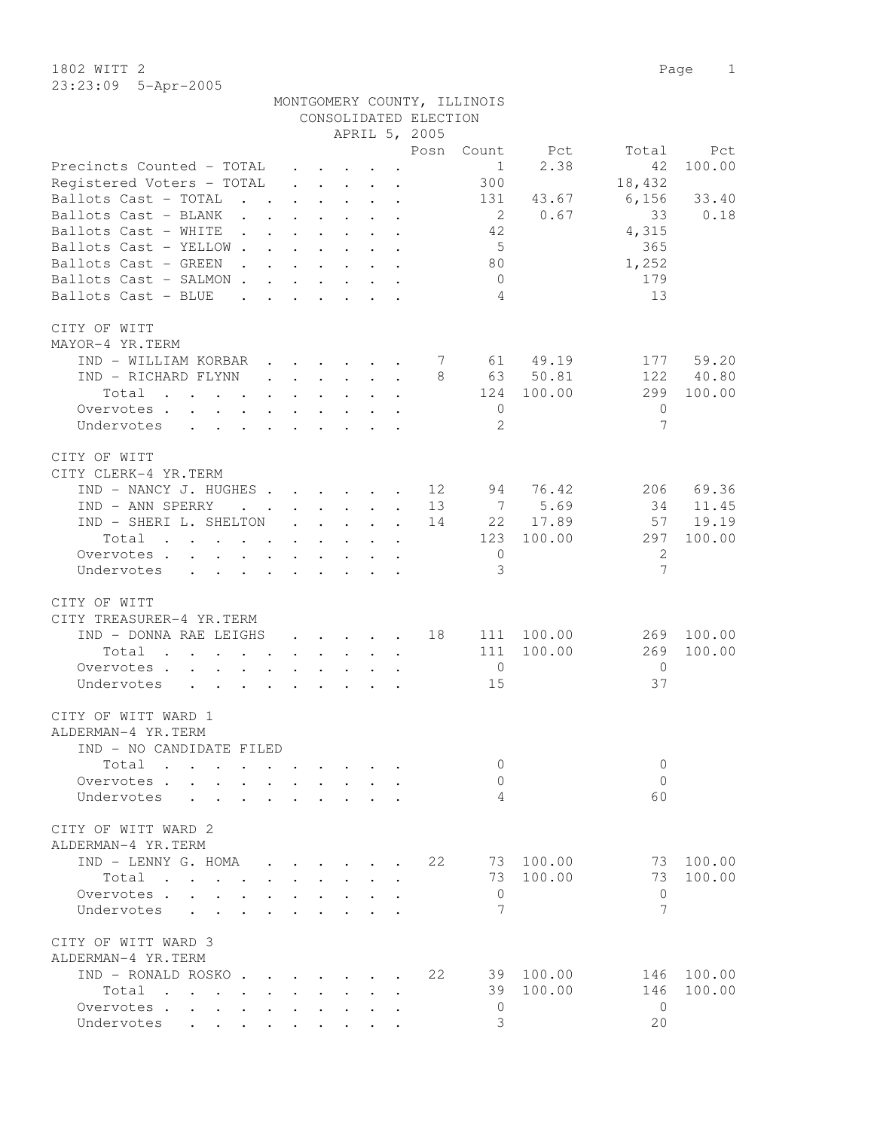1802 WITT 2 Page 1 23:23:09 5-Apr-2005

|                                                                                            |                                              |                                      |                                                                                               |                                                                                      | CONSOLIDATED ELECTION | MONTGOMERY COUNTY, ILLINOIS |           |                |        |
|--------------------------------------------------------------------------------------------|----------------------------------------------|--------------------------------------|-----------------------------------------------------------------------------------------------|--------------------------------------------------------------------------------------|-----------------------|-----------------------------|-----------|----------------|--------|
|                                                                                            |                                              |                                      |                                                                                               |                                                                                      | APRIL 5, 2005         |                             |           |                |        |
|                                                                                            |                                              |                                      |                                                                                               |                                                                                      | Posn                  | Count                       | Pct       | Total          | Pct    |
| Precincts Counted - TOTAL                                                                  |                                              |                                      |                                                                                               | $\cdot$ $\cdot$ $\cdot$ $\cdot$                                                      |                       | $\mathbf{1}$                | 2.38      | 42             | 100.00 |
| Registered Voters - TOTAL                                                                  |                                              |                                      |                                                                                               | $\ddot{\phantom{a}}$                                                                 |                       | 300                         |           | 18,432         |        |
| Ballots Cast - TOTAL<br>$\mathbf{r}$ $\mathbf{r}$                                          |                                              | $\ddot{\phantom{0}}$                 |                                                                                               | $\mathbf{L} = \mathbf{L} \times \mathbf{L} = \mathbf{L} \times \mathbf{L}$           |                       | 131                         | 43.67     | 6,156          | 33.40  |
| Ballots Cast - BLANK<br>$\mathbf{r}$ . The set of $\mathbf{r}$                             | $\ddot{\phantom{0}}$                         | $\sim$                               | $\ddotsc$                                                                                     | $\sim$                                                                               | $\bullet$             | $\overline{2}$              | 0.67      | 33             | 0.18   |
| Ballots Cast - WHITE<br>$\ddot{\phantom{0}}$                                               |                                              |                                      |                                                                                               | $\sim$                                                                               |                       | 42                          |           | 4,315          |        |
| Ballots Cast - YELLOW.                                                                     | $\ddot{\phantom{0}}$                         | $\mathbf{L}^{(1)}$ .                 |                                                                                               |                                                                                      |                       | $5^{\circ}$                 |           | 365            |        |
| Ballots Cast - GREEN<br>$\sim$ $\sim$                                                      | $\mathbf{L}$ and $\mathbf{L}$                |                                      | $\sim$ $\sim$                                                                                 | $\cdot$ $\cdot$                                                                      |                       | 80                          |           | 1,252          |        |
| Ballots Cast - SALMON                                                                      |                                              | $\sim$                               | $\sim$                                                                                        | $\mathbf{L}$                                                                         |                       | $\overline{0}$              |           | 179            |        |
| Ballots Cast - BLUE                                                                        |                                              |                                      |                                                                                               |                                                                                      |                       | $\overline{4}$              |           | 13             |        |
| CITY OF WITT                                                                               |                                              |                                      |                                                                                               |                                                                                      |                       |                             |           |                |        |
| MAYOR-4 YR. TERM                                                                           |                                              |                                      |                                                                                               |                                                                                      |                       |                             |           |                |        |
| IND - WILLIAM KORBAR                                                                       |                                              |                                      | $\mathbf{r} = \mathbf{r} + \mathbf{r}$ , where $\mathbf{r} = \mathbf{r}$                      |                                                                                      | 7                     |                             | 61 49.19  | 177            | 59.20  |
| IND - RICHARD FLYNN                                                                        |                                              |                                      | $\mathbf{r} = \mathbf{r} + \mathbf{r} + \mathbf{r} + \mathbf{r}$                              |                                                                                      | 8                     | 63                          | 50.81     | 122            | 40.80  |
| Total                                                                                      |                                              | $\ddot{\phantom{0}}$<br>$\mathbf{L}$ | $\ddot{\phantom{0}}$                                                                          |                                                                                      |                       | 124                         | 100.00    | 299            | 100.00 |
| Overvotes .<br>$\mathbf{L}$<br>$\mathbf{L} = \mathbf{L} \mathbf{L}$                        | $\mathbf{L} = \mathbf{L} \mathbf{L}$         |                                      |                                                                                               |                                                                                      |                       | $\overline{0}$              |           | $\mathbf{0}$   |        |
| Undervotes<br>$\cdot$ $\cdot$ $\cdot$<br>$\mathbf{L}$                                      | $\mathbf{L}$                                 |                                      |                                                                                               |                                                                                      |                       | 2                           |           | 7              |        |
| CITY OF WITT                                                                               |                                              |                                      |                                                                                               |                                                                                      |                       |                             |           |                |        |
| CITY CLERK-4 YR. TERM                                                                      |                                              |                                      |                                                                                               |                                                                                      |                       |                             |           |                |        |
| IND - NANCY J. HUGHES                                                                      |                                              |                                      |                                                                                               |                                                                                      | 12<br>$\sim$ $\sim$   | 94                          | 76.42     | 206            | 69.36  |
| IND - ANN SPERRY<br>$\mathcal{A}^{\text{max}}$ , $\mathcal{A}^{\text{max}}$                |                                              | $\sim$                               | $\mathbf{1}^{\prime}$ , $\mathbf{1}^{\prime}$ , $\mathbf{1}^{\prime}$ , $\mathbf{1}^{\prime}$ |                                                                                      | 13<br>$\sim$ $-$      | $\overline{7}$              | 5.69      | 34             | 11.45  |
| IND - SHERI L. SHELTON                                                                     |                                              | $\mathbf{L}$                         |                                                                                               | $\mathbf{L} = \mathbf{L} \mathbf{L} + \mathbf{L} \mathbf{L} + \mathbf{L} \mathbf{L}$ | 14                    |                             | 22 17.89  | 57             | 19.19  |
| Total                                                                                      |                                              |                                      | $\cdots$                                                                                      |                                                                                      |                       | 123                         | 100.00    | 297            | 100.00 |
| Overvotes .<br>$\mathbf{L}$ and $\mathbf{L}$ and $\mathbf{L}$                              | $\sim$ $\sim$                                | $\ddot{\phantom{0}}$                 |                                                                                               |                                                                                      |                       | $\overline{0}$              |           | 2              |        |
| Undervotes<br>$\mathbf{r} = \mathbf{r} + \mathbf{r}$                                       | $\ddot{\phantom{a}}$                         | $\mathbf{L}$                         |                                                                                               |                                                                                      |                       | 3                           |           | 7              |        |
| CITY OF WITT                                                                               |                                              |                                      |                                                                                               |                                                                                      |                       |                             |           |                |        |
| CITY TREASURER-4 YR.TERM                                                                   |                                              |                                      |                                                                                               |                                                                                      |                       |                             |           |                |        |
| IND - DONNA RAE LEIGHS                                                                     |                                              |                                      |                                                                                               | $\cdot$ $\cdot$ $\cdot$ $\cdot$ $\cdot$ $\cdot$                                      | 18                    | 111                         | 100.00    | 269            | 100.00 |
| Total<br>$\ddot{\phantom{a}}$<br>$\mathbf{r}$ , $\mathbf{r}$ , $\mathbf{r}$ , $\mathbf{r}$ |                                              | $\bullet$ .                          | $\mathbf{a}^{\prime}$ , and $\mathbf{a}^{\prime}$ , and $\mathbf{a}^{\prime}$                 |                                                                                      |                       | 111                         | 100.00    | 269            | 100.00 |
| Overvotes                                                                                  |                                              | $\sim$                               | $\cdot$ $\cdot$ $\cdot$                                                                       |                                                                                      |                       | $\overline{0}$              |           | $\overline{0}$ |        |
| Undervotes<br>$\ddot{\phantom{a}}$                                                         | $\ddot{\phantom{a}}$<br>$\ddot{\phantom{a}}$ |                                      |                                                                                               |                                                                                      |                       | 15                          |           | 37             |        |
| CITY OF WITT WARD 1                                                                        |                                              |                                      |                                                                                               |                                                                                      |                       |                             |           |                |        |
| ALDERMAN-4 YR.TERM                                                                         |                                              |                                      |                                                                                               |                                                                                      |                       |                             |           |                |        |
| IND - NO CANDIDATE FILED                                                                   |                                              |                                      |                                                                                               |                                                                                      |                       |                             |           |                |        |
| Total                                                                                      |                                              |                                      |                                                                                               |                                                                                      |                       | $\Omega$                    |           | 0              |        |
| Overvotes                                                                                  |                                              |                                      |                                                                                               |                                                                                      |                       | $\Omega$                    |           | $\Omega$       |        |
| Undervotes                                                                                 |                                              |                                      |                                                                                               |                                                                                      |                       | 4                           |           | 60             |        |
| CITY OF WITT WARD 2                                                                        |                                              |                                      |                                                                                               |                                                                                      |                       |                             |           |                |        |
| ALDERMAN-4 YR.TERM                                                                         |                                              |                                      |                                                                                               |                                                                                      |                       |                             |           |                |        |
| IND - LENNY G. HOMA                                                                        |                                              |                                      |                                                                                               |                                                                                      | 22                    |                             | 73 100.00 | 73             | 100.00 |
| Total                                                                                      |                                              |                                      |                                                                                               |                                                                                      |                       | 73                          | 100.00    | 73             | 100.00 |
| Overvotes.                                                                                 |                                              |                                      |                                                                                               |                                                                                      |                       | $\Omega$                    |           | $\Omega$       |        |

Undervotes . . . . . . . . . 7 7 7 7 CITY OF WITT WARD 3

ALDERMAN-4 YR.TERM IND - RONALD ROSKO . . . . . . . 22 39 100.00 146 100.00 Total . . . . . . . . . . 39 100.00 146 100.00 Overvotes . . . . . . . . . . 0 0

Undervotes . . . . . . . . . . 3 20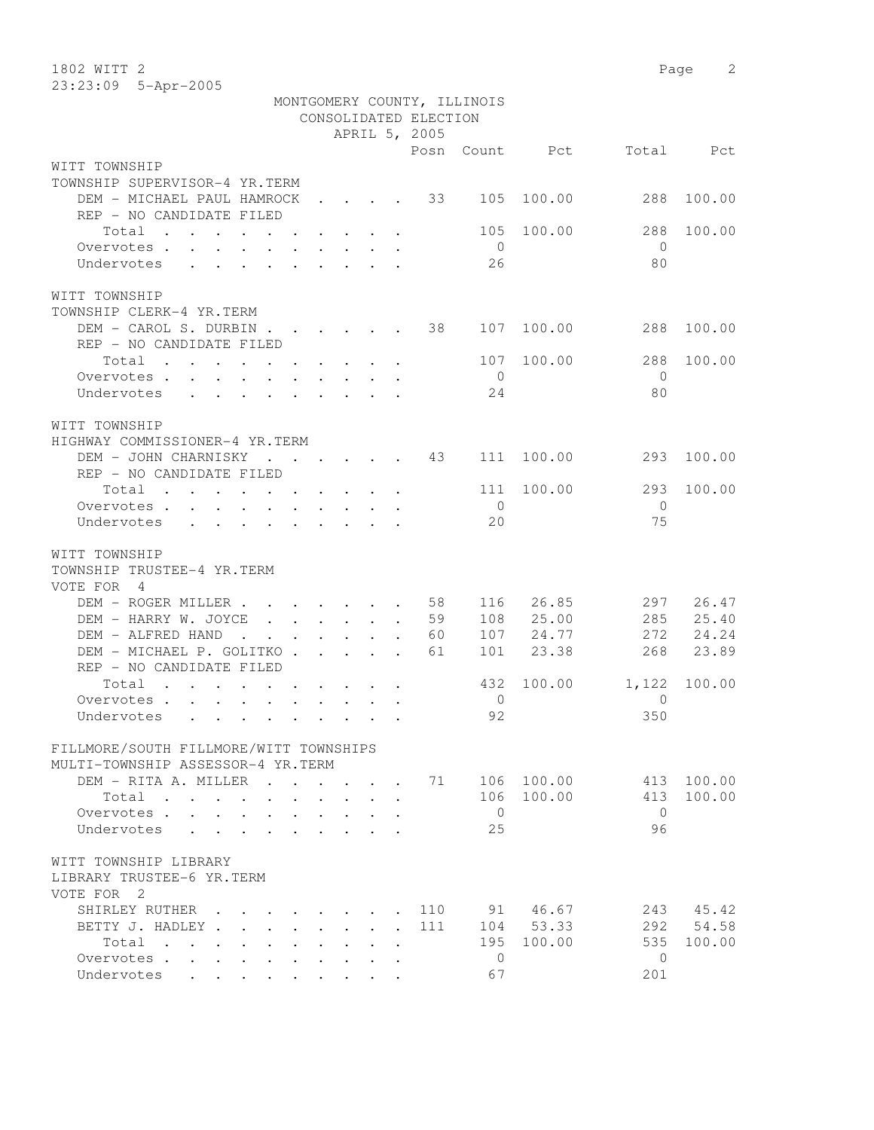1802 WITT 2 Page 2 23:23:09 5-Apr-2005

|                                                                                                                                                                                                                                                 |                                                 |                                 |                                                         |                       | MONTGOMERY COUNTY, ILLINOIS |            |                |        |
|-------------------------------------------------------------------------------------------------------------------------------------------------------------------------------------------------------------------------------------------------|-------------------------------------------------|---------------------------------|---------------------------------------------------------|-----------------------|-----------------------------|------------|----------------|--------|
|                                                                                                                                                                                                                                                 |                                                 |                                 |                                                         | CONSOLIDATED ELECTION |                             |            |                |        |
|                                                                                                                                                                                                                                                 |                                                 |                                 |                                                         | APRIL 5, 2005         |                             |            |                |        |
|                                                                                                                                                                                                                                                 |                                                 |                                 |                                                         |                       | Posn Count                  | Pct        | Total          | Pct    |
| WITT TOWNSHIP                                                                                                                                                                                                                                   |                                                 |                                 |                                                         |                       |                             |            |                |        |
| TOWNSHIP SUPERVISOR-4 YR.TERM                                                                                                                                                                                                                   |                                                 |                                 |                                                         |                       |                             |            |                |        |
| DEM - MICHAEL PAUL HAMROCK                                                                                                                                                                                                                      |                                                 |                                 |                                                         | 33                    | 105                         | 100.00     | 288            | 100.00 |
| REP - NO CANDIDATE FILED                                                                                                                                                                                                                        |                                                 |                                 |                                                         |                       |                             |            |                |        |
| Total                                                                                                                                                                                                                                           |                                                 |                                 |                                                         |                       | 105                         | 100.00     | 288            | 100.00 |
| Overvotes                                                                                                                                                                                                                                       |                                                 |                                 |                                                         |                       | $\overline{0}$              |            | $\Omega$       |        |
| Undervotes<br>$\mathbf{r}$ , and $\mathbf{r}$ , and $\mathbf{r}$ , and $\mathbf{r}$                                                                                                                                                             |                                                 |                                 |                                                         |                       | 26                          |            | 80             |        |
|                                                                                                                                                                                                                                                 |                                                 |                                 |                                                         |                       |                             |            |                |        |
| WITT TOWNSHIP<br>TOWNSHIP CLERK-4 YR.TERM                                                                                                                                                                                                       |                                                 |                                 |                                                         |                       |                             |            |                |        |
| DEM - CAROL S. DURBIN                                                                                                                                                                                                                           |                                                 |                                 |                                                         | 38                    |                             | 107 100.00 | 288            | 100.00 |
| REP - NO CANDIDATE FILED                                                                                                                                                                                                                        |                                                 |                                 |                                                         |                       |                             |            |                |        |
| Total                                                                                                                                                                                                                                           |                                                 |                                 |                                                         |                       | 107                         | 100.00     | 288            | 100.00 |
| Overvotes<br>$\mathbf{L}$                                                                                                                                                                                                                       |                                                 |                                 | $\cdot$ $\cdot$ $\cdot$ $\cdot$ $\cdot$ $\cdot$ $\cdot$ |                       | $\bigcirc$                  |            | $\bigcirc$     |        |
| Undervotes                                                                                                                                                                                                                                      |                                                 |                                 |                                                         |                       | 24                          |            | 80             |        |
|                                                                                                                                                                                                                                                 |                                                 |                                 |                                                         |                       |                             |            |                |        |
| WITT TOWNSHIP                                                                                                                                                                                                                                   |                                                 |                                 |                                                         |                       |                             |            |                |        |
| HIGHWAY COMMISSIONER-4 YR.TERM                                                                                                                                                                                                                  |                                                 |                                 |                                                         |                       |                             |            |                |        |
| DEM - JOHN CHARNISKY 43                                                                                                                                                                                                                         |                                                 |                                 |                                                         |                       | 111                         | 100.00     | 293            | 100.00 |
| REP - NO CANDIDATE FILED                                                                                                                                                                                                                        |                                                 |                                 |                                                         |                       |                             |            |                |        |
| Total                                                                                                                                                                                                                                           |                                                 |                                 |                                                         |                       | 111                         | 100.00     | 293            | 100.00 |
| Overvotes<br>$\mathbf{r}$ , and $\mathbf{r}$ , and $\mathbf{r}$ , and $\mathbf{r}$                                                                                                                                                              |                                                 |                                 |                                                         |                       | $\overline{0}$              |            | $\overline{0}$ |        |
| Undervotes<br>$\mathbf{L}$<br>$\cdot$ $\cdot$ $\cdot$ $\cdot$                                                                                                                                                                                   |                                                 | $\sim$                          |                                                         |                       | 20                          |            | 75             |        |
|                                                                                                                                                                                                                                                 |                                                 |                                 |                                                         |                       |                             |            |                |        |
| WITT TOWNSHIP                                                                                                                                                                                                                                   |                                                 |                                 |                                                         |                       |                             |            |                |        |
| TOWNSHIP TRUSTEE-4 YR.TERM                                                                                                                                                                                                                      |                                                 |                                 |                                                         |                       |                             |            |                |        |
| VOTE FOR 4                                                                                                                                                                                                                                      |                                                 |                                 |                                                         |                       |                             |            |                |        |
| DEM - ROGER MILLER                                                                                                                                                                                                                              |                                                 |                                 |                                                         | 58                    | 116                         | 26.85      | 297            | 26.47  |
| DEM - HARRY W. JOYCE<br>$\mathbf{r}$ , $\mathbf{r}$ , $\mathbf{r}$ , $\mathbf{r}$ , $\mathbf{r}$                                                                                                                                                |                                                 |                                 |                                                         | 59<br>$\bullet$       | 108                         | 25.00      | 285            | 25.40  |
| DEM - ALFRED HAND<br>$\sim$                                                                                                                                                                                                                     | $\cdot$ $\cdot$ $\cdot$ $\cdot$ $\cdot$ $\cdot$ |                                 | $\sim$                                                  | 60                    | 107                         | 24.77      | 272            | 24.24  |
| DEM - MICHAEL P. GOLITKO.                                                                                                                                                                                                                       |                                                 | $\cdot$ $\cdot$ $\cdot$ $\cdot$ |                                                         | 61                    | 101                         | 23.38      | 268            | 23.89  |
| REP - NO CANDIDATE FILED                                                                                                                                                                                                                        |                                                 |                                 |                                                         |                       |                             |            |                |        |
| Total<br>the contract of the contract of the contract of                                                                                                                                                                                        |                                                 |                                 |                                                         |                       | 432                         | 100.00     | 1,122          | 100.00 |
| Overvotes.                                                                                                                                                                                                                                      |                                                 |                                 |                                                         |                       | $\overline{0}$              |            | $\Omega$       |        |
| Undervotes<br>$\mathbf{r}$ , and the contract of the contract of the contract of the contract of the contract of the contract of the contract of the contract of the contract of the contract of the contract of the contract of the contract o |                                                 |                                 |                                                         |                       | 92                          |            | 350            |        |
|                                                                                                                                                                                                                                                 |                                                 |                                 |                                                         |                       |                             |            |                |        |
| FILLMORE/SOUTH FILLMORE/WITT TOWNSHIPS                                                                                                                                                                                                          |                                                 |                                 |                                                         |                       |                             |            |                |        |
| MULTI-TOWNSHIP ASSESSOR-4 YR.TERM                                                                                                                                                                                                               |                                                 |                                 |                                                         |                       |                             |            |                |        |
| DEM - RITA A. MILLER<br>$\mathbf{r}$ . The set of $\mathbf{r}$                                                                                                                                                                                  |                                                 |                                 |                                                         | 71                    |                             | 106 100.00 | 413            | 100.00 |
| Total                                                                                                                                                                                                                                           |                                                 |                                 |                                                         |                       | 106                         | 100.00     | 413            | 100.00 |
| Overvotes                                                                                                                                                                                                                                       |                                                 |                                 |                                                         |                       | $\overline{0}$              |            | $\bigcirc$     |        |
| Undervotes<br>$\mathbf{L}$<br>$\cdot$<br>$\sim$                                                                                                                                                                                                 |                                                 |                                 |                                                         |                       | 25                          |            | 96             |        |
|                                                                                                                                                                                                                                                 |                                                 |                                 |                                                         |                       |                             |            |                |        |
| WITT TOWNSHIP LIBRARY                                                                                                                                                                                                                           |                                                 |                                 |                                                         |                       |                             |            |                |        |
| LIBRARY TRUSTEE-6 YR.TERM                                                                                                                                                                                                                       |                                                 |                                 |                                                         |                       |                             |            |                |        |
| VOTE FOR 2                                                                                                                                                                                                                                      |                                                 |                                 |                                                         |                       |                             |            |                |        |
| SHIRLEY RUTHER                                                                                                                                                                                                                                  | $\ddot{\phantom{a}}$                            |                                 |                                                         | 110                   |                             | 91 46.67   | 243            | 45.42  |
| BETTY J. HADLEY.                                                                                                                                                                                                                                |                                                 |                                 |                                                         | 111                   |                             | 104 53.33  | 292            | 54.58  |
| Total                                                                                                                                                                                                                                           |                                                 |                                 |                                                         |                       | 195                         | 100.00     | 535            | 100.00 |
| Overvotes .<br>$\sim$<br>$\ddot{\phantom{a}}$                                                                                                                                                                                                   |                                                 |                                 |                                                         |                       | $\mathbf{0}$                |            | $\mathbf{0}$   |        |
| Undervotes<br>$\ddot{\phantom{0}}$<br>$\mathbf{L}$<br>$\cdot$                                                                                                                                                                                   | $\cdot$                                         |                                 |                                                         |                       | 67                          |            | 201            |        |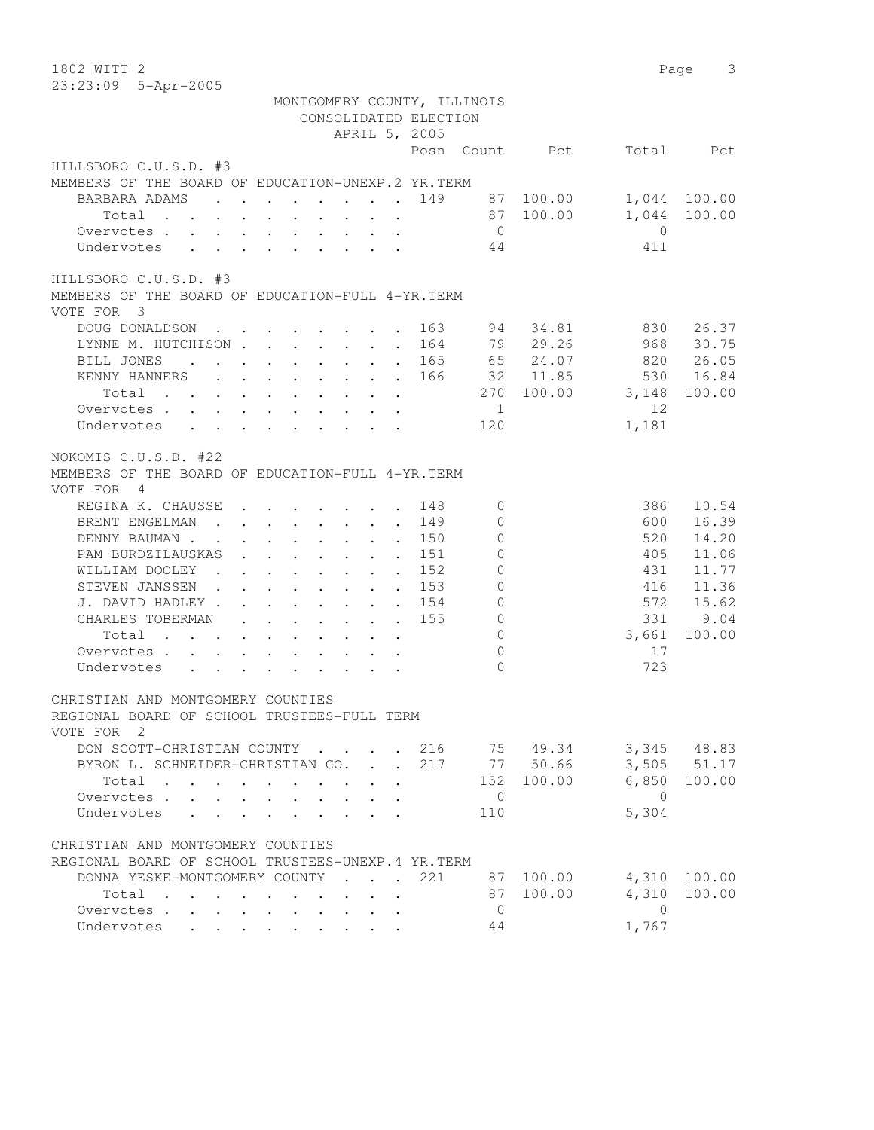| 1802 WITT 2                                                                                                                                                                           |                             |                | Page           | 3            |
|---------------------------------------------------------------------------------------------------------------------------------------------------------------------------------------|-----------------------------|----------------|----------------|--------------|
| 23:23:09 5-Apr-2005                                                                                                                                                                   |                             |                |                |              |
| MONTGOMERY COUNTY, ILLINOIS                                                                                                                                                           |                             |                |                |              |
|                                                                                                                                                                                       | CONSOLIDATED ELECTION       |                |                |              |
|                                                                                                                                                                                       | APRIL 5, 2005               |                |                |              |
|                                                                                                                                                                                       | Posn                        | Count Pct      | Total          | Pct          |
| HILLSBORO C.U.S.D. #3                                                                                                                                                                 |                             |                |                |              |
| MEMBERS OF THE BOARD OF EDUCATION-UNEXP.2 YR.TERM                                                                                                                                     |                             |                |                |              |
| BARBARA ADAMS                                                                                                                                                                         |                             | 87 100.00      |                | 1,044 100.00 |
| Total<br>$\mathbf{r}$ , $\mathbf{r}$ , $\mathbf{r}$ , $\mathbf{r}$ , $\mathbf{r}$<br>$\ddot{\phantom{0}}$                                                                             | $\ddot{\phantom{a}}$        | 87 100.00      | 1,044          | 100.00       |
| Overvotes.                                                                                                                                                                            |                             | $\overline{0}$ | $\circ$        |              |
| Undervotes                                                                                                                                                                            |                             | 44             | 411            |              |
|                                                                                                                                                                                       |                             |                |                |              |
| HILLSBORO C.U.S.D. #3                                                                                                                                                                 |                             |                |                |              |
| MEMBERS OF THE BOARD OF EDUCATION-FULL 4-YR.TERM                                                                                                                                      |                             |                |                |              |
| VOTE FOR 3                                                                                                                                                                            |                             |                |                |              |
| DOUG DONALDSON                                                                                                                                                                        | 163                         | 94<br>34.81    | 830            | 26.37        |
| LYNNE M. HUTCHISON                                                                                                                                                                    | 164                         | 29.26<br>79    | 968            | 30.75        |
| BILL JONES<br>$\mathcal{L}^{\mathcal{A}}$ . The set of the set of the set of the set of the $\mathcal{L}^{\mathcal{A}}$                                                               | 165<br>$\sim$               | 65<br>24.07    | 820            | 26.05        |
| KENNY HANNERS                                                                                                                                                                         | 166                         | 32 11.85       | 530            | 16.84        |
| Total                                                                                                                                                                                 |                             | 270<br>100.00  | 3,148          | 100.00       |
| Overvotes                                                                                                                                                                             |                             | $\overline{1}$ | 12             |              |
| Undervotes                                                                                                                                                                            |                             | 120            | 1,181          |              |
|                                                                                                                                                                                       |                             |                |                |              |
| NOKOMIS C.U.S.D. #22                                                                                                                                                                  |                             |                |                |              |
| MEMBERS OF THE BOARD OF EDUCATION-FULL 4-YR. TERM                                                                                                                                     |                             |                |                |              |
| VOTE FOR 4                                                                                                                                                                            |                             |                |                |              |
| REGINA K. CHAUSSE<br>$\mathbf{r}$ , and $\mathbf{r}$ , and $\mathbf{r}$ , and $\mathbf{r}$                                                                                            | 148                         | 0              | 386            | 10.54        |
| BRENT ENGELMAN<br>and the contract of the contract of                                                                                                                                 | 149<br>$\ddot{\phantom{a}}$ | $\mathbf{0}$   | 600            | 16.39        |
| DENNY BAUMAN.<br>$\mathbf{r}$ , $\mathbf{r}$ , $\mathbf{r}$ , $\mathbf{r}$<br>$\sim$ $\sim$<br>$\mathbf{r}$                                                                           | 150<br>$\ddot{\phantom{a}}$ | $\mathbf{0}$   | 520            | 14.20        |
| PAM BURDZILAUSKAS<br>$\mathbf{r}$ , $\mathbf{r}$ , $\mathbf{r}$ , $\mathbf{r}$ , $\mathbf{r}$<br>$\sim$                                                                               | 151<br>$\bullet$            | $\mathbf{0}$   | 405            | 11.06        |
| WILLIAM DOOLEY<br>$\mathbf{r} = \mathbf{r} + \mathbf{r} + \mathbf{r} + \mathbf{r} + \mathbf{r}$                                                                                       | 152<br>$\ddot{\phantom{0}}$ | $\circ$        | 431            | 11.77        |
| STEVEN JANSSEN.<br>$\cdot$ $\cdot$ $\cdot$ $\cdot$ $\cdot$ $\cdot$ $\cdot$ $\cdot$                                                                                                    | 153                         | $\circ$        | 416            | 11.36        |
| J. DAVID HADLEY.<br>$\begin{array}{cccccccccccccc} \bullet & \bullet & \bullet & \bullet & \bullet & \bullet & \bullet & \bullet & \bullet & \bullet & \bullet & \bullet \end{array}$ | 154                         | $\mathbf 0$    | 572            | 15.62        |
| CHARLES TOBERMAN<br>$\cdot$ $\cdot$ $\cdot$ $\cdot$ $\cdot$ $\cdot$ $\cdot$ $\cdot$                                                                                                   | 155                         | $\circledcirc$ | 331            | 9.04         |
| Total<br>$\cdot$ $\cdot$ $\cdot$ $\cdot$<br>$\sim$<br>$\sim$ $\sim$                                                                                                                   |                             | $\circ$        | 3,661          | 100.00       |
| Overvotes.                                                                                                                                                                            |                             | $\circ$        | 17             |              |
| Undervotes                                                                                                                                                                            |                             | $\Omega$       | 723            |              |
|                                                                                                                                                                                       |                             |                |                |              |
| CHRISTIAN AND MONTGOMERY COUNTIES                                                                                                                                                     |                             |                |                |              |
| REGIONAL BOARD OF SCHOOL TRUSTEES-FULL TERM                                                                                                                                           |                             |                |                |              |
| VOTE FOR 2                                                                                                                                                                            |                             |                |                |              |
| DON SCOTT-CHRISTIAN COUNTY                                                                                                                                                            | 216                         | 75 49.34       |                | 3,345 48.83  |
| BYRON L. SCHNEIDER-CHRISTIAN CO. .                                                                                                                                                    | 217                         | 77 50.66       |                | 3,505 51.17  |
| Total<br>$\sim 100$                                                                                                                                                                   |                             | 152 100.00     | 6,850          | 100.00       |
| Overvotes<br>$\mathbf{L}$<br>$\ddot{\phantom{0}}$                                                                                                                                     |                             | $\overline{0}$ | $\overline{0}$ |              |
| Undervotes<br>$\mathbf{r} = \mathbf{r} + \mathbf{r}$<br>$\mathbf{L}$<br>and a strategic control                                                                                       |                             | 110            | 5,304          |              |
|                                                                                                                                                                                       |                             |                |                |              |
| CHRISTIAN AND MONTGOMERY COUNTIES                                                                                                                                                     |                             |                |                |              |
| REGIONAL BOARD OF SCHOOL TRUSTEES-UNEXP.4 YR.TERM                                                                                                                                     |                             |                |                |              |
| DONNA YESKE-MONTGOMERY COUNTY                                                                                                                                                         | 221                         | 87 100.00      |                | 4,310 100.00 |
| Total                                                                                                                                                                                 |                             | 87 100.00      | 4,310          | 100.00       |
| Overvotes                                                                                                                                                                             |                             | $\overline{0}$ | $\overline{0}$ |              |
| Undervotes<br>$\mathbf{r}$ . The set of $\mathbf{r}$                                                                                                                                  |                             | 44             | 1,767          |              |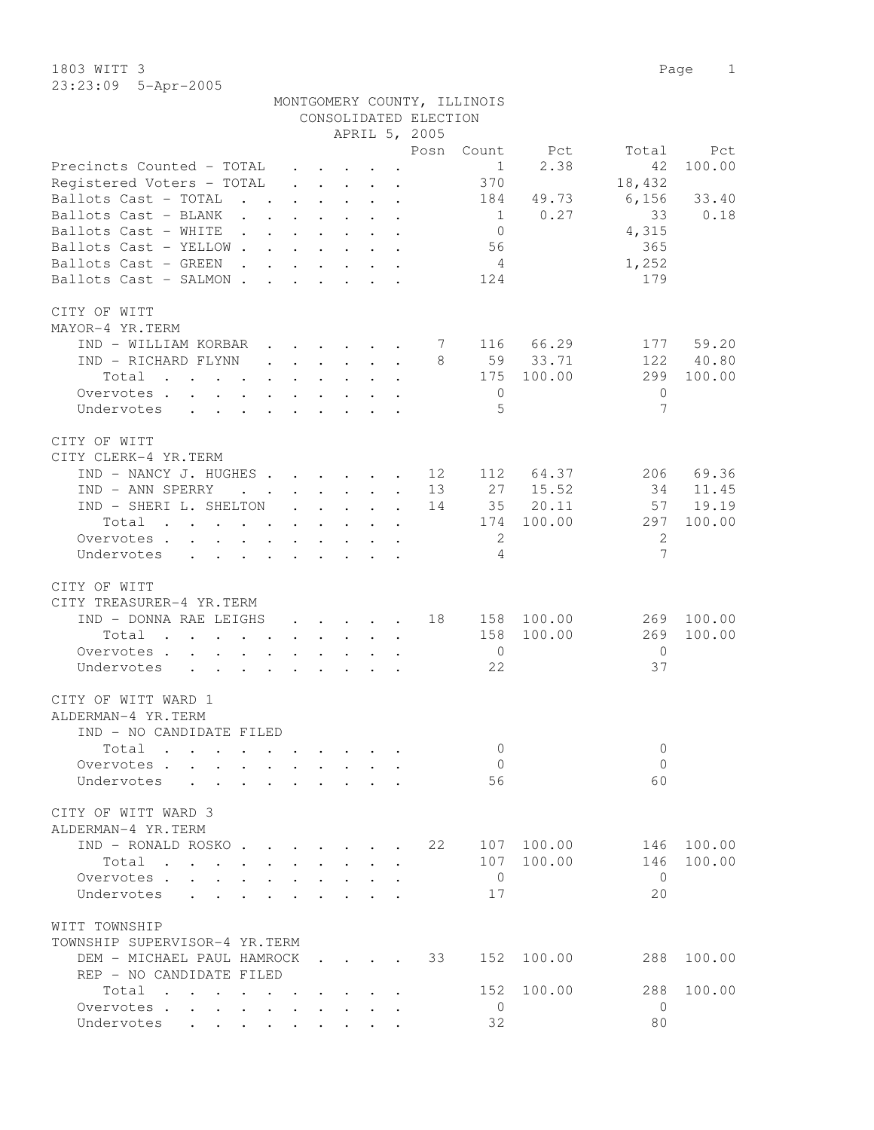1803 WITT 3 Page 1 23:23:09 5-Apr-2005

|                                                                                                                          |                                              |                                                           |                                                                  |                      |                       | MONTGOMERY COUNTY, ILLINOIS |            |                 |        |
|--------------------------------------------------------------------------------------------------------------------------|----------------------------------------------|-----------------------------------------------------------|------------------------------------------------------------------|----------------------|-----------------------|-----------------------------|------------|-----------------|--------|
|                                                                                                                          |                                              |                                                           |                                                                  |                      | CONSOLIDATED ELECTION |                             |            |                 |        |
|                                                                                                                          |                                              |                                                           | APRIL 5, 2005                                                    |                      |                       |                             |            |                 |        |
|                                                                                                                          |                                              |                                                           |                                                                  |                      | Posn                  | Count                       | Pct        | Total           | Pct    |
| Precincts Counted - TOTAL                                                                                                | $\mathbf{L}$                                 |                                                           | $\ddot{\phantom{1}}$                                             |                      |                       | 1                           | 2.38       | 42              | 100.00 |
| Registered Voters - TOTAL                                                                                                |                                              |                                                           | $\mathbf{r} = \mathbf{r} + \mathbf{r} + \mathbf{r} + \mathbf{r}$ |                      |                       | 370                         |            | 18,432          |        |
| Ballots Cast - TOTAL<br>$\mathbf{r}$ , $\mathbf{r}$ , $\mathbf{r}$                                                       | $\mathbf{L}$                                 | $\mathbf{L}$                                              | $\cdot$ $\cdot$ $\cdot$                                          | $\ddot{\phantom{a}}$ |                       | 184                         | 49.73      | 6,156           | 33.40  |
| Ballots Cast - BLANK                                                                                                     | $\ddot{\phantom{0}}$                         | $\ddot{\phantom{0}}$                                      | $\ddot{\phantom{0}}$<br>$\sim$                                   | $\ddot{\phantom{a}}$ |                       | $\mathbf{1}$                | 0.27       | 33              | 0.18   |
| Ballots Cast - WHITE .                                                                                                   | $\mathbf{L}$                                 | $\ddot{\phantom{a}}$                                      | $\ddot{\phantom{a}}$                                             | $\sim$               |                       | $\overline{0}$              |            | 4,315           |        |
| Ballots Cast - YELLOW.                                                                                                   | $\mathbf{r}$                                 |                                                           |                                                                  |                      |                       | 56                          |            | 365             |        |
| Ballots Cast - GREEN<br>$\sim$                                                                                           |                                              | $\ddot{\phantom{a}}$                                      | $\ddot{\phantom{a}}$                                             |                      |                       | $\overline{4}$              |            | 1,252           |        |
| Ballots Cast - SALMON.                                                                                                   | $\sim$<br>$\mathbf{A}$                       |                                                           |                                                                  |                      |                       | 124                         |            | 179             |        |
| CITY OF WITT                                                                                                             |                                              |                                                           |                                                                  |                      |                       |                             |            |                 |        |
| MAYOR-4 YR.TERM                                                                                                          |                                              |                                                           |                                                                  |                      |                       |                             |            |                 |        |
| IND - WILLIAM KORBAR                                                                                                     |                                              |                                                           | $\cdot$ $\cdot$ $\cdot$ $\cdot$ $\cdot$                          |                      | 7                     |                             | 116 66.29  | 177             | 59.20  |
| IND - RICHARD FLYNN                                                                                                      | $\ddot{\phantom{a}}$                         |                                                           | $\cdot$ $\cdot$ $\cdot$ $\cdot$ $\cdot$                          |                      | 8                     |                             | 59 33.71   | 122             | 40.80  |
| Total<br>$\mathbf{r}$ , $\mathbf{r}$ , $\mathbf{r}$ , $\mathbf{r}$                                                       |                                              | $\ddot{\phantom{a}}$                                      |                                                                  |                      |                       | 175                         | 100.00     | 299             | 100.00 |
| Overvotes                                                                                                                | $\ddot{\phantom{a}}$                         |                                                           |                                                                  |                      |                       | 0                           |            | $\mathbf{0}$    |        |
| Undervotes<br>$\ddot{\phantom{a}}$<br>$\ddot{\phantom{a}}$                                                               |                                              |                                                           |                                                                  |                      |                       | 5                           |            | 7               |        |
|                                                                                                                          |                                              |                                                           |                                                                  |                      |                       |                             |            |                 |        |
| CITY OF WITT<br>CITY CLERK-4 YR. TERM                                                                                    |                                              |                                                           |                                                                  |                      |                       |                             |            |                 |        |
| IND - NANCY J. HUGHES                                                                                                    |                                              |                                                           |                                                                  | $\sim$               | 12                    | 112                         | 64.37      | 206             | 69.36  |
| IND - ANN SPERRY<br>$\mathcal{L}(\mathcal{A})$ . The contract of $\mathcal{A}(\mathcal{A})$                              |                                              |                                                           | $\cdot$ $\cdot$ $\cdot$ $\cdot$                                  | $\sim$               | 13                    | 27                          | 15.52      | 34              | 11.45  |
| IND - SHERI L. SHELTON                                                                                                   | $\ddot{\phantom{0}}$                         | $\sim$                                                    | $\ddotsc$                                                        | $\ddot{\phantom{a}}$ | 14                    | 35                          | 20.11      | 57              | 19.19  |
| Total<br>the contract of the contract of the contract of the contract of the contract of the contract of the contract of |                                              |                                                           | $\ddot{\phantom{a}}$ . $\ddot{\phantom{a}}$                      |                      |                       | 174                         | 100.00     | 297             | 100.00 |
| Overvotes<br>$\mathbf{r}$<br>$\ddot{\phantom{0}}$                                                                        | $\ddot{\phantom{0}}$                         | $\ddot{\phantom{a}}$                                      |                                                                  |                      |                       | 2                           |            | 2               |        |
| Undervotes                                                                                                               | $\mathbf{r}$                                 |                                                           |                                                                  |                      |                       | 4                           |            | $7\phantom{.0}$ |        |
|                                                                                                                          |                                              |                                                           |                                                                  |                      |                       |                             |            |                 |        |
| CITY OF WITT                                                                                                             |                                              |                                                           |                                                                  |                      |                       |                             |            |                 |        |
| CITY TREASURER-4 YR.TERM                                                                                                 |                                              |                                                           |                                                                  |                      |                       |                             |            |                 |        |
| IND - DONNA RAE LEIGHS                                                                                                   |                                              |                                                           | $\cdot$ $\cdot$ $\cdot$ $\cdot$ $\cdot$                          |                      | 18                    |                             | 158 100.00 | 269             | 100.00 |
| Total<br>$\sim$                                                                                                          |                                              | $\mathbf{L}^{\text{max}}$ , and $\mathbf{L}^{\text{max}}$ | $\ddotsc$<br>$\mathbf{L}^{\text{max}}$                           | $\ddot{\phantom{a}}$ |                       | 158                         | 100.00     | 269             | 100.00 |
| Overvotes                                                                                                                |                                              |                                                           |                                                                  |                      |                       | $\overline{0}$              |            | $\overline{0}$  |        |
| Undervotes                                                                                                               |                                              |                                                           |                                                                  |                      |                       | 22                          |            | 37              |        |
| CITY OF WITT WARD 1                                                                                                      |                                              |                                                           |                                                                  |                      |                       |                             |            |                 |        |
| ALDERMAN-4 YR.TERM                                                                                                       |                                              |                                                           |                                                                  |                      |                       |                             |            |                 |        |
| IND - NO CANDIDATE FILED                                                                                                 |                                              |                                                           |                                                                  |                      |                       |                             |            |                 |        |
| Total<br>$\mathbf{r}$ , and $\mathbf{r}$ , and $\mathbf{r}$ , and $\mathbf{r}$                                           |                                              |                                                           |                                                                  |                      |                       | $\mathbf 0$                 |            | $\mathbf{0}$    |        |
| Overvotes.                                                                                                               |                                              |                                                           |                                                                  |                      |                       | $\overline{0}$              |            | $\Omega$        |        |
| Undervotes                                                                                                               |                                              |                                                           |                                                                  | $\ddot{\phantom{a}}$ |                       | 56                          |            | 60              |        |
| CITY OF WITT WARD 3                                                                                                      |                                              |                                                           |                                                                  |                      |                       |                             |            |                 |        |
| ALDERMAN-4 YR.TERM                                                                                                       |                                              |                                                           |                                                                  |                      |                       |                             |            |                 |        |
| IND - RONALD ROSKO                                                                                                       |                                              |                                                           |                                                                  |                      | 22                    | 107                         | 100.00     | 146             | 100.00 |
| Total<br>$\mathbf{L}$                                                                                                    | $\sim$                                       | $\mathbf{L}$                                              | $\mathbf{L}$<br>$\sim$                                           | $\mathbf{A}$         |                       | 107                         | 100.00     | 146             | 100.00 |
| Overvotes<br>$\mathbf{L}$                                                                                                | $\ddot{\phantom{a}}$                         |                                                           | $\cdot$ $\cdot$ $\cdot$ $\cdot$ $\cdot$                          | $\mathbf{r}$         |                       | $\mathbf{0}$                |            | $\bigcirc$      |        |
| Undervotes<br>$\mathbf{r}$ , $\mathbf{r}$ , $\mathbf{r}$ , $\mathbf{r}$                                                  | $\ddot{\phantom{a}}$                         |                                                           | $\cdot$ $\cdot$ $\cdot$ $\cdot$                                  |                      |                       | 17                          |            | 20              |        |
| WITT TOWNSHIP<br>TOWNSHIP SUPERVISOR-4 YR.TERM                                                                           |                                              |                                                           |                                                                  |                      |                       |                             |            |                 |        |
| DEM - MICHAEL PAUL HAMROCK                                                                                               |                                              |                                                           |                                                                  |                      | 33                    | 152                         | 100.00     | 288             | 100.00 |
| REP - NO CANDIDATE FILED                                                                                                 |                                              |                                                           |                                                                  |                      |                       |                             |            |                 |        |
| Total                                                                                                                    |                                              |                                                           |                                                                  |                      |                       | 152                         | 100.00     | 288             | 100.00 |
| Overvotes                                                                                                                | $\ddot{\phantom{a}}$<br>$\ddot{\phantom{0}}$ |                                                           |                                                                  |                      |                       | $\overline{0}$              |            | $\mathbf{0}$    |        |
| Undervotes<br>$\mathbf{r} = \mathbf{r} + \mathbf{r} + \mathbf{r} + \mathbf{r}$                                           |                                              | $\cdot$ $\cdot$ $\cdot$                                   | $\ddot{\phantom{0}}$<br>$\ddot{\phantom{a}}$                     |                      |                       | 32                          |            | 80              |        |
|                                                                                                                          |                                              |                                                           |                                                                  |                      |                       |                             |            |                 |        |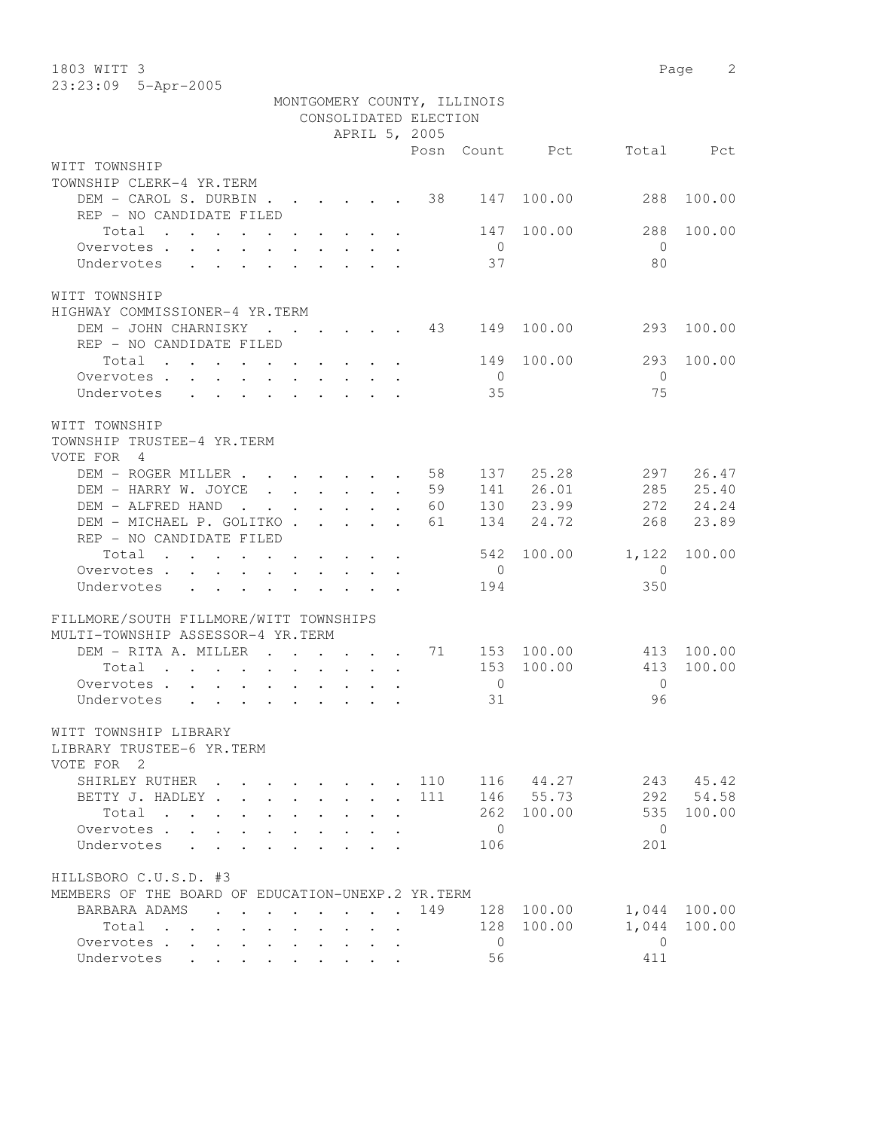1803 WITT 3 Page 2 23:23:09 5-Apr-2005

|                                                                                                                                                                                                                                        |                  |                           |                      |                                                     |                       | MONTGOMERY COUNTY, ILLINOIS |                |                |           |
|----------------------------------------------------------------------------------------------------------------------------------------------------------------------------------------------------------------------------------------|------------------|---------------------------|----------------------|-----------------------------------------------------|-----------------------|-----------------------------|----------------|----------------|-----------|
|                                                                                                                                                                                                                                        |                  |                           |                      |                                                     | CONSOLIDATED ELECTION |                             |                |                |           |
|                                                                                                                                                                                                                                        |                  |                           |                      |                                                     | APRIL 5, 2005         |                             |                |                |           |
|                                                                                                                                                                                                                                        |                  |                           |                      |                                                     |                       |                             | Posn Count Pct |                | Total Pct |
| WITT TOWNSHIP                                                                                                                                                                                                                          |                  |                           |                      |                                                     |                       |                             |                |                |           |
| TOWNSHIP CLERK-4 YR.TERM                                                                                                                                                                                                               |                  |                           |                      |                                                     |                       |                             |                |                |           |
| DEM - CAROL S. DURBIN 38                                                                                                                                                                                                               |                  |                           |                      |                                                     |                       | 147                         | 100.00         | 288            | 100.00    |
| REP - NO CANDIDATE FILED                                                                                                                                                                                                               |                  |                           |                      |                                                     |                       |                             |                |                |           |
| Total<br>. The contract of the contract of the contract of the contract of the contract of the contract of the contract of the contract of the contract of the contract of the contract of the contract of the contract of the contrac |                  |                           |                      |                                                     |                       | 147                         | 100.00         | 288            | 100.00    |
| Overvotes.                                                                                                                                                                                                                             |                  |                           |                      |                                                     |                       | $\overline{0}$              |                | $\overline{0}$ |           |
| Undervotes                                                                                                                                                                                                                             |                  |                           |                      |                                                     |                       | 37                          |                | 80             |           |
| WITT TOWNSHIP                                                                                                                                                                                                                          |                  |                           |                      |                                                     |                       |                             |                |                |           |
| HIGHWAY COMMISSIONER-4 YR.TERM                                                                                                                                                                                                         |                  |                           |                      |                                                     |                       |                             |                |                |           |
| DEM - JOHN CHARNISKY 43 149                                                                                                                                                                                                            |                  |                           |                      |                                                     |                       |                             | 100.00         | 293            | 100.00    |
| REP - NO CANDIDATE FILED                                                                                                                                                                                                               |                  |                           |                      |                                                     |                       |                             |                |                |           |
| Total<br>. The simple state is a set of the simple state of $\mathcal{A}$ , and $\mathcal{A}$                                                                                                                                          |                  |                           |                      |                                                     |                       | 149                         | 100.00         | 293            | 100.00    |
| Overvotes                                                                                                                                                                                                                              |                  |                           |                      |                                                     |                       | $\overline{0}$              |                | $\bigcirc$     |           |
| Undervotes                                                                                                                                                                                                                             |                  |                           |                      |                                                     |                       | 35                          |                | 75             |           |
|                                                                                                                                                                                                                                        |                  |                           |                      |                                                     |                       |                             |                |                |           |
| WITT TOWNSHIP                                                                                                                                                                                                                          |                  |                           |                      |                                                     |                       |                             |                |                |           |
| TOWNSHIP TRUSTEE-4 YR.TERM                                                                                                                                                                                                             |                  |                           |                      |                                                     |                       |                             |                |                |           |
| VOTE FOR 4                                                                                                                                                                                                                             |                  |                           |                      |                                                     |                       |                             |                |                |           |
| DEM - ROGER MILLER 58                                                                                                                                                                                                                  |                  |                           |                      |                                                     |                       |                             | 137 25.28      | 297            | 26.47     |
| DEM - HARRY W. JOYCE                                                                                                                                                                                                                   |                  |                           |                      |                                                     | 59                    | 141                         | 26.01          | 285            | 25.40     |
| DEM - ALFRED HAND<br>$\mathcal{A}$ . The set of the set of the set of the set of the $\mathcal{A}$                                                                                                                                     |                  |                           |                      |                                                     | 60                    |                             | 130 23.99      | 272            | 24.24     |
| DEM - MICHAEL P. GOLITKO                                                                                                                                                                                                               |                  |                           |                      |                                                     | 61                    | 134                         | 24.72          | 268            | 23.89     |
| REP - NO CANDIDATE FILED                                                                                                                                                                                                               |                  |                           |                      |                                                     |                       |                             |                |                |           |
| Total                                                                                                                                                                                                                                  |                  |                           |                      |                                                     |                       |                             | 542 100.00     | 1,122          | 100.00    |
| Overvotes<br>$\mathbf{r}$ , and $\mathbf{r}$ , and $\mathbf{r}$ , and $\mathbf{r}$ , and $\mathbf{r}$                                                                                                                                  |                  |                           |                      |                                                     |                       | $\overline{0}$              |                | $\overline{0}$ |           |
| Undervotes<br>$\mathbf{r}$<br>$\ddot{\phantom{0}}$                                                                                                                                                                                     | $\sim$           | $\ddot{\phantom{0}}$      |                      |                                                     |                       | 194                         |                | 350            |           |
|                                                                                                                                                                                                                                        |                  |                           |                      |                                                     |                       |                             |                |                |           |
| FILLMORE/SOUTH FILLMORE/WITT TOWNSHIPS                                                                                                                                                                                                 |                  |                           |                      |                                                     |                       |                             |                |                |           |
| MULTI-TOWNSHIP ASSESSOR-4 YR.TERM                                                                                                                                                                                                      |                  |                           |                      |                                                     |                       |                             |                |                |           |
| DEM - RITA A. MILLER 71                                                                                                                                                                                                                |                  |                           |                      |                                                     |                       |                             | 153 100.00     | 413            | 100.00    |
| Total<br>the contract of the contract of the contract of the contract of the contract of the contract of the contract of                                                                                                               |                  |                           |                      |                                                     |                       |                             | 153 100.00     | 413            | 100.00    |
| Overvotes                                                                                                                                                                                                                              |                  |                           |                      |                                                     |                       | $\overline{0}$              |                | $\overline{0}$ |           |
| Undervotes                                                                                                                                                                                                                             |                  |                           |                      |                                                     |                       | 31                          |                | 96             |           |
| WITT TOWNSHIP LIBRARY                                                                                                                                                                                                                  |                  |                           |                      |                                                     |                       |                             |                |                |           |
| LIBRARY TRUSTEE-6 YR.TERM                                                                                                                                                                                                              |                  |                           |                      |                                                     |                       |                             |                |                |           |
| VOTE FOR 2                                                                                                                                                                                                                             |                  |                           |                      |                                                     |                       |                             |                |                |           |
| SHIRLEY RUTHER .                                                                                                                                                                                                                       |                  |                           |                      |                                                     | 110                   |                             | 116 44.27      | 243            | 45.42     |
| BETTY J. HADLEY.                                                                                                                                                                                                                       |                  | $\mathbf{L}^{\text{max}}$ | $\ddot{\phantom{0}}$ | $\ddot{\phantom{a}}$                                | 111                   |                             | 146 55.73      | 292            | 54.58     |
| Total<br>$\mathbf{r}$ , $\mathbf{r}$ , $\mathbf{r}$ , $\mathbf{r}$<br>$\ddot{\phantom{0}}$                                                                                                                                             |                  | $\ddot{\phantom{0}}$      |                      |                                                     |                       |                             | 262 100.00     | 535            | 100.00    |
| Overvotes .                                                                                                                                                                                                                            |                  |                           |                      |                                                     |                       | $\overline{0}$              |                | $\overline{0}$ |           |
| Undervotes                                                                                                                                                                                                                             |                  |                           |                      |                                                     |                       | 106                         |                | 201            |           |
|                                                                                                                                                                                                                                        |                  |                           |                      |                                                     |                       |                             |                |                |           |
| HILLSBORO C.U.S.D. #3                                                                                                                                                                                                                  |                  |                           |                      |                                                     |                       |                             |                |                |           |
| MEMBERS OF THE BOARD OF EDUCATION-UNEXP.2 YR. TERM                                                                                                                                                                                     |                  |                           |                      |                                                     |                       |                             |                |                |           |
| BARBARA ADAMS                                                                                                                                                                                                                          |                  | $\ddot{\phantom{0}}$      | $\ddot{\phantom{0}}$ |                                                     | 149                   |                             | 128 100.00     | 1,044          | 100.00    |
| Total<br>$\mathbf{r}$ , $\mathbf{r}$ , $\mathbf{r}$ , $\mathbf{r}$ , $\mathbf{r}$                                                                                                                                                      | $\sim$ 100 $\pm$ | $\ddot{\phantom{0}}$      |                      | $\mathbf{r} = \mathbf{r} + \mathbf{r} + \mathbf{r}$ |                       | 128                         | 100.00         | 1,044          | 100.00    |
| Overvotes                                                                                                                                                                                                                              |                  |                           |                      |                                                     |                       | $\circ$                     |                | $\Omega$       |           |
| Undervotes                                                                                                                                                                                                                             |                  |                           |                      |                                                     |                       | 56                          |                | 411            |           |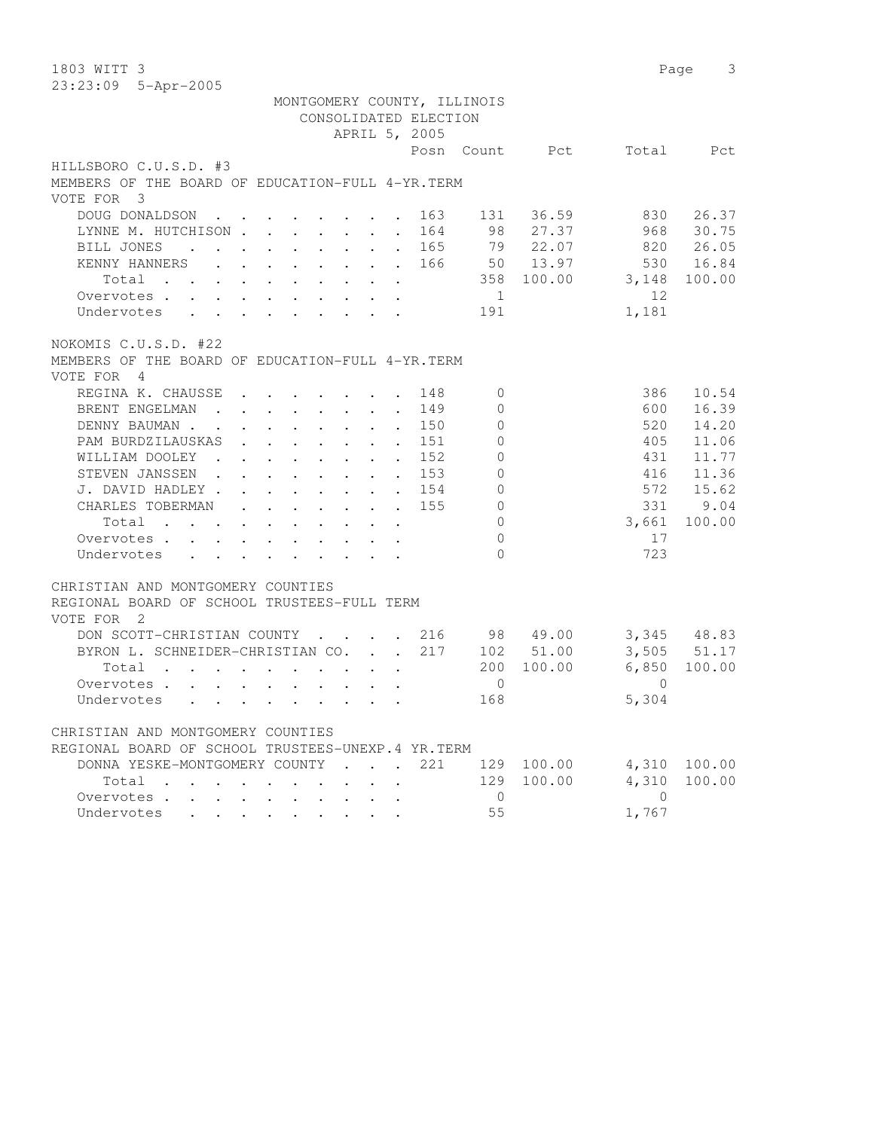| 1803 WITT 3                                                                                                                                               |                                             |             | Page       | 3            |
|-----------------------------------------------------------------------------------------------------------------------------------------------------------|---------------------------------------------|-------------|------------|--------------|
| 23:23:09 5-Apr-2005                                                                                                                                       |                                             |             |            |              |
| MONTGOMERY COUNTY, ILLINOIS                                                                                                                               |                                             |             |            |              |
| CONSOLIDATED ELECTION                                                                                                                                     |                                             |             |            |              |
| APRIL 5, 2005                                                                                                                                             |                                             |             |            |              |
|                                                                                                                                                           | Posn Count                                  | Pct         | Total      | Pct.         |
| HILLSBORO C.U.S.D. #3                                                                                                                                     |                                             |             |            |              |
| MEMBERS OF THE BOARD OF EDUCATION-FULL 4-YR. TERM                                                                                                         |                                             |             |            |              |
| VOTE FOR 3                                                                                                                                                |                                             |             |            |              |
| DOUG DONALDSON<br>$\cdot$ $\cdot$<br>$\cdot$ $\cdot$ $\cdot$ $\cdot$<br>$\ddot{\phantom{0}}$                                                              | 163<br>131<br>$\ddot{\phantom{0}}$          | 36.59       | 830        | 26.37        |
| LYNNE M. HUTCHISON<br>$\ddot{\phantom{0}}$                                                                                                                | 98<br>164<br>$\ddot{\phantom{a}}$           | 27.37       | 968        | 30.75        |
| BILL JONES<br>$\ddot{\phantom{a}}$<br>$\mathbf{r}$ , and $\mathbf{r}$ , and $\mathbf{r}$<br>$\sim$                                                        | 165<br>$\ddot{\phantom{a}}$                 | 79<br>22.07 | 820        | 26.05        |
| KENNY HANNERS<br>$\mathbf{r} = \mathbf{r} - \mathbf{r}$ , and $\mathbf{r} = \mathbf{r} - \mathbf{r}$ , and $\mathbf{r} = \mathbf{r} - \mathbf{r}$         | 166                                         | 50 13.97    | 530        | 16.84        |
| Total<br>and the contract of the contract of the<br>$\cdot$ $\cdot$                                                                                       | 358                                         | 100.00      | 3,148      | 100.00       |
| Overvotes<br>$\mathbf{L}^{\text{max}}$ , and                                                                                                              | 1                                           |             | 12         |              |
| Undervotes                                                                                                                                                | 191                                         |             | 1,181      |              |
|                                                                                                                                                           |                                             |             |            |              |
| NOKOMIS C.U.S.D. #22                                                                                                                                      |                                             |             |            |              |
| MEMBERS OF THE BOARD OF EDUCATION-FULL 4-YR. TERM                                                                                                         |                                             |             |            |              |
| VOTE FOR<br>$\frac{4}{3}$                                                                                                                                 |                                             |             |            |              |
| REGINA K. CHAUSSE                                                                                                                                         | 148<br>$\mathbf{0}$                         |             | 386        | 10.54        |
| $\bullet$ . In the case of the $\bullet$<br>BRENT ENGELMAN<br>$\mathbf{r}$ , $\mathbf{r}$ , $\mathbf{r}$ , $\mathbf{r}$ , $\mathbf{r}$                    | 149<br>$\mathbf{0}$                         |             | 600        | 16.39        |
|                                                                                                                                                           | $\ddot{\phantom{a}}$                        |             |            |              |
| DENNY BAUMAN.<br>$\cdot$ $\cdot$ $\cdot$ $\cdot$ $\cdot$<br>$\sim$ $\sim$<br>$\sim$<br>PAM BURDZILAUSKAS                                                  | 150<br>$\mathbf{0}$<br>$\ddot{\phantom{a}}$ |             | 520        | 14.20        |
| $\mathbf{r} = \mathbf{r} + \mathbf{r} + \mathbf{r} + \mathbf{r}$<br>$\bullet$                                                                             | 151<br>$\mathbf{0}$<br>$\bullet$            |             | 405        | 11.06        |
| WILLIAM DOOLEY.<br>$\bullet$ .<br><br><br><br><br><br><br><br><br><br><br><br><br><br><br>$\ddot{\phantom{0}}$<br>$\sim$ $\sim$<br>$\bullet$<br>$\bullet$ | 152<br>0                                    |             | 431        | 11.77        |
| STEVEN JANSSEN.<br>$\ddot{\phantom{0}}$<br>$\ddot{\phantom{a}}$                                                                                           | 153<br>$\mathbf 0$                          |             | 416        | 11.36        |
| J. DAVID HADLEY.                                                                                                                                          | $\mathbf 0$<br>154                          |             | 572        | 15.62        |
| CHARLES TOBERMAN<br>$\mathbf{L}$<br>$\ddot{\phantom{0}}$<br>$\sim$<br>$\ddot{\phantom{0}}$                                                                | 155<br>$\mathbf{0}$                         |             | 331        | 9.04         |
| Total<br>$\ddot{\phantom{0}}$<br>$\ddot{\phantom{0}}$<br>$\sim$<br>$\sim$<br>$\bullet$ .<br><br><br><br><br><br><br>                                      | $\mathbf{0}$                                |             | 3,661      | 100.00       |
| Overvotes<br>$\ddot{\phantom{0}}$<br>$\mathbf{L}^{\text{max}}$<br>$\mathbf{r} = \mathbf{r} + \mathbf{r}$ .<br>$\sim$                                      | $\mathbf{0}$                                |             | 17         |              |
| Undervotes<br>$\sim 10^{-10}$<br>$\cdot$ $\cdot$ $\cdot$ $\cdot$ $\cdot$ $\cdot$                                                                          | $\Omega$                                    |             | 723        |              |
|                                                                                                                                                           |                                             |             |            |              |
| CHRISTIAN AND MONTGOMERY COUNTIES                                                                                                                         |                                             |             |            |              |
| REGIONAL BOARD OF SCHOOL TRUSTEES-FULL TERM                                                                                                               |                                             |             |            |              |
| VOTE FOR<br>$\overline{\phantom{0}}^2$                                                                                                                    |                                             |             |            |              |
| DON SCOTT-CHRISTIAN COUNTY<br>$\sim$ $\sim$                                                                                                               | 216                                         | 98 49.00    |            | 3,345 48.83  |
| BYRON L. SCHNEIDER-CHRISTIAN CO.<br>$\mathbf{r} = \mathbf{r}$                                                                                             | 217<br>102                                  | 51.00       | 3,505      | 51.17        |
| Total<br>$\sim$                                                                                                                                           | 200                                         | 100.00      | 6,850      | 100.00       |
| Overvotes .<br>$\mathbf{r} = \mathbf{r} + \mathbf{r}$<br>$\mathbf{L}$<br>$\ddot{\phantom{0}}$<br>$\cdot$ $\cdot$                                          | $\circ$                                     |             | $\Omega$   |              |
| Undervotes                                                                                                                                                | 168                                         |             | 5,304      |              |
|                                                                                                                                                           |                                             |             |            |              |
| CHRISTIAN AND MONTGOMERY COUNTIES                                                                                                                         |                                             |             |            |              |
| REGIONAL BOARD OF SCHOOL TRUSTEES-UNEXP.4 YR.TERM                                                                                                         |                                             |             |            |              |
| DONNA YESKE-MONTGOMERY COUNTY                                                                                                                             | 221                                         | 129 100.00  |            | 4,310 100.00 |
| Total                                                                                                                                                     |                                             | 129 100.00  | 4,310      | 100.00       |
| Overvotes                                                                                                                                                 | $\overline{0}$                              |             | $\bigcirc$ |              |
| Undervotes<br>$\mathbf{r} = \mathbf{r}$<br>$\sim$                                                                                                         | 55                                          |             | 1,767      |              |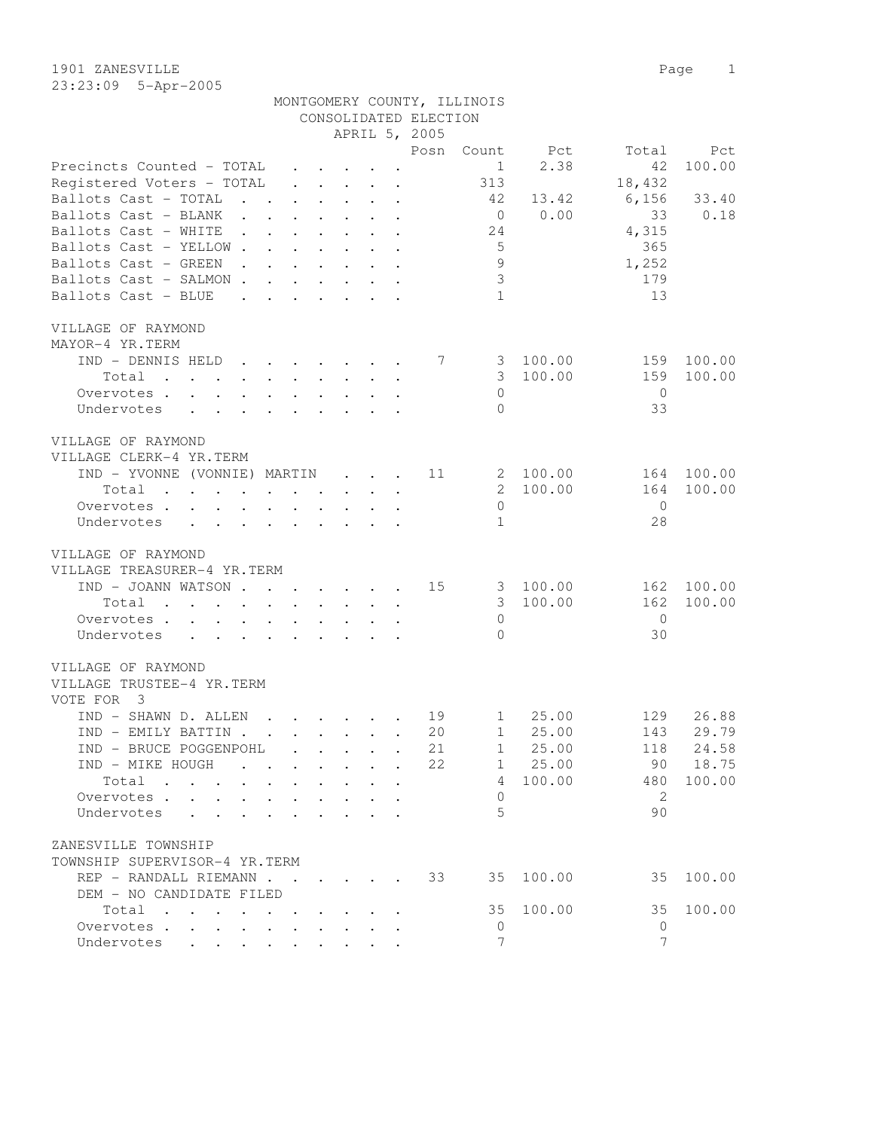| 1901 ZANESVILLE |                       |                             |  | Page 1 |  |
|-----------------|-----------------------|-----------------------------|--|--------|--|
|                 | $23:23:09$ 5-Apr-2005 |                             |  |        |  |
|                 |                       | MONTGOMERY COUNTY, ILLINOIS |  |        |  |

|                                                                                                                                                                                                                                             |                                                           |                           |                      | CONSOLIDATED ELECTION |                  |           |                |        |
|---------------------------------------------------------------------------------------------------------------------------------------------------------------------------------------------------------------------------------------------|-----------------------------------------------------------|---------------------------|----------------------|-----------------------|------------------|-----------|----------------|--------|
|                                                                                                                                                                                                                                             |                                                           |                           |                      | APRIL 5, 2005         |                  |           |                |        |
|                                                                                                                                                                                                                                             |                                                           |                           |                      | Posn                  | Count            | Pct       | Total          | Pct    |
| Precincts Counted - TOTAL                                                                                                                                                                                                                   |                                                           |                           |                      |                       | 1                | 2.38      | 42             | 100.00 |
| Registered Voters - TOTAL                                                                                                                                                                                                                   | $\mathbf{r}$ , $\mathbf{r}$ , $\mathbf{r}$                |                           | $\mathbf{r}$         |                       | 313              |           | 18,432         |        |
| Ballots Cast - TOTAL<br>$\mathbf{r}$ . The set of $\mathbf{r}$                                                                                                                                                                              | $\mathbf{r} = \mathbf{r} \cdot \mathbf{r}$                |                           | $\ddot{\phantom{a}}$ |                       | 42               | 13.42     | 6,156          | 33.40  |
| Ballots Cast - BLANK                                                                                                                                                                                                                        | $\mathbf{L}$<br>$\mathbf{L}$                              | $\mathbf{L}$              | $\ddot{\phantom{a}}$ |                       | $\overline{0}$   | 0.00      | 33             | 0.18   |
| Ballots Cast - WHITE<br>$\sim$ $\sim$<br>$\cdot$ $\cdot$ $\cdot$                                                                                                                                                                            | $\ddot{\phantom{0}}$                                      | $\ddot{\phantom{0}}$      | $\ddot{\phantom{a}}$ |                       | 24               |           | 4,315          |        |
| Ballots Cast - YELLOW.<br>$\ddot{\phantom{a}}$                                                                                                                                                                                              | $\ddot{\phantom{a}}$                                      |                           |                      |                       | $5\overline{)}$  |           | 365            |        |
| Ballots Cast - GREEN                                                                                                                                                                                                                        |                                                           |                           |                      |                       | $\overline{9}$   |           | 1,252          |        |
| Ballots Cast - SALMON.                                                                                                                                                                                                                      |                                                           |                           |                      |                       | $\mathcal{S}$    |           | 179            |        |
| Ballots Cast - BLUE<br>$\mathbf{A}$                                                                                                                                                                                                         |                                                           |                           |                      |                       | $\mathbf{1}$     |           | 13             |        |
|                                                                                                                                                                                                                                             |                                                           |                           |                      |                       |                  |           |                |        |
| VILLAGE OF RAYMOND                                                                                                                                                                                                                          |                                                           |                           |                      |                       |                  |           |                |        |
| MAYOR-4 YR.TERM                                                                                                                                                                                                                             |                                                           |                           |                      |                       |                  |           |                |        |
| IND - DENNIS HELD<br>$\sim$                                                                                                                                                                                                                 | $\cdot$ $\cdot$ $\cdot$ $\cdot$ $\cdot$                   |                           |                      | 7                     | 3                | 100.00    | 159            | 100.00 |
| Total<br>$\mathbf{r}$ , $\mathbf{r}$ , $\mathbf{r}$ , $\mathbf{r}$<br>$\sim$ $-$                                                                                                                                                            | $\cdot$ $\cdot$ $\cdot$ $\cdot$                           |                           |                      |                       | 3                | 100.00    | 159            | 100.00 |
| Overvotes<br>$\cdot$ $\cdot$ $\cdot$                                                                                                                                                                                                        | $\sim$ $\sim$                                             |                           |                      |                       | $\Omega$         |           | $\overline{0}$ |        |
| Undervotes<br>$\mathbf{r} = \mathbf{r}$<br>$\cdot$ $\cdot$                                                                                                                                                                                  |                                                           |                           |                      |                       | $\Omega$         |           | 33             |        |
|                                                                                                                                                                                                                                             |                                                           |                           |                      |                       |                  |           |                |        |
| VILLAGE OF RAYMOND                                                                                                                                                                                                                          |                                                           |                           |                      |                       |                  |           |                |        |
| VILLAGE CLERK-4 YR.TERM                                                                                                                                                                                                                     |                                                           |                           |                      |                       |                  |           |                |        |
|                                                                                                                                                                                                                                             |                                                           |                           |                      | 11                    |                  | 100.00    | 164            | 100.00 |
| IND - YVONNE (VONNIE) MARTIN                                                                                                                                                                                                                |                                                           | $\mathbf{r} = \mathbf{r}$ | $\mathbf{r}$         |                       | 2<br>$2^{\circ}$ |           |                |        |
| Total<br>$\mathcal{A}$ . The set of the set of the set of the set of the set of the set of the set of the set of the set of the set of the set of the set of the set of the set of the set of the set of the set of the set of the set of t |                                                           |                           |                      |                       |                  | 100.00    | 164            | 100.00 |
| Overvotes                                                                                                                                                                                                                                   |                                                           |                           |                      |                       | $\mathbf{0}$     |           | $\Omega$       |        |
| Undervotes                                                                                                                                                                                                                                  |                                                           |                           |                      |                       | $\mathbf{1}$     |           | 28             |        |
|                                                                                                                                                                                                                                             |                                                           |                           |                      |                       |                  |           |                |        |
| VILLAGE OF RAYMOND                                                                                                                                                                                                                          |                                                           |                           |                      |                       |                  |           |                |        |
| VILLAGE TREASURER-4 YR.TERM                                                                                                                                                                                                                 |                                                           |                           |                      |                       |                  |           |                |        |
| IND - JOANN WATSON                                                                                                                                                                                                                          |                                                           |                           |                      | 15                    |                  | 3 100.00  | 162            | 100.00 |
| Total<br>$\mathbf{r}$ , $\mathbf{r}$ , $\mathbf{r}$ , $\mathbf{r}$                                                                                                                                                                          | $\cdot$ $\cdot$ $\cdot$ $\cdot$ $\cdot$                   |                           | $\ddot{\phantom{a}}$ |                       | 3 <sup>7</sup>   | 100.00    | 162            | 100.00 |
| Overvotes.                                                                                                                                                                                                                                  |                                                           |                           | $\ddot{\phantom{a}}$ |                       | $\mathbf{0}$     |           | $\Omega$       |        |
| Undervotes                                                                                                                                                                                                                                  |                                                           |                           |                      |                       | $\Omega$         |           | 30             |        |
|                                                                                                                                                                                                                                             |                                                           |                           |                      |                       |                  |           |                |        |
| VILLAGE OF RAYMOND                                                                                                                                                                                                                          |                                                           |                           |                      |                       |                  |           |                |        |
| VILLAGE TRUSTEE-4 YR.TERM                                                                                                                                                                                                                   |                                                           |                           |                      |                       |                  |           |                |        |
| VOTE FOR 3                                                                                                                                                                                                                                  |                                                           |                           |                      |                       |                  |           |                |        |
| IND - SHAWN D. ALLEN<br>$\sim$                                                                                                                                                                                                              | $\sim$ $\sim$ $\sim$ $\sim$ $\sim$ $\sim$                 |                           |                      | 19                    | $1 \quad$        | 25.00     | 129            | 26.88  |
| IND - EMILY BATTIN.                                                                                                                                                                                                                         | $\mathbf{r}$ , $\mathbf{r}$ , $\mathbf{r}$ , $\mathbf{r}$ |                           |                      | 20                    | $\mathbf{1}$     | 25.00     | 143            | 29.79  |
| IND - BRUCE POGGENPOHL                                                                                                                                                                                                                      |                                                           |                           |                      | 21                    | 1                | 25.00     | 118            | 24.58  |
| IND - MIKE HOUGH                                                                                                                                                                                                                            |                                                           |                           |                      | 22                    |                  | 1 25.00   | 90             | 18.75  |
| Total                                                                                                                                                                                                                                       |                                                           |                           |                      |                       | $4\phantom{0}$   | 100.00    | 480            | 100.00 |
| Overvotes                                                                                                                                                                                                                                   |                                                           |                           |                      |                       | $\Omega$         |           | 2              |        |
| Undervotes                                                                                                                                                                                                                                  |                                                           |                           |                      |                       | 5                |           | 90             |        |
|                                                                                                                                                                                                                                             |                                                           |                           |                      |                       |                  |           |                |        |
| ZANESVILLE TOWNSHIP                                                                                                                                                                                                                         |                                                           |                           |                      |                       |                  |           |                |        |
| TOWNSHIP SUPERVISOR-4 YR.TERM                                                                                                                                                                                                               |                                                           |                           |                      |                       |                  |           |                |        |
| REP - RANDALL RIEMANN 33                                                                                                                                                                                                                    |                                                           |                           |                      |                       |                  | 35 100.00 | 35             | 100.00 |
| DEM - NO CANDIDATE FILED                                                                                                                                                                                                                    |                                                           |                           |                      |                       |                  |           |                |        |
| Total                                                                                                                                                                                                                                       |                                                           |                           |                      |                       | 35               | 100.00    | 35             | 100.00 |
| Overvotes.                                                                                                                                                                                                                                  |                                                           |                           |                      |                       | 0                |           | 0              |        |
| Undervotes                                                                                                                                                                                                                                  |                                                           |                           |                      |                       | $\overline{7}$   |           | 7              |        |
|                                                                                                                                                                                                                                             |                                                           |                           |                      |                       |                  |           |                |        |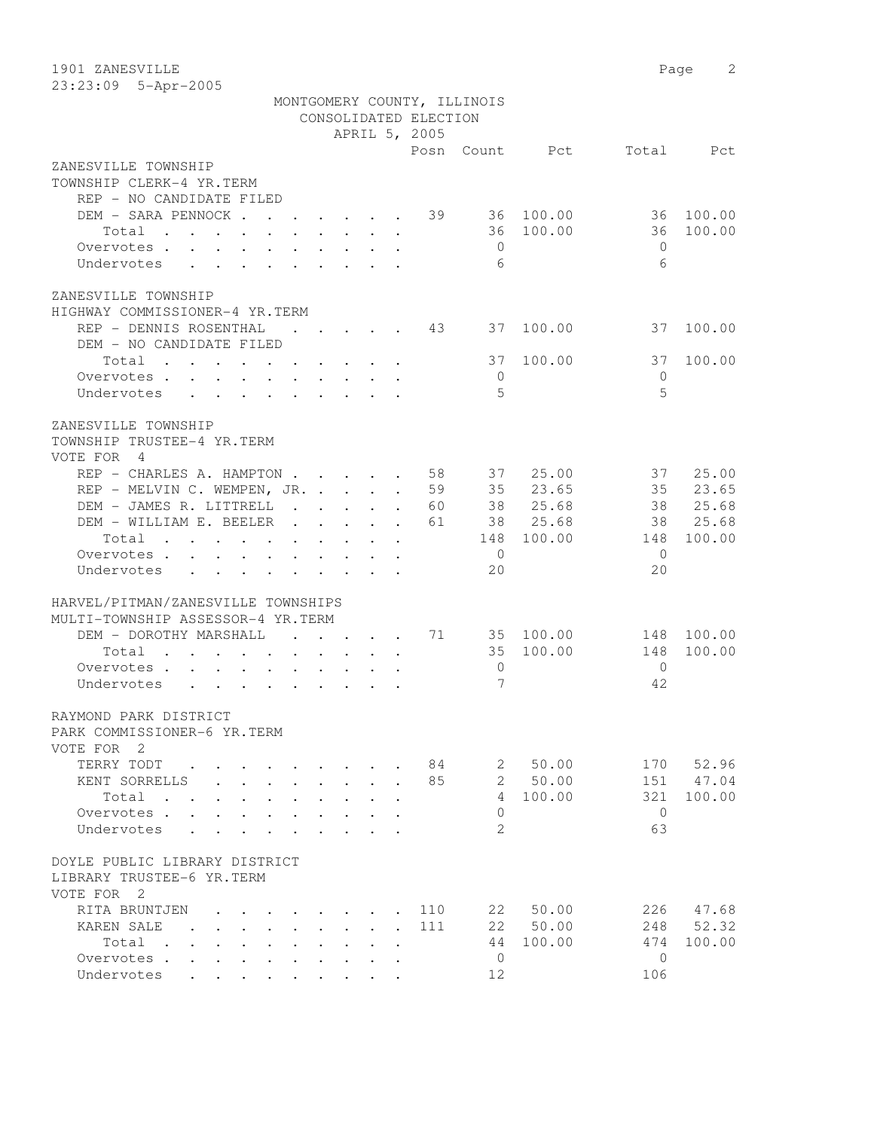1901 ZANESVILLE Page 2 23:23:09 5-Apr-2005

|                                                                               |                               |                                                                 |                        | CONSOLIDATED ELECTION<br>APRIL 5, 2005 | MONTGOMERY COUNTY, ILLINOIS |                       |              |            |
|-------------------------------------------------------------------------------|-------------------------------|-----------------------------------------------------------------|------------------------|----------------------------------------|-----------------------------|-----------------------|--------------|------------|
|                                                                               |                               |                                                                 |                        |                                        |                             | Posn Count Pct        |              | Total Pct  |
| ZANESVILLE TOWNSHIP                                                           |                               |                                                                 |                        |                                        |                             |                       |              |            |
| TOWNSHIP CLERK-4 YR.TERM                                                      |                               |                                                                 |                        |                                        |                             |                       |              |            |
| REP - NO CANDIDATE FILED                                                      |                               |                                                                 |                        |                                        |                             |                       |              |            |
| DEM - SARA PENNOCK 39 36 100.00                                               |                               |                                                                 |                        |                                        |                             |                       | 36 100.00    |            |
| Total $\cdots$                                                                |                               |                                                                 |                        |                                        |                             | 36 100.00             | 36           | 100.00     |
| Overvotes                                                                     |                               |                                                                 |                        |                                        | $\bigcirc$                  |                       | $\Omega$     |            |
| Undervotes                                                                    |                               |                                                                 |                        |                                        | 6                           |                       | 6            |            |
| ZANESVILLE TOWNSHIP                                                           |                               |                                                                 |                        |                                        |                             |                       |              |            |
| HIGHWAY COMMISSIONER-4 YR.TERM                                                |                               |                                                                 |                        |                                        |                             |                       |              |            |
| REP - DENNIS ROSENTHAL                                                        | and the state of the state of |                                                                 |                        | 43                                     | 37                          | 100.00                | 37           | 100.00     |
| DEM - NO CANDIDATE FILED                                                      |                               |                                                                 |                        |                                        |                             |                       |              |            |
| Total                                                                         |                               |                                                                 |                        |                                        | 37                          | 100.00                | 37           | 100.00     |
| Overvotes.                                                                    |                               |                                                                 |                        |                                        | $\overline{0}$              |                       | $\Omega$     |            |
| Undervotes                                                                    |                               |                                                                 |                        |                                        | 5                           |                       | 5            |            |
|                                                                               |                               |                                                                 |                        |                                        |                             |                       |              |            |
| ZANESVILLE TOWNSHIP                                                           |                               |                                                                 |                        |                                        |                             |                       |              |            |
| TOWNSHIP TRUSTEE-4 YR.TERM                                                    |                               |                                                                 |                        |                                        |                             |                       |              |            |
| VOTE FOR 4                                                                    |                               |                                                                 |                        |                                        |                             |                       |              |            |
| REP - CHARLES A. HAMPTON 58 37 25.00                                          |                               |                                                                 |                        |                                        |                             |                       | 37           | 25.00      |
| REP - MELVIN C. WEMPEN, JR. 59                                                |                               |                                                                 |                        |                                        |                             | 35 23.65              | 35 23.65     |            |
| DEM - JAMES R. LITTRELL 60                                                    |                               |                                                                 |                        |                                        |                             | 38 25.68              |              | 38 25.68   |
| DEM - WILLIAM E. BEELER 61                                                    |                               |                                                                 |                        |                                        |                             | 38 25.68              |              | 38 25.68   |
| Total                                                                         |                               |                                                                 |                        |                                        |                             | 148 100.00            | 148          | 100.00     |
| Overvotes                                                                     |                               |                                                                 |                        |                                        | $\overline{0}$              |                       | $\Omega$     |            |
| Undervotes                                                                    |                               |                                                                 |                        |                                        | 20                          |                       | 20           |            |
| HARVEL/PITMAN/ZANESVILLE TOWNSHIPS                                            |                               |                                                                 |                        |                                        |                             |                       |              |            |
| MULTI-TOWNSHIP ASSESSOR-4 YR.TERM                                             |                               |                                                                 |                        |                                        |                             |                       |              |            |
| DEM - DOROTHY MARSHALL                                                        |                               |                                                                 |                        |                                        |                             | $\cdots$ 71 35 100.00 |              | 148 100.00 |
| Total                                                                         |                               |                                                                 |                        |                                        |                             | 35 100.00             | 148          | 100.00     |
| Overvotes.                                                                    |                               |                                                                 |                        |                                        | $\overline{0}$              |                       | $\bigcirc$   |            |
| Undervotes                                                                    |                               |                                                                 |                        |                                        | 7                           |                       | 42           |            |
|                                                                               |                               |                                                                 |                        |                                        |                             |                       |              |            |
| RAYMOND PARK DISTRICT                                                         |                               |                                                                 |                        |                                        |                             |                       |              |            |
| PARK COMMISSIONER-6 YR.TERM                                                   |                               |                                                                 |                        |                                        |                             |                       |              |            |
| VOTE FOR 2                                                                    |                               |                                                                 |                        |                                        |                             |                       |              |            |
| TERRY TODT                                                                    |                               |                                                                 |                        | 84                                     | 2                           | 50.00                 | 170          | 52.96      |
| KENT SORRELLS<br>$\sim$                                                       | $\mathbf{r}$                  | $\mathbf{r} = \mathbf{r}$                                       | $\mathbf{r}$           | 85                                     | $\mathcal{L}$               | 50.00                 | 151          | 47.04      |
| Total<br>$\ddot{\phantom{a}}$                                                 |                               |                                                                 |                        |                                        | 4                           | 100.00                | 321          | 100.00     |
| Overvotes<br>$\ddot{\phantom{a}}$                                             |                               | $\ddot{\phantom{0}}$                                            |                        |                                        | $\Omega$                    |                       | $\bigcirc$   |            |
| Undervotes<br>$\bullet$ .<br><br><br><br><br><br><br><br><br><br><br><br><br> |                               | $\bullet$ .<br><br><br><br><br><br><br><br><br><br><br><br><br> |                        |                                        | 2                           |                       | 63           |            |
| DOYLE PUBLIC LIBRARY DISTRICT                                                 |                               |                                                                 |                        |                                        |                             |                       |              |            |
| LIBRARY TRUSTEE-6 YR.TERM                                                     |                               |                                                                 |                        |                                        |                             |                       |              |            |
| VOTE FOR 2                                                                    |                               |                                                                 |                        |                                        |                             |                       |              |            |
| RITA BRUNTJEN                                                                 |                               |                                                                 |                        | 110                                    | 22                          | 50.00                 | 226          | 47.68      |
| KAREN SALE<br>$\mathbf{r}$                                                    |                               | $\mathbf{L}$                                                    | $\mathbf{A}$<br>$\sim$ | 111                                    | 22                          | 50.00                 | 248          | 52.32      |
| Total .<br>$\ddot{\phantom{a}}$                                               |                               |                                                                 |                        |                                        | 44                          | 100.00                | 474          | 100.00     |
| Overvotes<br>$\ddot{\phantom{a}}$                                             | $\ddot{\phantom{a}}$          | $\ddot{\phantom{a}}$                                            | $\ddot{\phantom{a}}$   |                                        | $\mathbf{0}$                |                       | $\mathbf{0}$ |            |
| Undervotes                                                                    | $\ddot{\phantom{0}}$          |                                                                 |                        |                                        | 12                          |                       | 106          |            |